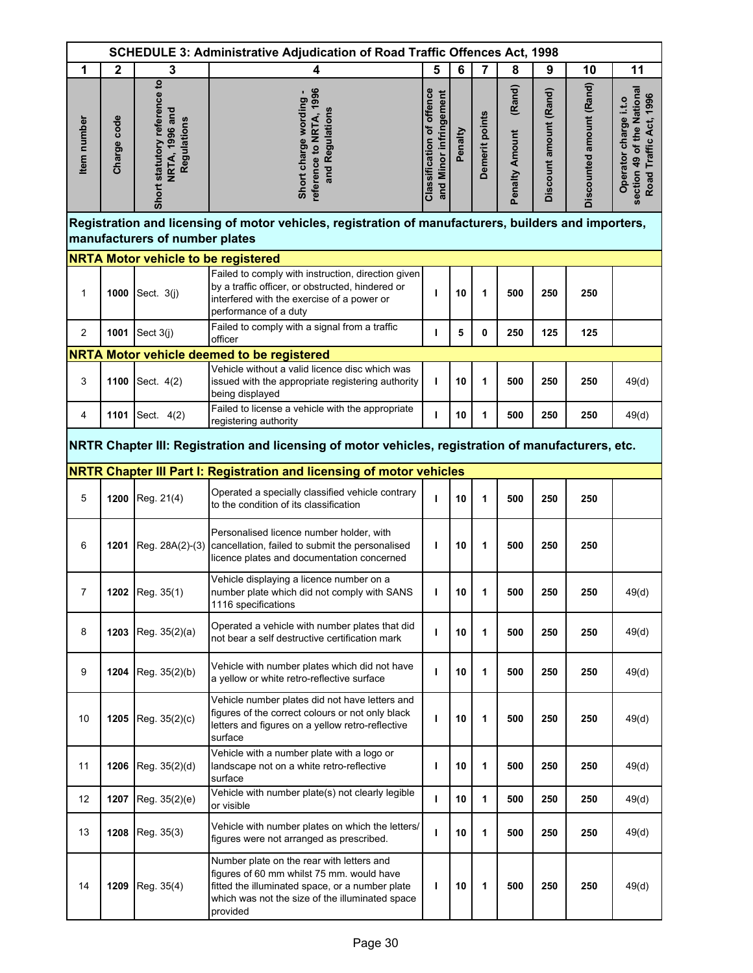|                | <b>SCHEDULE 3: Administrative Adjudication of Road Traffic Offences Act, 1998</b> |                                                                      |                                                                                                                                                                                                          |                                                            |         |                |                                 |                        |                          |                                                                               |
|----------------|-----------------------------------------------------------------------------------|----------------------------------------------------------------------|----------------------------------------------------------------------------------------------------------------------------------------------------------------------------------------------------------|------------------------------------------------------------|---------|----------------|---------------------------------|------------------------|--------------------------|-------------------------------------------------------------------------------|
| 1              | $\mathbf{2}$                                                                      | 3                                                                    | 4                                                                                                                                                                                                        | 5                                                          | 6       | 7              | 8                               | 9                      | 10                       | 11                                                                            |
| Item number    | Charge code                                                                       | Short statutory reference to<br><b>NRTA, 1996 and</b><br>Regulations | reference to NRTA, 1996<br>Short charge wording -<br>and Regulations                                                                                                                                     | <b>Classification of offence</b><br>and Minor infringement | Penalty | Demerit points | (Rand)<br><b>Penalty Amount</b> | Discount amount (Rand) | Discounted amount (Rand) | section 49 of the National<br>Road Traffic Act, 1996<br>Operator charge i.t.o |
|                |                                                                                   |                                                                      | Registration and licensing of motor vehicles, registration of manufacturers, builders and importers,                                                                                                     |                                                            |         |                |                                 |                        |                          |                                                                               |
|                |                                                                                   | manufacturers of number plates                                       |                                                                                                                                                                                                          |                                                            |         |                |                                 |                        |                          |                                                                               |
|                |                                                                                   | <b>NRTA Motor vehicle to be registered</b>                           |                                                                                                                                                                                                          |                                                            |         |                |                                 |                        |                          |                                                                               |
| 1              |                                                                                   | <b>1000</b> Sect. $3(j)$                                             | Failed to comply with instruction, direction given<br>by a traffic officer, or obstructed, hindered or<br>interfered with the exercise of a power or<br>performance of a duty                            | ı                                                          | 10      | 1              | 500                             | 250                    | 250                      |                                                                               |
| $\overline{c}$ | 1001                                                                              | Sect 3(j)                                                            | Failed to comply with a signal from a traffic<br>officer                                                                                                                                                 | п                                                          | 5       | 0              | 250                             | 125                    | 125                      |                                                                               |
|                |                                                                                   |                                                                      | NRTA Motor vehicle deemed to be registered                                                                                                                                                               |                                                            |         |                |                                 |                        |                          |                                                                               |
| 3              | 1100                                                                              | Sect. 4(2)                                                           | Vehicle without a valid licence disc which was<br>issued with the appropriate registering authority<br>being displayed                                                                                   | т                                                          | 10      | 1              | 500                             | 250                    | 250                      | 49(d)                                                                         |
| 4              | 1101                                                                              | Sect. 4(2)                                                           | Failed to license a vehicle with the appropriate<br>registering authority                                                                                                                                | ı                                                          | 10      | 1              | 500                             | 250                    | 250                      | 49(d)                                                                         |
|                |                                                                                   |                                                                      | NRTR Chapter III: Registration and licensing of motor vehicles, registration of manufacturers, etc.                                                                                                      |                                                            |         |                |                                 |                        |                          |                                                                               |
|                |                                                                                   |                                                                      | NRTR Chapter III Part I: Registration and licensing of motor vehicles                                                                                                                                    |                                                            |         |                |                                 |                        |                          |                                                                               |
| 5              | 1200                                                                              | Reg. 21(4)                                                           | Operated a specially classified vehicle contrary<br>to the condition of its classification                                                                                                               | ı                                                          | 10      | 1              | 500                             | 250                    | 250                      |                                                                               |
| 6              |                                                                                   |                                                                      | Personalised licence number holder, with<br>1201   Reg. 28A(2)-(3)   cancellation, failed to submit the personalised<br>licence plates and documentation concerned                                       | ı                                                          | 10      | 1              | 500                             | 250                    | 250                      |                                                                               |
| 7              |                                                                                   | 1202 Reg. 35(1)                                                      | Vehicle displaying a licence number on a<br>number plate which did not comply with SANS<br>1116 specifications                                                                                           |                                                            | 10      | 1              | 500                             | 250                    | 250                      | 49(d)                                                                         |
| 8              | 1203                                                                              | Reg. 35(2)(a)                                                        | Operated a vehicle with number plates that did<br>not bear a self destructive certification mark                                                                                                         | ı                                                          | 10      | 1              | 500                             | 250                    | 250                      | 49(d)                                                                         |
| 9              | 1204                                                                              | Reg. 35(2)(b)                                                        | Vehicle with number plates which did not have<br>a yellow or white retro-reflective surface                                                                                                              | ı                                                          | 10      | 1              | 500                             | 250                    | 250                      | 49(d)                                                                         |
| 10             | 1205                                                                              | Reg. 35(2)(c)                                                        | Vehicle number plates did not have letters and<br>figures of the correct colours or not only black<br>letters and figures on a yellow retro-reflective<br>surface                                        | ı                                                          | 10      | 1              | 500                             | 250                    | 250                      | 49(d)                                                                         |
| 11             | 1206                                                                              | Reg. 35(2)(d)                                                        | Vehicle with a number plate with a logo or<br>landscape not on a white retro-reflective<br>surface                                                                                                       | т                                                          | 10      | 1              | 500                             | 250                    | 250                      | 49(d)                                                                         |
| 12             | 1207                                                                              | Reg. 35(2)(e)                                                        | Vehicle with number plate(s) not clearly legible<br>or visible                                                                                                                                           | ı                                                          | 10      | 1              | 500                             | 250                    | 250                      | 49(d)                                                                         |
| 13             | 1208                                                                              | Reg. 35(3)                                                           | Vehicle with number plates on which the letters/<br>figures were not arranged as prescribed.                                                                                                             | ı                                                          | 10      | 1              | 500                             | 250                    | 250                      | 49(d)                                                                         |
| 14             | 1209                                                                              | Reg. 35(4)                                                           | Number plate on the rear with letters and<br>figures of 60 mm whilst 75 mm. would have<br>fitted the illuminated space, or a number plate<br>which was not the size of the illuminated space<br>provided | ı                                                          | 10      | 1              | 500                             | 250                    | 250                      | 49(d)                                                                         |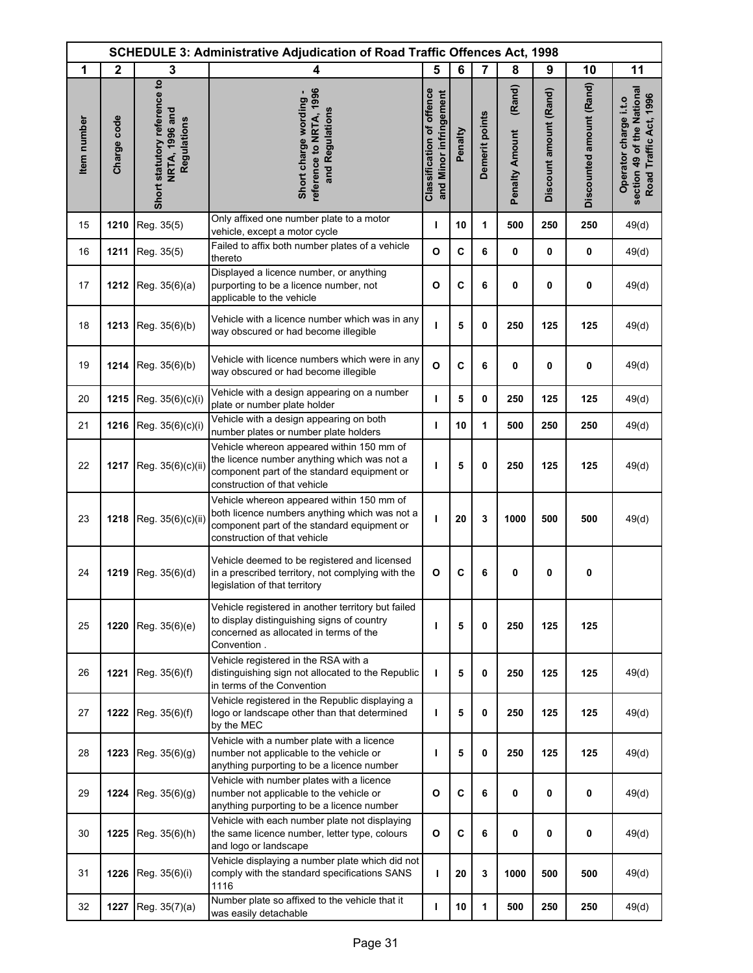|             | <b>SCHEDULE 3: Administrative Adjudication of Road Traffic Offences Act, 1998</b> |                                                               |                                                                                                                                                                           |                                                            |             |                |                                 |                        |                          |                                                                               |
|-------------|-----------------------------------------------------------------------------------|---------------------------------------------------------------|---------------------------------------------------------------------------------------------------------------------------------------------------------------------------|------------------------------------------------------------|-------------|----------------|---------------------------------|------------------------|--------------------------|-------------------------------------------------------------------------------|
| 1           | $\mathbf{2}$                                                                      | 3                                                             | 4                                                                                                                                                                         | 5                                                          | 6           | 7              | 8                               | 9                      | 10                       | 11                                                                            |
| Item number | Charge code                                                                       | Short statutory reference to<br>NRTA, 1996 and<br>Regulations | reference to NRTA, 1996<br>Short charge wording<br>and Regulations                                                                                                        | <b>Classification of offence</b><br>and Minor infringement | Penalty     | Demerit points | (Rand)<br><b>Penalty Amount</b> | Discount amount (Rand) | Discounted amount (Rand) | section 49 of the National<br>Road Traffic Act, 1996<br>Operator charge i.t.o |
| 15          | 1210                                                                              | Reg. 35(5)                                                    | Only affixed one number plate to a motor<br>vehicle, except a motor cycle                                                                                                 | т                                                          | 10          | 1              | 500                             | 250                    | 250                      | 49(d)                                                                         |
| 16          | 1211                                                                              | Reg. 35(5)                                                    | Failed to affix both number plates of a vehicle<br>thereto                                                                                                                | $\mathbf{o}$                                               | $\mathbf c$ | 6              | 0                               | $\mathbf 0$            | 0                        | 49(d)                                                                         |
| 17          | 1212                                                                              | Reg. 35(6)(a)                                                 | Displayed a licence number, or anything<br>purporting to be a licence number, not<br>applicable to the vehicle                                                            | $\mathbf{o}$                                               | C           | 6              | 0                               | $\mathbf 0$            | 0                        | 49(d)                                                                         |
| 18          | 1213                                                                              | Reg. 35(6)(b)                                                 | Vehicle with a licence number which was in any<br>way obscured or had become illegible                                                                                    | т                                                          | 5           | 0              | 250                             | 125                    | 125                      | 49(d)                                                                         |
| 19          | 1214                                                                              | Reg. 35(6)(b)                                                 | Vehicle with licence numbers which were in anv<br>way obscured or had become illegible                                                                                    | $\mathbf{o}$                                               | C           | 6              | 0                               | $\mathbf 0$            | 0                        | 49(d)                                                                         |
| 20          | 1215                                                                              | Reg. 35(6)(c)(i)                                              | Vehicle with a design appearing on a number<br>plate or number plate holder                                                                                               | т                                                          | 5           | 0              | 250                             | 125                    | 125                      | 49(d)                                                                         |
| 21          | 1216                                                                              | Reg. 35(6)(c)(i)                                              | Vehicle with a design appearing on both<br>number plates or number plate holders                                                                                          | т                                                          | 10          | 1              | 500                             | 250                    | 250                      | 49(d)                                                                         |
| 22          | 1217                                                                              | Reg. 35(6)(c)(ii)                                             | Vehicle whereon appeared within 150 mm of<br>the licence number anything which was not a<br>component part of the standard equipment or<br>construction of that vehicle   | т                                                          | 5           | $\mathbf 0$    | 250                             | 125                    | 125                      | 49(d)                                                                         |
| 23          | 1218                                                                              | Reg. 35(6)(c)(ii)                                             | Vehicle whereon appeared within 150 mm of<br>both licence numbers anything which was not a<br>component part of the standard equipment or<br>construction of that vehicle | т                                                          | 20          | 3              | 1000                            | 500                    | 500                      | 49(d)                                                                         |
| 24          | 1219                                                                              | Reg. 35(6)(d)                                                 | Vehicle deemed to be registered and licensed<br>in a prescribed territory, not complying with the<br>legislation of that territory                                        | $\mathbf{o}$                                               | C           | 6              | 0                               | 0                      | 0                        |                                                                               |
| 25          | 1220                                                                              | Reg. 35(6)(e)                                                 | Vehicle registered in another territory but failed<br>to display distinguishing signs of country<br>concerned as allocated in terms of the<br>Convention.                 | т                                                          | 5           | 0              | 250                             | 125                    | 125                      |                                                                               |
| 26          | 1221                                                                              | Reg. 35(6)(f)                                                 | Vehicle registered in the RSA with a<br>distinguishing sign not allocated to the Republic<br>in terms of the Convention                                                   | T                                                          | 5           | 0              | 250                             | 125                    | 125                      | 49(d)                                                                         |
| 27          | 1222                                                                              | Reg. 35(6)(f)                                                 | Vehicle registered in the Republic displaying a<br>logo or landscape other than that determined<br>by the MEC                                                             | т                                                          | 5           | 0              | 250                             | 125                    | 125                      | 49(d)                                                                         |
| 28          | 1223                                                                              | Reg. $35(6)(g)$                                               | Vehicle with a number plate with a licence<br>number not applicable to the vehicle or<br>anything purporting to be a licence number                                       | ı                                                          | 5           | 0              | 250                             | 125                    | 125                      | 49(d)                                                                         |
| 29          | 1224                                                                              | Reg. $35(6)(g)$                                               | Vehicle with number plates with a licence<br>number not applicable to the vehicle or<br>anything purporting to be a licence number                                        | $\mathbf{o}$                                               | C           | 6              | 0                               | $\mathbf 0$            | 0                        | 49(d)                                                                         |
| 30          | 1225                                                                              | Reg. 35(6)(h)                                                 | Vehicle with each number plate not displaying<br>the same licence number, letter type, colours<br>and logo or landscape                                                   | $\mathbf{o}$                                               | C           | 6              | 0                               | $\mathbf 0$            | $\mathbf 0$              | 49(d)                                                                         |
| 31          | 1226                                                                              | Reg. 35(6)(i)                                                 | Vehicle displaying a number plate which did not<br>comply with the standard specifications SANS<br>1116                                                                   | ı                                                          | 20          | 3              | 1000                            | 500                    | 500                      | 49(d)                                                                         |
| 32          | 1227                                                                              | Reg. 35(7)(a)                                                 | Number plate so affixed to the vehicle that it<br>was easily detachable                                                                                                   | т                                                          | 10          | 1              | 500                             | 250                    | 250                      | 49(d)                                                                         |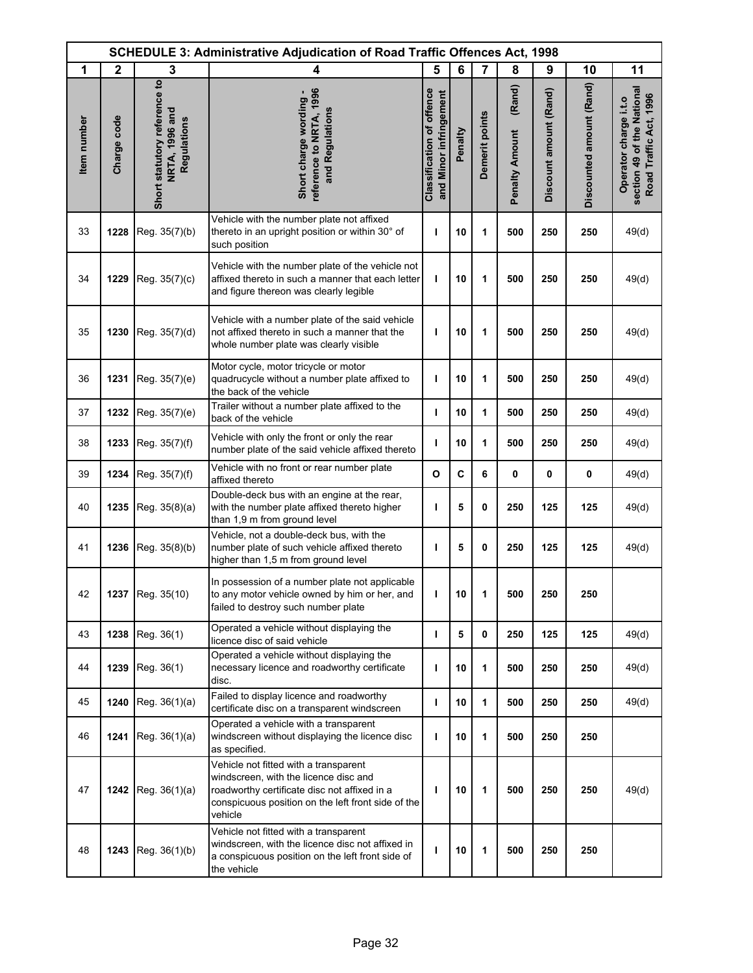|             | <b>SCHEDULE 3: Administrative Adjudication of Road Traffic Offences Act, 1998</b> |                                                               |                                                                                                                                                                                                 |                                                            |         |                |                                 |                        |                          |                                                                               |
|-------------|-----------------------------------------------------------------------------------|---------------------------------------------------------------|-------------------------------------------------------------------------------------------------------------------------------------------------------------------------------------------------|------------------------------------------------------------|---------|----------------|---------------------------------|------------------------|--------------------------|-------------------------------------------------------------------------------|
| 1           | $\mathbf{2}$                                                                      | 3                                                             | 4                                                                                                                                                                                               | 5                                                          | 6       | $\overline{7}$ | 8                               | 9                      | 10                       | 11                                                                            |
| Item number | Charge code                                                                       | Short statutory reference to<br>NRTA, 1996 and<br>Regulations | reference to NRTA, 1996<br>Short charge wording -<br>and Regulations                                                                                                                            | <b>Classification of offence</b><br>and Minor infringement | Penalty | Demerit points | (Rand)<br><b>Penalty Amount</b> | Discount amount (Rand) | Discounted amount (Rand) | section 49 of the National<br>Road Traffic Act, 1996<br>Operator charge i.t.o |
| 33          | 1228                                                                              | Reg. 35(7)(b)                                                 | Vehicle with the number plate not affixed<br>thereto in an upright position or within 30° of<br>such position                                                                                   | ı                                                          | 10      | 1              | 500                             | 250                    | 250                      | 49(d)                                                                         |
| 34          | 1229                                                                              | Reg. 35(7)(c)                                                 | Vehicle with the number plate of the vehicle not<br>affixed thereto in such a manner that each letter<br>and figure thereon was clearly legible                                                 | т                                                          | 10      | 1              | 500                             | 250                    | 250                      | 49(d)                                                                         |
| 35          | 1230                                                                              | Reg. 35(7)(d)                                                 | Vehicle with a number plate of the said vehicle<br>not affixed thereto in such a manner that the<br>whole number plate was clearly visible                                                      | ı                                                          | 10      | 1              | 500                             | 250                    | 250                      | 49(d)                                                                         |
| 36          | 1231                                                                              | Reg. 35(7)(e)                                                 | Motor cycle, motor tricycle or motor<br>quadrucycle without a number plate affixed to<br>the back of the vehicle                                                                                | ı                                                          | 10      | 1              | 500                             | 250                    | 250                      | 49(d)                                                                         |
| 37          | 1232                                                                              | Reg. 35(7)(e)                                                 | Trailer without a number plate affixed to the<br>back of the vehicle                                                                                                                            | т                                                          | 10      | 1              | 500                             | 250                    | 250                      | 49(d)                                                                         |
| 38          | 1233                                                                              | Reg. 35(7)(f)                                                 | Vehicle with only the front or only the rear<br>number plate of the said vehicle affixed thereto                                                                                                | ı                                                          | 10      | 1              | 500                             | 250                    | 250                      | 49(d)                                                                         |
| 39          | 1234                                                                              | Reg. 35(7)(f)                                                 | Vehicle with no front or rear number plate<br>affixed thereto                                                                                                                                   | $\mathbf{o}$                                               | C       | 6              | 0                               | 0                      | 0                        | 49(d)                                                                         |
| 40          | 1235                                                                              | Reg. 35(8)(a)                                                 | Double-deck bus with an engine at the rear,<br>with the number plate affixed thereto higher<br>than 1,9 m from ground level                                                                     | ı                                                          | 5       | 0              | 250                             | 125                    | 125                      | 49(d)                                                                         |
| 41          | 1236                                                                              | Reg. 35(8)(b)                                                 | Vehicle, not a double-deck bus, with the<br>number plate of such vehicle affixed thereto<br>higher than 1,5 m from ground level                                                                 | ı                                                          | 5       | 0              | 250                             | 125                    | 125                      | 49(d)                                                                         |
| 42          |                                                                                   | 1237 Reg. 35(10)                                              | In possession of a number plate not applicable<br>to any motor vehicle owned by him or her, and<br>failed to destroy such number plate                                                          |                                                            | 10      | 1              | 500                             | 250                    | 250                      |                                                                               |
| 43          | 1238                                                                              | Reg. 36(1)                                                    | Operated a vehicle without displaying the<br>licence disc of said vehicle                                                                                                                       | ı                                                          | 5       | 0              | 250                             | 125                    | 125                      | 49(d)                                                                         |
| 44          | 1239                                                                              | Reg. 36(1)                                                    | Operated a vehicle without displaying the<br>necessary licence and roadworthy certificate<br>disc.                                                                                              | ı                                                          | 10      | 1              | 500                             | 250                    | 250                      | 49(d)                                                                         |
| 45          | 1240                                                                              | Reg. $36(1)(a)$                                               | Failed to display licence and roadworthy<br>certificate disc on a transparent windscreen                                                                                                        | т                                                          | 10      | 1              | 500                             | 250                    | 250                      | 49(d)                                                                         |
| 46          | 1241                                                                              | Reg. $36(1)(a)$                                               | Operated a vehicle with a transparent<br>windscreen without displaying the licence disc<br>as specified.                                                                                        | ı                                                          | 10      | 1              | 500                             | 250                    | 250                      |                                                                               |
| 47          | 1242                                                                              | Reg. $36(1)(a)$                                               | Vehicle not fitted with a transparent<br>windscreen, with the licence disc and<br>roadworthy certificate disc not affixed in a<br>conspicuous position on the left front side of the<br>vehicle | I                                                          | 10      | 1              | 500                             | 250                    | 250                      | 49(d)                                                                         |
| 48          | 1243                                                                              | Reg. 36(1)(b)                                                 | Vehicle not fitted with a transparent<br>windscreen, with the licence disc not affixed in<br>a conspicuous position on the left front side of<br>the vehicle                                    | т                                                          | 10      | 1              | 500                             | 250                    | 250                      |                                                                               |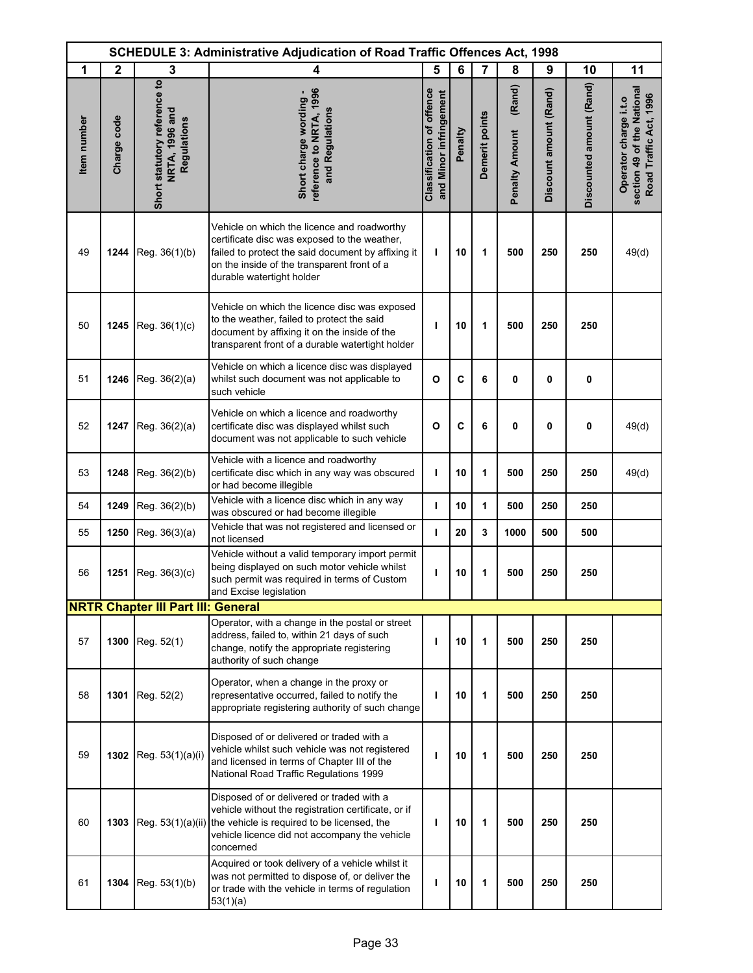|             | <b>SCHEDULE 3: Administrative Adjudication of Road Traffic Offences Act, 1998</b> |                                                               |                                                                                                                                                                                                                                 |                                                            |         |                |                                 |                        |                          |                                                                               |
|-------------|-----------------------------------------------------------------------------------|---------------------------------------------------------------|---------------------------------------------------------------------------------------------------------------------------------------------------------------------------------------------------------------------------------|------------------------------------------------------------|---------|----------------|---------------------------------|------------------------|--------------------------|-------------------------------------------------------------------------------|
| 1           | $\mathbf{2}$                                                                      | 3                                                             | 4                                                                                                                                                                                                                               | 5                                                          | 6       | $\overline{7}$ | 8                               | 9                      | 10                       | 11                                                                            |
| Item number | Charge code                                                                       | Short statutory reference to<br>NRTA, 1996 and<br>Regulations | reference to NRTA, 1996<br>Short charge wording -<br>and Regulations                                                                                                                                                            | <b>Classification of offence</b><br>and Minor infringement | Penalty | Demerit points | (Rand)<br><b>Penalty Amount</b> | Discount amount (Rand) | Discounted amount (Rand) | section 49 of the National<br>Road Traffic Act, 1996<br>Operator charge i.t.o |
| 49          | 1244                                                                              | Reg. 36(1)(b)                                                 | Vehicle on which the licence and roadworthy<br>certificate disc was exposed to the weather,<br>failed to protect the said document by affixing it<br>on the inside of the transparent front of a<br>durable watertight holder   | т                                                          | 10      | 1              | 500                             | 250                    | 250                      | 49(d)                                                                         |
| 50          | 1245                                                                              | Reg. 36(1)(c)                                                 | Vehicle on which the licence disc was exposed<br>to the weather, failed to protect the said<br>document by affixing it on the inside of the<br>transparent front of a durable watertight holder                                 | т                                                          | 10      | 1              | 500                             | 250                    | 250                      |                                                                               |
| 51          | 1246                                                                              | Reg. 36(2)(a)                                                 | Vehicle on which a licence disc was displayed<br>whilst such document was not applicable to<br>such vehicle                                                                                                                     | $\mathbf{o}$                                               | C       | 6              | 0                               | $\mathbf 0$            | 0                        |                                                                               |
| 52          | 1247                                                                              | Reg. 36(2)(a)                                                 | Vehicle on which a licence and roadworthy<br>certificate disc was displayed whilst such<br>document was not applicable to such vehicle                                                                                          | $\mathbf{o}$                                               | C       | 6              | 0                               | 0                      | 0                        | 49(d)                                                                         |
| 53          | 1248                                                                              | Reg. 36(2)(b)                                                 | Vehicle with a licence and roadworthy<br>certificate disc which in any way was obscured<br>or had become illegible                                                                                                              | J.                                                         | 10      | 1              | 500                             | 250                    | 250                      | 49(d)                                                                         |
| 54          | 1249                                                                              | Reg. 36(2)(b)                                                 | Vehicle with a licence disc which in any way<br>was obscured or had become illegible                                                                                                                                            | I.                                                         | 10      | 1              | 500                             | 250                    | 250                      |                                                                               |
| 55          | 1250                                                                              | Reg. 36(3)(a)                                                 | Vehicle that was not registered and licensed or<br>not licensed                                                                                                                                                                 | ı                                                          | 20      | 3              | 1000                            | 500                    | 500                      |                                                                               |
| 56          | 1251                                                                              | Reg. 36(3)(c)                                                 | Vehicle without a valid temporary import permit<br>being displayed on such motor vehicle whilst<br>such permit was required in terms of Custom<br>and Excise legislation                                                        | ı                                                          | 10      | 1              | 500                             | 250                    | 250                      |                                                                               |
|             |                                                                                   | <b>NRTR Chapter III Part III: General</b>                     |                                                                                                                                                                                                                                 |                                                            |         |                |                                 |                        |                          |                                                                               |
| 57          | 1300                                                                              | Reg. 52(1)                                                    | Operator, with a change in the postal or street<br>address, failed to, within 21 days of such<br>change, notify the appropriate registering<br>authority of such change                                                         | T                                                          | 10      | 1              | 500                             | 250                    | 250                      |                                                                               |
| 58          | 1301                                                                              | Reg. 52(2)                                                    | Operator, when a change in the proxy or<br>representative occurred, failed to notify the<br>appropriate registering authority of such change                                                                                    | т                                                          | 10      | 1              | 500                             | 250                    | 250                      |                                                                               |
| 59          |                                                                                   | 1302 Reg. 53(1)(a)(i)                                         | Disposed of or delivered or traded with a<br>vehicle whilst such vehicle was not registered<br>and licensed in terms of Chapter III of the<br>National Road Traffic Regulations 1999                                            | ı                                                          | 10      | 1              | 500                             | 250                    | 250                      |                                                                               |
| 60          | 1303                                                                              |                                                               | Disposed of or delivered or traded with a<br>vehicle without the registration certificate, or if<br>Reg. 53(1)(a)(ii) the vehicle is required to be licensed, the<br>vehicle licence did not accompany the vehicle<br>concerned | т                                                          | 10      | 1              | 500                             | 250                    | 250                      |                                                                               |
| 61          | 1304                                                                              | Reg. 53(1)(b)                                                 | Acquired or took delivery of a vehicle whilst it<br>was not permitted to dispose of, or deliver the<br>or trade with the vehicle in terms of regulation<br>53(1)(a)                                                             | т                                                          | 10      | 1              | 500                             | 250                    | 250                      |                                                                               |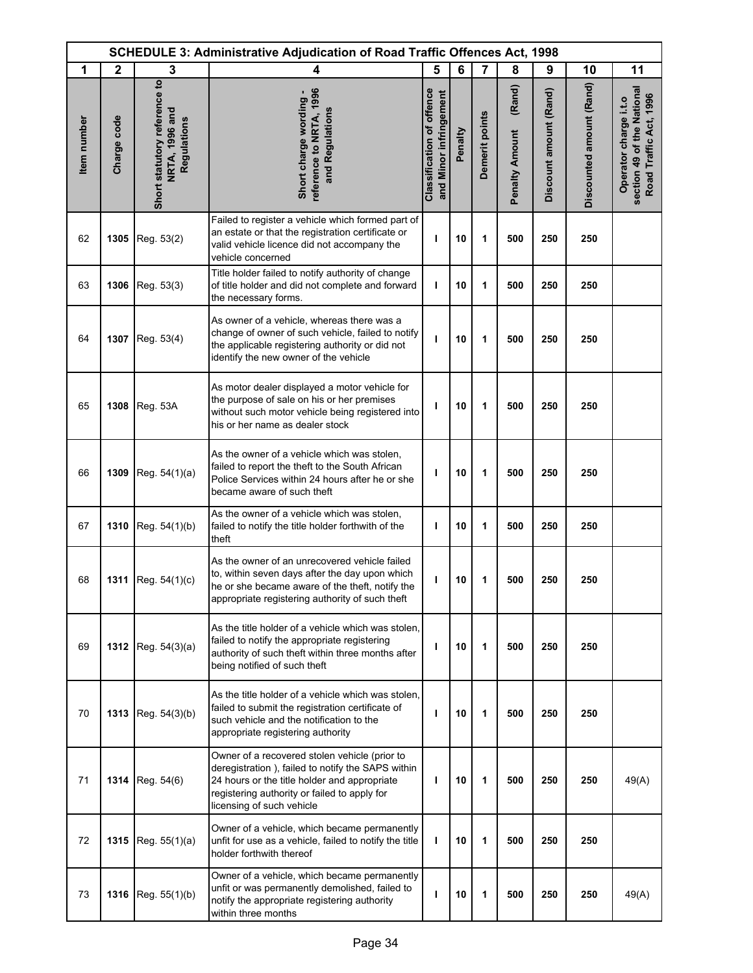| <b>SCHEDULE 3: Administrative Adjudication of Road Traffic Offences Act, 1998</b> |              |                                                               |                                                                                                                                                                                                                                 |                                                     |         |                |                                 |                        |                          |                                                                               |
|-----------------------------------------------------------------------------------|--------------|---------------------------------------------------------------|---------------------------------------------------------------------------------------------------------------------------------------------------------------------------------------------------------------------------------|-----------------------------------------------------|---------|----------------|---------------------------------|------------------------|--------------------------|-------------------------------------------------------------------------------|
| 1                                                                                 | $\mathbf{2}$ | 3                                                             | 4                                                                                                                                                                                                                               | 5                                                   | 6       | $\overline{7}$ | 8                               | 9                      | 10                       | 11                                                                            |
| Item number                                                                       | Charge code  | Short statutory reference to<br>NRTA, 1996 and<br>Regulations | reference to NRTA, 1996<br>Short charge wording -<br>and Regulations                                                                                                                                                            | Classification of offence<br>and Minor infringement | Penalty | Demerit points | (Rand)<br><b>Penalty Amount</b> | Discount amount (Rand) | Discounted amount (Rand) | section 49 of the National<br>Road Traffic Act, 1996<br>Operator charge i.t.o |
| 62                                                                                | 1305         | Reg. 53(2)                                                    | Failed to register a vehicle which formed part of<br>an estate or that the registration certificate or<br>valid vehicle licence did not accompany the<br>vehicle concerned                                                      | T                                                   | 10      | 1              | 500                             | 250                    | 250                      |                                                                               |
| 63                                                                                | 1306         | Reg. 53(3)                                                    | Title holder failed to notify authority of change<br>of title holder and did not complete and forward<br>the necessary forms.                                                                                                   | $\mathbf{I}$                                        | 10      | 1              | 500                             | 250                    | 250                      |                                                                               |
| 64                                                                                | 1307         | Reg. 53(4)                                                    | As owner of a vehicle, whereas there was a<br>change of owner of such vehicle, failed to notify<br>the applicable registering authority or did not<br>identify the new owner of the vehicle                                     | ı                                                   | 10      | 1              | 500                             | 250                    | 250                      |                                                                               |
| 65                                                                                | 1308         | <b>Reg. 53A</b>                                               | As motor dealer displayed a motor vehicle for<br>the purpose of sale on his or her premises<br>without such motor vehicle being registered into<br>his or her name as dealer stock                                              | п                                                   | 10      | 1              | 500                             | 250                    | 250                      |                                                                               |
| 66                                                                                | 1309         | Reg. 54(1)(a)                                                 | As the owner of a vehicle which was stolen,<br>failed to report the theft to the South African<br>Police Services within 24 hours after he or she<br>became aware of such theft                                                 | ı                                                   | 10      | 1              | 500                             | 250                    | 250                      |                                                                               |
| 67                                                                                | 1310         | Reg. 54(1)(b)                                                 | As the owner of a vehicle which was stolen,<br>failed to notify the title holder forthwith of the<br>theft                                                                                                                      | T                                                   | 10      | 1              | 500                             | 250                    | 250                      |                                                                               |
| 68                                                                                | 1311         | Reg. 54(1)(c)                                                 | As the owner of an unrecovered vehicle failed<br>to, within seven days after the day upon which<br>he or she became aware of the theft, notify the<br>appropriate registering authority of such theft                           | ı                                                   | 10      | 1              | 500                             | 250                    | 250                      |                                                                               |
| 69                                                                                |              | 1312 Reg. $54(3)(a)$                                          | As the title holder of a vehicle which was stolen.<br>failed to notify the appropriate registering<br>authority of such theft within three months after<br>being notified of such theft                                         | п                                                   | 10      | 1              | 500                             | 250                    | 250                      |                                                                               |
| 70                                                                                | 1313         | Reg. $54(3)(b)$                                               | As the title holder of a vehicle which was stolen.<br>failed to submit the registration certificate of<br>such vehicle and the notification to the<br>appropriate registering authority                                         | п                                                   | 10      | 1              | 500                             | 250                    | 250                      |                                                                               |
| 71                                                                                | 1314         | Reg. 54(6)                                                    | Owner of a recovered stolen vehicle (prior to<br>deregistration), failed to notify the SAPS within<br>24 hours or the title holder and appropriate<br>registering authority or failed to apply for<br>licensing of such vehicle | ı                                                   | 10      | 1              | 500                             | 250                    | 250                      | 49(A)                                                                         |
| 72                                                                                | 1315         | Reg. $55(1)(a)$                                               | Owner of a vehicle, which became permanently<br>unfit for use as a vehicle, failed to notify the title<br>holder forthwith thereof                                                                                              | ı                                                   | 10      | 1              | 500                             | 250                    | 250                      |                                                                               |
| 73                                                                                | 1316         | Reg. 55(1)(b)                                                 | Owner of a vehicle, which became permanently<br>unfit or was permanently demolished, failed to<br>notify the appropriate registering authority<br>within three months                                                           | т                                                   | 10      | 1              | 500                             | 250                    | 250                      | 49(A)                                                                         |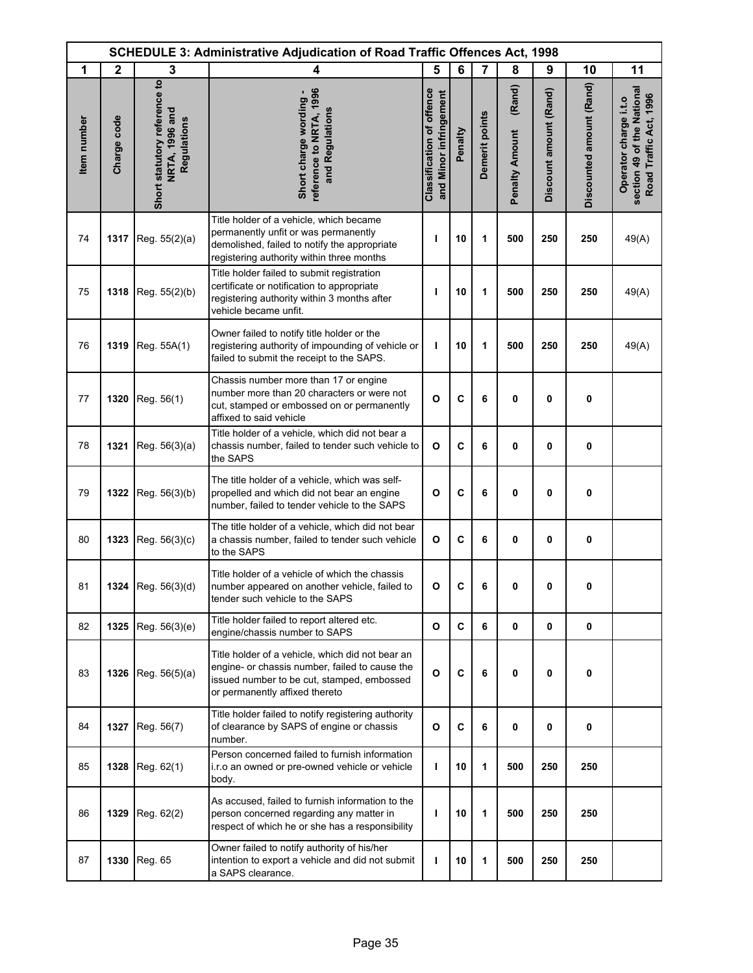|             | <b>SCHEDULE 3: Administrative Adjudication of Road Traffic Offences Act, 1998</b> |                                                               |                                                                                                                                                                                    |                                                            |         |                |                                 |                        |                          |                                                                               |
|-------------|-----------------------------------------------------------------------------------|---------------------------------------------------------------|------------------------------------------------------------------------------------------------------------------------------------------------------------------------------------|------------------------------------------------------------|---------|----------------|---------------------------------|------------------------|--------------------------|-------------------------------------------------------------------------------|
| 1           | $\mathbf{2}$                                                                      | 3                                                             | 4                                                                                                                                                                                  | 5                                                          | 6       | 7              | 8                               | 9                      | 10                       | 11                                                                            |
| Item number | Charge code                                                                       | Short statutory reference to<br>NRTA, 1996 and<br>Regulations | reference to NRTA, 1996<br>Short charge wording -<br>and Regulations                                                                                                               | <b>Classification of offence</b><br>and Minor infringement | Penalty | Demerit points | (Rand)<br><b>Penalty Amount</b> | Discount amount (Rand) | Discounted amount (Rand) | section 49 of the National<br>Road Traffic Act, 1996<br>Operator charge i.t.o |
| 74          | 1317                                                                              | Reg. 55(2)(a)                                                 | Title holder of a vehicle, which became<br>permanently unfit or was permanently<br>demolished, failed to notify the appropriate<br>registering authority within three months       | ı                                                          | 10      | 1              | 500                             | 250                    | 250                      | 49(A)                                                                         |
| 75          | 1318                                                                              | Reg. 55(2)(b)                                                 | Title holder failed to submit registration<br>certificate or notification to appropriate<br>registering authority within 3 months after<br>vehicle became unfit.                   | т                                                          | 10      | 1              | 500                             | 250                    | 250                      | 49(A)                                                                         |
| 76          | 1319                                                                              | Reg. 55A(1)                                                   | Owner failed to notify title holder or the<br>registering authority of impounding of vehicle or<br>failed to submit the receipt to the SAPS.                                       | T                                                          | 10      | 1              | 500                             | 250                    | 250                      | 49(A)                                                                         |
| 77          | 1320                                                                              | Reg. 56(1)                                                    | Chassis number more than 17 or engine<br>number more than 20 characters or were not<br>cut, stamped or embossed on or permanently<br>affixed to said vehicle                       | $\mathbf{o}$                                               | C       | 6              | 0                               | 0                      | 0                        |                                                                               |
| 78          | 1321                                                                              | Reg. 56(3)(a)                                                 | Title holder of a vehicle, which did not bear a<br>chassis number, failed to tender such vehicle to<br>the SAPS                                                                    | $\mathbf{o}$                                               | C       | 6              | 0                               | $\mathbf 0$            | 0                        |                                                                               |
| 79          | 1322                                                                              | Reg. 56(3)(b)                                                 | The title holder of a vehicle, which was self-<br>propelled and which did not bear an engine<br>number, failed to tender vehicle to the SAPS                                       | O                                                          | C       | 6              | 0                               | $\mathbf{0}$           | 0                        |                                                                               |
| 80          | 1323                                                                              | Reg. 56(3)(c)                                                 | The title holder of a vehicle, which did not bear<br>a chassis number, failed to tender such vehicle<br>to the SAPS                                                                | $\mathbf{o}$                                               | C       | 6              | 0                               | 0                      | 0                        |                                                                               |
| 81          |                                                                                   | 1324 Reg. $56(3)(d)$                                          | Title holder of a vehicle of which the chassis<br>number appeared on another vehicle, failed to<br>tender such vehicle to the SAPS                                                 | $\mathbf{o}$                                               | C       | 6              | 0                               | 0                      | 0                        |                                                                               |
| 82          | 1325                                                                              | Reg. 56(3)(e)                                                 | Title holder failed to report altered etc.<br>engine/chassis number to SAPS                                                                                                        | O                                                          | C       | 6              | 0                               | 0                      | 0                        |                                                                               |
| 83          | 1326                                                                              | Reg. 56(5)(a)                                                 | Title holder of a vehicle, which did not bear an<br>engine- or chassis number, failed to cause the<br>issued number to be cut, stamped, embossed<br>or permanently affixed thereto | $\mathbf{o}$                                               | C       | 6              | 0                               | $\mathbf 0$            | 0                        |                                                                               |
| 84          | 1327                                                                              | Reg. 56(7)                                                    | Title holder failed to notify registering authority<br>of clearance by SAPS of engine or chassis<br>number.                                                                        | $\mathbf{o}$                                               | C       | 6              | 0                               | $\mathbf 0$            | 0                        |                                                                               |
| 85          | 1328                                                                              | Reg. 62(1)                                                    | Person concerned failed to furnish information<br>i.r.o an owned or pre-owned vehicle or vehicle<br>body.                                                                          | T                                                          | 10      | 1              | 500                             | 250                    | 250                      |                                                                               |
| 86          | 1329                                                                              | Reg. 62(2)                                                    | As accused, failed to furnish information to the<br>person concerned regarding any matter in<br>respect of which he or she has a responsibility                                    | I.                                                         | 10      | 1              | 500                             | 250                    | 250                      |                                                                               |
| 87          | 1330                                                                              | Reg. 65                                                       | Owner failed to notify authority of his/her<br>intention to export a vehicle and did not submit<br>a SAPS clearance.                                                               | т                                                          | 10      | 1              | 500                             | 250                    | 250                      |                                                                               |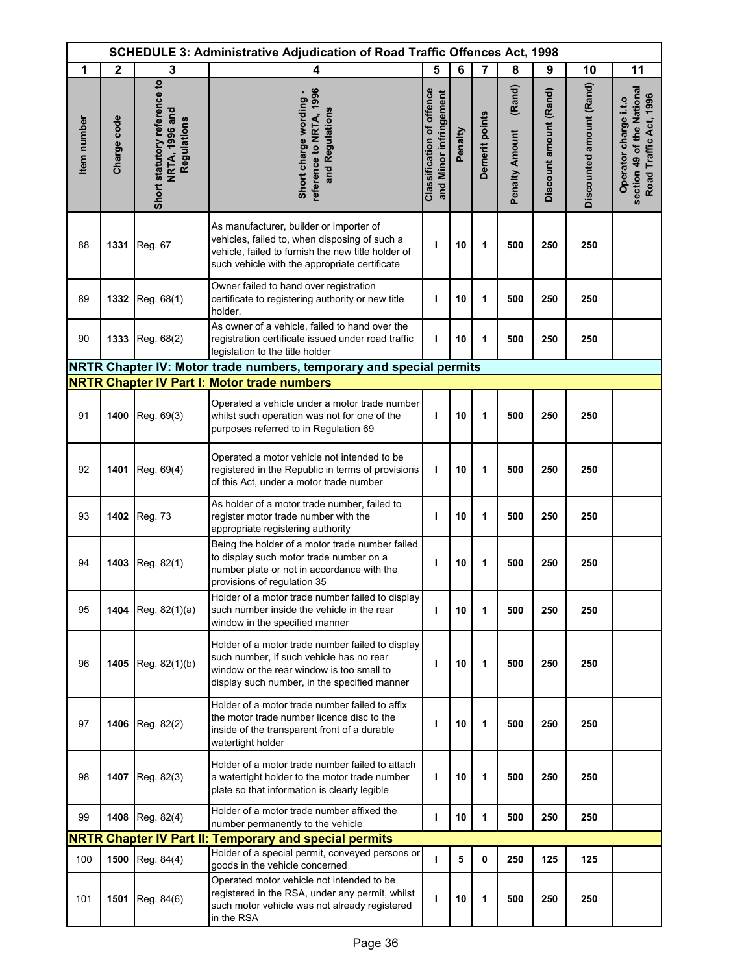|                    | <b>SCHEDULE 3: Administrative Adjudication of Road Traffic Offences Act, 1998</b> |                                                               |                                                                                                                                                                                                 |                                                            |         |                |                                 |                        |                          |                                                                               |
|--------------------|-----------------------------------------------------------------------------------|---------------------------------------------------------------|-------------------------------------------------------------------------------------------------------------------------------------------------------------------------------------------------|------------------------------------------------------------|---------|----------------|---------------------------------|------------------------|--------------------------|-------------------------------------------------------------------------------|
| 1                  | $\mathbf{2}$                                                                      | 3                                                             | 4                                                                                                                                                                                               | 5                                                          | 6       | $\overline{7}$ | 8                               | 9                      | 10                       | 11                                                                            |
| <b>Item</b> number | Charge code                                                                       | Short statutory reference to<br>NRTA, 1996 and<br>Regulations | reference to NRTA, 1996<br>Short charge wording -<br>and Regulations                                                                                                                            | <b>Classification of offence</b><br>and Minor infringement | Penalty | Demerit points | (Rand)<br><b>Penalty Amount</b> | Discount amount (Rand) | Discounted amount (Rand) | section 49 of the National<br>Road Traffic Act, 1996<br>Operator charge i.t.o |
| 88                 | 1331                                                                              | Reg. 67                                                       | As manufacturer, builder or importer of<br>vehicles, failed to, when disposing of such a<br>vehicle, failed to furnish the new title holder of<br>such vehicle with the appropriate certificate | T                                                          | 10      | 1              | 500                             | 250                    | 250                      |                                                                               |
| 89                 | 1332                                                                              | Reg. 68(1)                                                    | Owner failed to hand over registration<br>certificate to registering authority or new title<br>holder.                                                                                          | т                                                          | 10      | 1              | 500                             | 250                    | 250                      |                                                                               |
| 90                 | 1333                                                                              | Reg. 68(2)                                                    | As owner of a vehicle, failed to hand over the<br>registration certificate issued under road traffic<br>legislation to the title holder                                                         | T                                                          | 10      | 1              | 500                             | 250                    | 250                      |                                                                               |
|                    |                                                                                   |                                                               | NRTR Chapter IV: Motor trade numbers, temporary and special permits                                                                                                                             |                                                            |         |                |                                 |                        |                          |                                                                               |
|                    |                                                                                   |                                                               | <b>NRTR Chapter IV Part I: Motor trade numbers</b>                                                                                                                                              |                                                            |         |                |                                 |                        |                          |                                                                               |
| 91                 | 1400                                                                              | Reg. 69(3)                                                    | Operated a vehicle under a motor trade number<br>whilst such operation was not for one of the<br>purposes referred to in Regulation 69                                                          | т                                                          | 10      | 1              | 500                             | 250                    | 250                      |                                                                               |
| 92                 |                                                                                   | 1401 Reg. 69(4)                                               | Operated a motor vehicle not intended to be<br>registered in the Republic in terms of provisions<br>of this Act, under a motor trade number                                                     | T                                                          | 10      | 1              | 500                             | 250                    | 250                      |                                                                               |
| 93                 |                                                                                   | 1402 Reg. 73                                                  | As holder of a motor trade number, failed to<br>register motor trade number with the<br>appropriate registering authority                                                                       | т                                                          | 10      | 1              | 500                             | 250                    | 250                      |                                                                               |
| 94                 | 1403                                                                              | Reg. 82(1)                                                    | Being the holder of a motor trade number failed<br>to display such motor trade number on a<br>number plate or not in accordance with the<br>provisions of regulation 35                         | т                                                          | 10      | 1              | 500                             | 250                    | 250                      |                                                                               |
| 95                 |                                                                                   | <b>1404</b> Reg. $82(1)(a)$                                   | Holder of a motor trade number failed to display<br>such number inside the vehicle in the rear<br>window in the specified manner                                                                | т                                                          | 10      | 1              | 500                             | 250                    | 250                      |                                                                               |
| 96                 | 1405                                                                              | Reg. 82(1)(b)                                                 | Holder of a motor trade number failed to display<br>such number, if such vehicle has no rear<br>window or the rear window is too small to<br>display such number, in the specified manner       | т                                                          | 10      | 1              | 500                             | 250                    | 250                      |                                                                               |
| 97                 | 1406                                                                              | Reg. 82(2)                                                    | Holder of a motor trade number failed to affix<br>the motor trade number licence disc to the<br>inside of the transparent front of a durable<br>watertight holder                               | т                                                          | 10      | 1              | 500                             | 250                    | 250                      |                                                                               |
| 98                 | 1407                                                                              | Reg. 82(3)                                                    | Holder of a motor trade number failed to attach<br>a watertight holder to the motor trade number<br>plate so that information is clearly legible                                                | T                                                          | 10      | 1              | 500                             | 250                    | 250                      |                                                                               |
| 99                 |                                                                                   | 1408 Reg. 82(4)                                               | Holder of a motor trade number affixed the<br>number permanently to the vehicle                                                                                                                 | T                                                          | 10      | 1              | 500                             | 250                    | 250                      |                                                                               |
|                    |                                                                                   |                                                               | <b>NRTR Chapter IV Part II: Temporary and special permits</b>                                                                                                                                   |                                                            |         |                |                                 |                        |                          |                                                                               |
| 100                | 1500                                                                              | Reg. 84(4)                                                    | Holder of a special permit, conveyed persons or                                                                                                                                                 | T                                                          | 5       | 0              | 250                             | 125                    | 125                      |                                                                               |
| 101                | 1501                                                                              | Reg. 84(6)                                                    | goods in the vehicle concerned<br>Operated motor vehicle not intended to be<br>registered in the RSA, under any permit, whilst<br>such motor vehicle was not already registered<br>in the RSA   | ı                                                          | 10      | 1              | 500                             | 250                    | 250                      |                                                                               |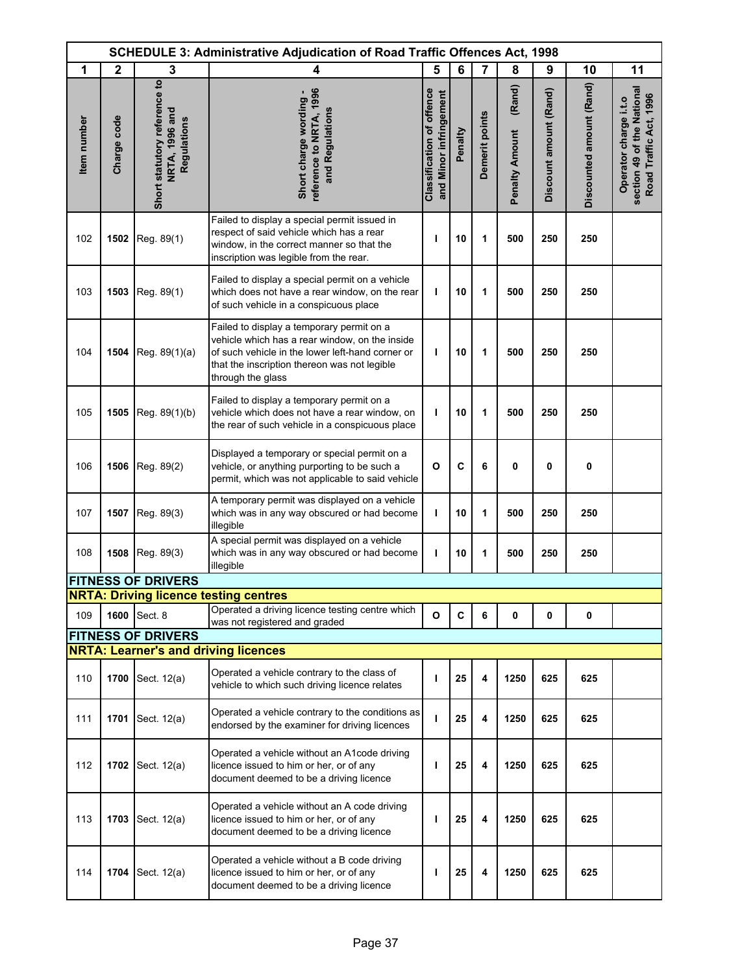|             |              |                                                               | <b>SCHEDULE 3: Administrative Adjudication of Road Traffic Offences Act, 1998</b>                                                                                                                                    |                                                            |              |                |                                 |                        |                          |                                                                               |
|-------------|--------------|---------------------------------------------------------------|----------------------------------------------------------------------------------------------------------------------------------------------------------------------------------------------------------------------|------------------------------------------------------------|--------------|----------------|---------------------------------|------------------------|--------------------------|-------------------------------------------------------------------------------|
| 1           | $\mathbf{2}$ | 3                                                             | 4                                                                                                                                                                                                                    | 5                                                          | 6            | 7              | 8                               | 9                      | 10                       | 11                                                                            |
| Item number | Charge code  | Short statutory reference to<br>NRTA, 1996 and<br>Regulations | reference to NRTA, 1996<br>Short charge wording -<br>and Regulations                                                                                                                                                 | <b>Classification of offence</b><br>and Minor infringement | Penalty      | Demerit points | (Rand)<br><b>Penalty Amount</b> | Discount amount (Rand) | Discounted amount (Rand) | section 49 of the National<br>Road Traffic Act, 1996<br>Operator charge i.t.o |
| 102         | 1502         | Reg. 89(1)                                                    | Failed to display a special permit issued in<br>respect of said vehicle which has a rear<br>window, in the correct manner so that the<br>inscription was legible from the rear.                                      | ı                                                          | 10           | 1              | 500                             | 250                    | 250                      |                                                                               |
| 103         | 1503         | Reg. 89(1)                                                    | Failed to display a special permit on a vehicle<br>which does not have a rear window, on the rear<br>of such vehicle in a conspicuous place                                                                          | ı                                                          | 10           | 1              | 500                             | 250                    | 250                      |                                                                               |
| 104         | 1504         | Reg. 89(1)(a)                                                 | Failed to display a temporary permit on a<br>vehicle which has a rear window, on the inside<br>of such vehicle in the lower left-hand corner or<br>that the inscription thereon was not legible<br>through the glass | т                                                          | 10           | 1              | 500                             | 250                    | 250                      |                                                                               |
| 105         | 1505         | Reg. 89(1)(b)                                                 | Failed to display a temporary permit on a<br>vehicle which does not have a rear window, on<br>the rear of such vehicle in a conspicuous place                                                                        | т                                                          | 10           | 1              | 500                             | 250                    | 250                      |                                                                               |
| 106         | 1506         | Reg. 89(2)                                                    | Displayed a temporary or special permit on a<br>vehicle, or anything purporting to be such a<br>permit, which was not applicable to said vehicle                                                                     | $\mathbf{o}$                                               | C            | 6              | 0                               | 0                      | 0                        |                                                                               |
| 107         | 1507         | Reg. 89(3)                                                    | A temporary permit was displayed on a vehicle<br>which was in any way obscured or had become<br>illegible                                                                                                            | ı                                                          | 10           | 1              | 500                             | 250                    | 250                      |                                                                               |
| 108         | 1508         | Reg. 89(3)                                                    | A special permit was displayed on a vehicle<br>which was in any way obscured or had become<br>illegible                                                                                                              | ı                                                          | 10           | 1              | 500                             | 250                    | 250                      |                                                                               |
|             |              | <b>FITNESS OF DRIVERS</b>                                     |                                                                                                                                                                                                                      |                                                            |              |                |                                 |                        |                          |                                                                               |
|             |              |                                                               | <b>NRTA: Driving licence testing centres</b><br>Operated a driving licence testing centre which                                                                                                                      |                                                            |              |                |                                 |                        |                          |                                                                               |
| 109         |              | 1600 Sect. 8                                                  | was not registered and graded                                                                                                                                                                                        | $\mathbf{o}$                                               | $\mathbf{C}$ | 6              | 0                               | 0                      | 0                        |                                                                               |
|             |              | <b>FITNESS OF DRIVERS</b>                                     | <b>NRTA: Learner's and driving licences</b>                                                                                                                                                                          |                                                            |              |                |                                 |                        |                          |                                                                               |
| 110         | 1700         | Sect. 12(a)                                                   | Operated a vehicle contrary to the class of<br>vehicle to which such driving licence relates                                                                                                                         | ı                                                          | 25           | 4              | 1250                            | 625                    | 625                      |                                                                               |
| 111         | 1701         | Sect. 12(a)                                                   | Operated a vehicle contrary to the conditions as<br>endorsed by the examiner for driving licences                                                                                                                    | т                                                          | 25           | 4              | 1250                            | 625                    | 625                      |                                                                               |
| 112         | 1702         | Sect. 12(a)                                                   | Operated a vehicle without an A1code driving<br>licence issued to him or her, or of any<br>document deemed to be a driving licence                                                                                   | т                                                          | 25           | 4              | 1250                            | 625                    | 625                      |                                                                               |
| 113         | 1703         | Sect. 12(a)                                                   | Operated a vehicle without an A code driving<br>licence issued to him or her, or of any<br>document deemed to be a driving licence                                                                                   | т                                                          | 25           | 4              | 1250                            | 625                    | 625                      |                                                                               |
| 114         | 1704         | Sect. 12(a)                                                   | Operated a vehicle without a B code driving<br>licence issued to him or her, or of any<br>document deemed to be a driving licence                                                                                    | ı                                                          | 25           | 4              | 1250                            | 625                    | 625                      |                                                                               |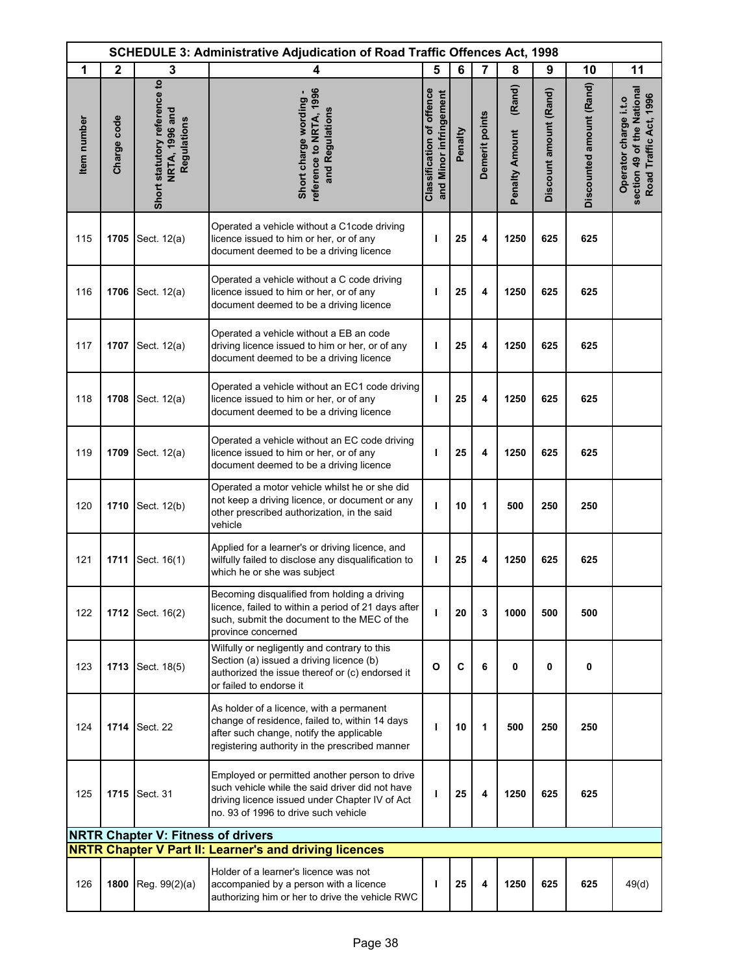|             | <b>SCHEDULE 3: Administrative Adjudication of Road Traffic Offences Act, 1998</b> |                                                               |                                                                                                                                                                                            |                                                            |         |                |                                 |                        |                          |                                                                               |
|-------------|-----------------------------------------------------------------------------------|---------------------------------------------------------------|--------------------------------------------------------------------------------------------------------------------------------------------------------------------------------------------|------------------------------------------------------------|---------|----------------|---------------------------------|------------------------|--------------------------|-------------------------------------------------------------------------------|
| 1           | $\mathbf{2}$                                                                      | 3                                                             | 4                                                                                                                                                                                          | 5                                                          | 6       | 7              | 8                               | 9                      | 10                       | 11                                                                            |
| Item number | Charge code                                                                       | Short statutory reference to<br>NRTA, 1996 and<br>Regulations | reference to NRTA, 1996<br>Short charge wording -<br>and Regulations                                                                                                                       | <b>Classification of offence</b><br>and Minor infringement | Penalty | Demerit points | (Rand)<br><b>Penalty Amount</b> | Discount amount (Rand) | Discounted amount (Rand) | section 49 of the National<br>Road Traffic Act, 1996<br>Operator charge i.t.o |
| 115         | 1705                                                                              | Sect. 12(a)                                                   | Operated a vehicle without a C1code driving<br>licence issued to him or her, or of any<br>document deemed to be a driving licence                                                          | ı                                                          | 25      | 4              | 1250                            | 625                    | 625                      |                                                                               |
| 116         | 1706                                                                              | Sect. 12(a)                                                   | Operated a vehicle without a C code driving<br>licence issued to him or her, or of any<br>document deemed to be a driving licence                                                          | ı                                                          | 25      | 4              | 1250                            | 625                    | 625                      |                                                                               |
| 117         | 1707                                                                              | Sect. 12(a)                                                   | Operated a vehicle without a EB an code<br>driving licence issued to him or her, or of any<br>document deemed to be a driving licence                                                      | ı                                                          | 25      | 4              | 1250                            | 625                    | 625                      |                                                                               |
| 118         | 1708                                                                              | Sect. 12(a)                                                   | Operated a vehicle without an EC1 code driving<br>licence issued to him or her, or of any<br>document deemed to be a driving licence                                                       | т                                                          | 25      | 4              | 1250                            | 625                    | 625                      |                                                                               |
| 119         | 1709                                                                              | Sect. 12(a)                                                   | Operated a vehicle without an EC code driving<br>licence issued to him or her, or of any<br>document deemed to be a driving licence                                                        | ı                                                          | 25      | 4              | 1250                            | 625                    | 625                      |                                                                               |
| 120         | 1710                                                                              | Sect. 12(b)                                                   | Operated a motor vehicle whilst he or she did<br>not keep a driving licence, or document or any<br>other prescribed authorization, in the said<br>vehicle                                  | т                                                          | 10      | 1              | 500                             | 250                    | 250                      |                                                                               |
| 121         | 1711                                                                              | Sect. 16(1)                                                   | Applied for a learner's or driving licence, and<br>wilfully failed to disclose any disqualification to<br>which he or she was subject                                                      | ı                                                          | 25      | 4              | 1250                            | 625                    | 625                      |                                                                               |
| 122         |                                                                                   | 1712 Sect. 16(2)                                              | Becoming disqualified from holding a driving<br>licence, failed to within a period of 21 days after<br>such, submit the document to the MEC of the<br>province concerned                   | ı                                                          | 20      | 3              | 1000                            | 500                    | 500                      |                                                                               |
| 123         | 1713                                                                              | Sect. 18(5)                                                   | Wilfully or negligently and contrary to this<br>Section (a) issued a driving licence (b)<br>authorized the issue thereof or (c) endorsed it<br>or failed to endorse it                     | $\mathbf{o}$                                               | C       | 6              | 0                               | $\mathbf 0$            | $\mathbf 0$              |                                                                               |
| 124         |                                                                                   | <b>1714 Sect. 22</b>                                          | As holder of a licence, with a permanent<br>change of residence, failed to, within 14 days<br>after such change, notify the applicable<br>registering authority in the prescribed manner   | т                                                          | 10      | 1              | 500                             | 250                    | 250                      |                                                                               |
| 125         | 1715                                                                              | Sect. 31                                                      | Employed or permitted another person to drive<br>such vehicle while the said driver did not have<br>driving licence issued under Chapter IV of Act<br>no. 93 of 1996 to drive such vehicle | ı                                                          | 25      | 4              | 1250                            | 625                    | 625                      |                                                                               |
|             |                                                                                   | <b>NRTR Chapter V: Fitness of drivers</b>                     |                                                                                                                                                                                            |                                                            |         |                |                                 |                        |                          |                                                                               |
|             |                                                                                   |                                                               | <b>NRTR Chapter V Part II: Learner's and driving licences</b>                                                                                                                              |                                                            |         |                |                                 |                        |                          |                                                                               |
| 126         | 1800                                                                              | Reg. 99(2)(a)                                                 | Holder of a learner's licence was not<br>accompanied by a person with a licence<br>authorizing him or her to drive the vehicle RWC                                                         | т                                                          | 25      | 4              | 1250                            | 625                    | 625                      | 49(d)                                                                         |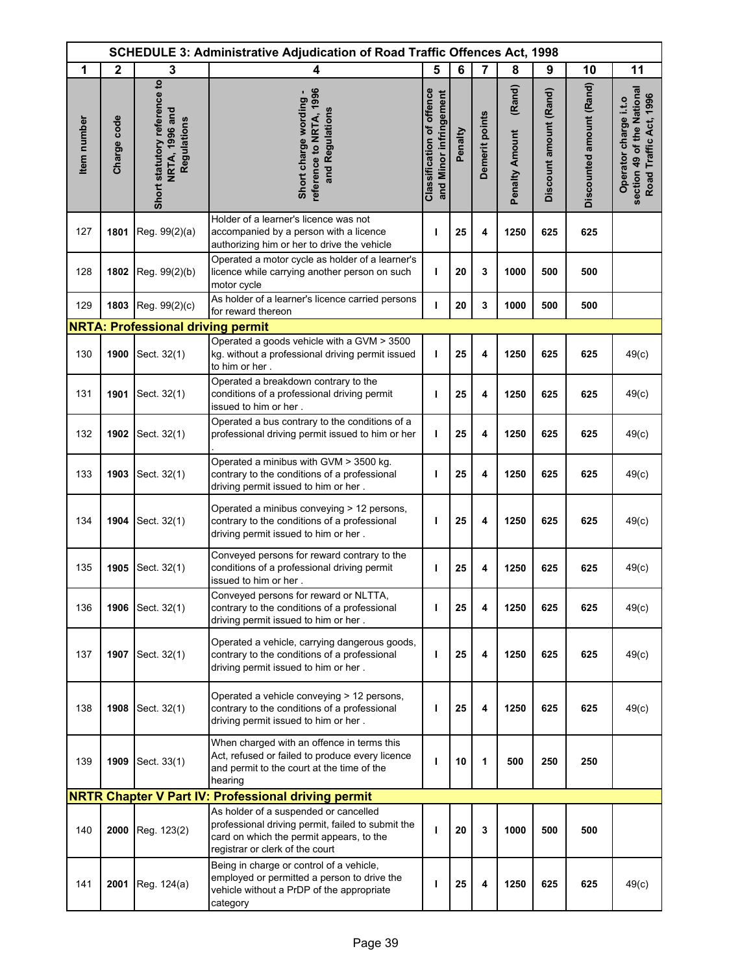|                    |             |                                                                      | <b>SCHEDULE 3: Administrative Adjudication of Road Traffic Offences Act, 1998</b>                                                                                         |                                                            |         |                |                                 |                        |                          |                                                                               |
|--------------------|-------------|----------------------------------------------------------------------|---------------------------------------------------------------------------------------------------------------------------------------------------------------------------|------------------------------------------------------------|---------|----------------|---------------------------------|------------------------|--------------------------|-------------------------------------------------------------------------------|
| 1                  | $\mathbf 2$ | 3                                                                    | 4                                                                                                                                                                         | 5                                                          | 6       | $\overline{7}$ | 8                               | 9                      | 10                       | 11                                                                            |
| <b>Item</b> number | Charge code | Short statutory reference to<br><b>NRTA, 1996 and</b><br>Regulations | reference to NRTA, 1996<br>Short charge wording -<br>and Regulations                                                                                                      | <b>Classification of offence</b><br>and Minor infringement | Penalty | Demerit points | (Rand)<br><b>Penalty Amount</b> | Discount amount (Rand) | Discounted amount (Rand) | section 49 of the National<br>Road Traffic Act, 1996<br>Operator charge i.t.o |
| 127                | 1801        | Reg. 99(2)(a)                                                        | Holder of a learner's licence was not<br>accompanied by a person with a licence<br>authorizing him or her to drive the vehicle                                            | т                                                          | 25      | 4              | 1250                            | 625                    | 625                      |                                                                               |
| 128                | 1802        | Reg. 99(2)(b)                                                        | Operated a motor cycle as holder of a learner's<br>licence while carrying another person on such<br>motor cycle                                                           | I.                                                         | 20      | 3              | 1000                            | 500                    | 500                      |                                                                               |
| 129                | 1803        | Reg. 99(2)(c)                                                        | As holder of a learner's licence carried persons<br>for reward thereon                                                                                                    | п                                                          | 20      | 3              | 1000                            | 500                    | 500                      |                                                                               |
|                    |             | <b>NRTA: Professional driving permit</b>                             |                                                                                                                                                                           |                                                            |         |                |                                 |                        |                          |                                                                               |
| 130                | 1900        | Sect. 32(1)                                                          | Operated a goods vehicle with a GVM > 3500<br>kg. without a professional driving permit issued<br>to him or her.                                                          | I.                                                         | 25      | 4              | 1250                            | 625                    | 625                      | 49(c)                                                                         |
| 131                | 1901        | Sect. 32(1)                                                          | Operated a breakdown contrary to the<br>conditions of a professional driving permit<br>issued to him or her.                                                              | т                                                          | 25      | 4              | 1250                            | 625                    | 625                      | 49(c)                                                                         |
| 132                | 1902        | Sect. 32(1)                                                          | Operated a bus contrary to the conditions of a<br>professional driving permit issued to him or her                                                                        | T                                                          | 25      | 4              | 1250                            | 625                    | 625                      | 49(c)                                                                         |
| 133                | 1903        | Sect. 32(1)                                                          | Operated a minibus with GVM > 3500 kg.<br>contrary to the conditions of a professional<br>driving permit issued to him or her.                                            | T                                                          | 25      | 4              | 1250                            | 625                    | 625                      | 49(c)                                                                         |
| 134                | 1904        | Sect. 32(1)                                                          | Operated a minibus conveying > 12 persons,<br>contrary to the conditions of a professional<br>driving permit issued to him or her.                                        | ı                                                          | 25      | 4              | 1250                            | 625                    | 625                      | 49(c)                                                                         |
| 135                | 1905        | Sect. 32(1)                                                          | Conveyed persons for reward contrary to the<br>conditions of a professional driving permit<br>issued to him or her.                                                       | ı                                                          | 25      | 4              | 1250                            | 625                    | 625                      | 49(c)                                                                         |
| 136                | 1906        | Sect. 32(1)                                                          | Conveyed persons for reward or NLTTA,<br>contrary to the conditions of a professional<br>driving permit issued to him or her.                                             | т                                                          | 25      | 4              | 1250                            | 625                    | 625                      | 49(c)                                                                         |
| 137                | 1907        | Sect. 32(1)                                                          | Operated a vehicle, carrying dangerous goods,<br>contrary to the conditions of a professional<br>driving permit issued to him or her.                                     | т                                                          | 25      | 4              | 1250                            | 625                    | 625                      | 49(c)                                                                         |
| 138                | 1908        | Sect. 32(1)                                                          | Operated a vehicle conveying > 12 persons,<br>contrary to the conditions of a professional<br>driving permit issued to him or her.                                        | т                                                          | 25      | 4              | 1250                            | 625                    | 625                      | 49(c)                                                                         |
| 139                | 1909        | Sect. 33(1)                                                          | When charged with an offence in terms this<br>Act, refused or failed to produce every licence<br>and permit to the court at the time of the<br>hearing                    | т                                                          | 10      | 1              | 500                             | 250                    | 250                      |                                                                               |
|                    |             |                                                                      | <b>NRTR Chapter V Part IV: Professional driving permit</b>                                                                                                                |                                                            |         |                |                                 |                        |                          |                                                                               |
| 140                |             | 2000 Reg. 123(2)                                                     | As holder of a suspended or cancelled<br>professional driving permit, failed to submit the<br>card on which the permit appears, to the<br>registrar or clerk of the court | T                                                          | 20      | 3              | 1000                            | 500                    | 500                      |                                                                               |
| 141                | 2001        | Reg. 124(a)                                                          | Being in charge or control of a vehicle,<br>employed or permitted a person to drive the<br>vehicle without a PrDP of the appropriate<br>category                          | ı                                                          | 25      | 4              | 1250                            | 625                    | 625                      | 49(c)                                                                         |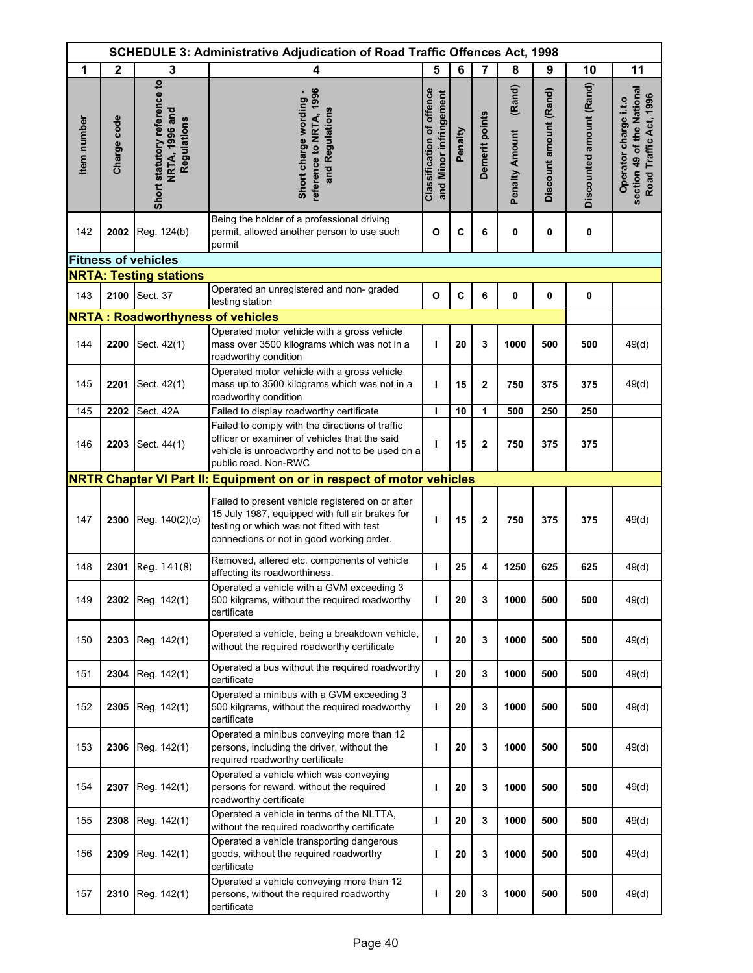|             | SCHEDULE 3: Administrative Adjudication of Road Traffic Offences Act, 1998 |                                                               |                                                                                                                                                                                               |                                                     |         |                |                                 |                        |                          |                                                                               |
|-------------|----------------------------------------------------------------------------|---------------------------------------------------------------|-----------------------------------------------------------------------------------------------------------------------------------------------------------------------------------------------|-----------------------------------------------------|---------|----------------|---------------------------------|------------------------|--------------------------|-------------------------------------------------------------------------------|
| 1           | $\mathbf{2}$                                                               | 3                                                             | 4                                                                                                                                                                                             | 5                                                   | 6       | $\overline{7}$ | 8                               | 9                      | 10                       | 11                                                                            |
| Item number | Charge code                                                                | Short statutory reference to<br>NRTA, 1996 and<br>Regulations | reference to NRTA, 1996<br>Short charge wording -<br>and Regulations                                                                                                                          | Classification of offence<br>and Minor infringement | Penalty | Demerit points | (Rand)<br><b>Penalty Amount</b> | Discount amount (Rand) | Discounted amount (Rand) | section 49 of the National<br>Road Traffic Act, 1996<br>Operator charge i.t.o |
| 142         | 2002                                                                       | Reg. 124(b)                                                   | Being the holder of a professional driving<br>permit, allowed another person to use such<br>permit                                                                                            | $\mathbf{o}$                                        | C       | 6              | 0                               | 0                      | 0                        |                                                                               |
|             |                                                                            | <b>Fitness of vehicles</b>                                    |                                                                                                                                                                                               |                                                     |         |                |                                 |                        |                          |                                                                               |
|             |                                                                            | <b>NRTA: Testing stations</b>                                 |                                                                                                                                                                                               |                                                     |         |                |                                 |                        |                          |                                                                               |
| 143         | 2100                                                                       | Sect. 37                                                      | Operated an unregistered and non- graded<br>testing station                                                                                                                                   | O                                                   | C       | 6              | 0                               | 0                      | 0                        |                                                                               |
|             |                                                                            | <b>NRTA: Roadworthyness of vehicles</b>                       |                                                                                                                                                                                               |                                                     |         |                |                                 |                        |                          |                                                                               |
| 144         | 2200                                                                       | Sect. 42(1)                                                   | Operated motor vehicle with a gross vehicle<br>mass over 3500 kilograms which was not in a<br>roadworthy condition                                                                            | $\mathbf{I}$                                        | 20      | 3              | 1000                            | 500                    | 500                      | 49(d)                                                                         |
| 145         | 2201                                                                       | Sect. 42(1)                                                   | Operated motor vehicle with a gross vehicle<br>mass up to 3500 kilograms which was not in a<br>roadworthy condition                                                                           | т                                                   | 15      | 2              | 750                             | 375                    | 375                      | 49(d)                                                                         |
| 145         | 2202                                                                       | Sect. 42A                                                     | Failed to display roadworthy certificate                                                                                                                                                      | I.                                                  | 10      | 1              | 500                             | 250                    | 250                      |                                                                               |
| 146         | 2203                                                                       | Sect. 44(1)                                                   | Failed to comply with the directions of traffic<br>officer or examiner of vehicles that the said<br>vehicle is unroadworthy and not to be used on a<br>public road. Non-RWC                   | ı                                                   | 15      | $\mathbf 2$    | 750                             | 375                    | 375                      |                                                                               |
|             |                                                                            |                                                               | NRTR Chapter VI Part II: Equipment on or in respect of motor vehicles                                                                                                                         |                                                     |         |                |                                 |                        |                          |                                                                               |
| 147         | 2300                                                                       | Reg. 140(2)(c)                                                | Failed to present vehicle registered on or after<br>15 July 1987, equipped with full air brakes for<br>testing or which was not fitted with test<br>connections or not in good working order. | T                                                   | 15      | 2              | 750                             | 375                    | 375                      | 49(d)                                                                         |
| 148         | 2301                                                                       | Reg. 141(8)                                                   | Removed, altered etc. components of vehicle<br>affecting its roadworthiness.                                                                                                                  | т                                                   | 25      | 4              | 1250                            | 625                    | 625                      | 49(d)                                                                         |
| 149         |                                                                            | 2302 Reg. 142(1)                                              | Operated a vehicle with a GVM exceeding 3<br>500 kilgrams, without the required roadworthy<br>certificate                                                                                     | $\mathbf{I}$                                        | 20      | 3              | 1000                            | 500                    | 500                      | 49(d)                                                                         |
| 150         | 2303                                                                       | Reg. 142(1)                                                   | Operated a vehicle, being a breakdown vehicle,<br>without the required roadworthy certificate                                                                                                 | ı                                                   | 20      | 3              | 1000                            | 500                    | 500                      | 49(d)                                                                         |
| 151         | 2304                                                                       | Reg. 142(1)                                                   | Operated a bus without the required roadworthy<br>certificate                                                                                                                                 | п                                                   | 20      | 3              | 1000                            | 500                    | 500                      | 49(d)                                                                         |
| 152         | 2305                                                                       | Reg. 142(1)                                                   | Operated a minibus with a GVM exceeding 3<br>500 kilgrams, without the required roadworthy<br>certificate                                                                                     | ı                                                   | 20      | 3              | 1000                            | 500                    | 500                      | 49(d)                                                                         |
| 153         | 2306                                                                       | Reg. 142(1)                                                   | Operated a minibus conveying more than 12<br>persons, including the driver, without the<br>required roadworthy certificate                                                                    | т                                                   | 20      | 3              | 1000                            | 500                    | 500                      | 49(d)                                                                         |
| 154         | 2307                                                                       | Reg. 142(1)                                                   | Operated a vehicle which was conveying<br>persons for reward, without the required<br>roadworthy certificate                                                                                  | т                                                   | 20      | 3              | 1000                            | 500                    | 500                      | 49(d)                                                                         |
| 155         | 2308                                                                       | Reg. 142(1)                                                   | Operated a vehicle in terms of the NLTTA,<br>without the required roadworthy certificate                                                                                                      | L                                                   | 20      | 3              | 1000                            | 500                    | 500                      | 49(d)                                                                         |
| 156         | 2309                                                                       | Reg. 142(1)                                                   | Operated a vehicle transporting dangerous<br>goods, without the required roadworthy<br>certificate                                                                                            | т                                                   | 20      | 3              | 1000                            | 500                    | 500                      | 49(d)                                                                         |
| 157         | 2310                                                                       | Reg. 142(1)                                                   | Operated a vehicle conveying more than 12<br>persons, without the required roadworthy<br>certificate                                                                                          | П                                                   | 20      | 3              | 1000                            | 500                    | 500                      | 49(d)                                                                         |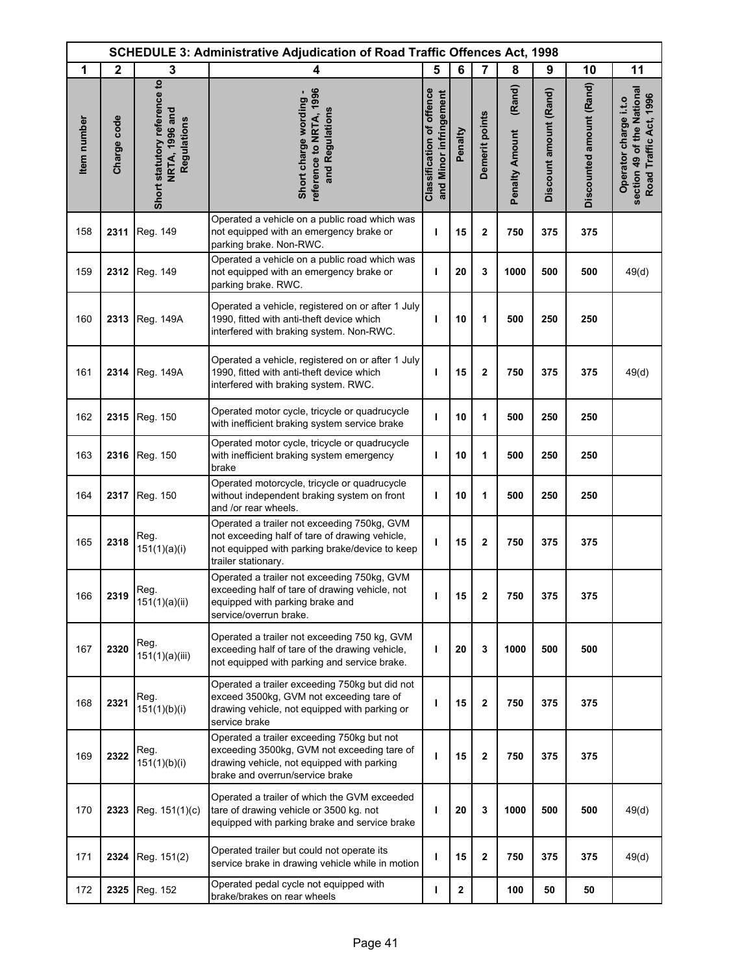|             | <b>SCHEDULE 3: Administrative Adjudication of Road Traffic Offences Act, 1998</b> |                                                               |                                                                                                                                                                            |                                                            |              |                         |                                 |                        |                          |                                                                               |
|-------------|-----------------------------------------------------------------------------------|---------------------------------------------------------------|----------------------------------------------------------------------------------------------------------------------------------------------------------------------------|------------------------------------------------------------|--------------|-------------------------|---------------------------------|------------------------|--------------------------|-------------------------------------------------------------------------------|
| 1           | $\mathbf{2}$                                                                      | 3                                                             | 4                                                                                                                                                                          | 5                                                          | 6            | $\overline{7}$          | 8                               | 9                      | 10                       | 11                                                                            |
| Item number | Charge code                                                                       | Short statutory reference to<br>NRTA, 1996 and<br>Regulations | reference to NRTA, 1996<br>Short charge wording -<br>and Regulations                                                                                                       | <b>Classification of offence</b><br>and Minor infringement | Penalty      | Demerit points          | (Rand)<br><b>Penalty Amount</b> | Discount amount (Rand) | Discounted amount (Rand) | section 49 of the National<br>Road Traffic Act, 1996<br>Operator charge i.t.o |
| 158         | 2311                                                                              | Reg. 149                                                      | Operated a vehicle on a public road which was<br>not equipped with an emergency brake or<br>parking brake. Non-RWC.                                                        | т                                                          | 15           | $\overline{\mathbf{2}}$ | 750                             | 375                    | 375                      |                                                                               |
| 159         | 2312                                                                              | Reg. 149                                                      | Operated a vehicle on a public road which was<br>not equipped with an emergency brake or<br>parking brake. RWC.                                                            | I.                                                         | 20           | 3                       | 1000                            | 500                    | 500                      | 49(d)                                                                         |
| 160         | 2313                                                                              | Reg. 149A                                                     | Operated a vehicle, registered on or after 1 July<br>1990, fitted with anti-theft device which<br>interfered with braking system. Non-RWC.                                 | т                                                          | 10           | 1                       | 500                             | 250                    | 250                      |                                                                               |
| 161         | 2314                                                                              | Reg. 149A                                                     | Operated a vehicle, registered on or after 1 July<br>1990, fitted with anti-theft device which<br>interfered with braking system. RWC.                                     | т                                                          | 15           | $\mathbf 2$             | 750                             | 375                    | 375                      | 49(d)                                                                         |
| 162         | 2315                                                                              | Reg. 150                                                      | Operated motor cycle, tricycle or quadrucycle<br>with inefficient braking system service brake                                                                             | т                                                          | 10           | 1                       | 500                             | 250                    | 250                      |                                                                               |
| 163         | 2316                                                                              | Reg. 150                                                      | Operated motor cycle, tricycle or quadrucycle<br>with inefficient braking system emergency<br>brake                                                                        | ı                                                          | 10           | 1                       | 500                             | 250                    | 250                      |                                                                               |
| 164         | 2317                                                                              | Reg. 150                                                      | Operated motorcycle, tricycle or quadrucycle<br>without independent braking system on front<br>and /or rear wheels.                                                        | т                                                          | 10           | 1                       | 500                             | 250                    | 250                      |                                                                               |
| 165         | 2318                                                                              | Reg.<br>151(1)(a)(i)                                          | Operated a trailer not exceeding 750kg, GVM<br>not exceeding half of tare of drawing vehicle,<br>not equipped with parking brake/device to keep<br>trailer stationary.     | т                                                          | 15           | $\mathbf{2}$            | 750                             | 375                    | 375                      |                                                                               |
| 166         | 2319                                                                              | Reg.<br>151(1)(a)(ii)                                         | Operated a trailer not exceeding 750kg, GVM<br>exceeding half of tare of drawing vehicle, not<br>equipped with parking brake and<br>service/overrun brake.                 | J.                                                         | 15           | 2                       | 750                             | 375                    | 375                      |                                                                               |
| 167         | 2320                                                                              | Reg.<br>151(1)(a)(iii)                                        | Operated a trailer not exceeding 750 kg, GVM<br>exceeding half of tare of the drawing vehicle,<br>not equipped with parking and service brake.                             | I.                                                         | 20           | 3                       | 1000                            | 500                    | 500                      |                                                                               |
| 168         | 2321                                                                              | Reg.<br>151(1)(b)(i)                                          | Operated a trailer exceeding 750kg but did not<br>exceed 3500kg, GVM not exceeding tare of<br>drawing vehicle, not equipped with parking or<br>service brake               | ı                                                          | 15           | $\overline{\mathbf{2}}$ | 750                             | 375                    | 375                      |                                                                               |
| 169         | 2322                                                                              | Reg.<br>151(1)(b)(i)                                          | Operated a trailer exceeding 750kg but not<br>exceeding 3500kg, GVM not exceeding tare of<br>drawing vehicle, not equipped with parking<br>brake and overrun/service brake | т                                                          | 15           | $\overline{\mathbf{2}}$ | 750                             | 375                    | 375                      |                                                                               |
| 170         | 2323                                                                              | Reg. 151(1)(c)                                                | Operated a trailer of which the GVM exceeded<br>tare of drawing vehicle or 3500 kg. not<br>equipped with parking brake and service brake                                   | ı                                                          | 20           | 3                       | 1000                            | 500                    | 500                      | 49(d)                                                                         |
| 171         | 2324                                                                              | Reg. 151(2)                                                   | Operated trailer but could not operate its<br>service brake in drawing vehicle while in motion                                                                             | ı                                                          | 15           | $\overline{\mathbf{2}}$ | 750                             | 375                    | 375                      | 49(d)                                                                         |
| 172         | 2325                                                                              | Reg. 152                                                      | Operated pedal cycle not equipped with<br>brake/brakes on rear wheels                                                                                                      | L                                                          | $\mathbf{2}$ |                         | 100                             | 50                     | 50                       |                                                                               |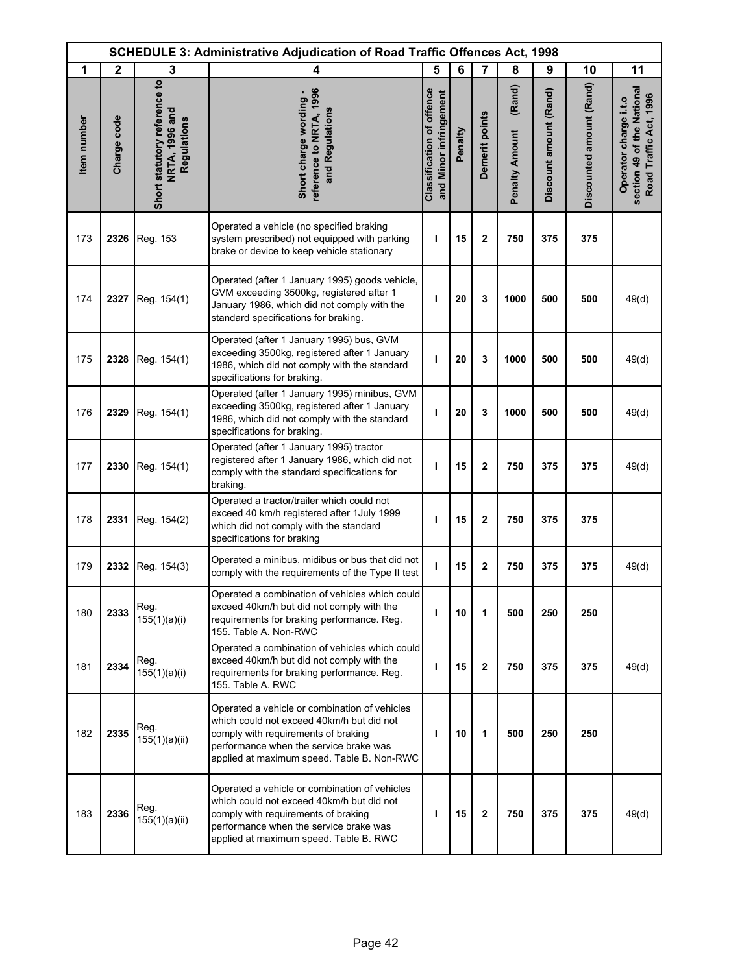|             | <b>SCHEDULE 3: Administrative Adjudication of Road Traffic Offences Act, 1998</b> |                                                               |                                                                                                                                                                                                                           |                                                            |         |                |                                 |                        |                          |                                                                               |
|-------------|-----------------------------------------------------------------------------------|---------------------------------------------------------------|---------------------------------------------------------------------------------------------------------------------------------------------------------------------------------------------------------------------------|------------------------------------------------------------|---------|----------------|---------------------------------|------------------------|--------------------------|-------------------------------------------------------------------------------|
| 1           | $\mathbf{2}$                                                                      | 3                                                             | 4                                                                                                                                                                                                                         | 5                                                          | 6       | $\overline{7}$ | 8                               | 9                      | 10                       | 11                                                                            |
| Item number | Charge code                                                                       | Short statutory reference to<br>NRTA, 1996 and<br>Regulations | reference to NRTA, 1996<br>Short charge wording -<br>and Regulations                                                                                                                                                      | <b>Classification of offence</b><br>and Minor infringement | Penalty | Demerit points | (Rand)<br><b>Penalty Amount</b> | Discount amount (Rand) | Discounted amount (Rand) | section 49 of the National<br>Road Traffic Act, 1996<br>Operator charge i.t.o |
| 173         | 2326                                                                              | Reg. 153                                                      | Operated a vehicle (no specified braking<br>system prescribed) not equipped with parking<br>brake or device to keep vehicle stationary                                                                                    | ı                                                          | 15      | $\mathbf{2}$   | 750                             | 375                    | 375                      |                                                                               |
| 174         | 2327                                                                              | Reg. 154(1)                                                   | Operated (after 1 January 1995) goods vehicle,<br>GVM exceeding 3500kg, registered after 1<br>January 1986, which did not comply with the<br>standard specifications for braking.                                         | т                                                          | 20      | 3              | 1000                            | 500                    | 500                      | 49(d)                                                                         |
| 175         | 2328                                                                              | Reg. 154(1)                                                   | Operated (after 1 January 1995) bus, GVM<br>exceeding 3500kg, registered after 1 January<br>1986, which did not comply with the standard<br>specifications for braking.                                                   | т                                                          | 20      | 3              | 1000                            | 500                    | 500                      | 49(d)                                                                         |
| 176         | 2329                                                                              | Reg. 154(1)                                                   | Operated (after 1 January 1995) minibus, GVM<br>exceeding 3500kg, registered after 1 January<br>1986, which did not comply with the standard<br>specifications for braking.                                               | T                                                          | 20      | 3              | 1000                            | 500                    | 500                      | 49(d)                                                                         |
| 177         | 2330                                                                              | Reg. 154(1)                                                   | Operated (after 1 January 1995) tractor<br>registered after 1 January 1986, which did not<br>comply with the standard specifications for<br>braking.                                                                      | ı                                                          | 15      | $\mathbf{2}$   | 750                             | 375                    | 375                      | 49(d)                                                                         |
| 178         | 2331                                                                              | Reg. 154(2)                                                   | Operated a tractor/trailer which could not<br>exceed 40 km/h registered after 1July 1999<br>which did not comply with the standard<br>specifications for braking                                                          | т                                                          | 15      | $\overline{2}$ | 750                             | 375                    | 375                      |                                                                               |
| 179         | 2332                                                                              | Reg. 154(3)                                                   | Operated a minibus, midibus or bus that did not<br>comply with the requirements of the Type II test                                                                                                                       | т                                                          | 15      | $\mathbf 2$    | 750                             | 375                    | 375                      | 49(d)                                                                         |
| 180         | 2333                                                                              | Reg.<br>155(1)(a)(i)                                          | Operated a combination of vehicles which could<br>exceed 40km/h but did not comply with the<br>requirements for braking performance. Reg.<br>155. Table A. Non-RWC                                                        | т                                                          | 10      | 1              | 500                             | 250                    | 250                      |                                                                               |
| 181         | 2334                                                                              | Reg.<br>155(1)(a)(i)                                          | Operated a combination of vehicles which could<br>exceed 40km/h but did not comply with the<br>requirements for braking performance. Reg.<br>155. Table A. RWC                                                            | T                                                          | 15      | $\mathbf{2}$   | 750                             | 375                    | 375                      | 49(d)                                                                         |
| 182         | 2335                                                                              | Reg.<br>155(1)(a)(ii)                                         | Operated a vehicle or combination of vehicles<br>which could not exceed 40km/h but did not<br>comply with requirements of braking<br>performance when the service brake was<br>applied at maximum speed. Table B. Non-RWC | ı                                                          | 10      | 1              | 500                             | 250                    | 250                      |                                                                               |
| 183         | 2336                                                                              | Reg.<br>155(1)(a)(ii)                                         | Operated a vehicle or combination of vehicles<br>which could not exceed 40km/h but did not<br>comply with requirements of braking<br>performance when the service brake was<br>applied at maximum speed. Table B. RWC     | т                                                          | 15      | $\mathbf{2}$   | 750                             | 375                    | 375                      | 49(d)                                                                         |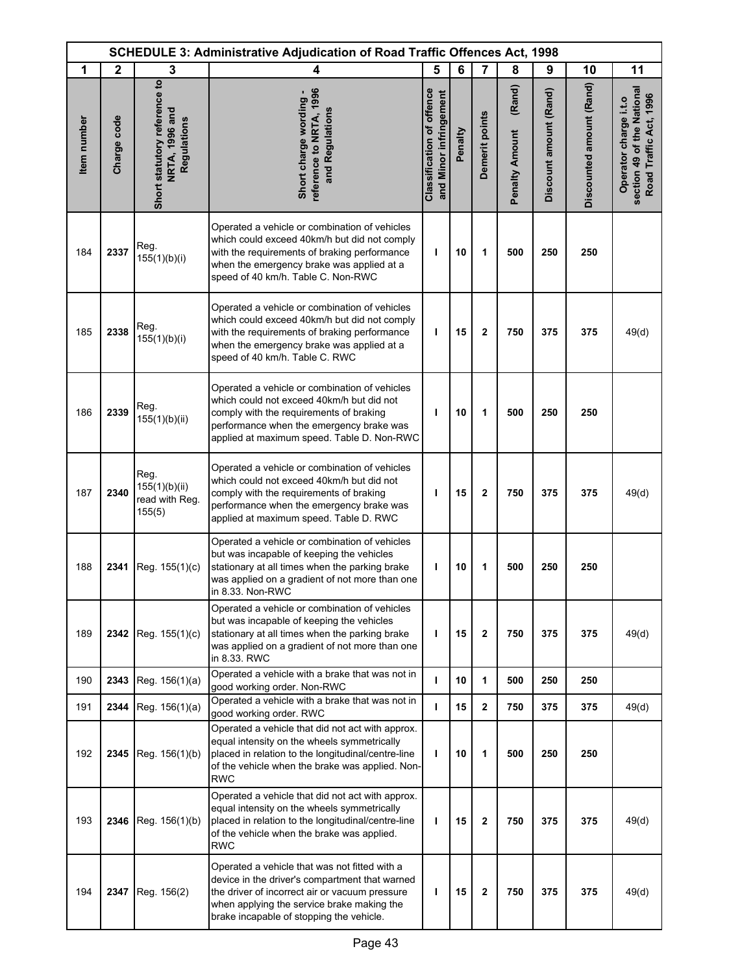|             | <b>SCHEDULE 3: Administrative Adjudication of Road Traffic Offences Act, 1998</b> |                                                               |                                                                                                                                                                                                                                             |                                                            |         |                |                                 |                        |                          |                                                                               |
|-------------|-----------------------------------------------------------------------------------|---------------------------------------------------------------|---------------------------------------------------------------------------------------------------------------------------------------------------------------------------------------------------------------------------------------------|------------------------------------------------------------|---------|----------------|---------------------------------|------------------------|--------------------------|-------------------------------------------------------------------------------|
| 1           | $\mathbf{2}$                                                                      | 3                                                             | 4                                                                                                                                                                                                                                           | 5                                                          | 6       | $\overline{7}$ | 8                               | 9                      | 10                       | 11                                                                            |
| Item number | Charge code                                                                       | Short statutory reference to<br>NRTA, 1996 and<br>Regulations | reference to NRTA, 1996<br>Short charge wording -<br>and Regulations                                                                                                                                                                        | <b>Classification of offence</b><br>and Minor infringement | Penalty | Demerit points | (Rand)<br><b>Penalty Amount</b> | Discount amount (Rand) | Discounted amount (Rand) | section 49 of the National<br>Road Traffic Act, 1996<br>Operator charge i.t.o |
| 184         | 2337                                                                              | Reg.<br>155(1)(b)(i)                                          | Operated a vehicle or combination of vehicles<br>which could exceed 40km/h but did not comply<br>with the requirements of braking performance<br>when the emergency brake was applied at a<br>speed of 40 km/h. Table C. Non-RWC            | T                                                          | 10      | 1              | 500                             | 250                    | 250                      |                                                                               |
| 185         | 2338                                                                              | Reg.<br>155(1)(b)(i)                                          | Operated a vehicle or combination of vehicles<br>which could exceed 40km/h but did not comply<br>with the requirements of braking performance<br>when the emergency brake was applied at a<br>speed of 40 km/h. Table C. RWC                | ı                                                          | 15      | 2              | 750                             | 375                    | 375                      | 49(d)                                                                         |
| 186         | 2339                                                                              | Reg.<br>155(1)(b)(ii)                                         | Operated a vehicle or combination of vehicles<br>which could not exceed 40km/h but did not<br>comply with the requirements of braking<br>performance when the emergency brake was<br>applied at maximum speed. Table D. Non-RWC             | п                                                          | 10      | 1              | 500                             | 250                    | 250                      |                                                                               |
| 187         | 2340                                                                              | Reg.<br>155(1)(b)(ii)<br>read with Reg.<br>155(5)             | Operated a vehicle or combination of vehicles<br>which could not exceed 40km/h but did not<br>comply with the requirements of braking<br>performance when the emergency brake was<br>applied at maximum speed. Table D. RWC                 | п                                                          | 15      | 2              | 750                             | 375                    | 375                      | 49(d)                                                                         |
| 188         | 2341                                                                              | Reg. 155(1)(c)                                                | Operated a vehicle or combination of vehicles<br>but was incapable of keeping the vehicles<br>stationary at all times when the parking brake<br>was applied on a gradient of not more than one<br>in 8.33. Non-RWC                          | ı                                                          | 10      | 1              | 500                             | 250                    | 250                      |                                                                               |
| 189         | 2342                                                                              | Reg. 155(1)(c)                                                | Operated a vehicle or combination of vehicles<br>but was incapable of keeping the vehicles<br>stationary at all times when the parking brake<br>was applied on a gradient of not more than one<br>in 8.33. RWC                              | ı                                                          | 15      | 2              | 750                             | 375                    | 375                      | 49(d)                                                                         |
| 190         | 2343                                                                              | Reg. 156(1)(a)                                                | Operated a vehicle with a brake that was not in<br>good working order. Non-RWC                                                                                                                                                              | г                                                          | 10      | 1              | 500                             | 250                    | 250                      |                                                                               |
| 191         | 2344                                                                              | Reg. 156(1)(a)                                                | Operated a vehicle with a brake that was not in<br>good working order. RWC                                                                                                                                                                  | ı                                                          | 15      | 2              | 750                             | 375                    | 375                      | 49(d)                                                                         |
| 192         | 2345                                                                              | Reg. 156(1)(b)                                                | Operated a vehicle that did not act with approx.<br>equal intensity on the wheels symmetrically<br>placed in relation to the longitudinal/centre-line<br>of the vehicle when the brake was applied. Non-<br>RWC                             | L                                                          | 10      | 1              | 500                             | 250                    | 250                      |                                                                               |
| 193         | 2346                                                                              | Reg. 156(1)(b)                                                | Operated a vehicle that did not act with approx.<br>equal intensity on the wheels symmetrically<br>placed in relation to the longitudinal/centre-line<br>of the vehicle when the brake was applied.<br>RWC                                  | т                                                          | 15      | 2              | 750                             | 375                    | 375                      | 49(d)                                                                         |
| 194         | 2347                                                                              | Reg. 156(2)                                                   | Operated a vehicle that was not fitted with a<br>device in the driver's compartment that warned<br>the driver of incorrect air or vacuum pressure<br>when applying the service brake making the<br>brake incapable of stopping the vehicle. | ı                                                          | 15      | 2              | 750                             | 375                    | 375                      | 49(d)                                                                         |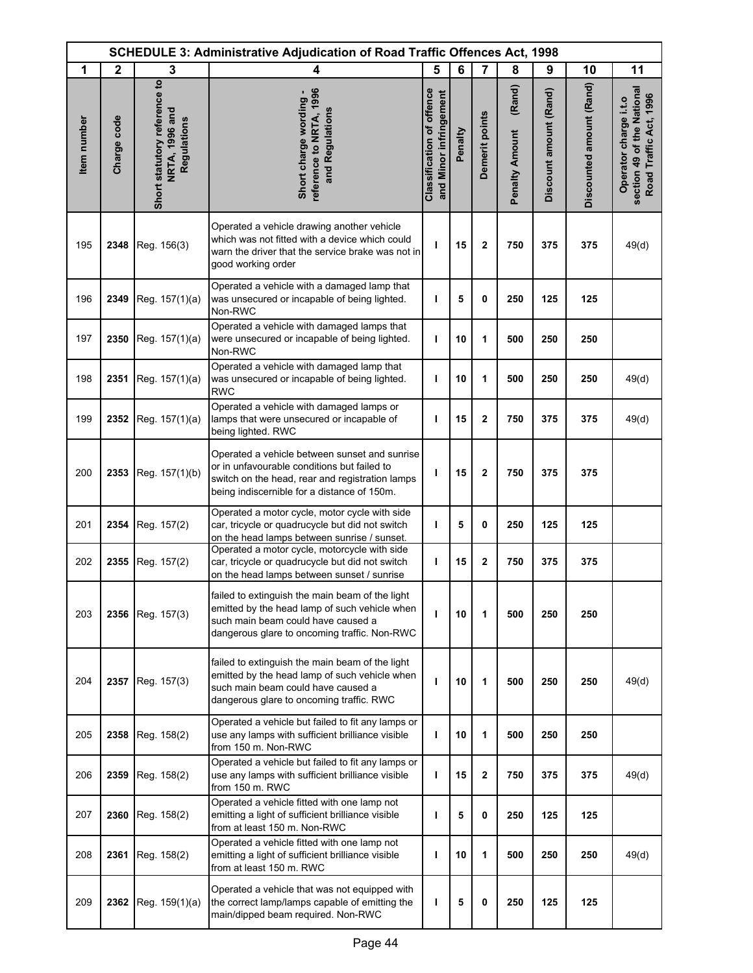|             | <b>SCHEDULE 3: Administrative Adjudication of Road Traffic Offences Act, 1998</b> |                                                               |                                                                                                                                                                                                |                                                            |         |                |                                 |                        |                          |                                                                               |
|-------------|-----------------------------------------------------------------------------------|---------------------------------------------------------------|------------------------------------------------------------------------------------------------------------------------------------------------------------------------------------------------|------------------------------------------------------------|---------|----------------|---------------------------------|------------------------|--------------------------|-------------------------------------------------------------------------------|
| 1           | $\mathbf{2}$                                                                      | 3                                                             | 4                                                                                                                                                                                              | 5                                                          | 6       | $\overline{7}$ | 8                               | 9                      | 10                       | 11                                                                            |
| Item number | Charge code                                                                       | Short statutory reference to<br>NRTA, 1996 and<br>Regulations | reference to NRTA, 1996<br>Short charge wording -<br>and Regulations                                                                                                                           | <b>Classification of offence</b><br>and Minor infringement | Penalty | Demerit points | (Rand)<br><b>Penalty Amount</b> | Discount amount (Rand) | Discounted amount (Rand) | section 49 of the National<br>Road Traffic Act, 1996<br>Operator charge i.t.o |
| 195         | 2348                                                                              | Reg. 156(3)                                                   | Operated a vehicle drawing another vehicle<br>which was not fitted with a device which could<br>warn the driver that the service brake was not in<br>good working order                        | ı                                                          | 15      | $\mathbf{2}$   | 750                             | 375                    | 375                      | 49(d)                                                                         |
| 196         | 2349                                                                              | Reg. 157(1)(a)                                                | Operated a vehicle with a damaged lamp that<br>was unsecured or incapable of being lighted.<br>Non-RWC                                                                                         | т                                                          | 5       | 0              | 250                             | 125                    | 125                      |                                                                               |
| 197         | 2350                                                                              | Reg. 157(1)(a)                                                | Operated a vehicle with damaged lamps that<br>were unsecured or incapable of being lighted.<br>Non-RWC                                                                                         | т                                                          | 10      | 1              | 500                             | 250                    | 250                      |                                                                               |
| 198         | 2351                                                                              | Reg. 157(1)(a)                                                | Operated a vehicle with damaged lamp that<br>was unsecured or incapable of being lighted.<br><b>RWC</b>                                                                                        | т                                                          | 10      | 1              | 500                             | 250                    | 250                      | 49(d)                                                                         |
| 199         | 2352                                                                              | Reg. 157(1)(a)                                                | Operated a vehicle with damaged lamps or<br>lamps that were unsecured or incapable of<br>being lighted. RWC                                                                                    | т                                                          | 15      | $\mathbf 2$    | 750                             | 375                    | 375                      | 49(d)                                                                         |
| 200         | 2353                                                                              | Reg. 157(1)(b)                                                | Operated a vehicle between sunset and sunrise<br>or in unfavourable conditions but failed to<br>switch on the head, rear and registration lamps<br>being indiscernible for a distance of 150m. | ı                                                          | 15      | $\mathbf 2$    | 750                             | 375                    | 375                      |                                                                               |
| 201         | 2354                                                                              | Reg. 157(2)                                                   | Operated a motor cycle, motor cycle with side<br>car, tricycle or quadrucycle but did not switch<br>on the head lamps between sunrise / sunset.                                                | ı                                                          | 5       | 0              | 250                             | 125                    | 125                      |                                                                               |
| 202         | 2355                                                                              | Reg. 157(2)                                                   | Operated a motor cycle, motorcycle with side<br>car, tricycle or quadrucycle but did not switch<br>on the head lamps between sunset / sunrise                                                  | т                                                          | 15      | $\mathbf{2}$   | 750                             | 375                    | 375                      |                                                                               |
| 203         | 2356                                                                              | Reg. 157(3)                                                   | failed to extinguish the main beam of the light<br>emitted by the head lamp of such vehicle when<br>such main beam could have caused a<br>dangerous glare to oncoming traffic. Non-RWC         | т                                                          | 10      | 1              | 500                             | 250                    | 250                      |                                                                               |
| 204         | 2357                                                                              | Reg. 157(3)                                                   | failed to extinguish the main beam of the light<br>emitted by the head lamp of such vehicle when<br>such main beam could have caused a<br>dangerous glare to oncoming traffic. RWC             | т                                                          | 10      | 1              | 500                             | 250                    | 250                      | 49(d)                                                                         |
| 205         | 2358                                                                              | Reg. 158(2)                                                   | Operated a vehicle but failed to fit any lamps or<br>use any lamps with sufficient brilliance visible<br>from 150 m. Non-RWC                                                                   | т                                                          | 10      | 1              | 500                             | 250                    | 250                      |                                                                               |
| 206         | 2359                                                                              | Reg. 158(2)                                                   | Operated a vehicle but failed to fit any lamps or<br>use any lamps with sufficient brilliance visible<br>from 150 m. RWC                                                                       | т                                                          | 15      | $\mathbf 2$    | 750                             | 375                    | 375                      | 49(d)                                                                         |
| 207         | 2360                                                                              | Reg. 158(2)                                                   | Operated a vehicle fitted with one lamp not<br>emitting a light of sufficient brilliance visible<br>from at least 150 m. Non-RWC                                                               | т                                                          | 5       | 0              | 250                             | 125                    | 125                      |                                                                               |
| 208         | 2361                                                                              | Reg. 158(2)                                                   | Operated a vehicle fitted with one lamp not<br>emitting a light of sufficient brilliance visible<br>from at least 150 m. RWC                                                                   | т                                                          | 10      | 1              | 500                             | 250                    | 250                      | 49(d)                                                                         |
| 209         | 2362                                                                              | Reg. 159(1)(a)                                                | Operated a vehicle that was not equipped with<br>the correct lamp/lamps capable of emitting the<br>main/dipped beam required. Non-RWC                                                          | т                                                          | 5       | 0              | 250                             | 125                    | 125                      |                                                                               |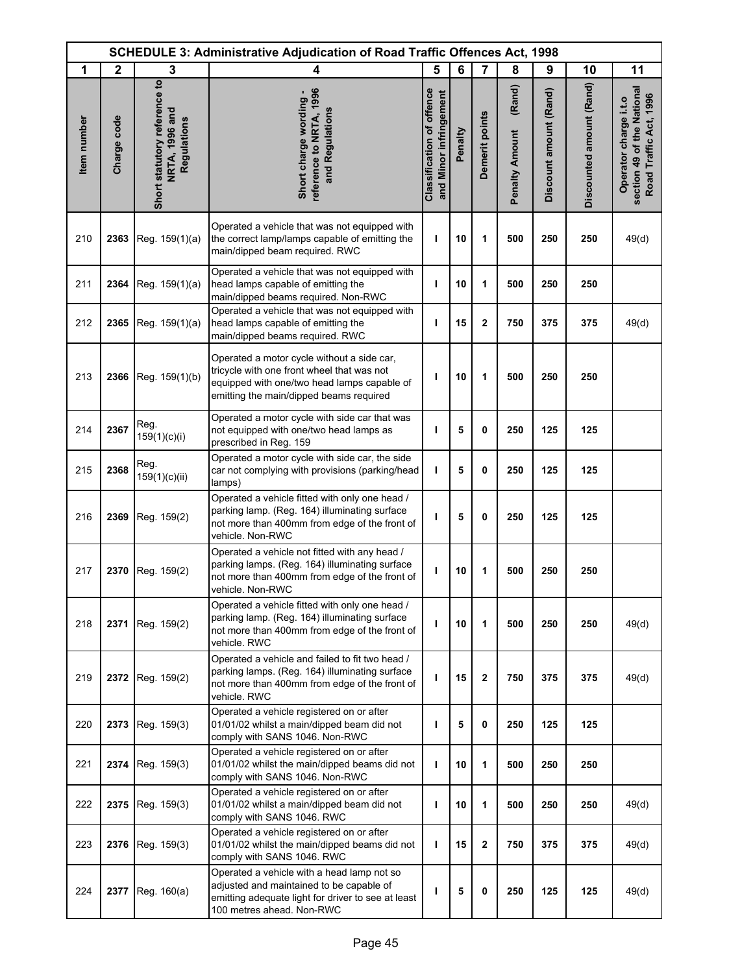|             | <b>SCHEDULE 3: Administrative Adjudication of Road Traffic Offences Act, 1998</b> |                                                               |                                                                                                                                                                                    |                                                            |         |                |                                 |                        |                          |                                                                               |
|-------------|-----------------------------------------------------------------------------------|---------------------------------------------------------------|------------------------------------------------------------------------------------------------------------------------------------------------------------------------------------|------------------------------------------------------------|---------|----------------|---------------------------------|------------------------|--------------------------|-------------------------------------------------------------------------------|
| 1           | $\mathbf{2}$                                                                      | 3                                                             | 4                                                                                                                                                                                  | 5                                                          | 6       | $\overline{7}$ | 8                               | 9                      | 10                       | 11                                                                            |
| Item number | Charge code                                                                       | Short statutory reference to<br>NRTA, 1996 and<br>Regulations | reference to NRTA, 1996<br>Short charge wording -<br>and Regulations                                                                                                               | <b>Classification of offence</b><br>and Minor infringement | Penalty | Demerit points | (Rand)<br><b>Penalty Amount</b> | Discount amount (Rand) | Discounted amount (Rand) | section 49 of the National<br>Road Traffic Act, 1996<br>Operator charge i.t.o |
| 210         | 2363                                                                              | Reg. 159(1)(a)                                                | Operated a vehicle that was not equipped with<br>the correct lamp/lamps capable of emitting the<br>main/dipped beam required. RWC                                                  | ı                                                          | 10      | 1              | 500                             | 250                    | 250                      | 49(d)                                                                         |
| 211         | 2364                                                                              | Reg. 159(1)(a)                                                | Operated a vehicle that was not equipped with<br>head lamps capable of emitting the<br>main/dipped beams required. Non-RWC                                                         | т                                                          | 10      | 1              | 500                             | 250                    | 250                      |                                                                               |
| 212         | 2365                                                                              | Reg. 159(1)(a)                                                | Operated a vehicle that was not equipped with<br>head lamps capable of emitting the<br>main/dipped beams required. RWC                                                             | ı                                                          | 15      | $\mathbf 2$    | 750                             | 375                    | 375                      | 49(d)                                                                         |
| 213         | 2366                                                                              | Reg. 159(1)(b)                                                | Operated a motor cycle without a side car,<br>tricycle with one front wheel that was not<br>equipped with one/two head lamps capable of<br>emitting the main/dipped beams required | ı                                                          | 10      | 1              | 500                             | 250                    | 250                      |                                                                               |
| 214         | 2367                                                                              | Reg.<br>159(1)(c)(i)                                          | Operated a motor cycle with side car that was<br>not equipped with one/two head lamps as<br>prescribed in Reg. 159                                                                 | т                                                          | 5       | $\mathbf 0$    | 250                             | 125                    | 125                      |                                                                               |
| 215         | 2368                                                                              | Reg.<br>159(1)(c)(ii)                                         | Operated a motor cycle with side car, the side<br>car not complying with provisions (parking/head<br>lamps)                                                                        | т                                                          | 5       | 0              | 250                             | 125                    | 125                      |                                                                               |
| 216         | 2369                                                                              | Reg. 159(2)                                                   | Operated a vehicle fitted with only one head /<br>parking lamp. (Reg. 164) illuminating surface<br>not more than 400mm from edge of the front of<br>vehicle. Non-RWC               | ı                                                          | 5       | $\mathbf 0$    | 250                             | 125                    | 125                      |                                                                               |
| 217         | 2370                                                                              | Reg. 159(2)                                                   | Operated a vehicle not fitted with any head /<br>parking lamps. (Reg. 164) illuminating surface<br>not more than 400mm from edge of the front of<br>vehicle. Non-RWC               | ı                                                          | 10      | 1              | 500                             | 250                    | 250                      |                                                                               |
| 218         | 2371                                                                              | Reg. 159(2)                                                   | Operated a vehicle fitted with only one head /<br>parking lamp. (Reg. 164) illuminating surface<br>not more than 400mm from edge of the front of<br>vehicle. RWC                   | т                                                          | 10      | 1              | 500                             | 250                    | 250                      | 49(d)                                                                         |
| 219         | 2372                                                                              | Reg. 159(2)                                                   | Operated a vehicle and failed to fit two head /<br>parking lamps. (Reg. 164) illuminating surface<br>not more than 400mm from edge of the front of<br>vehicle. RWC                 | т                                                          | 15      | $\mathbf{2}$   | 750                             | 375                    | 375                      | 49(d)                                                                         |
| 220         | 2373                                                                              | Reg. 159(3)                                                   | Operated a vehicle registered on or after<br>01/01/02 whilst a main/dipped beam did not<br>comply with SANS 1046. Non-RWC                                                          | т                                                          | 5       | 0              | 250                             | 125                    | 125                      |                                                                               |
| 221         | 2374                                                                              | Reg. 159(3)                                                   | Operated a vehicle registered on or after<br>01/01/02 whilst the main/dipped beams did not<br>comply with SANS 1046. Non-RWC                                                       | T                                                          | 10      | 1              | 500                             | 250                    | 250                      |                                                                               |
| 222         | 2375                                                                              | Reg. 159(3)                                                   | Operated a vehicle registered on or after<br>01/01/02 whilst a main/dipped beam did not<br>comply with SANS 1046. RWC                                                              | ı                                                          | 10      | 1              | 500                             | 250                    | 250                      | 49(d)                                                                         |
| 223         | 2376                                                                              | Reg. 159(3)                                                   | Operated a vehicle registered on or after<br>01/01/02 whilst the main/dipped beams did not<br>comply with SANS 1046. RWC                                                           | т                                                          | 15      | $\mathbf 2$    | 750                             | 375                    | 375                      | 49(d)                                                                         |
| 224         | 2377                                                                              | Reg. 160(a)                                                   | Operated a vehicle with a head lamp not so<br>adjusted and maintained to be capable of<br>emitting adequate light for driver to see at least<br>100 metres ahead. Non-RWC          | ı                                                          | 5       | 0              | 250                             | 125                    | 125                      | 49(d)                                                                         |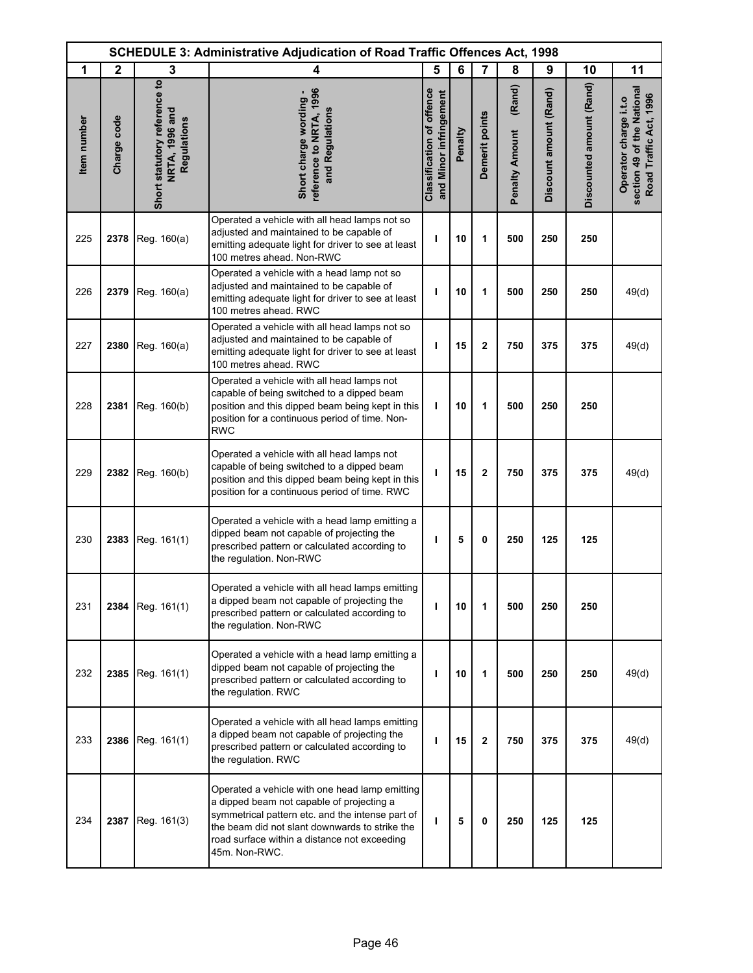| <b>SCHEDULE 3: Administrative Adjudication of Road Traffic Offences Act, 1998</b> |              |                                                                      |                                                                                                                                                                                                                                                                    |                                                            |         |                |                                 |                        |                          |                                                                               |
|-----------------------------------------------------------------------------------|--------------|----------------------------------------------------------------------|--------------------------------------------------------------------------------------------------------------------------------------------------------------------------------------------------------------------------------------------------------------------|------------------------------------------------------------|---------|----------------|---------------------------------|------------------------|--------------------------|-------------------------------------------------------------------------------|
| 1                                                                                 | $\mathbf{2}$ | 3                                                                    | 4                                                                                                                                                                                                                                                                  | 5                                                          | 6       | $\overline{7}$ | 8                               | 9                      | 10                       | 11                                                                            |
| Item number                                                                       | Charge code  | Short statutory reference to<br><b>NRTA, 1996 and</b><br>Regulations | reference to NRTA, 1996<br>Short charge wording -<br>and Regulations                                                                                                                                                                                               | <b>Classification of offence</b><br>and Minor infringement | Penalty | Demerit points | (Rand)<br><b>Penalty Amount</b> | Discount amount (Rand) | Discounted amount (Rand) | section 49 of the National<br>Road Traffic Act, 1996<br>Operator charge i.t.o |
| 225                                                                               | 2378         | Reg. 160(a)                                                          | Operated a vehicle with all head lamps not so<br>adjusted and maintained to be capable of<br>emitting adequate light for driver to see at least<br>100 metres ahead. Non-RWC                                                                                       | ı                                                          | 10      | 1              | 500                             | 250                    | 250                      |                                                                               |
| 226                                                                               | 2379         | Reg. 160(a)                                                          | Operated a vehicle with a head lamp not so<br>adjusted and maintained to be capable of<br>emitting adequate light for driver to see at least<br>100 metres ahead. RWC                                                                                              | т                                                          | 10      | 1              | 500                             | 250                    | 250                      | 49(d)                                                                         |
| 227                                                                               | 2380         | Reg. 160(a)                                                          | Operated a vehicle with all head lamps not so<br>adjusted and maintained to be capable of<br>emitting adequate light for driver to see at least<br>100 metres ahead. RWC                                                                                           | T                                                          | 15      | $\mathbf 2$    | 750                             | 375                    | 375                      | 49(d)                                                                         |
| 228                                                                               | 2381         | Reg. 160(b)                                                          | Operated a vehicle with all head lamps not<br>capable of being switched to a dipped beam<br>position and this dipped beam being kept in this<br>position for a continuous period of time. Non-<br><b>RWC</b>                                                       | T                                                          | 10      | 1              | 500                             | 250                    | 250                      |                                                                               |
| 229                                                                               | 2382         | Reg. 160(b)                                                          | Operated a vehicle with all head lamps not<br>capable of being switched to a dipped beam<br>position and this dipped beam being kept in this<br>position for a continuous period of time. RWC                                                                      | I.                                                         | 15      | $\mathbf 2$    | 750                             | 375                    | 375                      | 49(d)                                                                         |
| 230                                                                               | 2383         | Reg. 161(1)                                                          | Operated a vehicle with a head lamp emitting a<br>dipped beam not capable of projecting the<br>prescribed pattern or calculated according to<br>the regulation. Non-RWC                                                                                            | т                                                          | 5       | 0              | 250                             | 125                    | 125                      |                                                                               |
| 231                                                                               | 2384         | Reg. 161(1)                                                          | Operated a vehicle with all head lamps emitting<br>a dipped beam not capable of projecting the<br>prescribed pattern or calculated according to<br>the regulation. Non-RWC                                                                                         | т                                                          | 10      | 1              | 500                             | 250                    | 250                      |                                                                               |
| 232                                                                               | 2385         | Reg. 161(1)                                                          | Operated a vehicle with a head lamp emitting a<br>dipped beam not capable of projecting the<br>prescribed pattern or calculated according to<br>the regulation. RWC                                                                                                | т                                                          | 10      | 1              | 500                             | 250                    | 250                      | 49(d)                                                                         |
| 233                                                                               | 2386         | Reg. 161(1)                                                          | Operated a vehicle with all head lamps emitting<br>a dipped beam not capable of projecting the<br>prescribed pattern or calculated according to<br>the regulation. RWC                                                                                             | т                                                          | 15      | $\mathbf{2}$   | 750                             | 375                    | 375                      | 49(d)                                                                         |
| 234                                                                               | 2387         | Reg. 161(3)                                                          | Operated a vehicle with one head lamp emitting<br>a dipped beam not capable of projecting a<br>symmetrical pattern etc. and the intense part of<br>the beam did not slant downwards to strike the<br>road surface within a distance not exceeding<br>45m. Non-RWC. | т                                                          | 5       | 0              | 250                             | 125                    | 125                      |                                                                               |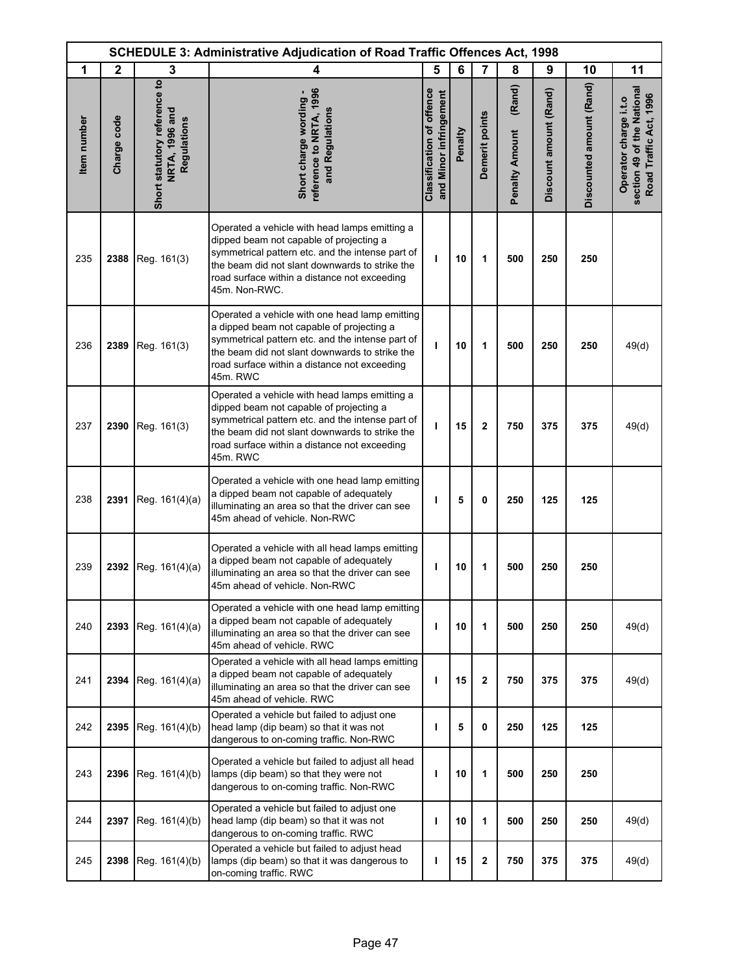|             | <b>SCHEDULE 3: Administrative Adjudication of Road Traffic Offences Act, 1998</b> |                                                               |                                                                                                                                                                                                                                                                 |                                                            |         |                |                                 |                        |                          |                                                                               |
|-------------|-----------------------------------------------------------------------------------|---------------------------------------------------------------|-----------------------------------------------------------------------------------------------------------------------------------------------------------------------------------------------------------------------------------------------------------------|------------------------------------------------------------|---------|----------------|---------------------------------|------------------------|--------------------------|-------------------------------------------------------------------------------|
| 1           | $\mathbf{2}$                                                                      | 3                                                             | 4                                                                                                                                                                                                                                                               | 5                                                          | 6       | $\overline{7}$ | 8                               | 9                      | 10                       | 11                                                                            |
| Item number | Charge code                                                                       | Short statutory reference to<br>NRTA, 1996 and<br>Regulations | reference to NRTA, 1996<br>Short charge wording -<br>and Regulations                                                                                                                                                                                            | <b>Classification of offence</b><br>and Minor infringement | Penalty | Demerit points | (Rand)<br><b>Penalty Amount</b> | Discount amount (Rand) | Discounted amount (Rand) | section 49 of the National<br>Road Traffic Act, 1996<br>Operator charge i.t.o |
| 235         | 2388                                                                              | Reg. 161(3)                                                   | Operated a vehicle with head lamps emitting a<br>dipped beam not capable of projecting a<br>symmetrical pattern etc. and the intense part of<br>the beam did not slant downwards to strike the<br>road surface within a distance not exceeding<br>45m. Non-RWC. | ı                                                          | 10      | 1              | 500                             | 250                    | 250                      |                                                                               |
| 236         | 2389                                                                              | Reg. 161(3)                                                   | Operated a vehicle with one head lamp emitting<br>a dipped beam not capable of projecting a<br>symmetrical pattern etc. and the intense part of<br>the beam did not slant downwards to strike the<br>road surface within a distance not exceeding<br>45m. RWC   | п                                                          | 10      | 1              | 500                             | 250                    | 250                      | 49(d)                                                                         |
| 237         | 2390                                                                              | Reg. 161(3)                                                   | Operated a vehicle with head lamps emitting a<br>dipped beam not capable of projecting a<br>symmetrical pattern etc. and the intense part of<br>the beam did not slant downwards to strike the<br>road surface within a distance not exceeding<br>45m. RWC      | т                                                          | 15      | $\mathbf 2$    | 750                             | 375                    | 375                      | 49(d)                                                                         |
| 238         | 2391                                                                              | Reg. 161(4)(a)                                                | Operated a vehicle with one head lamp emitting<br>a dipped beam not capable of adequately<br>illuminating an area so that the driver can see<br>45m ahead of vehicle. Non-RWC                                                                                   | п                                                          | 5       | 0              | 250                             | 125                    | 125                      |                                                                               |
| 239         | 2392                                                                              | Reg. 161(4)(a)                                                | Operated a vehicle with all head lamps emitting<br>a dipped beam not capable of adequately<br>illuminating an area so that the driver can see<br>45m ahead of vehicle. Non-RWC                                                                                  | п                                                          | 10      | 1              | 500                             | 250                    | 250                      |                                                                               |
| 240         | 2393                                                                              | Reg. 161(4)(a)                                                | Operated a vehicle with one head lamp emitting<br>a dipped beam not capable of adequately<br>illuminating an area so that the driver can see<br>45m ahead of vehicle. RWC                                                                                       | п                                                          | 10      | 1              | 500                             | 250                    | 250                      | 49(d)                                                                         |
| 241         | 2394                                                                              | Reg. 161(4)(a)                                                | Operated a vehicle with all head lamps emitting<br>a dipped beam not capable of adequately<br>illuminating an area so that the driver can see<br>45m ahead of vehicle. RWC                                                                                      | T                                                          | 15      | 2              | 750                             | 375                    | 375                      | 49(d)                                                                         |
| 242         | 2395                                                                              | Reg. 161(4)(b)                                                | Operated a vehicle but failed to adjust one<br>head lamp (dip beam) so that it was not<br>dangerous to on-coming traffic. Non-RWC                                                                                                                               | п                                                          | 5       | 0              | 250                             | 125                    | 125                      |                                                                               |
| 243         | 2396                                                                              | Reg. 161(4)(b)                                                | Operated a vehicle but failed to adjust all head<br>lamps (dip beam) so that they were not<br>dangerous to on-coming traffic. Non-RWC                                                                                                                           | п                                                          | 10      | 1              | 500                             | 250                    | 250                      |                                                                               |
| 244         | 2397                                                                              | Reg. 161(4)(b)                                                | Operated a vehicle but failed to adjust one<br>head lamp (dip beam) so that it was not<br>dangerous to on-coming traffic. RWC                                                                                                                                   | т                                                          | 10      | 1              | 500                             | 250                    | 250                      | 49(d)                                                                         |
| 245         | 2398                                                                              | Reg. 161(4)(b)                                                | Operated a vehicle but failed to adjust head<br>lamps (dip beam) so that it was dangerous to<br>on-coming traffic. RWC                                                                                                                                          | п                                                          | 15      | 2              | 750                             | 375                    | 375                      | 49(d)                                                                         |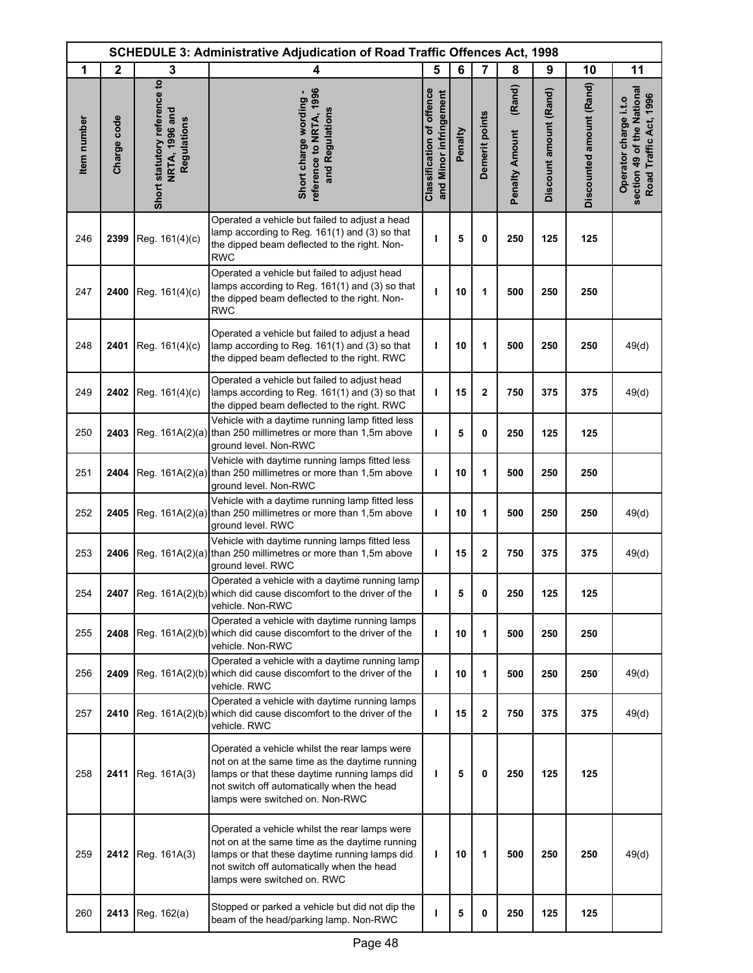|             | <b>SCHEDULE 3: Administrative Adjudication of Road Traffic Offences Act, 1998</b> |                                                               |                                                                                                                                                                                                                                   |                                                            |         |                |                                 |                        |                          |                                                                               |
|-------------|-----------------------------------------------------------------------------------|---------------------------------------------------------------|-----------------------------------------------------------------------------------------------------------------------------------------------------------------------------------------------------------------------------------|------------------------------------------------------------|---------|----------------|---------------------------------|------------------------|--------------------------|-------------------------------------------------------------------------------|
| 1           | $\mathbf{2}$                                                                      | 3                                                             | 4                                                                                                                                                                                                                                 | 5                                                          | 6       | $\overline{7}$ | 8                               | 9                      | 10                       | 11                                                                            |
| Item number | Charge code                                                                       | Short statutory reference to<br>NRTA, 1996 and<br>Regulations | eference to NRTA, 1996<br>Short charge wording<br>and Regulations                                                                                                                                                                 | <b>Classification of offence</b><br>and Minor infringement | Penalty | Demerit points | (Rand)<br><b>Penalty Amount</b> | Discount amount (Rand) | Discounted amount (Rand) | section 49 of the National<br>Road Traffic Act, 1996<br>Operator charge i.t.o |
| 246         | 2399                                                                              | Reg. 161(4)(c)                                                | Operated a vehicle but failed to adjust a head<br>lamp according to Reg. 161(1) and (3) so that<br>the dipped beam deflected to the right. Non-<br><b>RWC</b>                                                                     | ı                                                          | 5       | 0              | 250                             | 125                    | 125                      |                                                                               |
| 247         | 2400                                                                              | Reg. 161(4)(c)                                                | Operated a vehicle but failed to adjust head<br>lamps according to Reg. 161(1) and (3) so that<br>the dipped beam deflected to the right. Non-<br><b>RWC</b>                                                                      | L                                                          | 10      | 1              | 500                             | 250                    | 250                      |                                                                               |
| 248         | 2401                                                                              | Reg. 161(4)(c)                                                | Operated a vehicle but failed to adjust a head<br>lamp according to Reg. 161(1) and (3) so that<br>the dipped beam deflected to the right. RWC                                                                                    | T                                                          | 10      | 1              | 500                             | 250                    | 250                      | 49(d)                                                                         |
| 249         | 2402                                                                              | Reg. 161(4)(c)                                                | Operated a vehicle but failed to adjust head<br>lamps according to Reg. 161(1) and (3) so that<br>the dipped beam deflected to the right. RWC                                                                                     | т                                                          | 15      | 2              | 750                             | 375                    | 375                      | 49(d)                                                                         |
| 250         | 2403                                                                              |                                                               | Vehicle with a daytime running lamp fitted less<br>Reg. 161A(2)(a) than 250 millimetres or more than 1,5m above<br>ground level. Non-RWC                                                                                          | $\mathbf{I}$                                               | 5       | 0              | 250                             | 125                    | 125                      |                                                                               |
| 251         | 2404                                                                              |                                                               | Vehicle with daytime running lamps fitted less<br>Reg. 161A(2)(a) than 250 millimetres or more than 1,5m above<br>ground level. Non-RWC                                                                                           | т                                                          | 10      | 1              | 500                             | 250                    | 250                      |                                                                               |
| 252         | 2405                                                                              |                                                               | Vehicle with a daytime running lamp fitted less<br>Reg. 161A(2)(a) than 250 millimetres or more than 1,5m above<br>ground level. RWC                                                                                              | т                                                          | 10      | 1              | 500                             | 250                    | 250                      | 49(d)                                                                         |
| 253         | 2406                                                                              |                                                               | Vehicle with daytime running lamps fitted less<br>Reg. 161A(2)(a) than 250 millimetres or more than 1,5m above<br>ground level. RWC                                                                                               | ı                                                          | 15      | 2              | 750                             | 375                    | 375                      | 49(d)                                                                         |
| 254         |                                                                                   |                                                               | Operated a vehicle with a daytime running lamp<br>2407 Reg. $161A(2)(b)$ which did cause discomfort to the driver of the<br>vehicle. Non-RWC                                                                                      |                                                            |         |                | 250                             | 125                    | 125                      |                                                                               |
| 255         | 2408                                                                              |                                                               | Operated a vehicle with daytime running lamps<br>Reg. 161A(2)(b) which did cause discomfort to the driver of the<br>vehicle. Non-RWC                                                                                              | ı                                                          | 10      | 1              | 500                             | 250                    | 250                      |                                                                               |
| 256         | 2409                                                                              |                                                               | Operated a vehicle with a daytime running lamp<br>Reg. 161A(2)(b) which did cause discomfort to the driver of the<br>vehicle. RWC                                                                                                 | T                                                          | 10      | 1              | 500                             | 250                    | 250                      | 49(d)                                                                         |
| 257         | 2410                                                                              |                                                               | Operated a vehicle with daytime running lamps<br>Reg. 161A(2)(b) which did cause discomfort to the driver of the<br>vehicle. RWC                                                                                                  | ı                                                          | 15      | 2              | 750                             | 375                    | 375                      | 49(d)                                                                         |
| 258         | 2411                                                                              | Reg. 161A(3)                                                  | Operated a vehicle whilst the rear lamps were<br>not on at the same time as the daytime running<br>lamps or that these daytime running lamps did<br>not switch off automatically when the head<br>lamps were switched on. Non-RWC | T                                                          | 5       | 0              | 250                             | 125                    | 125                      |                                                                               |
| 259         | 2412                                                                              | Reg. 161A(3)                                                  | Operated a vehicle whilst the rear lamps were<br>not on at the same time as the daytime running<br>lamps or that these daytime running lamps did<br>not switch off automatically when the head<br>lamps were switched on. RWC     | т                                                          | 10      | 1              | 500                             | 250                    | 250                      | 49(d)                                                                         |
| 260         | 2413                                                                              | Reg. 162(a)                                                   | Stopped or parked a vehicle but did not dip the<br>beam of the head/parking lamp. Non-RWC                                                                                                                                         | п                                                          | 5       | 0              | 250                             | 125                    | 125                      |                                                                               |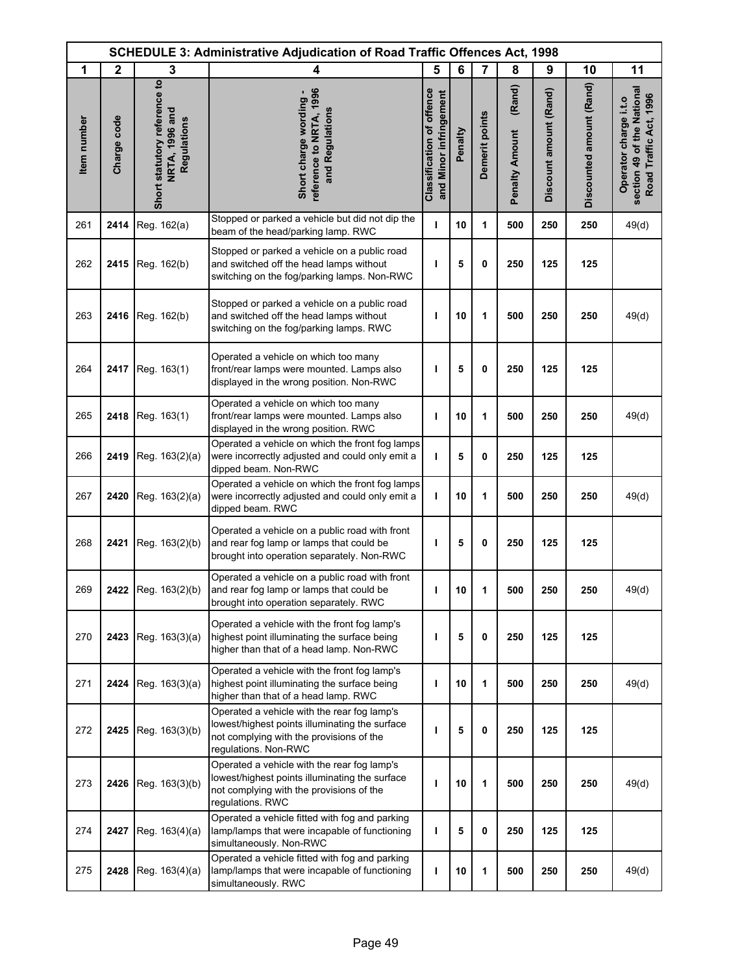|             | <b>SCHEDULE 3: Administrative Adjudication of Road Traffic Offences Act, 1998</b> |                                                               |                                                                                                                                                                   |                                                            |         |                |                                 |                        |                          |                                                                               |
|-------------|-----------------------------------------------------------------------------------|---------------------------------------------------------------|-------------------------------------------------------------------------------------------------------------------------------------------------------------------|------------------------------------------------------------|---------|----------------|---------------------------------|------------------------|--------------------------|-------------------------------------------------------------------------------|
| 1           | $\mathbf{2}$                                                                      | 3                                                             | 4                                                                                                                                                                 | 5                                                          | 6       | $\overline{7}$ | 8                               | 9                      | 10                       | 11                                                                            |
| Item number | Charge code                                                                       | Short statutory reference to<br>NRTA, 1996 and<br>Regulations | reference to NRTA, 1996<br>Short charge wording -<br>and Regulations                                                                                              | <b>Classification of offence</b><br>and Minor infringement | Penalty | Demerit points | (Rand)<br><b>Penalty Amount</b> | Discount amount (Rand) | Discounted amount (Rand) | section 49 of the National<br>Road Traffic Act, 1996<br>Operator charge i.t.o |
| 261         | 2414                                                                              | Reg. 162(a)                                                   | Stopped or parked a vehicle but did not dip the<br>beam of the head/parking lamp. RWC                                                                             | т                                                          | 10      | 1              | 500                             | 250                    | 250                      | 49(d)                                                                         |
| 262         | 2415                                                                              | Reg. 162(b)                                                   | Stopped or parked a vehicle on a public road<br>and switched off the head lamps without<br>switching on the fog/parking lamps. Non-RWC                            | ı                                                          | 5       | 0              | 250                             | 125                    | 125                      |                                                                               |
| 263         | 2416                                                                              | Reg. 162(b)                                                   | Stopped or parked a vehicle on a public road<br>and switched off the head lamps without<br>switching on the fog/parking lamps. RWC                                | H                                                          | 10      | 1              | 500                             | 250                    | 250                      | 49(d)                                                                         |
| 264         | 2417                                                                              | Reg. 163(1)                                                   | Operated a vehicle on which too many<br>front/rear lamps were mounted. Lamps also<br>displayed in the wrong position. Non-RWC                                     | I                                                          | 5       | 0              | 250                             | 125                    | 125                      |                                                                               |
| 265         | 2418                                                                              | Reg. 163(1)                                                   | Operated a vehicle on which too many<br>front/rear lamps were mounted. Lamps also<br>displayed in the wrong position. RWC                                         | т                                                          | 10      | 1              | 500                             | 250                    | 250                      | 49(d)                                                                         |
| 266         | 2419                                                                              | Reg. 163(2)(a)                                                | Operated a vehicle on which the front fog lamps<br>were incorrectly adjusted and could only emit a<br>dipped beam. Non-RWC                                        | $\mathbf{I}$                                               | 5       | 0              | 250                             | 125                    | 125                      |                                                                               |
| 267         | 2420                                                                              | Reg. 163(2)(a)                                                | Operated a vehicle on which the front fog lamps<br>were incorrectly adjusted and could only emit a<br>dipped beam. RWC                                            | т                                                          | 10      | 1              | 500                             | 250                    | 250                      | 49(d)                                                                         |
| 268         | 2421                                                                              | Reg. 163(2)(b)                                                | Operated a vehicle on a public road with front<br>and rear fog lamp or lamps that could be<br>brought into operation separately. Non-RWC                          | ı                                                          | 5       | 0              | 250                             | 125                    | 125                      |                                                                               |
| 269         |                                                                                   | 2422 Reg. 163(2)(b)                                           | Operated a vehicle on a public road with front<br>and rear fog lamp or lamps that could be<br>brought into operation separately. RWC                              |                                                            | 10      | 1              | 500                             | 250                    | 250                      | 49(d)                                                                         |
| 270         | 2423                                                                              | Reg. 163(3)(a)                                                | Operated a vehicle with the front fog lamp's<br>highest point illuminating the surface being<br>higher than that of a head lamp. Non-RWC                          | ı                                                          | 5       | 0              | 250                             | 125                    | 125                      |                                                                               |
| 271         | 2424                                                                              | Reg. 163(3)(a)                                                | Operated a vehicle with the front fog lamp's<br>highest point illuminating the surface being<br>higher than that of a head lamp. RWC                              | т                                                          | 10      | 1              | 500                             | 250                    | 250                      | 49(d)                                                                         |
| 272         | 2425                                                                              | Reg. 163(3)(b)                                                | Operated a vehicle with the rear fog lamp's<br>lowest/highest points illuminating the surface<br>not complying with the provisions of the<br>regulations. Non-RWC | ı                                                          | 5       | 0              | 250                             | 125                    | 125                      |                                                                               |
| 273         | 2426                                                                              | Reg. 163(3)(b)                                                | Operated a vehicle with the rear fog lamp's<br>lowest/highest points illuminating the surface<br>not complying with the provisions of the<br>regulations. RWC     | ı                                                          | 10      | 1              | 500                             | 250                    | 250                      | 49(d)                                                                         |
| 274         | 2427                                                                              | Reg. 163(4)(a)                                                | Operated a vehicle fitted with fog and parking<br>lamp/lamps that were incapable of functioning<br>simultaneously. Non-RWC                                        | т                                                          | 5       | 0              | 250                             | 125                    | 125                      |                                                                               |
| 275         | 2428                                                                              | Reg. 163(4)(a)                                                | Operated a vehicle fitted with fog and parking<br>lamp/lamps that were incapable of functioning<br>simultaneously. RWC                                            | ı                                                          | 10      | 1              | 500                             | 250                    | 250                      | 49(d)                                                                         |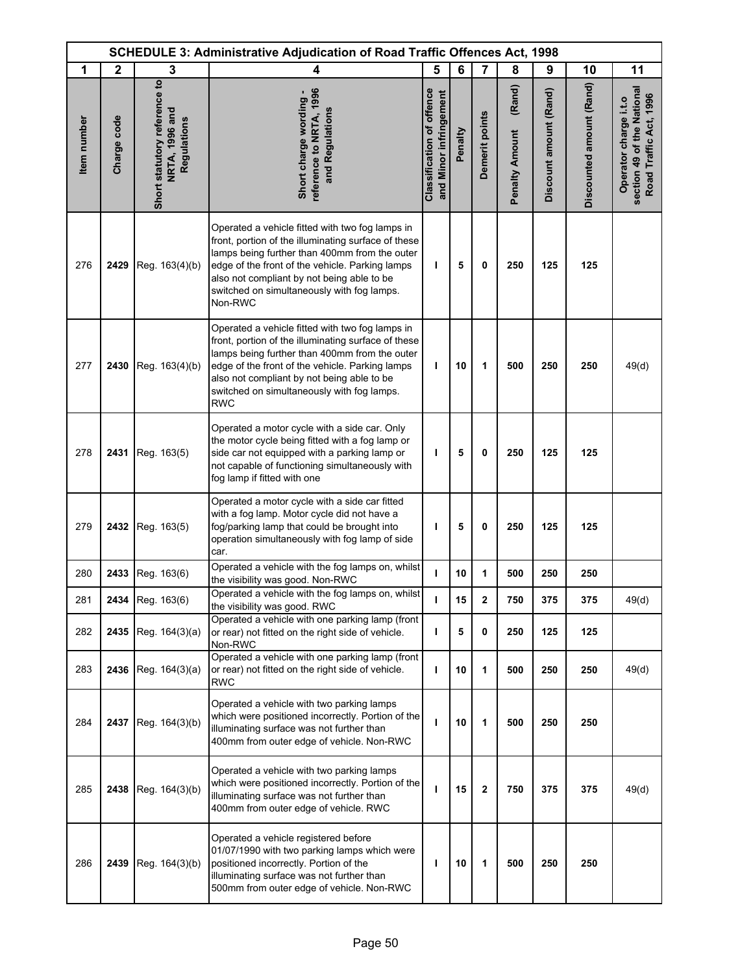|             | <b>SCHEDULE 3: Administrative Adjudication of Road Traffic Offences Act, 1998</b> |                                                               |                                                                                                                                                                                                                                                                                                                      |                                                            |         |                         |                                 |                        |                          |                                                                               |
|-------------|-----------------------------------------------------------------------------------|---------------------------------------------------------------|----------------------------------------------------------------------------------------------------------------------------------------------------------------------------------------------------------------------------------------------------------------------------------------------------------------------|------------------------------------------------------------|---------|-------------------------|---------------------------------|------------------------|--------------------------|-------------------------------------------------------------------------------|
| 1           | $\mathbf{2}$                                                                      | 3                                                             | 4                                                                                                                                                                                                                                                                                                                    | 5                                                          | 6       | $\overline{7}$          | 8                               | 9                      | 10                       | 11                                                                            |
| Item number | Charge code                                                                       | Short statutory reference to<br>NRTA, 1996 and<br>Regulations | reference to NRTA, 1996<br>Short charge wording -<br>and Regulations                                                                                                                                                                                                                                                 | <b>Classification of offence</b><br>and Minor infringement | Penalty | Demerit points          | (Rand)<br><b>Penalty Amount</b> | Discount amount (Rand) | Discounted amount (Rand) | section 49 of the National<br>Road Traffic Act, 1996<br>Operator charge i.t.o |
| 276         | 2429                                                                              | Reg. 163(4)(b)                                                | Operated a vehicle fitted with two fog lamps in<br>front, portion of the illuminating surface of these<br>lamps being further than 400mm from the outer<br>edge of the front of the vehicle. Parking lamps<br>also not compliant by not being able to be<br>switched on simultaneously with fog lamps.<br>Non-RWC    | I.                                                         | 5       | 0                       | 250                             | 125                    | 125                      |                                                                               |
| 277         | 2430                                                                              | Reg. 163(4)(b)                                                | Operated a vehicle fitted with two fog lamps in<br>front, portion of the illuminating surface of these<br>lamps being further than 400mm from the outer<br>edge of the front of the vehicle. Parking lamps<br>also not compliant by not being able to be<br>switched on simultaneously with fog lamps.<br><b>RWC</b> | L                                                          | 10      | 1                       | 500                             | 250                    | 250                      | 49(d)                                                                         |
| 278         | 2431                                                                              | Reg. 163(5)                                                   | Operated a motor cycle with a side car. Only<br>the motor cycle being fitted with a fog lamp or<br>side car not equipped with a parking lamp or<br>not capable of functioning simultaneously with<br>fog lamp if fitted with one                                                                                     | т                                                          | 5       | 0                       | 250                             | 125                    | 125                      |                                                                               |
| 279         | 2432                                                                              | Reg. 163(5)                                                   | Operated a motor cycle with a side car fitted<br>with a fog lamp. Motor cycle did not have a<br>fog/parking lamp that could be brought into<br>operation simultaneously with fog lamp of side<br>car.                                                                                                                | ı                                                          | 5       | 0                       | 250                             | 125                    | 125                      |                                                                               |
| 280         | 2433                                                                              | Reg. 163(6)                                                   | Operated a vehicle with the fog lamps on, whilst<br>the visibility was good. Non-RWC                                                                                                                                                                                                                                 | $\mathbf{I}$                                               | 10      | 1                       | 500                             | 250                    | 250                      |                                                                               |
| 281         |                                                                                   | 2434 Reg. 163(6)                                              | Operated a vehicle with the fog lamps on, whilst<br>the visibility was good. RWC                                                                                                                                                                                                                                     | т                                                          | 15      | $\overline{\mathbf{2}}$ | 750                             | 375                    | 375                      | 49(d)                                                                         |
| 282         | 2435                                                                              | Reg. 164(3)(a)                                                | Operated a vehicle with one parking lamp (front<br>or rear) not fitted on the right side of vehicle.<br>Non-RWC                                                                                                                                                                                                      | L                                                          | 5       | 0                       | 250                             | 125                    | 125                      |                                                                               |
| 283         | 2436                                                                              | Reg. 164(3)(a)                                                | Operated a vehicle with one parking lamp (front<br>or rear) not fitted on the right side of vehicle.<br><b>RWC</b>                                                                                                                                                                                                   | т                                                          | 10      | 1                       | 500                             | 250                    | 250                      | 49(d)                                                                         |
| 284         | 2437                                                                              | Reg. 164(3)(b)                                                | Operated a vehicle with two parking lamps<br>which were positioned incorrectly. Portion of the<br>illuminating surface was not further than<br>400mm from outer edge of vehicle. Non-RWC                                                                                                                             | ı                                                          | 10      | 1                       | 500                             | 250                    | 250                      |                                                                               |
| 285         | 2438                                                                              | Reg. 164(3)(b)                                                | Operated a vehicle with two parking lamps<br>which were positioned incorrectly. Portion of the<br>illuminating surface was not further than<br>400mm from outer edge of vehicle. RWC                                                                                                                                 | т                                                          | 15      | $\mathbf 2$             | 750                             | 375                    | 375                      | 49(d)                                                                         |
| 286         | 2439                                                                              | Reg. 164(3)(b)                                                | Operated a vehicle registered before<br>01/07/1990 with two parking lamps which were<br>positioned incorrectly. Portion of the<br>illuminating surface was not further than<br>500mm from outer edge of vehicle. Non-RWC                                                                                             | т                                                          | 10      | 1                       | 500                             | 250                    | 250                      |                                                                               |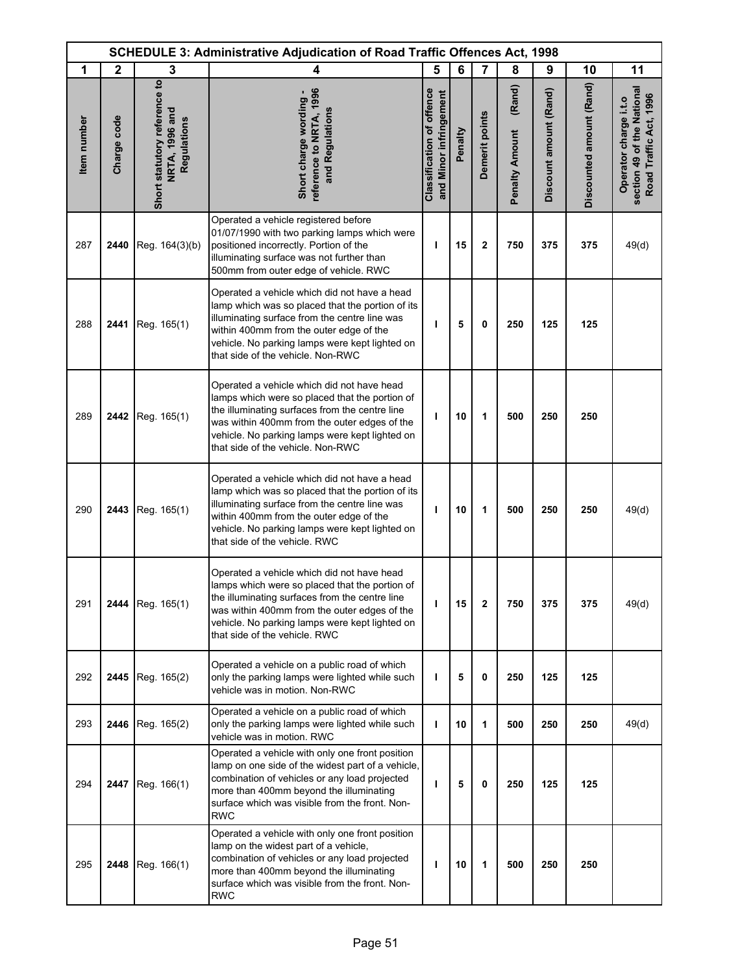| <b>SCHEDULE 3: Administrative Adjudication of Road Traffic Offences Act, 1998</b> |              |                                                               |                                                                                                                                                                                                                                                                                       |                                                            |         |                |                                 |                        |                          |                                                                               |
|-----------------------------------------------------------------------------------|--------------|---------------------------------------------------------------|---------------------------------------------------------------------------------------------------------------------------------------------------------------------------------------------------------------------------------------------------------------------------------------|------------------------------------------------------------|---------|----------------|---------------------------------|------------------------|--------------------------|-------------------------------------------------------------------------------|
| 1                                                                                 | $\mathbf{2}$ | 3                                                             | 4                                                                                                                                                                                                                                                                                     | 5                                                          | 6       | $\overline{7}$ | 8                               | 9                      | 10                       | 11                                                                            |
| <b>Item</b> number                                                                | Charge code  | Short statutory reference to<br>NRTA, 1996 and<br>Regulations | eference to NRTA, 1996<br>Short charge wording -<br>and Regulations                                                                                                                                                                                                                   | <b>Classification of offence</b><br>and Minor infringement | Penalty | Demerit points | (Rand)<br><b>Penalty Amount</b> | Discount amount (Rand) | Discounted amount (Rand) | section 49 of the National<br>Road Traffic Act, 1996<br>Operator charge i.t.o |
| 287                                                                               | 2440         | Reg. 164(3)(b)                                                | Operated a vehicle registered before<br>01/07/1990 with two parking lamps which were<br>positioned incorrectly. Portion of the<br>illuminating surface was not further than<br>500mm from outer edge of vehicle. RWC                                                                  | т                                                          | 15      | $\mathbf{2}$   | 750                             | 375                    | 375                      | 49(d)                                                                         |
| 288                                                                               | 2441         | Reg. 165(1)                                                   | Operated a vehicle which did not have a head<br>lamp which was so placed that the portion of its<br>illuminating surface from the centre line was<br>within 400mm from the outer edge of the<br>vehicle. No parking lamps were kept lighted on<br>that side of the vehicle. Non-RWC   | т                                                          | 5       | 0              | 250                             | 125                    | 125                      |                                                                               |
| 289                                                                               |              | 2442 Reg. 165(1)                                              | Operated a vehicle which did not have head<br>lamps which were so placed that the portion of<br>the illuminating surfaces from the centre line<br>was within 400mm from the outer edges of the<br>vehicle. No parking lamps were kept lighted on<br>that side of the vehicle. Non-RWC | т                                                          | 10      | 1              | 500                             | 250                    | 250                      |                                                                               |
| 290                                                                               | 2443         | Reg. 165(1)                                                   | Operated a vehicle which did not have a head<br>lamp which was so placed that the portion of its<br>illuminating surface from the centre line was<br>within 400mm from the outer edge of the<br>vehicle. No parking lamps were kept lighted on<br>that side of the vehicle. RWC       | т                                                          | 10      | 1              | 500                             | 250                    | 250                      | 49(d)                                                                         |
| 291                                                                               |              | 2444 Reg. 165(1)                                              | Operated a vehicle which did not have head<br>lamps which were so placed that the portion of<br>the illuminating surfaces from the centre line<br>was within 400mm from the outer edges of the<br>vehicle. No parking lamps were kept lighted on<br>that side of the vehicle. RWC     | т                                                          | 15      | 2              | 750                             | 375                    | 375                      | 49(d)                                                                         |
| 292                                                                               |              | <b>2445</b> Reg. $165(2)$                                     | Operated a vehicle on a public road of which<br>only the parking lamps were lighted while such<br>vehicle was in motion. Non-RWC                                                                                                                                                      | т                                                          | 5       | 0              | 250                             | 125                    | 125                      |                                                                               |
| 293                                                                               | 2446         | Reg. 165(2)                                                   | Operated a vehicle on a public road of which<br>only the parking lamps were lighted while such<br>vehicle was in motion. RWC                                                                                                                                                          | L                                                          | 10      | 1              | 500                             | 250                    | 250                      | 49(d)                                                                         |
| 294                                                                               | 2447         | Reg. 166(1)                                                   | Operated a vehicle with only one front position<br>lamp on one side of the widest part of a vehicle,<br>combination of vehicles or any load projected<br>more than 400mm beyond the illuminating<br>surface which was visible from the front. Non-<br>RWC                             | т                                                          | 5       | 0              | 250                             | 125                    | 125                      |                                                                               |
| 295                                                                               | 2448         | Reg. 166(1)                                                   | Operated a vehicle with only one front position<br>lamp on the widest part of a vehicle,<br>combination of vehicles or any load projected<br>more than 400mm beyond the illuminating<br>surface which was visible from the front. Non-<br><b>RWC</b>                                  | т                                                          | 10      | 1              | 500                             | 250                    | 250                      |                                                                               |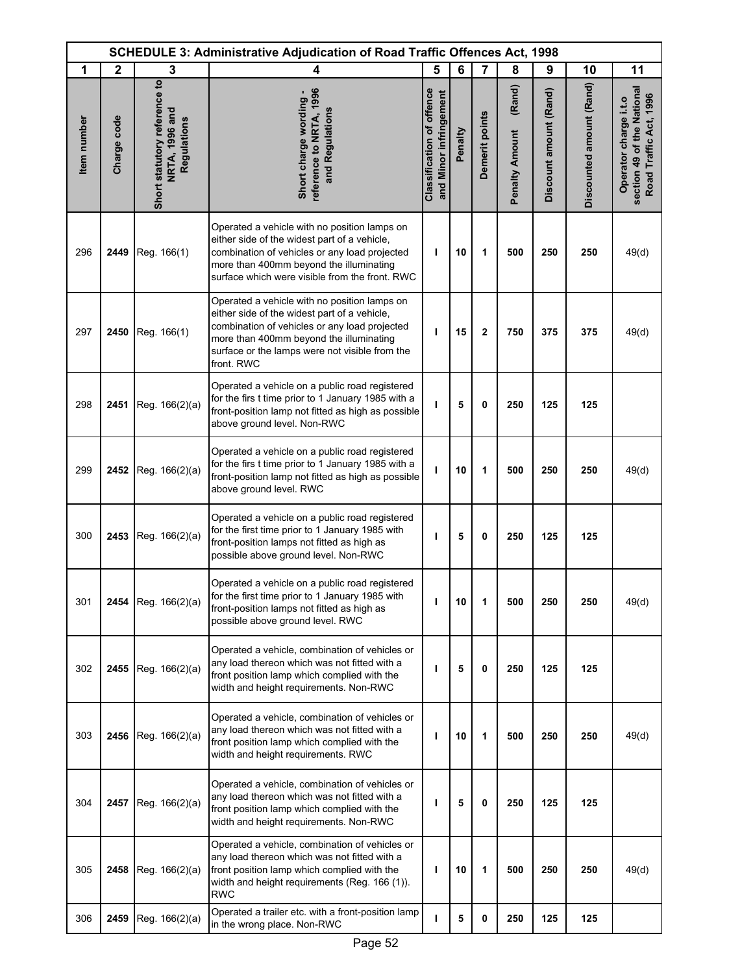|             | SCHEDULE 3: Administrative Adjudication of Road Traffic Offences Act, 1998 |                                                               |                                                                                                                                                                                                                                                          |                                                            |         |                |                                 |                        |                          |                                                                               |
|-------------|----------------------------------------------------------------------------|---------------------------------------------------------------|----------------------------------------------------------------------------------------------------------------------------------------------------------------------------------------------------------------------------------------------------------|------------------------------------------------------------|---------|----------------|---------------------------------|------------------------|--------------------------|-------------------------------------------------------------------------------|
| 1           | $\mathbf 2$                                                                | 3                                                             | $\overline{\mathbf{4}}$                                                                                                                                                                                                                                  | 5                                                          | 6       | $\overline{7}$ | 8                               | 9                      | 10                       | 11                                                                            |
| Item number | Charge code                                                                | Short statutory reference to<br>NRTA, 1996 and<br>Regulations | reference to NRTA, 1996<br>Short charge wording<br>and Regulations                                                                                                                                                                                       | <b>Classification of offence</b><br>and Minor infringement | Penalty | Demerit points | (Rand)<br><b>Penalty Amount</b> | Discount amount (Rand) | Discounted amount (Rand) | section 49 of the National<br>Road Traffic Act, 1996<br>Operator charge i.t.o |
| 296         | 2449                                                                       | Reg. 166(1)                                                   | Operated a vehicle with no position lamps on<br>either side of the widest part of a vehicle,<br>combination of vehicles or any load projected<br>more than 400mm beyond the illuminating<br>surface which were visible from the front. RWC               | т                                                          | 10      | 1              | 500                             | 250                    | 250                      | 49(d)                                                                         |
| 297         | 2450                                                                       | Reg. 166(1)                                                   | Operated a vehicle with no position lamps on<br>either side of the widest part of a vehicle,<br>combination of vehicles or any load projected<br>more than 400mm beyond the illuminating<br>surface or the lamps were not visible from the<br>front. RWC | ı                                                          | 15      | 2              | 750                             | 375                    | 375                      | 49(d)                                                                         |
| 298         | 2451                                                                       | Reg. 166(2)(a)                                                | Operated a vehicle on a public road registered<br>for the firs t time prior to 1 January 1985 with a<br>front-position lamp not fitted as high as possible<br>above ground level. Non-RWC                                                                | ı                                                          | 5       | 0              | 250                             | 125                    | 125                      |                                                                               |
| 299         | 2452                                                                       | Reg. 166(2)(a)                                                | Operated a vehicle on a public road registered<br>for the firs t time prior to 1 January 1985 with a<br>front-position lamp not fitted as high as possible<br>above ground level. RWC                                                                    | ı                                                          | 10      | 1              | 500                             | 250                    | 250                      | 49(d)                                                                         |
| 300         | 2453                                                                       | Reg. 166(2)(a)                                                | Operated a vehicle on a public road registered<br>for the first time prior to 1 January 1985 with<br>front-position lamps not fitted as high as<br>possible above ground level. Non-RWC                                                                  | п                                                          | 5       | 0              | 250                             | 125                    | 125                      |                                                                               |
| 301         | 2454                                                                       | Reg. 166(2)(a)                                                | Operated a vehicle on a public road registered<br>for the first time prior to 1 January 1985 with<br>front-position lamps not fitted as high as<br>possible above ground level. RWC                                                                      | п                                                          | 10      | 1              | 500                             | 250                    | 250                      | 49(d)                                                                         |
| 302         | 2455                                                                       | Reg. 166(2)(a)                                                | Operated a vehicle, combination of vehicles or<br>any load thereon which was not fitted with a<br>front position lamp which complied with the<br>width and height requirements. Non-RWC                                                                  | п                                                          | 5       | 0              | 250                             | 125                    | 125                      |                                                                               |
| 303         | 2456                                                                       | Reg. 166(2)(a)                                                | Operated a vehicle, combination of vehicles or<br>any load thereon which was not fitted with a<br>front position lamp which complied with the<br>width and height requirements. RWC                                                                      | п                                                          | 10      | 1              | 500                             | 250                    | 250                      | 49(d)                                                                         |
| 304         | 2457                                                                       | Reg. 166(2)(a)                                                | Operated a vehicle, combination of vehicles or<br>any load thereon which was not fitted with a<br>front position lamp which complied with the<br>width and height requirements. Non-RWC                                                                  | п                                                          | 5       | 0              | 250                             | 125                    | 125                      |                                                                               |
| 305         | 2458                                                                       | Reg. 166(2)(a)                                                | Operated a vehicle, combination of vehicles or<br>any load thereon which was not fitted with a<br>front position lamp which complied with the<br>width and height requirements (Reg. 166 (1)).<br><b>RWC</b>                                             | ı                                                          | 10      | 1              | 500                             | 250                    | 250                      | 49(d)                                                                         |
| 306         | 2459                                                                       | Reg. 166(2)(a)                                                | Operated a trailer etc. with a front-position lamp<br>in the wrong place. Non-RWC                                                                                                                                                                        | L                                                          | 5       | 0              | 250                             | 125                    | 125                      |                                                                               |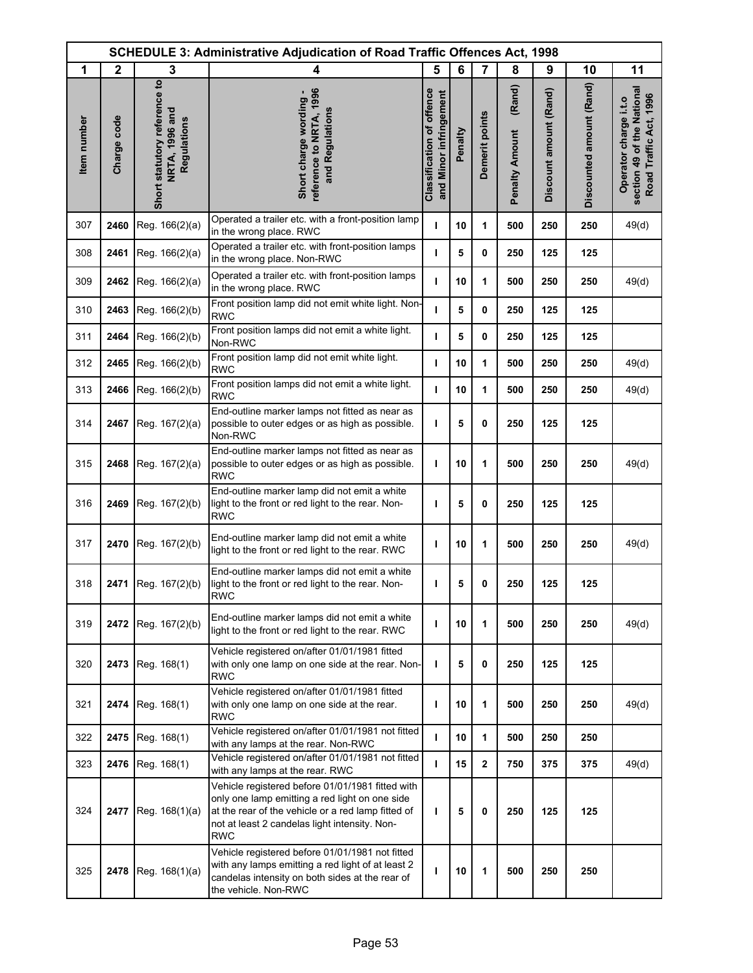|             |              |                                                               | <b>SCHEDULE 3: Administrative Adjudication of Road Traffic Offences Act, 1998</b>                                                                                                                                       |                                                            |         |                |                                 |                        |                          |                                                                               |
|-------------|--------------|---------------------------------------------------------------|-------------------------------------------------------------------------------------------------------------------------------------------------------------------------------------------------------------------------|------------------------------------------------------------|---------|----------------|---------------------------------|------------------------|--------------------------|-------------------------------------------------------------------------------|
| 1           | $\mathbf{2}$ | 3                                                             | 4                                                                                                                                                                                                                       | 5                                                          | 6       | $\overline{7}$ | 8                               | 9                      | 10                       | 11                                                                            |
| Item number | Charge code  | Short statutory reference to<br>NRTA, 1996 and<br>Regulations | reference to NRTA, 1996<br>Short charge wording<br>and Regulations                                                                                                                                                      | <b>Classification of offence</b><br>and Minor infringement | Penalty | Demerit points | (Rand)<br><b>Penalty Amount</b> | Discount amount (Rand) | Discounted amount (Rand) | section 49 of the National<br>Road Traffic Act, 1996<br>Operator charge i.t.o |
| 307         | 2460         | Reg. 166(2)(a)                                                | Operated a trailer etc. with a front-position lamp<br>in the wrong place. RWC                                                                                                                                           | T                                                          | 10      | 1              | 500                             | 250                    | 250                      | 49(d)                                                                         |
| 308         | 2461         | Reg. 166(2)(a)                                                | Operated a trailer etc. with front-position lamps<br>in the wrong place. Non-RWC                                                                                                                                        | т                                                          | 5       | 0              | 250                             | 125                    | 125                      |                                                                               |
| 309         | 2462         | Reg. 166(2)(a)                                                | Operated a trailer etc. with front-position lamps<br>in the wrong place. RWC                                                                                                                                            | т                                                          | 10      | 1              | 500                             | 250                    | 250                      | 49(d)                                                                         |
| 310         | 2463         | Reg. 166(2)(b)                                                | Front position lamp did not emit white light. Non-<br><b>RWC</b>                                                                                                                                                        | т                                                          | 5       | 0              | 250                             | 125                    | 125                      |                                                                               |
| 311         | 2464         | Reg. 166(2)(b)                                                | Front position lamps did not emit a white light.<br>Non-RWC                                                                                                                                                             | п                                                          | 5       | 0              | 250                             | 125                    | 125                      |                                                                               |
| 312         | 2465         | Reg. 166(2)(b)                                                | Front position lamp did not emit white light.<br><b>RWC</b>                                                                                                                                                             | T                                                          | 10      | 1              | 500                             | 250                    | 250                      | 49(d)                                                                         |
| 313         | 2466         | Reg. 166(2)(b)                                                | Front position lamps did not emit a white light.<br><b>RWC</b>                                                                                                                                                          | т                                                          | 10      | 1              | 500                             | 250                    | 250                      | 49(d)                                                                         |
| 314         | 2467         | Reg. 167(2)(a)                                                | End-outline marker lamps not fitted as near as<br>possible to outer edges or as high as possible.<br>Non-RWC                                                                                                            | T                                                          | 5       | 0              | 250                             | 125                    | 125                      |                                                                               |
| 315         | 2468         | Reg. 167(2)(a)                                                | End-outline marker lamps not fitted as near as<br>possible to outer edges or as high as possible.<br><b>RWC</b>                                                                                                         | I.                                                         | 10      | 1              | 500                             | 250                    | 250                      | 49(d)                                                                         |
| 316         | 2469         | Reg. 167(2)(b)                                                | End-outline marker lamp did not emit a white<br>light to the front or red light to the rear. Non-<br><b>RWC</b>                                                                                                         | T                                                          | 5       | 0              | 250                             | 125                    | 125                      |                                                                               |
| 317         | 2470         | Reg. 167(2)(b)                                                | End-outline marker lamp did not emit a white<br>light to the front or red light to the rear. RWC                                                                                                                        | T                                                          | 10      | 1              | 500                             | 250                    | 250                      | 49(d)                                                                         |
| 318         | 2471         | Reg. 167(2)(b)                                                | End-outline marker lamps did not emit a white<br>light to the front or red light to the rear. Non-<br>RWC                                                                                                               | т                                                          | 5       | 0              | 250                             | 125                    | 125                      |                                                                               |
| 319         | 2472         | Reg. 167(2)(b)                                                | End-outline marker lamps did not emit a white<br>light to the front or red light to the rear. RWC                                                                                                                       | т                                                          | 10      | 1              | 500                             | 250                    | 250                      | 49(d)                                                                         |
| 320         | 2473         | Reg. 168(1)                                                   | Vehicle registered on/after 01/01/1981 fitted<br>with only one lamp on one side at the rear. Non-<br><b>RWC</b>                                                                                                         | T                                                          | 5       | 0              | 250                             | 125                    | 125                      |                                                                               |
| 321         | 2474         | Reg. 168(1)                                                   | Vehicle registered on/after 01/01/1981 fitted<br>with only one lamp on one side at the rear.<br><b>RWC</b>                                                                                                              | T                                                          | 10      | 1              | 500                             | 250                    | 250                      | 49(d)                                                                         |
| 322         | 2475         | Reg. 168(1)                                                   | Vehicle registered on/after 01/01/1981 not fitted<br>with any lamps at the rear. Non-RWC                                                                                                                                | т                                                          | 10      | 1              | 500                             | 250                    | 250                      |                                                                               |
| 323         | 2476         | Reg. 168(1)                                                   | Vehicle registered on/after 01/01/1981 not fitted<br>with any lamps at the rear. RWC                                                                                                                                    | $\mathbf{I}$                                               | 15      | $\mathbf{2}$   | 750                             | 375                    | 375                      | 49(d)                                                                         |
| 324         | 2477         | Reg. 168(1)(a)                                                | Vehicle registered before 01/01/1981 fitted with<br>only one lamp emitting a red light on one side<br>at the rear of the vehicle or a red lamp fitted of<br>not at least 2 candelas light intensity. Non-<br><b>RWC</b> | т                                                          | 5       | 0              | 250                             | 125                    | 125                      |                                                                               |
| 325         | 2478         | Reg. 168(1)(a)                                                | Vehicle registered before 01/01/1981 not fitted<br>with any lamps emitting a red light of at least 2<br>candelas intensity on both sides at the rear of<br>the vehicle. Non-RWC                                         | т                                                          | 10      | 1              | 500                             | 250                    | 250                      |                                                                               |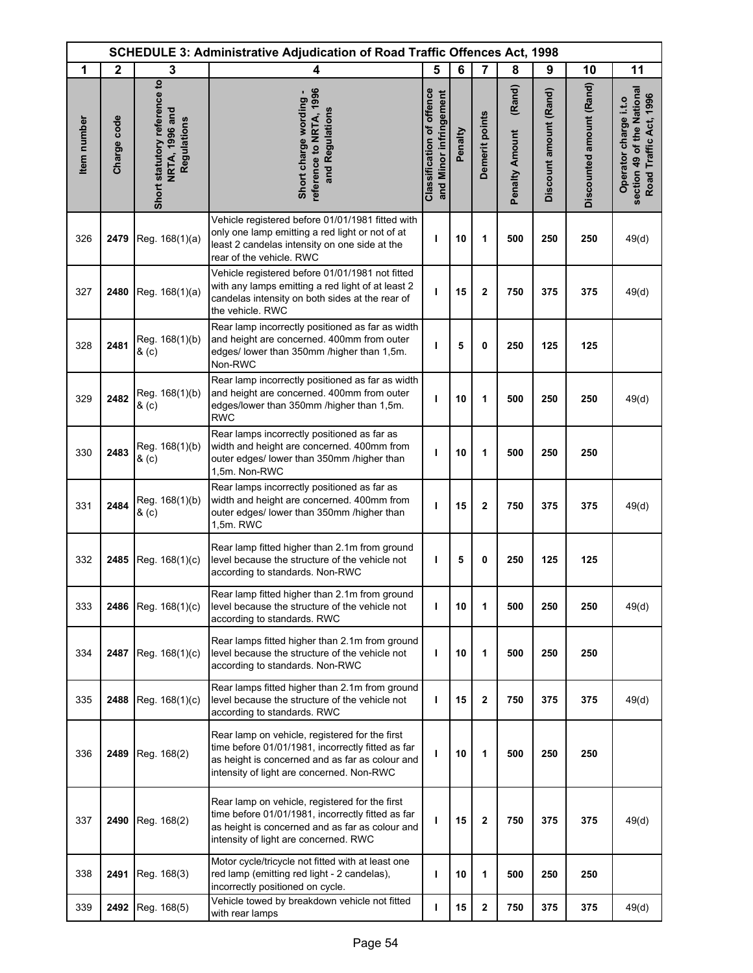|             | <b>SCHEDULE 3: Administrative Adjudication of Road Traffic Offences Act, 1998</b> |                                                               |                                                                                                                                                                                                     |                                                            |         |                |                                 |                        |                          |                                                                               |
|-------------|-----------------------------------------------------------------------------------|---------------------------------------------------------------|-----------------------------------------------------------------------------------------------------------------------------------------------------------------------------------------------------|------------------------------------------------------------|---------|----------------|---------------------------------|------------------------|--------------------------|-------------------------------------------------------------------------------|
| 1           | $\mathbf{2}$                                                                      | 3                                                             | 4                                                                                                                                                                                                   | 5                                                          | 6       | $\overline{7}$ | 8                               | 9                      | 10                       | 11                                                                            |
| Item number | Charge code                                                                       | Short statutory reference to<br>NRTA, 1996 and<br>Regulations | reference to NRTA, 1996<br>Short charge wording -<br>and Regulations                                                                                                                                | <b>Classification of offence</b><br>and Minor infringement | Penalty | Demerit points | (Rand)<br><b>Penalty Amount</b> | Discount amount (Rand) | Discounted amount (Rand) | section 49 of the National<br>Road Traffic Act, 1996<br>Operator charge i.t.o |
| 326         | 2479                                                                              | Reg. 168(1)(a)                                                | Vehicle registered before 01/01/1981 fitted with<br>only one lamp emitting a red light or not of at<br>least 2 candelas intensity on one side at the<br>rear of the vehicle. RWC                    | ı                                                          | 10      | 1              | 500                             | 250                    | 250                      | 49(d)                                                                         |
| 327         | 2480                                                                              | Reg. 168(1)(a)                                                | Vehicle registered before 01/01/1981 not fitted<br>with any lamps emitting a red light of at least 2<br>candelas intensity on both sides at the rear of<br>the vehicle. RWC                         | т                                                          | 15      | $\mathbf{2}$   | 750                             | 375                    | 375                      | 49(d)                                                                         |
| 328         | 2481                                                                              | Reg. 168(1)(b)<br>& (c)                                       | Rear lamp incorrectly positioned as far as width<br>and height are concerned. 400mm from outer<br>edges/ lower than 350mm /higher than 1,5m.<br>Non-RWC                                             | т                                                          | 5       | 0              | 250                             | 125                    | 125                      |                                                                               |
| 329         | 2482                                                                              | Reg. 168(1)(b)<br>& (c)                                       | Rear lamp incorrectly positioned as far as width<br>and height are concerned. 400mm from outer<br>edges/lower than 350mm /higher than 1,5m.<br><b>RWC</b>                                           | ı                                                          | 10      | 1              | 500                             | 250                    | 250                      | 49(d)                                                                         |
| 330         | 2483                                                                              | Reg. 168(1)(b)<br>& (c)                                       | Rear lamps incorrectly positioned as far as<br>width and height are concerned. 400mm from<br>outer edges/ lower than 350mm /higher than<br>1,5m. Non-RWC                                            | ı                                                          | 10      | 1              | 500                             | 250                    | 250                      |                                                                               |
| 331         | 2484                                                                              | Reg. 168(1)(b)<br>& (c)                                       | Rear lamps incorrectly positioned as far as<br>width and height are concerned. 400mm from<br>outer edges/ lower than 350mm /higher than<br>1,5m. RWC                                                | I                                                          | 15      | $\mathbf 2$    | 750                             | 375                    | 375                      | 49(d)                                                                         |
| 332         | 2485                                                                              | Reg. 168(1)(c)                                                | Rear lamp fitted higher than 2.1m from ground<br>level because the structure of the vehicle not<br>according to standards. Non-RWC                                                                  | т                                                          | 5       | 0              | 250                             | 125                    | 125                      |                                                                               |
| 333         | 2486                                                                              | Reg. 168(1)(c)                                                | Rear lamp fitted higher than 2.1m from ground<br>level because the structure of the vehicle not<br>according to standards. RWC                                                                      | т                                                          | 10      | 1              | 500                             | 250                    | 250                      | 49(d)                                                                         |
| 334         | 2487                                                                              | Reg. 168(1)(c)                                                | Rear lamps fitted higher than 2.1m from ground<br>level because the structure of the vehicle not<br>according to standards. Non-RWC                                                                 | ı                                                          | 10      | 1              | 500                             | 250                    | 250                      |                                                                               |
| 335         | 2488                                                                              | Reg. 168(1)(c)                                                | Rear lamps fitted higher than 2.1m from ground<br>level because the structure of the vehicle not<br>according to standards. RWC                                                                     | ı                                                          | 15      | $\mathbf 2$    | 750                             | 375                    | 375                      | 49(d)                                                                         |
| 336         | 2489                                                                              | Reg. 168(2)                                                   | Rear lamp on vehicle, registered for the first<br>time before 01/01/1981, incorrectly fitted as far<br>as height is concerned and as far as colour and<br>intensity of light are concerned. Non-RWC | ı                                                          | 10      | 1              | 500                             | 250                    | 250                      |                                                                               |
| 337         | 2490                                                                              | Reg. 168(2)                                                   | Rear lamp on vehicle, registered for the first<br>time before 01/01/1981, incorrectly fitted as far<br>as height is concerned and as far as colour and<br>intensity of light are concerned. RWC     | ı                                                          | 15      | $\mathbf{2}$   | 750                             | 375                    | 375                      | 49(d)                                                                         |
| 338         | 2491                                                                              | Reg. 168(3)                                                   | Motor cycle/tricycle not fitted with at least one<br>red lamp (emitting red light - 2 candelas),<br>incorrectly positioned on cycle.                                                                | ı                                                          | 10      | 1              | 500                             | 250                    | 250                      |                                                                               |
| 339         | 2492                                                                              | Reg. 168(5)                                                   | Vehicle towed by breakdown vehicle not fitted<br>with rear lamps                                                                                                                                    | т                                                          | 15      | $\mathbf 2$    | 750                             | 375                    | 375                      | 49(d)                                                                         |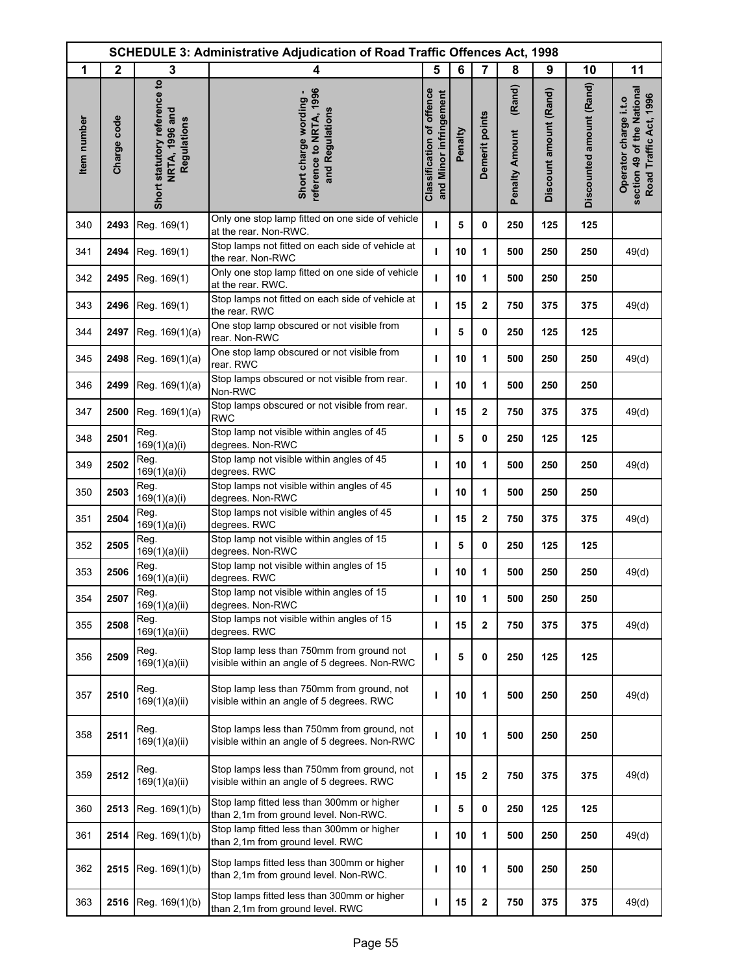|             | <b>SCHEDULE 3: Administrative Adjudication of Road Traffic Offences Act, 1998</b> |                                                               |                                                                                              |                                                            |         |                |                                 |                        |                          |                                                                               |
|-------------|-----------------------------------------------------------------------------------|---------------------------------------------------------------|----------------------------------------------------------------------------------------------|------------------------------------------------------------|---------|----------------|---------------------------------|------------------------|--------------------------|-------------------------------------------------------------------------------|
| 1           | $\mathbf{2}$                                                                      | 3                                                             | 4                                                                                            | 5                                                          | 6       | $\overline{7}$ | 8                               | 9                      | 10                       | 11                                                                            |
| Item number | Charge code                                                                       | Short statutory reference to<br>NRTA, 1996 and<br>Regulations | reference to NRTA, 1996<br>Short charge wording -<br>and Regulations                         | <b>Classification of offence</b><br>and Minor infringement | Penalty | Demerit points | (Rand)<br><b>Penalty Amount</b> | Discount amount (Rand) | Discounted amount (Rand) | section 49 of the National<br>Road Traffic Act, 1996<br>Operator charge i.t.o |
| 340         | 2493                                                                              | Reg. 169(1)                                                   | Only one stop lamp fitted on one side of vehicle<br>at the rear. Non-RWC.                    | т                                                          | 5       | 0              | 250                             | 125                    | 125                      |                                                                               |
| 341         | 2494                                                                              | Reg. 169(1)                                                   | Stop lamps not fitted on each side of vehicle at<br>the rear. Non-RWC                        | т                                                          | 10      | 1              | 500                             | 250                    | 250                      | 49(d)                                                                         |
| 342         | 2495                                                                              | Reg. 169(1)                                                   | Only one stop lamp fitted on one side of vehicle<br>at the rear. RWC.                        | $\mathbf{I}$                                               | 10      | 1              | 500                             | 250                    | 250                      |                                                                               |
| 343         | 2496                                                                              | Reg. 169(1)                                                   | Stop lamps not fitted on each side of vehicle at<br>the rear. RWC                            | ı                                                          | 15      | $\mathbf 2$    | 750                             | 375                    | 375                      | 49(d)                                                                         |
| 344         | 2497                                                                              | Reg. 169(1)(a)                                                | One stop lamp obscured or not visible from<br>rear. Non-RWC                                  | ı                                                          | 5       | 0              | 250                             | 125                    | 125                      |                                                                               |
| 345         | 2498                                                                              | Reg. 169(1)(a)                                                | One stop lamp obscured or not visible from<br>rear. RWC                                      | ı                                                          | 10      | 1              | 500                             | 250                    | 250                      | 49(d)                                                                         |
| 346         | 2499                                                                              | Reg. 169(1)(a)                                                | Stop lamps obscured or not visible from rear.<br>Non-RWC                                     | ı                                                          | 10      | 1              | 500                             | 250                    | 250                      |                                                                               |
| 347         | 2500                                                                              | Reg. 169(1)(a)                                                | Stop lamps obscured or not visible from rear.<br><b>RWC</b>                                  | т                                                          | 15      | $\mathbf{2}$   | 750                             | 375                    | 375                      | 49(d)                                                                         |
| 348         | 2501                                                                              | Reg.<br>169(1)(a)(i)                                          | Stop lamp not visible within angles of 45<br>degrees. Non-RWC                                | ı                                                          | 5       | 0              | 250                             | 125                    | 125                      |                                                                               |
| 349         | 2502                                                                              | Reg.<br>169(1)(a)(i)                                          | Stop lamp not visible within angles of 45<br>degrees. RWC                                    | т                                                          | 10      | 1              | 500                             | 250                    | 250                      | 49(d)                                                                         |
| 350         | 2503                                                                              | Reg.<br>169(1)(a)(i)                                          | Stop lamps not visible within angles of 45<br>degrees. Non-RWC                               | ı                                                          | 10      | 1              | 500                             | 250                    | 250                      |                                                                               |
| 351         | 2504                                                                              | Reg.<br>169(1)(a)(i)                                          | Stop lamps not visible within angles of 45<br>degrees. RWC                                   | ı                                                          | 15      | $\mathbf{2}$   | 750                             | 375                    | 375                      | 49(d)                                                                         |
| 352         | 2505                                                                              | Reg.<br>169(1)(a)(ii)                                         | Stop lamp not visible within angles of 15<br>degrees. Non-RWC                                | ı                                                          | 5       | 0              | 250                             | 125                    | 125                      |                                                                               |
| 353         | 2506                                                                              | Reg.<br>169(1)(a)(ii)                                         | Stop lamp not visible within angles of 15<br>degrees. RWC                                    | т                                                          | 10      | 1              | 500                             | 250                    | 250                      | 49(d)                                                                         |
| 354         | 2507                                                                              | Reg.<br>169(1)(a)(ii)                                         | Stop lamp not visible within angles of 15<br>degrees. Non-RWC                                | ı                                                          | 10      | 1              | 500                             | 250                    | 250                      |                                                                               |
| 355         | 2508                                                                              | Reg.<br>169(1)(a)(ii)                                         | Stop lamps not visible within angles of 15<br>degrees. RWC                                   | т                                                          | 15      | $\mathbf{2}$   | 750                             | 375                    | 375                      | 49(d)                                                                         |
| 356         | 2509                                                                              | Reg.<br>169(1)(a)(ii)                                         | Stop lamp less than 750mm from ground not<br>visible within an angle of 5 degrees. Non-RWC   | т                                                          | 5       | 0              | 250                             | 125                    | 125                      |                                                                               |
| 357         | 2510                                                                              | Reg.<br>169(1)(a)(ii)                                         | Stop lamp less than 750mm from ground, not<br>visible within an angle of 5 degrees. RWC      | ı                                                          | 10      | 1              | 500                             | 250                    | 250                      | 49(d)                                                                         |
| 358         | 2511                                                                              | Reg.<br>169(1)(a)(ii)                                         | Stop lamps less than 750mm from ground, not<br>visible within an angle of 5 degrees. Non-RWC | ı                                                          | 10      | 1              | 500                             | 250                    | 250                      |                                                                               |
| 359         | 2512                                                                              | Reg.<br>169(1)(a)(ii)                                         | Stop lamps less than 750mm from ground, not<br>visible within an angle of 5 degrees. RWC     | ı                                                          | 15      | $\mathbf 2$    | 750                             | 375                    | 375                      | 49(d)                                                                         |
| 360         | 2513                                                                              | Reg. 169(1)(b)                                                | Stop lamp fitted less than 300mm or higher<br>than 2,1m from ground level. Non-RWC.          | т                                                          | 5       | 0              | 250                             | 125                    | 125                      |                                                                               |
| 361         | 2514                                                                              | Reg. 169(1)(b)                                                | Stop lamp fitted less than 300mm or higher<br>than 2,1m from ground level. RWC               | ı                                                          | 10      | 1              | 500                             | 250                    | 250                      | 49(d)                                                                         |
| 362         | 2515                                                                              | Reg. 169(1)(b)                                                | Stop lamps fitted less than 300mm or higher<br>than 2,1m from ground level. Non-RWC.         | т                                                          | 10      | 1              | 500                             | 250                    | 250                      |                                                                               |
| 363         | 2516                                                                              | Reg. 169(1)(b)                                                | Stop lamps fitted less than 300mm or higher<br>than 2,1m from ground level. RWC              | т                                                          | 15      | $\mathbf 2$    | 750                             | 375                    | 375                      | 49(d)                                                                         |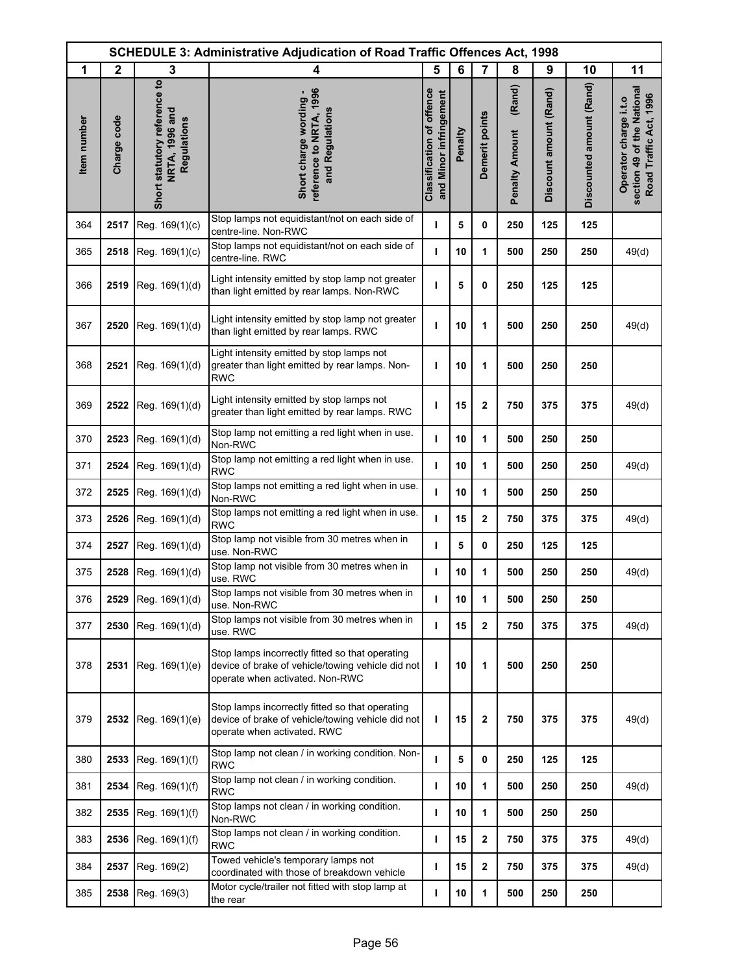|             | <b>SCHEDULE 3: Administrative Adjudication of Road Traffic Offences Act, 1998</b> |                                                               |                                                                                                                                         |                                                            |         |                         |                                 |                        |                          |                                                                               |
|-------------|-----------------------------------------------------------------------------------|---------------------------------------------------------------|-----------------------------------------------------------------------------------------------------------------------------------------|------------------------------------------------------------|---------|-------------------------|---------------------------------|------------------------|--------------------------|-------------------------------------------------------------------------------|
| 1           | $\mathbf{2}$                                                                      | 3                                                             | 4                                                                                                                                       | 5                                                          | 6       | $\overline{7}$          | 8                               | 9                      | 10                       | 11                                                                            |
| Item number | Charge code                                                                       | Short statutory reference to<br>NRTA, 1996 and<br>Regulations | reference to NRTA, 1996<br>Short charge wording -<br>and Regulations                                                                    | <b>Classification of offence</b><br>and Minor infringement | Penalty | Demerit points          | (Rand)<br><b>Penalty Amount</b> | Discount amount (Rand) | Discounted amount (Rand) | section 49 of the National<br>Road Traffic Act, 1996<br>Operator charge i.t.o |
| 364         | 2517                                                                              | Reg. 169(1)(c)                                                | Stop lamps not equidistant/not on each side of<br>centre-line. Non-RWC                                                                  | т                                                          | 5       | 0                       | 250                             | 125                    | 125                      |                                                                               |
| 365         | 2518                                                                              | Reg. 169(1)(c)                                                | Stop lamps not equidistant/not on each side of<br>centre-line. RWC                                                                      | т                                                          | 10      | 1                       | 500                             | 250                    | 250                      | 49(d)                                                                         |
| 366         | 2519                                                                              | Reg. 169(1)(d)                                                | Light intensity emitted by stop lamp not greater<br>than light emitted by rear lamps. Non-RWC                                           | т                                                          | 5       | 0                       | 250                             | 125                    | 125                      |                                                                               |
| 367         | 2520                                                                              | Reg. 169(1)(d)                                                | Light intensity emitted by stop lamp not greater<br>than light emitted by rear lamps. RWC                                               | т                                                          | 10      | 1                       | 500                             | 250                    | 250                      | 49(d)                                                                         |
| 368         | 2521                                                                              | Reg. 169(1)(d)                                                | Light intensity emitted by stop lamps not<br>greater than light emitted by rear lamps. Non-<br><b>RWC</b>                               | ı                                                          | 10      | 1                       | 500                             | 250                    | 250                      |                                                                               |
| 369         | 2522                                                                              | Reg. 169(1)(d)                                                | Light intensity emitted by stop lamps not<br>greater than light emitted by rear lamps. RWC                                              | ı                                                          | 15      | $\overline{\mathbf{2}}$ | 750                             | 375                    | 375                      | 49(d)                                                                         |
| 370         | 2523                                                                              | Reg. 169(1)(d)                                                | Stop lamp not emitting a red light when in use.<br>Non-RWC                                                                              | т                                                          | 10      | 1                       | 500                             | 250                    | 250                      |                                                                               |
| 371         | 2524                                                                              | Reg. 169(1)(d)                                                | Stop lamp not emitting a red light when in use.<br><b>RWC</b>                                                                           | т                                                          | 10      | 1                       | 500                             | 250                    | 250                      | 49(d)                                                                         |
| 372         | 2525                                                                              | Reg. 169(1)(d)                                                | Stop lamps not emitting a red light when in use.<br>Non-RWC                                                                             | $\mathbf{I}$                                               | 10      | 1                       | 500                             | 250                    | 250                      |                                                                               |
| 373         | 2526                                                                              | Reg. 169(1)(d)                                                | Stop lamps not emitting a red light when in use.<br><b>RWC</b>                                                                          | т                                                          | 15      | $\mathbf 2$             | 750                             | 375                    | 375                      | 49(d)                                                                         |
| 374         | 2527                                                                              | Reg. 169(1)(d)                                                | Stop lamp not visible from 30 metres when in<br>use. Non-RWC                                                                            | ı                                                          | 5       | 0                       | 250                             | 125                    | 125                      |                                                                               |
| 375         | 2528                                                                              | Reg. 169(1)(d)                                                | Stop lamp not visible from 30 metres when in<br>use. RWC                                                                                | $\mathbf{I}$                                               | 10      | 1                       | 500                             | 250                    | 250                      | 49(d)                                                                         |
| 376         | 2529                                                                              | Reg. 169(1)(d)                                                | Stop lamps not visible from 30 metres when in<br>use. Non-RWC                                                                           | ı                                                          | 10      | 1                       | 500                             | 250                    | 250                      |                                                                               |
| 377         | 2530                                                                              | Reg. 169(1)(d)                                                | Stop lamps not visible from 30 metres when in<br>use. RWC                                                                               | T                                                          | 15      | $\mathbf{2}$            | 750                             | 375                    | 375                      | 49(d)                                                                         |
| 378         | 2531                                                                              | Reg. 169(1)(e)                                                | Stop lamps incorrectly fitted so that operating<br>device of brake of vehicle/towing vehicle did not<br>operate when activated. Non-RWC | т                                                          | 10      | 1                       | 500                             | 250                    | 250                      |                                                                               |
| 379         | 2532                                                                              | Reg. 169(1)(e)                                                | Stop lamps incorrectly fitted so that operating<br>device of brake of vehicle/towing vehicle did not<br>operate when activated. RWC     | т                                                          | 15      | $\mathbf{2}$            | 750                             | 375                    | 375                      | 49(d)                                                                         |
| 380         | 2533                                                                              | Reg. 169(1)(f)                                                | Stop lamp not clean / in working condition. Non-<br><b>RWC</b>                                                                          | т                                                          | 5       | 0                       | 250                             | 125                    | 125                      |                                                                               |
| 381         | 2534                                                                              | Reg. 169(1)(f)                                                | Stop lamp not clean / in working condition.<br><b>RWC</b>                                                                               | т                                                          | 10      | 1                       | 500                             | 250                    | 250                      | 49(d)                                                                         |
| 382         | 2535                                                                              | Reg. 169(1)(f)                                                | Stop lamps not clean / in working condition.<br>Non-RWC                                                                                 | т                                                          | 10      | 1                       | 500                             | 250                    | 250                      |                                                                               |
| 383         | 2536                                                                              | Reg. 169(1)(f)                                                | Stop lamps not clean / in working condition.<br><b>RWC</b>                                                                              | ı                                                          | 15      | $\mathbf 2$             | 750                             | 375                    | 375                      | 49(d)                                                                         |
| 384         | 2537                                                                              | Reg. 169(2)                                                   | Towed vehicle's temporary lamps not<br>coordinated with those of breakdown vehicle                                                      | ı                                                          | 15      | $\mathbf 2$             | 750                             | 375                    | 375                      | 49(d)                                                                         |
| 385         | 2538                                                                              | Reg. 169(3)                                                   | Motor cycle/trailer not fitted with stop lamp at<br>the rear                                                                            | т                                                          | 10      | 1                       | 500                             | 250                    | 250                      |                                                                               |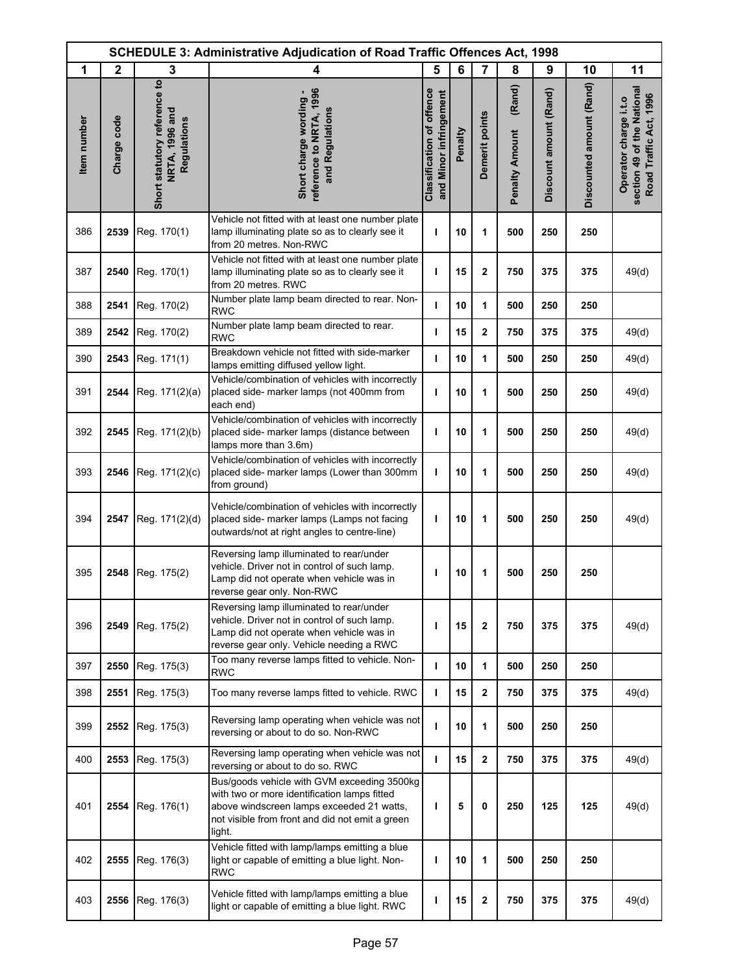|             | <b>SCHEDULE 3: Administrative Adjudication of Road Traffic Offences Act, 1998</b> |                                                               |                                                                                                                                                                                                       |                                                            |         |                |                                 |                        |                          |                                                                               |
|-------------|-----------------------------------------------------------------------------------|---------------------------------------------------------------|-------------------------------------------------------------------------------------------------------------------------------------------------------------------------------------------------------|------------------------------------------------------------|---------|----------------|---------------------------------|------------------------|--------------------------|-------------------------------------------------------------------------------|
| 1           | $\mathbf{2}$                                                                      | 3                                                             | 4                                                                                                                                                                                                     | 5                                                          | 6       | 7              | 8                               | 9                      | 10                       | 11                                                                            |
| Item number | Charge code                                                                       | Short statutory reference to<br>NRTA, 1996 and<br>Regulations | reference to NRTA, 1996<br>Short charge wording -<br>and Regulations                                                                                                                                  | <b>Classification of offence</b><br>and Minor infringement | Penalty | Demerit points | (Rand)<br><b>Penalty Amount</b> | Discount amount (Rand) | Discounted amount (Rand) | section 49 of the National<br>Road Traffic Act, 1996<br>Operator charge i.t.o |
| 386         | 2539                                                                              | Reg. 170(1)                                                   | Vehicle not fitted with at least one number plate<br>lamp illuminating plate so as to clearly see it<br>from 20 metres. Non-RWC                                                                       | т                                                          | 10      | 1              | 500                             | 250                    | 250                      |                                                                               |
| 387         | 2540                                                                              | Reg. 170(1)                                                   | Vehicle not fitted with at least one number plate<br>lamp illuminating plate so as to clearly see it<br>from 20 metres. RWC                                                                           | т                                                          | 15      | $\mathbf 2$    | 750                             | 375                    | 375                      | 49(d)                                                                         |
| 388         | 2541                                                                              | Reg. 170(2)                                                   | Number plate lamp beam directed to rear. Non-<br><b>RWC</b>                                                                                                                                           | т                                                          | 10      | 1              | 500                             | 250                    | 250                      |                                                                               |
| 389         | 2542                                                                              | Reg. 170(2)                                                   | Number plate lamp beam directed to rear.<br><b>RWC</b>                                                                                                                                                | т                                                          | 15      | 2              | 750                             | 375                    | 375                      | 49(d)                                                                         |
| 390         | 2543                                                                              | Reg. 171(1)                                                   | Breakdown vehicle not fitted with side-marker<br>lamps emitting diffused yellow light.                                                                                                                | п                                                          | 10      | 1              | 500                             | 250                    | 250                      | 49(d)                                                                         |
| 391         | 2544                                                                              | Reg. 171(2)(a)                                                | Vehicle/combination of vehicles with incorrectly<br>placed side- marker lamps (not 400mm from<br>each end)                                                                                            | т                                                          | 10      | 1              | 500                             | 250                    | 250                      | 49(d)                                                                         |
| 392         | 2545                                                                              | Reg. 171(2)(b)                                                | Vehicle/combination of vehicles with incorrectly<br>placed side- marker lamps (distance between<br>lamps more than 3.6m)                                                                              | т                                                          | 10      | 1              | 500                             | 250                    | 250                      | 49(d)                                                                         |
| 393         | 2546                                                                              | Reg. 171(2)(c)                                                | Vehicle/combination of vehicles with incorrectly<br>placed side- marker lamps (Lower than 300mm<br>from ground)                                                                                       | т                                                          | 10      | 1              | 500                             | 250                    | 250                      | 49(d)                                                                         |
| 394         | 2547                                                                              | Reg. 171(2)(d)                                                | Vehicle/combination of vehicles with incorrectly<br>placed side- marker lamps (Lamps not facing<br>outwards/not at right angles to centre-line)                                                       | т                                                          | 10      | 1              | 500                             | 250                    | 250                      | 49(d)                                                                         |
| 395         | 2548                                                                              | Reg. 175(2)                                                   | Reversing lamp illuminated to rear/under<br>vehicle. Driver not in control of such lamp.<br>Lamp did not operate when vehicle was in<br>reverse gear only. Non-RWC                                    | ı                                                          | 10      | 1              | 500                             | 250                    | 250                      |                                                                               |
| 396         | 2549                                                                              | Reg. 175(2)                                                   | Reversing lamp illuminated to rear/under<br>vehicle. Driver not in control of such lamp.<br>Lamp did not operate when vehicle was in<br>reverse gear only. Vehicle needing a RWC                      | п                                                          | 15      | $\mathbf{2}$   | 750                             | 375                    | 375                      | 49(d)                                                                         |
| 397         | 2550                                                                              | Reg. 175(3)                                                   | Too many reverse lamps fitted to vehicle. Non-<br><b>RWC</b>                                                                                                                                          | т                                                          | 10      | 1              | 500                             | 250                    | 250                      |                                                                               |
| 398         | 2551                                                                              | Reg. 175(3)                                                   | Too many reverse lamps fitted to vehicle. RWC                                                                                                                                                         | т                                                          | 15      | 2              | 750                             | 375                    | 375                      | 49(d)                                                                         |
| 399         | 2552                                                                              | Reg. 175(3)                                                   | Reversing lamp operating when vehicle was not<br>reversing or about to do so. Non-RWC                                                                                                                 | ı                                                          | 10      | 1              | 500                             | 250                    | 250                      |                                                                               |
| 400         | 2553                                                                              | Reg. 175(3)                                                   | Reversing lamp operating when vehicle was not<br>reversing or about to do so. RWC                                                                                                                     | т                                                          | 15      | 2              | 750                             | 375                    | 375                      | 49(d)                                                                         |
| 401         | 2554                                                                              | Reg. 176(1)                                                   | Bus/goods vehicle with GVM exceeding 3500kg<br>with two or more identification lamps fitted<br>above windscreen lamps exceeded 21 watts,<br>not visible from front and did not emit a green<br>light. | т                                                          | 5       | 0              | 250                             | 125                    | 125                      | 49(d)                                                                         |
| 402         | 2555                                                                              | Reg. 176(3)                                                   | Vehicle fitted with lamp/lamps emitting a blue<br>light or capable of emitting a blue light. Non-<br><b>RWC</b>                                                                                       | т                                                          | 10      | 1              | 500                             | 250                    | 250                      |                                                                               |
| 403         | 2556                                                                              | Reg. 176(3)                                                   | Vehicle fitted with lamp/lamps emitting a blue<br>light or capable of emitting a blue light. RWC                                                                                                      | ı                                                          | 15      | 2              | 750                             | 375                    | 375                      | 49(d)                                                                         |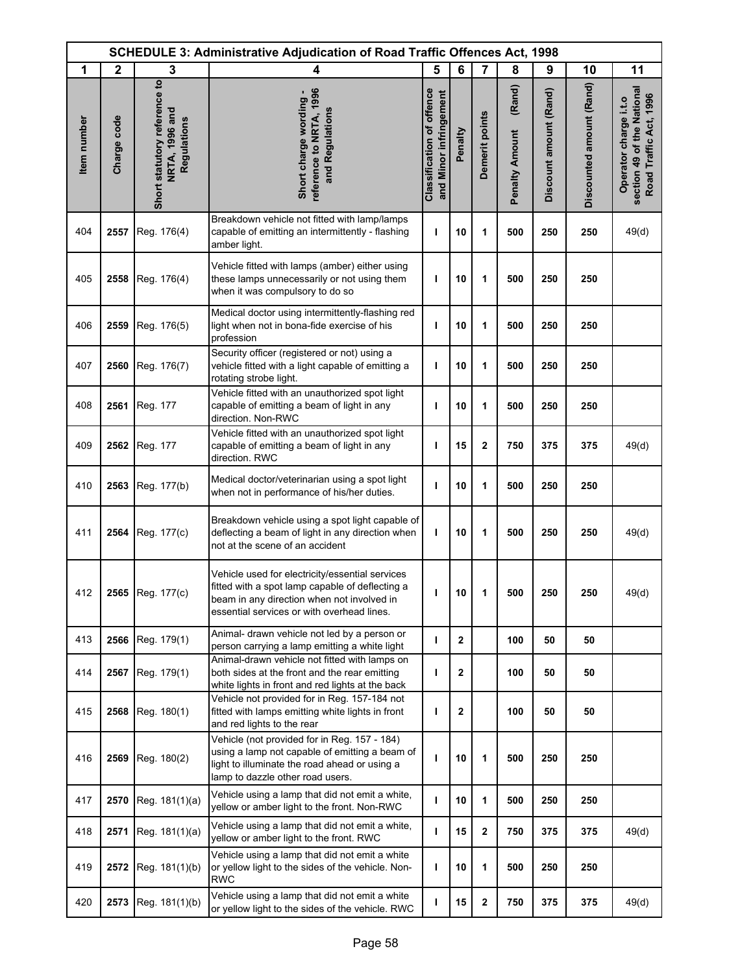|             | <b>SCHEDULE 3: Administrative Adjudication of Road Traffic Offences Act, 1998</b> |                                                               |                                                                                                                                                                                                |                                                            |                |                  |                                 |                        |                          |                                                                               |
|-------------|-----------------------------------------------------------------------------------|---------------------------------------------------------------|------------------------------------------------------------------------------------------------------------------------------------------------------------------------------------------------|------------------------------------------------------------|----------------|------------------|---------------------------------|------------------------|--------------------------|-------------------------------------------------------------------------------|
| 1           | $\mathbf{2}$                                                                      | 3                                                             | 4                                                                                                                                                                                              | 5                                                          | 6              | 7                | 8                               | 9                      | 10                       | 11                                                                            |
| Item number | Charge code                                                                       | Short statutory reference to<br>NRTA, 1996 and<br>Regulations | reference to NRTA, 1996<br>Short charge wording -<br>and Regulations                                                                                                                           | <b>Classification of offence</b><br>and Minor infringement | Penalty        | Demerit points   | (Rand)<br><b>Penalty Amount</b> | Discount amount (Rand) | Discounted amount (Rand) | section 49 of the National<br>Road Traffic Act, 1996<br>Operator charge i.t.o |
| 404         | 2557                                                                              | Reg. 176(4)                                                   | Breakdown vehicle not fitted with lamp/lamps<br>capable of emitting an intermittently - flashing<br>amber light.                                                                               | ı                                                          | 10             | 1                | 500                             | 250                    | 250                      | 49(d)                                                                         |
| 405         | 2558                                                                              | Reg. 176(4)                                                   | Vehicle fitted with lamps (amber) either using<br>these lamps unnecessarily or not using them<br>when it was compulsory to do so                                                               | п                                                          | 10             | 1                | 500                             | 250                    | 250                      |                                                                               |
| 406         | 2559                                                                              | Reg. 176(5)                                                   | Medical doctor using intermittently-flashing red<br>light when not in bona-fide exercise of his<br>profession                                                                                  | ı                                                          | 10             | 1                | 500                             | 250                    | 250                      |                                                                               |
| 407         | 2560                                                                              | Reg. 176(7)                                                   | Security officer (registered or not) using a<br>vehicle fitted with a light capable of emitting a<br>rotating strobe light.                                                                    | т                                                          | 10             | 1                | 500                             | 250                    | 250                      |                                                                               |
| 408         | 2561                                                                              | Reg. 177                                                      | Vehicle fitted with an unauthorized spot light<br>capable of emitting a beam of light in any<br>direction. Non-RWC                                                                             | ı                                                          | 10             | 1                | 500                             | 250                    | 250                      |                                                                               |
| 409         | 2562                                                                              | Reg. 177                                                      | Vehicle fitted with an unauthorized spot light<br>capable of emitting a beam of light in any<br>direction. RWC                                                                                 | ı                                                          | 15             | $\mathbf{2}$     | 750                             | 375                    | 375                      | 49(d)                                                                         |
| 410         | 2563                                                                              | Reg. 177(b)                                                   | Medical doctor/veterinarian using a spot light<br>when not in performance of his/her duties.                                                                                                   | т                                                          | 10             | 1                | 500                             | 250                    | 250                      |                                                                               |
| 411         | 2564                                                                              | Reg. 177(c)                                                   | Breakdown vehicle using a spot light capable of<br>deflecting a beam of light in any direction when<br>not at the scene of an accident                                                         | п                                                          | 10             | 1                | 500                             | 250                    | 250                      | 49(d)                                                                         |
| 412         |                                                                                   | 2565 Reg. 177(c)                                              | Vehicle used for electricity/essential services<br>fitted with a spot lamp capable of deflecting a<br>beam in any direction when not involved in<br>essential services or with overhead lines. | ı                                                          | 10             | 1                | 500                             | 250                    | 250                      | 49(d)                                                                         |
| 413         | 2566                                                                              | Reg. 179(1)                                                   | Animal- drawn vehicle not led by a person or<br>person carrying a lamp emitting a white light                                                                                                  | т                                                          | $\mathbf{2}$   |                  | 100                             | 50                     | 50                       |                                                                               |
| 414         | 2567                                                                              | Reg. 179(1)                                                   | Animal-drawn vehicle not fitted with lamps on<br>both sides at the front and the rear emitting<br>white lights in front and red lights at the back                                             | ı                                                          | 2              |                  | 100                             | 50                     | 50                       |                                                                               |
| 415         | 2568                                                                              | Reg. 180(1)                                                   | Vehicle not provided for in Reg. 157-184 not<br>fitted with lamps emitting white lights in front<br>and red lights to the rear                                                                 | ı                                                          | $\overline{2}$ |                  | 100                             | 50                     | 50                       |                                                                               |
| 416         | 2569                                                                              | Reg. 180(2)                                                   | Vehicle (not provided for in Reg. 157 - 184)<br>using a lamp not capable of emitting a beam of<br>light to illuminate the road ahead or using a<br>lamp to dazzle other road users.            | ı                                                          | 10             | 1                | 500                             | 250                    | 250                      |                                                                               |
| 417         | 2570                                                                              | Reg. 181(1)(a)                                                | Vehicle using a lamp that did not emit a white,<br>yellow or amber light to the front. Non-RWC                                                                                                 | т                                                          | 10             | 1                | 500                             | 250                    | 250                      |                                                                               |
| 418         | 2571                                                                              | Reg. 181(1)(a)                                                | Vehicle using a lamp that did not emit a white,<br>yellow or amber light to the front. RWC                                                                                                     | т                                                          | 15             | 2                | 750                             | 375                    | 375                      | 49(d)                                                                         |
| 419         | 2572                                                                              | Reg. 181(1)(b)                                                | Vehicle using a lamp that did not emit a white<br>or yellow light to the sides of the vehicle. Non-<br><b>RWC</b>                                                                              | т                                                          | 10             | 1                | 500                             | 250                    | 250                      |                                                                               |
| 420         | 2573                                                                              | Reg. 181(1)(b)                                                | Vehicle using a lamp that did not emit a white<br>or yellow light to the sides of the vehicle. RWC                                                                                             | т                                                          | 15             | $\boldsymbol{2}$ | 750                             | 375                    | 375                      | 49(d)                                                                         |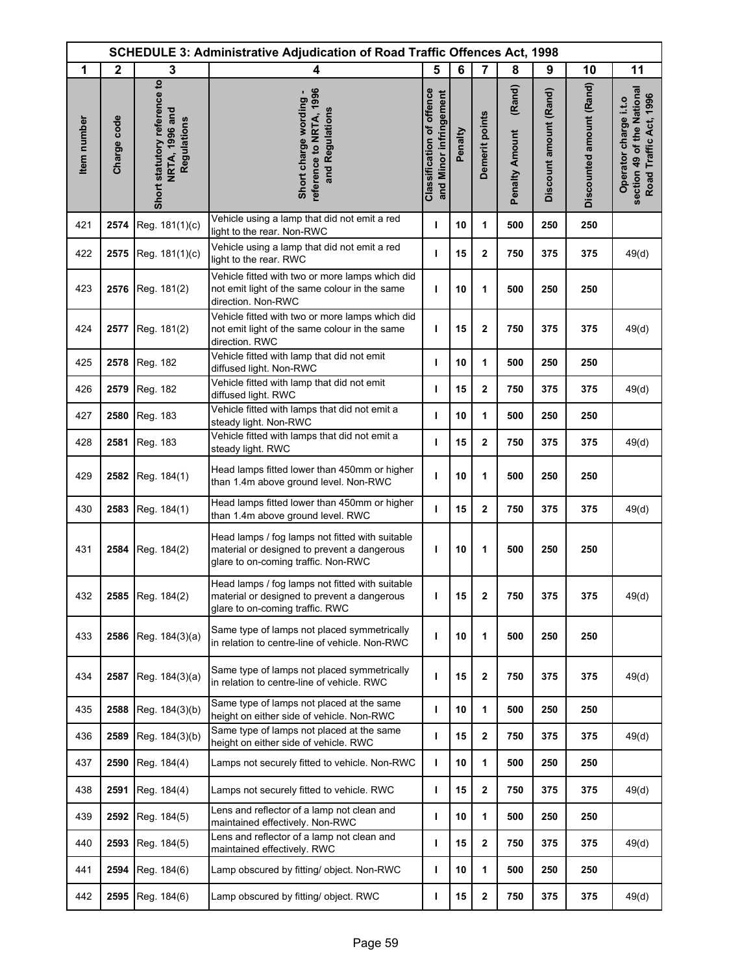|             |              |                                                               | <b>SCHEDULE 3: Administrative Adjudication of Road Traffic Offences Act, 1998</b>                                                     |                                                            |         |                         |                                 |                        |                          |                                                                               |
|-------------|--------------|---------------------------------------------------------------|---------------------------------------------------------------------------------------------------------------------------------------|------------------------------------------------------------|---------|-------------------------|---------------------------------|------------------------|--------------------------|-------------------------------------------------------------------------------|
| 1           | $\mathbf{2}$ | 3                                                             | 4                                                                                                                                     | 5                                                          | 6       | $\overline{7}$          | 8                               | 9                      | 10                       | 11                                                                            |
| Item number | Charge code  | Short statutory reference to<br>NRTA, 1996 and<br>Regulations | reference to NRTA, 1996<br>Short charge wording -<br>and Regulations                                                                  | <b>Classification of offence</b><br>and Minor infringement | Penalty | Demerit points          | (Rand)<br><b>Penalty Amount</b> | Discount amount (Rand) | Discounted amount (Rand) | section 49 of the National<br>Road Traffic Act, 1996<br>Operator charge i.t.o |
| 421         | 2574         | Reg. 181(1)(c)                                                | Vehicle using a lamp that did not emit a red<br>light to the rear. Non-RWC                                                            | т                                                          | 10      | 1                       | 500                             | 250                    | 250                      |                                                                               |
| 422         | 2575         | Reg. 181(1)(c)                                                | Vehicle using a lamp that did not emit a red<br>light to the rear. RWC                                                                | т                                                          | 15      | $\mathbf 2$             | 750                             | 375                    | 375                      | 49(d)                                                                         |
| 423         | 2576         | Reg. 181(2)                                                   | Vehicle fitted with two or more lamps which did<br>not emit light of the same colour in the same<br>direction. Non-RWC                | т                                                          | 10      | 1                       | 500                             | 250                    | 250                      |                                                                               |
| 424         | 2577         | Reg. 181(2)                                                   | Vehicle fitted with two or more lamps which did<br>not emit light of the same colour in the same<br>direction. RWC                    | ı                                                          | 15      | $\mathbf 2$             | 750                             | 375                    | 375                      | 49(d)                                                                         |
| 425         | 2578         | Reg. 182                                                      | Vehicle fitted with lamp that did not emit<br>diffused light. Non-RWC                                                                 | I.                                                         | 10      | 1                       | 500                             | 250                    | 250                      |                                                                               |
| 426         | 2579         | Reg. 182                                                      | Vehicle fitted with lamp that did not emit<br>diffused light. RWC                                                                     | т                                                          | 15      | $\mathbf{2}$            | 750                             | 375                    | 375                      | 49(d)                                                                         |
| 427         | 2580         | Reg. 183                                                      | Vehicle fitted with lamps that did not emit a<br>steady light. Non-RWC                                                                | т                                                          | 10      | 1                       | 500                             | 250                    | 250                      |                                                                               |
| 428         | 2581         | Reg. 183                                                      | Vehicle fitted with lamps that did not emit a<br>steady light. RWC                                                                    | ı                                                          | 15      | $\mathbf 2$             | 750                             | 375                    | 375                      | 49(d)                                                                         |
| 429         | 2582         | Reg. 184(1)                                                   | Head lamps fitted lower than 450mm or higher<br>than 1.4m above ground level. Non-RWC                                                 | I.                                                         | 10      | 1                       | 500                             | 250                    | 250                      |                                                                               |
| 430         | 2583         | Reg. 184(1)                                                   | Head lamps fitted lower than 450mm or higher<br>than 1.4m above ground level. RWC                                                     | т                                                          | 15      | $\mathbf 2$             | 750                             | 375                    | 375                      | 49(d)                                                                         |
| 431         | 2584         | Reg. 184(2)                                                   | Head lamps / fog lamps not fitted with suitable<br>material or designed to prevent a dangerous<br>glare to on-coming traffic. Non-RWC | ı                                                          | 10      | 1                       | 500                             | 250                    | 250                      |                                                                               |
| 432         | 2585         | Reg. 184(2)                                                   | Head lamps / fog lamps not fitted with suitable<br>material or designed to prevent a dangerous<br>glare to on-coming traffic. RWC     | I.                                                         | 15      | 2                       | 750                             | 375                    | 375                      | 49(d)                                                                         |
| 433         | 2586         | Reg. 184(3)(a)                                                | Same type of lamps not placed symmetrically<br>in relation to centre-line of vehicle. Non-RWC                                         | ı                                                          | 10      | 1                       | 500                             | 250                    | 250                      |                                                                               |
| 434         | 2587         | Reg. 184(3)(a)                                                | Same type of lamps not placed symmetrically<br>in relation to centre-line of vehicle. RWC                                             | т                                                          | 15      | $\mathbf 2$             | 750                             | 375                    | 375                      | 49(d)                                                                         |
| 435         | 2588         | Reg. 184(3)(b)                                                | Same type of lamps not placed at the same<br>height on either side of vehicle. Non-RWC                                                | т                                                          | 10      | 1                       | 500                             | 250                    | 250                      |                                                                               |
| 436         | 2589         | Reg. 184(3)(b)                                                | Same type of lamps not placed at the same<br>height on either side of vehicle. RWC                                                    | т                                                          | 15      | $\mathbf{2}$            | 750                             | 375                    | 375                      | 49(d)                                                                         |
| 437         | 2590         | Reg. 184(4)                                                   | Lamps not securely fitted to vehicle. Non-RWC                                                                                         | т                                                          | 10      | 1                       | 500                             | 250                    | 250                      |                                                                               |
| 438         | 2591         | Reg. 184(4)                                                   | Lamps not securely fitted to vehicle. RWC                                                                                             | т                                                          | 15      | $\mathbf{2}$            | 750                             | 375                    | 375                      | 49(d)                                                                         |
| 439         | 2592         | Reg. 184(5)                                                   | Lens and reflector of a lamp not clean and<br>maintained effectively. Non-RWC                                                         | I.                                                         | 10      | 1                       | 500                             | 250                    | 250                      |                                                                               |
| 440         | 2593         | Reg. 184(5)                                                   | Lens and reflector of a lamp not clean and<br>maintained effectively. RWC                                                             | т                                                          | 15      | $\overline{\mathbf{2}}$ | 750                             | 375                    | 375                      | 49(d)                                                                         |
| 441         | 2594         | Reg. 184(6)                                                   | Lamp obscured by fitting/ object. Non-RWC                                                                                             | ı                                                          | 10      | 1                       | 500                             | 250                    | 250                      |                                                                               |
| 442         | 2595         | Reg. 184(6)                                                   | Lamp obscured by fitting/ object. RWC                                                                                                 | т                                                          | 15      | $\boldsymbol{2}$        | 750                             | 375                    | 375                      | 49(d)                                                                         |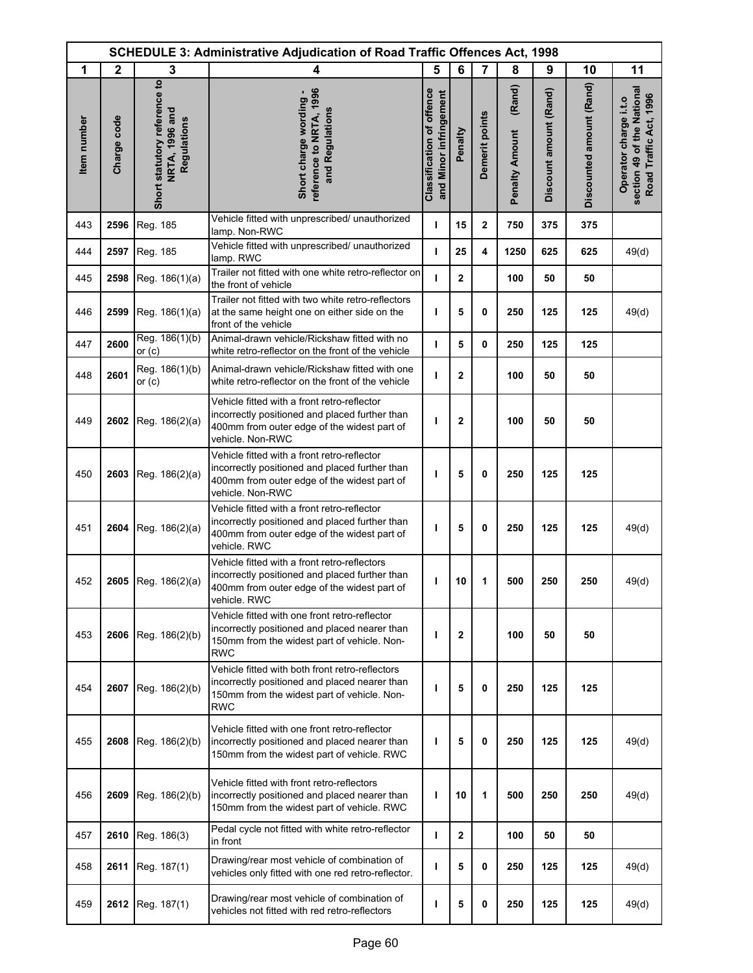|             | <b>SCHEDULE 3: Administrative Adjudication of Road Traffic Offences Act, 1998</b> |                                                               |                                                                                                                                                                  |                                                            |              |                |                                 |                        |                          |                                                                               |
|-------------|-----------------------------------------------------------------------------------|---------------------------------------------------------------|------------------------------------------------------------------------------------------------------------------------------------------------------------------|------------------------------------------------------------|--------------|----------------|---------------------------------|------------------------|--------------------------|-------------------------------------------------------------------------------|
| 1           | $\mathbf{2}$                                                                      | 3                                                             | 4                                                                                                                                                                | 5                                                          | 6            | $\overline{7}$ | 8                               | 9                      | 10                       | 11                                                                            |
| Item number | Charge code                                                                       | Short statutory reference to<br>NRTA, 1996 and<br>Regulations | reference to NRTA, 1996<br>Short charge wording -<br>and Regulations                                                                                             | <b>Classification of offence</b><br>and Minor infringement | Penalty      | Demerit points | (Rand)<br><b>Penalty Amount</b> | Discount amount (Rand) | Discounted amount (Rand) | section 49 of the National<br>Road Traffic Act, 1996<br>Operator charge i.t.o |
| 443         | 2596                                                                              | Reg. 185                                                      | Vehicle fitted with unprescribed/ unauthorized<br>lamp. Non-RWC                                                                                                  | т                                                          | 15           | $\mathbf 2$    | 750                             | 375                    | 375                      |                                                                               |
| 444         | 2597                                                                              | Reg. 185                                                      | Vehicle fitted with unprescribed/ unauthorized<br>lamp. RWC                                                                                                      | т                                                          | 25           | 4              | 1250                            | 625                    | 625                      | 49(d)                                                                         |
| 445         | 2598                                                                              | Reg. 186(1)(a)                                                | Trailer not fitted with one white retro-reflector on<br>the front of vehicle                                                                                     | т                                                          | $\mathbf{2}$ |                | 100                             | 50                     | 50                       |                                                                               |
| 446         | 2599                                                                              | Reg. 186(1)(a)                                                | Trailer not fitted with two white retro-reflectors<br>at the same height one on either side on the<br>front of the vehicle                                       | ı                                                          | 5            | 0              | 250                             | 125                    | 125                      | 49(d)                                                                         |
| 447         | 2600                                                                              | Reg. 186(1)(b)<br>or $(c)$                                    | Animal-drawn vehicle/Rickshaw fitted with no<br>white retro-reflector on the front of the vehicle                                                                | $\mathbf{I}$                                               | 5            | 0              | 250                             | 125                    | 125                      |                                                                               |
| 448         | 2601                                                                              | Reg. 186(1)(b)<br>or $(c)$                                    | Animal-drawn vehicle/Rickshaw fitted with one<br>white retro-reflector on the front of the vehicle                                                               | т                                                          | $\mathbf{2}$ |                | 100                             | 50                     | 50                       |                                                                               |
| 449         | 2602                                                                              | Reg. 186(2)(a)                                                | Vehicle fitted with a front retro-reflector<br>incorrectly positioned and placed further than<br>400mm from outer edge of the widest part of<br>vehicle. Non-RWC | ı                                                          | $\mathbf{2}$ |                | 100                             | 50                     | 50                       |                                                                               |
| 450         | 2603                                                                              | Reg. 186(2)(a)                                                | Vehicle fitted with a front retro-reflector<br>incorrectly positioned and placed further than<br>400mm from outer edge of the widest part of<br>vehicle. Non-RWC | т                                                          | 5            | 0              | 250                             | 125                    | 125                      |                                                                               |
| 451         | 2604                                                                              | Reg. 186(2)(a)                                                | Vehicle fitted with a front retro-reflector<br>incorrectly positioned and placed further than<br>400mm from outer edge of the widest part of<br>vehicle. RWC     | т                                                          | 5            | 0              | 250                             | 125                    | 125                      | 49(d)                                                                         |
| 452         | 2605                                                                              | Reg. 186(2)(a)                                                | Vehicle fitted with a front retro-reflectors<br>incorrectly positioned and placed further than<br>400mm from outer edge of the widest part of<br>vehicle. RWC    | ı                                                          | 10           | 1              | 500                             | 250                    | 250                      | 49(d)                                                                         |
| 453         | 2606                                                                              | Reg. 186(2)(b)                                                | Vehicle fitted with one front retro-reflector<br>incorrectly positioned and placed nearer than<br>150mm from the widest part of vehicle. Non-<br><b>RWC</b>      | ı                                                          | $\mathbf{2}$ |                | 100                             | 50                     | 50                       |                                                                               |
| 454         | 2607                                                                              | Reg. 186(2)(b)                                                | Vehicle fitted with both front retro-reflectors<br>incorrectly positioned and placed nearer than<br>150mm from the widest part of vehicle. Non-<br>RWC           | т                                                          | 5            | 0              | 250                             | 125                    | 125                      |                                                                               |
| 455         | 2608                                                                              | Reg. 186(2)(b)                                                | Vehicle fitted with one front retro-reflector<br>incorrectly positioned and placed nearer than<br>150mm from the widest part of vehicle. RWC                     | т                                                          | 5            | 0              | 250                             | 125                    | 125                      | 49(d)                                                                         |
| 456         | 2609                                                                              | Reg. 186(2)(b)                                                | Vehicle fitted with front retro-reflectors<br>incorrectly positioned and placed nearer than<br>150mm from the widest part of vehicle. RWC                        | ı                                                          | 10           | 1              | 500                             | 250                    | 250                      | 49(d)                                                                         |
| 457         | 2610                                                                              | Reg. 186(3)                                                   | Pedal cycle not fitted with white retro-reflector<br>in front                                                                                                    | т                                                          | $\mathbf{2}$ |                | 100                             | 50                     | 50                       |                                                                               |
| 458         | 2611                                                                              | Reg. 187(1)                                                   | Drawing/rear most vehicle of combination of<br>vehicles only fitted with one red retro-reflector.                                                                | т                                                          | 5            | 0              | 250                             | 125                    | 125                      | 49(d)                                                                         |
| 459         | 2612                                                                              | Reg. 187(1)                                                   | Drawing/rear most vehicle of combination of<br>vehicles not fitted with red retro-reflectors                                                                     | т                                                          | 5            | 0              | 250                             | 125                    | 125                      | 49(d)                                                                         |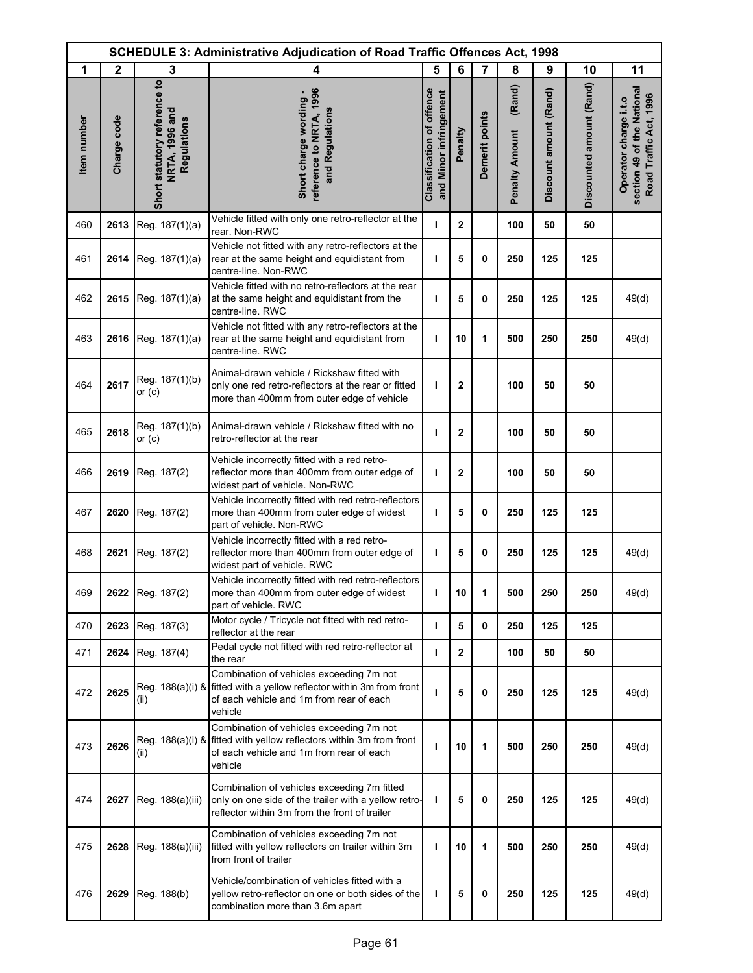| <b>SCHEDULE 3: Administrative Adjudication of Road Traffic Offences Act, 1998</b> |              |                                                               |                                                                                                                                                                         |                                                     |                |                |                                 |                        |                          |                                                                               |
|-----------------------------------------------------------------------------------|--------------|---------------------------------------------------------------|-------------------------------------------------------------------------------------------------------------------------------------------------------------------------|-----------------------------------------------------|----------------|----------------|---------------------------------|------------------------|--------------------------|-------------------------------------------------------------------------------|
| 1                                                                                 | $\mathbf{2}$ | 3                                                             | 4                                                                                                                                                                       | 5                                                   | 6              | $\overline{7}$ | 8                               | 9                      | 10                       | 11                                                                            |
| Item number                                                                       | Charge code  | Short statutory reference to<br>NRTA, 1996 and<br>Regulations | reference to NRTA, 1996<br>Short charge wording -<br>and Regulations                                                                                                    | Classification of offence<br>and Minor infringement | Penalty        | Demerit points | (Rand)<br><b>Penalty Amount</b> | Discount amount (Rand) | Discounted amount (Rand) | section 49 of the National<br>Road Traffic Act, 1996<br>Operator charge i.t.o |
| 460                                                                               | 2613         | Reg. 187(1)(a)                                                | Vehicle fitted with only one retro-reflector at the<br>rear. Non-RWC                                                                                                    | т                                                   | $\overline{2}$ |                | 100                             | 50                     | 50                       |                                                                               |
| 461                                                                               | 2614         | Reg. 187(1)(a)                                                | Vehicle not fitted with any retro-reflectors at the<br>rear at the same height and equidistant from<br>centre-line. Non-RWC                                             | ı                                                   | 5              | 0              | 250                             | 125                    | 125                      |                                                                               |
| 462                                                                               | 2615         | Reg. 187(1)(a)                                                | Vehicle fitted with no retro-reflectors at the rear<br>at the same height and equidistant from the<br>centre-line. RWC                                                  | т                                                   | 5              | 0              | 250                             | 125                    | 125                      | 49(d)                                                                         |
| 463                                                                               | 2616         | Reg. 187(1)(a)                                                | Vehicle not fitted with any retro-reflectors at the<br>rear at the same height and equidistant from<br>centre-line. RWC                                                 | т                                                   | 10             | 1              | 500                             | 250                    | 250                      | 49(d)                                                                         |
| 464                                                                               | 2617         | Reg. 187(1)(b)<br>or $(c)$                                    | Animal-drawn vehicle / Rickshaw fitted with<br>only one red retro-reflectors at the rear or fitted<br>more than 400mm from outer edge of vehicle                        | I.                                                  | $\mathbf 2$    |                | 100                             | 50                     | 50                       |                                                                               |
| 465                                                                               | 2618         | Reg. 187(1)(b)<br>or $(c)$                                    | Animal-drawn vehicle / Rickshaw fitted with no<br>retro-reflector at the rear                                                                                           | т                                                   | $\mathbf{2}$   |                | 100                             | 50                     | 50                       |                                                                               |
| 466                                                                               | 2619         | Reg. 187(2)                                                   | Vehicle incorrectly fitted with a red retro-<br>reflector more than 400mm from outer edge of<br>widest part of vehicle. Non-RWC                                         | т                                                   | $\mathbf{2}$   |                | 100                             | 50                     | 50                       |                                                                               |
| 467                                                                               | 2620         | Reg. 187(2)                                                   | Vehicle incorrectly fitted with red retro-reflectors<br>more than 400mm from outer edge of widest<br>part of vehicle. Non-RWC                                           | т                                                   | 5              | 0              | 250                             | 125                    | 125                      |                                                                               |
| 468                                                                               | 2621         | Reg. 187(2)                                                   | Vehicle incorrectly fitted with a red retro-<br>reflector more than 400mm from outer edge of<br>widest part of vehicle. RWC                                             | $\mathbf{I}$                                        | 5              | 0              | 250                             | 125                    | 125                      | 49(d)                                                                         |
| 469                                                                               |              | 2622 Reg. 187(2)                                              | Vehicle incorrectly fitted with red retro-reflectors<br>more than 400mm from outer edge of widest<br>part of vehicle. RWC                                               | L                                                   | 10             | 1              | 500                             | 250                    | 250                      | 49(d)                                                                         |
| 470                                                                               | 2623         | Reg. 187(3)                                                   | Motor cycle / Tricycle not fitted with red retro-<br>reflector at the rear                                                                                              | T                                                   | 5              | 0              | 250                             | 125                    | 125                      |                                                                               |
| 471                                                                               | 2624         | Reg. 187(4)                                                   | Pedal cycle not fitted with red retro-reflector at<br>the rear                                                                                                          | т                                                   | $\mathbf{2}$   |                | 100                             | 50                     | 50                       |                                                                               |
| 472                                                                               | 2625         | (ii)                                                          | Combination of vehicles exceeding 7m not<br>Reg. 188(a)(i) & fitted with a yellow reflector within 3m from front<br>of each vehicle and 1m from rear of each<br>vehicle | ı                                                   | 5              | 0              | 250                             | 125                    | 125                      | 49(d)                                                                         |
| 473                                                                               | 2626         | (ii)                                                          | Combination of vehicles exceeding 7m not<br>Reg. 188(a)(i) & fitted with yellow reflectors within 3m from front<br>of each vehicle and 1m from rear of each<br>vehicle  | ı                                                   | 10             | 1              | 500                             | 250                    | 250                      | 49(d)                                                                         |
| 474                                                                               | 2627         | Reg. 188(a)(iii)                                              | Combination of vehicles exceeding 7m fitted<br>only on one side of the trailer with a yellow retro-<br>reflector within 3m from the front of trailer                    | ı                                                   | 5              | 0              | 250                             | 125                    | 125                      | 49(d)                                                                         |
| 475                                                                               | 2628         | Reg. 188(a)(iii)                                              | Combination of vehicles exceeding 7m not<br>fitted with yellow reflectors on trailer within 3m<br>from front of trailer                                                 | ı                                                   | 10             | 1              | 500                             | 250                    | 250                      | 49(d)                                                                         |
| 476                                                                               | 2629         | Reg. 188(b)                                                   | Vehicle/combination of vehicles fitted with a<br>yellow retro-reflector on one or both sides of the<br>combination more than 3.6m apart                                 | T                                                   | 5              | 0              | 250                             | 125                    | 125                      | 49(d)                                                                         |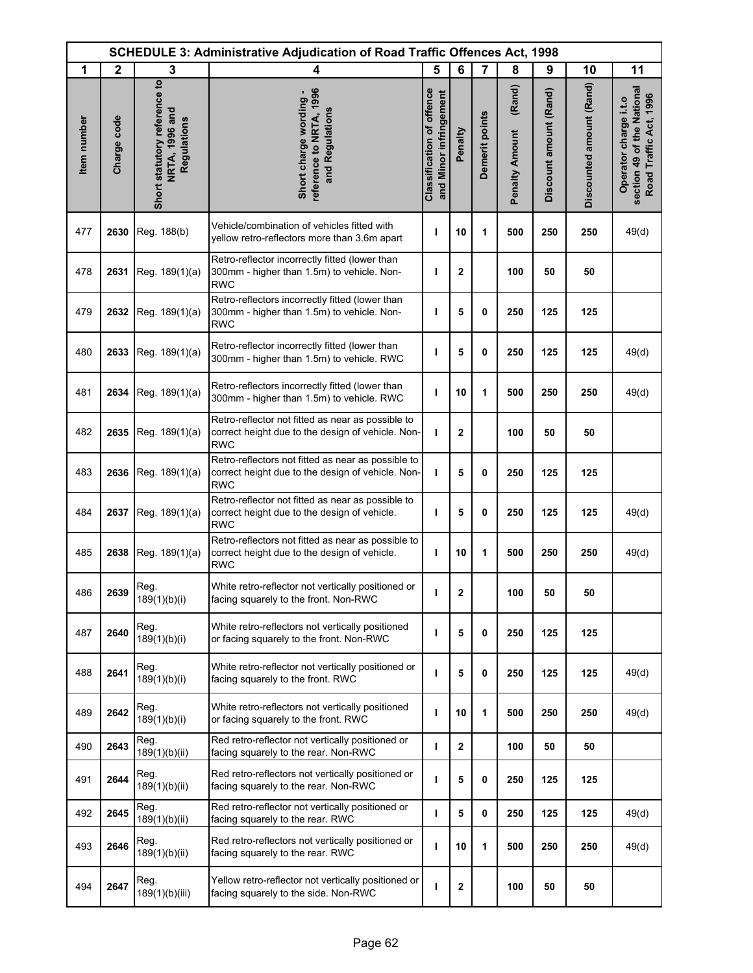|             |              |                                                                      | <b>SCHEDULE 3: Administrative Adjudication of Road Traffic Offences Act, 1998</b>                                     |                                                            |                  |                |                                 |                        |                          |                                                                               |
|-------------|--------------|----------------------------------------------------------------------|-----------------------------------------------------------------------------------------------------------------------|------------------------------------------------------------|------------------|----------------|---------------------------------|------------------------|--------------------------|-------------------------------------------------------------------------------|
| 1           | $\mathbf{2}$ | 3                                                                    | 4                                                                                                                     | 5                                                          | 6                | $\overline{7}$ | 8                               | 9                      | 10                       | 11                                                                            |
| Item number | Charge code  | Short statutory reference to<br>NRTA, 1996 and<br><b>Regulations</b> | reference to NRTA, 1996<br>Short charge wording -<br>and Regulations                                                  | <b>Classification of offence</b><br>and Minor infringement | Penalty          | Demerit points | (Rand)<br><b>Penalty Amount</b> | Discount amount (Rand) | Discounted amount (Rand) | section 49 of the National<br>Road Traffic Act, 1996<br>Operator charge i.t.o |
| 477         | 2630         | Reg. 188(b)                                                          | Vehicle/combination of vehicles fitted with<br>yellow retro-reflectors more than 3.6m apart                           | ı                                                          | 10               | 1              | 500                             | 250                    | 250                      | 49(d)                                                                         |
| 478         | 2631         | Reg. 189(1)(a)                                                       | Retro-reflector incorrectly fitted (lower than<br>300mm - higher than 1.5m) to vehicle. Non-<br><b>RWC</b>            | ı                                                          | $\mathbf{2}$     |                | 100                             | 50                     | 50                       |                                                                               |
| 479         | 2632         | Reg. 189(1)(a)                                                       | Retro-reflectors incorrectly fitted (lower than<br>300mm - higher than 1.5m) to vehicle. Non-<br><b>RWC</b>           | ı                                                          | 5                | 0              | 250                             | 125                    | 125                      |                                                                               |
| 480         | 2633         | Reg. 189(1)(a)                                                       | Retro-reflector incorrectly fitted (lower than<br>300mm - higher than 1.5m) to vehicle. RWC                           | ı                                                          | 5                | 0              | 250                             | 125                    | 125                      | 49(d)                                                                         |
| 481         | 2634         | Reg. 189(1)(a)                                                       | Retro-reflectors incorrectly fitted (lower than<br>300mm - higher than 1.5m) to vehicle. RWC                          | ı                                                          | 10               | 1              | 500                             | 250                    | 250                      | 49(d)                                                                         |
| 482         | 2635         | Reg. 189(1)(a)                                                       | Retro-reflector not fitted as near as possible to<br>correct height due to the design of vehicle. Non-<br><b>RWC</b>  | т                                                          | $\mathbf{2}$     |                | 100                             | 50                     | 50                       |                                                                               |
| 483         | 2636         | Reg. 189(1)(a)                                                       | Retro-reflectors not fitted as near as possible to<br>correct height due to the design of vehicle. Non-<br><b>RWC</b> | T                                                          | 5                | $\mathbf{0}$   | 250                             | 125                    | 125                      |                                                                               |
| 484         | 2637         | Reg. 189(1)(a)                                                       | Retro-reflector not fitted as near as possible to<br>correct height due to the design of vehicle.<br><b>RWC</b>       | ı                                                          | 5                | 0              | 250                             | 125                    | 125                      | 49(d)                                                                         |
| 485         | 2638         | Reg. 189(1)(a)                                                       | Retro-reflectors not fitted as near as possible to<br>correct height due to the design of vehicle.<br><b>RWC</b>      | т                                                          | 10               | 1              | 500                             | 250                    | 250                      | 49(d)                                                                         |
| 486         | 2639         | Reg.<br>189(1)(b)(i)                                                 | White retro-reflector not vertically positioned or<br>facing squarely to the front. Non-RWC                           |                                                            | $\bf{2}$         |                | 100                             | 50                     | 50                       |                                                                               |
| 487         | 2640         | Reg.<br>189(1)(b)(i)                                                 | White retro-reflectors not vertically positioned<br>or facing squarely to the front. Non-RWC                          | т                                                          | 5                | 0              | 250                             | 125                    | 125                      |                                                                               |
| 488         | 2641         | Reg.<br>189(1)(b)(i)                                                 | White retro-reflector not vertically positioned or<br>facing squarely to the front. RWC                               | ı                                                          | 5                | 0              | 250                             | 125                    | 125                      | 49(d)                                                                         |
| 489         | 2642         | Reg.<br>189(1)(b)(i)                                                 | White retro-reflectors not vertically positioned<br>or facing squarely to the front. RWC                              | т                                                          | 10               | 1              | 500                             | 250                    | 250                      | 49(d)                                                                         |
| 490         | 2643         | Reg.<br>189(1)(b)(ii)                                                | Red retro-reflector not vertically positioned or<br>facing squarely to the rear. Non-RWC                              | ı                                                          | $\mathbf{2}$     |                | 100                             | 50                     | 50                       |                                                                               |
| 491         | 2644         | Reg.<br>189(1)(b)(ii)                                                | Red retro-reflectors not vertically positioned or<br>facing squarely to the rear. Non-RWC                             | т                                                          | 5                | 0              | 250                             | 125                    | 125                      |                                                                               |
| 492         | 2645         | Reg.<br>189(1)(b)(ii)                                                | Red retro-reflector not vertically positioned or<br>facing squarely to the rear. RWC                                  | $\mathbf{I}$                                               | 5                | 0              | 250                             | 125                    | 125                      | 49(d)                                                                         |
| 493         | 2646         | Reg.<br>189(1)(b)(ii)                                                | Red retro-reflectors not vertically positioned or<br>facing squarely to the rear. RWC                                 | т                                                          | 10               | 1              | 500                             | 250                    | 250                      | 49(d)                                                                         |
| 494         | 2647         | Reg.<br>189(1)(b)(iii)                                               | Yellow retro-reflector not vertically positioned or<br>facing squarely to the side. Non-RWC                           |                                                            | $\boldsymbol{2}$ |                | 100                             | 50                     | 50                       |                                                                               |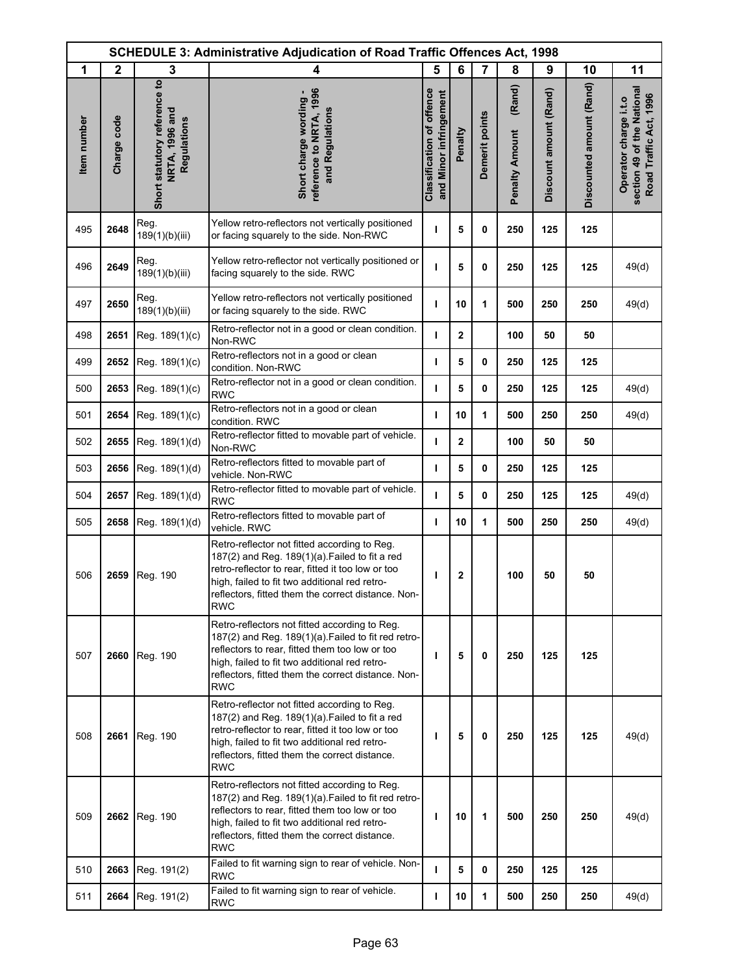|             |              |                                                                      | <b>SCHEDULE 3: Administrative Adjudication of Road Traffic Offences Act, 1998</b>                                                                                                                                                                                          |                                                            |                |                |                                 |                        |                          |                                                                               |
|-------------|--------------|----------------------------------------------------------------------|----------------------------------------------------------------------------------------------------------------------------------------------------------------------------------------------------------------------------------------------------------------------------|------------------------------------------------------------|----------------|----------------|---------------------------------|------------------------|--------------------------|-------------------------------------------------------------------------------|
| 1           | $\mathbf{2}$ | 3                                                                    | 4                                                                                                                                                                                                                                                                          | 5                                                          | 6              | $\overline{7}$ | 8                               | 9                      | 10                       | 11                                                                            |
| Item number | Charge code  | Short statutory reference to<br>NRTA, 1996 and<br><b>Regulations</b> | reference to NRTA, 1996<br>Short charge wording -<br>and Regulations                                                                                                                                                                                                       | <b>Classification of offence</b><br>and Minor infringement | Penalty        | Demerit points | (Rand)<br><b>Penalty Amount</b> | Discount amount (Rand) | Discounted amount (Rand) | section 49 of the National<br>Road Traffic Act, 1996<br>Operator charge i.t.o |
| 495         | 2648         | Reg.<br>189(1)(b)(iii)                                               | Yellow retro-reflectors not vertically positioned<br>or facing squarely to the side. Non-RWC                                                                                                                                                                               | ı                                                          | 5              | 0              | 250                             | 125                    | 125                      |                                                                               |
| 496         | 2649         | Reg.<br>189(1)(b)(iii)                                               | Yellow retro-reflector not vertically positioned or<br>facing squarely to the side. RWC                                                                                                                                                                                    | п                                                          | 5              | 0              | 250                             | 125                    | 125                      | 49(d)                                                                         |
| 497         | 2650         | Reg.<br>189(1)(b)(iii)                                               | Yellow retro-reflectors not vertically positioned<br>or facing squarely to the side. RWC                                                                                                                                                                                   | ı                                                          | 10             | 1              | 500                             | 250                    | 250                      | 49(d)                                                                         |
| 498         | 2651         | Reg. 189(1)(c)                                                       | Retro-reflector not in a good or clean condition.<br>Non-RWC                                                                                                                                                                                                               | т                                                          | $\overline{2}$ |                | 100                             | 50                     | 50                       |                                                                               |
| 499         | 2652         | Reg. 189(1)(c)                                                       | Retro-reflectors not in a good or clean<br>condition. Non-RWC                                                                                                                                                                                                              | т                                                          | 5              | 0              | 250                             | 125                    | 125                      |                                                                               |
| 500         | 2653         | Reg. 189(1)(c)                                                       | Retro-reflector not in a good or clean condition.<br><b>RWC</b>                                                                                                                                                                                                            | $\mathbf{I}$                                               | 5              | 0              | 250                             | 125                    | 125                      | 49(d)                                                                         |
| 501         | 2654         | Reg. 189(1)(c)                                                       | Retro-reflectors not in a good or clean<br>condition. RWC                                                                                                                                                                                                                  | т                                                          | 10             | 1              | 500                             | 250                    | 250                      | 49(d)                                                                         |
| 502         | 2655         | Reg. 189(1)(d)                                                       | Retro-reflector fitted to movable part of vehicle.<br>Non-RWC                                                                                                                                                                                                              | т                                                          | $\mathbf{2}$   |                | 100                             | 50                     | 50                       |                                                                               |
| 503         | 2656         | Reg. 189(1)(d)                                                       | Retro-reflectors fitted to movable part of<br>vehicle. Non-RWC                                                                                                                                                                                                             | т                                                          | 5              | 0              | 250                             | 125                    | 125                      |                                                                               |
| 504         | 2657         | Reg. 189(1)(d)                                                       | Retro-reflector fitted to movable part of vehicle.<br><b>RWC</b>                                                                                                                                                                                                           | т                                                          | 5              | 0              | 250                             | 125                    | 125                      | 49(d)                                                                         |
| 505         | 2658         | Reg. 189(1)(d)                                                       | Retro-reflectors fitted to movable part of<br>vehicle. RWC                                                                                                                                                                                                                 | ı                                                          | 10             | 1              | 500                             | 250                    | 250                      | 49(d)                                                                         |
| 506         | 2659         | Reg. 190                                                             | Retro-reflector not fitted according to Reg.<br>187(2) and Reg. 189(1)(a). Failed to fit a red<br>retro-reflector to rear, fitted it too low or too<br>high, failed to fit two additional red retro-<br>reflectors, fitted them the correct distance. Non-<br><b>RWC</b>   | ı                                                          | $\mathbf 2$    |                | 100                             | 50                     | 50                       |                                                                               |
| 507         | 2660         | Reg. 190                                                             | Retro-reflectors not fitted according to Reg.<br>187(2) and Reg. 189(1)(a) Failed to fit red retro-<br>reflectors to rear, fitted them too low or too<br>high, failed to fit two additional red retro-<br>reflectors, fitted them the correct distance. Non-<br><b>RWC</b> | T                                                          | 5              | 0              | 250                             | 125                    | 125                      |                                                                               |
| 508         | 2661         | Reg. 190                                                             | Retro-reflector not fitted according to Reg.<br>$187(2)$ and Reg. $189(1)(a)$ . Failed to fit a red<br>retro-reflector to rear, fitted it too low or too<br>high, failed to fit two additional red retro-<br>reflectors, fitted them the correct distance.<br><b>RWC</b>   | ı                                                          | 5              | 0              | 250                             | 125                    | 125                      | 49(d)                                                                         |
| 509         |              | 2662 Reg. 190                                                        | Retro-reflectors not fitted according to Reg.<br>187(2) and Reg. 189(1)(a). Failed to fit red retro-<br>reflectors to rear, fitted them too low or too<br>high, failed to fit two additional red retro-<br>reflectors, fitted them the correct distance.<br><b>RWC</b>     | т                                                          | 10             | 1              | 500                             | 250                    | 250                      | 49(d)                                                                         |
| 510         | 2663         | Reg. 191(2)                                                          | Failed to fit warning sign to rear of vehicle. Non-<br><b>RWC</b>                                                                                                                                                                                                          | т                                                          | 5              | 0              | 250                             | 125                    | 125                      |                                                                               |
| 511         | 2664         | Reg. 191(2)                                                          | Failed to fit warning sign to rear of vehicle.<br><b>RWC</b>                                                                                                                                                                                                               | т                                                          | 10             | 1              | 500                             | 250                    | 250                      | 49(d)                                                                         |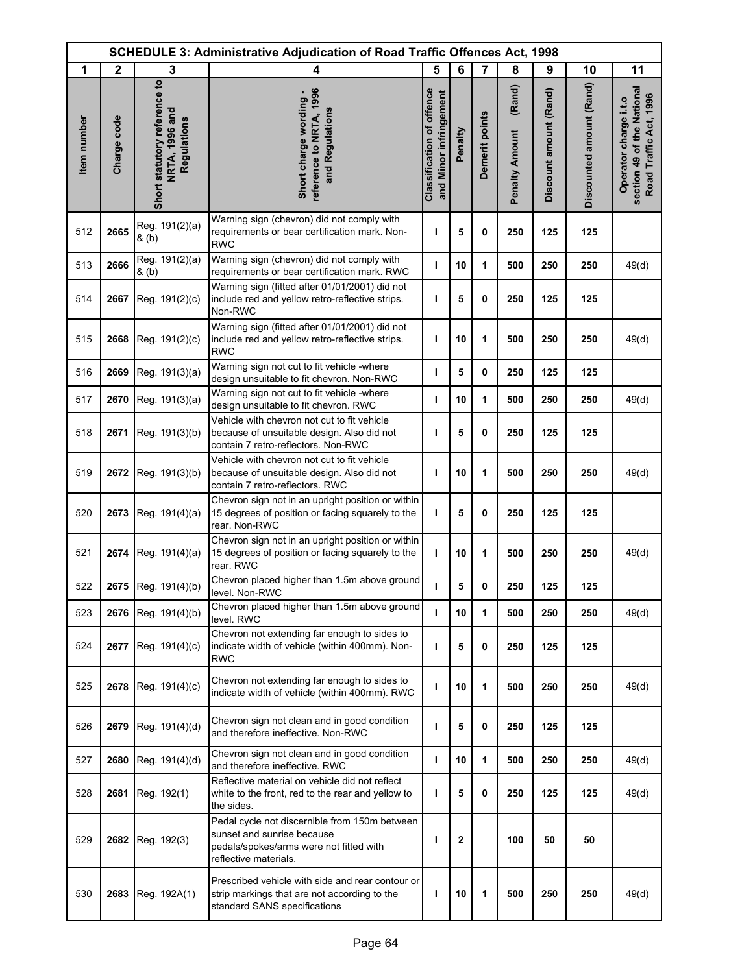| <b>SCHEDULE 3: Administrative Adjudication of Road Traffic Offences Act, 1998</b> |              |                                                               |                                                                                                                                                 |                                                            |         |                |                                 |                        |                          |                                                                               |
|-----------------------------------------------------------------------------------|--------------|---------------------------------------------------------------|-------------------------------------------------------------------------------------------------------------------------------------------------|------------------------------------------------------------|---------|----------------|---------------------------------|------------------------|--------------------------|-------------------------------------------------------------------------------|
| 1                                                                                 | $\mathbf{2}$ | 3                                                             | 4                                                                                                                                               | 5                                                          | 6       | $\overline{7}$ | 8                               | 9                      | 10                       | 11                                                                            |
| Item number                                                                       | Charge code  | Short statutory reference to<br>NRTA, 1996 and<br>Regulations | reference to NRTA, 1996<br>Short charge wording -<br>and Regulations                                                                            | <b>Classification of offence</b><br>and Minor infringement | Penalty | Demerit points | (Rand)<br><b>Penalty Amount</b> | Discount amount (Rand) | Discounted amount (Rand) | section 49 of the National<br>Road Traffic Act, 1996<br>Operator charge i.t.o |
| 512                                                                               | 2665         | Reg. 191(2)(a)<br>& (b)                                       | Warning sign (chevron) did not comply with<br>requirements or bear certification mark. Non-<br><b>RWC</b>                                       | ı                                                          | 5       | 0              | 250                             | 125                    | 125                      |                                                                               |
| 513                                                                               | 2666         | Reg. 191(2)(a)<br>& (b)                                       | Warning sign (chevron) did not comply with<br>requirements or bear certification mark. RWC                                                      | ı                                                          | 10      | 1              | 500                             | 250                    | 250                      | 49(d)                                                                         |
| 514                                                                               | 2667         | Reg. 191(2)(c)                                                | Warning sign (fitted after 01/01/2001) did not<br>include red and yellow retro-reflective strips.<br>Non-RWC                                    | ı                                                          | 5       | $\mathbf{0}$   | 250                             | 125                    | 125                      |                                                                               |
| 515                                                                               | 2668         | Reg. 191(2)(c)                                                | Warning sign (fitted after 01/01/2001) did not<br>include red and yellow retro-reflective strips.<br><b>RWC</b>                                 | ı                                                          | 10      | 1              | 500                             | 250                    | 250                      | 49(d)                                                                         |
| 516                                                                               | 2669         | Reg. 191(3)(a)                                                | Warning sign not cut to fit vehicle -where<br>design unsuitable to fit chevron. Non-RWC                                                         | I.                                                         | 5       | 0              | 250                             | 125                    | 125                      |                                                                               |
| 517                                                                               | 2670         | Reg. 191(3)(a)                                                | Warning sign not cut to fit vehicle -where<br>design unsuitable to fit chevron. RWC                                                             | T                                                          | 10      | 1              | 500                             | 250                    | 250                      | 49(d)                                                                         |
| 518                                                                               | 2671         | Reg. 191(3)(b)                                                | Vehicle with chevron not cut to fit vehicle<br>because of unsuitable design. Also did not<br>contain 7 retro-reflectors. Non-RWC                | т                                                          | 5       | 0              | 250                             | 125                    | 125                      |                                                                               |
| 519                                                                               | 2672         | Reg. 191(3)(b)                                                | Vehicle with chevron not cut to fit vehicle<br>because of unsuitable design. Also did not<br>contain 7 retro-reflectors. RWC                    | ı                                                          | 10      | 1              | 500                             | 250                    | 250                      | 49(d)                                                                         |
| 520                                                                               | 2673         | Reg. 191(4)(a)                                                | Chevron sign not in an upright position or within<br>15 degrees of position or facing squarely to the<br>rear. Non-RWC                          | T                                                          | 5       | 0              | 250                             | 125                    | 125                      |                                                                               |
| 521                                                                               | 2674         | Reg. 191(4)(a)                                                | Chevron sign not in an upright position or within<br>15 degrees of position or facing squarely to the<br>rear. RWC                              | т                                                          | 10      | 1              | 500                             | 250                    | 250                      | 49(d)                                                                         |
| 522                                                                               |              | 2675 Reg. 191(4)(b)                                           | Chevron placed higher than 1.5m above ground<br>level. Non-RWC                                                                                  | т                                                          | 5       | 0              | 250                             | 125                    | 125                      |                                                                               |
| 523                                                                               | 2676         | Reg. 191(4)(b)                                                | Chevron placed higher than 1.5m above ground<br>level. RWC                                                                                      | <b>I</b>                                                   | 10      | 1              | 500                             | 250                    | 250                      | 49(d)                                                                         |
| 524                                                                               | 2677         | Reg. 191(4)(c)                                                | Chevron not extending far enough to sides to<br>indicate width of vehicle (within 400mm). Non-<br>RWC                                           | ı                                                          | 5       | 0              | 250                             | 125                    | 125                      |                                                                               |
| 525                                                                               | 2678         | Reg. 191(4)(c)                                                | Chevron not extending far enough to sides to<br>indicate width of vehicle (within 400mm). RWC                                                   | ı                                                          | 10      | 1              | 500                             | 250                    | 250                      | 49(d)                                                                         |
| 526                                                                               | 2679         | Reg. 191(4)(d)                                                | Chevron sign not clean and in good condition<br>and therefore ineffective. Non-RWC                                                              | T                                                          | 5       | 0              | 250                             | 125                    | 125                      |                                                                               |
| 527                                                                               | 2680         | Reg. 191(4)(d)                                                | Chevron sign not clean and in good condition<br>and therefore ineffective. RWC                                                                  | т                                                          | 10      | 1              | 500                             | 250                    | 250                      | 49(d)                                                                         |
| 528                                                                               | 2681         | Reg. 192(1)                                                   | Reflective material on vehicle did not reflect<br>white to the front, red to the rear and yellow to<br>the sides.                               | ı                                                          | 5       | 0              | 250                             | 125                    | 125                      | 49(d)                                                                         |
| 529                                                                               | 2682         | Reg. 192(3)                                                   | Pedal cycle not discernible from 150m between<br>sunset and sunrise because<br>pedals/spokes/arms were not fitted with<br>reflective materials. | I                                                          | 2       |                | 100                             | 50                     | 50                       |                                                                               |
| 530                                                                               | 2683         | Reg. 192A(1)                                                  | Prescribed vehicle with side and rear contour or<br>strip markings that are not according to the<br>standard SANS specifications                | ı                                                          | 10      | 1              | 500                             | 250                    | 250                      | 49(d)                                                                         |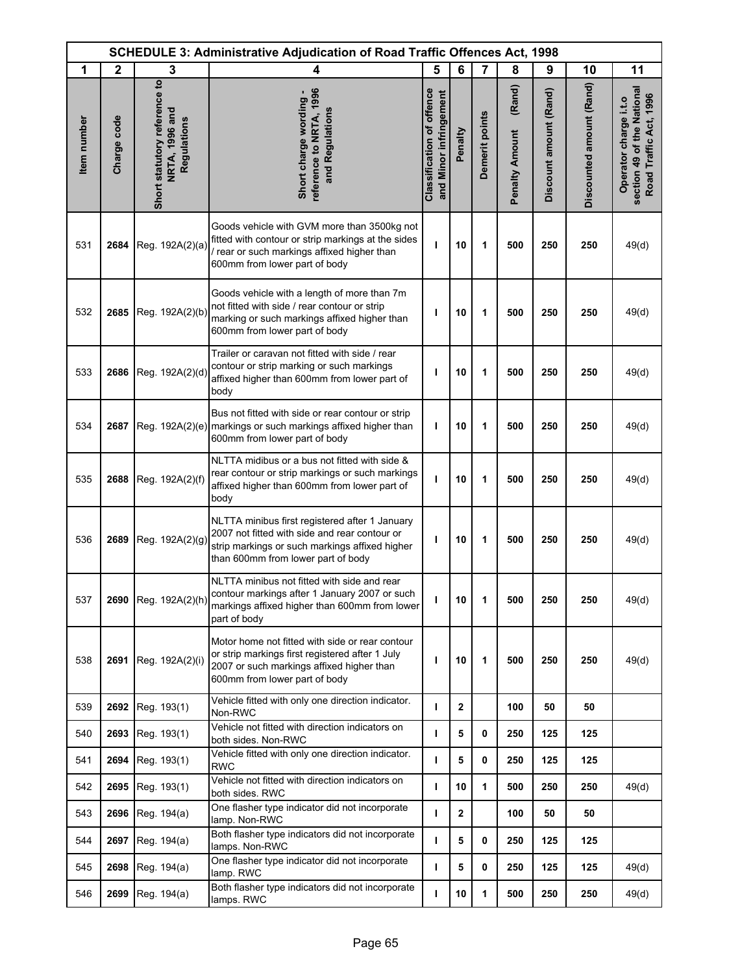|             | <b>SCHEDULE 3: Administrative Adjudication of Road Traffic Offences Act, 1998</b> |                                                               |                                                                                                                                                                                         |                                                            |              |                |                                 |                        |                          |                                                                               |
|-------------|-----------------------------------------------------------------------------------|---------------------------------------------------------------|-----------------------------------------------------------------------------------------------------------------------------------------------------------------------------------------|------------------------------------------------------------|--------------|----------------|---------------------------------|------------------------|--------------------------|-------------------------------------------------------------------------------|
| 1           | $\mathbf{2}$                                                                      | 3                                                             | 4                                                                                                                                                                                       | 5                                                          | 6            | 7              | 8                               | 9                      | 10                       | 11                                                                            |
| Item number | Charge code                                                                       | Short statutory reference to<br>NRTA, 1996 and<br>Regulations | reference to NRTA, 1996<br>Short charge wording -<br>and Regulations                                                                                                                    | <b>Classification of offence</b><br>and Minor infringement | Penalty      | Demerit points | (Rand)<br><b>Penalty Amount</b> | Discount amount (Rand) | Discounted amount (Rand) | section 49 of the National<br>Road Traffic Act, 1996<br>Operator charge i.t.o |
| 531         | 2684                                                                              | Reg. 192A(2)(a)                                               | Goods vehicle with GVM more than 3500kg not<br>fitted with contour or strip markings at the sides<br>/ rear or such markings affixed higher than<br>600mm from lower part of body       | т                                                          | 10           | 1              | 500                             | 250                    | 250                      | 49(d)                                                                         |
| 532         | 2685                                                                              | Reg. 192A(2)(b)                                               | Goods vehicle with a length of more than 7m<br>not fitted with side / rear contour or strip<br>marking or such markings affixed higher than<br>600mm from lower part of body            | т                                                          | 10           | 1              | 500                             | 250                    | 250                      | 49(d)                                                                         |
| 533         | 2686                                                                              | Reg. 192A(2)(d)                                               | Trailer or caravan not fitted with side / rear<br>contour or strip marking or such markings<br>affixed higher than 600mm from lower part of<br>body                                     | т                                                          | 10           | 1              | 500                             | 250                    | 250                      | 49(d)                                                                         |
| 534         | 2687                                                                              |                                                               | Bus not fitted with side or rear contour or strip<br>Reg. 192A(2)(e) markings or such markings affixed higher than<br>600mm from lower part of body                                     | T                                                          | 10           | 1              | 500                             | 250                    | 250                      | 49(d)                                                                         |
| 535         | 2688                                                                              | Reg. 192A(2)(f)                                               | NLTTA midibus or a bus not fitted with side &<br>rear contour or strip markings or such markings<br>affixed higher than 600mm from lower part of<br>body                                | т                                                          | 10           | 1              | 500                             | 250                    | 250                      | 49(d)                                                                         |
| 536         | 2689                                                                              | Reg. 192A(2)(g)                                               | NLTTA minibus first registered after 1 January<br>2007 not fitted with side and rear contour or<br>strip markings or such markings affixed higher<br>than 600mm from lower part of body | ı                                                          | 10           | 1              | 500                             | 250                    | 250                      | 49(d)                                                                         |
| 537         |                                                                                   | 2690 Reg. 192A(2)(h)                                          | NLTTA minibus not fitted with side and rear<br>contour markings after 1 January 2007 or such<br>markings affixed higher than 600mm from lower<br>part of body                           | T                                                          | 10           | 1              | 500                             | 250                    | 250                      | 49(d)                                                                         |
| 538         | 2691                                                                              | Reg. 192A(2)(i)                                               | Motor home not fitted with side or rear contour<br>or strip markings first registered after 1 July<br>2007 or such markings affixed higher than<br>600mm from lower part of body        | ı                                                          | 10           | 1              | 500                             | 250                    | 250                      | 49(d)                                                                         |
| 539         | 2692                                                                              | Reg. 193(1)                                                   | Vehicle fitted with only one direction indicator.<br>Non-RWC                                                                                                                            | т                                                          | $\mathbf{2}$ |                | 100                             | 50                     | 50                       |                                                                               |
| 540         | 2693                                                                              | Reg. 193(1)                                                   | Vehicle not fitted with direction indicators on<br>both sides. Non-RWC                                                                                                                  | T                                                          | 5            | 0              | 250                             | 125                    | 125                      |                                                                               |
| 541         | 2694                                                                              | Reg. 193(1)                                                   | Vehicle fitted with only one direction indicator.<br><b>RWC</b>                                                                                                                         | т                                                          | 5            | 0              | 250                             | 125                    | 125                      |                                                                               |
| 542         | 2695                                                                              | Reg. 193(1)                                                   | Vehicle not fitted with direction indicators on<br>both sides. RWC                                                                                                                      | $\mathbf{I}$                                               | 10           | 1              | 500                             | 250                    | 250                      | 49(d)                                                                         |
| 543         | 2696                                                                              | Reg. 194(a)                                                   | One flasher type indicator did not incorporate<br>lamp. Non-RWC                                                                                                                         | $\mathbf{I}$                                               | $\mathbf{2}$ |                | 100                             | 50                     | 50                       |                                                                               |
| 544         | 2697                                                                              | Reg. 194(a)                                                   | Both flasher type indicators did not incorporate<br>lamps. Non-RWC                                                                                                                      | т                                                          | 5            | 0              | 250                             | 125                    | 125                      |                                                                               |
| 545         | 2698                                                                              | Reg. 194(a)                                                   | One flasher type indicator did not incorporate<br>lamp. RWC                                                                                                                             | $\mathbf{I}$                                               | 5            | 0              | 250                             | 125                    | 125                      | 49(d)                                                                         |
| 546         | 2699                                                                              | Reg. 194(a)                                                   | Both flasher type indicators did not incorporate<br>lamps. RWC                                                                                                                          | т                                                          | 10           | 1              | 500                             | 250                    | 250                      | 49(d)                                                                         |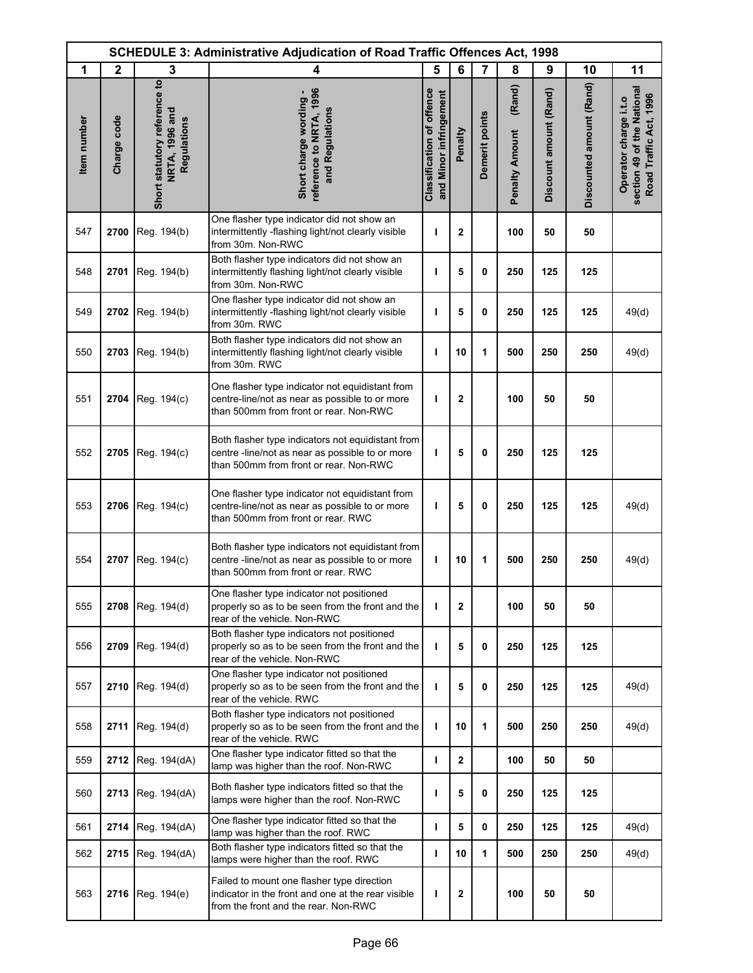| <b>SCHEDULE 3: Administrative Adjudication of Road Traffic Offences Act, 1998</b> |              |                                                               |                                                                                                                                                |                                                            |                |                |                                 |                        |                          |                                                                               |
|-----------------------------------------------------------------------------------|--------------|---------------------------------------------------------------|------------------------------------------------------------------------------------------------------------------------------------------------|------------------------------------------------------------|----------------|----------------|---------------------------------|------------------------|--------------------------|-------------------------------------------------------------------------------|
| 1                                                                                 | $\mathbf{2}$ | 3                                                             | 4                                                                                                                                              | 5                                                          | 6              | $\overline{7}$ | 8                               | 9                      | 10                       | 11                                                                            |
| Item number                                                                       | Charge code  | Short statutory reference to<br>NRTA, 1996 and<br>Regulations | reference to NRTA, 1996<br>Short charge wording -<br>and Regulations                                                                           | <b>Classification of offence</b><br>and Minor infringement | Penalty        | Demerit points | (Rand)<br><b>Penalty Amount</b> | Discount amount (Rand) | Discounted amount (Rand) | section 49 of the National<br>Road Traffic Act, 1996<br>Operator charge i.t.o |
| 547                                                                               | 2700         | Reg. 194(b)                                                   | One flasher type indicator did not show an<br>intermittently -flashing light/not clearly visible<br>from 30m. Non-RWC                          | ı                                                          | $\mathbf{2}$   |                | 100                             | 50                     | 50                       |                                                                               |
| 548                                                                               | 2701         | Reg. 194(b)                                                   | Both flasher type indicators did not show an<br>intermittently flashing light/not clearly visible<br>from 30m. Non-RWC                         | т                                                          | 5              | 0              | 250                             | 125                    | 125                      |                                                                               |
| 549                                                                               | 2702         | Reg. 194(b)                                                   | One flasher type indicator did not show an<br>intermittently -flashing light/not clearly visible<br>from 30m. RWC                              | ı                                                          | 5              | 0              | 250                             | 125                    | 125                      | 49(d)                                                                         |
| 550                                                                               | 2703         | Reg. 194(b)                                                   | Both flasher type indicators did not show an<br>intermittently flashing light/not clearly visible<br>from 30m. RWC                             | ı                                                          | 10             | 1              | 500                             | 250                    | 250                      | 49(d)                                                                         |
| 551                                                                               | 2704         | Reg. 194(c)                                                   | One flasher type indicator not equidistant from<br>centre-line/not as near as possible to or more<br>than 500mm from front or rear. Non-RWC    | I                                                          | $\overline{2}$ |                | 100                             | 50                     | 50                       |                                                                               |
| 552                                                                               | 2705         | Reg. 194(c)                                                   | Both flasher type indicators not equidistant from<br>centre -line/not as near as possible to or more<br>than 500mm from front or rear. Non-RWC | ı                                                          | 5              | $\mathbf 0$    | 250                             | 125                    | 125                      |                                                                               |
| 553                                                                               | 2706         | Reg. 194(c)                                                   | One flasher type indicator not equidistant from<br>centre-line/not as near as possible to or more<br>than 500mm from front or rear. RWC        | т                                                          | 5              | $\mathbf 0$    | 250                             | 125                    | 125                      | 49(d)                                                                         |
| 554                                                                               | 2707         | Reg. 194(c)                                                   | Both flasher type indicators not equidistant from<br>centre -line/not as near as possible to or more<br>than 500mm from front or rear. RWC     | ı                                                          | 10             | 1              | 500                             | 250                    | 250                      | 49(d)                                                                         |
| 555                                                                               | 2708         | Reg. 194(d)                                                   | One flasher type indicator not positioned<br>properly so as to be seen from the front and the<br>rear of the vehicle. Non-RWC                  | т                                                          | $\mathbf{2}$   |                | 100                             | 50                     | 50                       |                                                                               |
| 556                                                                               | 2709         | Reg. 194(d)                                                   | Both flasher type indicators not positioned<br>properly so as to be seen from the front and the<br>rear of the vehicle. Non-RWC                | т                                                          | 5              | 0              | 250                             | 125                    | 125                      |                                                                               |
| 557                                                                               | 2710         | Reg. 194(d)                                                   | One flasher type indicator not positioned<br>properly so as to be seen from the front and the<br>rear of the vehicle. RWC                      | т                                                          | 5              | 0              | 250                             | 125                    | 125                      | 49(d)                                                                         |
| 558                                                                               | 2711         | Reg. 194(d)                                                   | Both flasher type indicators not positioned<br>properly so as to be seen from the front and the<br>rear of the vehicle. RWC                    | т                                                          | 10             | 1              | 500                             | 250                    | 250                      | 49(d)                                                                         |
| 559                                                                               | 2712         | Reg. 194(dA)                                                  | One flasher type indicator fitted so that the<br>lamp was higher than the roof. Non-RWC                                                        | т                                                          | $\mathbf{2}$   |                | 100                             | 50                     | 50                       |                                                                               |
| 560                                                                               | 2713         | Reg. 194(dA)                                                  | Both flasher type indicators fitted so that the<br>lamps were higher than the roof. Non-RWC                                                    | т                                                          | 5              | 0              | 250                             | 125                    | 125                      |                                                                               |
| 561                                                                               | 2714         | Reg. 194(dA)                                                  | One flasher type indicator fitted so that the<br>lamp was higher than the roof. RWC                                                            | т                                                          | 5              | 0              | 250                             | 125                    | 125                      | 49(d)                                                                         |
| 562                                                                               | 2715         | Reg. 194(dA)                                                  | Both flasher type indicators fitted so that the<br>lamps were higher than the roof. RWC                                                        | т                                                          | 10             | 1              | 500                             | 250                    | 250                      | 49(d)                                                                         |
| 563                                                                               | 2716         | Reg. 194(e)                                                   | Failed to mount one flasher type direction<br>indicator in the front and one at the rear visible<br>from the front and the rear. Non-RWC       | ı                                                          | $\mathbf{2}$   |                | 100                             | 50                     | 50                       |                                                                               |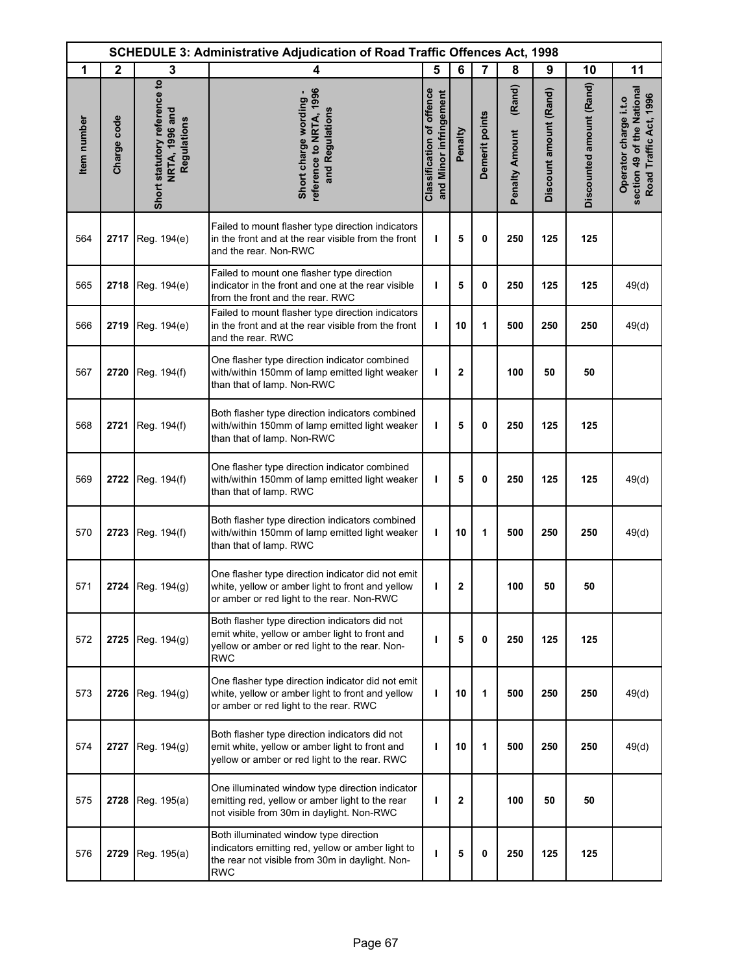| <b>SCHEDULE 3: Administrative Adjudication of Road Traffic Offences Act, 1998</b> |              |                                                               |                                                                                                                                                                  |                                                            |                |                |                                 |                        |                          |                                                                               |
|-----------------------------------------------------------------------------------|--------------|---------------------------------------------------------------|------------------------------------------------------------------------------------------------------------------------------------------------------------------|------------------------------------------------------------|----------------|----------------|---------------------------------|------------------------|--------------------------|-------------------------------------------------------------------------------|
| 1                                                                                 | $\mathbf{2}$ | 3                                                             | 4                                                                                                                                                                | 5                                                          | 6              | $\overline{7}$ | 8                               | 9                      | 10                       | 11                                                                            |
| Item number                                                                       | Charge code  | Short statutory reference to<br>NRTA, 1996 and<br>Regulations | reference to NRTA, 1996<br>Short charge wording -<br>and Regulations                                                                                             | <b>Classification of offence</b><br>and Minor infringement | Penalty        | Demerit points | (Rand)<br><b>Penalty Amount</b> | Discount amount (Rand) | Discounted amount (Rand) | section 49 of the National<br>Road Traffic Act, 1996<br>Operator charge i.t.o |
| 564                                                                               | 2717         | Reg. 194(e)                                                   | Failed to mount flasher type direction indicators<br>in the front and at the rear visible from the front<br>and the rear. Non-RWC                                | I.                                                         | 5              | 0              | 250                             | 125                    | 125                      |                                                                               |
| 565                                                                               | 2718         | Reg. 194(e)                                                   | Failed to mount one flasher type direction<br>indicator in the front and one at the rear visible<br>from the front and the rear. RWC                             | T                                                          | 5              | 0              | 250                             | 125                    | 125                      | 49(d)                                                                         |
| 566                                                                               | 2719         | Reg. 194(e)                                                   | Failed to mount flasher type direction indicators<br>in the front and at the rear visible from the front<br>and the rear. RWC                                    | т                                                          | 10             | 1              | 500                             | 250                    | 250                      | 49(d)                                                                         |
| 567                                                                               | 2720         | Reg. 194(f)                                                   | One flasher type direction indicator combined<br>with/within 150mm of lamp emitted light weaker<br>than that of lamp. Non-RWC                                    | ı                                                          | $\overline{2}$ |                | 100                             | 50                     | 50                       |                                                                               |
| 568                                                                               | 2721         | Reg. 194(f)                                                   | Both flasher type direction indicators combined<br>with/within 150mm of lamp emitted light weaker<br>than that of lamp. Non-RWC                                  | ı                                                          | 5              | 0              | 250                             | 125                    | 125                      |                                                                               |
| 569                                                                               | 2722         | Reg. 194(f)                                                   | One flasher type direction indicator combined<br>with/within 150mm of lamp emitted light weaker<br>than that of lamp. RWC                                        | ı                                                          | 5              | 0              | 250                             | 125                    | 125                      | 49(d)                                                                         |
| 570                                                                               | 2723         | Reg. 194(f)                                                   | Both flasher type direction indicators combined<br>with/within 150mm of lamp emitted light weaker<br>than that of lamp. RWC                                      | т                                                          | 10             | 1              | 500                             | 250                    | 250                      | 49(d)                                                                         |
| 571                                                                               |              | 2724   Reg. 194(g)                                            | One flasher type direction indicator did not emit<br>white, yellow or amber light to front and yellow<br>or amber or red light to the rear. Non-RWC              | ı                                                          | $\mathbf 2$    |                | 100                             | 50                     | 50                       |                                                                               |
| 572                                                                               | 2725         | Reg. 194(g)                                                   | Both flasher type direction indicators did not<br>emit white, yellow or amber light to front and<br>yellow or amber or red light to the rear. Non-<br><b>RWC</b> | п                                                          | 5              | 0              | 250                             | 125                    | 125                      |                                                                               |
| 573                                                                               | 2726         | Reg. 194(g)                                                   | One flasher type direction indicator did not emit<br>white, yellow or amber light to front and yellow<br>or amber or red light to the rear. RWC                  | т                                                          | 10             | 1              | 500                             | 250                    | 250                      | 49(d)                                                                         |
| 574                                                                               | 2727         | Reg. 194(g)                                                   | Both flasher type direction indicators did not<br>emit white, yellow or amber light to front and<br>yellow or amber or red light to the rear. RWC                | ı                                                          | 10             | 1              | 500                             | 250                    | 250                      | 49(d)                                                                         |
| 575                                                                               | 2728         | Reg. 195(a)                                                   | One illuminated window type direction indicator<br>emitting red, yellow or amber light to the rear<br>not visible from 30m in daylight. Non-RWC                  | ı                                                          | $\mathbf{2}$   |                | 100                             | 50                     | 50                       |                                                                               |
| 576                                                                               | 2729         | Reg. 195(a)                                                   | Both illuminated window type direction<br>indicators emitting red, yellow or amber light to<br>the rear not visible from 30m in daylight. Non-<br><b>RWC</b>     | т                                                          | 5              | 0              | 250                             | 125                    | 125                      |                                                                               |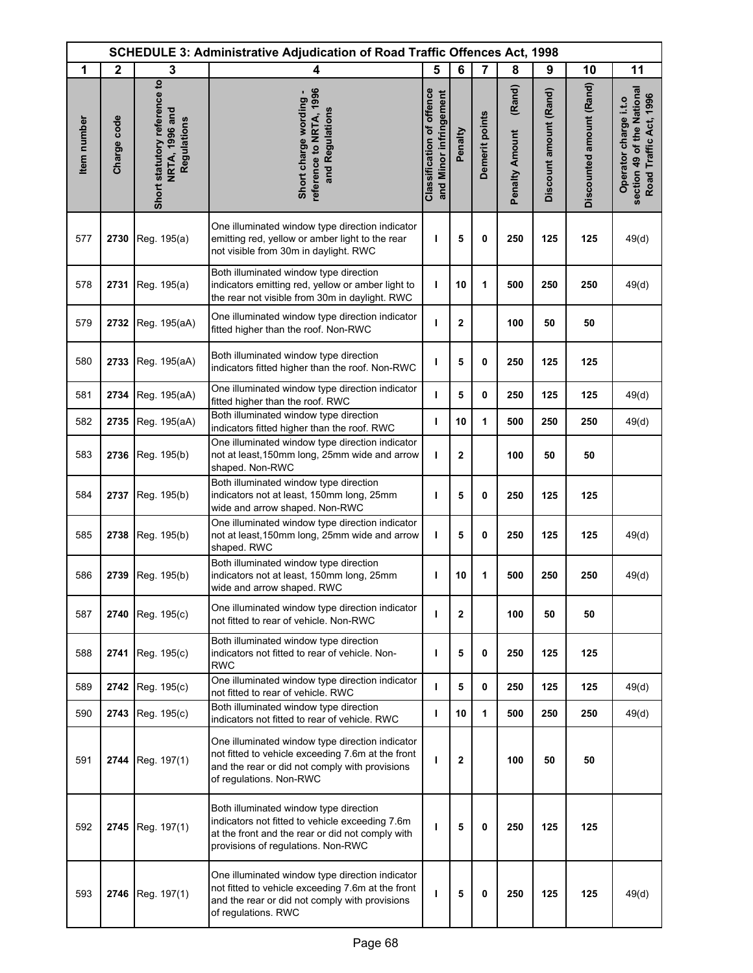|             | <b>SCHEDULE 3: Administrative Adjudication of Road Traffic Offences Act, 1998</b> |                                                               |                                                                                                                                                                                     |                                                     |                |                |                                 |                        |                          |                                                                               |
|-------------|-----------------------------------------------------------------------------------|---------------------------------------------------------------|-------------------------------------------------------------------------------------------------------------------------------------------------------------------------------------|-----------------------------------------------------|----------------|----------------|---------------------------------|------------------------|--------------------------|-------------------------------------------------------------------------------|
| 1           | $\mathbf{2}$                                                                      | 3                                                             | 4                                                                                                                                                                                   | 5                                                   | 6              | $\overline{7}$ | 8                               | 9                      | 10                       | 11                                                                            |
| Item number | Charge code                                                                       | Short statutory reference to<br>NRTA, 1996 and<br>Regulations | reference to NRTA, 1996<br>Short charge wording -<br>and Regulations                                                                                                                | Classification of offence<br>and Minor infringement | Penalty        | Demerit points | (Rand)<br><b>Penalty Amount</b> | Discount amount (Rand) | Discounted amount (Rand) | section 49 of the National<br>Road Traffic Act, 1996<br>Operator charge i.t.o |
| 577         | 2730                                                                              | Reg. 195(a)                                                   | One illuminated window type direction indicator<br>emitting red, yellow or amber light to the rear<br>not visible from 30m in daylight. RWC                                         | т                                                   | 5              | 0              | 250                             | 125                    | 125                      | 49(d)                                                                         |
| 578         | 2731                                                                              | Reg. 195(a)                                                   | Both illuminated window type direction<br>indicators emitting red, yellow or amber light to<br>the rear not visible from 30m in daylight. RWC                                       | T                                                   | 10             | 1              | 500                             | 250                    | 250                      | 49(d)                                                                         |
| 579         | 2732                                                                              | Reg. 195(aA)                                                  | One illuminated window type direction indicator<br>fitted higher than the roof. Non-RWC                                                                                             | ı                                                   | 2              |                | 100                             | 50                     | 50                       |                                                                               |
| 580         | 2733                                                                              | Reg. 195(aA)                                                  | Both illuminated window type direction<br>indicators fitted higher than the roof. Non-RWC                                                                                           | ı                                                   | 5              | 0              | 250                             | 125                    | 125                      |                                                                               |
| 581         | 2734                                                                              | Reg. 195(aA)                                                  | One illuminated window type direction indicator<br>fitted higher than the roof. RWC                                                                                                 | L                                                   | 5              | 0              | 250                             | 125                    | 125                      | 49(d)                                                                         |
| 582         | 2735                                                                              | Reg. 195(aA)                                                  | Both illuminated window type direction<br>indicators fitted higher than the roof. RWC                                                                                               | ı                                                   | 10             | 1              | 500                             | 250                    | 250                      | 49(d)                                                                         |
| 583         | 2736                                                                              | Reg. 195(b)                                                   | One illuminated window type direction indicator<br>not at least, 150mm long, 25mm wide and arrow<br>shaped. Non-RWC                                                                 | т                                                   | 2              |                | 100                             | 50                     | 50                       |                                                                               |
| 584         | 2737                                                                              | Reg. 195(b)                                                   | Both illuminated window type direction<br>indicators not at least, 150mm long, 25mm<br>wide and arrow shaped. Non-RWC                                                               | ı                                                   | 5              | 0              | 250                             | 125                    | 125                      |                                                                               |
| 585         | 2738                                                                              | Reg. 195(b)                                                   | One illuminated window type direction indicator<br>not at least, 150mm long, 25mm wide and arrow<br>shaped. RWC                                                                     | г                                                   | 5              | 0              | 250                             | 125                    | 125                      | 49(d)                                                                         |
| 586         | 2739                                                                              | Reg. 195(b)                                                   | Both illuminated window type direction<br>indicators not at least, 150mm long, 25mm<br>wide and arrow shaped. RWC                                                                   | ı                                                   | 10             | 1              | 500                             | 250                    | 250                      | 49(d)                                                                         |
| 587         | 2740                                                                              | Reg. 195(c)                                                   | One illuminated window type direction indicator<br>not fitted to rear of vehicle. Non-RWC                                                                                           | п                                                   | $\overline{2}$ |                | 100                             | 50                     | 50                       |                                                                               |
| 588         | 2741                                                                              | Reg. 195(c)                                                   | Both illuminated window type direction<br>indicators not fitted to rear of vehicle. Non-<br><b>RWC</b>                                                                              | п                                                   | 5              | 0              | 250                             | 125                    | 125                      |                                                                               |
| 589         | 2742                                                                              | Reg. 195(c)                                                   | One illuminated window type direction indicator<br>not fitted to rear of vehicle. RWC                                                                                               | п                                                   | 5              | 0              | 250                             | 125                    | 125                      | 49(d)                                                                         |
| 590         | 2743                                                                              | Reg. 195(c)                                                   | Both illuminated window type direction<br>indicators not fitted to rear of vehicle. RWC                                                                                             | т                                                   | 10             | 1              | 500                             | 250                    | 250                      | 49(d)                                                                         |
| 591         | 2744                                                                              | Reg. 197(1)                                                   | One illuminated window type direction indicator<br>not fitted to vehicle exceeding 7.6m at the front<br>and the rear or did not comply with provisions<br>of regulations. Non-RWC   | ı                                                   | 2              |                | 100                             | 50                     | 50                       |                                                                               |
| 592         | 2745                                                                              | Reg. 197(1)                                                   | Both illuminated window type direction<br>indicators not fitted to vehicle exceeding 7.6m<br>at the front and the rear or did not comply with<br>provisions of regulations. Non-RWC | п                                                   | 5              | 0              | 250                             | 125                    | 125                      |                                                                               |
| 593         | 2746                                                                              | Reg. 197(1)                                                   | One illuminated window type direction indicator<br>not fitted to vehicle exceeding 7.6m at the front<br>and the rear or did not comply with provisions<br>of regulations. RWC       | ı                                                   | 5              | 0              | 250                             | 125                    | 125                      | 49(d)                                                                         |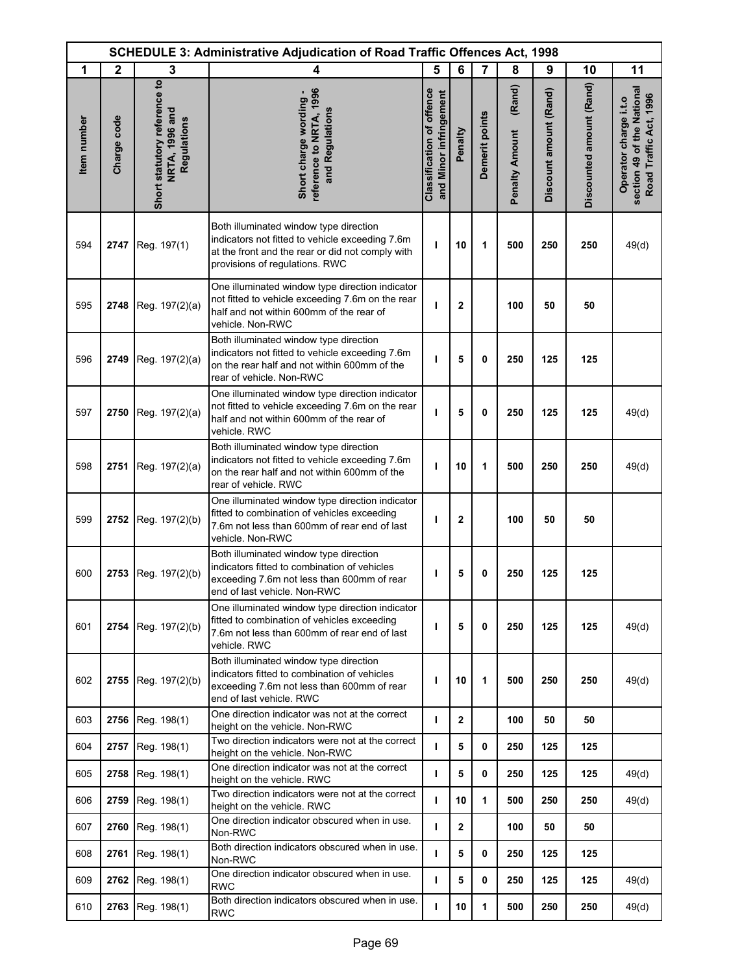| <b>SCHEDULE 3: Administrative Adjudication of Road Traffic Offences Act, 1998</b> |              |                                                               |                                                                                                                                                                                 |                                                            |                |                |                                 |                        |                          |                                                                               |
|-----------------------------------------------------------------------------------|--------------|---------------------------------------------------------------|---------------------------------------------------------------------------------------------------------------------------------------------------------------------------------|------------------------------------------------------------|----------------|----------------|---------------------------------|------------------------|--------------------------|-------------------------------------------------------------------------------|
| 1                                                                                 | $\mathbf{2}$ | 3                                                             | 4                                                                                                                                                                               | 5                                                          | 6              | 7              | 8                               | 9                      | 10                       | 11                                                                            |
| Item number                                                                       | Charge code  | Short statutory reference to<br>NRTA, 1996 and<br>Regulations | reference to NRTA, 1996<br>Short charge wording -<br>and Regulations                                                                                                            | <b>Classification of offence</b><br>and Minor infringement | Penalty        | Demerit points | (Rand)<br><b>Penalty Amount</b> | Discount amount (Rand) | Discounted amount (Rand) | section 49 of the National<br>Road Traffic Act, 1996<br>Operator charge i.t.o |
| 594                                                                               | 2747         | Reg. 197(1)                                                   | Both illuminated window type direction<br>indicators not fitted to vehicle exceeding 7.6m<br>at the front and the rear or did not comply with<br>provisions of regulations. RWC | ı                                                          | 10             | 1              | 500                             | 250                    | 250                      | 49(d)                                                                         |
| 595                                                                               | 2748         | Reg. 197(2)(a)                                                | One illuminated window type direction indicator<br>not fitted to vehicle exceeding 7.6m on the rear<br>half and not within 600mm of the rear of<br>vehicle. Non-RWC             | ı                                                          | $\mathbf{2}$   |                | 100                             | 50                     | 50                       |                                                                               |
| 596                                                                               | 2749         | Reg. 197(2)(a)                                                | Both illuminated window type direction<br>indicators not fitted to vehicle exceeding 7.6m<br>on the rear half and not within 600mm of the<br>rear of vehicle. Non-RWC           | T                                                          | 5              | $\mathbf{0}$   | 250                             | 125                    | 125                      |                                                                               |
| 597                                                                               | 2750         | Reg. 197(2)(a)                                                | One illuminated window type direction indicator<br>not fitted to vehicle exceeding 7.6m on the rear<br>half and not within 600mm of the rear of<br>vehicle. RWC                 | т                                                          | 5              | 0              | 250                             | 125                    | 125                      | 49(d)                                                                         |
| 598                                                                               | 2751         | Reg. 197(2)(a)                                                | Both illuminated window type direction<br>indicators not fitted to vehicle exceeding 7.6m<br>on the rear half and not within 600mm of the<br>rear of vehicle. RWC               | т                                                          | 10             | 1              | 500                             | 250                    | 250                      | 49(d)                                                                         |
| 599                                                                               | 2752         | Reg. 197(2)(b)                                                | One illuminated window type direction indicator<br>fitted to combination of vehicles exceeding<br>7.6m not less than 600mm of rear end of last<br>vehicle. Non-RWC              | т                                                          | $\mathbf 2$    |                | 100                             | 50                     | 50                       |                                                                               |
| 600                                                                               | 2753         | Reg. 197(2)(b)                                                | Both illuminated window type direction<br>indicators fitted to combination of vehicles<br>exceeding 7.6m not less than 600mm of rear<br>end of last vehicle. Non-RWC            | ı                                                          | 5              | 0              | 250                             | 125                    | 125                      |                                                                               |
| 601                                                                               | 2754         | Reg. 197(2)(b)                                                | One illuminated window type direction indicator<br>fitted to combination of vehicles exceeding<br>7.6m not less than 600mm of rear end of last<br>vehicle. RWC                  | T                                                          | 5              | 0              | 250                             | 125                    | 125                      | 49(d)                                                                         |
| 602                                                                               | 2755         | Reg. 197(2)(b)                                                | Both illuminated window type direction<br>indicators fitted to combination of vehicles<br>exceeding 7.6m not less than 600mm of rear<br>end of last vehicle. RWC                | T                                                          | 10             | 1              | 500                             | 250                    | 250                      | 49(d)                                                                         |
| 603                                                                               | 2756         | Reg. 198(1)                                                   | One direction indicator was not at the correct<br>height on the vehicle. Non-RWC                                                                                                | $\mathbf{I}$                                               | $\overline{2}$ |                | 100                             | 50                     | 50                       |                                                                               |
| 604                                                                               | 2757         | Reg. 198(1)                                                   | Two direction indicators were not at the correct<br>height on the vehicle. Non-RWC                                                                                              | ı                                                          | 5              | 0              | 250                             | 125                    | 125                      |                                                                               |
| 605                                                                               | 2758         | Reg. 198(1)                                                   | One direction indicator was not at the correct<br>height on the vehicle. RWC                                                                                                    | T                                                          | 5              | 0              | 250                             | 125                    | 125                      | 49(d)                                                                         |
| 606                                                                               | 2759         | Reg. 198(1)                                                   | Two direction indicators were not at the correct<br>height on the vehicle. RWC                                                                                                  | $\mathbf{I}$                                               | 10             | 1              | 500                             | 250                    | 250                      | 49(d)                                                                         |
| 607                                                                               | 2760         | Reg. 198(1)                                                   | One direction indicator obscured when in use.<br>Non-RWC                                                                                                                        | $\mathbf{I}$                                               | $\mathbf{2}$   |                | 100                             | 50                     | 50                       |                                                                               |
| 608                                                                               | 2761         | Reg. 198(1)                                                   | Both direction indicators obscured when in use.<br>Non-RWC                                                                                                                      | I.                                                         | 5              | 0              | 250                             | 125                    | 125                      |                                                                               |
| 609                                                                               | 2762         | Reg. 198(1)                                                   | One direction indicator obscured when in use.<br><b>RWC</b>                                                                                                                     | T                                                          | 5              | 0              | 250                             | 125                    | 125                      | 49(d)                                                                         |
| 610                                                                               | 2763         | Reg. 198(1)                                                   | Both direction indicators obscured when in use.<br><b>RWC</b>                                                                                                                   | т                                                          | 10             | 1              | 500                             | 250                    | 250                      | 49(d)                                                                         |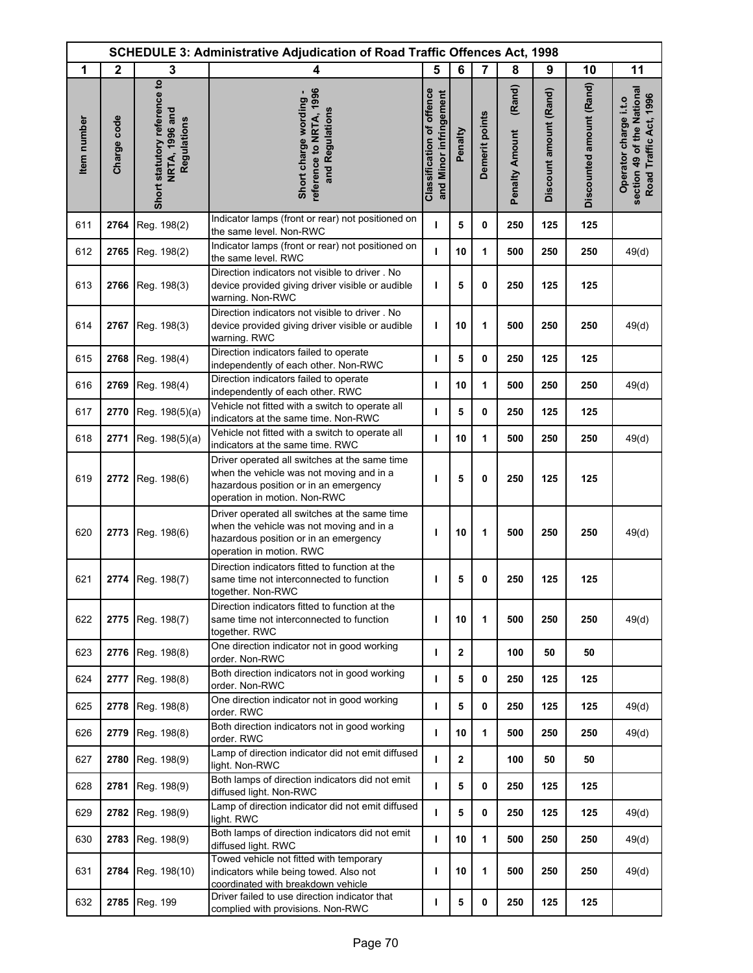| <b>SCHEDULE 3: Administrative Adjudication of Road Traffic Offences Act, 1998</b><br>1<br>$\mathbf{2}$<br>3<br>5<br>6<br>7<br>8<br>10<br>11<br>9<br>4 |             |                                                               |                                                                                                                                                                    |                                                            |              |                |                                 |                        |                          |                                                                               |
|-------------------------------------------------------------------------------------------------------------------------------------------------------|-------------|---------------------------------------------------------------|--------------------------------------------------------------------------------------------------------------------------------------------------------------------|------------------------------------------------------------|--------------|----------------|---------------------------------|------------------------|--------------------------|-------------------------------------------------------------------------------|
|                                                                                                                                                       |             |                                                               |                                                                                                                                                                    |                                                            |              |                |                                 |                        |                          |                                                                               |
| Item number                                                                                                                                           | Charge code | Short statutory reference to<br>NRTA, 1996 and<br>Regulations | reference to NRTA, 1996<br>Short charge wording -<br>and Regulations                                                                                               | <b>Classification of offence</b><br>and Minor infringement | Penalty      | Demerit points | (Rand)<br><b>Penalty Amount</b> | Discount amount (Rand) | Discounted amount (Rand) | section 49 of the National<br>Road Traffic Act, 1996<br>Operator charge i.t.o |
| 611                                                                                                                                                   | 2764        | Reg. 198(2)                                                   | Indicator lamps (front or rear) not positioned on<br>the same level. Non-RWC                                                                                       | т                                                          | 5            | 0              | 250                             | 125                    | 125                      |                                                                               |
| 612                                                                                                                                                   | 2765        | Reg. 198(2)                                                   | Indicator lamps (front or rear) not positioned on<br>the same level. RWC                                                                                           | т                                                          | 10           | 1              | 500                             | 250                    | 250                      | 49(d)                                                                         |
| 613                                                                                                                                                   | 2766        | Reg. 198(3)                                                   | Direction indicators not visible to driver. No<br>device provided giving driver visible or audible<br>warning. Non-RWC                                             | т                                                          | 5            | 0              | 250                             | 125                    | 125                      |                                                                               |
| 614                                                                                                                                                   | 2767        | Reg. 198(3)                                                   | Direction indicators not visible to driver. No<br>device provided giving driver visible or audible<br>warning. RWC                                                 | T                                                          | 10           | 1              | 500                             | 250                    | 250                      | 49(d)                                                                         |
| 615                                                                                                                                                   | 2768        | Reg. 198(4)                                                   | Direction indicators failed to operate<br>independently of each other. Non-RWC                                                                                     | T                                                          | 5            | 0              | 250                             | 125                    | 125                      |                                                                               |
| 616                                                                                                                                                   | 2769        | Reg. 198(4)                                                   | Direction indicators failed to operate<br>independently of each other. RWC                                                                                         | т                                                          | 10           | 1              | 500                             | 250                    | 250                      | 49(d)                                                                         |
| 617                                                                                                                                                   | 2770        | Reg. 198(5)(a)                                                | Vehicle not fitted with a switch to operate all<br>indicators at the same time. Non-RWC                                                                            | т                                                          | 5            | 0              | 250                             | 125                    | 125                      |                                                                               |
| 618                                                                                                                                                   | 2771        | Reg. 198(5)(a)                                                | Vehicle not fitted with a switch to operate all<br>indicators at the same time. RWC                                                                                | T                                                          | 10           | 1              | 500                             | 250                    | 250                      | 49(d)                                                                         |
| 619                                                                                                                                                   | 2772        | Reg. 198(6)                                                   | Driver operated all switches at the same time<br>when the vehicle was not moving and in a<br>hazardous position or in an emergency<br>operation in motion. Non-RWC | т                                                          | 5            | 0              | 250                             | 125                    | 125                      |                                                                               |
| 620                                                                                                                                                   | 2773        | Reg. 198(6)                                                   | Driver operated all switches at the same time<br>when the vehicle was not moving and in a<br>hazardous position or in an emergency<br>operation in motion. RWC     | т                                                          | 10           | 1              | 500                             | 250                    | 250                      | 49(d)                                                                         |
| 621                                                                                                                                                   | 2774        | Reg. 198(7)                                                   | Direction indicators fitted to function at the<br>same time not interconnected to function<br>together. Non-RWC                                                    | т                                                          | 5            | 0              | 250                             | 125                    | 125                      |                                                                               |
| 622                                                                                                                                                   | 2775        | Reg. 198(7)                                                   | Direction indicators fitted to function at the<br>same time not interconnected to function<br>together. RWC                                                        | т                                                          | 10           | 1              | 500                             | 250                    | 250                      | 49(d)                                                                         |
| 623                                                                                                                                                   | 2776        | Reg. 198(8)                                                   | One direction indicator not in good working<br>order. Non-RWC                                                                                                      | T                                                          | $\mathbf{2}$ |                | 100                             | 50                     | 50                       |                                                                               |
| 624                                                                                                                                                   | 2777        | Reg. 198(8)                                                   | Both direction indicators not in good working<br>order. Non-RWC                                                                                                    | T                                                          | 5            | 0              | 250                             | 125                    | 125                      |                                                                               |
| 625                                                                                                                                                   | 2778        | Reg. 198(8)                                                   | One direction indicator not in good working<br>order. RWC                                                                                                          | $\mathbf{I}$                                               | 5            | 0              | 250                             | 125                    | 125                      | 49(d)                                                                         |
| 626                                                                                                                                                   | 2779        | Reg. 198(8)                                                   | Both direction indicators not in good working<br>order. RWC                                                                                                        | I.                                                         | 10           | 1              | 500                             | 250                    | 250                      | 49(d)                                                                         |
| 627                                                                                                                                                   | 2780        | Reg. 198(9)                                                   | Lamp of direction indicator did not emit diffused<br>light. Non-RWC                                                                                                | т                                                          | $\mathbf{2}$ |                | 100                             | 50                     | 50                       |                                                                               |
| 628                                                                                                                                                   | 2781        | Reg. 198(9)                                                   | Both lamps of direction indicators did not emit<br>diffused light. Non-RWC                                                                                         | $\mathbf{I}$                                               | 5            | 0              | 250                             | 125                    | 125                      |                                                                               |
| 629                                                                                                                                                   | 2782        | Reg. 198(9)                                                   | Lamp of direction indicator did not emit diffused<br>light. RWC                                                                                                    | т                                                          | 5            | 0              | 250                             | 125                    | 125                      | 49(d)                                                                         |
| 630                                                                                                                                                   | 2783        | Reg. 198(9)                                                   | Both lamps of direction indicators did not emit<br>diffused light. RWC                                                                                             | T                                                          | 10           | 1              | 500                             | 250                    | 250                      | 49(d)                                                                         |
| 631                                                                                                                                                   | 2784        | Reg. 198(10)                                                  | Towed vehicle not fitted with temporary<br>indicators while being towed. Also not<br>coordinated with breakdown vehicle                                            | I.                                                         | 10           | 1              | 500                             | 250                    | 250                      | 49(d)                                                                         |
| 632                                                                                                                                                   | 2785        | Reg. 199                                                      | Driver failed to use direction indicator that<br>complied with provisions. Non-RWC                                                                                 | т                                                          | 5            | 0              | 250                             | 125                    | 125                      |                                                                               |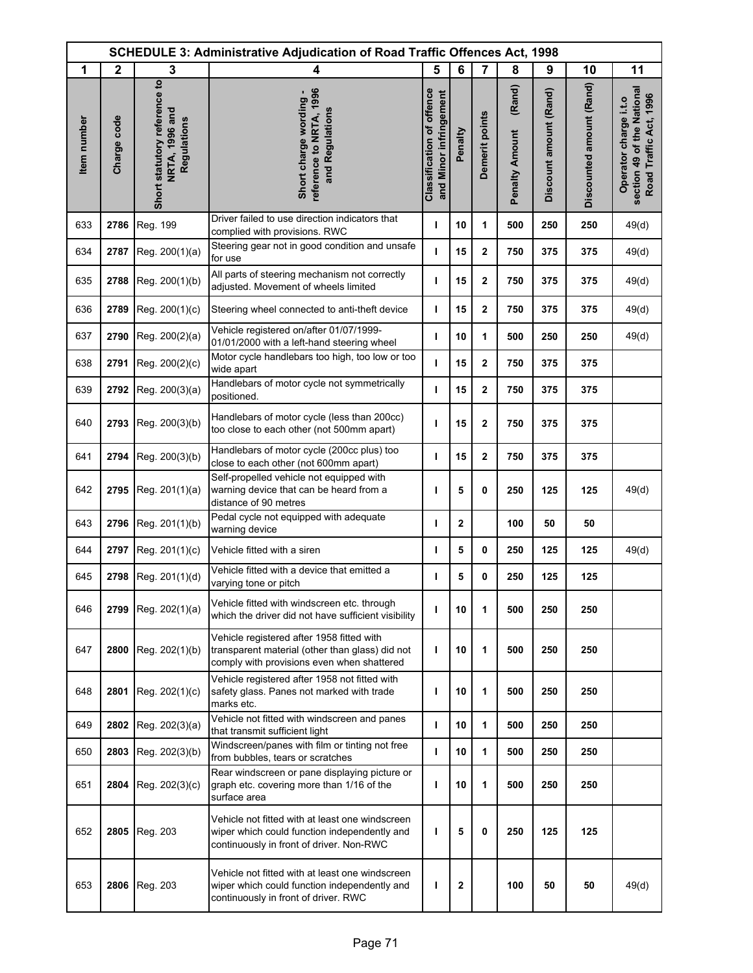| SCHEDULE 3: Administrative Adjudication of Road Traffic Offences Act, 1998 |              |                                                               |                                                                                                                                             |                                                            |              |                |                                 |                        |                          |                                                                               |
|----------------------------------------------------------------------------|--------------|---------------------------------------------------------------|---------------------------------------------------------------------------------------------------------------------------------------------|------------------------------------------------------------|--------------|----------------|---------------------------------|------------------------|--------------------------|-------------------------------------------------------------------------------|
| 1                                                                          | $\mathbf{2}$ | 3                                                             | 4                                                                                                                                           | 5                                                          | 6            | 7              | 8                               | 9                      | 10                       | 11                                                                            |
| Item number                                                                | Charge code  | Short statutory reference to<br>NRTA, 1996 and<br>Regulations | reference to NRTA, 1996<br>Short charge wording -<br>and Regulations                                                                        | <b>Classification of offence</b><br>and Minor infringement | Penalty      | Demerit points | (Rand)<br><b>Penalty Amount</b> | Discount amount (Rand) | Discounted amount (Rand) | section 49 of the National<br>Road Traffic Act, 1996<br>Operator charge i.t.o |
| 633                                                                        | 2786         | Reg. 199                                                      | Driver failed to use direction indicators that<br>complied with provisions. RWC                                                             | I.                                                         | 10           | 1              | 500                             | 250                    | 250                      | 49(d)                                                                         |
| 634                                                                        | 2787         | Reg. 200(1)(a)                                                | Steering gear not in good condition and unsafe<br>for use                                                                                   | ı                                                          | 15           | $\mathbf 2$    | 750                             | 375                    | 375                      | 49(d)                                                                         |
| 635                                                                        | 2788         | Reg. 200(1)(b)                                                | All parts of steering mechanism not correctly<br>adjusted. Movement of wheels limited                                                       | I                                                          | 15           | $\mathbf 2$    | 750                             | 375                    | 375                      | 49(d)                                                                         |
| 636                                                                        | 2789         | Reg. 200(1)(c)                                                | Steering wheel connected to anti-theft device                                                                                               | ı                                                          | 15           | $\mathbf{2}$   | 750                             | 375                    | 375                      | 49(d)                                                                         |
| 637                                                                        | 2790         | Reg. 200(2)(a)                                                | Vehicle registered on/after 01/07/1999-<br>01/01/2000 with a left-hand steering wheel                                                       | I.                                                         | 10           | 1              | 500                             | 250                    | 250                      | 49(d)                                                                         |
| 638                                                                        | 2791         | Reg. 200(2)(c)                                                | Motor cycle handlebars too high, too low or too<br>wide apart                                                                               | т                                                          | 15           | $\mathbf{2}$   | 750                             | 375                    | 375                      |                                                                               |
| 639                                                                        | 2792         | Reg. 200(3)(a)                                                | Handlebars of motor cycle not symmetrically<br>positioned.                                                                                  | т                                                          | 15           | $\mathbf 2$    | 750                             | 375                    | 375                      |                                                                               |
| 640                                                                        | 2793         | Reg. 200(3)(b)                                                | Handlebars of motor cycle (less than 200cc)<br>too close to each other (not 500mm apart)                                                    | ı                                                          | 15           | $\bf{2}$       | 750                             | 375                    | 375                      |                                                                               |
| 641                                                                        | 2794         | Reg. 200(3)(b)                                                | Handlebars of motor cycle (200cc plus) too<br>close to each other (not 600mm apart)                                                         | ı                                                          | 15           | $\mathbf 2$    | 750                             | 375                    | 375                      |                                                                               |
| 642                                                                        | 2795         | Reg. 201(1)(a)                                                | Self-propelled vehicle not equipped with<br>warning device that can be heard from a<br>distance of 90 metres                                | т                                                          | 5            | 0              | 250                             | 125                    | 125                      | 49(d)                                                                         |
| 643                                                                        | 2796         | Reg. 201(1)(b)                                                | Pedal cycle not equipped with adequate<br>warning device                                                                                    | т                                                          | 2            |                | 100                             | 50                     | 50                       |                                                                               |
| 644                                                                        | 2797         | Reg. 201(1)(c)                                                | Vehicle fitted with a siren                                                                                                                 | т                                                          | 5            | 0              | 250                             | 125                    | 125                      | 49(d)                                                                         |
| 645                                                                        | 2798         | Reg. 201(1)(d)                                                | Vehicle fitted with a device that emitted a<br>varying tone or pitch                                                                        | T                                                          | 5            | 0              | 250                             | 125                    | 125                      |                                                                               |
| 646                                                                        | 2799         | Reg. 202(1)(a)                                                | Vehicle fitted with windscreen etc. through<br>which the driver did not have sufficient visibility                                          | т                                                          | 10           | 1              | 500                             | 250                    | 250                      |                                                                               |
| 647                                                                        | 2800         | Reg. 202(1)(b)                                                | Vehicle registered after 1958 fitted with<br>transparent material (other than glass) did not<br>comply with provisions even when shattered  | т                                                          | 10           | 1              | 500                             | 250                    | 250                      |                                                                               |
| 648                                                                        | 2801         | Reg. 202(1)(c)                                                | Vehicle registered after 1958 not fitted with<br>safety glass. Panes not marked with trade<br>marks etc.                                    | т                                                          | 10           | 1              | 500                             | 250                    | 250                      |                                                                               |
| 649                                                                        | 2802         | Reg. 202(3)(a)                                                | Vehicle not fitted with windscreen and panes<br>that transmit sufficient light                                                              | $\mathbf{I}$                                               | 10           | 1              | 500                             | 250                    | 250                      |                                                                               |
| 650                                                                        | 2803         | Reg. 202(3)(b)                                                | Windscreen/panes with film or tinting not free<br>from bubbles, tears or scratches                                                          | т                                                          | 10           | 1              | 500                             | 250                    | 250                      |                                                                               |
| 651                                                                        | 2804         | Reg. 202(3)(c)                                                | Rear windscreen or pane displaying picture or<br>graph etc. covering more than 1/16 of the<br>surface area                                  | т                                                          | 10           | 1              | 500                             | 250                    | 250                      |                                                                               |
| 652                                                                        | 2805         | Reg. 203                                                      | Vehicle not fitted with at least one windscreen<br>wiper which could function independently and<br>continuously in front of driver. Non-RWC | т                                                          | 5            | 0              | 250                             | 125                    | 125                      |                                                                               |
| 653                                                                        | 2806         | Reg. 203                                                      | Vehicle not fitted with at least one windscreen<br>wiper which could function independently and<br>continuously in front of driver. RWC     | т                                                          | $\mathbf{2}$ |                | 100                             | 50                     | 50                       | 49(d)                                                                         |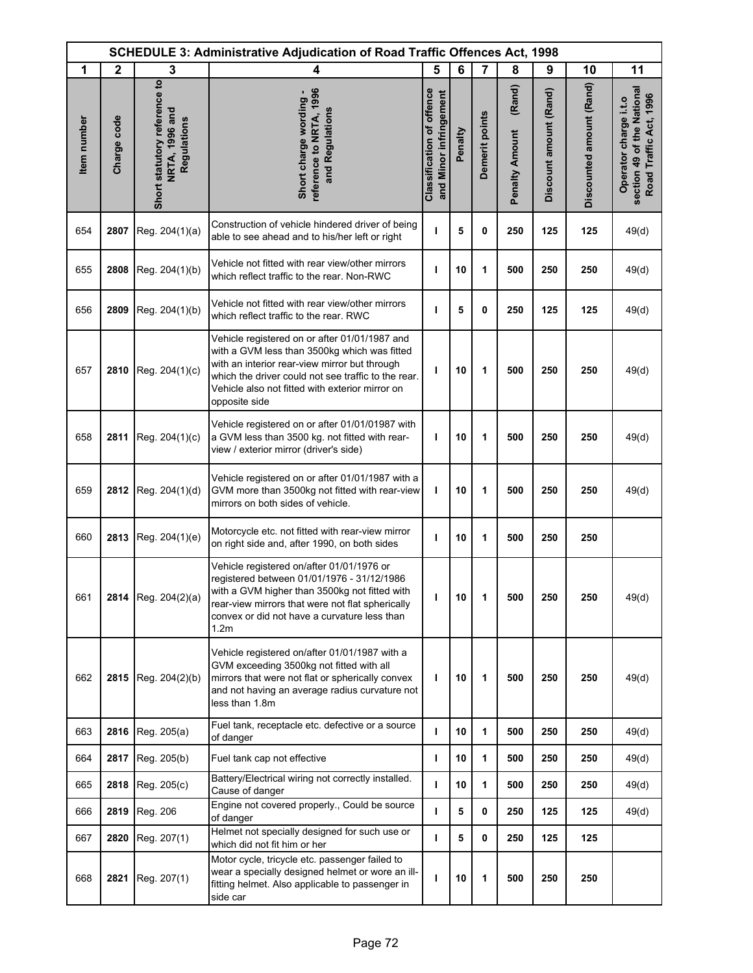| <b>SCHEDULE 3: Administrative Adjudication of Road Traffic Offences Act, 1998</b> |              |                                                               |                                                                                                                                                                                                                                                                           |                                                            |         |                |                                 |                        |                          |                                                                               |
|-----------------------------------------------------------------------------------|--------------|---------------------------------------------------------------|---------------------------------------------------------------------------------------------------------------------------------------------------------------------------------------------------------------------------------------------------------------------------|------------------------------------------------------------|---------|----------------|---------------------------------|------------------------|--------------------------|-------------------------------------------------------------------------------|
| 1                                                                                 | $\mathbf{2}$ | 3                                                             | 4                                                                                                                                                                                                                                                                         | 5                                                          | 6       | 7              | 8                               | 9                      | 10                       | 11                                                                            |
| Item number                                                                       | Charge code  | Short statutory reference to<br>NRTA, 1996 and<br>Regulations | reference to NRTA, 1996<br>Short charge wording -<br>and Regulations                                                                                                                                                                                                      | <b>Classification of offence</b><br>and Minor infringement | Penalty | Demerit points | (Rand)<br><b>Penalty Amount</b> | Discount amount (Rand) | Discounted amount (Rand) | section 49 of the National<br>Road Traffic Act, 1996<br>Operator charge i.t.o |
| 654                                                                               | 2807         | Reg. 204(1)(a)                                                | Construction of vehicle hindered driver of being<br>able to see ahead and to his/her left or right                                                                                                                                                                        | ı                                                          | 5       | 0              | 250                             | 125                    | 125                      | 49(d)                                                                         |
| 655                                                                               | 2808         | Reg. 204(1)(b)                                                | Vehicle not fitted with rear view/other mirrors<br>which reflect traffic to the rear. Non-RWC                                                                                                                                                                             | J.                                                         | 10      | 1              | 500                             | 250                    | 250                      | 49(d)                                                                         |
| 656                                                                               | 2809         | Reg. 204(1)(b)                                                | Vehicle not fitted with rear view/other mirrors<br>which reflect traffic to the rear. RWC                                                                                                                                                                                 | т                                                          | 5       | 0              | 250                             | 125                    | 125                      | 49(d)                                                                         |
| 657                                                                               | 2810         | Reg. 204(1)(c)                                                | Vehicle registered on or after 01/01/1987 and<br>with a GVM less than 3500kg which was fitted<br>with an interior rear-view mirror but through<br>which the driver could not see traffic to the rear.<br>Vehicle also not fitted with exterior mirror on<br>opposite side | ı                                                          | 10      | 1              | 500                             | 250                    | 250                      | 49(d)                                                                         |
| 658                                                                               | 2811         | Reg. 204(1)(c)                                                | Vehicle registered on or after 01/01/01987 with<br>a GVM less than 3500 kg. not fitted with rear-<br>view / exterior mirror (driver's side)                                                                                                                               | т                                                          | 10      | 1              | 500                             | 250                    | 250                      | 49(d)                                                                         |
| 659                                                                               | 2812         | Reg. 204(1)(d)                                                | Vehicle registered on or after 01/01/1987 with a<br>GVM more than 3500kg not fitted with rear-view<br>mirrors on both sides of vehicle.                                                                                                                                   | T                                                          | 10      | 1              | 500                             | 250                    | 250                      | 49(d)                                                                         |
| 660                                                                               | 2813         | Reg. 204(1)(e)                                                | Motorcycle etc. not fitted with rear-view mirror<br>on right side and, after 1990, on both sides                                                                                                                                                                          | т                                                          | 10      | 1              | 500                             | 250                    | 250                      |                                                                               |
| 661                                                                               |              | 2814 Reg. 204(2)(a)                                           | Vehicle registered on/after 01/01/1976 or<br>registered between 01/01/1976 - 31/12/1986<br>with a GVM higher than 3500kg not fitted with<br>rear-view mirrors that were not flat spherically<br>convex or did not have a curvature less than<br>1.2m                      | ı                                                          | 10      | 1              | 500                             | 250                    | 250                      | 49(d)                                                                         |
| 662                                                                               | 2815         | Reg. 204(2)(b)                                                | Vehicle registered on/after 01/01/1987 with a<br>GVM exceeding 3500kg not fitted with all<br>mirrors that were not flat or spherically convex<br>and not having an average radius curvature not<br>less than 1.8m                                                         | т                                                          | 10      | 1              | 500                             | 250                    | 250                      | 49(d)                                                                         |
| 663                                                                               | 2816         | Reg. 205(a)                                                   | Fuel tank, receptacle etc. defective or a source<br>of danger                                                                                                                                                                                                             | ı                                                          | 10      | 1              | 500                             | 250                    | 250                      | 49(d)                                                                         |
| 664                                                                               | 2817         | Reg. 205(b)                                                   | Fuel tank cap not effective                                                                                                                                                                                                                                               | т                                                          | 10      | 1              | 500                             | 250                    | 250                      | 49(d)                                                                         |
| 665                                                                               | 2818         | Reg. 205(c)                                                   | Battery/Electrical wiring not correctly installed.<br>Cause of danger                                                                                                                                                                                                     | т                                                          | 10      | 1              | 500                             | 250                    | 250                      | 49(d)                                                                         |
| 666                                                                               | 2819         | Reg. 206                                                      | Engine not covered properly., Could be source<br>of danger                                                                                                                                                                                                                | т                                                          | 5       | 0              | 250                             | 125                    | 125                      | 49(d)                                                                         |
| 667                                                                               | 2820         | Reg. 207(1)                                                   | Helmet not specially designed for such use or<br>which did not fit him or her                                                                                                                                                                                             | $\mathbf{I}$                                               | 5       | 0              | 250                             | 125                    | 125                      |                                                                               |
| 668                                                                               | 2821         | Reg. 207(1)                                                   | Motor cycle, tricycle etc. passenger failed to<br>wear a specially designed helmet or wore an ill-<br>fitting helmet. Also applicable to passenger in<br>side car                                                                                                         | ı                                                          | 10      | 1              | 500                             | 250                    | 250                      |                                                                               |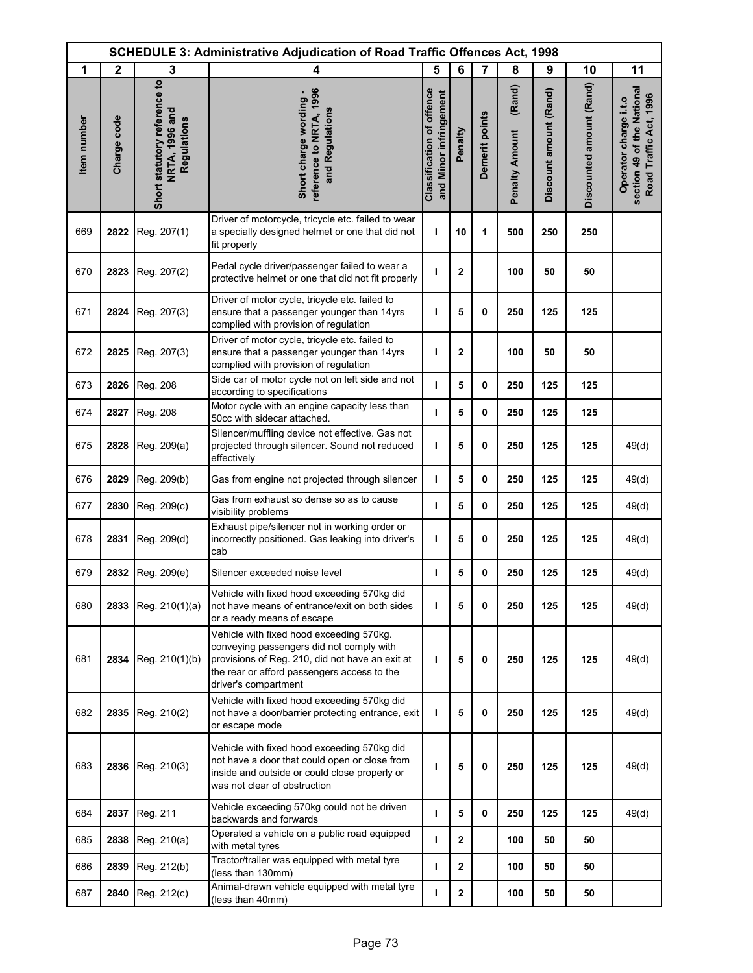|             | <b>SCHEDULE 3: Administrative Adjudication of Road Traffic Offences Act, 1998</b> |                                                               |                                                                                                                                                                                                                |                                                            |              |                |                                 |                        |                          |                                                                               |
|-------------|-----------------------------------------------------------------------------------|---------------------------------------------------------------|----------------------------------------------------------------------------------------------------------------------------------------------------------------------------------------------------------------|------------------------------------------------------------|--------------|----------------|---------------------------------|------------------------|--------------------------|-------------------------------------------------------------------------------|
| 1           | $\mathbf{2}$                                                                      | 3                                                             | 4                                                                                                                                                                                                              | 5                                                          | 6            | $\overline{7}$ | 8                               | 9                      | 10                       | 11                                                                            |
| Item number | Charge code                                                                       | Short statutory reference to<br>NRTA, 1996 and<br>Regulations | reference to NRTA, 1996<br>Short charge wording -<br>and Regulations                                                                                                                                           | <b>Classification of offence</b><br>and Minor infringement | Penalty      | Demerit points | (Rand)<br><b>Penalty Amount</b> | Discount amount (Rand) | Discounted amount (Rand) | section 49 of the National<br>Road Traffic Act, 1996<br>Operator charge i.t.o |
| 669         | 2822                                                                              | Reg. 207(1)                                                   | Driver of motorcycle, tricycle etc. failed to wear<br>a specially designed helmet or one that did not<br>fit properly                                                                                          | т                                                          | 10           | 1              | 500                             | 250                    | 250                      |                                                                               |
| 670         | 2823                                                                              | Reg. 207(2)                                                   | Pedal cycle driver/passenger failed to wear a<br>protective helmet or one that did not fit properly                                                                                                            | т                                                          | $\mathbf{2}$ |                | 100                             | 50                     | 50                       |                                                                               |
| 671         | 2824                                                                              | Reg. 207(3)                                                   | Driver of motor cycle, tricycle etc. failed to<br>ensure that a passenger younger than 14yrs<br>complied with provision of regulation                                                                          | ı                                                          | 5            | 0              | 250                             | 125                    | 125                      |                                                                               |
| 672         | 2825                                                                              | Reg. 207(3)                                                   | Driver of motor cycle, tricycle etc. failed to<br>ensure that a passenger younger than 14yrs<br>complied with provision of regulation                                                                          | ı                                                          | $\mathbf{2}$ |                | 100                             | 50                     | 50                       |                                                                               |
| 673         | 2826                                                                              | Reg. 208                                                      | Side car of motor cycle not on left side and not<br>according to specifications                                                                                                                                | т                                                          | 5            | 0              | 250                             | 125                    | 125                      |                                                                               |
| 674         | 2827                                                                              | Reg. 208                                                      | Motor cycle with an engine capacity less than<br>50cc with sidecar attached.                                                                                                                                   | т                                                          | 5            | 0              | 250                             | 125                    | 125                      |                                                                               |
| 675         | 2828                                                                              | Reg. 209(a)                                                   | Silencer/muffling device not effective. Gas not<br>projected through silencer. Sound not reduced<br>effectively                                                                                                | т                                                          | 5            | 0              | 250                             | 125                    | 125                      | 49(d)                                                                         |
| 676         | 2829                                                                              | Reg. 209(b)                                                   | Gas from engine not projected through silencer                                                                                                                                                                 | J.                                                         | 5            | 0              | 250                             | 125                    | 125                      | 49(d)                                                                         |
| 677         | 2830                                                                              | Reg. 209(c)                                                   | Gas from exhaust so dense so as to cause<br>visibility problems                                                                                                                                                | $\mathbf{I}$                                               | 5            | 0              | 250                             | 125                    | 125                      | 49(d)                                                                         |
| 678         | 2831                                                                              | Reg. 209(d)                                                   | Exhaust pipe/silencer not in working order or<br>incorrectly positioned. Gas leaking into driver's<br>cab                                                                                                      | ı                                                          | 5            | 0              | 250                             | 125                    | 125                      | 49(d)                                                                         |
| 679         | 2832                                                                              | Reg. 209(e)                                                   | Silencer exceeded noise level                                                                                                                                                                                  | т                                                          | 5            | 0              | 250                             | 125                    | 125                      | 49(d)                                                                         |
| 680         | 2833                                                                              | Reg. 210(1)(a)                                                | Vehicle with fixed hood exceeding 570kg did<br>not have means of entrance/exit on both sides<br>or a ready means of escape                                                                                     | т                                                          | 5            | 0              | 250                             | 125                    | 125                      | 49(d)                                                                         |
| 681         | 2834                                                                              | Reg. 210(1)(b)                                                | Vehicle with fixed hood exceeding 570kg.<br>conveying passengers did not comply with<br>provisions of Reg. 210, did not have an exit at<br>the rear or afford passengers access to the<br>driver's compartment | ı                                                          | 5            | 0              | 250                             | 125                    | 125                      | 49(d)                                                                         |
| 682         | 2835                                                                              | Reg. 210(2)                                                   | Vehicle with fixed hood exceeding 570kg did<br>not have a door/barrier protecting entrance, exit<br>or escape mode                                                                                             | T                                                          | 5            | 0              | 250                             | 125                    | 125                      | 49(d)                                                                         |
| 683         | 2836                                                                              | Reg. 210(3)                                                   | Vehicle with fixed hood exceeding 570kg did<br>not have a door that could open or close from<br>inside and outside or could close properly or<br>was not clear of obstruction                                  | ı                                                          | 5            | 0              | 250                             | 125                    | 125                      | 49(d)                                                                         |
| 684         | 2837                                                                              | Reg. 211                                                      | Vehicle exceeding 570kg could not be driven<br>backwards and forwards                                                                                                                                          | $\mathbf{I}$                                               | 5            | 0              | 250                             | 125                    | 125                      | 49(d)                                                                         |
| 685         | 2838                                                                              | Reg. 210(a)                                                   | Operated a vehicle on a public road equipped<br>with metal tyres                                                                                                                                               | т                                                          | $\mathbf{2}$ |                | 100                             | 50                     | 50                       |                                                                               |
| 686         | 2839                                                                              | Reg. 212(b)                                                   | Tractor/trailer was equipped with metal tyre<br>(less than 130mm)                                                                                                                                              | $\mathbf{I}$                                               | $\mathbf{2}$ |                | 100                             | 50                     | 50                       |                                                                               |
| 687         | 2840                                                                              | Reg. 212(c)                                                   | Animal-drawn vehicle equipped with metal tyre<br>(less than 40mm)                                                                                                                                              | т                                                          | $\mathbf{2}$ |                | 100                             | 50                     | 50                       |                                                                               |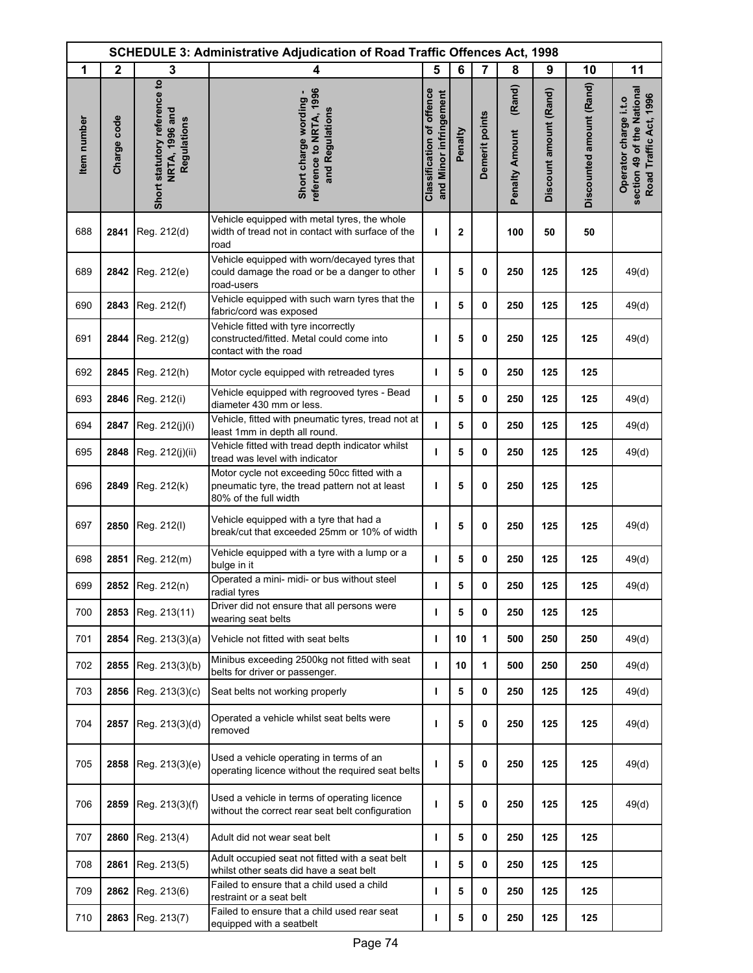|             | <b>SCHEDULE 3: Administrative Adjudication of Road Traffic Offences Act, 1998</b> |                                                               |                                                                                                                         |                                                            |              |                |                                 |                        |                          |                                                                               |  |
|-------------|-----------------------------------------------------------------------------------|---------------------------------------------------------------|-------------------------------------------------------------------------------------------------------------------------|------------------------------------------------------------|--------------|----------------|---------------------------------|------------------------|--------------------------|-------------------------------------------------------------------------------|--|
| 1           | $\mathbf{2}$                                                                      | 3                                                             | 4                                                                                                                       | 5                                                          | 6            | $\overline{7}$ | 8                               | 9                      | 10                       | 11                                                                            |  |
| Item number | Charge code                                                                       | Short statutory reference to<br>NRTA, 1996 and<br>Regulations | reference to NRTA, 1996<br>Short charge wording -<br>and Regulations                                                    | <b>Classification of offence</b><br>and Minor infringement | Penalty      | Demerit points | (Rand)<br><b>Penalty Amount</b> | Discount amount (Rand) | Discounted amount (Rand) | section 49 of the National<br>Road Traffic Act, 1996<br>Operator charge i.t.o |  |
| 688         | 2841                                                                              | Reg. 212(d)                                                   | Vehicle equipped with metal tyres, the whole<br>width of tread not in contact with surface of the<br>road               | т                                                          | $\mathbf{2}$ |                | 100                             | 50                     | 50                       |                                                                               |  |
| 689         | 2842                                                                              | Reg. 212(e)                                                   | Vehicle equipped with worn/decayed tyres that<br>could damage the road or be a danger to other<br>road-users            | т                                                          | 5            | 0              | 250                             | 125                    | 125                      | 49(d)                                                                         |  |
| 690         | 2843                                                                              | Reg. 212(f)                                                   | Vehicle equipped with such warn tyres that the<br>fabric/cord was exposed                                               | т                                                          | 5            | 0              | 250                             | 125                    | 125                      | 49(d)                                                                         |  |
| 691         | 2844                                                                              | Reg. 212(g)                                                   | Vehicle fitted with tyre incorrectly<br>constructed/fitted. Metal could come into<br>contact with the road              | т                                                          | 5            | 0              | 250                             | 125                    | 125                      | 49(d)                                                                         |  |
| 692         | 2845                                                                              | Reg. 212(h)                                                   | Motor cycle equipped with retreaded tyres                                                                               | т                                                          | 5            | 0              | 250                             | 125                    | 125                      |                                                                               |  |
| 693         | 2846                                                                              | Reg. 212(i)                                                   | Vehicle equipped with regrooved tyres - Bead<br>diameter 430 mm or less.                                                | т                                                          | 5            | 0              | 250                             | 125                    | 125                      | 49(d)                                                                         |  |
| 694         | 2847                                                                              | Reg. 212(j)(i)                                                | Vehicle, fitted with pneumatic tyres, tread not at<br>least 1mm in depth all round.                                     | $\mathbf{I}$                                               | 5            | 0              | 250                             | 125                    | 125                      | 49(d)                                                                         |  |
| 695         | 2848                                                                              | Reg. 212(j)(ii)                                               | Vehicle fitted with tread depth indicator whilst<br>tread was level with indicator                                      | т                                                          | 5            | 0              | 250                             | 125                    | 125                      | 49(d)                                                                         |  |
| 696         | 2849                                                                              | Reg. 212(k)                                                   | Motor cycle not exceeding 50cc fitted with a<br>pneumatic tyre, the tread pattern not at least<br>80% of the full width | ı                                                          | 5            | 0              | 250                             | 125                    | 125                      |                                                                               |  |
| 697         | 2850                                                                              | Reg. 212(l)                                                   | Vehicle equipped with a tyre that had a<br>break/cut that exceeded 25mm or 10% of width                                 | ı                                                          | 5            | 0              | 250                             | 125                    | 125                      | 49(d)                                                                         |  |
| 698         | 2851                                                                              | Reg. 212(m)                                                   | Vehicle equipped with a tyre with a lump or a<br>bulge in it                                                            | т                                                          | 5            | 0              | 250                             | 125                    | 125                      | 49(d)                                                                         |  |
| 699         |                                                                                   | 2852 Reg. 212(n)                                              | Operated a mini- midi- or bus without steel<br>radial tyres                                                             | ı                                                          | 5            | 0              | 250                             | 125                    | 125                      | 49(d)                                                                         |  |
| 700         | 2853                                                                              | Reg. 213(11)                                                  | Driver did not ensure that all persons were<br>wearing seat belts                                                       | ı                                                          | 5            | 0              | 250                             | 125                    | 125                      |                                                                               |  |
| 701         | 2854                                                                              | Reg. 213(3)(a)                                                | Vehicle not fitted with seat belts                                                                                      | т                                                          | 10           | 1              | 500                             | 250                    | 250                      | 49(d)                                                                         |  |
| 702         | 2855                                                                              | Reg. 213(3)(b)                                                | Minibus exceeding 2500kg not fitted with seat<br>belts for driver or passenger.                                         | т                                                          | 10           | 1              | 500                             | 250                    | 250                      | 49(d)                                                                         |  |
| 703         | 2856                                                                              | Reg. 213(3)(c)                                                | Seat belts not working properly                                                                                         | т                                                          | 5            | 0              | 250                             | 125                    | 125                      | 49(d)                                                                         |  |
| 704         | 2857                                                                              | Reg. 213(3)(d)                                                | Operated a vehicle whilst seat belts were<br>removed                                                                    | ı                                                          | 5            | 0              | 250                             | 125                    | 125                      | 49(d)                                                                         |  |
| 705         | 2858                                                                              | Reg. 213(3)(e)                                                | Used a vehicle operating in terms of an<br>operating licence without the required seat belts                            | ı                                                          | 5            | 0              | 250                             | 125                    | 125                      | 49(d)                                                                         |  |
| 706         | 2859                                                                              | Reg. 213(3)(f)                                                | Used a vehicle in terms of operating licence<br>without the correct rear seat belt configuration                        | т                                                          | 5            | 0              | 250                             | 125                    | 125                      | 49(d)                                                                         |  |
| 707         | 2860                                                                              | Reg. 213(4)                                                   | Adult did not wear seat belt                                                                                            | т                                                          | 5            | 0              | 250                             | 125                    | 125                      |                                                                               |  |
| 708         | 2861                                                                              | Reg. 213(5)                                                   | Adult occupied seat not fitted with a seat belt<br>whilst other seats did have a seat belt                              | т                                                          | 5            | 0              | 250                             | 125                    | 125                      |                                                                               |  |
| 709         | 2862                                                                              | Reg. 213(6)                                                   | Failed to ensure that a child used a child<br>restraint or a seat belt                                                  | т                                                          | 5            | 0              | 250                             | 125                    | 125                      |                                                                               |  |
| 710         | 2863                                                                              | Reg. 213(7)                                                   | Failed to ensure that a child used rear seat<br>equipped with a seatbelt                                                | т                                                          | 5            | 0              | 250                             | 125                    | 125                      |                                                                               |  |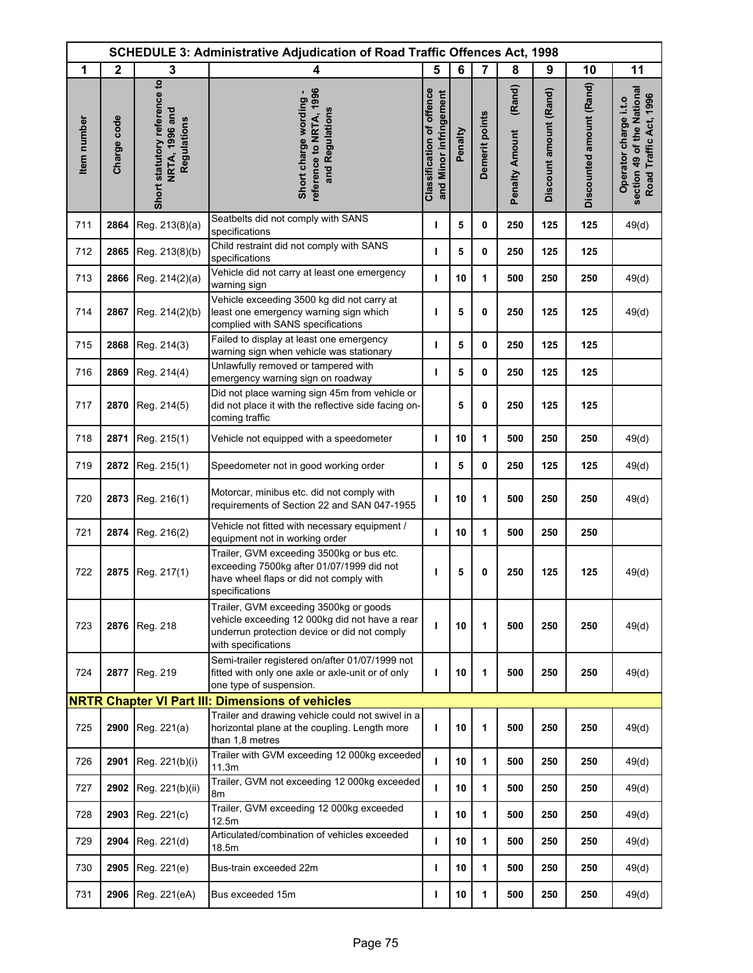|             |              |                                                                      | <b>SCHEDULE 3: Administrative Adjudication of Road Traffic Offences Act, 1998</b>                                                                               |                                                            |         |                |                                 |                        |                          |                                                                               |
|-------------|--------------|----------------------------------------------------------------------|-----------------------------------------------------------------------------------------------------------------------------------------------------------------|------------------------------------------------------------|---------|----------------|---------------------------------|------------------------|--------------------------|-------------------------------------------------------------------------------|
| 1           | $\mathbf{2}$ | 3                                                                    | 4                                                                                                                                                               | 5                                                          | 6       | $\overline{7}$ | 8                               | 9                      | 10                       | 11                                                                            |
| Item number | Charge code  | Short statutory reference to<br>NRTA, 1996 and<br><b>Regulations</b> | reference to NRTA, 1996<br>Short charge wording -<br>and Regulations                                                                                            | <b>Classification of offence</b><br>and Minor infringement | Penalty | Demerit points | (Rand)<br><b>Penalty Amount</b> | Discount amount (Rand) | Discounted amount (Rand) | section 49 of the National<br>Road Traffic Act, 1996<br>Operator charge i.t.o |
| 711         | 2864         | Reg. 213(8)(a)                                                       | Seatbelts did not comply with SANS<br>specifications                                                                                                            | т                                                          | 5       | 0              | 250                             | 125                    | 125                      | 49(d)                                                                         |
| 712         | 2865         | Reg. 213(8)(b)                                                       | Child restraint did not comply with SANS<br>specifications                                                                                                      | т                                                          | 5       | 0              | 250                             | 125                    | 125                      |                                                                               |
| 713         | 2866         | Reg. 214(2)(a)                                                       | Vehicle did not carry at least one emergency<br>warning sign                                                                                                    | $\mathbf{I}$                                               | 10      | 1              | 500                             | 250                    | 250                      | 49(d)                                                                         |
| 714         | 2867         | Reg. 214(2)(b)                                                       | Vehicle exceeding 3500 kg did not carry at<br>least one emergency warning sign which<br>complied with SANS specifications                                       | ı                                                          | 5       | 0              | 250                             | 125                    | 125                      | 49(d)                                                                         |
| 715         | 2868         | Reg. 214(3)                                                          | Failed to display at least one emergency<br>warning sign when vehicle was stationary                                                                            | т                                                          | 5       | 0              | 250                             | 125                    | 125                      |                                                                               |
| 716         | 2869         | Reg. 214(4)                                                          | Unlawfully removed or tampered with<br>emergency warning sign on roadway                                                                                        | T                                                          | 5       | 0              | 250                             | 125                    | 125                      |                                                                               |
| 717         | 2870         | Reg. 214(5)                                                          | Did not place warning sign 45m from vehicle or<br>did not place it with the reflective side facing on-<br>coming traffic                                        |                                                            | 5       | 0              | 250                             | 125                    | 125                      |                                                                               |
| 718         | 2871         | Reg. 215(1)                                                          | Vehicle not equipped with a speedometer                                                                                                                         | т                                                          | 10      | 1              | 500                             | 250                    | 250                      | 49(d)                                                                         |
| 719         | 2872         | Reg. 215(1)                                                          | Speedometer not in good working order                                                                                                                           | J.                                                         | 5       | 0              | 250                             | 125                    | 125                      | 49(d)                                                                         |
| 720         | 2873         | Reg. 216(1)                                                          | Motorcar, minibus etc. did not comply with<br>requirements of Section 22 and SAN 047-1955                                                                       | ı                                                          | 10      | 1              | 500                             | 250                    | 250                      | 49(d)                                                                         |
| 721         | 2874         | Reg. 216(2)                                                          | Vehicle not fitted with necessary equipment /<br>equipment not in working order                                                                                 | т                                                          | 10      | 1              | 500                             | 250                    | 250                      |                                                                               |
| 722         | 2875         | Reg. 217(1)                                                          | Trailer, GVM exceeding 3500kg or bus etc.<br>exceeding 7500kg after 01/07/1999 did not<br>have wheel flaps or did not comply with<br>specifications             | т                                                          | 5       | 0              | 250                             | 125                    | 125                      | 49(d)                                                                         |
| 723         | 2876         | Reg. 218                                                             | Trailer, GVM exceeding 3500kg or goods<br>vehicle exceeding 12 000kg did not have a rear<br>underrun protection device or did not comply<br>with specifications | т                                                          | 10      | 1              | 500                             | 250                    | 250                      | 49(d)                                                                         |
| 724         | 2877         | Reg. 219                                                             | Semi-trailer registered on/after 01/07/1999 not<br>fitted with only one axle or axle-unit or of only<br>one type of suspension.                                 | т                                                          | 10      | 1              | 500                             | 250                    | 250                      | 49(d)                                                                         |
|             |              |                                                                      | <b>NRTR Chapter VI Part III: Dimensions of vehicles</b>                                                                                                         |                                                            |         |                |                                 |                        |                          |                                                                               |
| 725         | 2900         | Reg. 221(a)                                                          | Trailer and drawing vehicle could not swivel in a<br>horizontal plane at the coupling. Length more<br>than 1,8 metres                                           | т                                                          | 10      | 1              | 500                             | 250                    | 250                      | 49(d)                                                                         |
| 726         | 2901         | Reg. 221(b)(i)                                                       | Trailer with GVM exceeding 12 000kg exceeded<br>11.3m                                                                                                           | т                                                          | 10      | 1              | 500                             | 250                    | 250                      | 49(d)                                                                         |
| 727         | 2902         | Reg. 221(b)(ii)                                                      | Trailer, GVM not exceeding 12 000kg exceeded<br>8m                                                                                                              | т                                                          | 10      | 1              | 500                             | 250                    | 250                      | 49(d)                                                                         |
| 728         | 2903         | Reg. 221(c)                                                          | Trailer, GVM exceeding 12 000kg exceeded<br>12.5m                                                                                                               | т                                                          | 10      | 1              | 500                             | 250                    | 250                      | 49(d)                                                                         |
| 729         | 2904         | Reg. 221(d)                                                          | Articulated/combination of vehicles exceeded<br>18.5m                                                                                                           | т                                                          | 10      | 1              | 500                             | 250                    | 250                      | 49(d)                                                                         |
| 730         | 2905         | Reg. 221(e)                                                          | Bus-train exceeded 22m                                                                                                                                          | т                                                          | 10      | 1              | 500                             | 250                    | 250                      | 49(d)                                                                         |
| 731         | 2906         | Reg. 221(eA)                                                         | Bus exceeded 15m                                                                                                                                                | т                                                          | 10      | 1              | 500                             | 250                    | 250                      | 49(d)                                                                         |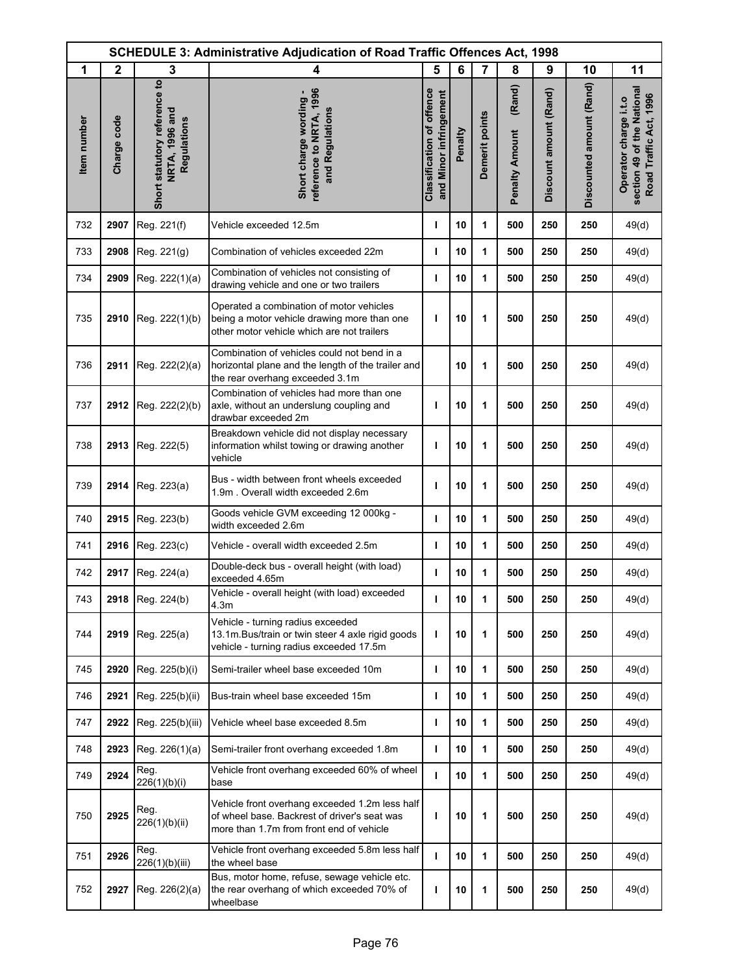| <b>SCHEDULE 3: Administrative Adjudication of Road Traffic Offences Act, 1998</b> |              |                                                               |                                                                                                                                            |                                                            |         |                |                                 |                        |                          |                                                                               |
|-----------------------------------------------------------------------------------|--------------|---------------------------------------------------------------|--------------------------------------------------------------------------------------------------------------------------------------------|------------------------------------------------------------|---------|----------------|---------------------------------|------------------------|--------------------------|-------------------------------------------------------------------------------|
| 1                                                                                 | $\mathbf{2}$ | 3                                                             | 4                                                                                                                                          | 5                                                          | 6       | $\overline{7}$ | 8                               | 9                      | 10                       | 11                                                                            |
| Item number                                                                       | Charge code  | Short statutory reference to<br>NRTA, 1996 and<br>Regulations | reference to NRTA, 1996<br>Short charge wording -<br>and Regulations                                                                       | <b>Classification of offence</b><br>and Minor infringement | Penalty | Demerit points | (Rand)<br><b>Penalty Amount</b> | Discount amount (Rand) | Discounted amount (Rand) | section 49 of the National<br>Road Traffic Act, 1996<br>Operator charge i.t.o |
| 732                                                                               | 2907         | Reg. 221(f)                                                   | Vehicle exceeded 12.5m                                                                                                                     | $\mathbf{I}$                                               | 10      | 1              | 500                             | 250                    | 250                      | 49(d)                                                                         |
| 733                                                                               | 2908         | Reg. 221(g)                                                   | Combination of vehicles exceeded 22m                                                                                                       | т                                                          | 10      | 1              | 500                             | 250                    | 250                      | 49(d)                                                                         |
| 734                                                                               | 2909         | Reg. 222(1)(a)                                                | Combination of vehicles not consisting of<br>drawing vehicle and one or two trailers                                                       | T                                                          | 10      | 1              | 500                             | 250                    | 250                      | 49(d)                                                                         |
| 735                                                                               | 2910         | Reg. 222(1)(b)                                                | Operated a combination of motor vehicles<br>being a motor vehicle drawing more than one<br>other motor vehicle which are not trailers      | т                                                          | 10      | 1              | 500                             | 250                    | 250                      | 49(d)                                                                         |
| 736                                                                               | 2911         | Reg. 222(2)(a)                                                | Combination of vehicles could not bend in a<br>horizontal plane and the length of the trailer and<br>the rear overhang exceeded 3.1m       |                                                            | 10      | 1              | 500                             | 250                    | 250                      | 49(d)                                                                         |
| 737                                                                               | 2912         | Reg. 222(2)(b)                                                | Combination of vehicles had more than one<br>axle, without an underslung coupling and<br>drawbar exceeded 2m                               | ı                                                          | 10      | 1              | 500                             | 250                    | 250                      | 49(d)                                                                         |
| 738                                                                               | 2913         | Reg. 222(5)                                                   | Breakdown vehicle did not display necessary<br>information whilst towing or drawing another<br>vehicle                                     | т                                                          | 10      | 1              | 500                             | 250                    | 250                      | 49(d)                                                                         |
| 739                                                                               | 2914         | Reg. 223(a)                                                   | Bus - width between front wheels exceeded<br>1.9m. Overall width exceeded 2.6m                                                             | т                                                          | 10      | 1              | 500                             | 250                    | 250                      | 49(d)                                                                         |
| 740                                                                               | 2915         | Reg. 223(b)                                                   | Goods vehicle GVM exceeding 12 000kg -<br>width exceeded 2.6m                                                                              | $\mathbf{I}$                                               | 10      | 1              | 500                             | 250                    | 250                      | 49(d)                                                                         |
| 741                                                                               | 2916         | Reg. 223(c)                                                   | Vehicle - overall width exceeded 2.5m                                                                                                      | I                                                          | 10      | 1              | 500                             | 250                    | 250                      | 49(d)                                                                         |
| 742                                                                               | 2917         | Reg. 224(a)                                                   | Double-deck bus - overall height (with load)<br>exceeded 4.65m                                                                             | $\mathbf{I}$                                               | 10      | 1              | 500                             | 250                    | 250                      | 49(d)                                                                         |
| 743                                                                               |              | 2918 Reg. 224(b)                                              | Vehicle - overall height (with load) exceeded<br>4.3m                                                                                      | т                                                          | 10      | 1              | 500                             | 250                    | 250                      | 49(d)                                                                         |
| 744                                                                               | 2919         | Reg. 225(a)                                                   | Vehicle - turning radius exceeded<br>13.1m. Bus/train or twin steer 4 axle rigid goods<br>vehicle - turning radius exceeded 17.5m          | т                                                          | 10      | 1              | 500                             | 250                    | 250                      | 49(d)                                                                         |
| 745                                                                               | 2920         | Reg. 225(b)(i)                                                | Semi-trailer wheel base exceeded 10m                                                                                                       | т                                                          | 10      | 1              | 500                             | 250                    | 250                      | 49(d)                                                                         |
| 746                                                                               | 2921         | Reg. 225(b)(ii)                                               | Bus-train wheel base exceeded 15m                                                                                                          | т                                                          | 10      | 1              | 500                             | 250                    | 250                      | 49(d)                                                                         |
| 747                                                                               | 2922         | Reg. 225(b)(iii)                                              | Vehicle wheel base exceeded 8.5m                                                                                                           | ı                                                          | 10      | 1              | 500                             | 250                    | 250                      | 49(d)                                                                         |
| 748                                                                               | 2923         | Reg. 226(1)(a)                                                | Semi-trailer front overhang exceeded 1.8m                                                                                                  | т                                                          | 10      | 1              | 500                             | 250                    | 250                      | 49(d)                                                                         |
| 749                                                                               | 2924         | Reg.<br>226(1)(b)(i)                                          | Vehicle front overhang exceeded 60% of wheel<br>base                                                                                       | ı                                                          | 10      | 1              | 500                             | 250                    | 250                      | 49(d)                                                                         |
| 750                                                                               | 2925         | Reg.<br>226(1)(b)(ii)                                         | Vehicle front overhang exceeded 1.2m less half<br>of wheel base. Backrest of driver's seat was<br>more than 1.7m from front end of vehicle | т                                                          | 10      | 1              | 500                             | 250                    | 250                      | 49(d)                                                                         |
| 751                                                                               | 2926         | Reg.<br>226(1)(b)(iii)                                        | Vehicle front overhang exceeded 5.8m less half<br>the wheel base                                                                           | $\mathbf{I}$                                               | 10      | 1              | 500                             | 250                    | 250                      | 49(d)                                                                         |
| 752                                                                               | 2927         | Reg. 226(2)(a)                                                | Bus, motor home, refuse, sewage vehicle etc.<br>the rear overhang of which exceeded 70% of<br>wheelbase                                    | т                                                          | 10      | 1              | 500                             | 250                    | 250                      | 49(d)                                                                         |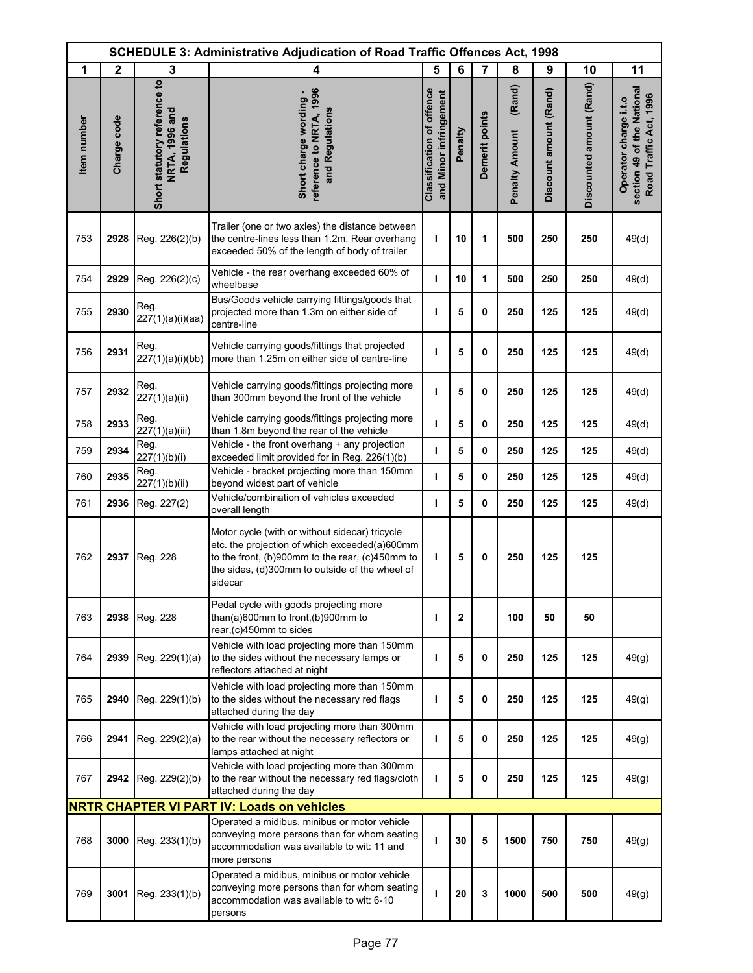|                   | <b>SCHEDULE 3: Administrative Adjudication of Road Traffic Offences Act, 1998</b><br>5<br>1<br>7<br>8<br>4 |                                                               |                                                                                                                                                                                                                 |                                                            |         |                |                                 |                        |                          |                                                                               |
|-------------------|------------------------------------------------------------------------------------------------------------|---------------------------------------------------------------|-----------------------------------------------------------------------------------------------------------------------------------------------------------------------------------------------------------------|------------------------------------------------------------|---------|----------------|---------------------------------|------------------------|--------------------------|-------------------------------------------------------------------------------|
|                   | $\mathbf{2}$                                                                                               | 3                                                             |                                                                                                                                                                                                                 |                                                            | 6       |                |                                 | 9                      | 10                       | 11                                                                            |
| <b>tem</b> number | Charge code                                                                                                | Short statutory reference to<br>NRTA, 1996 and<br>Regulations | reference to NRTA, 1996<br>Short charge wording -<br>and Regulations                                                                                                                                            | <b>Classification of offence</b><br>and Minor infringement | Penalty | Demerit points | (Rand)<br><b>Penalty Amount</b> | Discount amount (Rand) | Discounted amount (Rand) | section 49 of the National<br>Road Traffic Act, 1996<br>Operator charge i.t.o |
| 753               | 2928                                                                                                       | Reg. 226(2)(b)                                                | Trailer (one or two axles) the distance between<br>the centre-lines less than 1.2m. Rear overhang<br>exceeded 50% of the length of body of trailer                                                              | т                                                          | 10      | 1              | 500                             | 250                    | 250                      | 49(d)                                                                         |
| 754               | 2929                                                                                                       | Reg. 226(2)(c)                                                | Vehicle - the rear overhang exceeded 60% of<br>wheelbase                                                                                                                                                        | ı                                                          | 10      | 1              | 500                             | 250                    | 250                      | 49(d)                                                                         |
| 755               | 2930                                                                                                       | Reg.<br>227(1)(a)(i)(aa)                                      | Bus/Goods vehicle carrying fittings/goods that<br>projected more than 1.3m on either side of<br>centre-line                                                                                                     | ı                                                          | 5       | 0              | 250                             | 125                    | 125                      | 49(d)                                                                         |
| 756               | 2931                                                                                                       | Reg.<br>227(1)(a)(i)(bb)                                      | Vehicle carrying goods/fittings that projected<br>more than 1.25m on either side of centre-line                                                                                                                 | т                                                          | 5       | 0              | 250                             | 125                    | 125                      | 49(d)                                                                         |
| 757               | 2932                                                                                                       | Reg.<br>227(1)(a)(ii)                                         | Vehicle carrying goods/fittings projecting more<br>than 300mm beyond the front of the vehicle                                                                                                                   | т                                                          | 5       | 0              | 250                             | 125                    | 125                      | 49(d)                                                                         |
| 758               | 2933                                                                                                       | Reg.<br>227(1)(a)(iii)                                        | Vehicle carrying goods/fittings projecting more<br>than 1.8m beyond the rear of the vehicle                                                                                                                     | т                                                          | 5       | 0              | 250                             | 125                    | 125                      | 49(d)                                                                         |
| 759               | 2934                                                                                                       | Reg.<br>227(1)(b)(i)                                          | Vehicle - the front overhang + any projection<br>exceeded limit provided for in Reg. 226(1)(b)                                                                                                                  | т                                                          | 5       | 0              | 250                             | 125                    | 125                      | 49(d)                                                                         |
| 760               | 2935                                                                                                       | Reg.<br>227(1)(b)(ii)                                         | Vehicle - bracket projecting more than 150mm<br>beyond widest part of vehicle                                                                                                                                   | ı                                                          | 5       | 0              | 250                             | 125                    | 125                      | 49(d)                                                                         |
| 761               | 2936                                                                                                       | Reg. 227(2)                                                   | Vehicle/combination of vehicles exceeded<br>overall length                                                                                                                                                      | т                                                          | 5       | 0              | 250                             | 125                    | 125                      | 49(d)                                                                         |
| 762               | 2937                                                                                                       | Reg. 228                                                      | Motor cycle (with or without sidecar) tricycle<br>etc. the projection of which exceeded(a)600mm<br>to the front, (b)900mm to the rear, (c)450mm to<br>the sides, (d)300mm to outside of the wheel of<br>sidecar | т                                                          | 5       | 0              | 250                             | 125                    | 125                      |                                                                               |
| 763               | 2938                                                                                                       | Reg. 228                                                      | Pedal cycle with goods projecting more<br>than(a)600mm to front,(b)900mm to<br>rear,(c)450mm to sides                                                                                                           | т                                                          | 2       |                | 100                             | 50                     | 50                       |                                                                               |
| 764               | 2939                                                                                                       | Reg. 229(1)(a)                                                | Vehicle with load projecting more than 150mm<br>to the sides without the necessary lamps or<br>reflectors attached at night                                                                                     | т                                                          | 5       | 0              | 250                             | 125                    | 125                      | 49(g)                                                                         |
| 765               | 2940                                                                                                       | Reg. 229(1)(b)                                                | Vehicle with load projecting more than 150mm<br>to the sides without the necessary red flags<br>attached during the day                                                                                         | ı                                                          | 5       | 0              | 250                             | 125                    | 125                      | 49(g)                                                                         |
| 766               | 2941                                                                                                       | Reg. 229(2)(a)                                                | Vehicle with load projecting more than 300mm<br>to the rear without the necessary reflectors or<br>lamps attached at night                                                                                      | т                                                          | 5       | 0              | 250                             | 125                    | 125                      | 49(g)                                                                         |
| 767               | 2942                                                                                                       | Reg. 229(2)(b)                                                | Vehicle with load projecting more than 300mm<br>to the rear without the necessary red flags/cloth<br>attached during the day                                                                                    | т                                                          | 5       | 0              | 250                             | 125                    | 125                      | 49(g)                                                                         |
|                   |                                                                                                            |                                                               | <b>NRTR CHAPTER VI PART IV: Loads on vehicles</b>                                                                                                                                                               |                                                            |         |                |                                 |                        |                          |                                                                               |
| 768               | 3000                                                                                                       | Reg. 233(1)(b)                                                | Operated a midibus, minibus or motor vehicle<br>conveying more persons than for whom seating<br>accommodation was available to wit: 11 and<br>more persons                                                      | ı                                                          | 30      | 5              | 1500                            | 750                    | 750                      | 49(g)                                                                         |
| 769               | 3001                                                                                                       | Reg. 233(1)(b)                                                | Operated a midibus, minibus or motor vehicle<br>conveying more persons than for whom seating<br>accommodation was available to wit: 6-10<br>persons                                                             | т                                                          | 20      | 3              | 1000                            | 500                    | 500                      | 49(g)                                                                         |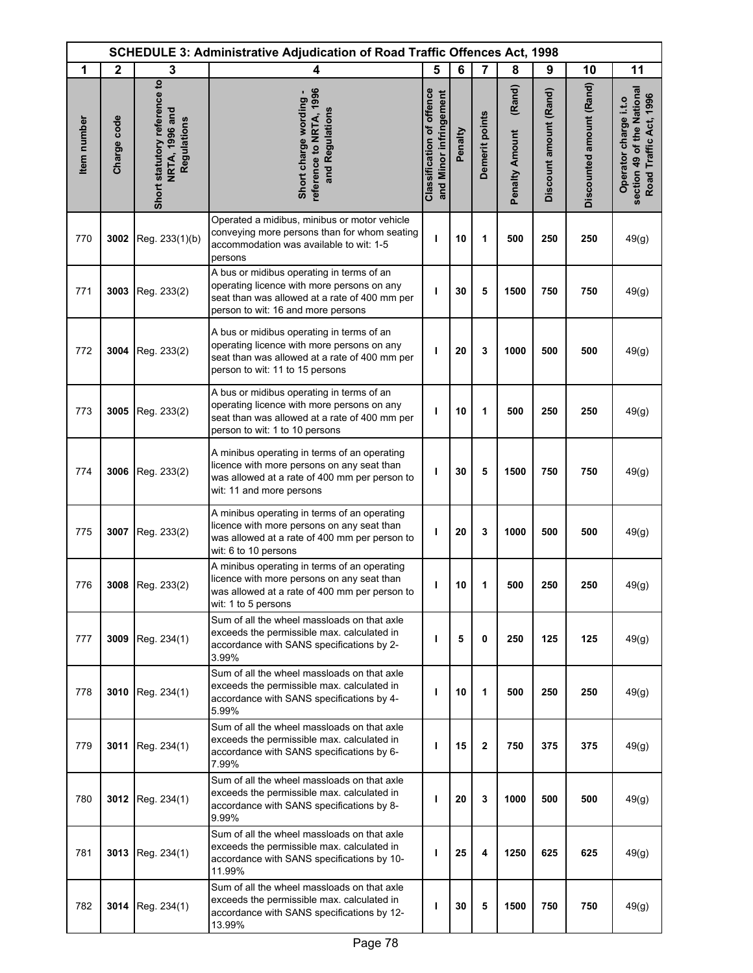|             | <b>SCHEDULE 3: Administrative Adjudication of Road Traffic Offences Act, 1998</b> |                                                                      |                                                                                                                                                                                |                                                     |         |                |                                 |                        |                          |                                                                               |
|-------------|-----------------------------------------------------------------------------------|----------------------------------------------------------------------|--------------------------------------------------------------------------------------------------------------------------------------------------------------------------------|-----------------------------------------------------|---------|----------------|---------------------------------|------------------------|--------------------------|-------------------------------------------------------------------------------|
| 1           | $\mathbf{2}$                                                                      | 3                                                                    | 4                                                                                                                                                                              | 5                                                   | 6       | $\overline{7}$ | 8                               | 9                      | 10                       | 11                                                                            |
| Item number | Charge code                                                                       | Short statutory reference to<br><b>NRTA, 1996 and</b><br>Regulations | reference to NRTA, 1996<br>Short charge wording -<br>and Regulations                                                                                                           | Classification of offence<br>and Minor infringement | Penalty | Demerit points | (Rand)<br><b>Penalty Amount</b> | Discount amount (Rand) | Discounted amount (Rand) | section 49 of the National<br>Road Traffic Act, 1996<br>Operator charge i.t.o |
| 770         | 3002                                                                              | Reg. 233(1)(b)                                                       | Operated a midibus, minibus or motor vehicle<br>conveying more persons than for whom seating<br>accommodation was available to wit: 1-5<br>persons                             | ı                                                   | 10      | 1              | 500                             | 250                    | 250                      | 49(g)                                                                         |
| 771         | 3003                                                                              | Reg. 233(2)                                                          | A bus or midibus operating in terms of an<br>operating licence with more persons on any<br>seat than was allowed at a rate of 400 mm per<br>person to wit: 16 and more persons | ı                                                   | 30      | 5              | 1500                            | 750                    | 750                      | 49(g)                                                                         |
| 772         | 3004                                                                              | Reg. 233(2)                                                          | A bus or midibus operating in terms of an<br>operating licence with more persons on any<br>seat than was allowed at a rate of 400 mm per<br>person to wit: 11 to 15 persons    | ı                                                   | 20      | 3              | 1000                            | 500                    | 500                      | 49(g)                                                                         |
| 773         | 3005                                                                              | Reg. 233(2)                                                          | A bus or midibus operating in terms of an<br>operating licence with more persons on any<br>seat than was allowed at a rate of 400 mm per<br>person to wit: 1 to 10 persons     | ı                                                   | 10      | 1              | 500                             | 250                    | 250                      | 49(g)                                                                         |
| 774         | 3006                                                                              | Reg. 233(2)                                                          | A minibus operating in terms of an operating<br>licence with more persons on any seat than<br>was allowed at a rate of 400 mm per person to<br>wit: 11 and more persons        | п                                                   | 30      | 5              | 1500                            | 750                    | 750                      | 49(g)                                                                         |
| 775         | 3007                                                                              | Reg. 233(2)                                                          | A minibus operating in terms of an operating<br>licence with more persons on any seat than<br>was allowed at a rate of 400 mm per person to<br>wit: 6 to 10 persons            | ı                                                   | 20      | 3              | 1000                            | 500                    | 500                      | 49(g)                                                                         |
| 776         |                                                                                   | 3008 Reg. 233(2)                                                     | A minibus operating in terms of an operating<br>licence with more persons on any seat than<br>was allowed at a rate of 400 mm per person to<br>wit: 1 to 5 persons             | ı                                                   | 10      | 1              | 500                             | 250                    | 250                      | 49(g)                                                                         |
| 777         | 3009                                                                              | Reg. 234(1)                                                          | Sum of all the wheel massloads on that axle<br>exceeds the permissible max. calculated in<br>accordance with SANS specifications by 2-<br>3.99%                                | п                                                   | 5       | 0              | 250                             | 125                    | 125                      | 49(g)                                                                         |
| 778         | 3010                                                                              | Reg. 234(1)                                                          | Sum of all the wheel massloads on that axle<br>exceeds the permissible max. calculated in<br>accordance with SANS specifications by 4-<br>5.99%                                | п                                                   | 10      | 1              | 500                             | 250                    | 250                      | 49(g)                                                                         |
| 779         | 3011                                                                              | Reg. 234(1)                                                          | Sum of all the wheel massloads on that axle<br>exceeds the permissible max. calculated in<br>accordance with SANS specifications by 6-<br>7.99%                                | п                                                   | 15      | 2              | 750                             | 375                    | 375                      | 49(g)                                                                         |
| 780         | 3012                                                                              | Reg. 234(1)                                                          | Sum of all the wheel massloads on that axle<br>exceeds the permissible max. calculated in<br>accordance with SANS specifications by 8-<br>9.99%                                | ı                                                   | 20      | 3              | 1000                            | 500                    | 500                      | 49(g)                                                                         |
| 781         | 3013                                                                              | Reg. 234(1)                                                          | Sum of all the wheel massloads on that axle<br>exceeds the permissible max. calculated in<br>accordance with SANS specifications by 10-<br>11.99%                              | ı                                                   | 25      | 4              | 1250                            | 625                    | 625                      | 49(g)                                                                         |
| 782         | 3014                                                                              | Reg. 234(1)                                                          | Sum of all the wheel massloads on that axle<br>exceeds the permissible max. calculated in<br>accordance with SANS specifications by 12-<br>13.99%                              | п                                                   | 30      | 5              | 1500                            | 750                    | 750                      | 49(g)                                                                         |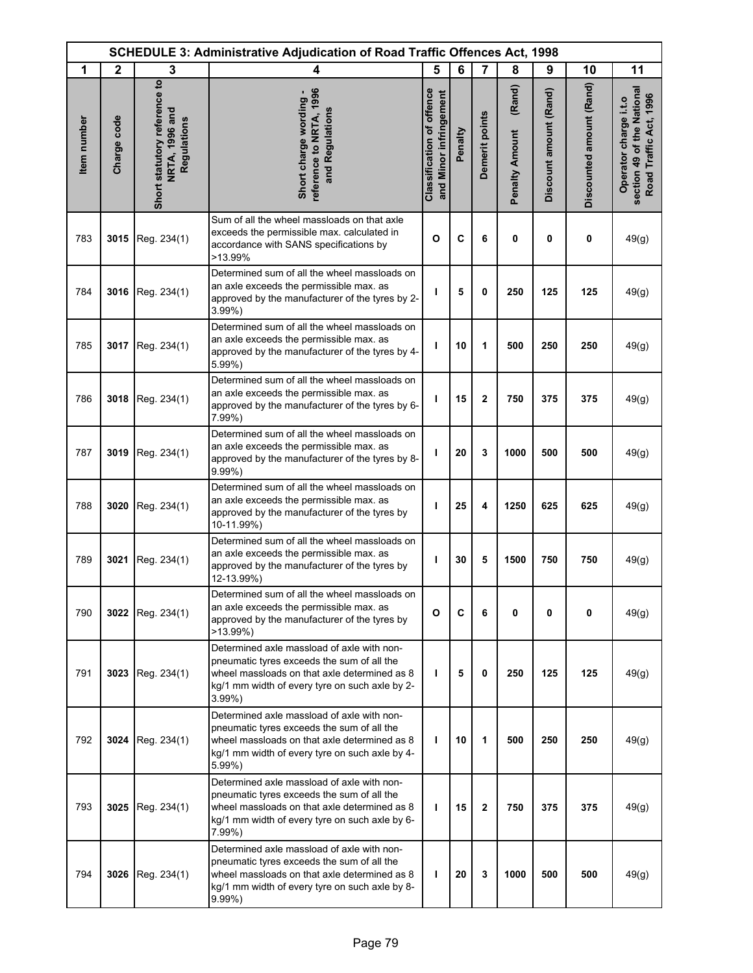|             | <b>SCHEDULE 3: Administrative Adjudication of Road Traffic Offences Act, 1998</b> |                                                               |                                                                                                                                                                                                          |                                                            |         |                |                                 |                        |                          |                                                                               |
|-------------|-----------------------------------------------------------------------------------|---------------------------------------------------------------|----------------------------------------------------------------------------------------------------------------------------------------------------------------------------------------------------------|------------------------------------------------------------|---------|----------------|---------------------------------|------------------------|--------------------------|-------------------------------------------------------------------------------|
| 1           | $\mathbf{2}$                                                                      | 3                                                             | 4                                                                                                                                                                                                        | 5                                                          | 6       | $\overline{7}$ | 8                               | 9                      | 10                       | 11                                                                            |
| Item number | Charge code                                                                       | Short statutory reference to<br>NRTA, 1996 and<br>Regulations | reference to NRTA, 1996<br>Short charge wording -<br>and Regulations                                                                                                                                     | <b>Classification of offence</b><br>and Minor infringement | Penalty | Demerit points | (Rand)<br><b>Penalty Amount</b> | Discount amount (Rand) | Discounted amount (Rand) | section 49 of the National<br>Road Traffic Act, 1996<br>Operator charge i.t.o |
| 783         | 3015                                                                              | Reg. 234(1)                                                   | Sum of all the wheel massloads on that axle<br>exceeds the permissible max. calculated in<br>accordance with SANS specifications by<br>>13.99%                                                           | $\mathbf{o}$                                               | C       | 6              | 0                               | 0                      | 0                        | 49(g)                                                                         |
| 784         | 3016                                                                              | Reg. 234(1)                                                   | Determined sum of all the wheel massloads on<br>an axle exceeds the permissible max. as<br>approved by the manufacturer of the tyres by 2-<br>3.99%)                                                     | ı                                                          | 5       | 0              | 250                             | 125                    | 125                      | 49(g)                                                                         |
| 785         | 3017                                                                              | Reg. 234(1)                                                   | Determined sum of all the wheel massloads on<br>an axle exceeds the permissible max. as<br>approved by the manufacturer of the tyres by 4-<br>5.99%)                                                     | ı                                                          | 10      | 1              | 500                             | 250                    | 250                      | 49(g)                                                                         |
| 786         | 3018                                                                              | Reg. 234(1)                                                   | Determined sum of all the wheel massloads on<br>an axle exceeds the permissible max. as<br>approved by the manufacturer of the tyres by 6-<br>$7.99\%$ )                                                 | т                                                          | 15      | $\mathbf 2$    | 750                             | 375                    | 375                      | 49(g)                                                                         |
| 787         | 3019                                                                              | Reg. 234(1)                                                   | Determined sum of all the wheel massloads on<br>an axle exceeds the permissible max. as<br>approved by the manufacturer of the tyres by 8-<br>9.99%)                                                     | ı                                                          | 20      | 3              | 1000                            | 500                    | 500                      | 49(g)                                                                         |
| 788         | 3020                                                                              | Reg. 234(1)                                                   | Determined sum of all the wheel massloads on<br>an axle exceeds the permissible max. as<br>approved by the manufacturer of the tyres by<br>10-11.99%)                                                    | т                                                          | 25      | 4              | 1250                            | 625                    | 625                      | 49(g)                                                                         |
| 789         | 3021                                                                              | Reg. 234(1)                                                   | Determined sum of all the wheel massloads on<br>an axle exceeds the permissible max. as<br>approved by the manufacturer of the tyres by<br>12-13.99%)                                                    | т                                                          | 30      | 5              | 1500                            | 750                    | 750                      | 49(g)                                                                         |
| 790         | 3022                                                                              | Reg. 234(1)                                                   | Determined sum of all the wheel massloads on<br>an axle exceeds the permissible max. as<br>approved by the manufacturer of the tyres by<br>>13.99%)                                                      | O                                                          | C       | 6              | 0                               | 0                      | 0                        | 49(g)                                                                         |
| 791         | 3023                                                                              | Reg. 234(1)                                                   | Determined axle massload of axle with non-<br>pneumatic tyres exceeds the sum of all the<br>wheel massloads on that axle determined as 8<br>kg/1 mm width of every tyre on such axle by 2-<br>$3.99\%$ ) | T                                                          | 5       | 0              | 250                             | 125                    | 125                      | 49(g)                                                                         |
| 792         | 3024                                                                              | Reg. 234(1)                                                   | Determined axle massload of axle with non-<br>pneumatic tyres exceeds the sum of all the<br>wheel massloads on that axle determined as 8<br>kg/1 mm width of every tyre on such axle by 4-<br>5.99%)     | т                                                          | 10      | 1              | 500                             | 250                    | 250                      | 49(g)                                                                         |
| 793         | 3025                                                                              | Reg. 234(1)                                                   | Determined axle massload of axle with non-<br>pneumatic tyres exceeds the sum of all the<br>wheel massloads on that axle determined as 8<br>kg/1 mm width of every tyre on such axle by 6-<br>$7.99\%$ ) | T                                                          | 15      | $\mathbf{2}$   | 750                             | 375                    | 375                      | 49(g)                                                                         |
| 794         | 3026                                                                              | Reg. 234(1)                                                   | Determined axle massload of axle with non-<br>pneumatic tyres exceeds the sum of all the<br>wheel massloads on that axle determined as 8<br>kg/1 mm width of every tyre on such axle by 8-<br>$9.99\%$ ) | ı                                                          | 20      | 3              | 1000                            | 500                    | 500                      | 49(g)                                                                         |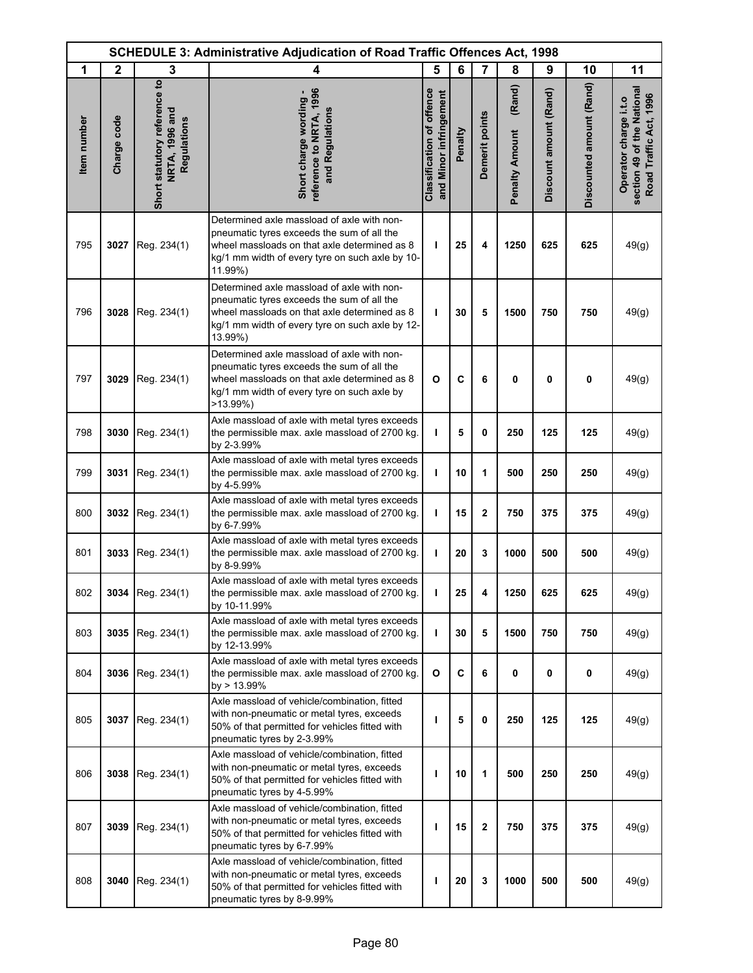|             | <b>SCHEDULE 3: Administrative Adjudication of Road Traffic Offences Act, 1998</b> |                                                               |                                                                                                                                                                                                        |                                                            |         |                |                                 |                        |                          |                                                                               |
|-------------|-----------------------------------------------------------------------------------|---------------------------------------------------------------|--------------------------------------------------------------------------------------------------------------------------------------------------------------------------------------------------------|------------------------------------------------------------|---------|----------------|---------------------------------|------------------------|--------------------------|-------------------------------------------------------------------------------|
| 1           | $\mathbf{2}$                                                                      | 3                                                             | 4                                                                                                                                                                                                      | 5                                                          | 6       | $\overline{7}$ | 8                               | 9                      | 10                       | 11                                                                            |
| Item number | Charge code                                                                       | Short statutory reference to<br>NRTA, 1996 and<br>Regulations | reference to NRTA, 1996<br>Short charge wording -<br>and Regulations                                                                                                                                   | <b>Classification of offence</b><br>and Minor infringement | Penalty | Demerit points | (Rand)<br><b>Penalty Amount</b> | Discount amount (Rand) | Discounted amount (Rand) | section 49 of the National<br>Road Traffic Act, 1996<br>Operator charge i.t.o |
| 795         | 3027                                                                              | Reg. 234(1)                                                   | Determined axle massload of axle with non-<br>pneumatic tyres exceeds the sum of all the<br>wheel massloads on that axle determined as 8<br>kg/1 mm width of every tyre on such axle by 10-<br>11.99%) | т                                                          | 25      | 4              | 1250                            | 625                    | 625                      | 49(g)                                                                         |
| 796         | 3028                                                                              | Reg. 234(1)                                                   | Determined axle massload of axle with non-<br>pneumatic tyres exceeds the sum of all the<br>wheel massloads on that axle determined as 8<br>kg/1 mm width of every tyre on such axle by 12-<br>13.99%) | T                                                          | 30      | 5              | 1500                            | 750                    | 750                      | 49(g)                                                                         |
| 797         | 3029                                                                              | Reg. 234(1)                                                   | Determined axle massload of axle with non-<br>pneumatic tyres exceeds the sum of all the<br>wheel massloads on that axle determined as 8<br>kg/1 mm width of every tyre on such axle by<br>$>13.99\%)$ | $\mathbf{o}$                                               | C       | 6              | 0                               | $\mathbf 0$            | 0                        | 49(g)                                                                         |
| 798         | 3030                                                                              | Reg. 234(1)                                                   | Axle massload of axle with metal tyres exceeds<br>the permissible max. axle massload of 2700 kg.<br>by 2-3.99%                                                                                         | т                                                          | 5       | 0              | 250                             | 125                    | 125                      | 49(g)                                                                         |
| 799         | 3031                                                                              | Reg. 234(1)                                                   | Axle massload of axle with metal tyres exceeds<br>the permissible max. axle massload of 2700 kg.<br>by 4-5.99%                                                                                         | т                                                          | 10      | 1              | 500                             | 250                    | 250                      | 49(g)                                                                         |
| 800         | 3032                                                                              | Reg. 234(1)                                                   | Axle massload of axle with metal tyres exceeds<br>the permissible max. axle massload of 2700 kg.<br>by 6-7.99%                                                                                         | T                                                          | 15      | $\mathbf{2}$   | 750                             | 375                    | 375                      | 49(g)                                                                         |
| 801         | 3033                                                                              | Reg. 234(1)                                                   | Axle massload of axle with metal tyres exceeds<br>the permissible max. axle massload of 2700 kg.<br>by 8-9.99%                                                                                         | т                                                          | 20      | 3              | 1000                            | 500                    | 500                      | 49(g)                                                                         |
| 802         |                                                                                   | 3034 Reg. 234(1)                                              | Axle massload of axle with metal tyres exceeds<br>the permissible max. axle massload of 2700 kg.<br>by 10-11.99%                                                                                       | ı                                                          | 25      | 4              | 1250                            | 625                    | 625                      | 49(g)                                                                         |
| 803         | 3035                                                                              | Reg. 234(1)                                                   | Axle massload of axle with metal tyres exceeds<br>the permissible max. axle massload of 2700 kg.<br>by 12-13.99%                                                                                       | т                                                          | 30      | 5              | 1500                            | 750                    | 750                      | 49(g)                                                                         |
| 804         | 3036                                                                              | Reg. 234(1)                                                   | Axle massload of axle with metal tyres exceeds<br>the permissible max. axle massload of 2700 kg.<br>by > 13.99%                                                                                        | $\mathbf{o}$                                               | C       | 6              | $\mathbf 0$                     | $\mathbf 0$            | 0                        | 49(g)                                                                         |
| 805         | 3037                                                                              | Reg. 234(1)                                                   | Axle massload of vehicle/combination, fitted<br>with non-pneumatic or metal tyres, exceeds<br>50% of that permitted for vehicles fitted with<br>pneumatic tyres by 2-3.99%                             | т                                                          | 5       | $\mathbf 0$    | 250                             | 125                    | 125                      | 49(g)                                                                         |
| 806         | 3038                                                                              | Reg. 234(1)                                                   | Axle massload of vehicle/combination, fitted<br>with non-pneumatic or metal tyres, exceeds<br>50% of that permitted for vehicles fitted with<br>pneumatic tyres by 4-5.99%                             | ı                                                          | 10      | 1              | 500                             | 250                    | 250                      | 49(g)                                                                         |
| 807         | 3039                                                                              | Reg. 234(1)                                                   | Axle massload of vehicle/combination, fitted<br>with non-pneumatic or metal tyres, exceeds<br>50% of that permitted for vehicles fitted with<br>pneumatic tyres by 6-7.99%                             | ı                                                          | 15      | $\mathbf 2$    | 750                             | 375                    | 375                      | 49(g)                                                                         |
| 808         | 3040                                                                              | Reg. 234(1)                                                   | Axle massload of vehicle/combination, fitted<br>with non-pneumatic or metal tyres, exceeds<br>50% of that permitted for vehicles fitted with<br>pneumatic tyres by 8-9.99%                             | ı                                                          | 20      | 3              | 1000                            | 500                    | 500                      | 49(g)                                                                         |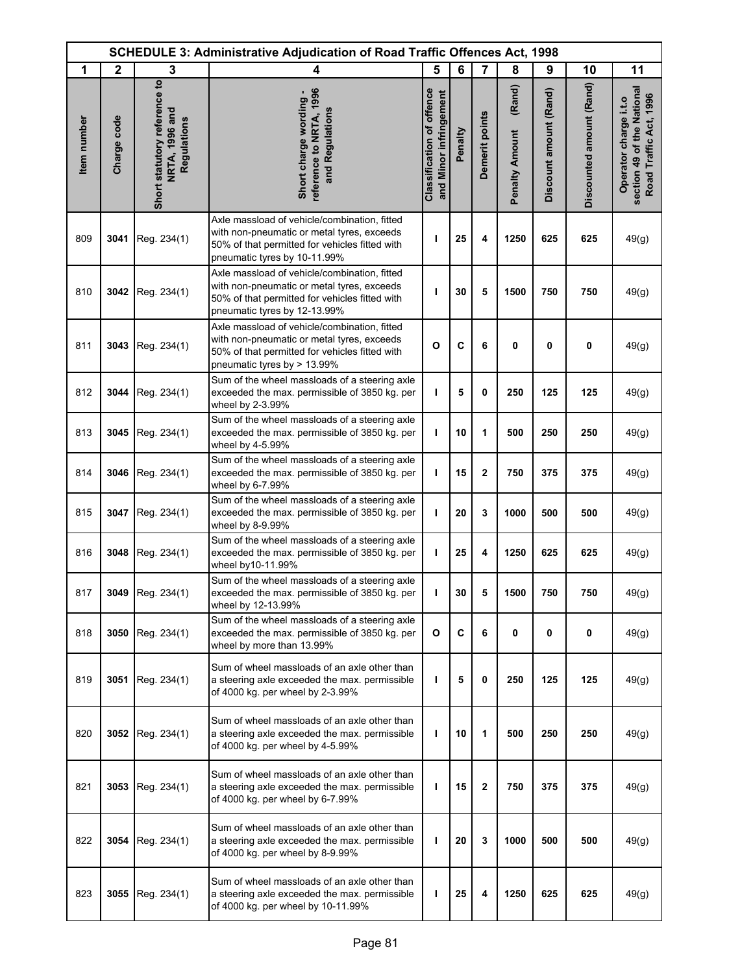|             | <b>SCHEDULE 3: Administrative Adjudication of Road Traffic Offences Act, 1998</b> |                                                               |                                                                                                                                                                              |                                                     |         |                |                                 |                        |                          |                                                                               |
|-------------|-----------------------------------------------------------------------------------|---------------------------------------------------------------|------------------------------------------------------------------------------------------------------------------------------------------------------------------------------|-----------------------------------------------------|---------|----------------|---------------------------------|------------------------|--------------------------|-------------------------------------------------------------------------------|
| 1           | $\mathbf{2}$                                                                      | 3                                                             | 4                                                                                                                                                                            | 5                                                   | 6       | $\overline{7}$ | 8                               | 9                      | 10                       | 11                                                                            |
| Item number | Charge code                                                                       | Short statutory reference to<br>NRTA, 1996 and<br>Regulations | reference to NRTA, 1996<br>Short charge wording -<br>and Regulations                                                                                                         | Classification of offence<br>and Minor infringement | Penalty | Demerit points | (Rand)<br><b>Penalty Amount</b> | Discount amount (Rand) | Discounted amount (Rand) | section 49 of the National<br>Road Traffic Act, 1996<br>Operator charge i.t.o |
| 809         | 3041                                                                              | Reg. 234(1)                                                   | Axle massload of vehicle/combination, fitted<br>with non-pneumatic or metal tyres, exceeds<br>50% of that permitted for vehicles fitted with<br>pneumatic tyres by 10-11.99% | ı                                                   | 25      | 4              | 1250                            | 625                    | 625                      | 49(g)                                                                         |
| 810         | 3042                                                                              | Reg. 234(1)                                                   | Axle massload of vehicle/combination, fitted<br>with non-pneumatic or metal tyres, exceeds<br>50% of that permitted for vehicles fitted with<br>pneumatic tyres by 12-13.99% | ı                                                   | 30      | 5              | 1500                            | 750                    | 750                      | 49(g)                                                                         |
| 811         | 3043                                                                              | Reg. 234(1)                                                   | Axle massload of vehicle/combination, fitted<br>with non-pneumatic or metal tyres, exceeds<br>50% of that permitted for vehicles fitted with<br>pneumatic tyres by > 13.99%  | $\mathbf{o}$                                        | C       | 6              | 0                               | 0                      | 0                        | 49(g)                                                                         |
| 812         | 3044                                                                              | Reg. 234(1)                                                   | Sum of the wheel massloads of a steering axle<br>exceeded the max. permissible of 3850 kg. per<br>wheel by 2-3.99%                                                           | т                                                   | 5       | 0              | 250                             | 125                    | 125                      | 49(g)                                                                         |
| 813         | 3045                                                                              | Reg. 234(1)                                                   | Sum of the wheel massloads of a steering axle<br>exceeded the max. permissible of 3850 kg. per<br>wheel by 4-5.99%                                                           | $\mathbf{I}$                                        | 10      | 1              | 500                             | 250                    | 250                      | 49(g)                                                                         |
| 814         | 3046                                                                              | Reg. 234(1)                                                   | Sum of the wheel massloads of a steering axle<br>exceeded the max. permissible of 3850 kg. per<br>wheel by 6-7.99%                                                           | ı                                                   | 15      | 2              | 750                             | 375                    | 375                      | 49(g)                                                                         |
| 815         | 3047                                                                              | Reg. 234(1)                                                   | Sum of the wheel massloads of a steering axle<br>exceeded the max. permissible of 3850 kg. per<br>wheel by 8-9.99%                                                           | ı                                                   | 20      | 3              | 1000                            | 500                    | 500                      | 49(g)                                                                         |
| 816         | 3048                                                                              | Reg. 234(1)                                                   | Sum of the wheel massloads of a steering axle<br>exceeded the max. permissible of 3850 kg. per<br>wheel by10-11.99%                                                          | ı                                                   | 25      | 4              | 1250                            | 625                    | 625                      | 49(g)                                                                         |
| 817         |                                                                                   | 3049 Reg. 234(1)                                              | Sum of the wheel massloads of a steering axle<br>exceeded the max. permissible of 3850 kg. per<br>wheel by 12-13.99%                                                         | т                                                   | 30      | 5              | 1500                            | 750                    | 750                      | 49(g)                                                                         |
| 818         | 3050                                                                              | Reg. 234(1)                                                   | Sum of the wheel massloads of a steering axle<br>exceeded the max. permissible of 3850 kg. per<br>wheel by more than 13.99%                                                  | O                                                   | C       | 6              | 0                               | 0                      | 0                        | 49(g)                                                                         |
| 819         | 3051                                                                              | Reg. 234(1)                                                   | Sum of wheel massloads of an axle other than<br>a steering axle exceeded the max. permissible<br>of 4000 kg. per wheel by 2-3.99%                                            | т                                                   | 5       | 0              | 250                             | 125                    | 125                      | 49(g)                                                                         |
| 820         |                                                                                   | 3052 Reg. 234(1)                                              | Sum of wheel massloads of an axle other than<br>a steering axle exceeded the max. permissible<br>of 4000 kg. per wheel by 4-5.99%                                            | T                                                   | 10      | 1              | 500                             | 250                    | 250                      | 49(g)                                                                         |
| 821         | 3053                                                                              | Reg. 234(1)                                                   | Sum of wheel massloads of an axle other than<br>a steering axle exceeded the max. permissible<br>of 4000 kg. per wheel by 6-7.99%                                            | т                                                   | 15      | 2              | 750                             | 375                    | 375                      | 49(g)                                                                         |
| 822         | 3054                                                                              | Reg. 234(1)                                                   | Sum of wheel massloads of an axle other than<br>a steering axle exceeded the max. permissible<br>of 4000 kg. per wheel by 8-9.99%                                            | ı                                                   | 20      | 3              | 1000                            | 500                    | 500                      | 49(g)                                                                         |
| 823         | 3055                                                                              | Reg. 234(1)                                                   | Sum of wheel massloads of an axle other than<br>a steering axle exceeded the max. permissible<br>of 4000 kg. per wheel by 10-11.99%                                          | т                                                   | 25      | 4              | 1250                            | 625                    | 625                      | 49(g)                                                                         |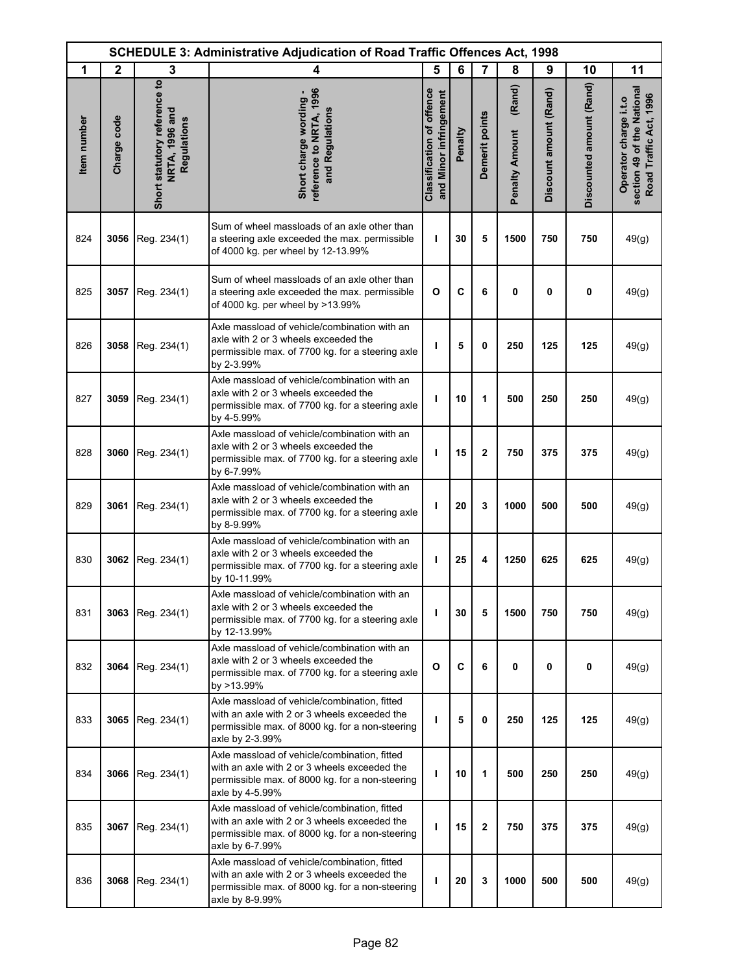|             | <b>SCHEDULE 3: Administrative Adjudication of Road Traffic Offences Act, 1998</b> |                                                               |                                                                                                                                                                    |                                                            |         |                |                                 |                        |                          |                                                                               |
|-------------|-----------------------------------------------------------------------------------|---------------------------------------------------------------|--------------------------------------------------------------------------------------------------------------------------------------------------------------------|------------------------------------------------------------|---------|----------------|---------------------------------|------------------------|--------------------------|-------------------------------------------------------------------------------|
| 1           | $\mathbf{2}$                                                                      | 3                                                             | 4                                                                                                                                                                  | 5                                                          | 6       | $\overline{7}$ | 8                               | 9                      | 10                       | 11                                                                            |
| Item number | Charge code                                                                       | Short statutory reference to<br>NRTA, 1996 and<br>Regulations | reference to NRTA, 1996<br>Short charge wording -<br>and Regulations                                                                                               | <b>Classification of offence</b><br>and Minor infringement | Penalty | Demerit points | (Rand)<br><b>Penalty Amount</b> | Discount amount (Rand) | Discounted amount (Rand) | section 49 of the National<br>Road Traffic Act, 1996<br>Operator charge i.t.o |
| 824         | 3056                                                                              | Reg. 234(1)                                                   | Sum of wheel massloads of an axle other than<br>a steering axle exceeded the max. permissible<br>of 4000 kg. per wheel by 12-13.99%                                | т                                                          | 30      | 5              | 1500                            | 750                    | 750                      | 49(g)                                                                         |
| 825         | 3057                                                                              | Reg. 234(1)                                                   | Sum of wheel massloads of an axle other than<br>a steering axle exceeded the max. permissible<br>of 4000 kg. per wheel by >13.99%                                  | O                                                          | C       | 6              | 0                               | $\mathbf 0$            | 0                        | 49(g)                                                                         |
| 826         | 3058                                                                              | Reg. 234(1)                                                   | Axle massload of vehicle/combination with an<br>axle with 2 or 3 wheels exceeded the<br>permissible max. of 7700 kg. for a steering axle<br>by 2-3.99%             | ı                                                          | 5       | 0              | 250                             | 125                    | 125                      | 49(g)                                                                         |
| 827         | 3059                                                                              | Reg. 234(1)                                                   | Axle massload of vehicle/combination with an<br>axle with 2 or 3 wheels exceeded the<br>permissible max. of 7700 kg. for a steering axle<br>by 4-5.99%             | ı                                                          | 10      | 1              | 500                             | 250                    | 250                      | 49(g)                                                                         |
| 828         | 3060                                                                              | Reg. 234(1)                                                   | Axle massload of vehicle/combination with an<br>axle with 2 or 3 wheels exceeded the<br>permissible max. of 7700 kg. for a steering axle<br>by 6-7.99%             | ı                                                          | 15      | $\mathbf 2$    | 750                             | 375                    | 375                      | 49(g)                                                                         |
| 829         | 3061                                                                              | Reg. 234(1)                                                   | Axle massload of vehicle/combination with an<br>axle with 2 or 3 wheels exceeded the<br>permissible max. of 7700 kg. for a steering axle<br>by 8-9.99%             | т                                                          | 20      | 3              | 1000                            | 500                    | 500                      | 49(g)                                                                         |
| 830         | 3062                                                                              | Reg. 234(1)                                                   | Axle massload of vehicle/combination with an<br>axle with 2 or 3 wheels exceeded the<br>permissible max. of 7700 kg. for a steering axle<br>by 10-11.99%           | т                                                          | 25      | 4              | 1250                            | 625                    | 625                      | 49(g)                                                                         |
| 831         | 3063                                                                              | Reg. 234(1)                                                   | Axle massload of vehicle/combination with an<br>axle with 2 or 3 wheels exceeded the<br>permissible max. of 7700 kg. for a steering axle<br>by 12-13.99%           | т                                                          | 30      | 5              | 1500                            | 750                    | 750                      | 49(g)                                                                         |
| 832         | 3064                                                                              | Reg. 234(1)                                                   | Axle massload of vehicle/combination with an<br>axle with 2 or 3 wheels exceeded the<br>permissible max. of 7700 kg. for a steering axle<br>by >13.99%             | $\mathbf{o}$                                               | C       | 6              | 0                               | 0                      | 0                        | 49(g)                                                                         |
| 833         | 3065                                                                              | Reg. 234(1)                                                   | Axle massload of vehicle/combination, fitted<br>with an axle with 2 or 3 wheels exceeded the<br>permissible max. of 8000 kg. for a non-steering<br>axle by 2-3.99% | ı                                                          | 5       | 0              | 250                             | 125                    | 125                      | 49(g)                                                                         |
| 834         | 3066                                                                              | Reg. 234(1)                                                   | Axle massload of vehicle/combination, fitted<br>with an axle with 2 or 3 wheels exceeded the<br>permissible max. of 8000 kg. for a non-steering<br>axle by 4-5.99% | т                                                          | 10      | 1              | 500                             | 250                    | 250                      | 49(g)                                                                         |
| 835         | 3067                                                                              | Reg. 234(1)                                                   | Axle massload of vehicle/combination, fitted<br>with an axle with 2 or 3 wheels exceeded the<br>permissible max. of 8000 kg. for a non-steering<br>axle by 6-7.99% | т                                                          | 15      | $\mathbf{2}$   | 750                             | 375                    | 375                      | 49(g)                                                                         |
| 836         | 3068                                                                              | Reg. 234(1)                                                   | Axle massload of vehicle/combination, fitted<br>with an axle with 2 or 3 wheels exceeded the<br>permissible max. of 8000 kg. for a non-steering<br>axle by 8-9.99% | ı                                                          | 20      | 3              | 1000                            | 500                    | 500                      | 49(g)                                                                         |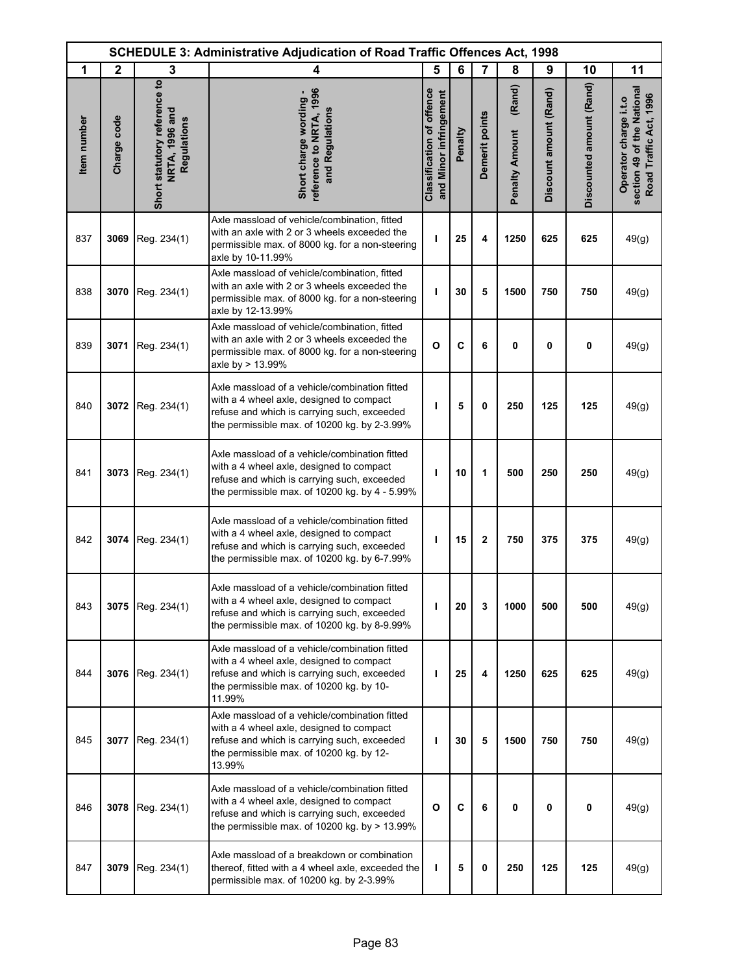|             | <b>SCHEDULE 3: Administrative Adjudication of Road Traffic Offences Act, 1998</b> |                                                               |                                                                                                                                                                                                |                                                            |         |                |                                 |                        |                          |                                                                               |
|-------------|-----------------------------------------------------------------------------------|---------------------------------------------------------------|------------------------------------------------------------------------------------------------------------------------------------------------------------------------------------------------|------------------------------------------------------------|---------|----------------|---------------------------------|------------------------|--------------------------|-------------------------------------------------------------------------------|
| 1           | $\mathbf{2}$                                                                      | 3                                                             | 4                                                                                                                                                                                              | 5                                                          | 6       | $\overline{7}$ | 8                               | 9                      | 10                       | 11                                                                            |
| Item number | Charge code                                                                       | Short statutory reference to<br>NRTA, 1996 and<br>Regulations | reference to NRTA, 1996<br>Short charge wording -<br>and Regulations                                                                                                                           | <b>Classification of offence</b><br>and Minor infringement | Penalty | Demerit points | (Rand)<br><b>Penalty Amount</b> | Discount amount (Rand) | Discounted amount (Rand) | section 49 of the National<br>Road Traffic Act, 1996<br>Operator charge i.t.o |
| 837         | 3069                                                                              | Reg. 234(1)                                                   | Axle massload of vehicle/combination, fitted<br>with an axle with 2 or 3 wheels exceeded the<br>permissible max. of 8000 kg. for a non-steering<br>axle by 10-11.99%                           | ı                                                          | 25      | 4              | 1250                            | 625                    | 625                      | 49(g)                                                                         |
| 838         | 3070                                                                              | Reg. 234(1)                                                   | Axle massload of vehicle/combination, fitted<br>with an axle with 2 or 3 wheels exceeded the<br>permissible max. of 8000 kg. for a non-steering<br>axle by 12-13.99%                           | ı                                                          | 30      | 5              | 1500                            | 750                    | 750                      | 49(g)                                                                         |
| 839         | 3071                                                                              | Reg. 234(1)                                                   | Axle massload of vehicle/combination, fitted<br>with an axle with 2 or 3 wheels exceeded the<br>permissible max. of 8000 kg. for a non-steering<br>axle by > 13.99%                            | O                                                          | C       | 6              | 0                               | 0                      | 0                        | 49(g)                                                                         |
| 840         | 3072                                                                              | Reg. 234(1)                                                   | Axle massload of a vehicle/combination fitted<br>with a 4 wheel axle, designed to compact<br>refuse and which is carrying such, exceeded<br>the permissible max. of 10200 kg. by 2-3.99%       | т                                                          | 5       | $\mathbf 0$    | 250                             | 125                    | 125                      | 49(g)                                                                         |
| 841         | 3073                                                                              | Reg. 234(1)                                                   | Axle massload of a vehicle/combination fitted<br>with a 4 wheel axle, designed to compact<br>refuse and which is carrying such, exceeded<br>the permissible max. of 10200 kg. by 4 - 5.99%     | т                                                          | 10      | 1              | 500                             | 250                    | 250                      | 49(g)                                                                         |
| 842         | 3074                                                                              | Reg. 234(1)                                                   | Axle massload of a vehicle/combination fitted<br>with a 4 wheel axle, designed to compact<br>refuse and which is carrying such, exceeded<br>the permissible max. of 10200 kg. by 6-7.99%       | ı                                                          | 15      | $\mathbf{2}$   | 750                             | 375                    | 375                      | 49(g)                                                                         |
| 843         | 3075                                                                              | Reg. 234(1)                                                   | Axle massload of a vehicle/combination fitted<br>with a 4 wheel axle, designed to compact<br>refuse and which is carrying such, exceeded<br>the permissible max. of 10200 kg. by 8-9.99%       | ı                                                          | 20      | 3              | 1000                            | 500                    | 500                      | 49(g)                                                                         |
| 844         | 3076                                                                              | Reg. 234(1)                                                   | Axle massload of a vehicle/combination fitted<br>with a 4 wheel axle, designed to compact<br>refuse and which is carrying such, exceeded<br>the permissible max. of 10200 kg. by 10-<br>11.99% | ı                                                          | 25      | 4              | 1250                            | 625                    | 625                      | 49(g)                                                                         |
| 845         | 3077                                                                              | Reg. 234(1)                                                   | Axle massload of a vehicle/combination fitted<br>with a 4 wheel axle, designed to compact<br>refuse and which is carrying such, exceeded<br>the permissible max. of 10200 kg. by 12-<br>13.99% | т                                                          | 30      | 5              | 1500                            | 750                    | 750                      | 49(g)                                                                         |
| 846         | 3078                                                                              | Reg. 234(1)                                                   | Axle massload of a vehicle/combination fitted<br>with a 4 wheel axle, designed to compact<br>refuse and which is carrying such, exceeded<br>the permissible max. of 10200 kg. by $> 13.99\%$   | $\mathbf{o}$                                               | C       | 6              | 0                               | 0                      | 0                        | 49(g)                                                                         |
| 847         | 3079                                                                              | Reg. 234(1)                                                   | Axle massload of a breakdown or combination<br>thereof, fitted with a 4 wheel axle, exceeded the<br>permissible max. of 10200 kg. by 2-3.99%                                                   | т                                                          | 5       | 0              | 250                             | 125                    | 125                      | 49(g)                                                                         |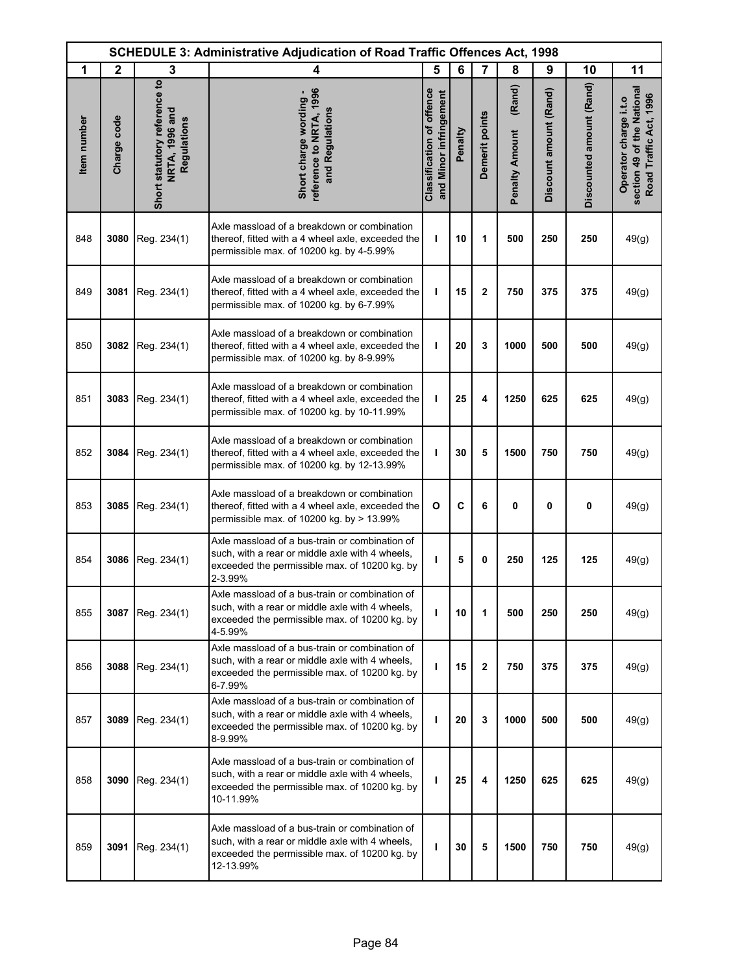|             | <b>SCHEDULE 3: Administrative Adjudication of Road Traffic Offences Act, 1998</b> |                                                               |                                                                                                                                                                 |                                                            |         |                |                                 |                        |                          |                                                                               |
|-------------|-----------------------------------------------------------------------------------|---------------------------------------------------------------|-----------------------------------------------------------------------------------------------------------------------------------------------------------------|------------------------------------------------------------|---------|----------------|---------------------------------|------------------------|--------------------------|-------------------------------------------------------------------------------|
| 1           | $\mathbf{2}$                                                                      | 3                                                             | 4                                                                                                                                                               | 5                                                          | 6       | $\overline{7}$ | 8                               | 9                      | 10                       | 11                                                                            |
| Item number | Charge code                                                                       | Short statutory reference to<br>NRTA, 1996 and<br>Regulations | reference to NRTA, 1996<br>Short charge wording -<br>and Regulations                                                                                            | <b>Classification of offence</b><br>and Minor infringement | Penalty | Demerit points | (Rand)<br><b>Penalty Amount</b> | Discount amount (Rand) | Discounted amount (Rand) | section 49 of the National<br>Road Traffic Act, 1996<br>Operator charge i.t.o |
| 848         | 3080                                                                              | Reg. 234(1)                                                   | Axle massload of a breakdown or combination<br>thereof, fitted with a 4 wheel axle, exceeded the<br>permissible max. of 10200 kg. by 4-5.99%                    | т                                                          | 10      | 1              | 500                             | 250                    | 250                      | 49(g)                                                                         |
| 849         | 3081                                                                              | Reg. 234(1)                                                   | Axle massload of a breakdown or combination<br>thereof, fitted with a 4 wheel axle, exceeded the<br>permissible max. of 10200 kg. by 6-7.99%                    | ı                                                          | 15      | $\mathbf{2}$   | 750                             | 375                    | 375                      | 49(g)                                                                         |
| 850         | 3082                                                                              | Reg. 234(1)                                                   | Axle massload of a breakdown or combination<br>thereof, fitted with a 4 wheel axle, exceeded the<br>permissible max. of 10200 kg. by 8-9.99%                    | т                                                          | 20      | 3              | 1000                            | 500                    | 500                      | 49(g)                                                                         |
| 851         | 3083                                                                              | Reg. 234(1)                                                   | Axle massload of a breakdown or combination<br>thereof, fitted with a 4 wheel axle, exceeded the<br>permissible max. of 10200 kg. by 10-11.99%                  | т                                                          | 25      | 4              | 1250                            | 625                    | 625                      | 49(g)                                                                         |
| 852         | 3084                                                                              | Reg. 234(1)                                                   | Axle massload of a breakdown or combination<br>thereof, fitted with a 4 wheel axle, exceeded the<br>permissible max. of 10200 kg. by 12-13.99%                  | т                                                          | 30      | 5              | 1500                            | 750                    | 750                      | 49(g)                                                                         |
| 853         | 3085                                                                              | Reg. 234(1)                                                   | Axle massload of a breakdown or combination<br>thereof, fitted with a 4 wheel axle, exceeded the<br>permissible max. of 10200 kg. by > 13.99%                   | $\mathbf{o}$                                               | C       | 6              | 0                               | $\mathbf{0}$           | 0                        | 49(g)                                                                         |
| 854         | 3086                                                                              | Reg. 234(1)                                                   | Axle massload of a bus-train or combination of<br>such, with a rear or middle axle with 4 wheels,<br>exceeded the permissible max. of 10200 kg. by<br>2-3.99%   | T                                                          | 5       | 0              | 250                             | 125                    | 125                      | 49(g)                                                                         |
| 855         | 3087                                                                              | Reg. 234(1)                                                   | Axle massload of a bus-train or combination of<br>such, with a rear or middle axle with 4 wheels,<br>exceeded the permissible max. of 10200 kg. by<br>4-5.99%   | T                                                          | 10      | 1              | 500                             | 250                    | 250                      | 49(g)                                                                         |
| 856         | 3088                                                                              | Reg. 234(1)                                                   | Axle massload of a bus-train or combination of<br>such, with a rear or middle axle with 4 wheels,<br>exceeded the permissible max. of 10200 kg. by<br>6-7.99%   | T                                                          | 15      | $\mathbf{2}$   | 750                             | 375                    | 375                      | 49(g)                                                                         |
| 857         | 3089                                                                              | Reg. 234(1)                                                   | Axle massload of a bus-train or combination of<br>such, with a rear or middle axle with 4 wheels,<br>exceeded the permissible max. of 10200 kg. by<br>8-9.99%   | $\mathbf{I}$                                               | 20      | 3              | 1000                            | 500                    | 500                      | 49(g)                                                                         |
| 858         | 3090                                                                              | Reg. 234(1)                                                   | Axle massload of a bus-train or combination of<br>such, with a rear or middle axle with 4 wheels,<br>exceeded the permissible max. of 10200 kg. by<br>10-11.99% | т                                                          | 25      | 4              | 1250                            | 625                    | 625                      | 49(g)                                                                         |
| 859         | 3091                                                                              | Reg. 234(1)                                                   | Axle massload of a bus-train or combination of<br>such, with a rear or middle axle with 4 wheels,<br>exceeded the permissible max. of 10200 kg. by<br>12-13.99% | T                                                          | 30      | 5              | 1500                            | 750                    | 750                      | 49(g)                                                                         |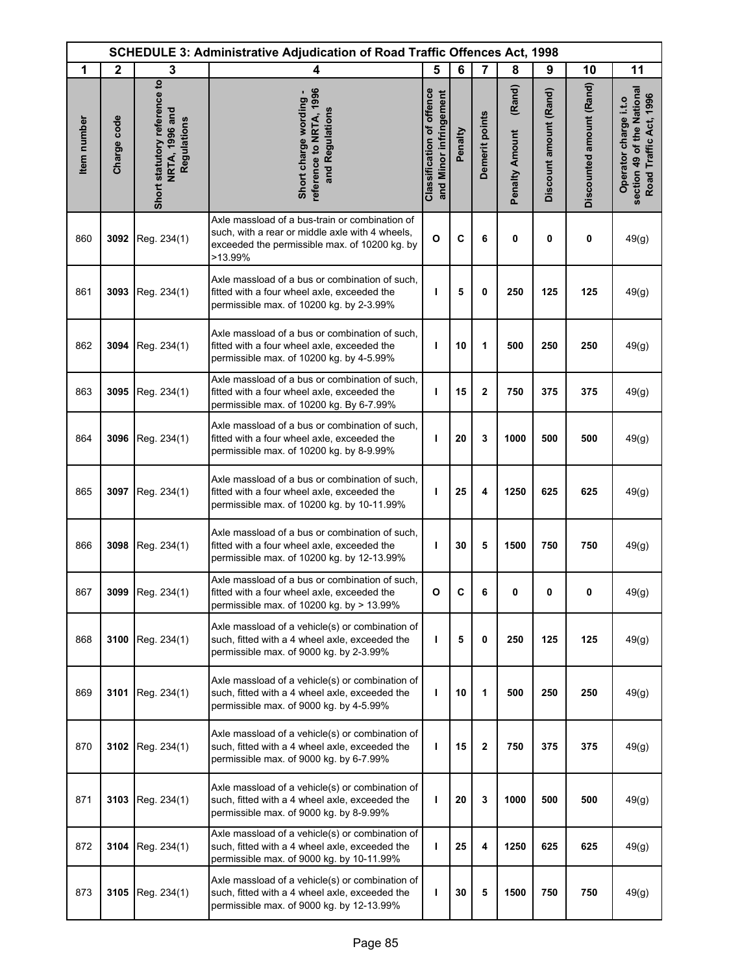|             | SCHEDULE 3: Administrative Adjudication of Road Traffic Offences Act, 1998 |                                                               |                                                                                                                                                               |                                                            |         |                |                                 |                        |                          |                                                                               |
|-------------|----------------------------------------------------------------------------|---------------------------------------------------------------|---------------------------------------------------------------------------------------------------------------------------------------------------------------|------------------------------------------------------------|---------|----------------|---------------------------------|------------------------|--------------------------|-------------------------------------------------------------------------------|
| 1           | $\mathbf{2}$                                                               | 3                                                             | 4                                                                                                                                                             | 5                                                          | 6       | $\overline{7}$ | 8                               | 9                      | 10                       | 11                                                                            |
| Item number | Charge code                                                                | Short statutory reference to<br>NRTA, 1996 and<br>Regulations | reference to NRTA, 1996<br>Short charge wording -<br>and Regulations                                                                                          | <b>Classification of offence</b><br>and Minor infringement | Penalty | Demerit points | (Rand)<br><b>Penalty Amount</b> | Discount amount (Rand) | Discounted amount (Rand) | section 49 of the National<br>Road Traffic Act, 1996<br>Operator charge i.t.o |
| 860         | 3092                                                                       | Reg. 234(1)                                                   | Axle massload of a bus-train or combination of<br>such, with a rear or middle axle with 4 wheels,<br>exceeded the permissible max. of 10200 kg. by<br>>13.99% | $\mathbf{o}$                                               | C       | 6              | 0                               | 0                      | 0                        | 49(g)                                                                         |
| 861         | 3093                                                                       | Reg. 234(1)                                                   | Axle massload of a bus or combination of such,<br>fitted with a four wheel axle, exceeded the<br>permissible max. of 10200 kg. by 2-3.99%                     | т                                                          | 5       | 0              | 250                             | 125                    | 125                      | 49(g)                                                                         |
| 862         | 3094                                                                       | Reg. 234(1)                                                   | Axle massload of a bus or combination of such.<br>fitted with a four wheel axle, exceeded the<br>permissible max. of 10200 kg. by 4-5.99%                     | т                                                          | 10      | 1              | 500                             | 250                    | 250                      | 49(g)                                                                         |
| 863         | 3095                                                                       | Reg. 234(1)                                                   | Axle massload of a bus or combination of such,<br>fitted with a four wheel axle, exceeded the<br>permissible max. of 10200 kg. By 6-7.99%                     | L                                                          | 15      | $\mathbf 2$    | 750                             | 375                    | 375                      | 49(g)                                                                         |
| 864         |                                                                            | 3096   Reg. 234(1)                                            | Axle massload of a bus or combination of such,<br>fitted with a four wheel axle, exceeded the<br>permissible max. of 10200 kg. by 8-9.99%                     | т                                                          | 20      | 3              | 1000                            | 500                    | 500                      | 49(g)                                                                         |
| 865         | 3097                                                                       | Reg. 234(1)                                                   | Axle massload of a bus or combination of such,<br>fitted with a four wheel axle, exceeded the<br>permissible max. of 10200 kg. by 10-11.99%                   | т                                                          | 25      | 4              | 1250                            | 625                    | 625                      | 49(g)                                                                         |
| 866         | 3098                                                                       | Reg. 234(1)                                                   | Axle massload of a bus or combination of such,<br>fitted with a four wheel axle, exceeded the<br>permissible max. of 10200 kg. by 12-13.99%                   | т                                                          | 30      | 5              | 1500                            | 750                    | 750                      | 49(g)                                                                         |
| 867         |                                                                            | 3099 Reg. 234(1)                                              | Axle massload of a bus or combination of such,<br>fitted with a four wheel axle, exceeded the<br>permissible max. of 10200 kg. by > 13.99%                    | О                                                          | C       | 6              | U                               | 0                      | 0                        | 49(g)                                                                         |
| 868         |                                                                            | 3100   Reg. $234(1)$                                          | Axle massload of a vehicle(s) or combination of<br>such, fitted with a 4 wheel axle, exceeded the<br>permissible max. of 9000 kg. by 2-3.99%                  | т                                                          | 5       | 0              | 250                             | 125                    | 125                      | 49(g)                                                                         |
| 869         | 3101                                                                       | Reg. 234(1)                                                   | Axle massload of a vehicle(s) or combination of<br>such, fitted with a 4 wheel axle, exceeded the<br>permissible max. of 9000 kg. by 4-5.99%                  | т                                                          | 10      | 1              | 500                             | 250                    | 250                      | 49(g)                                                                         |
| 870         | 3102                                                                       | Reg. 234(1)                                                   | Axle massload of a vehicle(s) or combination of<br>such, fitted with a 4 wheel axle, exceeded the<br>permissible max. of 9000 kg. by 6-7.99%                  | т                                                          | 15      | $\mathbf 2$    | 750                             | 375                    | 375                      | 49(g)                                                                         |
| 871         |                                                                            | 3103   Reg. $234(1)$                                          | Axle massload of a vehicle(s) or combination of<br>such, fitted with a 4 wheel axle, exceeded the<br>permissible max. of 9000 kg. by 8-9.99%                  | т                                                          | 20      | 3              | 1000                            | 500                    | 500                      | 49(g)                                                                         |
| 872         | 3104                                                                       | Reg. 234(1)                                                   | Axle massload of a vehicle(s) or combination of<br>such, fitted with a 4 wheel axle, exceeded the<br>permissible max. of 9000 kg. by 10-11.99%                | т                                                          | 25      | 4              | 1250                            | 625                    | 625                      | 49(g)                                                                         |
| 873         | 3105                                                                       | Reg. 234(1)                                                   | Axle massload of a vehicle(s) or combination of<br>such, fitted with a 4 wheel axle, exceeded the<br>permissible max. of 9000 kg. by 12-13.99%                | т                                                          | 30      | 5              | 1500                            | 750                    | 750                      | 49(g)                                                                         |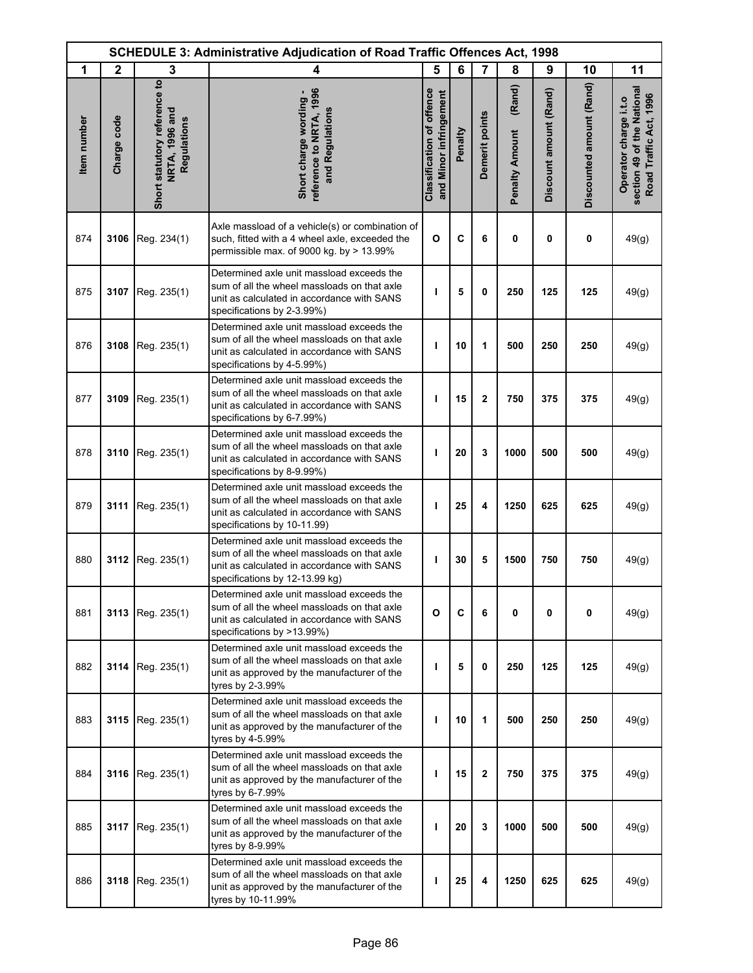|             | <b>SCHEDULE 3: Administrative Adjudication of Road Traffic Offences Act, 1998</b> |                                                               |                                                                                                                                                                          |                                                            |         |                |                                 |                        |                          |                                                                               |
|-------------|-----------------------------------------------------------------------------------|---------------------------------------------------------------|--------------------------------------------------------------------------------------------------------------------------------------------------------------------------|------------------------------------------------------------|---------|----------------|---------------------------------|------------------------|--------------------------|-------------------------------------------------------------------------------|
| 1           | $\mathbf{2}$                                                                      | 3                                                             | 4                                                                                                                                                                        | 5                                                          | 6       | $\overline{7}$ | 8                               | 9                      | 10                       | 11                                                                            |
| Item number | Charge code                                                                       | Short statutory reference to<br>NRTA, 1996 and<br>Regulations | reference to NRTA, 1996<br>Short charge wording -<br>and Regulations                                                                                                     | <b>Classification of offence</b><br>and Minor infringement | Penalty | Demerit points | (Rand)<br><b>Penalty Amount</b> | Discount amount (Rand) | Discounted amount (Rand) | section 49 of the National<br>Road Traffic Act, 1996<br>Operator charge i.t.o |
| 874         | 3106                                                                              | Reg. 234(1)                                                   | Axle massload of a vehicle(s) or combination of<br>such, fitted with a 4 wheel axle, exceeded the<br>permissible max. of 9000 kg. by > 13.99%                            | O                                                          | C       | 6              | 0                               | $\mathbf 0$            | 0                        | 49(g)                                                                         |
| 875         | 3107                                                                              | Reg. 235(1)                                                   | Determined axle unit massload exceeds the<br>sum of all the wheel massloads on that axle<br>unit as calculated in accordance with SANS<br>specifications by 2-3.99%)     | п                                                          | 5       | 0              | 250                             | 125                    | 125                      | 49(g)                                                                         |
| 876         | 3108                                                                              | Reg. 235(1)                                                   | Determined axle unit massload exceeds the<br>sum of all the wheel massloads on that axle<br>unit as calculated in accordance with SANS<br>specifications by 4-5.99%)     | т                                                          | 10      | 1              | 500                             | 250                    | 250                      | 49(g)                                                                         |
| 877         | 3109                                                                              | Reg. 235(1)                                                   | Determined axle unit massload exceeds the<br>sum of all the wheel massloads on that axle<br>unit as calculated in accordance with SANS<br>specifications by 6-7.99%)     | ı                                                          | 15      | $\mathbf 2$    | 750                             | 375                    | 375                      | 49(g)                                                                         |
| 878         | 3110                                                                              | Reg. 235(1)                                                   | Determined axle unit massload exceeds the<br>sum of all the wheel massloads on that axle<br>unit as calculated in accordance with SANS<br>specifications by 8-9.99%)     | ı                                                          | 20      | 3              | 1000                            | 500                    | 500                      | 49(g)                                                                         |
| 879         | 3111                                                                              | Reg. 235(1)                                                   | Determined axle unit massload exceeds the<br>sum of all the wheel massloads on that axle<br>unit as calculated in accordance with SANS<br>specifications by 10-11.99)    | т                                                          | 25      | 4              | 1250                            | 625                    | 625                      | 49(g)                                                                         |
| 880         | 3112                                                                              | Reg. 235(1)                                                   | Determined axle unit massload exceeds the<br>sum of all the wheel massloads on that axle<br>unit as calculated in accordance with SANS<br>specifications by 12-13.99 kg) | т                                                          | 30      | 5              | 1500                            | 750                    | 750                      | 49(g)                                                                         |
| 881         | 3113                                                                              | Reg. 235(1)                                                   | Determined axle unit massload exceeds the<br>sum of all the wheel massloads on that axle<br>unit as calculated in accordance with SANS<br>specifications by >13.99%)     | O                                                          | C       | 6              | 0                               | 0                      | 0                        | 49(g)                                                                         |
| 882         |                                                                                   | 3114   Reg. $235(1)$                                          | Determined axle unit massload exceeds the<br>sum of all the wheel massloads on that axle<br>unit as approved by the manufacturer of the<br>tyres by 2-3.99%              | ı                                                          | 5       | 0              | 250                             | 125                    | 125                      | 49(g)                                                                         |
| 883         | 3115                                                                              | Reg. 235(1)                                                   | Determined axle unit massload exceeds the<br>sum of all the wheel massloads on that axle<br>unit as approved by the manufacturer of the<br>tyres by 4-5.99%              | т                                                          | 10      | 1              | 500                             | 250                    | 250                      | 49(g)                                                                         |
| 884         | 3116                                                                              | Reg. 235(1)                                                   | Determined axle unit massload exceeds the<br>sum of all the wheel massloads on that axle<br>unit as approved by the manufacturer of the<br>tyres by 6-7.99%              | ı                                                          | 15      | $\mathbf{2}$   | 750                             | 375                    | 375                      | 49(g)                                                                         |
| 885         | 3117                                                                              | Reg. 235(1)                                                   | Determined axle unit massload exceeds the<br>sum of all the wheel massloads on that axle<br>unit as approved by the manufacturer of the<br>tyres by 8-9.99%              | т                                                          | 20      | 3              | 1000                            | 500                    | 500                      | 49(g)                                                                         |
| 886         | 3118                                                                              | Reg. 235(1)                                                   | Determined axle unit massload exceeds the<br>sum of all the wheel massloads on that axle<br>unit as approved by the manufacturer of the<br>tyres by 10-11.99%            | т                                                          | 25      | 4              | 1250                            | 625                    | 625                      | 49(g)                                                                         |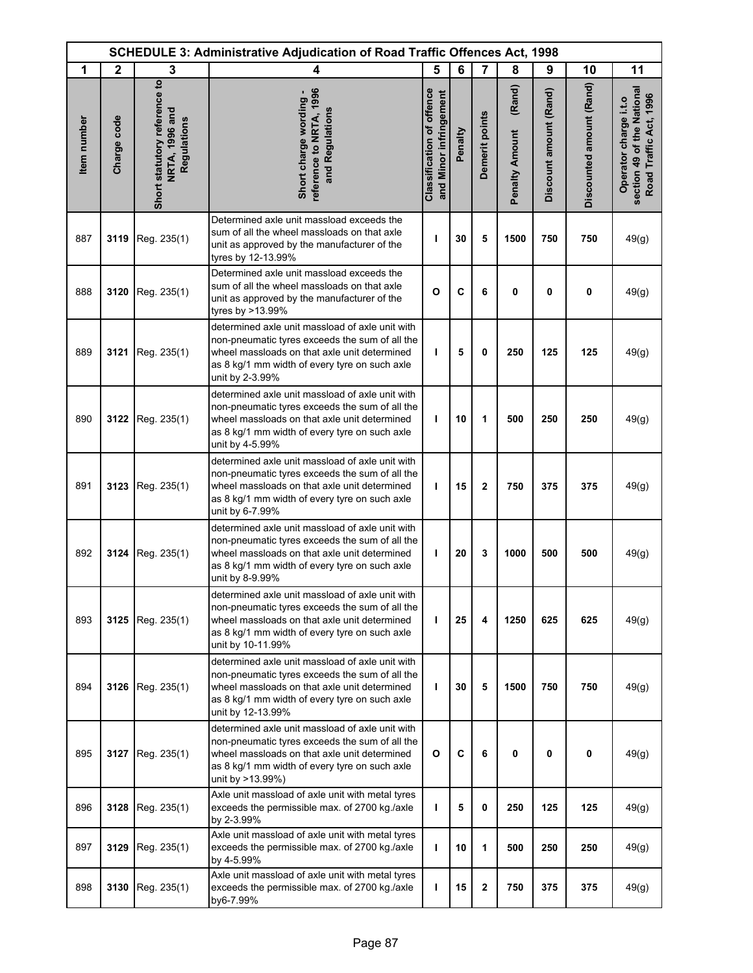|             | <b>SCHEDULE 3: Administrative Adjudication of Road Traffic Offences Act, 1998</b> |                                                               |                                                                                                                                                                                                                         |                                                            |         |                         |                                 |                        |                          |                                                                               |
|-------------|-----------------------------------------------------------------------------------|---------------------------------------------------------------|-------------------------------------------------------------------------------------------------------------------------------------------------------------------------------------------------------------------------|------------------------------------------------------------|---------|-------------------------|---------------------------------|------------------------|--------------------------|-------------------------------------------------------------------------------|
| 1           | $\mathbf{2}$                                                                      | 3                                                             | 4                                                                                                                                                                                                                       | 5                                                          | 6       | $\overline{7}$          | 8                               | 9                      | 10                       | 11                                                                            |
| Item number | Charge code                                                                       | Short statutory reference to<br>NRTA, 1996 and<br>Regulations | reference to NRTA, 1996<br>Short charge wording -<br>and Regulations                                                                                                                                                    | <b>Classification of offence</b><br>and Minor infringement | Penalty | Demerit points          | (Rand)<br><b>Penalty Amount</b> | Discount amount (Rand) | Discounted amount (Rand) | section 49 of the National<br>Road Traffic Act, 1996<br>Operator charge i.t.o |
| 887         | 3119                                                                              | Reg. 235(1)                                                   | Determined axle unit massload exceeds the<br>sum of all the wheel massloads on that axle<br>unit as approved by the manufacturer of the<br>tyres by 12-13.99%                                                           | ı                                                          | 30      | 5                       | 1500                            | 750                    | 750                      | 49(g)                                                                         |
| 888         | 3120                                                                              | Reg. 235(1)                                                   | Determined axle unit massload exceeds the<br>sum of all the wheel massloads on that axle<br>unit as approved by the manufacturer of the<br>tyres by >13.99%                                                             | $\mathbf{o}$                                               | C       | 6                       | 0                               | 0                      | 0                        | 49(g)                                                                         |
| 889         | 3121                                                                              | Reg. 235(1)                                                   | determined axle unit massload of axle unit with<br>non-pneumatic tyres exceeds the sum of all the<br>wheel massloads on that axle unit determined<br>as 8 kg/1 mm width of every tyre on such axle<br>unit by 2-3.99%   | т                                                          | 5       | 0                       | 250                             | 125                    | 125                      | 49(g)                                                                         |
| 890         | 3122                                                                              | Reg. 235(1)                                                   | determined axle unit massload of axle unit with<br>non-pneumatic tyres exceeds the sum of all the<br>wheel massloads on that axle unit determined<br>as 8 kg/1 mm width of every tyre on such axle<br>unit by 4-5.99%   | T                                                          | 10      | 1                       | 500                             | 250                    | 250                      | 49(g)                                                                         |
| 891         | 3123                                                                              | Reg. 235(1)                                                   | determined axle unit massload of axle unit with<br>non-pneumatic tyres exceeds the sum of all the<br>wheel massloads on that axle unit determined<br>as 8 kg/1 mm width of every tyre on such axle<br>unit by 6-7.99%   | T                                                          | 15      | $\mathbf{2}$            | 750                             | 375                    | 375                      | 49(g)                                                                         |
| 892         | 3124                                                                              | Reg. 235(1)                                                   | determined axle unit massload of axle unit with<br>non-pneumatic tyres exceeds the sum of all the<br>wheel massloads on that axle unit determined<br>as 8 kg/1 mm width of every tyre on such axle<br>unit by 8-9.99%   | $\mathbf{I}$                                               | 20      | 3                       | 1000                            | 500                    | 500                      | 49(g)                                                                         |
| 893         | 3125                                                                              | Reg. 235(1)                                                   | determined axle unit massload of axle unit with<br>non-pneumatic tyres exceeds the sum of all the<br>wheel massloads on that axle unit determined<br>as 8 kg/1 mm width of every tyre on such axle<br>unit by 10-11.99% | T                                                          | 25      | 4                       | 1250                            | 625                    | 625                      | 49(g)                                                                         |
| 894         | 3126                                                                              | Reg. 235(1)                                                   | determined axle unit massload of axle unit with<br>non-pneumatic tyres exceeds the sum of all the<br>wheel massloads on that axle unit determined<br>as 8 kg/1 mm width of every tyre on such axle<br>unit by 12-13.99% | т                                                          | 30      | 5                       | 1500                            | 750                    | 750                      | 49(g)                                                                         |
| 895         | 3127                                                                              | Reg. 235(1)                                                   | determined axle unit massload of axle unit with<br>non-pneumatic tyres exceeds the sum of all the<br>wheel massloads on that axle unit determined<br>as 8 kg/1 mm width of every tyre on such axle<br>unit by >13.99%)  | $\mathbf{o}$                                               | C       | 6                       | 0                               | 0                      | 0                        | 49(g)                                                                         |
| 896         | 3128                                                                              | Reg. 235(1)                                                   | Axle unit massload of axle unit with metal tyres<br>exceeds the permissible max. of 2700 kg./axle<br>by 2-3.99%                                                                                                         | т                                                          | 5       | $\mathbf{0}$            | 250                             | 125                    | 125                      | 49(g)                                                                         |
| 897         | 3129                                                                              | Reg. 235(1)                                                   | Axle unit massload of axle unit with metal tyres<br>exceeds the permissible max. of 2700 kg./axle<br>by 4-5.99%                                                                                                         | т                                                          | 10      | 1                       | 500                             | 250                    | 250                      | 49(g)                                                                         |
| 898         | 3130                                                                              | Reg. 235(1)                                                   | Axle unit massload of axle unit with metal tyres<br>exceeds the permissible max. of 2700 kg./axle<br>by6-7.99%                                                                                                          | т                                                          | 15      | $\overline{\mathbf{2}}$ | 750                             | 375                    | 375                      | 49(g)                                                                         |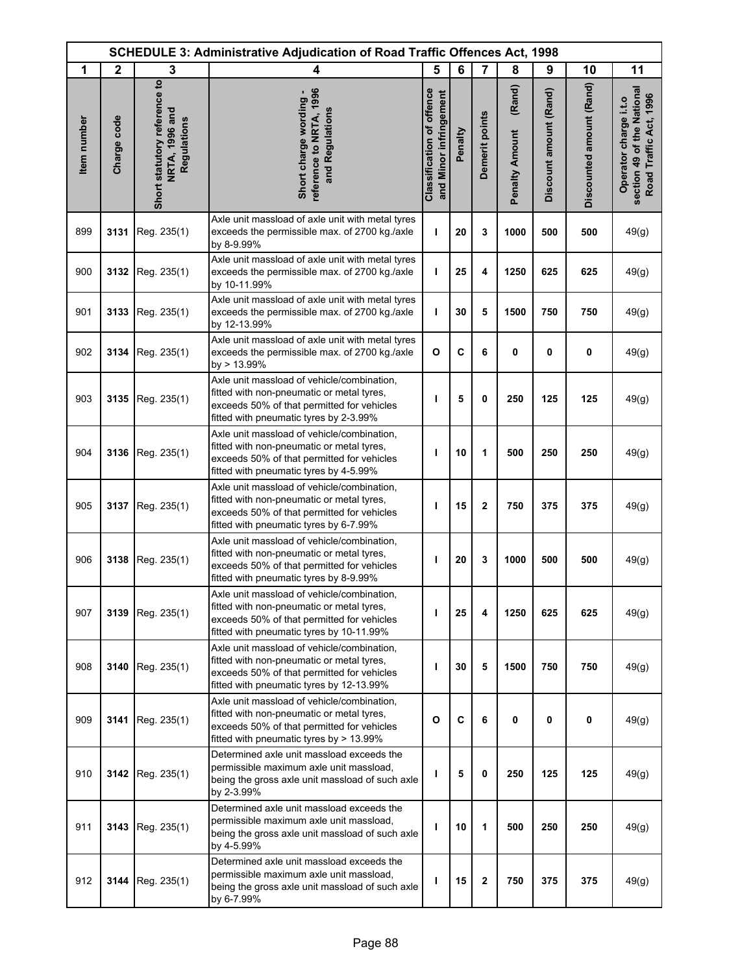|             | <b>SCHEDULE 3: Administrative Adjudication of Road Traffic Offences Act, 1998</b> |                                                               |                                                                                                                                                                                   |                                                            |         |                |                                 |                        |                          |                                                                               |
|-------------|-----------------------------------------------------------------------------------|---------------------------------------------------------------|-----------------------------------------------------------------------------------------------------------------------------------------------------------------------------------|------------------------------------------------------------|---------|----------------|---------------------------------|------------------------|--------------------------|-------------------------------------------------------------------------------|
| 1           | $\mathbf{2}$                                                                      | 3                                                             | 4                                                                                                                                                                                 | 5                                                          | 6       | $\overline{7}$ | 8                               | 9                      | 10                       | 11                                                                            |
| Item number | Charge code                                                                       | Short statutory reference to<br>NRTA, 1996 and<br>Regulations | reference to NRTA, 1996<br>Short charge wording -<br>and Regulations                                                                                                              | <b>Classification of offence</b><br>and Minor infringement | Penalty | Demerit points | (Rand)<br><b>Penalty Amount</b> | Discount amount (Rand) | Discounted amount (Rand) | section 49 of the National<br>Road Traffic Act, 1996<br>Operator charge i.t.o |
| 899         | 3131                                                                              | Reg. 235(1)                                                   | Axle unit massload of axle unit with metal tyres<br>exceeds the permissible max. of 2700 kg./axle<br>by 8-9.99%                                                                   | т                                                          | 20      | 3              | 1000                            | 500                    | 500                      | 49(g)                                                                         |
| 900         | 3132                                                                              | Reg. 235(1)                                                   | Axle unit massload of axle unit with metal tyres<br>exceeds the permissible max. of 2700 kg./axle<br>by 10-11.99%                                                                 | т                                                          | 25      | 4              | 1250                            | 625                    | 625                      | 49(g)                                                                         |
| 901         | 3133                                                                              | Reg. 235(1)                                                   | Axle unit massload of axle unit with metal tyres<br>exceeds the permissible max. of 2700 kg./axle<br>by 12-13.99%                                                                 | т                                                          | 30      | 5              | 1500                            | 750                    | 750                      | 49(g)                                                                         |
| 902         | 3134                                                                              | Reg. 235(1)                                                   | Axle unit massload of axle unit with metal tyres<br>exceeds the permissible max. of 2700 kg./axle<br>by > 13.99%                                                                  | $\mathbf{o}$                                               | C       | 6              | 0                               | 0                      | 0                        | 49(g)                                                                         |
| 903         | 3135                                                                              | Reg. 235(1)                                                   | Axle unit massload of vehicle/combination,<br>fitted with non-pneumatic or metal tyres,<br>exceeds 50% of that permitted for vehicles<br>fitted with pneumatic tyres by 2-3.99%   | т                                                          | 5       | 0              | 250                             | 125                    | 125                      | 49(g)                                                                         |
| 904         | 3136                                                                              | Reg. 235(1)                                                   | Axle unit massload of vehicle/combination,<br>fitted with non-pneumatic or metal tyres,<br>exceeds 50% of that permitted for vehicles<br>fitted with pneumatic tyres by 4-5.99%   | п                                                          | 10      | 1              | 500                             | 250                    | 250                      | 49(g)                                                                         |
| 905         | 3137                                                                              | Reg. 235(1)                                                   | Axle unit massload of vehicle/combination,<br>fitted with non-pneumatic or metal tyres,<br>exceeds 50% of that permitted for vehicles<br>fitted with pneumatic tyres by 6-7.99%   | ı                                                          | 15      | $\mathbf 2$    | 750                             | 375                    | 375                      | 49(g)                                                                         |
| 906         | 3138                                                                              | Reg. 235(1)                                                   | Axle unit massload of vehicle/combination,<br>fitted with non-pneumatic or metal tyres,<br>exceeds 50% of that permitted for vehicles<br>fitted with pneumatic tyres by 8-9.99%   | п                                                          | 20      | 3              | 1000                            | 500                    | 500                      | 49(g)                                                                         |
| 907         | 3139                                                                              | Reg. 235(1)                                                   | Axle unit massload of vehicle/combination,<br>fitted with non-pneumatic or metal tyres.<br>exceeds 50% of that permitted for vehicles<br>fitted with pneumatic tyres by 10-11.99% | т                                                          | 25      | 4              | 1250                            | 625                    | 625                      | 49(g)                                                                         |
| 908         | 3140                                                                              | Reg. 235(1)                                                   | Axle unit massload of vehicle/combination,<br>fitted with non-pneumatic or metal tyres,<br>exceeds 50% of that permitted for vehicles<br>fitted with pneumatic tyres by 12-13.99% | ı                                                          | 30      | 5              | 1500                            | 750                    | 750                      | 49(g)                                                                         |
| 909         | 3141                                                                              | Reg. 235(1)                                                   | Axle unit massload of vehicle/combination,<br>fitted with non-pneumatic or metal tyres,<br>exceeds 50% of that permitted for vehicles<br>fitted with pneumatic tyres by > 13.99%  | O                                                          | C       | 6              | 0                               | 0                      | 0                        | 49(g)                                                                         |
| 910         | 3142                                                                              | Reg. 235(1)                                                   | Determined axle unit massload exceeds the<br>permissible maximum axle unit massload,<br>being the gross axle unit massload of such axle<br>by 2-3.99%                             | ı                                                          | 5       | 0              | 250                             | 125                    | 125                      | 49(g)                                                                         |
| 911         | 3143                                                                              | Reg. 235(1)                                                   | Determined axle unit massload exceeds the<br>permissible maximum axle unit massload,<br>being the gross axle unit massload of such axle<br>by 4-5.99%                             | т                                                          | 10      | 1              | 500                             | 250                    | 250                      | 49(g)                                                                         |
| 912         | 3144                                                                              | Reg. 235(1)                                                   | Determined axle unit massload exceeds the<br>permissible maximum axle unit massload,<br>being the gross axle unit massload of such axle<br>by 6-7.99%                             | ı                                                          | 15      | $\mathbf 2$    | 750                             | 375                    | 375                      | 49(g)                                                                         |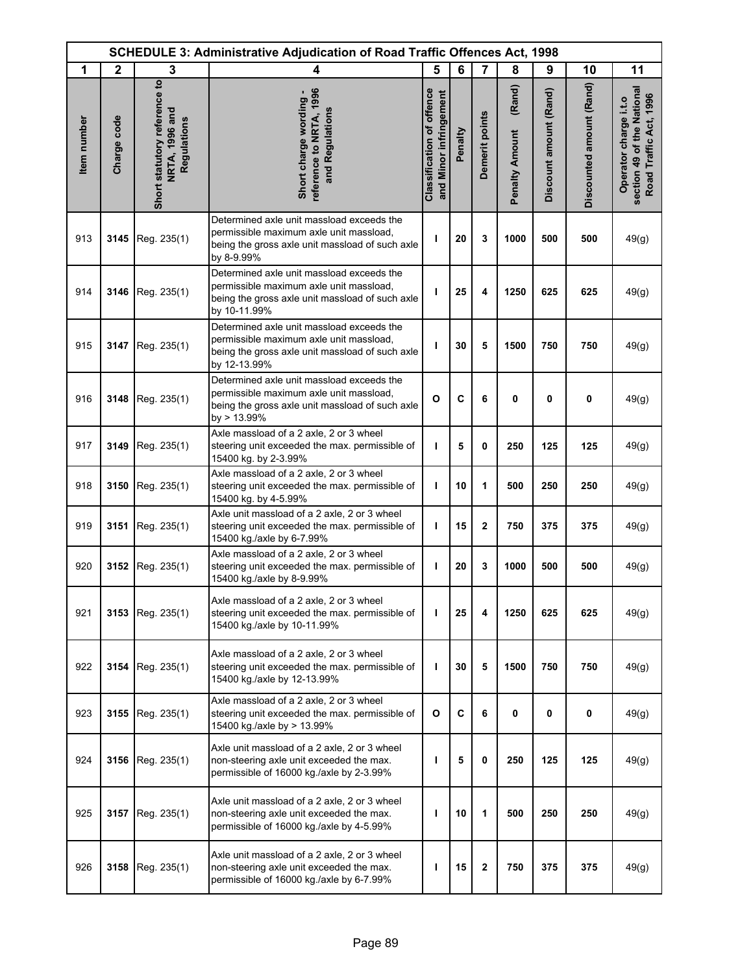|             | <b>SCHEDULE 3: Administrative Adjudication of Road Traffic Offences Act, 1998</b> |                                                               |                                                                                                                                                         |                                                            |         |                |                                 |                        |                          |                                                                               |
|-------------|-----------------------------------------------------------------------------------|---------------------------------------------------------------|---------------------------------------------------------------------------------------------------------------------------------------------------------|------------------------------------------------------------|---------|----------------|---------------------------------|------------------------|--------------------------|-------------------------------------------------------------------------------|
| 1           | $\mathbf{2}$                                                                      | 3                                                             | 4                                                                                                                                                       | 5                                                          | 6       | 7              | 8                               | 9                      | 10                       | 11                                                                            |
| Item number | Charge code                                                                       | Short statutory reference to<br>NRTA, 1996 and<br>Regulations | eference to NRTA, 1996<br>Short charge wording -<br>and Regulations                                                                                     | <b>Classification of offence</b><br>and Minor infringement | Penalty | Demerit points | (Rand)<br><b>Penalty Amount</b> | Discount amount (Rand) | Discounted amount (Rand) | section 49 of the National<br>Road Traffic Act, 1996<br>Operator charge i.t.o |
| 913         | 3145                                                                              | Reg. 235(1)                                                   | Determined axle unit massload exceeds the<br>permissible maximum axle unit massload,<br>being the gross axle unit massload of such axle<br>by 8-9.99%   | ı                                                          | 20      | 3              | 1000                            | 500                    | 500                      | 49(g)                                                                         |
| 914         | 3146                                                                              | Reg. 235(1)                                                   | Determined axle unit massload exceeds the<br>permissible maximum axle unit massload,<br>being the gross axle unit massload of such axle<br>by 10-11.99% | т                                                          | 25      | 4              | 1250                            | 625                    | 625                      | 49(g)                                                                         |
| 915         | 3147                                                                              | Reg. 235(1)                                                   | Determined axle unit massload exceeds the<br>permissible maximum axle unit massload,<br>being the gross axle unit massload of such axle<br>by 12-13.99% | т                                                          | 30      | 5              | 1500                            | 750                    | 750                      | 49(g)                                                                         |
| 916         | 3148                                                                              | Reg. 235(1)                                                   | Determined axle unit massload exceeds the<br>permissible maximum axle unit massload,<br>being the gross axle unit massload of such axle<br>by > 13.99%  | O                                                          | C       | 6              | 0                               | 0                      | $\mathbf 0$              | 49(g)                                                                         |
| 917         | 3149                                                                              | Reg. 235(1)                                                   | Axle massload of a 2 axle, 2 or 3 wheel<br>steering unit exceeded the max. permissible of<br>15400 kg. by 2-3.99%                                       | T                                                          | 5       | 0              | 250                             | 125                    | 125                      | 49(g)                                                                         |
| 918         | 3150                                                                              | Reg. 235(1)                                                   | Axle massload of a 2 axle, 2 or 3 wheel<br>steering unit exceeded the max. permissible of<br>15400 kg. by 4-5.99%                                       | т                                                          | 10      | 1              | 500                             | 250                    | 250                      | 49(g)                                                                         |
| 919         | 3151                                                                              | Reg. 235(1)                                                   | Axle unit massload of a 2 axle, 2 or 3 wheel<br>steering unit exceeded the max. permissible of<br>15400 kg./axle by 6-7.99%                             | ı                                                          | 15      | $\mathbf{2}$   | 750                             | 375                    | 375                      | 49(g)                                                                         |
| 920         | 3152                                                                              | Reg. 235(1)                                                   | Axle massload of a 2 axle, 2 or 3 wheel<br>steering unit exceeded the max. permissible of<br>15400 kg./axle by 8-9.99%                                  | T                                                          | 20      | 3              | 1000                            | 500                    | 500                      | 49(g)                                                                         |
| 921         | 3153                                                                              | Reg. 235(1)                                                   | Axle massload of a 2 axle, 2 or 3 wheel<br>steering unit exceeded the max. permissible of<br>15400 kg./axle by 10-11.99%                                | т                                                          | 25      | 4              | 1250                            | 625                    | 625                      | 49(g)                                                                         |
| 922         | 3154                                                                              | Reg. 235(1)                                                   | Axle massload of a 2 axle, 2 or 3 wheel<br>steering unit exceeded the max. permissible of<br>15400 kg./axle by 12-13.99%                                | т                                                          | 30      | 5              | 1500                            | 750                    | 750                      | 49(g)                                                                         |
| 923         | 3155                                                                              | Reg. 235(1)                                                   | Axle massload of a 2 axle, 2 or 3 wheel<br>steering unit exceeded the max. permissible of<br>15400 kg /axle by > 13.99%                                 | O                                                          | C       | 6              | 0                               | 0                      | 0                        | 49(g)                                                                         |
| 924         | 3156                                                                              | Reg. 235(1)                                                   | Axle unit massload of a 2 axle, 2 or 3 wheel<br>non-steering axle unit exceeded the max.<br>permissible of 16000 kg./axle by 2-3.99%                    | ı                                                          | 5       | 0              | 250                             | 125                    | 125                      | 49(g)                                                                         |
| 925         | 3157                                                                              | Reg. 235(1)                                                   | Axle unit massload of a 2 axle, 2 or 3 wheel<br>non-steering axle unit exceeded the max.<br>permissible of 16000 kg./axle by 4-5.99%                    | т                                                          | 10      | 1              | 500                             | 250                    | 250                      | 49(g)                                                                         |
| 926         | 3158                                                                              | Reg. 235(1)                                                   | Axle unit massload of a 2 axle, 2 or 3 wheel<br>non-steering axle unit exceeded the max.<br>permissible of 16000 kg /axle by 6-7.99%                    | т                                                          | 15      | $\mathbf 2$    | 750                             | 375                    | 375                      | 49(g)                                                                         |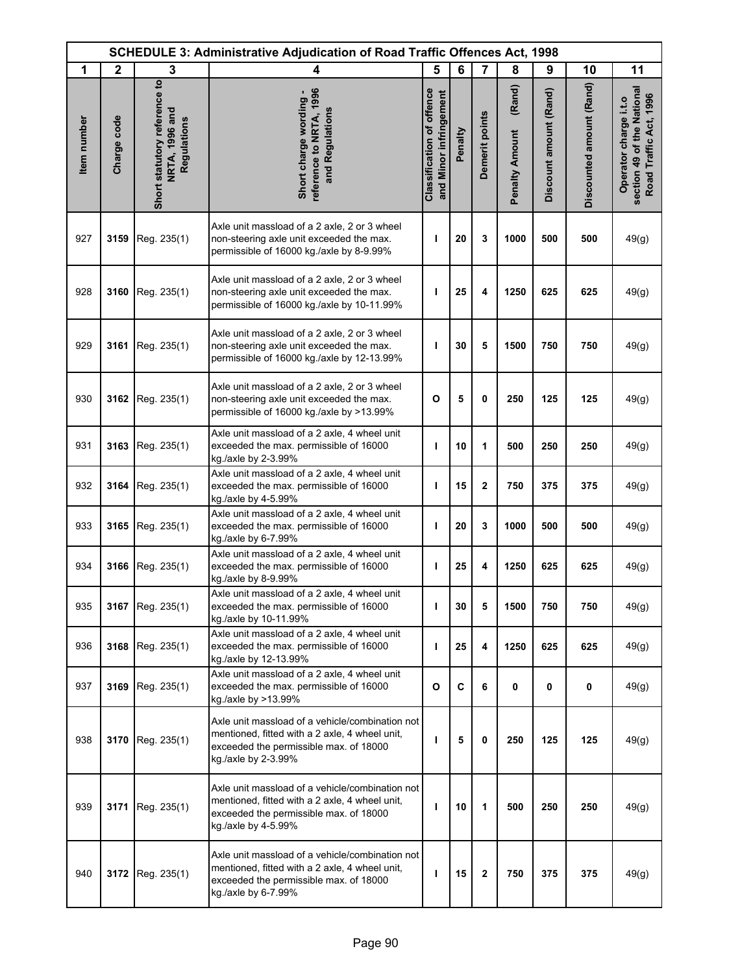| <b>SCHEDULE 3: Administrative Adjudication of Road Traffic Offences Act, 1998</b> |              |                                                               |                                                                                                                                                                    |                                                            |             |                |                                 |                        |                          |                                                                               |
|-----------------------------------------------------------------------------------|--------------|---------------------------------------------------------------|--------------------------------------------------------------------------------------------------------------------------------------------------------------------|------------------------------------------------------------|-------------|----------------|---------------------------------|------------------------|--------------------------|-------------------------------------------------------------------------------|
| 1                                                                                 | $\mathbf{2}$ | 3                                                             | 4                                                                                                                                                                  | 5                                                          | 6           | $\overline{7}$ | 8                               | 9                      | 10                       | 11                                                                            |
| Item number                                                                       | Charge code  | Short statutory reference to<br>NRTA, 1996 and<br>Regulations | reference to NRTA, 1996<br>Short charge wording -<br>and Regulations                                                                                               | <b>Classification of offence</b><br>and Minor infringement | Penalty     | Demerit points | (Rand)<br><b>Penalty Amount</b> | Discount amount (Rand) | Discounted amount (Rand) | section 49 of the National<br>Road Traffic Act, 1996<br>Operator charge i.t.o |
| 927                                                                               | 3159         | Reg. 235(1)                                                   | Axle unit massload of a 2 axle, 2 or 3 wheel<br>non-steering axle unit exceeded the max.<br>permissible of 16000 kg./axle by 8-9.99%                               | ı                                                          | 20          | 3              | 1000                            | 500                    | 500                      | 49(g)                                                                         |
| 928                                                                               |              | 3160   Reg. $235(1)$                                          | Axle unit massload of a 2 axle, 2 or 3 wheel<br>non-steering axle unit exceeded the max.<br>permissible of 16000 kg./axle by 10-11.99%                             | т                                                          | 25          | 4              | 1250                            | 625                    | 625                      | 49(g)                                                                         |
| 929                                                                               | 3161         | Reg. 235(1)                                                   | Axle unit massload of a 2 axle, 2 or 3 wheel<br>non-steering axle unit exceeded the max.<br>permissible of 16000 kg./axle by 12-13.99%                             | п                                                          | 30          | 5              | 1500                            | 750                    | 750                      | 49(g)                                                                         |
| 930                                                                               | 3162         | Reg. 235(1)                                                   | Axle unit massload of a 2 axle, 2 or 3 wheel<br>non-steering axle unit exceeded the max.<br>permissible of 16000 kg./axle by >13.99%                               | $\mathbf{o}$                                               | 5           | 0              | 250                             | 125                    | 125                      | 49(g)                                                                         |
| 931                                                                               | 3163         | Reg. 235(1)                                                   | Axle unit massload of a 2 axle, 4 wheel unit<br>exceeded the max. permissible of 16000<br>kg./axle by 2-3.99%                                                      | т                                                          | 10          | 1              | 500                             | 250                    | 250                      | 49(g)                                                                         |
| 932                                                                               | 3164         | Reg. 235(1)                                                   | Axle unit massload of a 2 axle, 4 wheel unit<br>exceeded the max. permissible of 16000<br>kg./axle by 4-5.99%                                                      | т                                                          | 15          | $\mathbf 2$    | 750                             | 375                    | 375                      | 49(g)                                                                         |
| 933                                                                               | 3165         | Reg. 235(1)                                                   | Axle unit massload of a 2 axle, 4 wheel unit<br>exceeded the max. permissible of 16000<br>kg./axle by 6-7.99%                                                      | ı                                                          | 20          | 3              | 1000                            | 500                    | 500                      | 49(g)                                                                         |
| 934                                                                               | 3166         | Reg. 235(1)                                                   | Axle unit massload of a 2 axle, 4 wheel unit<br>exceeded the max. permissible of 16000<br>kg./axle by 8-9.99%                                                      | т                                                          | 25          | 4              | 1250                            | 625                    | 625                      | 49(g)                                                                         |
| 935                                                                               | 3167         | Reg. 235(1)                                                   | Axle unit massload of a 2 axle, 4 wheel unit<br>exceeded the max. permissible of 16000<br>kg /axle by 10-11.99%                                                    | т                                                          | 30          | 5              | 1500                            | 750                    | 750                      | 49(g)                                                                         |
| 936                                                                               | 3168         | Reg. 235(1)                                                   | Axle unit massload of a 2 axle, 4 wheel unit<br>exceeded the max. permissible of 16000<br>kg /axle by 12-13.99%                                                    | т                                                          | 25          | 4              | 1250                            | 625                    | 625                      | 49(g)                                                                         |
| 937                                                                               | 3169         | Reg. 235(1)                                                   | Axle unit massload of a 2 axle, 4 wheel unit<br>exceeded the max. permissible of 16000<br>kg./axle by >13.99%                                                      | $\mathbf{o}$                                               | $\mathbf c$ | 6              | $\pmb{0}$                       | 0                      | 0                        | 49(g)                                                                         |
| 938                                                                               | 3170         | Reg. 235(1)                                                   | Axle unit massload of a vehicle/combination not<br>mentioned, fitted with a 2 axle, 4 wheel unit,<br>exceeded the permissible max. of 18000<br>kg./axle by 2-3.99% | ı                                                          | 5           | 0              | 250                             | 125                    | 125                      | 49(g)                                                                         |
| 939                                                                               |              | 3171 Reg. 235(1)                                              | Axle unit massload of a vehicle/combination not<br>mentioned, fitted with a 2 axle, 4 wheel unit,<br>exceeded the permissible max. of 18000<br>kg./axle by 4-5.99% | ı                                                          | 10          | 1              | 500                             | 250                    | 250                      | 49(g)                                                                         |
| 940                                                                               |              | 3172 Reg. 235(1)                                              | Axle unit massload of a vehicle/combination not<br>mentioned, fitted with a 2 axle, 4 wheel unit,<br>exceeded the permissible max. of 18000<br>kg./axle by 6-7.99% | ı                                                          | 15          | $\mathbf 2$    | 750                             | 375                    | 375                      | 49(g)                                                                         |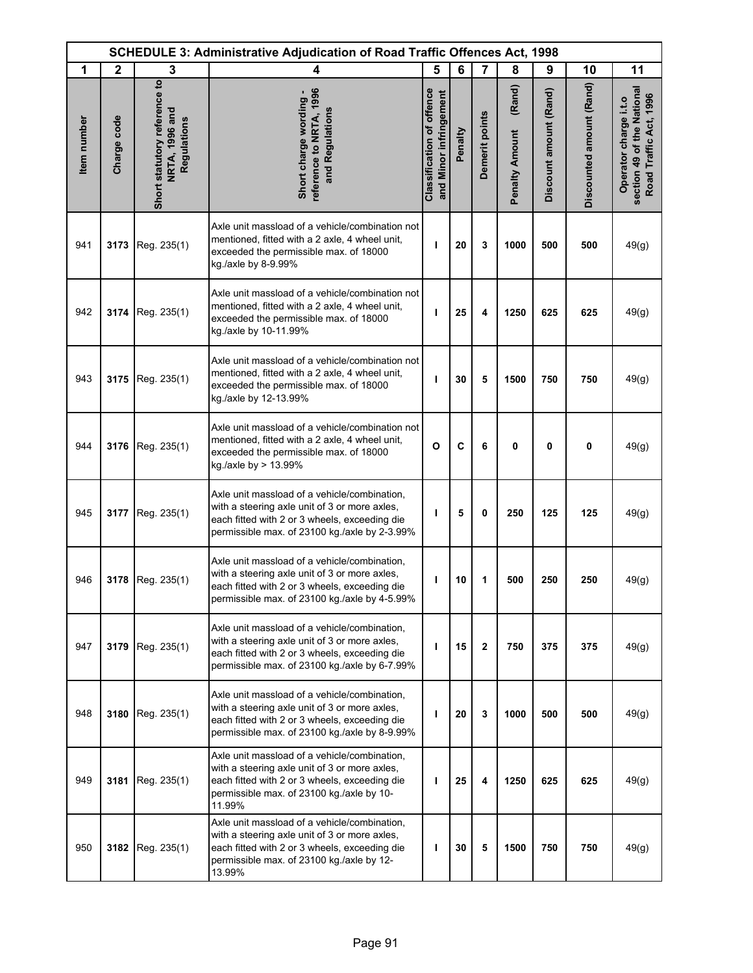| <b>SCHEDULE 3: Administrative Adjudication of Road Traffic Offences Act, 1998</b> |              |                                                               |                                                                                                                                                                                                       |                                                            |         |                |                                 |                        |                          |                                                                               |
|-----------------------------------------------------------------------------------|--------------|---------------------------------------------------------------|-------------------------------------------------------------------------------------------------------------------------------------------------------------------------------------------------------|------------------------------------------------------------|---------|----------------|---------------------------------|------------------------|--------------------------|-------------------------------------------------------------------------------|
| 1                                                                                 | $\mathbf{2}$ | 3                                                             | 4                                                                                                                                                                                                     | 5                                                          | 6       | 7              | 8                               | 9                      | 10                       | 11                                                                            |
| Item number                                                                       | Charge code  | Short statutory reference to<br>NRTA, 1996 and<br>Regulations | reference to NRTA, 1996<br>Short charge wording -<br>and Regulations                                                                                                                                  | <b>Classification of offence</b><br>and Minor infringement | Penalty | Demerit points | (Rand)<br><b>Penalty Amount</b> | Discount amount (Rand) | Discounted amount (Rand) | section 49 of the National<br>Road Traffic Act, 1996<br>Operator charge i.t.o |
| 941                                                                               | 3173         | Reg. 235(1)                                                   | Axle unit massload of a vehicle/combination not<br>mentioned, fitted with a 2 axle, 4 wheel unit,<br>exceeded the permissible max. of 18000<br>kg./axle by 8-9.99%                                    | ı                                                          | 20      | 3              | 1000                            | 500                    | 500                      | 49(g)                                                                         |
| 942                                                                               | 3174         | Reg. 235(1)                                                   | Axle unit massload of a vehicle/combination not<br>mentioned, fitted with a 2 axle, 4 wheel unit,<br>exceeded the permissible max. of 18000<br>kg./axle by 10-11.99%                                  | т                                                          | 25      | 4              | 1250                            | 625                    | 625                      | 49(g)                                                                         |
| 943                                                                               |              | 3175 Reg. 235(1)                                              | Axle unit massload of a vehicle/combination not<br>mentioned, fitted with a 2 axle, 4 wheel unit,<br>exceeded the permissible max. of 18000<br>kg /axle by 12-13.99%                                  | т                                                          | 30      | 5              | 1500                            | 750                    | 750                      | 49(g)                                                                         |
| 944                                                                               |              | 3176 Reg. 235(1)                                              | Axle unit massload of a vehicle/combination not<br>mentioned, fitted with a 2 axle, 4 wheel unit,<br>exceeded the permissible max. of 18000<br>kg./axle by > 13.99%                                   | $\mathbf{o}$                                               | C       | 6              | 0                               | 0                      | $\pmb{0}$                | 49(g)                                                                         |
| 945                                                                               | 3177         | Reg. 235(1)                                                   | Axle unit massload of a vehicle/combination,<br>with a steering axle unit of 3 or more axles,<br>each fitted with 2 or 3 wheels, exceeding die<br>permissible max. of 23100 kg./axle by 2-3.99%       | т                                                          | 5       | 0              | 250                             | 125                    | 125                      | 49(g)                                                                         |
| 946                                                                               | 3178         | Reg. 235(1)                                                   | Axle unit massload of a vehicle/combination,<br>with a steering axle unit of 3 or more axles,<br>each fitted with 2 or 3 wheels, exceeding die<br>permissible max. of 23100 kg./axle by 4-5.99%       | ı                                                          | 10      | 1              | 500                             | 250                    | 250                      | 49(g)                                                                         |
| 947                                                                               | 3179         | Reg. 235(1)                                                   | Axle unit massload of a vehicle/combination,<br>with a steering axle unit of 3 or more axles,<br>each fitted with 2 or 3 wheels, exceeding die<br>permissible max. of 23100 kg./axle by 6-7.99%       | т                                                          | 15      | $\mathbf{2}$   | 750                             | 375                    | 375                      | 49(g)                                                                         |
| 948                                                                               | 3180         | Reg. 235(1)                                                   | Axle unit massload of a vehicle/combination,<br>with a steering axle unit of 3 or more axles,<br>each fitted with 2 or 3 wheels, exceeding die<br>permissible max. of 23100 kg./axle by 8-9.99%       | т                                                          | 20      | 3              | 1000                            | 500                    | 500                      | 49(g)                                                                         |
| 949                                                                               | 3181         | Reg. 235(1)                                                   | Axle unit massload of a vehicle/combination,<br>with a steering axle unit of 3 or more axles,<br>each fitted with 2 or 3 wheels, exceeding die<br>permissible max. of 23100 kg./axle by 10-<br>11.99% | т                                                          | 25      | 4              | 1250                            | 625                    | 625                      | 49(g)                                                                         |
| 950                                                                               | 3182         | Reg. 235(1)                                                   | Axle unit massload of a vehicle/combination,<br>with a steering axle unit of 3 or more axles,<br>each fitted with 2 or 3 wheels, exceeding die<br>permissible max. of 23100 kg./axle by 12-<br>13.99% | ı                                                          | 30      | 5              | 1500                            | 750                    | 750                      | 49(g)                                                                         |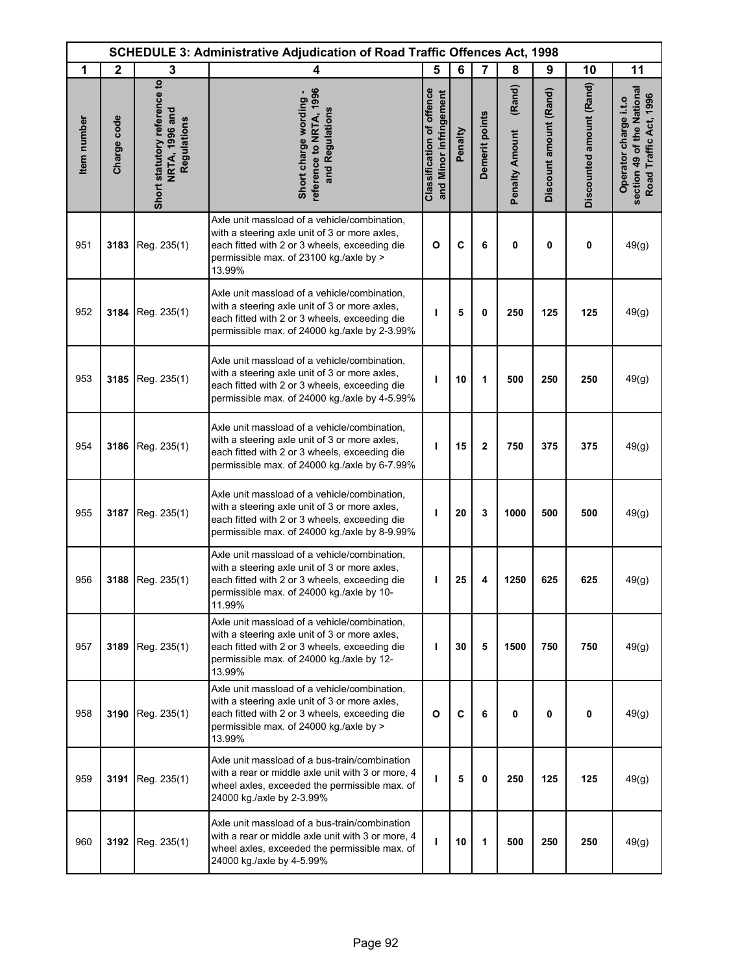|             | <b>SCHEDULE 3: Administrative Adjudication of Road Traffic Offences Act, 1998</b> |                                                               |                                                                                                                                                                                                       |                                                            |         |                |                                 |                        |                          |                                                                               |
|-------------|-----------------------------------------------------------------------------------|---------------------------------------------------------------|-------------------------------------------------------------------------------------------------------------------------------------------------------------------------------------------------------|------------------------------------------------------------|---------|----------------|---------------------------------|------------------------|--------------------------|-------------------------------------------------------------------------------|
| 1           | $\mathbf{2}$                                                                      | 3                                                             | 4                                                                                                                                                                                                     | 5                                                          | 6       | $\overline{7}$ | 8                               | 9                      | 10                       | 11                                                                            |
| Item number | Charge code                                                                       | Short statutory reference to<br>NRTA, 1996 and<br>Regulations | reference to NRTA, 1996<br>Short charge wording -<br>and Regulations                                                                                                                                  | <b>Classification of offence</b><br>and Minor infringement | Penalty | Demerit points | (Rand)<br><b>Penalty Amount</b> | Discount amount (Rand) | Discounted amount (Rand) | section 49 of the National<br>Road Traffic Act, 1996<br>Operator charge i.t.o |
| 951         | 3183                                                                              | Reg. 235(1)                                                   | Axle unit massload of a vehicle/combination,<br>with a steering axle unit of 3 or more axles,<br>each fitted with 2 or 3 wheels, exceeding die<br>permissible max. of 23100 kg./axle by ><br>13.99%   | $\mathbf{o}$                                               | C       | 6              | 0                               | 0                      | 0                        | 49(g)                                                                         |
| 952         | 3184                                                                              | Reg. 235(1)                                                   | Axle unit massload of a vehicle/combination,<br>with a steering axle unit of 3 or more axles,<br>each fitted with 2 or 3 wheels, exceeding die<br>permissible max. of 24000 kg./axle by 2-3.99%       | ı                                                          | 5       | $\mathbf 0$    | 250                             | 125                    | 125                      | 49(g)                                                                         |
| 953         | 3185                                                                              | Reg. 235(1)                                                   | Axle unit massload of a vehicle/combination,<br>with a steering axle unit of 3 or more axles,<br>each fitted with 2 or 3 wheels, exceeding die<br>permissible max. of 24000 kg./axle by 4-5.99%       | ı                                                          | 10      | 1              | 500                             | 250                    | 250                      | 49(g)                                                                         |
| 954         | 3186                                                                              | Reg. 235(1)                                                   | Axle unit massload of a vehicle/combination,<br>with a steering axle unit of 3 or more axles,<br>each fitted with 2 or 3 wheels, exceeding die<br>permissible max. of 24000 kg./axle by 6-7.99%       | ı                                                          | 15      | $\mathbf{2}$   | 750                             | 375                    | 375                      | 49(g)                                                                         |
| 955         | 3187                                                                              | Reg. 235(1)                                                   | Axle unit massload of a vehicle/combination,<br>with a steering axle unit of 3 or more axles,<br>each fitted with 2 or 3 wheels, exceeding die<br>permissible max. of 24000 kg./axle by 8-9.99%       | т                                                          | 20      | 3              | 1000                            | 500                    | 500                      | 49(g)                                                                         |
| 956         | 3188                                                                              | Reg. 235(1)                                                   | Axle unit massload of a vehicle/combination,<br>with a steering axle unit of 3 or more axles,<br>each fitted with 2 or 3 wheels, exceeding die<br>permissible max. of 24000 kg./axle by 10-<br>11.99% | T                                                          | 25      | 4              | 1250                            | 625                    | 625                      | 49(g)                                                                         |
| 957         | 3189                                                                              | Reg. 235(1)                                                   | Axle unit massload of a vehicle/combination,<br>with a steering axle unit of 3 or more axles,<br>each fitted with 2 or 3 wheels, exceeding die<br>permissible max. of 24000 kg./axle by 12-<br>13.99% | ı                                                          | 30      | 5              | 1500                            | 750                    | 750                      | 49(g)                                                                         |
| 958         | 3190                                                                              | Reg. 235(1)                                                   | Axle unit massload of a vehicle/combination.<br>with a steering axle unit of 3 or more axles,<br>each fitted with 2 or 3 wheels, exceeding die<br>permissible max. of 24000 kg./axle by ><br>13.99%   | O                                                          | C       | 6              | 0                               | 0                      | 0                        | 49(g)                                                                         |
| 959         | 3191                                                                              | Reg. 235(1)                                                   | Axle unit massload of a bus-train/combination<br>with a rear or middle axle unit with 3 or more, 4<br>wheel axles, exceeded the permissible max. of<br>24000 kg./axle by 2-3.99%                      | т                                                          | 5       | 0              | 250                             | 125                    | 125                      | 49(g)                                                                         |
| 960         |                                                                                   | 3192 Reg. 235(1)                                              | Axle unit massload of a bus-train/combination<br>with a rear or middle axle unit with 3 or more, 4<br>wheel axles, exceeded the permissible max. of<br>24000 kg./axle by 4-5.99%                      | т                                                          | 10      | 1              | 500                             | 250                    | 250                      | 49(g)                                                                         |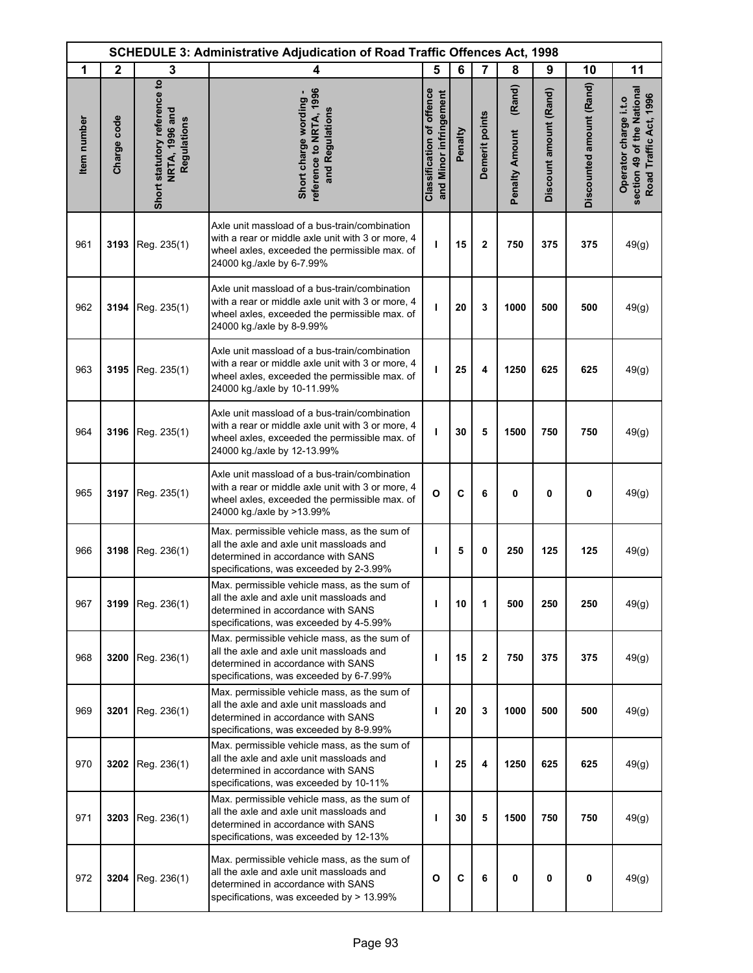| <b>SCHEDULE 3: Administrative Adjudication of Road Traffic Offences Act, 1998</b> |              |                                                               |                                                                                                                                                                                    |                                                            |         |                |                                 |                        |                          |                                                                               |
|-----------------------------------------------------------------------------------|--------------|---------------------------------------------------------------|------------------------------------------------------------------------------------------------------------------------------------------------------------------------------------|------------------------------------------------------------|---------|----------------|---------------------------------|------------------------|--------------------------|-------------------------------------------------------------------------------|
| 1                                                                                 | $\mathbf{2}$ | 3                                                             | 4                                                                                                                                                                                  | 5                                                          | 6       | $\overline{7}$ | 8                               | 9                      | 10                       | 11                                                                            |
| Item number                                                                       | Charge code  | Short statutory reference to<br>NRTA, 1996 and<br>Regulations | reference to NRTA, 1996<br>Short charge wording -<br>and Regulations                                                                                                               | <b>Classification of offence</b><br>and Minor infringement | Penalty | Demerit points | (Rand)<br><b>Penalty Amount</b> | Discount amount (Rand) | Discounted amount (Rand) | section 49 of the National<br>Road Traffic Act, 1996<br>Operator charge i.t.o |
| 961                                                                               | 3193         | Reg. 235(1)                                                   | Axle unit massload of a bus-train/combination<br>with a rear or middle axle unit with 3 or more, 4<br>wheel axles, exceeded the permissible max. of<br>24000 kg./axle by 6-7.99%   | т                                                          | 15      | $\mathbf{2}$   | 750                             | 375                    | 375                      | 49(g)                                                                         |
| 962                                                                               | 3194         | Reg. 235(1)                                                   | Axle unit massload of a bus-train/combination<br>with a rear or middle axle unit with 3 or more, 4<br>wheel axles, exceeded the permissible max. of<br>24000 kg./axle by 8-9.99%   | т                                                          | 20      | 3              | 1000                            | 500                    | 500                      | 49(g)                                                                         |
| 963                                                                               | 3195         | Reg. 235(1)                                                   | Axle unit massload of a bus-train/combination<br>with a rear or middle axle unit with 3 or more, 4<br>wheel axles, exceeded the permissible max. of<br>24000 kg./axle by 10-11.99% | ı                                                          | 25      | 4              | 1250                            | 625                    | 625                      | 49(g)                                                                         |
| 964                                                                               | 3196         | Reg. 235(1)                                                   | Axle unit massload of a bus-train/combination<br>with a rear or middle axle unit with 3 or more, 4<br>wheel axles, exceeded the permissible max. of<br>24000 kg./axle by 12-13.99% | т                                                          | 30      | 5              | 1500                            | 750                    | 750                      | 49(g)                                                                         |
| 965                                                                               | 3197         | Reg. 235(1)                                                   | Axle unit massload of a bus-train/combination<br>with a rear or middle axle unit with 3 or more, 4<br>wheel axles, exceeded the permissible max. of<br>24000 kg./axle by >13.99%   | $\mathbf{o}$                                               | C       | 6              | 0                               | 0                      | 0                        | 49(g)                                                                         |
| 966                                                                               | 3198         | Reg. 236(1)                                                   | Max. permissible vehicle mass, as the sum of<br>all the axle and axle unit massloads and<br>determined in accordance with SANS<br>specifications, was exceeded by 2-3.99%          | ı                                                          | 5       | 0              | 250                             | 125                    | 125                      | 49(g)                                                                         |
| 967                                                                               | 3199         | Reg. 236(1)                                                   | Max. permissible vehicle mass, as the sum of<br>all the axle and axle unit massloads and<br>determined in accordance with SANS<br>specifications, was exceeded by 4-5.99%          | т                                                          | 10      | 1              | 500                             | 250                    | 250                      | 49(g)                                                                         |
| 968                                                                               | 3200         | Reg. 236(1)                                                   | Max. permissible vehicle mass, as the sum of<br>all the axle and axle unit massloads and<br>determined in accordance with SANS<br>specifications, was exceeded by 6-7.99%          | ı                                                          | 15      | $\mathbf 2$    | 750                             | 375                    | 375                      | 49(g)                                                                         |
| 969                                                                               | 3201         | Reg. 236(1)                                                   | Max. permissible vehicle mass, as the sum of<br>all the axle and axle unit massloads and<br>determined in accordance with SANS<br>specifications, was exceeded by 8-9.99%          | т                                                          | 20      | 3              | 1000                            | 500                    | 500                      | 49(g)                                                                         |
| 970                                                                               |              | 3202 Reg. 236(1)                                              | Max. permissible vehicle mass, as the sum of<br>all the axle and axle unit massloads and<br>determined in accordance with SANS<br>specifications, was exceeded by 10-11%           | т                                                          | 25      | 4              | 1250                            | 625                    | 625                      | 49(g)                                                                         |
| 971                                                                               | 3203         | Reg. 236(1)                                                   | Max. permissible vehicle mass, as the sum of<br>all the axle and axle unit massloads and<br>determined in accordance with SANS<br>specifications, was exceeded by 12-13%           | т                                                          | 30      | 5              | 1500                            | 750                    | 750                      | 49(g)                                                                         |
| 972                                                                               | 3204         | Reg. 236(1)                                                   | Max. permissible vehicle mass, as the sum of<br>all the axle and axle unit massloads and<br>determined in accordance with SANS<br>specifications, was exceeded by > 13.99%         | $\mathbf{o}$                                               | C       | 6              | 0                               | 0                      | 0                        | 49(g)                                                                         |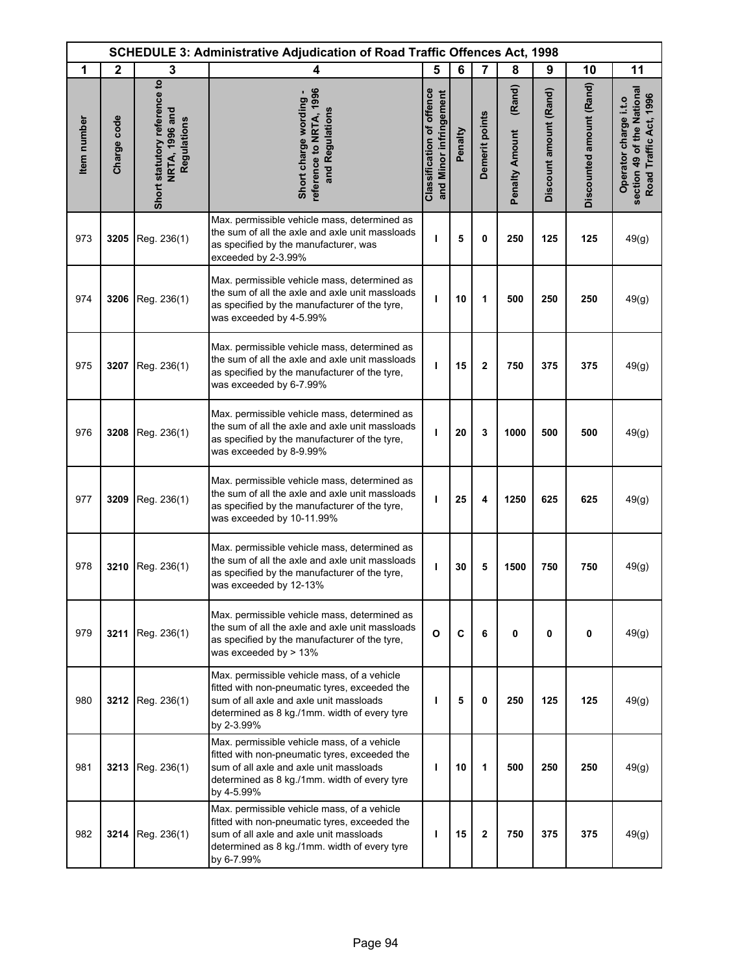|             | <b>SCHEDULE 3: Administrative Adjudication of Road Traffic Offences Act, 1998</b> |                                                               |                                                                                                                                                                                                       |                                                            |         |                |                                 |                        |                          |                                                                               |
|-------------|-----------------------------------------------------------------------------------|---------------------------------------------------------------|-------------------------------------------------------------------------------------------------------------------------------------------------------------------------------------------------------|------------------------------------------------------------|---------|----------------|---------------------------------|------------------------|--------------------------|-------------------------------------------------------------------------------|
| 1           | $\mathbf{2}$                                                                      | 3                                                             | 4                                                                                                                                                                                                     | 5                                                          | 6       | $\overline{7}$ | 8                               | 9                      | 10                       | 11                                                                            |
| Item number | Charge code                                                                       | Short statutory reference to<br>NRTA, 1996 and<br>Regulations | reference to NRTA, 1996<br>Short charge wording -<br>and Regulations                                                                                                                                  | <b>Classification of offence</b><br>and Minor infringement | Penalty | Demerit points | (Rand)<br><b>Penalty Amount</b> | Discount amount (Rand) | Discounted amount (Rand) | section 49 of the National<br>Road Traffic Act, 1996<br>Operator charge i.t.o |
| 973         | 3205                                                                              | Reg. 236(1)                                                   | Max. permissible vehicle mass, determined as<br>the sum of all the axle and axle unit massloads<br>as specified by the manufacturer, was<br>exceeded by 2-3.99%                                       | т                                                          | 5       | 0              | 250                             | 125                    | 125                      | 49(g)                                                                         |
| 974         | 3206                                                                              | Reg. 236(1)                                                   | Max. permissible vehicle mass, determined as<br>the sum of all the axle and axle unit massloads<br>as specified by the manufacturer of the tyre,<br>was exceeded by 4-5.99%                           | т                                                          | 10      | 1              | 500                             | 250                    | 250                      | 49(g)                                                                         |
| 975         | 3207                                                                              | Reg. 236(1)                                                   | Max. permissible vehicle mass, determined as<br>the sum of all the axle and axle unit massloads<br>as specified by the manufacturer of the tyre,<br>was exceeded by 6-7.99%                           | I                                                          | 15      | $\overline{2}$ | 750                             | 375                    | 375                      | 49(g)                                                                         |
| 976         | 3208                                                                              | Reg. 236(1)                                                   | Max. permissible vehicle mass, determined as<br>the sum of all the axle and axle unit massloads<br>as specified by the manufacturer of the tyre,<br>was exceeded by 8-9.99%                           | ı                                                          | 20      | 3              | 1000                            | 500                    | 500                      | 49(g)                                                                         |
| 977         | 3209                                                                              | Reg. 236(1)                                                   | Max. permissible vehicle mass, determined as<br>the sum of all the axle and axle unit massloads<br>as specified by the manufacturer of the tyre,<br>was exceeded by 10-11.99%                         | т                                                          | 25      | 4              | 1250                            | 625                    | 625                      | 49(g)                                                                         |
| 978         | 3210                                                                              | Reg. 236(1)                                                   | Max. permissible vehicle mass, determined as<br>the sum of all the axle and axle unit massloads<br>as specified by the manufacturer of the tyre,<br>was exceeded by 12-13%                            | т                                                          | 30      | 5              | 1500                            | 750                    | 750                      | 49(g)                                                                         |
| 979         |                                                                                   | 3211 Reg. 236(1)                                              | Max. permissible vehicle mass, determined as<br>the sum of all the axle and axle unit massloads<br>as specified by the manufacturer of the tyre,<br>was exceeded by $> 13\%$                          | $\mathbf{o}$                                               | C       | 6              | 0                               | 0                      | 0                        | 49(g)                                                                         |
| 980         | 3212                                                                              | Reg. 236(1)                                                   | Max. permissible vehicle mass, of a vehicle<br>fitted with non-pneumatic tyres, exceeded the<br>sum of all axle and axle unit massloads<br>determined as 8 kg./1mm. width of every tyre<br>by 2-3.99% | т                                                          | 5       | $\mathbf{0}$   | 250                             | 125                    | 125                      | 49(g)                                                                         |
| 981         | 3213                                                                              | Reg. 236(1)                                                   | Max. permissible vehicle mass, of a vehicle<br>fitted with non-pneumatic tyres, exceeded the<br>sum of all axle and axle unit massloads<br>determined as 8 kg./1mm. width of every tyre<br>by 4-5.99% | т                                                          | 10      | 1              | 500                             | 250                    | 250                      | 49(g)                                                                         |
| 982         | 3214                                                                              | Reg. 236(1)                                                   | Max. permissible vehicle mass, of a vehicle<br>fitted with non-pneumatic tyres, exceeded the<br>sum of all axle and axle unit massloads<br>determined as 8 kg./1mm. width of every tyre<br>by 6-7.99% | т                                                          | 15      | $\mathbf{2}$   | 750                             | 375                    | 375                      | 49(g)                                                                         |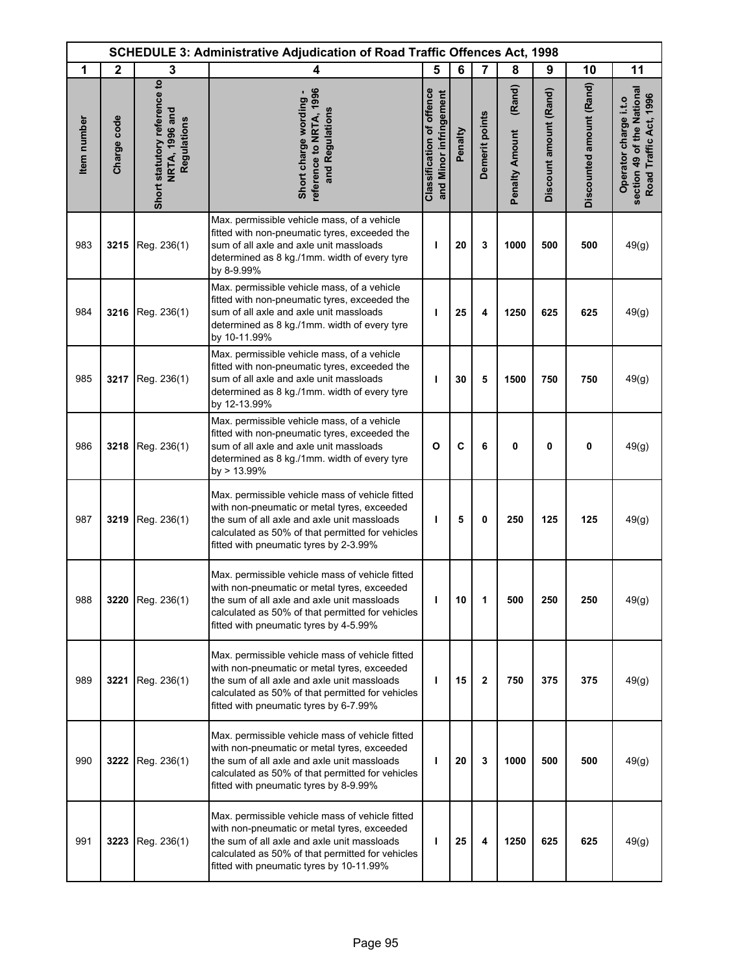| <b>SCHEDULE 3: Administrative Adjudication of Road Traffic Offences Act, 1998</b> |              |                                                               |                                                                                                                                                                                                                                               |                                                            |         |                |                                 |                        |                          |                                                                               |
|-----------------------------------------------------------------------------------|--------------|---------------------------------------------------------------|-----------------------------------------------------------------------------------------------------------------------------------------------------------------------------------------------------------------------------------------------|------------------------------------------------------------|---------|----------------|---------------------------------|------------------------|--------------------------|-------------------------------------------------------------------------------|
| 1                                                                                 | $\mathbf{2}$ | 3                                                             | 4                                                                                                                                                                                                                                             | 5                                                          | 6       | $\overline{7}$ | 8                               | 9                      | 10                       | 11                                                                            |
| Item number                                                                       | Charge code  | Short statutory reference to<br>NRTA, 1996 and<br>Regulations | reference to NRTA, 1996<br>Short charge wording -<br>and Regulations                                                                                                                                                                          | <b>Classification of offence</b><br>and Minor infringement | Penalty | Demerit points | (Rand)<br><b>Penalty Amount</b> | Discount amount (Rand) | Discounted amount (Rand) | section 49 of the National<br>Road Traffic Act, 1996<br>Operator charge i.t.o |
| 983                                                                               | 3215         | Reg. 236(1)                                                   | Max. permissible vehicle mass, of a vehicle<br>fitted with non-pneumatic tyres, exceeded the<br>sum of all axle and axle unit massloads<br>determined as 8 kg./1mm. width of every tyre<br>by 8-9.99%                                         | ı                                                          | 20      | 3              | 1000                            | 500                    | 500                      | 49(g)                                                                         |
| 984                                                                               | 3216         | Reg. 236(1)                                                   | Max. permissible vehicle mass, of a vehicle<br>fitted with non-pneumatic tyres, exceeded the<br>sum of all axle and axle unit massloads<br>determined as 8 kg./1mm. width of every tyre<br>by 10-11.99%                                       | т                                                          | 25      | 4              | 1250                            | 625                    | 625                      | 49(g)                                                                         |
| 985                                                                               | 3217         | Reg. 236(1)                                                   | Max. permissible vehicle mass, of a vehicle<br>fitted with non-pneumatic tyres, exceeded the<br>sum of all axle and axle unit massloads<br>determined as 8 kg./1mm. width of every tyre<br>by 12-13.99%                                       | т                                                          | 30      | 5              | 1500                            | 750                    | 750                      | 49(g)                                                                         |
| 986                                                                               | 3218         | Reg. 236(1)                                                   | Max. permissible vehicle mass, of a vehicle<br>fitted with non-pneumatic tyres, exceeded the<br>sum of all axle and axle unit massloads<br>determined as 8 kg./1mm. width of every tyre<br>by > 13.99%                                        | $\mathbf{o}$                                               | C       | 6              | 0                               | 0                      | 0                        | 49(g)                                                                         |
| 987                                                                               | 3219         | Reg. 236(1)                                                   | Max. permissible vehicle mass of vehicle fitted<br>with non-pneumatic or metal tyres, exceeded<br>the sum of all axle and axle unit massloads<br>calculated as 50% of that permitted for vehicles<br>fitted with pneumatic tyres by 2-3.99%   | т                                                          | 5       | 0              | 250                             | 125                    | 125                      | 49(g)                                                                         |
| 988                                                                               | 3220         | Reg. 236(1)                                                   | Max. permissible vehicle mass of vehicle fitted<br>with non-pneumatic or metal tyres, exceeded<br>the sum of all axle and axle unit massloads<br>calculated as 50% of that permitted for vehicles<br>fitted with pneumatic tyres by 4-5.99%   | ı                                                          | 10      | 1              | 500                             | 250                    | 250                      | 49(g)                                                                         |
| 989                                                                               | 3221         | Reg. 236(1)                                                   | Max. permissible vehicle mass of vehicle fitted<br>with non-pneumatic or metal tyres, exceeded<br>the sum of all axle and axle unit massloads<br>calculated as 50% of that permitted for vehicles<br>fitted with pneumatic tyres by 6-7.99%   | т                                                          | 15      | $\mathbf 2$    | 750                             | 375                    | 375                      | 49(g)                                                                         |
| 990                                                                               | 3222         | Reg. 236(1)                                                   | Max. permissible vehicle mass of vehicle fitted<br>with non-pneumatic or metal tyres, exceeded<br>the sum of all axle and axle unit massloads<br>calculated as 50% of that permitted for vehicles<br>fitted with pneumatic tyres by 8-9.99%   | т                                                          | 20      | 3              | 1000                            | 500                    | 500                      | 49(g)                                                                         |
| 991                                                                               | 3223         | Reg. 236(1)                                                   | Max. permissible vehicle mass of vehicle fitted<br>with non-pneumatic or metal tyres, exceeded<br>the sum of all axle and axle unit massloads<br>calculated as 50% of that permitted for vehicles<br>fitted with pneumatic tyres by 10-11.99% | т                                                          | 25      | 4              | 1250                            | 625                    | 625                      | 49(g)                                                                         |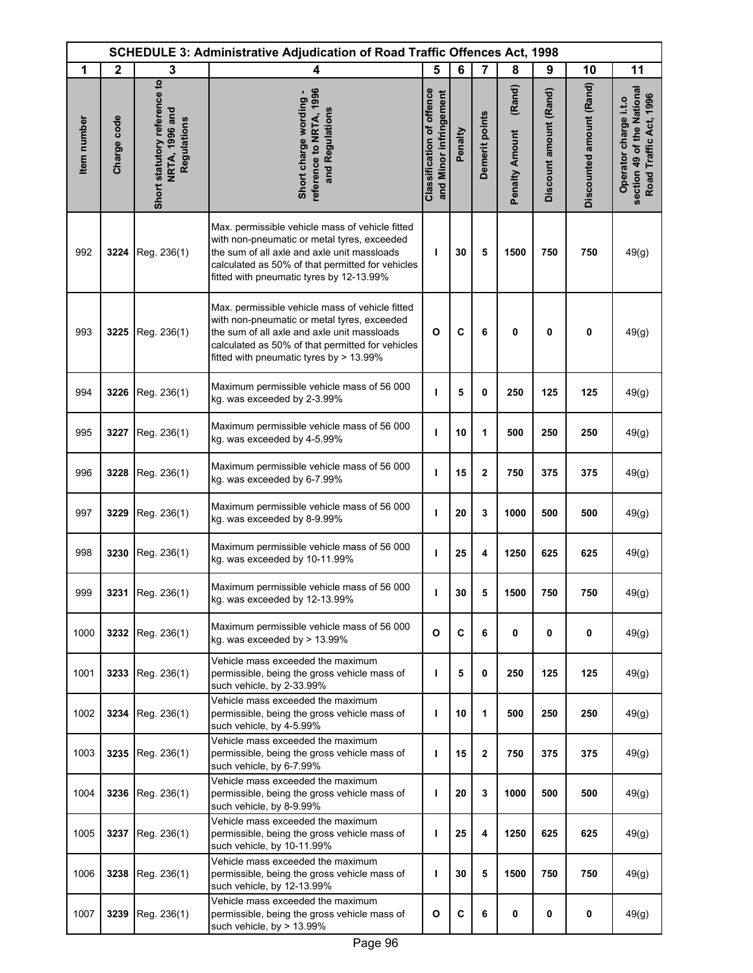|             | <b>SCHEDULE 3: Administrative Adjudication of Road Traffic Offences Act, 1998</b> |                                                               |                                                                                                                                                                                                                                               |                                                            |         |                |                                 |                        |                          |                                                                               |
|-------------|-----------------------------------------------------------------------------------|---------------------------------------------------------------|-----------------------------------------------------------------------------------------------------------------------------------------------------------------------------------------------------------------------------------------------|------------------------------------------------------------|---------|----------------|---------------------------------|------------------------|--------------------------|-------------------------------------------------------------------------------|
| 1           | $\mathbf{2}$                                                                      | 3                                                             | 4                                                                                                                                                                                                                                             | 5                                                          | 6       | 7              | 8                               | 9                      | 10                       | 11                                                                            |
| Item number | Charge code                                                                       | Short statutory reference to<br>NRTA, 1996 and<br>Regulations | reference to NRTA, 1996<br>Short charge wording<br>and Regulations                                                                                                                                                                            | <b>Classification of offence</b><br>and Minor infringement | Penalty | Demerit points | (Rand)<br><b>Penalty Amount</b> | Discount amount (Rand) | Discounted amount (Rand) | section 49 of the National<br>Road Traffic Act, 1996<br>Operator charge i.t.o |
| 992         | 3224                                                                              | Reg. 236(1)                                                   | Max. permissible vehicle mass of vehicle fitted<br>with non-pneumatic or metal tyres, exceeded<br>the sum of all axle and axle unit massloads<br>calculated as 50% of that permitted for vehicles<br>fitted with pneumatic tyres by 12-13.99% | т                                                          | 30      | 5              | 1500                            | 750                    | 750                      | 49(g)                                                                         |
| 993         | 3225                                                                              | Reg. 236(1)                                                   | Max. permissible vehicle mass of vehicle fitted<br>with non-pneumatic or metal tyres, exceeded<br>the sum of all axle and axle unit massloads<br>calculated as 50% of that permitted for vehicles<br>fitted with pneumatic tyres by > 13.99%  | $\mathbf{o}$                                               | C       | 6              | 0                               | 0                      | 0                        | 49(g)                                                                         |
| 994         | 3226                                                                              | Reg. 236(1)                                                   | Maximum permissible vehicle mass of 56 000<br>kg. was exceeded by 2-3.99%                                                                                                                                                                     | т                                                          | 5       | 0              | 250                             | 125                    | 125                      | 49(g)                                                                         |
| 995         | 3227                                                                              | Reg. 236(1)                                                   | Maximum permissible vehicle mass of 56 000<br>kg. was exceeded by 4-5.99%                                                                                                                                                                     | ı                                                          | 10      | 1              | 500                             | 250                    | 250                      | 49(g)                                                                         |
| 996         | 3228                                                                              | Reg. 236(1)                                                   | Maximum permissible vehicle mass of 56 000<br>kg. was exceeded by 6-7.99%                                                                                                                                                                     | ı                                                          | 15      | $\mathbf 2$    | 750                             | 375                    | 375                      | 49(g)                                                                         |
| 997         | 3229                                                                              | Reg. 236(1)                                                   | Maximum permissible vehicle mass of 56 000<br>kg. was exceeded by 8-9.99%                                                                                                                                                                     | ı                                                          | 20      | 3              | 1000                            | 500                    | 500                      | 49(g)                                                                         |
| 998         | 3230                                                                              | Reg. 236(1)                                                   | Maximum permissible vehicle mass of 56 000<br>kg. was exceeded by 10-11.99%                                                                                                                                                                   | ı                                                          | 25      | 4              | 1250                            | 625                    | 625                      | 49(g)                                                                         |
| 999         |                                                                                   | 3231 Reg. 236(1)                                              | Maximum permissible vehicle mass of 56 000<br>kg. was exceeded by 12-13.99%                                                                                                                                                                   |                                                            | 30      |                | 1500                            | 750                    | 750                      | 49(g)                                                                         |
| 1000        | 3232                                                                              | Reg. 236(1)                                                   | Maximum permissible vehicle mass of 56 000<br>kg. was exceeded by > 13.99%                                                                                                                                                                    | $\mathbf{o}$                                               | C       | 6              | 0                               | $\mathbf 0$            | 0                        | 49(g)                                                                         |
| 1001        | 3233                                                                              | Reg. 236(1)                                                   | Vehicle mass exceeded the maximum<br>permissible, being the gross vehicle mass of<br>such vehicle, by 2-33.99%                                                                                                                                | т                                                          | 5       | 0              | 250                             | 125                    | 125                      | 49(g)                                                                         |
| 1002        | 3234                                                                              | Reg. 236(1)                                                   | Vehicle mass exceeded the maximum<br>permissible, being the gross vehicle mass of<br>such vehicle, by 4-5.99%                                                                                                                                 | т                                                          | 10      | 1              | 500                             | 250                    | 250                      | 49(g)                                                                         |
| 1003        | 3235                                                                              | Reg. 236(1)                                                   | Vehicle mass exceeded the maximum<br>permissible, being the gross vehicle mass of<br>such vehicle, by 6-7.99%                                                                                                                                 | п                                                          | 15      | $\mathbf{2}$   | 750                             | 375                    | 375                      | 49(g)                                                                         |
| 1004        | 3236                                                                              | Reg. 236(1)                                                   | Vehicle mass exceeded the maximum<br>permissible, being the gross vehicle mass of<br>such vehicle, by 8-9.99%                                                                                                                                 | т                                                          | 20      | 3              | 1000                            | 500                    | 500                      | 49(g)                                                                         |
| 1005        | 3237                                                                              | Reg. 236(1)                                                   | Vehicle mass exceeded the maximum<br>permissible, being the gross vehicle mass of<br>such vehicle, by 10-11.99%                                                                                                                               | т                                                          | 25      | 4              | 1250                            | 625                    | 625                      | 49(g)                                                                         |
| 1006        | 3238                                                                              | Reg. 236(1)                                                   | Vehicle mass exceeded the maximum<br>permissible, being the gross vehicle mass of<br>such vehicle, by 12-13.99%                                                                                                                               | ı                                                          | 30      | 5              | 1500                            | 750                    | 750                      | 49(g)                                                                         |
| 1007        | 3239                                                                              | Reg. 236(1)                                                   | Vehicle mass exceeded the maximum<br>permissible, being the gross vehicle mass of<br>such vehicle, by > 13.99%                                                                                                                                | O                                                          | C       | 6              | 0                               | 0                      | 0                        | 49(g)                                                                         |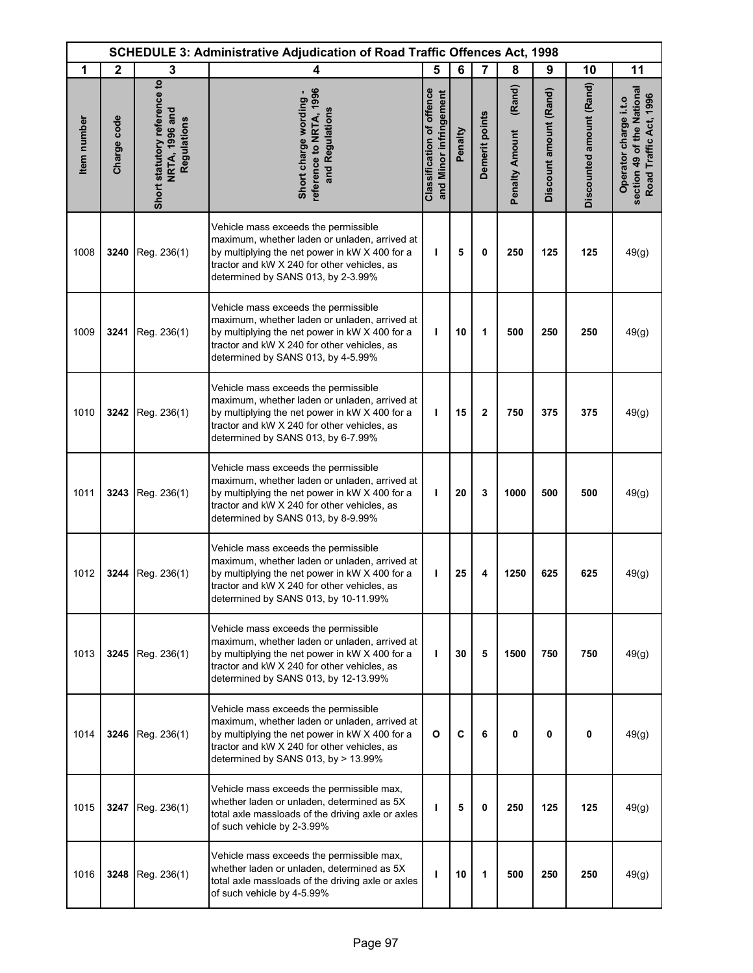| <b>SCHEDULE 3: Administrative Adjudication of Road Traffic Offences Act, 1998</b> |              |                                                               |                                                                                                                                                                                                                                |                                                            |         |                |                                 |                        |                          |                                                                               |
|-----------------------------------------------------------------------------------|--------------|---------------------------------------------------------------|--------------------------------------------------------------------------------------------------------------------------------------------------------------------------------------------------------------------------------|------------------------------------------------------------|---------|----------------|---------------------------------|------------------------|--------------------------|-------------------------------------------------------------------------------|
| 1                                                                                 | $\mathbf{2}$ | 3                                                             | 4                                                                                                                                                                                                                              | 5                                                          | 6       | $\overline{7}$ | 8                               | 9                      | 10                       | 11                                                                            |
| <b>Item</b> number                                                                | Charge code  | Short statutory reference to<br>NRTA, 1996 and<br>Regulations | reference to NRTA, 1996<br>Short charge wording -<br>and Regulations                                                                                                                                                           | <b>Classification of offence</b><br>and Minor infringement | Penalty | Demerit points | (Rand)<br><b>Penalty Amount</b> | Discount amount (Rand) | Discounted amount (Rand) | section 49 of the National<br>Road Traffic Act, 1996<br>Operator charge i.t.o |
| 1008                                                                              | 3240         | Reg. 236(1)                                                   | Vehicle mass exceeds the permissible<br>maximum, whether laden or unladen, arrived at<br>by multiplying the net power in kW X 400 for a<br>tractor and kW X 240 for other vehicles, as<br>determined by SANS 013, by 2-3.99%   | т                                                          | 5       | 0              | 250                             | 125                    | 125                      | 49(g)                                                                         |
| 1009                                                                              | 3241         | Reg. 236(1)                                                   | Vehicle mass exceeds the permissible<br>maximum, whether laden or unladen, arrived at<br>by multiplying the net power in kW X 400 for a<br>tractor and kW X 240 for other vehicles, as<br>determined by SANS 013, by 4-5.99%   | ı                                                          | 10      | 1              | 500                             | 250                    | 250                      | 49(g)                                                                         |
| 1010                                                                              | 3242         | Reg. 236(1)                                                   | Vehicle mass exceeds the permissible<br>maximum, whether laden or unladen, arrived at<br>by multiplying the net power in kW X 400 for a<br>tractor and kW X 240 for other vehicles, as<br>determined by SANS 013, by 6-7.99%   | т                                                          | 15      | $\mathbf 2$    | 750                             | 375                    | 375                      | 49(g)                                                                         |
| 1011                                                                              | 3243         | Reg. 236(1)                                                   | Vehicle mass exceeds the permissible<br>maximum, whether laden or unladen, arrived at<br>by multiplying the net power in kW X 400 for a<br>tractor and kW X 240 for other vehicles, as<br>determined by SANS 013, by 8-9.99%   | т                                                          | 20      | 3              | 1000                            | 500                    | 500                      | 49(g)                                                                         |
| 1012                                                                              | 3244         | Reg. 236(1)                                                   | Vehicle mass exceeds the permissible<br>maximum, whether laden or unladen, arrived at<br>by multiplying the net power in kW X 400 for a<br>tractor and kW X 240 for other vehicles, as<br>determined by SANS 013, by 10-11.99% | т                                                          | 25      | 4              | 1250                            | 625                    | 625                      | 49(g)                                                                         |
| 1013                                                                              |              | 3245   Reg. $236(1)$                                          | Vehicle mass exceeds the permissible<br>maximum, whether laden or unladen, arrived at<br>by multiplying the net power in kW X 400 for a<br>tractor and kW X 240 for other vehicles, as<br>determined by SANS 013, by 12-13.99% | L                                                          | 30      | 5              | 1500                            | 750                    | 750                      | 49(g)                                                                         |
| 1014                                                                              |              | 3246   Reg. $236(1)$                                          | Vehicle mass exceeds the permissible<br>maximum, whether laden or unladen, arrived at<br>by multiplying the net power in kW X 400 for a<br>tractor and kW X 240 for other vehicles, as<br>determined by SANS 013, by > 13.99%  | O                                                          | C       | 6              | 0                               | 0                      | 0                        | 49(g)                                                                         |
| 1015                                                                              | 3247         | Reg. 236(1)                                                   | Vehicle mass exceeds the permissible max,<br>whether laden or unladen, determined as 5X<br>total axle massloads of the driving axle or axles<br>of such vehicle by 2-3.99%                                                     | ı                                                          | 5       | 0              | 250                             | 125                    | 125                      | 49(g)                                                                         |
| 1016                                                                              |              | 3248   $Reg. 236(1)$                                          | Vehicle mass exceeds the permissible max,<br>whether laden or unladen, determined as 5X<br>total axle massloads of the driving axle or axles<br>of such vehicle by 4-5.99%                                                     | т                                                          | 10      | 1              | 500                             | 250                    | 250                      | 49(g)                                                                         |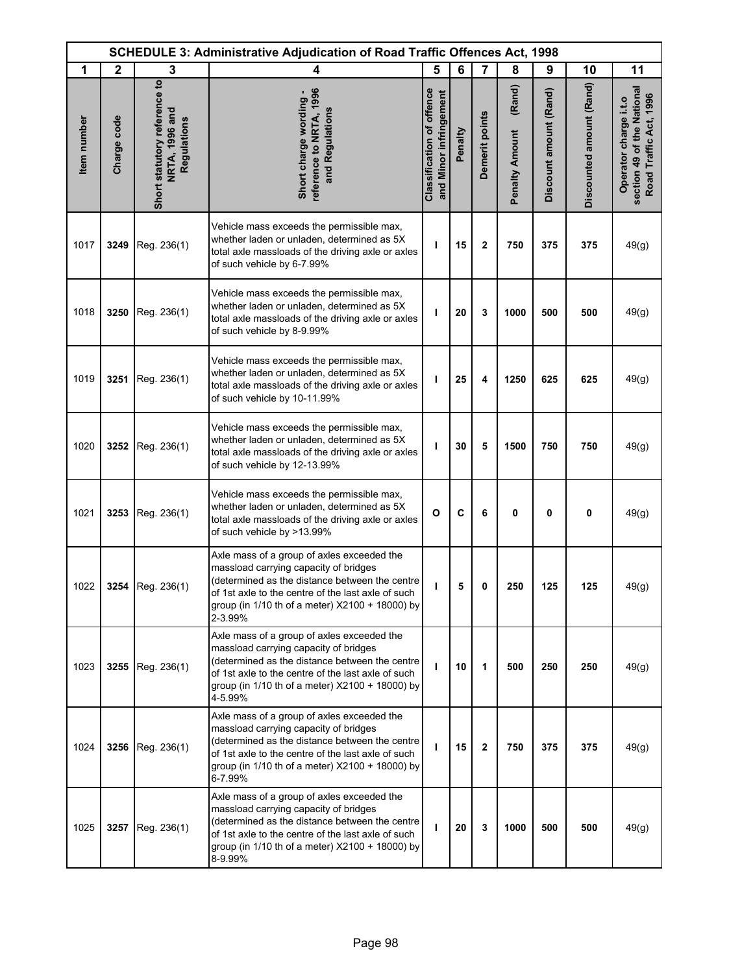| <b>SCHEDULE 3: Administrative Adjudication of Road Traffic Offences Act, 1998</b> |              |                                                               |                                                                                                                                                                                                                                                           |                                                            |         |                         |                                 |                        |                          |                                                                               |
|-----------------------------------------------------------------------------------|--------------|---------------------------------------------------------------|-----------------------------------------------------------------------------------------------------------------------------------------------------------------------------------------------------------------------------------------------------------|------------------------------------------------------------|---------|-------------------------|---------------------------------|------------------------|--------------------------|-------------------------------------------------------------------------------|
| 1                                                                                 | $\mathbf{2}$ | 3                                                             | 4                                                                                                                                                                                                                                                         | 5                                                          | 6       | $\overline{7}$          | 8                               | 9                      | 10                       | 11                                                                            |
| Item number                                                                       | Charge code  | Short statutory reference to<br>NRTA, 1996 and<br>Regulations | reference to NRTA, 1996<br>Short charge wording -<br>and Regulations                                                                                                                                                                                      | <b>Classification of offence</b><br>and Minor infringement | Penalty | Demerit points          | (Rand)<br><b>Penalty Amount</b> | Discount amount (Rand) | Discounted amount (Rand) | section 49 of the National<br>Road Traffic Act, 1996<br>Operator charge i.t.o |
| 1017                                                                              | 3249         | Reg. 236(1)                                                   | Vehicle mass exceeds the permissible max,<br>whether laden or unladen, determined as 5X<br>total axle massloads of the driving axle or axles<br>of such vehicle by 6-7.99%                                                                                | ı                                                          | 15      | $\overline{\mathbf{2}}$ | 750                             | 375                    | 375                      | 49(g)                                                                         |
| 1018                                                                              | 3250         | Reg. 236(1)                                                   | Vehicle mass exceeds the permissible max,<br>whether laden or unladen, determined as 5X<br>total axle massloads of the driving axle or axles<br>of such vehicle by 8-9.99%                                                                                | ı                                                          | 20      | 3                       | 1000                            | 500                    | 500                      | 49(g)                                                                         |
| 1019                                                                              | 3251         | Reg. 236(1)                                                   | Vehicle mass exceeds the permissible max,<br>whether laden or unladen, determined as 5X<br>total axle massloads of the driving axle or axles<br>of such vehicle by 10-11.99%                                                                              | т                                                          | 25      | 4                       | 1250                            | 625                    | 625                      | 49(g)                                                                         |
| 1020                                                                              | 3252         | Reg. 236(1)                                                   | Vehicle mass exceeds the permissible max,<br>whether laden or unladen, determined as 5X<br>total axle massloads of the driving axle or axles<br>of such vehicle by 12-13.99%                                                                              | ı                                                          | 30      | 5                       | 1500                            | 750                    | 750                      | 49(g)                                                                         |
| 1021                                                                              | 3253         | Reg. 236(1)                                                   | Vehicle mass exceeds the permissible max,<br>whether laden or unladen, determined as 5X<br>total axle massloads of the driving axle or axles<br>of such vehicle by >13.99%                                                                                | $\mathbf{o}$                                               | C       | 6                       | 0                               | $\mathbf 0$            | 0                        | 49(g)                                                                         |
| 1022                                                                              |              | 3254 Reg. 236(1)                                              | Axle mass of a group of axles exceeded the<br>massload carrying capacity of bridges<br>(determined as the distance between the centre<br>of 1st axle to the centre of the last axle of such<br>group (in 1/10 th of a meter) X2100 + 18000) by<br>2-3.99% | ı                                                          | 5       | 0                       | 250                             | 125                    | 125                      | 49(g)                                                                         |
| 1023                                                                              | 3255         | Reg. 236(1)                                                   | Axle mass of a group of axles exceeded the<br>massload carrying capacity of bridges<br>(determined as the distance between the centre<br>of 1st axle to the centre of the last axle of such<br>group (in 1/10 th of a meter) X2100 + 18000) by<br>4-5.99% | T                                                          | 10      | 1                       | 500                             | 250                    | 250                      | 49(g)                                                                         |
| 1024                                                                              | 3256         | Reg. 236(1)                                                   | Axle mass of a group of axles exceeded the<br>massload carrying capacity of bridges<br>(determined as the distance between the centre<br>of 1st axle to the centre of the last axle of such<br>group (in 1/10 th of a meter) X2100 + 18000) by<br>6-7.99% | T                                                          | 15      | $\mathbf{2}$            | 750                             | 375                    | 375                      | 49(g)                                                                         |
| 1025                                                                              |              | 3257 Reg. 236(1)                                              | Axle mass of a group of axles exceeded the<br>massload carrying capacity of bridges<br>(determined as the distance between the centre<br>of 1st axle to the centre of the last axle of such<br>group (in 1/10 th of a meter) X2100 + 18000) by<br>8-9.99% | т                                                          | 20      | 3                       | 1000                            | 500                    | 500                      | 49(g)                                                                         |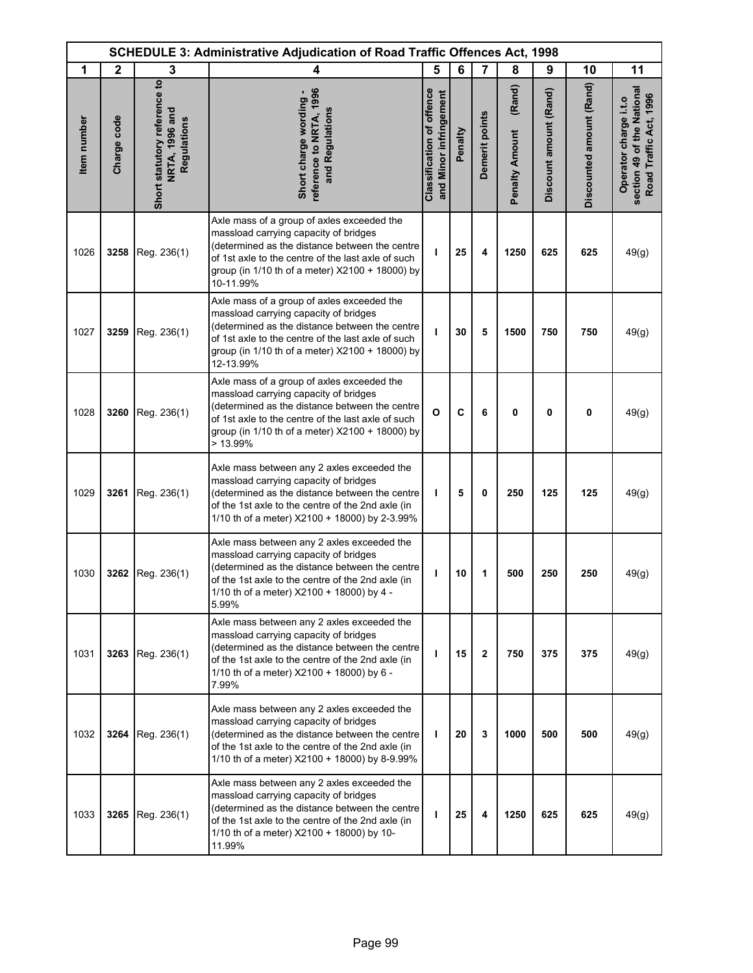| <b>SCHEDULE 3: Administrative Adjudication of Road Traffic Offences Act, 1998</b> |              |                                                               |                                                                                                                                                                                                                                                              |                                                            |         |                |                                 |                        |                          |                                                                               |
|-----------------------------------------------------------------------------------|--------------|---------------------------------------------------------------|--------------------------------------------------------------------------------------------------------------------------------------------------------------------------------------------------------------------------------------------------------------|------------------------------------------------------------|---------|----------------|---------------------------------|------------------------|--------------------------|-------------------------------------------------------------------------------|
| 1                                                                                 | $\mathbf{2}$ | 3                                                             | 4                                                                                                                                                                                                                                                            | 5                                                          | 6       | $\overline{7}$ | 8                               | 9                      | 10                       | 11                                                                            |
| Item number                                                                       | Charge code  | Short statutory reference to<br>NRTA, 1996 and<br>Regulations | reference to NRTA, 1996<br>Short charge wording -<br>and Regulations                                                                                                                                                                                         | <b>Classification of offence</b><br>and Minor infringement | Penalty | Demerit points | (Rand)<br><b>Penalty Amount</b> | Discount amount (Rand) | Discounted amount (Rand) | section 49 of the National<br>Road Traffic Act, 1996<br>Operator charge i.t.o |
| 1026                                                                              | 3258         | Reg. 236(1)                                                   | Axle mass of a group of axles exceeded the<br>massload carrying capacity of bridges<br>(determined as the distance between the centre<br>of 1st axle to the centre of the last axle of such<br>group (in 1/10 th of a meter) X2100 + 18000) by<br>10-11.99%  | ı                                                          | 25      | 4              | 1250                            | 625                    | 625                      | 49(g)                                                                         |
| 1027                                                                              | 3259         | Reg. 236(1)                                                   | Axle mass of a group of axles exceeded the<br>massload carrying capacity of bridges<br>(determined as the distance between the centre<br>of 1st axle to the centre of the last axle of such<br>group (in 1/10 th of a meter) X2100 + 18000) by<br>12-13.99%  | т                                                          | 30      | 5              | 1500                            | 750                    | 750                      | 49(g)                                                                         |
| 1028                                                                              | 3260         | Reg. 236(1)                                                   | Axle mass of a group of axles exceeded the<br>massload carrying capacity of bridges<br>(determined as the distance between the centre<br>of 1st axle to the centre of the last axle of such<br>group (in 1/10 th of a meter) X2100 + 18000) by<br>$>13.99\%$ | $\mathbf{o}$                                               | C       | 6              | 0                               | 0                      | $\mathbf 0$              | 49(g)                                                                         |
| 1029                                                                              | 3261         | Reg. 236(1)                                                   | Axle mass between any 2 axles exceeded the<br>massload carrying capacity of bridges<br>(determined as the distance between the centre<br>of the 1st axle to the centre of the 2nd axle (in<br>1/10 th of a meter) X2100 + 18000) by 2-3.99%                  | т                                                          | 5       | 0              | 250                             | 125                    | 125                      | 49(g)                                                                         |
| 1030                                                                              | 3262         | Reg. 236(1)                                                   | Axle mass between any 2 axles exceeded the<br>massload carrying capacity of bridges<br>(determined as the distance between the centre<br>of the 1st axle to the centre of the 2nd axle (in<br>1/10 th of a meter) X2100 + 18000) by 4 -<br>5.99%             | I.                                                         | 10      | 1              | 500                             | 250                    | 250                      | 49(g)                                                                         |
| 1031                                                                              | 3263         | Reg. 236(1)                                                   | Axle mass between any 2 axles exceeded the<br>massload carrying capacity of bridges<br>(determined as the distance between the centre<br>of the 1st axle to the centre of the 2nd axle (in<br>1/10 th of a meter) X2100 + 18000) by 6 -<br>7.99%             | $\mathbf{I}$                                               | 15      | $\mathbf{2}$   | 750                             | 375                    | 375                      | 49(g)                                                                         |
| 1032                                                                              | 3264         | Reg. 236(1)                                                   | Axle mass between any 2 axles exceeded the<br>massload carrying capacity of bridges<br>(determined as the distance between the centre<br>of the 1st axle to the centre of the 2nd axle (in<br>1/10 th of a meter) X2100 + 18000) by 8-9.99%                  | т                                                          | 20      | 3              | 1000                            | 500                    | 500                      | 49(g)                                                                         |
| 1033                                                                              | 3265         | Reg. 236(1)                                                   | Axle mass between any 2 axles exceeded the<br>massload carrying capacity of bridges<br>(determined as the distance between the centre<br>of the 1st axle to the centre of the 2nd axle (in<br>1/10 th of a meter) X2100 + 18000) by 10-<br>11.99%            | T                                                          | 25      | 4              | 1250                            | 625                    | 625                      | 49(g)                                                                         |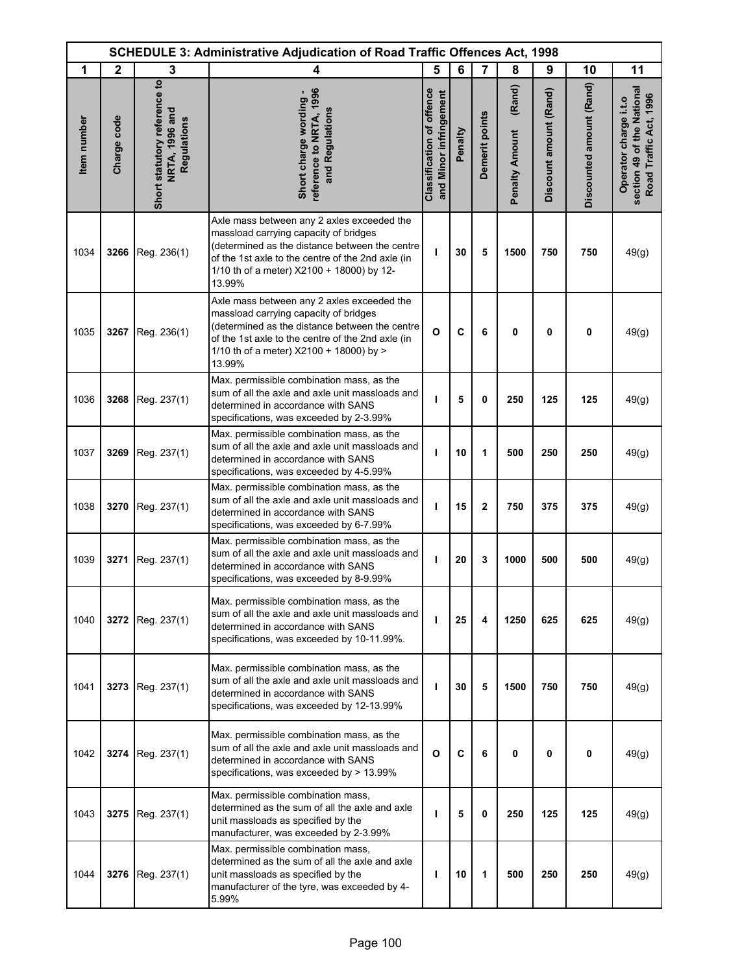| <b>SCHEDULE 3: Administrative Adjudication of Road Traffic Offences Act, 1998</b> |              |                                                               |                                                                                                                                                                                                                                                   |                                                            |         |                |                                 |                        |                          |                                                                               |
|-----------------------------------------------------------------------------------|--------------|---------------------------------------------------------------|---------------------------------------------------------------------------------------------------------------------------------------------------------------------------------------------------------------------------------------------------|------------------------------------------------------------|---------|----------------|---------------------------------|------------------------|--------------------------|-------------------------------------------------------------------------------|
| 1                                                                                 | $\mathbf{2}$ | 3                                                             | 4                                                                                                                                                                                                                                                 | 5                                                          | 6       | $\overline{7}$ | 8                               | 9                      | 10                       | 11                                                                            |
| Item number                                                                       | Charge code  | Short statutory reference to<br>NRTA, 1996 and<br>Regulations | reference to NRTA, 1996<br>Short charge wording -<br>and Regulations                                                                                                                                                                              | <b>Classification of offence</b><br>and Minor infringement | Penalty | Demerit points | (Rand)<br><b>Penalty Amount</b> | Discount amount (Rand) | Discounted amount (Rand) | section 49 of the National<br>Road Traffic Act, 1996<br>Operator charge i.t.o |
| 1034                                                                              | 3266         | Reg. 236(1)                                                   | Axle mass between any 2 axles exceeded the<br>massload carrying capacity of bridges<br>(determined as the distance between the centre<br>of the 1st axle to the centre of the 2nd axle (in<br>1/10 th of a meter) X2100 + 18000) by 12-<br>13.99% | т                                                          | 30      | 5              | 1500                            | 750                    | 750                      | 49(g)                                                                         |
| 1035                                                                              | 3267         | Reg. 236(1)                                                   | Axle mass between any 2 axles exceeded the<br>massload carrying capacity of bridges<br>(determined as the distance between the centre<br>of the 1st axle to the centre of the 2nd axle (in<br>1/10 th of a meter) X2100 + 18000) by ><br>13.99%   | $\mathbf{o}$                                               | C       | 6              | 0                               | 0                      | 0                        | 49(g)                                                                         |
| 1036                                                                              | 3268         | Reg. 237(1)                                                   | Max. permissible combination mass, as the<br>sum of all the axle and axle unit massloads and<br>determined in accordance with SANS<br>specifications, was exceeded by 2-3.99%                                                                     | ı                                                          | 5       | $\mathbf{0}$   | 250                             | 125                    | 125                      | 49(g)                                                                         |
| 1037                                                                              | 3269         | Reg. 237(1)                                                   | Max. permissible combination mass, as the<br>sum of all the axle and axle unit massloads and<br>determined in accordance with SANS<br>specifications, was exceeded by 4-5.99%                                                                     | т                                                          | 10      | 1              | 500                             | 250                    | 250                      | 49(g)                                                                         |
| 1038                                                                              | 3270         | Reg. 237(1)                                                   | Max. permissible combination mass, as the<br>sum of all the axle and axle unit massloads and<br>determined in accordance with SANS<br>specifications, was exceeded by 6-7.99%                                                                     | т                                                          | 15      | $\overline{2}$ | 750                             | 375                    | 375                      | 49(g)                                                                         |
| 1039                                                                              | 3271         | Reg. 237(1)                                                   | Max. permissible combination mass, as the<br>sum of all the axle and axle unit massloads and<br>determined in accordance with SANS<br>specifications, was exceeded by 8-9.99%                                                                     | т                                                          | 20      | 3              | 1000                            | 500                    | 500                      | 49(g)                                                                         |
| 1040                                                                              | 3272         | Reg. 237(1)                                                   | Max. permissible combination mass, as the<br>sum of all the axle and axle unit massloads and<br>determined in accordance with SANS<br>specifications, was exceeded by 10-11.99%.                                                                  | $\mathbf{I}$                                               | 25      | 4              | 1250                            | 625                    | 625                      | 49(g)                                                                         |
| 1041                                                                              | 3273         | Reg. 237(1)                                                   | Max. permissible combination mass, as the<br>sum of all the axle and axle unit massloads and<br>determined in accordance with SANS<br>specifications, was exceeded by 12-13.99%                                                                   | т                                                          | 30      | 5              | 1500                            | 750                    | 750                      | 49(g)                                                                         |
| 1042                                                                              | 3274         | Reg. 237(1)                                                   | Max. permissible combination mass, as the<br>sum of all the axle and axle unit massloads and<br>determined in accordance with SANS<br>specifications, was exceeded by > 13.99%                                                                    | $\mathbf{o}$                                               | C       | 6              | 0                               | $\mathbf 0$            | $\mathbf 0$              | 49(g)                                                                         |
| 1043                                                                              | 3275         | Reg. 237(1)                                                   | Max. permissible combination mass,<br>determined as the sum of all the axle and axle<br>unit massloads as specified by the<br>manufacturer, was exceeded by 2-3.99%                                                                               | $\mathbf{I}$                                               | 5       | 0              | 250                             | 125                    | 125                      | 49(g)                                                                         |
| 1044                                                                              | 3276         | Reg. 237(1)                                                   | Max. permissible combination mass,<br>determined as the sum of all the axle and axle<br>unit massloads as specified by the<br>manufacturer of the tyre, was exceeded by 4-<br>5.99%                                                               | т                                                          | 10      | 1              | 500                             | 250                    | 250                      | 49(g)                                                                         |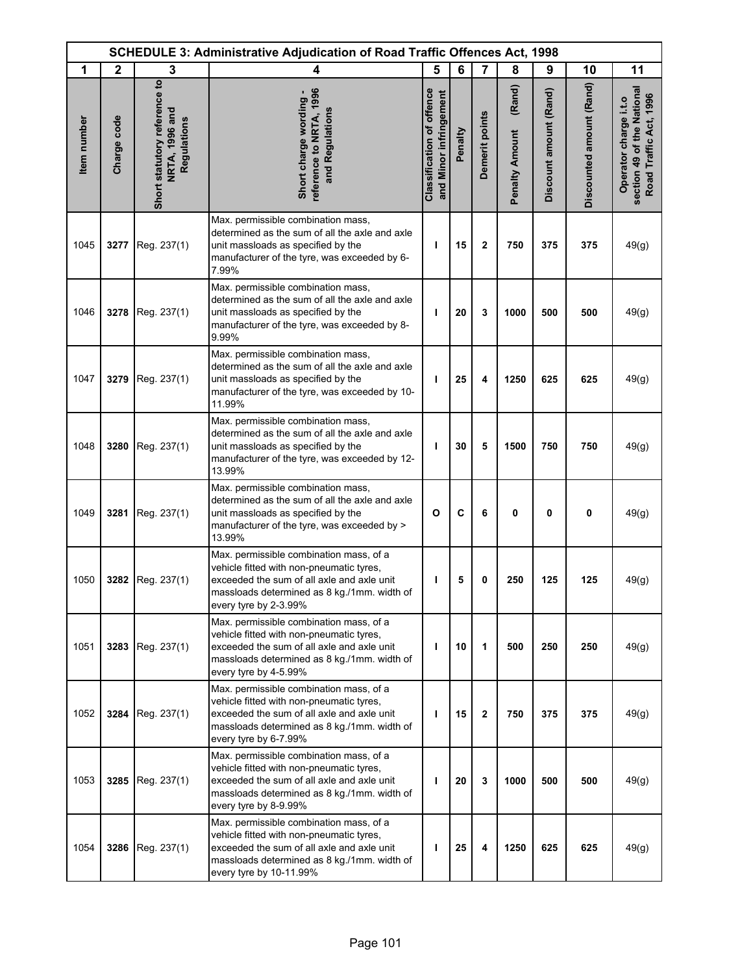|             | <b>SCHEDULE 3: Administrative Adjudication of Road Traffic Offences Act, 1998</b> |                                                               |                                                                                                                                                                                                             |                                                            |         |                |                                 |                        |                          |                                                                               |
|-------------|-----------------------------------------------------------------------------------|---------------------------------------------------------------|-------------------------------------------------------------------------------------------------------------------------------------------------------------------------------------------------------------|------------------------------------------------------------|---------|----------------|---------------------------------|------------------------|--------------------------|-------------------------------------------------------------------------------|
| 1           | $\mathbf{2}$                                                                      | 3                                                             | 4                                                                                                                                                                                                           | 5                                                          | 6       | $\overline{7}$ | 8                               | 9                      | 10                       | 11                                                                            |
| Item number | Charge code                                                                       | Short statutory reference to<br>NRTA, 1996 and<br>Regulations | reference to NRTA, 1996<br>Short charge wording -<br>and Regulations                                                                                                                                        | <b>Classification of offence</b><br>and Minor infringement | Penalty | Demerit points | (Rand)<br><b>Penalty Amount</b> | Discount amount (Rand) | Discounted amount (Rand) | section 49 of the National<br>Road Traffic Act, 1996<br>Operator charge i.t.o |
| 1045        | 3277                                                                              | Reg. 237(1)                                                   | Max. permissible combination mass,<br>determined as the sum of all the axle and axle<br>unit massloads as specified by the<br>manufacturer of the tyre, was exceeded by 6-<br>7.99%                         | т                                                          | 15      | $\mathbf{2}$   | 750                             | 375                    | 375                      | 49(g)                                                                         |
| 1046        | 3278                                                                              | Reg. 237(1)                                                   | Max. permissible combination mass,<br>determined as the sum of all the axle and axle<br>unit massloads as specified by the<br>manufacturer of the tyre, was exceeded by 8-<br>9.99%                         | т                                                          | 20      | 3              | 1000                            | 500                    | 500                      | 49(g)                                                                         |
| 1047        | 3279                                                                              | Reg. 237(1)                                                   | Max. permissible combination mass,<br>determined as the sum of all the axle and axle<br>unit massloads as specified by the<br>manufacturer of the tyre, was exceeded by 10-<br>11.99%                       | т                                                          | 25      | 4              | 1250                            | 625                    | 625                      | 49(g)                                                                         |
| 1048        | 3280                                                                              | Reg. 237(1)                                                   | Max. permissible combination mass,<br>determined as the sum of all the axle and axle<br>unit massloads as specified by the<br>manufacturer of the tyre, was exceeded by 12-<br>13.99%                       | ı                                                          | 30      | 5              | 1500                            | 750                    | 750                      | 49(g)                                                                         |
| 1049        | 3281                                                                              | Reg. 237(1)                                                   | Max. permissible combination mass,<br>determined as the sum of all the axle and axle<br>unit massloads as specified by the<br>manufacturer of the tyre, was exceeded by ><br>13.99%                         | $\mathbf{o}$                                               | C       | 6              | 0                               | $\mathbf 0$            | 0                        | 49(g)                                                                         |
| 1050        | 3282                                                                              | Reg. 237(1)                                                   | Max. permissible combination mass, of a<br>vehicle fitted with non-pneumatic tyres,<br>exceeded the sum of all axle and axle unit<br>massloads determined as 8 kg./1mm. width of<br>every tyre by 2-3.99%   | ı                                                          | 5       | 0              | 250                             | 125                    | 125                      | 49(g)                                                                         |
| 1051        | 3283                                                                              | Reg. 237(1)                                                   | Max. permissible combination mass, of a<br>vehicle fitted with non-pneumatic tyres,<br>exceeded the sum of all axle and axle unit<br>massloads determined as 8 kg./1mm. width of<br>every tyre by 4-5.99%   | ı                                                          | 10      | 1              | 500                             | 250                    | 250                      | 49(g)                                                                         |
| 1052        | 3284                                                                              | Reg. 237(1)                                                   | Max. permissible combination mass, of a<br>vehicle fitted with non-pneumatic tyres,<br>exceeded the sum of all axle and axle unit<br>massloads determined as 8 kg./1mm. width of<br>every tyre by 6-7.99%   | т                                                          | 15      | $\mathbf 2$    | 750                             | 375                    | 375                      | 49(g)                                                                         |
| 1053        | 3285                                                                              | Reg. 237(1)                                                   | Max. permissible combination mass, of a<br>vehicle fitted with non-pneumatic tyres,<br>exceeded the sum of all axle and axle unit<br>massloads determined as 8 kg./1mm. width of<br>every tyre by 8-9.99%   | ı                                                          | 20      | 3              | 1000                            | 500                    | 500                      | 49(g)                                                                         |
| 1054        | 3286                                                                              | Reg. 237(1)                                                   | Max. permissible combination mass, of a<br>vehicle fitted with non-pneumatic tyres,<br>exceeded the sum of all axle and axle unit<br>massloads determined as 8 kg./1mm. width of<br>every tyre by 10-11.99% | т                                                          | 25      | 4              | 1250                            | 625                    | 625                      | 49(g)                                                                         |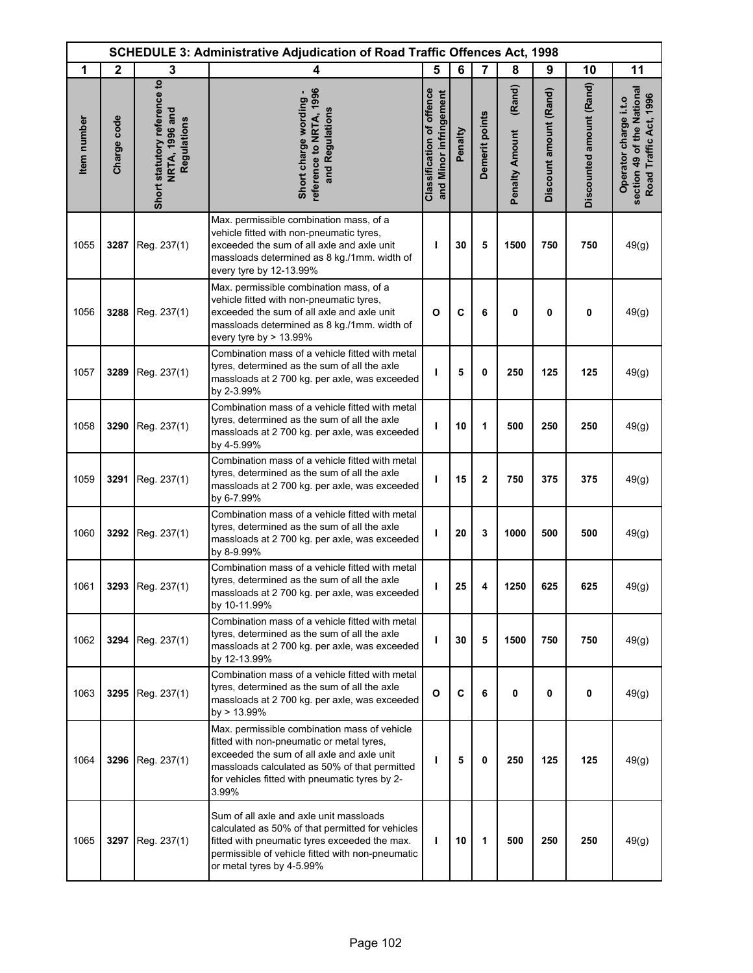| <b>SCHEDULE 3: Administrative Adjudication of Road Traffic Offences Act, 1998</b> |              |                                                               |                                                                                                                                                                                                                                                     |                                                            |         |                |                                 |                        |                          |                                                                               |
|-----------------------------------------------------------------------------------|--------------|---------------------------------------------------------------|-----------------------------------------------------------------------------------------------------------------------------------------------------------------------------------------------------------------------------------------------------|------------------------------------------------------------|---------|----------------|---------------------------------|------------------------|--------------------------|-------------------------------------------------------------------------------|
| 1                                                                                 | $\mathbf{2}$ | 3                                                             | 4                                                                                                                                                                                                                                                   | 5                                                          | 6       | 7              | 8                               | 9                      | 10                       | 11                                                                            |
| Item number                                                                       | Charge code  | Short statutory reference to<br>NRTA, 1996 and<br>Regulations | reference to NRTA, 1996<br>Short charge wording -<br>and Regulations                                                                                                                                                                                | <b>Classification of offence</b><br>and Minor infringement | Penalty | Demerit points | (Rand)<br><b>Penalty Amount</b> | Discount amount (Rand) | Discounted amount (Rand) | section 49 of the National<br>Road Traffic Act, 1996<br>Operator charge i.t.o |
| 1055                                                                              | 3287         | Reg. 237(1)                                                   | Max. permissible combination mass, of a<br>vehicle fitted with non-pneumatic tyres,<br>exceeded the sum of all axle and axle unit<br>massloads determined as 8 kg./1mm. width of<br>every tyre by 12-13.99%                                         | T                                                          | 30      | 5              | 1500                            | 750                    | 750                      | 49(g)                                                                         |
| 1056                                                                              | 3288         | Reg. 237(1)                                                   | Max. permissible combination mass, of a<br>vehicle fitted with non-pneumatic tyres,<br>exceeded the sum of all axle and axle unit<br>massloads determined as 8 kg./1mm. width of<br>every tyre by $> 13.99\%$                                       | $\mathbf{o}$                                               | C       | 6              | 0                               | 0                      | 0                        | 49(g)                                                                         |
| 1057                                                                              | 3289         | Reg. 237(1)                                                   | Combination mass of a vehicle fitted with metal<br>tyres, determined as the sum of all the axle<br>massloads at 2 700 kg. per axle, was exceeded<br>by 2-3.99%                                                                                      | T                                                          | 5       | 0              | 250                             | 125                    | 125                      | 49(g)                                                                         |
| 1058                                                                              | 3290         | Reg. 237(1)                                                   | Combination mass of a vehicle fitted with metal<br>tyres, determined as the sum of all the axle<br>massloads at 2 700 kg. per axle, was exceeded<br>by 4-5.99%                                                                                      | T                                                          | 10      | 1              | 500                             | 250                    | 250                      | 49(g)                                                                         |
| 1059                                                                              | 3291         | Reg. 237(1)                                                   | Combination mass of a vehicle fitted with metal<br>tyres, determined as the sum of all the axle<br>massloads at 2 700 kg. per axle, was exceeded<br>by 6-7.99%                                                                                      | т                                                          | 15      | $\mathbf{2}$   | 750                             | 375                    | 375                      | 49(g)                                                                         |
| 1060                                                                              |              | 3292 Reg. 237(1)                                              | Combination mass of a vehicle fitted with metal<br>tyres, determined as the sum of all the axle<br>massloads at 2 700 kg. per axle, was exceeded<br>by 8-9.99%                                                                                      | T                                                          | 20      | 3              | 1000                            | 500                    | 500                      | 49(g)                                                                         |
| 1061                                                                              |              | 3293 Reg. 237(1)                                              | Combination mass of a vehicle fitted with metal<br>tyres, determined as the sum of all the axle<br>massloads at 2 700 kg. per axle, was exceeded<br>by 10-11.99%                                                                                    | T                                                          | 25      | 4              | 1250                            | 625                    | 625                      | 49(g)                                                                         |
| 1062                                                                              | 3294         | Reg. 237(1)                                                   | Combination mass of a vehicle fitted with metal<br>tyres, determined as the sum of all the axle<br>massloads at 2 700 kg. per axle, was exceeded<br>by 12-13.99%                                                                                    | T                                                          | 30      | 5              | 1500                            | 750                    | 750                      | 49(g)                                                                         |
| 1063                                                                              | 3295         | Reg. 237(1)                                                   | Combination mass of a vehicle fitted with metal<br>tyres, determined as the sum of all the axle<br>massloads at 2 700 kg. per axle, was exceeded<br>by > 13.99%                                                                                     | $\mathbf{o}$                                               | C       | 6              | 0                               | 0                      | 0                        | 49(g)                                                                         |
| 1064                                                                              | 3296         | Reg. 237(1)                                                   | Max. permissible combination mass of vehicle<br>fitted with non-pneumatic or metal tyres,<br>exceeded the sum of all axle and axle unit<br>massloads calculated as 50% of that permitted<br>for vehicles fitted with pneumatic tyres by 2-<br>3.99% | T                                                          | 5       | 0              | 250                             | 125                    | 125                      | 49(g)                                                                         |
| 1065                                                                              | 3297         | Reg. 237(1)                                                   | Sum of all axle and axle unit massloads<br>calculated as 50% of that permitted for vehicles<br>fitted with pneumatic tyres exceeded the max.<br>permissible of vehicle fitted with non-pneumatic<br>or metal tyres by 4-5.99%                       | T                                                          | 10      | 1              | 500                             | 250                    | 250                      | 49(g)                                                                         |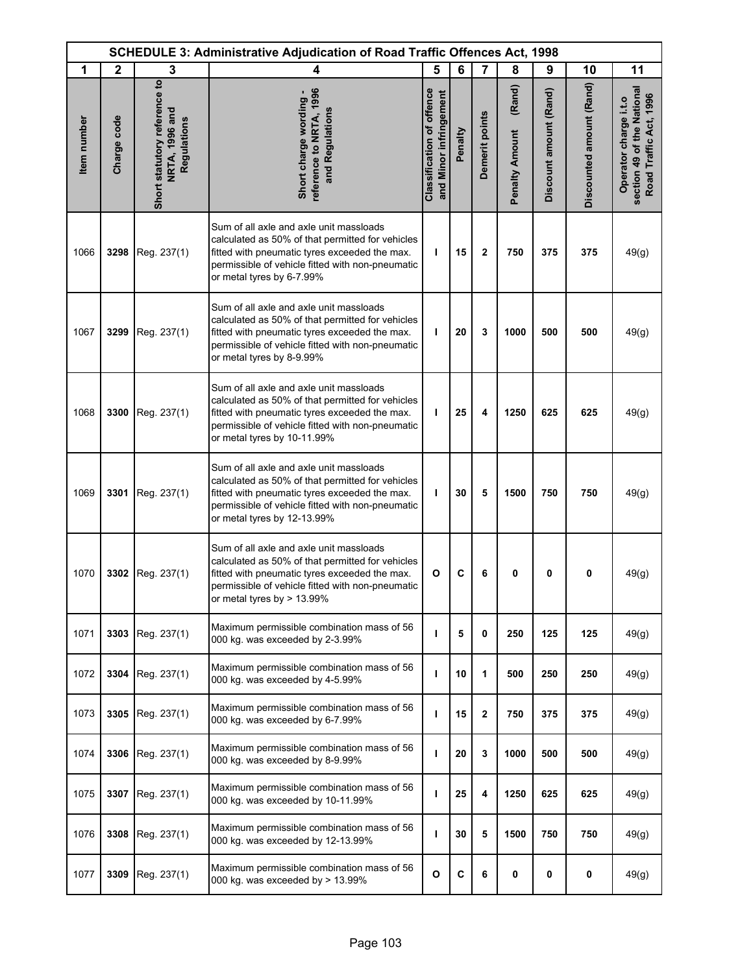| <b>SCHEDULE 3: Administrative Adjudication of Road Traffic Offences Act, 1998</b> |              |                                                               |                                                                                                                                                                                                                                   |                                                            |         |                |                                 |                        |                          |                                                                               |
|-----------------------------------------------------------------------------------|--------------|---------------------------------------------------------------|-----------------------------------------------------------------------------------------------------------------------------------------------------------------------------------------------------------------------------------|------------------------------------------------------------|---------|----------------|---------------------------------|------------------------|--------------------------|-------------------------------------------------------------------------------|
| 1                                                                                 | $\mathbf{2}$ | 3                                                             | 4                                                                                                                                                                                                                                 | 5                                                          | 6       | 7              | 8                               | 9                      | 10                       | 11                                                                            |
| <b>Item</b> number                                                                | Charge code  | Short statutory reference to<br>NRTA, 1996 and<br>Regulations | reference to NRTA, 1996<br>Short charge wording -<br>and Regulations                                                                                                                                                              | <b>Classification of offence</b><br>and Minor infringement | Penalty | Demerit points | (Rand)<br><b>Penalty Amount</b> | Discount amount (Rand) | Discounted amount (Rand) | section 49 of the National<br>Road Traffic Act, 1996<br>Operator charge i.t.o |
| 1066                                                                              | 3298         | Reg. 237(1)                                                   | Sum of all axle and axle unit massloads<br>calculated as 50% of that permitted for vehicles<br>fitted with pneumatic tyres exceeded the max.<br>permissible of vehicle fitted with non-pneumatic<br>or metal tyres by 6-7.99%     | т                                                          | 15      | $\overline{2}$ | 750                             | 375                    | 375                      | 49(g)                                                                         |
| 1067                                                                              | 3299         | Reg. 237(1)                                                   | Sum of all axle and axle unit massloads<br>calculated as 50% of that permitted for vehicles<br>fitted with pneumatic tyres exceeded the max.<br>permissible of vehicle fitted with non-pneumatic<br>or metal tyres by 8-9.99%     | т                                                          | 20      | 3              | 1000                            | 500                    | 500                      | 49(g)                                                                         |
| 1068                                                                              | 3300         | Reg. 237(1)                                                   | Sum of all axle and axle unit massloads<br>calculated as 50% of that permitted for vehicles<br>fitted with pneumatic tyres exceeded the max.<br>permissible of vehicle fitted with non-pneumatic<br>or metal tyres by 10-11.99%   | т                                                          | 25      | 4              | 1250                            | 625                    | 625                      | 49(g)                                                                         |
| 1069                                                                              | 3301         | Reg. 237(1)                                                   | Sum of all axle and axle unit massloads<br>calculated as 50% of that permitted for vehicles<br>fitted with pneumatic tyres exceeded the max.<br>permissible of vehicle fitted with non-pneumatic<br>or metal tyres by 12-13.99%   | т                                                          | 30      | 5              | 1500                            | 750                    | 750                      | 49(g)                                                                         |
| 1070                                                                              |              | 3302 Reg. 237(1)                                              | Sum of all axle and axle unit massloads<br>calculated as 50% of that permitted for vehicles<br>fitted with pneumatic tyres exceeded the max.<br>permissible of vehicle fitted with non-pneumatic<br>or metal tyres by $> 13.99\%$ | O                                                          | C       | 6              | 0                               | 0                      | 0                        | 49(g)                                                                         |
| 1071                                                                              | 3303         | Reg. 237(1)                                                   | Maximum permissible combination mass of 56<br>000 kg. was exceeded by 2-3.99%                                                                                                                                                     | т                                                          | 5       | 0              | 250                             | 125                    | 125                      | 49(g)                                                                         |
| 1072                                                                              | 3304         | Reg. 237(1)                                                   | Maximum permissible combination mass of 56<br>000 kg. was exceeded by 4-5.99%                                                                                                                                                     | т                                                          | 10      | 1              | 500                             | 250                    | 250                      | 49(g)                                                                         |
| 1073                                                                              | 3305         | Reg. 237(1)                                                   | Maximum permissible combination mass of 56<br>000 kg. was exceeded by 6-7.99%                                                                                                                                                     | т                                                          | 15      | 2              | 750                             | 375                    | 375                      | 49(g)                                                                         |
| 1074                                                                              | 3306         | Reg. 237(1)                                                   | Maximum permissible combination mass of 56<br>000 kg. was exceeded by 8-9.99%                                                                                                                                                     | т                                                          | 20      | 3              | 1000                            | 500                    | 500                      | 49(g)                                                                         |
| 1075                                                                              | 3307         | Reg. 237(1)                                                   | Maximum permissible combination mass of 56<br>000 kg. was exceeded by 10-11.99%                                                                                                                                                   | т                                                          | 25      | 4              | 1250                            | 625                    | 625                      | 49(g)                                                                         |
| 1076                                                                              | 3308         | Reg. 237(1)                                                   | Maximum permissible combination mass of 56<br>000 kg. was exceeded by 12-13.99%                                                                                                                                                   | ı                                                          | 30      | 5              | 1500                            | 750                    | 750                      | 49(g)                                                                         |
| 1077                                                                              | 3309         | Reg. 237(1)                                                   | Maximum permissible combination mass of 56<br>000 kg. was exceeded by $> 13.99\%$                                                                                                                                                 | $\mathbf{o}$                                               | C       | 6              | 0                               | 0                      | $\pmb{0}$                | 49(g)                                                                         |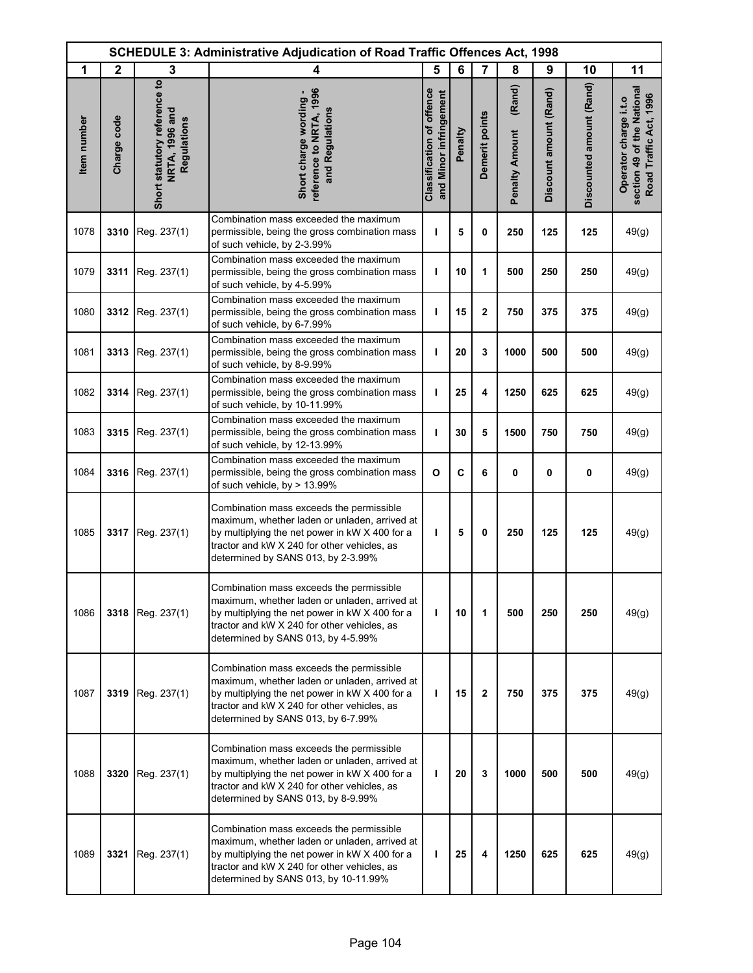| <b>SCHEDULE 3: Administrative Adjudication of Road Traffic Offences Act, 1998</b> |              |                                                               |                                                                                                                                                                                                                                    |                                                            |         |                |                                 |                        |                          |                                                                               |
|-----------------------------------------------------------------------------------|--------------|---------------------------------------------------------------|------------------------------------------------------------------------------------------------------------------------------------------------------------------------------------------------------------------------------------|------------------------------------------------------------|---------|----------------|---------------------------------|------------------------|--------------------------|-------------------------------------------------------------------------------|
| 1                                                                                 | $\mathbf{2}$ | 3                                                             | 4                                                                                                                                                                                                                                  | 5                                                          | 6       | $\overline{7}$ | 8                               | 9                      | 10                       | 11                                                                            |
| Item number                                                                       | Charge code  | Short statutory reference to<br>NRTA, 1996 and<br>Regulations | reference to NRTA, 1996<br>Short charge wording -<br>and Regulations                                                                                                                                                               | <b>Classification of offence</b><br>and Minor infringement | Penalty | Demerit points | (Rand)<br><b>Penalty Amount</b> | Discount amount (Rand) | Discounted amount (Rand) | section 49 of the National<br>Road Traffic Act, 1996<br>Operator charge i.t.o |
| 1078                                                                              | 3310         | Reg. 237(1)                                                   | Combination mass exceeded the maximum<br>permissible, being the gross combination mass<br>of such vehicle, by 2-3.99%                                                                                                              | T                                                          | 5       | 0              | 250                             | 125                    | 125                      | 49(g)                                                                         |
| 1079                                                                              | 3311         | Reg. 237(1)                                                   | Combination mass exceeded the maximum<br>permissible, being the gross combination mass<br>of such vehicle, by 4-5.99%                                                                                                              | T                                                          | 10      | 1              | 500                             | 250                    | 250                      | 49(g)                                                                         |
| 1080                                                                              | 3312         | Reg. 237(1)                                                   | Combination mass exceeded the maximum<br>permissible, being the gross combination mass<br>of such vehicle, by 6-7.99%                                                                                                              | T                                                          | 15      | $\mathbf 2$    | 750                             | 375                    | 375                      | 49(g)                                                                         |
| 1081                                                                              | 3313         | Reg. 237(1)                                                   | Combination mass exceeded the maximum<br>permissible, being the gross combination mass<br>of such vehicle, by 8-9.99%                                                                                                              | ı                                                          | 20      | 3              | 1000                            | 500                    | 500                      | 49(g)                                                                         |
| 1082                                                                              | 3314         | Reg. 237(1)                                                   | Combination mass exceeded the maximum<br>permissible, being the gross combination mass<br>of such vehicle, by 10-11.99%                                                                                                            | ı                                                          | 25      | 4              | 1250                            | 625                    | 625                      | 49(g)                                                                         |
| 1083                                                                              | 3315         | Reg. 237(1)                                                   | Combination mass exceeded the maximum<br>permissible, being the gross combination mass<br>of such vehicle, by 12-13.99%                                                                                                            | т                                                          | 30      | 5              | 1500                            | 750                    | 750                      | 49(g)                                                                         |
| 1084                                                                              | 3316         | Reg. 237(1)                                                   | Combination mass exceeded the maximum<br>permissible, being the gross combination mass<br>of such vehicle, by > 13.99%                                                                                                             | $\mathbf{o}$                                               | C       | 6              | 0                               | $\mathbf 0$            | 0                        | 49(g)                                                                         |
| 1085                                                                              | 3317         | Reg. 237(1)                                                   | Combination mass exceeds the permissible<br>maximum, whether laden or unladen, arrived at<br>by multiplying the net power in kW X 400 for a<br>tractor and kW X 240 for other vehicles, as<br>determined by SANS 013, by 2-3.99%   | T                                                          | 5       | 0              | 250                             | 125                    | 125                      | 49(g)                                                                         |
| 1086                                                                              | 3318         | Reg. 237(1)                                                   | Combination mass exceeds the permissible<br>maximum, whether laden or unladen, arrived at<br>by multiplying the net power in kW X 400 for a<br>tractor and kW X 240 for other vehicles, as<br>determined by SANS 013, by 4-5.99%   | $\mathbf{I}$                                               | 10      | 1              | 500                             | 250                    | 250                      | 49(g)                                                                         |
| 1087                                                                              | 3319         | Reg. 237(1)                                                   | Combination mass exceeds the permissible<br>maximum, whether laden or unladen, arrived at<br>by multiplying the net power in kW X 400 for a<br>tractor and kW X 240 for other vehicles, as<br>determined by SANS 013, by 6-7.99%   | т                                                          | 15      | $\mathbf 2$    | 750                             | 375                    | 375                      | 49(g)                                                                         |
| 1088                                                                              | 3320         | Reg. 237(1)                                                   | Combination mass exceeds the permissible<br>maximum, whether laden or unladen, arrived at<br>by multiplying the net power in kW X 400 for a<br>tractor and kW X 240 for other vehicles, as<br>determined by SANS 013, by 8-9.99%   | T                                                          | 20      | 3              | 1000                            | 500                    | 500                      | 49(g)                                                                         |
| 1089                                                                              | 3321         | Reg. 237(1)                                                   | Combination mass exceeds the permissible<br>maximum, whether laden or unladen, arrived at<br>by multiplying the net power in kW X 400 for a<br>tractor and kW X 240 for other vehicles, as<br>determined by SANS 013, by 10-11.99% | T                                                          | 25      | 4              | 1250                            | 625                    | 625                      | 49(g)                                                                         |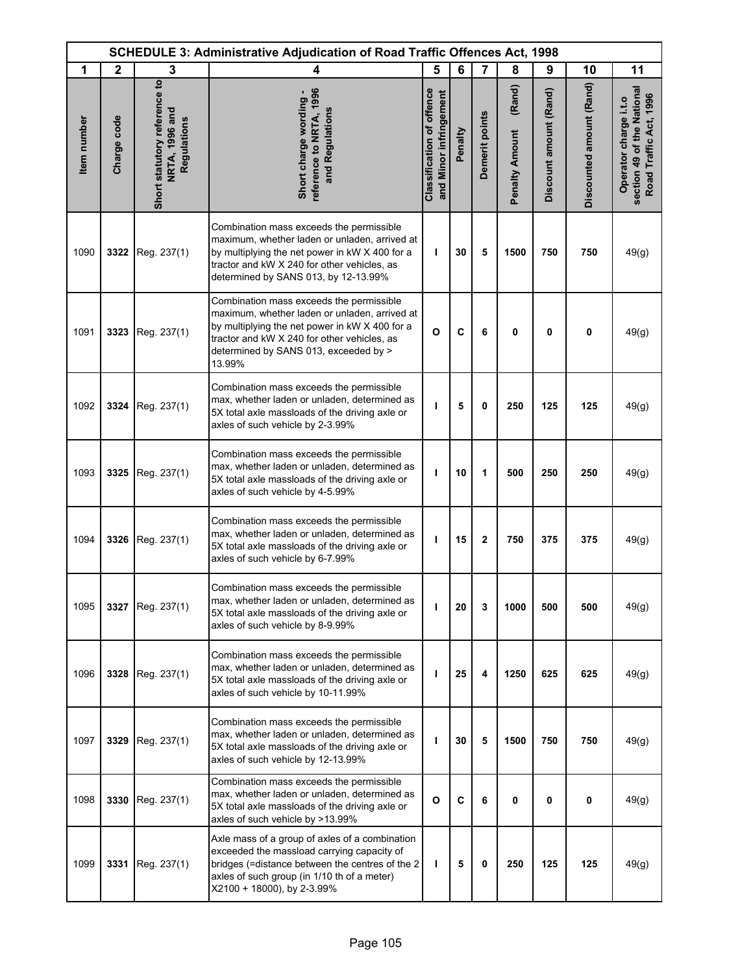| <b>SCHEDULE 3: Administrative Adjudication of Road Traffic Offences Act, 1998</b> |              |                                                               |                                                                                                                                                                                                                                               |                                                            |         |                |                                 |                        |                          |                                                                               |
|-----------------------------------------------------------------------------------|--------------|---------------------------------------------------------------|-----------------------------------------------------------------------------------------------------------------------------------------------------------------------------------------------------------------------------------------------|------------------------------------------------------------|---------|----------------|---------------------------------|------------------------|--------------------------|-------------------------------------------------------------------------------|
| 1                                                                                 | $\mathbf{2}$ | 3                                                             | 4                                                                                                                                                                                                                                             | 5                                                          | 6       | $\overline{7}$ | 8                               | 9                      | 10                       | 11                                                                            |
| <b>Item</b> number                                                                | Charge code  | Short statutory reference to<br>NRTA, 1996 and<br>Regulations | reference to NRTA, 1996<br>Short charge wording -<br>and Regulations                                                                                                                                                                          | <b>Classification of offence</b><br>and Minor infringement | Penalty | Demerit points | (Rand)<br><b>Penalty Amount</b> | Discount amount (Rand) | Discounted amount (Rand) | section 49 of the National<br>Road Traffic Act, 1996<br>Operator charge i.t.o |
| 1090                                                                              | 3322         | Reg. 237(1)                                                   | Combination mass exceeds the permissible<br>maximum, whether laden or unladen, arrived at<br>by multiplying the net power in kW X 400 for a<br>tractor and kW X 240 for other vehicles, as<br>determined by SANS 013, by 12-13.99%            | т                                                          | 30      | 5              | 1500                            | 750                    | 750                      | 49(g)                                                                         |
| 1091                                                                              | 3323         | Reg. 237(1)                                                   | Combination mass exceeds the permissible<br>maximum, whether laden or unladen, arrived at<br>by multiplying the net power in kW X 400 for a<br>tractor and kW X 240 for other vehicles, as<br>determined by SANS 013, exceeded by ><br>13.99% | $\mathbf{o}$                                               | C       | 6              | 0                               | 0                      | 0                        | 49(g)                                                                         |
| 1092                                                                              | 3324         | Reg. 237(1)                                                   | Combination mass exceeds the permissible<br>max, whether laden or unladen, determined as<br>5X total axle massloads of the driving axle or<br>axles of such vehicle by 2-3.99%                                                                | ı                                                          | 5       | 0              | 250                             | 125                    | 125                      | 49(g)                                                                         |
| 1093                                                                              | 3325         | Reg. 237(1)                                                   | Combination mass exceeds the permissible<br>max, whether laden or unladen, determined as<br>5X total axle massloads of the driving axle or<br>axles of such vehicle by 4-5.99%                                                                | ı                                                          | 10      | 1              | 500                             | 250                    | 250                      | 49(g)                                                                         |
| 1094                                                                              | 3326         | Reg. 237(1)                                                   | Combination mass exceeds the permissible<br>max, whether laden or unladen, determined as<br>5X total axle massloads of the driving axle or<br>axles of such vehicle by 6-7.99%                                                                | ı                                                          | 15      | $\mathbf 2$    | 750                             | 375                    | 375                      | 49(g)                                                                         |
| 1095                                                                              | 3327         | Reg. 237(1)                                                   | Combination mass exceeds the permissible<br>max, whether laden or unladen, determined as<br>5X total axle massloads of the driving axle or<br>axles of such vehicle by 8-9.99%                                                                | т                                                          | 20      | 3              | 1000                            | 500                    | 500                      | 49(g)                                                                         |
| 1096                                                                              | 3328         | Reg. 237(1)                                                   | Combination mass exceeds the permissible<br>max, whether laden or unladen, determined as<br>5X total axle massloads of the driving axle or<br>axles of such vehicle by 10-11.99%                                                              | т                                                          | 25      | 4              | 1250                            | 625                    | 625                      | 49(g)                                                                         |
| 1097                                                                              | 3329         | Reg. 237(1)                                                   | Combination mass exceeds the permissible<br>max, whether laden or unladen, determined as<br>5X total axle massloads of the driving axle or<br>axles of such vehicle by 12-13.99%                                                              | т                                                          | 30      | 5              | 1500                            | 750                    | 750                      | 49(g)                                                                         |
| 1098                                                                              | 3330         | Reg. 237(1)                                                   | Combination mass exceeds the permissible<br>max, whether laden or unladen, determined as<br>5X total axle massloads of the driving axle or<br>axles of such vehicle by >13.99%                                                                | $\mathbf{o}$                                               | C       | 6              | 0                               | 0                      | 0                        | 49(g)                                                                         |
| 1099                                                                              | 3331         | Reg. 237(1)                                                   | Axle mass of a group of axles of a combination<br>exceeded the massload carrying capacity of<br>bridges (=distance between the centres of the 2<br>axles of such group (in 1/10 th of a meter)<br>X2100 + 18000), by 2-3.99%                  | L                                                          | 5       | 0              | 250                             | 125                    | 125                      | 49(g)                                                                         |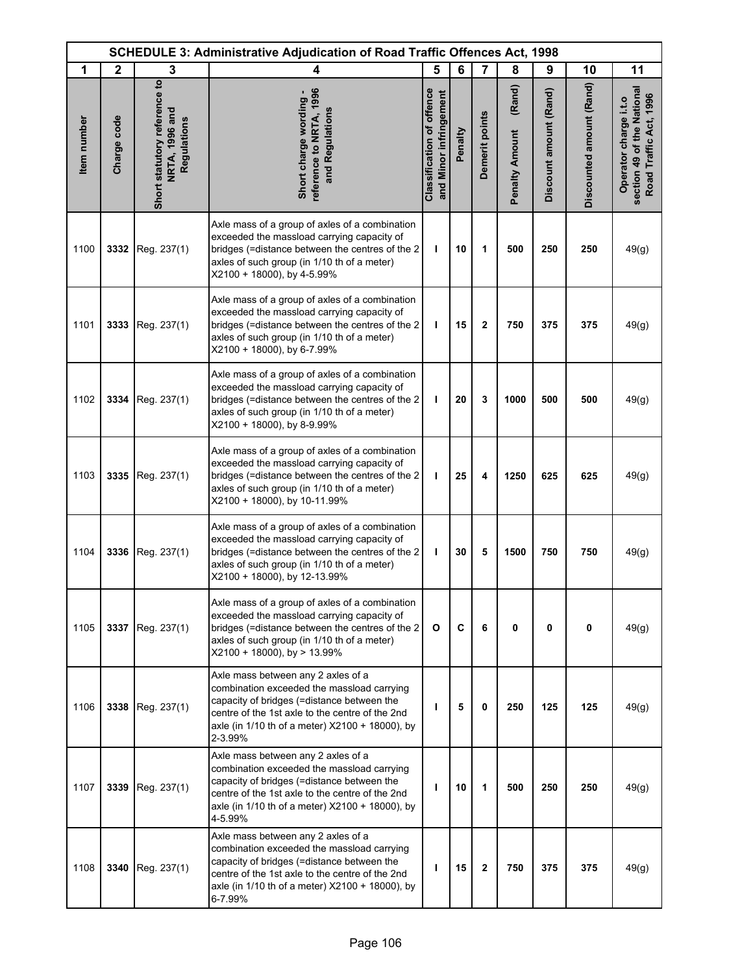| <b>SCHEDULE 3: Administrative Adjudication of Road Traffic Offences Act, 1998</b> |              |                                                               |                                                                                                                                                                                                                                                 |                                                            |         |                |                                 |                        |                          |                                                                               |
|-----------------------------------------------------------------------------------|--------------|---------------------------------------------------------------|-------------------------------------------------------------------------------------------------------------------------------------------------------------------------------------------------------------------------------------------------|------------------------------------------------------------|---------|----------------|---------------------------------|------------------------|--------------------------|-------------------------------------------------------------------------------|
| 1                                                                                 | $\mathbf{2}$ | 3                                                             | 4                                                                                                                                                                                                                                               | 5                                                          | 6       | $\overline{7}$ | 8                               | 9                      | 10                       | 11                                                                            |
| Item number                                                                       | Charge code  | Short statutory reference to<br>NRTA, 1996 and<br>Regulations | reference to NRTA, 1996<br>Short charge wording -<br>and Regulations                                                                                                                                                                            | <b>Classification of offence</b><br>and Minor infringement | Penalty | Demerit points | (Rand)<br><b>Penalty Amount</b> | Discount amount (Rand) | Discounted amount (Rand) | section 49 of the National<br>Road Traffic Act, 1996<br>Operator charge i.t.o |
| 1100                                                                              | 3332         | Reg. 237(1)                                                   | Axle mass of a group of axles of a combination<br>exceeded the massload carrying capacity of<br>bridges (=distance between the centres of the 2<br>axles of such group (in 1/10 th of a meter)<br>X2100 + 18000), by 4-5.99%                    | T                                                          | 10      | 1              | 500                             | 250                    | 250                      | 49(g)                                                                         |
| 1101                                                                              | 3333         | Reg. 237(1)                                                   | Axle mass of a group of axles of a combination<br>exceeded the massload carrying capacity of<br>bridges (=distance between the centres of the 2<br>axles of such group (in 1/10 th of a meter)<br>X2100 + 18000), by 6-7.99%                    | $\mathbf{I}$                                               | 15      | $\overline{2}$ | 750                             | 375                    | 375                      | 49(g)                                                                         |
| 1102                                                                              | 3334         | Reg. 237(1)                                                   | Axle mass of a group of axles of a combination<br>exceeded the massload carrying capacity of<br>bridges (=distance between the centres of the 2<br>axles of such group (in 1/10 th of a meter)<br>X2100 + 18000), by 8-9.99%                    | T                                                          | 20      | 3              | 1000                            | 500                    | 500                      | 49(g)                                                                         |
| 1103                                                                              | 3335         | Reg. 237(1)                                                   | Axle mass of a group of axles of a combination<br>exceeded the massload carrying capacity of<br>bridges (=distance between the centres of the 2<br>axles of such group (in 1/10 th of a meter)<br>X2100 + 18000), by 10-11.99%                  | $\mathbf{I}$                                               | 25      | 4              | 1250                            | 625                    | 625                      | 49(g)                                                                         |
| 1104                                                                              | 3336         | Reg. 237(1)                                                   | Axle mass of a group of axles of a combination<br>exceeded the massload carrying capacity of<br>bridges (=distance between the centres of the 2<br>axles of such group (in 1/10 th of a meter)<br>X2100 + 18000), by 12-13.99%                  | T                                                          | 30      | 5              | 1500                            | 750                    | 750                      | 49(g)                                                                         |
| 1105                                                                              | 3337         | Reg. 237(1)                                                   | Axle mass of a group of axles of a combination<br>exceeded the massload carrying capacity of<br>bridges (=distance between the centres of the 2<br>axles of such group (in 1/10 th of a meter)<br>$X2100 + 18000$ , by > 13.99%                 | $\mathbf{o}$                                               | C       | 6              | 0                               | 0                      | $\mathbf 0$              | 49(g)                                                                         |
| 1106                                                                              | 3338         | Reg. 237(1)                                                   | Axle mass between any 2 axles of a<br>combination exceeded the massload carrying<br>capacity of bridges (=distance between the<br>centre of the 1st axle to the centre of the 2nd<br>axle (in 1/10 th of a meter) X2100 + 18000), by<br>2-3.99% | ı                                                          | 5       | 0              | 250                             | 125                    | 125                      | 49(g)                                                                         |
| 1107                                                                              | 3339         | Reg. 237(1)                                                   | Axle mass between any 2 axles of a<br>combination exceeded the massload carrying<br>capacity of bridges (=distance between the<br>centre of the 1st axle to the centre of the 2nd<br>axle (in 1/10 th of a meter) X2100 + 18000), by<br>4-5.99% | т                                                          | 10      | 1              | 500                             | 250                    | 250                      | 49(g)                                                                         |
| 1108                                                                              | 3340         | Reg. 237(1)                                                   | Axle mass between any 2 axles of a<br>combination exceeded the massload carrying<br>capacity of bridges (=distance between the<br>centre of the 1st axle to the centre of the 2nd<br>axle (in 1/10 th of a meter) X2100 + 18000), by<br>6-7.99% | т                                                          | 15      | $\mathbf 2$    | 750                             | 375                    | 375                      | 49(g)                                                                         |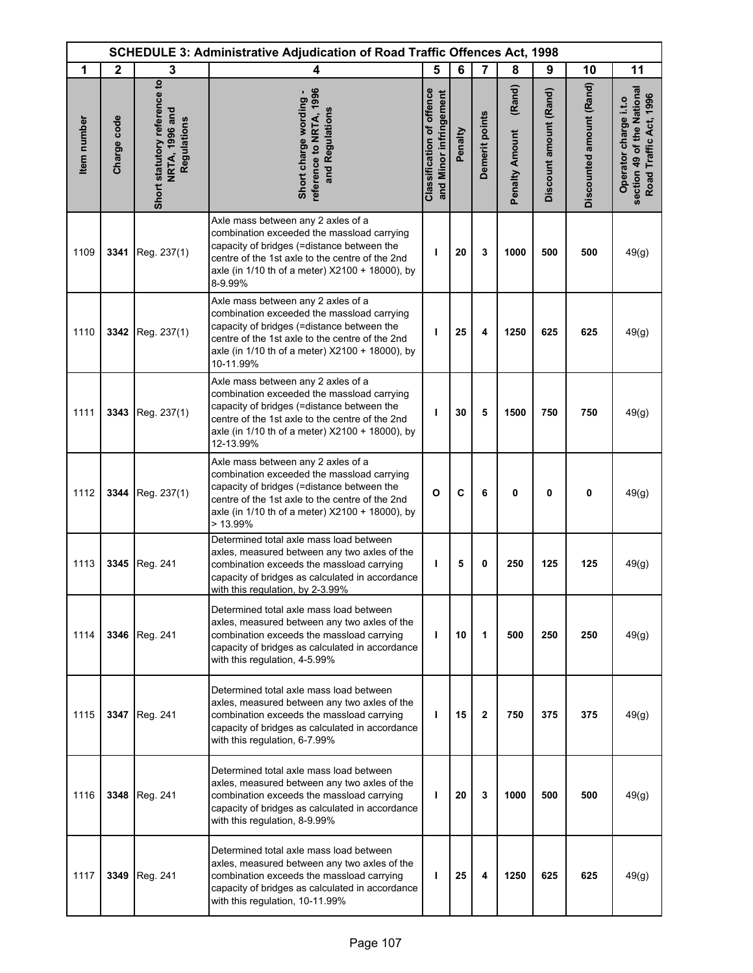| <b>SCHEDULE 3: Administrative Adjudication of Road Traffic Offences Act, 1998</b> |              |                                                               |                                                                                                                                                                                                                                                    |                                                            |         |                |                                 |                        |                          |                                                                               |
|-----------------------------------------------------------------------------------|--------------|---------------------------------------------------------------|----------------------------------------------------------------------------------------------------------------------------------------------------------------------------------------------------------------------------------------------------|------------------------------------------------------------|---------|----------------|---------------------------------|------------------------|--------------------------|-------------------------------------------------------------------------------|
| 1                                                                                 | $\mathbf{2}$ | 3                                                             | 4                                                                                                                                                                                                                                                  | 5                                                          | 6       | $\overline{7}$ | 8                               | 9                      | 10                       | 11                                                                            |
| Item number                                                                       | Charge code  | Short statutory reference to<br>NRTA, 1996 and<br>Regulations | reference to NRTA, 1996<br>Short charge wording -<br>and Regulations                                                                                                                                                                               | <b>Classification of offence</b><br>and Minor infringement | Penalty | Demerit points | (Rand)<br><b>Penalty Amount</b> | Discount amount (Rand) | Discounted amount (Rand) | section 49 of the National<br>Road Traffic Act, 1996<br>Operator charge i.t.o |
| 1109                                                                              | 3341         | Reg. 237(1)                                                   | Axle mass between any 2 axles of a<br>combination exceeded the massload carrying<br>capacity of bridges (=distance between the<br>centre of the 1st axle to the centre of the 2nd<br>axle (in 1/10 th of a meter) X2100 + 18000), by<br>8-9.99%    | ı                                                          | 20      | 3              | 1000                            | 500                    | 500                      | 49(g)                                                                         |
| 1110                                                                              | 3342         | Reg. 237(1)                                                   | Axle mass between any 2 axles of a<br>combination exceeded the massload carrying<br>capacity of bridges (=distance between the<br>centre of the 1st axle to the centre of the 2nd<br>axle (in 1/10 th of a meter) X2100 + 18000), by<br>10-11.99%  | т                                                          | 25      | 4              | 1250                            | 625                    | 625                      | 49(g)                                                                         |
| 1111                                                                              | 3343         | Reg. 237(1)                                                   | Axle mass between any 2 axles of a<br>combination exceeded the massload carrying<br>capacity of bridges (=distance between the<br>centre of the 1st axle to the centre of the 2nd<br>axle (in 1/10 th of a meter) X2100 + 18000), by<br>12-13.99%  | т                                                          | 30      | 5              | 1500                            | 750                    | 750                      | 49(g)                                                                         |
| 1112                                                                              | 3344         | Reg. 237(1)                                                   | Axle mass between any 2 axles of a<br>combination exceeded the massload carrying<br>capacity of bridges (=distance between the<br>centre of the 1st axle to the centre of the 2nd<br>axle (in 1/10 th of a meter) X2100 + 18000), by<br>$>13.99\%$ | O                                                          | C       | 6              | 0                               | 0                      | $\mathbf 0$              | 49(g)                                                                         |
| 1113                                                                              | 3345         | Reg. 241                                                      | Determined total axle mass load between<br>axles, measured between any two axles of the<br>combination exceeds the massload carrying<br>capacity of bridges as calculated in accordance<br>with this regulation, by 2-3.99%                        | T                                                          | 5       | 0              | 250                             | 125                    | 125                      | 49(g)                                                                         |
| 1114                                                                              |              | 3346 Reg. 241                                                 | Determined total axle mass load between<br>axles, measured between any two axles of the<br>combination exceeds the massload carrying<br>capacity of bridges as calculated in accordance<br>with this regulation, 4-5.99%                           | $\mathbf{I}$                                               | 10      | 1              | 500                             | 250                    | 250                      | 49(g)                                                                         |
| 1115                                                                              | 3347         | Reg. 241                                                      | Determined total axle mass load between<br>axles, measured between any two axles of the<br>combination exceeds the massload carrying<br>capacity of bridges as calculated in accordance<br>with this regulation, 6-7.99%                           | т                                                          | 15      | $\overline{2}$ | 750                             | 375                    | 375                      | 49(g)                                                                         |
| 1116                                                                              | 3348         | Reg. 241                                                      | Determined total axle mass load between<br>axles, measured between any two axles of the<br>combination exceeds the massload carrying<br>capacity of bridges as calculated in accordance<br>with this regulation, 8-9.99%                           | т                                                          | 20      | 3              | 1000                            | 500                    | 500                      | 49(g)                                                                         |
| 1117                                                                              | 3349         | Reg. 241                                                      | Determined total axle mass load between<br>axles, measured between any two axles of the<br>combination exceeds the massload carrying<br>capacity of bridges as calculated in accordance<br>with this regulation, 10-11.99%                         | т                                                          | 25      | 4              | 1250                            | 625                    | 625                      | 49(g)                                                                         |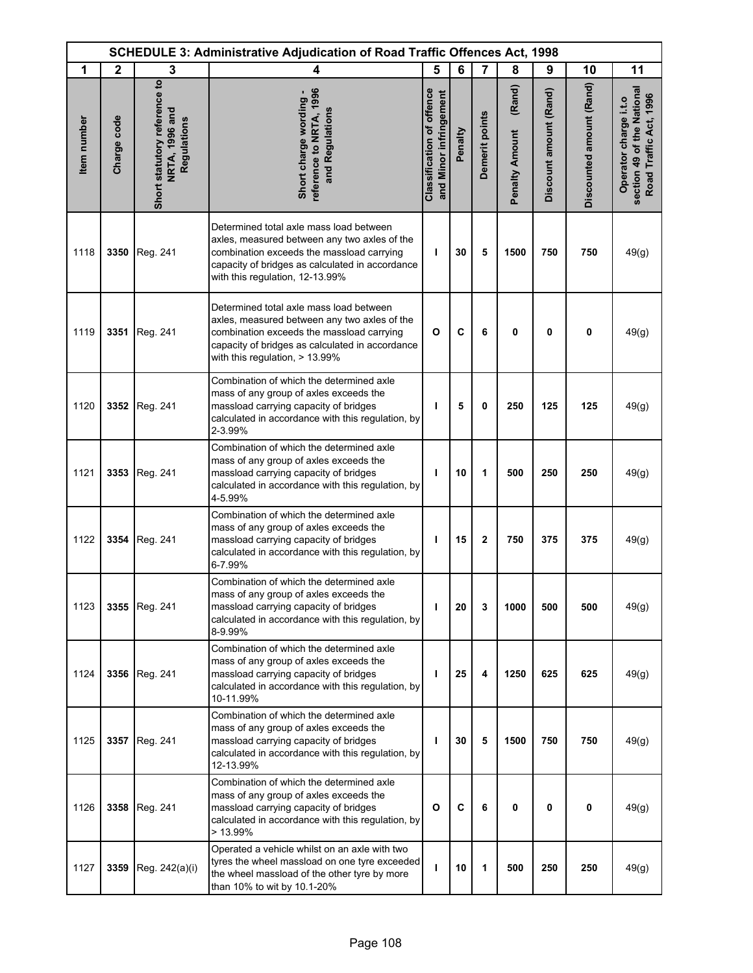| <b>SCHEDULE 3: Administrative Adjudication of Road Traffic Offences Act, 1998</b> |              |                                                               |                                                                                                                                                                                                                            |                                                            |         |                |                                 |                        |                          |                                                                               |
|-----------------------------------------------------------------------------------|--------------|---------------------------------------------------------------|----------------------------------------------------------------------------------------------------------------------------------------------------------------------------------------------------------------------------|------------------------------------------------------------|---------|----------------|---------------------------------|------------------------|--------------------------|-------------------------------------------------------------------------------|
| 1                                                                                 | $\mathbf{2}$ | 3                                                             | 4                                                                                                                                                                                                                          | 5                                                          | 6       | $\overline{7}$ | 8                               | 9                      | 10                       | 11                                                                            |
| Item number                                                                       | Charge code  | Short statutory reference to<br>NRTA, 1996 and<br>Regulations | reference to NRTA, 1996<br>Short charge wording -<br>and Regulations                                                                                                                                                       | <b>Classification of offence</b><br>and Minor infringement | Penalty | Demerit points | (Rand)<br><b>Penalty Amount</b> | Discount amount (Rand) | Discounted amount (Rand) | section 49 of the National<br>Road Traffic Act, 1996<br>Operator charge i.t.o |
| 1118                                                                              | 3350         | Reg. 241                                                      | Determined total axle mass load between<br>axles, measured between any two axles of the<br>combination exceeds the massload carrying<br>capacity of bridges as calculated in accordance<br>with this regulation, 12-13.99% | т                                                          | 30      | 5              | 1500                            | 750                    | 750                      | 49(g)                                                                         |
| 1119                                                                              | 3351         | Reg. 241                                                      | Determined total axle mass load between<br>axles, measured between any two axles of the<br>combination exceeds the massload carrying<br>capacity of bridges as calculated in accordance<br>with this regulation, > 13.99%  | $\mathbf{o}$                                               | C       | 6              | 0                               | 0                      | 0                        | 49(g)                                                                         |
| 1120                                                                              | 3352         | Reg. 241                                                      | Combination of which the determined axle<br>mass of any group of axles exceeds the<br>massload carrying capacity of bridges<br>calculated in accordance with this regulation, by<br>2-3.99%                                | т                                                          | 5       | 0              | 250                             | 125                    | 125                      | 49(g)                                                                         |
| 1121                                                                              | 3353         | Reg. 241                                                      | Combination of which the determined axle<br>mass of any group of axles exceeds the<br>massload carrying capacity of bridges<br>calculated in accordance with this regulation, by<br>4-5.99%                                | ı                                                          | 10      | 1              | 500                             | 250                    | 250                      | 49(g)                                                                         |
| 1122                                                                              | 3354         | Reg. 241                                                      | Combination of which the determined axle<br>mass of any group of axles exceeds the<br>massload carrying capacity of bridges<br>calculated in accordance with this regulation, by<br>6-7.99%                                | T                                                          | 15      | $\mathbf{2}$   | 750                             | 375                    | 375                      | 49(g)                                                                         |
| 1123                                                                              |              | 3355 Reg. 241                                                 | Combination of which the determined axle<br>mass of any group of axles exceeds the<br>massload carrying capacity of bridges<br>calculated in accordance with this regulation, by<br>8-9.99%                                | T                                                          | 20      | 3              | 1000                            | 500                    | 500                      | 49(g)                                                                         |
| 1124                                                                              | 3356         | Reg. 241                                                      | Combination of which the determined axle<br>mass of any group of axles exceeds the<br>massload carrying capacity of bridges<br>calculated in accordance with this regulation, by<br>10-11.99%                              | T                                                          | 25      | 4              | 1250                            | 625                    | 625                      | 49(g)                                                                         |
| 1125                                                                              |              | 3357 Reg. 241                                                 | Combination of which the determined axle<br>mass of any group of axles exceeds the<br>massload carrying capacity of bridges<br>calculated in accordance with this regulation, by<br>12-13.99%                              | т                                                          | 30      | 5              | 1500                            | 750                    | 750                      | 49(g)                                                                         |
| 1126                                                                              | 3358         | Reg. 241                                                      | Combination of which the determined axle<br>mass of any group of axles exceeds the<br>massload carrying capacity of bridges<br>calculated in accordance with this regulation, by<br>$>13.99\%$                             | O                                                          | C       | 6              | 0                               | 0                      | $\mathbf 0$              | 49(g)                                                                         |
| 1127                                                                              | 3359         | Reg. 242(a)(i)                                                | Operated a vehicle whilst on an axle with two<br>tyres the wheel massload on one tyre exceeded<br>the wheel massload of the other tyre by more<br>than 10% to wit by 10.1-20%                                              | ı                                                          | 10      | 1              | 500                             | 250                    | 250                      | 49(g)                                                                         |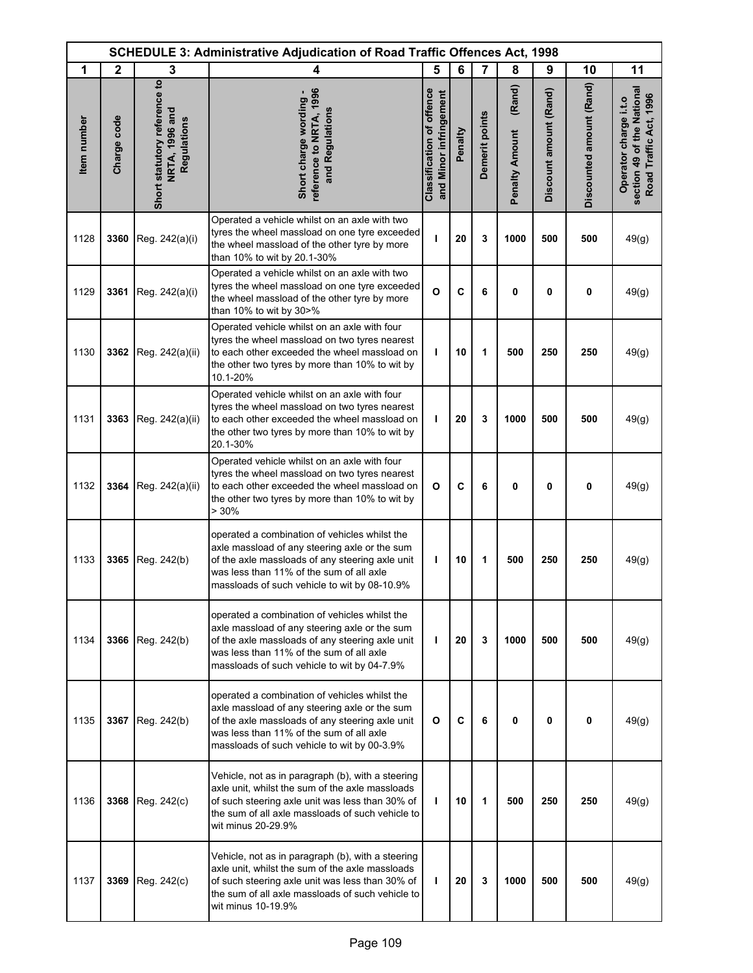| <b>SCHEDULE 3: Administrative Adjudication of Road Traffic Offences Act, 1998</b> |              |                                                               |                                                                                                                                                                                                                                               |                                                            |         |                |                                 |                        |                          |                                                                               |
|-----------------------------------------------------------------------------------|--------------|---------------------------------------------------------------|-----------------------------------------------------------------------------------------------------------------------------------------------------------------------------------------------------------------------------------------------|------------------------------------------------------------|---------|----------------|---------------------------------|------------------------|--------------------------|-------------------------------------------------------------------------------|
| 1                                                                                 | $\mathbf{2}$ | 3                                                             | 4                                                                                                                                                                                                                                             | 5                                                          | 6       | $\overline{7}$ | 8                               | 9                      | 10                       | 11                                                                            |
| Item number                                                                       | Charge code  | Short statutory reference to<br>NRTA, 1996 and<br>Regulations | reference to NRTA, 1996<br>Short charge wording -<br>and Regulations                                                                                                                                                                          | <b>Classification of offence</b><br>and Minor infringement | Penalty | Demerit points | (Rand)<br><b>Penalty Amount</b> | Discount amount (Rand) | Discounted amount (Rand) | section 49 of the National<br>Road Traffic Act, 1996<br>Operator charge i.t.o |
| 1128                                                                              | 3360         | Reg. 242(a)(i)                                                | Operated a vehicle whilst on an axle with two<br>tyres the wheel massload on one tyre exceeded<br>the wheel massload of the other tyre by more<br>than 10% to wit by 20.1-30%                                                                 | п                                                          | 20      | 3              | 1000                            | 500                    | 500                      | 49(g)                                                                         |
| 1129                                                                              | 3361         | Reg. 242(a)(i)                                                | Operated a vehicle whilst on an axle with two<br>tyres the wheel massload on one tyre exceeded<br>the wheel massload of the other tyre by more<br>than 10% to wit by 30>%                                                                     | $\mathbf{o}$                                               | C       | 6              | 0                               | 0                      | 0                        | 49(g)                                                                         |
| 1130                                                                              | 3362         | Reg. 242(a)(ii)                                               | Operated vehicle whilst on an axle with four<br>tyres the wheel massload on two tyres nearest<br>to each other exceeded the wheel massload on<br>the other two tyres by more than 10% to wit by<br>10.1-20%                                   | т                                                          | 10      | 1              | 500                             | 250                    | 250                      | 49(g)                                                                         |
| 1131                                                                              | 3363         | Reg. 242(a)(ii)                                               | Operated vehicle whilst on an axle with four<br>tyres the wheel massload on two tyres nearest<br>to each other exceeded the wheel massload on<br>the other two tyres by more than 10% to wit by<br>20.1-30%                                   | T                                                          | 20      | 3              | 1000                            | 500                    | 500                      | 49(g)                                                                         |
| 1132                                                                              | 3364         | Reg. 242(a)(ii)                                               | Operated vehicle whilst on an axle with four<br>tyres the wheel massload on two tyres nearest<br>to each other exceeded the wheel massload on<br>the other two tyres by more than 10% to wit by<br>> 30%                                      | O                                                          | C       | 6              | 0                               | 0                      | 0                        | 49(g)                                                                         |
| 1133                                                                              | 3365         | Reg. 242(b)                                                   | operated a combination of vehicles whilst the<br>axle massload of any steering axle or the sum<br>of the axle massloads of any steering axle unit<br>was less than 11% of the sum of all axle<br>massloads of such vehicle to wit by 08-10.9% | T                                                          | 10      | 1              | 500                             | 250                    | 250                      | 49(g)                                                                         |
| 1134                                                                              | 3366         | Reg. 242(b)                                                   | operated a combination of vehicles whilst the<br>axle massload of any steering axle or the sum<br>of the axle massloads of any steering axle unit<br>was less than 11% of the sum of all axle<br>massloads of such vehicle to wit by 04-7.9%  | т                                                          | 20      | 3              | 1000                            | 500                    | 500                      | 49(g)                                                                         |
| 1135                                                                              | 3367         | Reg. 242(b)                                                   | operated a combination of vehicles whilst the<br>axle massload of any steering axle or the sum<br>of the axle massloads of any steering axle unit<br>was less than 11% of the sum of all axle<br>massloads of such vehicle to wit by 00-3.9%  | O                                                          | C       | 6              | 0                               | 0                      | $\mathbf 0$              | 49(g)                                                                         |
| 1136                                                                              | 3368         | Reg. 242(c)                                                   | Vehicle, not as in paragraph (b), with a steering<br>axle unit, whilst the sum of the axle massloads<br>of such steering axle unit was less than 30% of<br>the sum of all axle massloads of such vehicle to<br>wit minus 20-29.9%             | т                                                          | 10      | 1              | 500                             | 250                    | 250                      | 49(g)                                                                         |
| 1137                                                                              | 3369         | Reg. 242(c)                                                   | Vehicle, not as in paragraph (b), with a steering<br>axle unit, whilst the sum of the axle massloads<br>of such steering axle unit was less than 30% of<br>the sum of all axle massloads of such vehicle to<br>wit minus 10-19.9%             | T                                                          | 20      | 3              | 1000                            | 500                    | 500                      | 49(g)                                                                         |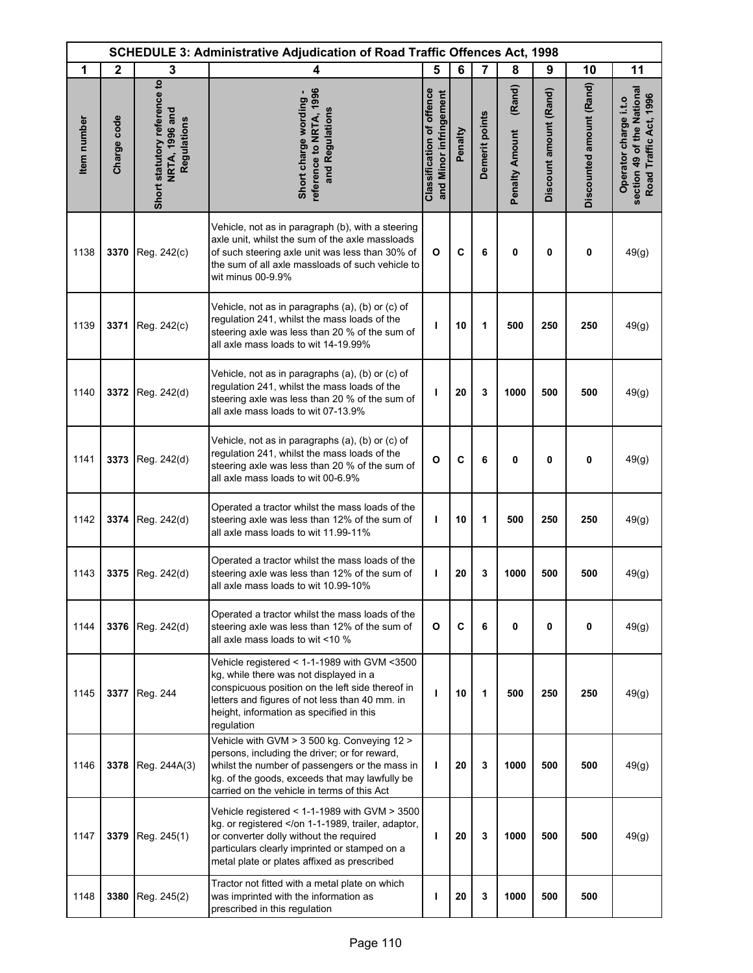| SCHEDULE 3: Administrative Adjudication of Road Traffic Offences Act, 1998 |              |                                                               |                                                                                                                                                                                                                                                        |                                                     |         |                |                                 |                        |                          |                                                                               |
|----------------------------------------------------------------------------|--------------|---------------------------------------------------------------|--------------------------------------------------------------------------------------------------------------------------------------------------------------------------------------------------------------------------------------------------------|-----------------------------------------------------|---------|----------------|---------------------------------|------------------------|--------------------------|-------------------------------------------------------------------------------|
| 1                                                                          | $\mathbf{2}$ | 3                                                             | 4                                                                                                                                                                                                                                                      | 5                                                   | 6       | 7              | 8                               | 9                      | 10                       | 11                                                                            |
| Item number                                                                | Charge code  | Short statutory reference to<br>NRTA, 1996 and<br>Regulations | eference to NRTA, 1996<br>Short charge wording -<br>and Regulations                                                                                                                                                                                    | Classification of offence<br>and Minor infringement | Penalty | Demerit points | (Rand)<br><b>Penalty Amount</b> | Discount amount (Rand) | Discounted amount (Rand) | section 49 of the National<br>Road Traffic Act, 1996<br>Operator charge i.t.o |
| 1138                                                                       | 3370         | Reg. 242(c)                                                   | Vehicle, not as in paragraph (b), with a steering<br>axle unit, whilst the sum of the axle massloads<br>of such steering axle unit was less than 30% of<br>the sum of all axle massloads of such vehicle to<br>wit minus 00-9.9%                       | $\mathbf{o}$                                        | C       | 6              | 0                               | 0                      | 0                        | 49(g)                                                                         |
| 1139                                                                       | 3371         | Reg. 242(c)                                                   | Vehicle, not as in paragraphs (a), (b) or (c) of<br>regulation 241, whilst the mass loads of the<br>steering axle was less than 20 % of the sum of<br>all axle mass loads to wit 14-19.99%                                                             | т                                                   | 10      | 1              | 500                             | 250                    | 250                      | 49(g)                                                                         |
| 1140                                                                       | 3372         | Reg. 242(d)                                                   | Vehicle, not as in paragraphs (a), (b) or (c) of<br>regulation 241, whilst the mass loads of the<br>steering axle was less than 20 % of the sum of<br>all axle mass loads to wit 07-13.9%                                                              | I                                                   | 20      | 3              | 1000                            | 500                    | 500                      | 49(g)                                                                         |
| 1141                                                                       | 3373         | Reg. 242(d)                                                   | Vehicle, not as in paragraphs (a), (b) or (c) of<br>regulation 241, whilst the mass loads of the<br>steering axle was less than 20 % of the sum of<br>all axle mass loads to wit 00-6.9%                                                               | O                                                   | C       | 6              | 0                               | 0                      | 0                        | 49(g)                                                                         |
| 1142                                                                       | 3374         | Reg. 242(d)                                                   | Operated a tractor whilst the mass loads of the<br>steering axle was less than 12% of the sum of<br>all axle mass loads to wit 11.99-11%                                                                                                               | т                                                   | 10      | 1              | 500                             | 250                    | 250                      | 49(g)                                                                         |
| 1143                                                                       | 3375         | Reg. 242(d)                                                   | Operated a tractor whilst the mass loads of the<br>steering axle was less than 12% of the sum of<br>all axle mass loads to wit 10.99-10%                                                                                                               | т                                                   | 20      | 3              | 1000                            | 500                    | 500                      | 49(g)                                                                         |
| 1144                                                                       | 3376         | Reg. 242(d)                                                   | Operated a tractor whilst the mass loads of the<br>steering axle was less than 12% of the sum of<br>all axle mass loads to wit <10 $%$                                                                                                                 | O                                                   | C       | 6              | 0                               | 0                      | 0                        | 49(g)                                                                         |
| 1145                                                                       | 3377         | Reg. 244                                                      | Vehicle registered < 1-1-1989 with GVM <3500<br>kg, while there was not displayed in a<br>conspicuous position on the left side thereof in<br>letters and figures of not less than 40 mm. in<br>height, information as specified in this<br>regulation | т                                                   | 10      | 1              | 500                             | 250                    | 250                      | 49(g)                                                                         |
| 1146                                                                       | 3378         | Reg. 244A(3)                                                  | Vehicle with GVM > 3 500 kg. Conveying 12 ><br>persons, including the driver; or for reward,<br>whilst the number of passengers or the mass in<br>kg. of the goods, exceeds that may lawfully be<br>carried on the vehicle in terms of this Act        | т                                                   | 20      | 3              | 1000                            | 500                    | 500                      | 49(g)                                                                         |
| 1147                                                                       | 3379         | Reg. 245(1)                                                   | Vehicle registered < 1-1-1989 with GVM > 3500<br>kg. or registered or converter dolly without the required<br>particulars clearly imprinted or stamped on a<br>metal plate or plates affixed as prescribed                                             | т                                                   | 20      | 3              | 1000                            | 500                    | 500                      | 49(g)                                                                         |
| 1148                                                                       | 3380         | Reg. 245(2)                                                   | Tractor not fitted with a metal plate on which<br>was imprinted with the information as<br>prescribed in this regulation                                                                                                                               | т                                                   | 20      | 3              | 1000                            | 500                    | 500                      |                                                                               |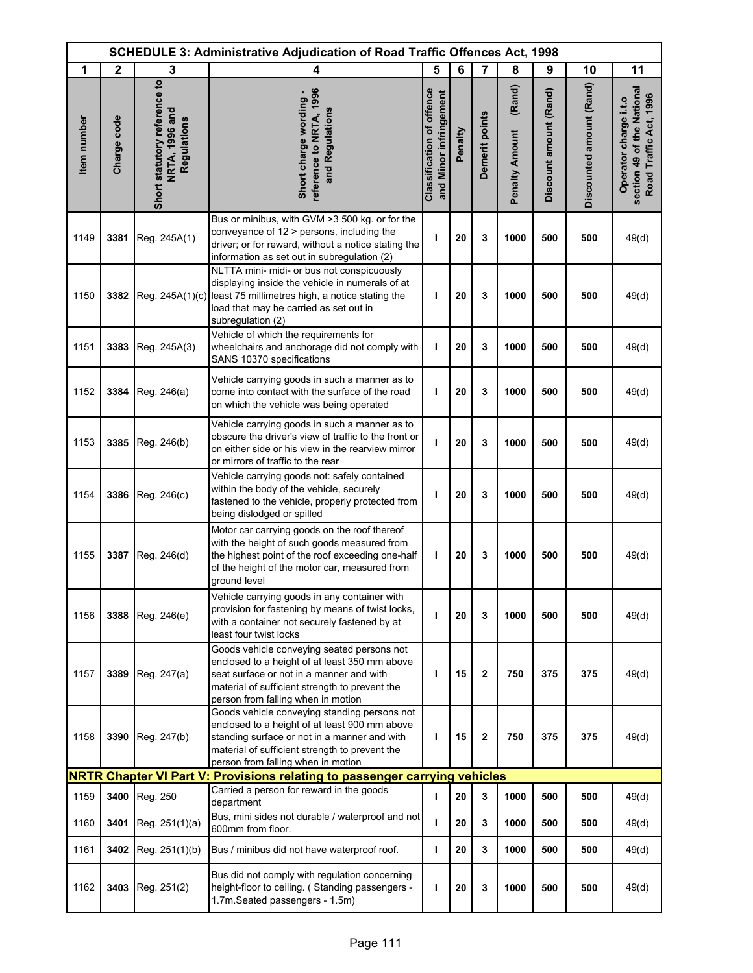|             |              |                                                               | <b>SCHEDULE 3: Administrative Adjudication of Road Traffic Offences Act, 1998</b>                                                                                                                                                     |                                                            |         |                |                                 |                        |                          |                                                                               |
|-------------|--------------|---------------------------------------------------------------|---------------------------------------------------------------------------------------------------------------------------------------------------------------------------------------------------------------------------------------|------------------------------------------------------------|---------|----------------|---------------------------------|------------------------|--------------------------|-------------------------------------------------------------------------------|
| 1           | $\mathbf{2}$ | 3                                                             | 4                                                                                                                                                                                                                                     | 5                                                          | 6       | $\overline{7}$ | 8                               | 9                      | 10                       | 11                                                                            |
| Item number | Charge code  | Short statutory reference to<br>NRTA, 1996 and<br>Regulations | eference to NRTA, 1996<br>Short charge wording -<br>and Regulations                                                                                                                                                                   | <b>Classification of offence</b><br>and Minor infringement | Penalty | Demerit points | (Rand)<br><b>Penalty Amount</b> | Discount amount (Rand) | Discounted amount (Rand) | section 49 of the National<br>Road Traffic Act, 1996<br>Operator charge i.t.o |
| 1149        | 3381         | Reg. 245A(1)                                                  | Bus or minibus, with GVM > 3500 kg. or for the<br>conveyance of $12$ > persons, including the<br>driver; or for reward, without a notice stating the<br>information as set out in subregulation (2)                                   | ı                                                          | 20      | 3              | 1000                            | 500                    | 500                      | 49(d)                                                                         |
| 1150        | 3382         |                                                               | NLTTA mini- midi- or bus not conspicuously<br>displaying inside the vehicle in numerals of at<br>Reg. 245A(1)(c) least 75 millimetres high, a notice stating the<br>load that may be carried as set out in<br>subregulation (2)       | т                                                          | 20      | 3              | 1000                            | 500                    | 500                      | 49(d)                                                                         |
| 1151        | 3383         | Reg. 245A(3)                                                  | Vehicle of which the requirements for<br>wheelchairs and anchorage did not comply with<br>SANS 10370 specifications                                                                                                                   | I                                                          | 20      | 3              | 1000                            | 500                    | 500                      | 49(d)                                                                         |
| 1152        | 3384         | Reg. 246(a)                                                   | Vehicle carrying goods in such a manner as to<br>come into contact with the surface of the road<br>on which the vehicle was being operated                                                                                            | ı                                                          | 20      | 3              | 1000                            | 500                    | 500                      | 49(d)                                                                         |
| 1153        | 3385         | Reg. 246(b)                                                   | Vehicle carrying goods in such a manner as to<br>obscure the driver's view of traffic to the front or<br>on either side or his view in the rearview mirror<br>or mirrors of traffic to the rear                                       | т                                                          | 20      | 3              | 1000                            | 500                    | 500                      | 49(d)                                                                         |
| 1154        | 3386         | Reg. 246(c)                                                   | Vehicle carrying goods not: safely contained<br>within the body of the vehicle, securely<br>fastened to the vehicle, properly protected from<br>being dislodged or spilled                                                            | п                                                          | 20      | 3              | 1000                            | 500                    | 500                      | 49(d)                                                                         |
| 1155        | 3387         | Reg. 246(d)                                                   | Motor car carrying goods on the roof thereof<br>with the height of such goods measured from<br>the highest point of the roof exceeding one-half<br>of the height of the motor car, measured from<br>ground level                      | T                                                          | 20      | 3              | 1000                            | 500                    | 500                      | 49(d)                                                                         |
| 1156        | 3388         | Reg. 246(e)                                                   | Vehicle carrying goods in any container with<br>provision for fastening by means of twist locks,<br>with a container not securely fastened by at<br>least four twist locks                                                            | т                                                          | 20      | 3              | 1000                            | 500                    | 500                      | 49(d)                                                                         |
| 1157        | 3389         | Reg. 247(a)                                                   | Goods vehicle conveying seated persons not<br>enclosed to a height of at least 350 mm above<br>seat surface or not in a manner and with<br>material of sufficient strength to prevent the<br>person from falling when in motion       | ı                                                          | 15      | $\mathbf{2}$   | 750                             | 375                    | 375                      | 49(d)                                                                         |
| 1158        | 3390         | Reg. 247(b)                                                   | Goods vehicle conveying standing persons not<br>enclosed to a height of at least 900 mm above<br>standing surface or not in a manner and with<br>material of sufficient strength to prevent the<br>person from falling when in motion | T                                                          | 15      | $\mathbf{2}$   | 750                             | 375                    | 375                      | 49(d)                                                                         |
|             |              |                                                               | NRTR Chapter VI Part V: Provisions relating to passenger carrying vehicles                                                                                                                                                            |                                                            |         |                |                                 |                        |                          |                                                                               |
| 1159        | 3400         | Reg. 250                                                      | Carried a person for reward in the goods<br>department                                                                                                                                                                                | $\mathbf{I}$                                               | 20      | 3              | 1000                            | 500                    | 500                      | 49(d)                                                                         |
| 1160        | 3401         | Reg. 251(1)(a)                                                | Bus, mini sides not durable / waterproof and not<br>600mm from floor.                                                                                                                                                                 | т                                                          | 20      | 3              | 1000                            | 500                    | 500                      | 49(d)                                                                         |
| 1161        | 3402         | Reg. 251(1)(b)                                                | Bus / minibus did not have waterproof roof.                                                                                                                                                                                           | T                                                          | 20      | 3              | 1000                            | 500                    | 500                      | 49(d)                                                                         |
| 1162        | 3403         | Reg. 251(2)                                                   | Bus did not comply with regulation concerning<br>height-floor to ceiling. (Standing passengers -<br>1.7m.Seated passengers - 1.5m)                                                                                                    | ı                                                          | 20      | 3              | 1000                            | 500                    | 500                      | 49(d)                                                                         |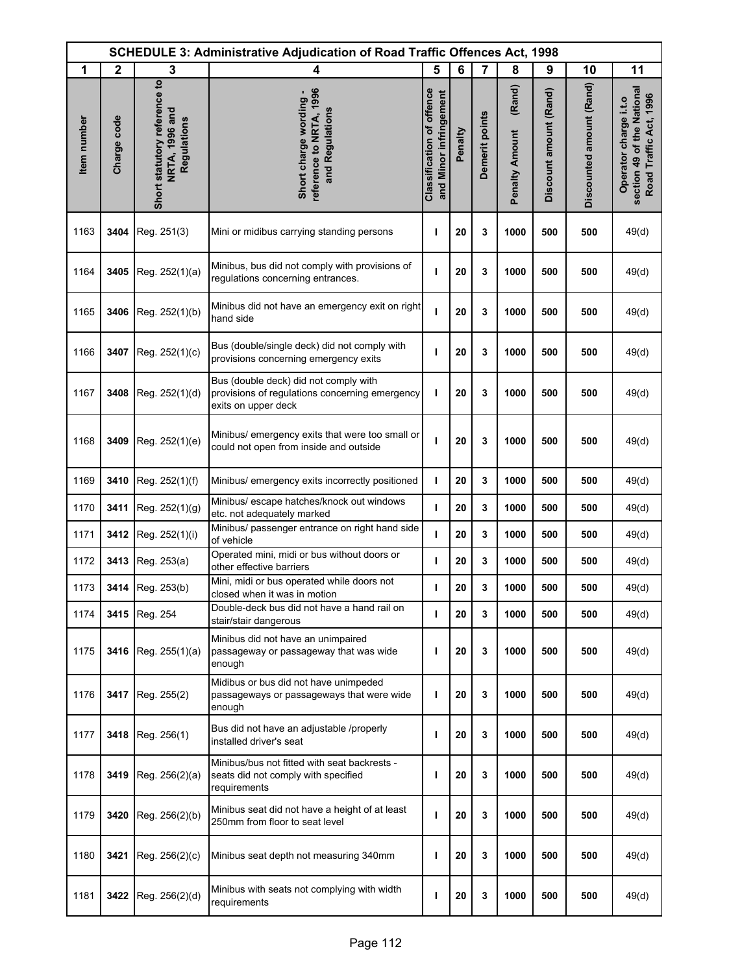|             | <b>SCHEDULE 3: Administrative Adjudication of Road Traffic Offences Act, 1998</b> |                                                                      |                                                                                                                |                                                            |         |                |                                 |                        |                          |                                                                               |
|-------------|-----------------------------------------------------------------------------------|----------------------------------------------------------------------|----------------------------------------------------------------------------------------------------------------|------------------------------------------------------------|---------|----------------|---------------------------------|------------------------|--------------------------|-------------------------------------------------------------------------------|
| 1           | $\mathbf{2}$                                                                      | 3                                                                    | 4                                                                                                              | 5                                                          | 6       | 7              | 8                               | 9                      | 10                       | 11                                                                            |
| Item number | Charge code                                                                       | Short statutory reference to<br><b>NRTA, 1996 and</b><br>Regulations | reference to NRTA, 1996<br>Short charge wording -<br>and Regulations                                           | <b>Classification of offence</b><br>and Minor infringement | Penalty | Demerit points | (Rand)<br><b>Penalty Amount</b> | Discount amount (Rand) | Discounted amount (Rand) | section 49 of the National<br>Road Traffic Act, 1996<br>Operator charge i.t.o |
| 1163        | 3404                                                                              | Reg. 251(3)                                                          | Mini or midibus carrying standing persons                                                                      | ı                                                          | 20      | 3              | 1000                            | 500                    | 500                      | 49(d)                                                                         |
| 1164        | 3405                                                                              | Reg. 252(1)(a)                                                       | Minibus, bus did not comply with provisions of<br>regulations concerning entrances.                            | ı                                                          | 20      | 3              | 1000                            | 500                    | 500                      | 49(d)                                                                         |
| 1165        | 3406                                                                              | Reg. 252(1)(b)                                                       | Minibus did not have an emergency exit on right<br>hand side                                                   | т                                                          | 20      | 3              | 1000                            | 500                    | 500                      | 49(d)                                                                         |
| 1166        | 3407                                                                              | Reg. 252(1)(c)                                                       | Bus (double/single deck) did not comply with<br>provisions concerning emergency exits                          | ı                                                          | 20      | 3              | 1000                            | 500                    | 500                      | 49(d)                                                                         |
| 1167        | 3408                                                                              | Reg. 252(1)(d)                                                       | Bus (double deck) did not comply with<br>provisions of regulations concerning emergency<br>exits on upper deck | ı                                                          | 20      | 3              | 1000                            | 500                    | 500                      | 49(d)                                                                         |
| 1168        | 3409                                                                              | Reg. 252(1)(e)                                                       | Minibus/ emergency exits that were too small or<br>could not open from inside and outside                      | ı                                                          | 20      | 3              | 1000                            | 500                    | 500                      | 49(d)                                                                         |
| 1169        | 3410                                                                              | Reg. 252(1)(f)                                                       | Minibus/ emergency exits incorrectly positioned                                                                | т                                                          | 20      | 3              | 1000                            | 500                    | 500                      | 49(d)                                                                         |
| 1170        | 3411                                                                              | Reg. 252(1)(g)                                                       | Minibus/ escape hatches/knock out windows<br>etc. not adequately marked                                        | т                                                          | 20      | 3              | 1000                            | 500                    | 500                      | 49(d)                                                                         |
| 1171        | 3412                                                                              | Reg. 252(1)(i)                                                       | Minibus/ passenger entrance on right hand side<br>of vehicle                                                   | т                                                          | 20      | 3              | 1000                            | 500                    | 500                      | 49(d)                                                                         |
| 1172        | 3413                                                                              | Reg. 253(a)                                                          | Operated mini, midi or bus without doors or<br>other effective barriers                                        | ı                                                          | 20      | 3              | 1000                            | 500                    | 500                      | 49(d)                                                                         |
| 1173        |                                                                                   | 3414 Reg. 253(b)                                                     | Mini, midi or bus operated while doors not<br>closed when it was in motion                                     | т                                                          | 20      | 3              | 1000                            | 500                    | 500                      | 49(d)                                                                         |
| 1174        | 3415                                                                              | Reg. 254                                                             | Double-deck bus did not have a hand rail on<br>stair/stair dangerous                                           | т                                                          | 20      | 3              | 1000                            | 500                    | 500                      | 49(d)                                                                         |
| 1175        | 3416                                                                              | Reg. 255(1)(a)                                                       | Minibus did not have an unimpaired<br>passageway or passageway that was wide<br>enough                         | ı                                                          | 20      | 3              | 1000                            | 500                    | 500                      | 49(d)                                                                         |
| 1176        | 3417                                                                              | Reg. 255(2)                                                          | Midibus or bus did not have unimpeded<br>passageways or passageways that were wide<br>enough                   | ı                                                          | 20      | 3              | 1000                            | 500                    | 500                      | 49(d)                                                                         |
| 1177        | 3418                                                                              | Reg. 256(1)                                                          | Bus did not have an adjustable /properly<br>installed driver's seat                                            | ı                                                          | 20      | 3              | 1000                            | 500                    | 500                      | 49(d)                                                                         |
| 1178        | 3419                                                                              | Reg. 256(2)(a)                                                       | Minibus/bus not fitted with seat backrests -<br>seats did not comply with specified<br>requirements            | ı                                                          | 20      | 3              | 1000                            | 500                    | 500                      | 49(d)                                                                         |
| 1179        | 3420                                                                              | Reg. 256(2)(b)                                                       | Minibus seat did not have a height of at least<br>250mm from floor to seat level                               | ı                                                          | 20      | 3              | 1000                            | 500                    | 500                      | 49(d)                                                                         |
| 1180        | 3421                                                                              | Reg. 256(2)(c)                                                       | Minibus seat depth not measuring 340mm                                                                         | ı                                                          | 20      | 3              | 1000                            | 500                    | 500                      | 49(d)                                                                         |
| 1181        | 3422                                                                              | Reg. 256(2)(d)                                                       | Minibus with seats not complying with width<br>requirements                                                    | т                                                          | 20      | 3              | 1000                            | 500                    | 500                      | 49(d)                                                                         |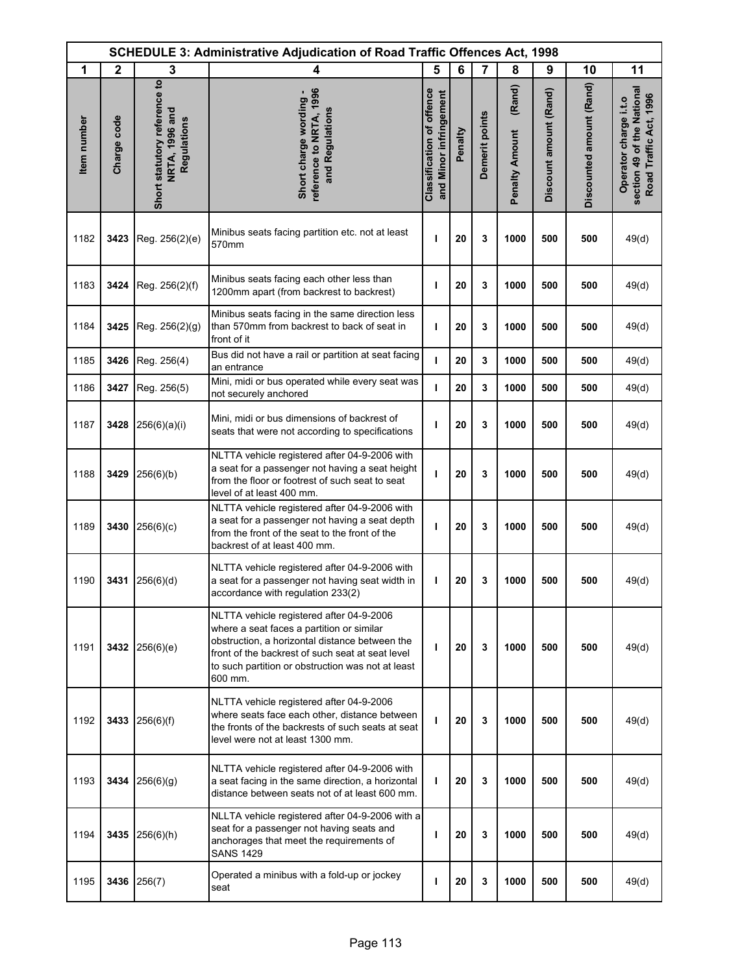| <b>SCHEDULE 3: Administrative Adjudication of Road Traffic Offences Act, 1998</b> |              |                                                               |                                                                                                                                                                                                                                                             |                                                            |         |                |                                 |                        |                          |                                                                               |
|-----------------------------------------------------------------------------------|--------------|---------------------------------------------------------------|-------------------------------------------------------------------------------------------------------------------------------------------------------------------------------------------------------------------------------------------------------------|------------------------------------------------------------|---------|----------------|---------------------------------|------------------------|--------------------------|-------------------------------------------------------------------------------|
| 1                                                                                 | $\mathbf{2}$ | 3                                                             | 4                                                                                                                                                                                                                                                           | 5                                                          | 6       | $\overline{7}$ | 8                               | 9                      | 10                       | 11                                                                            |
| Item number                                                                       | Charge code  | Short statutory reference to<br>NRTA, 1996 and<br>Regulations | reference to NRTA, 1996<br>Short charge wording -<br>and Regulations                                                                                                                                                                                        | <b>Classification of offence</b><br>and Minor infringement | Penalty | Demerit points | (Rand)<br><b>Penalty Amount</b> | Discount amount (Rand) | Discounted amount (Rand) | section 49 of the National<br>Road Traffic Act, 1996<br>Operator charge i.t.o |
| 1182                                                                              | 3423         | Reg. 256(2)(e)                                                | Minibus seats facing partition etc. not at least<br>570mm                                                                                                                                                                                                   | ı                                                          | 20      | 3              | 1000                            | 500                    | 500                      | 49(d)                                                                         |
| 1183                                                                              | 3424         | Reg. 256(2)(f)                                                | Minibus seats facing each other less than<br>1200mm apart (from backrest to backrest)                                                                                                                                                                       | т                                                          | 20      | 3              | 1000                            | 500                    | 500                      | 49(d)                                                                         |
| 1184                                                                              | 3425         | Reg. 256(2)(g)                                                | Minibus seats facing in the same direction less<br>than 570mm from backrest to back of seat in<br>front of it                                                                                                                                               | ı                                                          | 20      | 3              | 1000                            | 500                    | 500                      | 49(d)                                                                         |
| 1185                                                                              | 3426         | Reg. 256(4)                                                   | Bus did not have a rail or partition at seat facing<br>an entrance                                                                                                                                                                                          | т                                                          | 20      | 3              | 1000                            | 500                    | 500                      | 49(d)                                                                         |
| 1186                                                                              | 3427         | Reg. 256(5)                                                   | Mini, midi or bus operated while every seat was<br>not securely anchored                                                                                                                                                                                    | т                                                          | 20      | 3              | 1000                            | 500                    | 500                      | 49(d)                                                                         |
| 1187                                                                              | 3428         | 256(6)(a)(i)                                                  | Mini, midi or bus dimensions of backrest of<br>seats that were not according to specifications                                                                                                                                                              | т                                                          | 20      | 3              | 1000                            | 500                    | 500                      | 49(d)                                                                         |
| 1188                                                                              | 3429         | 256(6)(b)                                                     | NLTTA vehicle registered after 04-9-2006 with<br>a seat for a passenger not having a seat height<br>from the floor or footrest of such seat to seat<br>level of at least 400 mm.                                                                            | ı                                                          | 20      | 3              | 1000                            | 500                    | 500                      | 49(d)                                                                         |
| 1189                                                                              | 3430         | 256(6)(c)                                                     | NLTTA vehicle registered after 04-9-2006 with<br>a seat for a passenger not having a seat depth<br>from the front of the seat to the front of the<br>backrest of at least 400 mm.                                                                           | ı                                                          | 20      | 3              | 1000                            | 500                    | 500                      | 49(d)                                                                         |
| 1190                                                                              | 3431         | 256(6)(d)                                                     | NLTTA vehicle registered after 04-9-2006 with<br>a seat for a passenger not having seat width in<br>accordance with regulation 233(2)                                                                                                                       | T                                                          | 20      | 3              | 1000                            | 500                    | 500                      | 49(d)                                                                         |
| 1191                                                                              |              | 3432 256(6)(e)                                                | NLTTA vehicle registered after 04-9-2006<br>where a seat faces a partition or similar<br>obstruction, a horizontal distance between the<br>front of the backrest of such seat at seat level<br>to such partition or obstruction was not at least<br>600 mm. | т                                                          | 20      | 3              | 1000                            | 500                    | 500                      | 49(d)                                                                         |
| 1192                                                                              | 3433         | 256(6)(f)                                                     | NLTTA vehicle registered after 04-9-2006<br>where seats face each other, distance between<br>the fronts of the backrests of such seats at seat<br>level were not at least 1300 mm.                                                                          | J.                                                         | 20      | 3              | 1000                            | 500                    | 500                      | 49(d)                                                                         |
| 1193                                                                              | 3434         | 256(6)(g)                                                     | NLTTA vehicle registered after 04-9-2006 with<br>a seat facing in the same direction, a horizontal<br>distance between seats not of at least 600 mm.                                                                                                        | т                                                          | 20      | 3              | 1000                            | 500                    | 500                      | 49(d)                                                                         |
| 1194                                                                              | 3435         | 256(6)(h)                                                     | NLLTA vehicle registered after 04-9-2006 with a<br>seat for a passenger not having seats and<br>anchorages that meet the requirements of<br><b>SANS 1429</b>                                                                                                | T                                                          | 20      | 3              | 1000                            | 500                    | 500                      | 49(d)                                                                         |
| 1195                                                                              | 3436         | 256(7)                                                        | Operated a minibus with a fold-up or jockey<br>seat                                                                                                                                                                                                         | т                                                          | 20      | 3              | 1000                            | 500                    | 500                      | 49(d)                                                                         |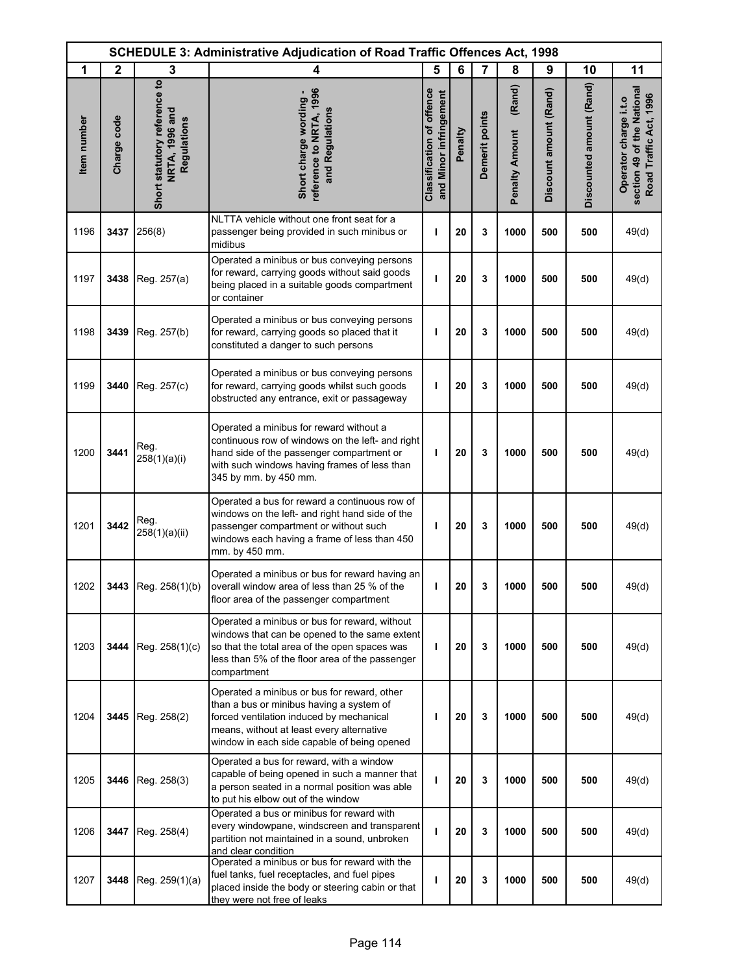| <b>SCHEDULE 3: Administrative Adjudication of Road Traffic Offences Act, 1998</b> |              |                                                               |                                                                                                                                                                                                                                 |                                                            |         |                |                                 |                        |                          |                                                                               |
|-----------------------------------------------------------------------------------|--------------|---------------------------------------------------------------|---------------------------------------------------------------------------------------------------------------------------------------------------------------------------------------------------------------------------------|------------------------------------------------------------|---------|----------------|---------------------------------|------------------------|--------------------------|-------------------------------------------------------------------------------|
| 1                                                                                 | $\mathbf{2}$ | 3                                                             | 4                                                                                                                                                                                                                               | 5                                                          | 6       | $\overline{7}$ | 8                               | 9                      | 10                       | 11                                                                            |
| Item number                                                                       | Charge code  | Short statutory reference to<br>NRTA, 1996 and<br>Regulations | reference to NRTA, 1996<br>Short charge wording -<br>and Regulations                                                                                                                                                            | <b>Classification of offence</b><br>and Minor infringement | Penalty | Demerit points | (Rand)<br><b>Penalty Amount</b> | Discount amount (Rand) | Discounted amount (Rand) | section 49 of the National<br>Road Traffic Act, 1996<br>Operator charge i.t.o |
| 1196                                                                              | 3437         | 256(8)                                                        | NLTTA vehicle without one front seat for a<br>passenger being provided in such minibus or<br>midibus                                                                                                                            | ı                                                          | 20      | 3              | 1000                            | 500                    | 500                      | 49(d)                                                                         |
| 1197                                                                              | 3438         | Reg. 257(a)                                                   | Operated a minibus or bus conveying persons<br>for reward, carrying goods without said goods<br>being placed in a suitable goods compartment<br>or container                                                                    | т                                                          | 20      | 3              | 1000                            | 500                    | 500                      | 49(d)                                                                         |
| 1198                                                                              | 3439         | Reg. 257(b)                                                   | Operated a minibus or bus conveying persons<br>for reward, carrying goods so placed that it<br>constituted a danger to such persons                                                                                             | т                                                          | 20      | 3              | 1000                            | 500                    | 500                      | 49(d)                                                                         |
| 1199                                                                              | 3440         | Reg. 257(c)                                                   | Operated a minibus or bus conveying persons<br>for reward, carrying goods whilst such goods<br>obstructed any entrance, exit or passageway                                                                                      | ı                                                          | 20      | 3              | 1000                            | 500                    | 500                      | 49(d)                                                                         |
| 1200                                                                              | 3441         | Reg.<br>258(1)(a)(i)                                          | Operated a minibus for reward without a<br>continuous row of windows on the left- and right<br>hand side of the passenger compartment or<br>with such windows having frames of less than<br>345 by mm. by 450 mm.               | T                                                          | 20      | 3              | 1000                            | 500                    | 500                      | 49(d)                                                                         |
| 1201                                                                              | 3442         | Reg.<br>258(1)(a)(ii)                                         | Operated a bus for reward a continuous row of<br>windows on the left- and right hand side of the<br>passenger compartment or without such<br>windows each having a frame of less than 450<br>mm. by 450 mm.                     | T                                                          | 20      | 3              | 1000                            | 500                    | 500                      | 49(d)                                                                         |
| 1202                                                                              |              | 3443 Reg. $258(1)(b)$                                         | Operated a minibus or bus for reward having an<br>overall window area of less than 25 % of the<br>floor area of the passenger compartment                                                                                       | ı                                                          | 20      | 3              | 1000                            | 500                    | 500                      | 49(d)                                                                         |
| 1203                                                                              | 3444         | Reg. 258(1)(c)                                                | Operated a minibus or bus for reward, without<br>windows that can be opened to the same extent<br>so that the total area of the open spaces was<br>less than 5% of the floor area of the passenger<br>compartment               | T                                                          | 20      | 3              | 1000                            | 500                    | 500                      | 49(d)                                                                         |
| 1204                                                                              | 3445         | Reg. 258(2)                                                   | Operated a minibus or bus for reward, other<br>than a bus or minibus having a system of<br>forced ventilation induced by mechanical<br>means, without at least every alternative<br>window in each side capable of being opened | ı                                                          | 20      | 3              | 1000                            | 500                    | 500                      | 49(d)                                                                         |
| 1205                                                                              | 3446         | Reg. 258(3)                                                   | Operated a bus for reward, with a window<br>capable of being opened in such a manner that<br>a person seated in a normal position was able<br>to put his elbow out of the window                                                | т                                                          | 20      | 3              | 1000                            | 500                    | 500                      | 49(d)                                                                         |
| 1206                                                                              | 3447         | Reg. 258(4)                                                   | Operated a bus or minibus for reward with<br>every windowpane, windscreen and transparent<br>partition not maintained in a sound, unbroken<br>and clear condition                                                               | т                                                          | 20      | 3              | 1000                            | 500                    | 500                      | 49(d)                                                                         |
| 1207                                                                              | 3448         | Reg. 259(1)(a)                                                | Operated a minibus or bus for reward with the<br>fuel tanks, fuel receptacles, and fuel pipes<br>placed inside the body or steering cabin or that<br>they were not free of leaks                                                | ı                                                          | 20      | 3              | 1000                            | 500                    | 500                      | 49(d)                                                                         |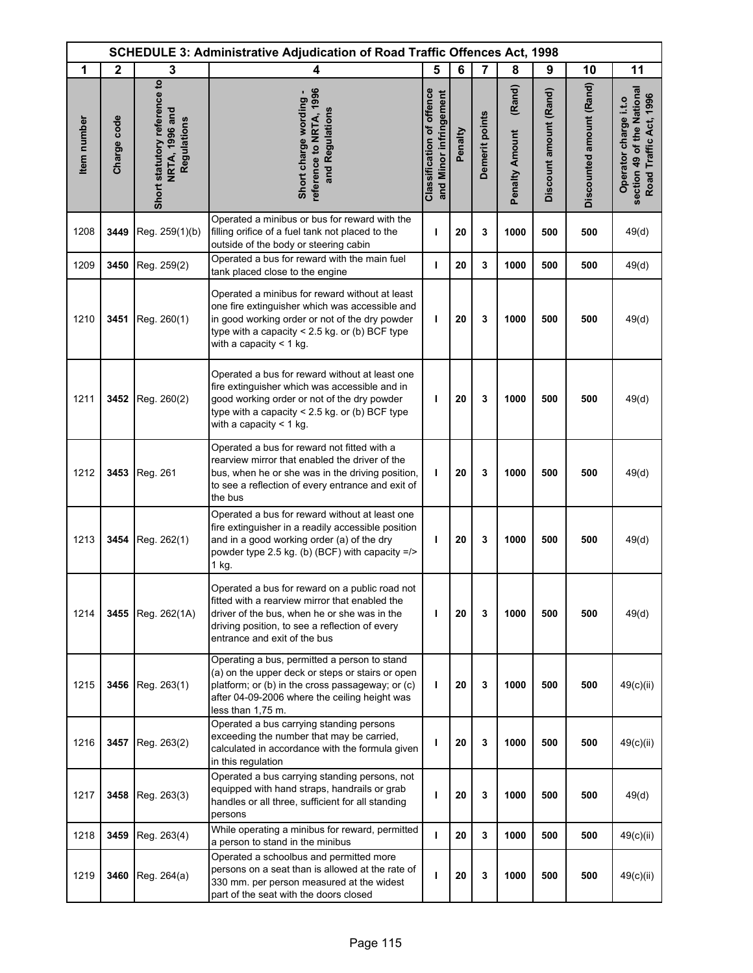| <b>SCHEDULE 3: Administrative Adjudication of Road Traffic Offences Act, 1998</b> |              |                                                                      |                                                                                                                                                                                                                                     |                                                            |         |                |                                 |                        |                          |                                                                               |
|-----------------------------------------------------------------------------------|--------------|----------------------------------------------------------------------|-------------------------------------------------------------------------------------------------------------------------------------------------------------------------------------------------------------------------------------|------------------------------------------------------------|---------|----------------|---------------------------------|------------------------|--------------------------|-------------------------------------------------------------------------------|
| 1                                                                                 | $\mathbf{2}$ | 3                                                                    | 4                                                                                                                                                                                                                                   | 5                                                          | 6       | 7              | 8                               | 9                      | 10                       | 11                                                                            |
| Item number                                                                       | Charge code  | Short statutory reference to<br><b>NRTA, 1996 and</b><br>Regulations | reference to NRTA, 1996<br>Short charge wording -<br>and Regulations                                                                                                                                                                | <b>Classification of offence</b><br>and Minor infringement | Penalty | Demerit points | (Rand)<br><b>Penalty Amount</b> | Discount amount (Rand) | Discounted amount (Rand) | section 49 of the National<br>Road Traffic Act, 1996<br>Operator charge i.t.o |
| 1208                                                                              | 3449         | Reg. 259(1)(b)                                                       | Operated a minibus or bus for reward with the<br>filling orifice of a fuel tank not placed to the<br>outside of the body or steering cabin                                                                                          | т                                                          | 20      | 3              | 1000                            | 500                    | 500                      | 49(d)                                                                         |
| 1209                                                                              | 3450         | Reg. 259(2)                                                          | Operated a bus for reward with the main fuel<br>tank placed close to the engine                                                                                                                                                     | т                                                          | 20      | 3              | 1000                            | 500                    | 500                      | 49(d)                                                                         |
| 1210                                                                              | 3451         | Reg. 260(1)                                                          | Operated a minibus for reward without at least<br>one fire extinguisher which was accessible and<br>in good working order or not of the dry powder<br>type with a capacity $< 2.5$ kg. or (b) BCF type<br>with a capacity $<$ 1 kg. | т                                                          | 20      | 3              | 1000                            | 500                    | 500                      | 49(d)                                                                         |
| 1211                                                                              | 3452         | Reg. 260(2)                                                          | Operated a bus for reward without at least one<br>fire extinguisher which was accessible and in<br>good working order or not of the dry powder<br>type with a capacity $<$ 2.5 kg. or (b) BCF type<br>with a capacity $<$ 1 kg.     | т                                                          | 20      | 3              | 1000                            | 500                    | 500                      | 49(d)                                                                         |
| 1212                                                                              | 3453         | Reg. 261                                                             | Operated a bus for reward not fitted with a<br>rearview mirror that enabled the driver of the<br>bus, when he or she was in the driving position,<br>to see a reflection of every entrance and exit of<br>the bus                   | т                                                          | 20      | 3              | 1000                            | 500                    | 500                      | 49(d)                                                                         |
| 1213                                                                              | 3454         | Reg. 262(1)                                                          | Operated a bus for reward without at least one<br>fire extinguisher in a readily accessible position<br>and in a good working order (a) of the dry<br>powder type 2.5 kg. (b) (BCF) with capacity $=$ /><br>$1$ kg.                 | т                                                          | 20      | 3              | 1000                            | 500                    | 500                      | 49(d)                                                                         |
| 1214                                                                              | 3455         | Reg. 262(1A)                                                         | Operated a bus for reward on a public road not<br>fitted with a rearview mirror that enabled the<br>driver of the bus, when he or she was in the<br>driving position, to see a reflection of every<br>entrance and exit of the bus  | т                                                          | 20      | 3              | 1000                            | 500                    | 500                      | 49(d)                                                                         |
| 1215                                                                              | 3456         | Reg. 263(1)                                                          | Operating a bus, permitted a person to stand<br>(a) on the upper deck or steps or stairs or open<br>platform; or (b) in the cross passageway; or (c)<br>after 04-09-2006 where the ceiling height was<br>less than 1,75 m.          | т                                                          | 20      | 3              | 1000                            | 500                    | 500                      | 49(c)(ii)                                                                     |
| 1216                                                                              | 3457         | Reg. 263(2)                                                          | Operated a bus carrying standing persons<br>exceeding the number that may be carried,<br>calculated in accordance with the formula given<br>in this regulation                                                                      | т                                                          | 20      | 3              | 1000                            | 500                    | 500                      | 49(c)(ii)                                                                     |
| 1217                                                                              | 3458         | Reg. 263(3)                                                          | Operated a bus carrying standing persons, not<br>equipped with hand straps, handrails or grab<br>handles or all three, sufficient for all standing<br>persons                                                                       | т                                                          | 20      | 3              | 1000                            | 500                    | 500                      | 49(d)                                                                         |
| 1218                                                                              | 3459         | Reg. 263(4)                                                          | While operating a minibus for reward, permitted<br>a person to stand in the minibus                                                                                                                                                 | ı                                                          | 20      | 3              | 1000                            | 500                    | 500                      | 49(c)(ii)                                                                     |
| 1219                                                                              | 3460         | Reg. 264(a)                                                          | Operated a schoolbus and permitted more<br>persons on a seat than is allowed at the rate of<br>330 mm. per person measured at the widest<br>part of the seat with the doors closed                                                  | т                                                          | 20      | 3              | 1000                            | 500                    | 500                      | 49(c)(ii)                                                                     |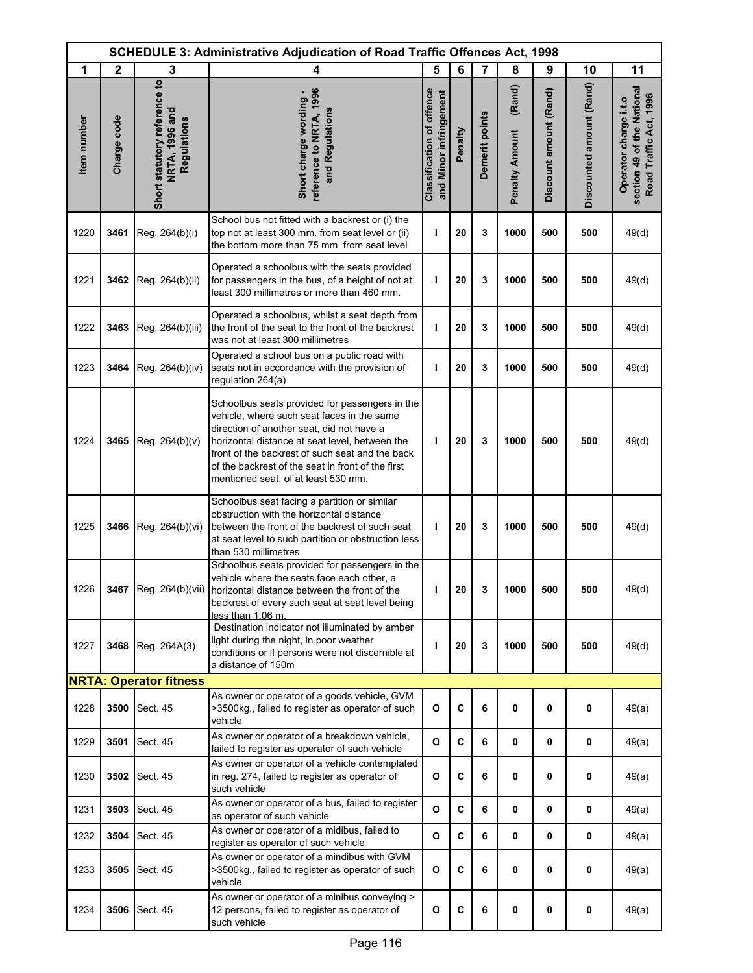|             | <b>SCHEDULE 3: Administrative Adjudication of Road Traffic Offences Act, 1998</b> |                                                               |                                                                                                                                                                                                                                                                                                                                            |                                                            |             |                |                                 |                        |                          |                                                                               |
|-------------|-----------------------------------------------------------------------------------|---------------------------------------------------------------|--------------------------------------------------------------------------------------------------------------------------------------------------------------------------------------------------------------------------------------------------------------------------------------------------------------------------------------------|------------------------------------------------------------|-------------|----------------|---------------------------------|------------------------|--------------------------|-------------------------------------------------------------------------------|
| 1           | $\mathbf{2}$                                                                      | 3                                                             | 4                                                                                                                                                                                                                                                                                                                                          | 5                                                          | 6           | $\overline{7}$ | 8                               | 9                      | 10                       | 11                                                                            |
| Item number | Charge code                                                                       | Short statutory reference to<br>NRTA, 1996 and<br>Regulations | reference to NRTA, 1996<br>Short charge wording<br>and Regulations                                                                                                                                                                                                                                                                         | <b>Classification of offence</b><br>and Minor infringement | Penalty     | Demerit points | (Rand)<br><b>Penalty Amount</b> | Discount amount (Rand) | Discounted amount (Rand) | section 49 of the National<br>Road Traffic Act, 1996<br>Operator charge i.t.o |
| 1220        | 3461                                                                              | Reg. 264(b)(i)                                                | School bus not fitted with a backrest or (i) the<br>top not at least 300 mm. from seat level or (ii)<br>the bottom more than 75 mm. from seat level                                                                                                                                                                                        | ı                                                          | 20          | 3              | 1000                            | 500                    | 500                      | 49(d)                                                                         |
| 1221        | 3462                                                                              | Reg. 264(b)(ii)                                               | Operated a schoolbus with the seats provided<br>for passengers in the bus, of a height of not at<br>least 300 millimetres or more than 460 mm.                                                                                                                                                                                             | ı                                                          | 20          | 3              | 1000                            | 500                    | 500                      | 49(d)                                                                         |
| 1222        | 3463                                                                              | Reg. 264(b)(iii)                                              | Operated a schoolbus, whilst a seat depth from<br>the front of the seat to the front of the backrest<br>was not at least 300 millimetres                                                                                                                                                                                                   | ı                                                          | 20          | 3              | 1000                            | 500                    | 500                      | 49(d)                                                                         |
| 1223        | 3464                                                                              | Reg. 264(b)(iv)                                               | Operated a school bus on a public road with<br>seats not in accordance with the provision of<br>regulation 264(a)                                                                                                                                                                                                                          | т                                                          | 20          | 3              | 1000                            | 500                    | 500                      | 49(d)                                                                         |
| 1224        | 3465                                                                              | Reg. 264(b)(v)                                                | Schoolbus seats provided for passengers in the<br>vehicle, where such seat faces in the same<br>direction of another seat, did not have a<br>horizontal distance at seat level, between the<br>front of the backrest of such seat and the back<br>of the backrest of the seat in front of the first<br>mentioned seat, of at least 530 mm. | ı                                                          | 20          | 3              | 1000                            | 500                    | 500                      | 49(d)                                                                         |
| 1225        | 3466                                                                              | Reg. 264(b)(vi)                                               | Schoolbus seat facing a partition or similar<br>obstruction with the horizontal distance<br>between the front of the backrest of such seat<br>at seat level to such partition or obstruction less<br>than 530 millimetres                                                                                                                  | ı                                                          | 20          | 3              | 1000                            | 500                    | 500                      | 49(d)                                                                         |
| 1226        |                                                                                   |                                                               | Schoolbus seats provided for passengers in the<br>vehicle where the seats face each other, a<br>3467 Reg. 264(b)(vii)   horizontal distance between the front of the<br>backrest of every such seat at seat level being<br>less than 1,06 m.                                                                                               | L                                                          | 20          | 3              | 1000                            | 500                    | 500                      | 49(d)                                                                         |
| 1227        | 3468                                                                              | Reg. 264A(3)                                                  | Destination indicator not illuminated by amber<br>light during the night, in poor weather<br>conditions or if persons were not discernible at<br>a distance of 150m                                                                                                                                                                        | ı                                                          | 20          | 3              | 1000                            | 500                    | 500                      | 49(d)                                                                         |
|             |                                                                                   | <b>NRTA: Operator fitness</b>                                 |                                                                                                                                                                                                                                                                                                                                            |                                                            |             |                |                                 |                        |                          |                                                                               |
| 1228        | 3500                                                                              | Sect. 45                                                      | As owner or operator of a goods vehicle, GVM<br>>3500kg., failed to register as operator of such<br>vehicle                                                                                                                                                                                                                                | $\mathbf{o}$                                               | $\mathbf c$ | 6              | 0                               | 0                      | 0                        | 49(a)                                                                         |
| 1229        | 3501                                                                              | Sect. 45                                                      | As owner or operator of a breakdown vehicle,<br>failed to register as operator of such vehicle                                                                                                                                                                                                                                             | O                                                          | C           | 6              | 0                               | 0                      | 0                        | 49(a)                                                                         |
| 1230        | 3502                                                                              | Sect. 45                                                      | As owner or operator of a vehicle contemplated<br>in reg. 274, failed to register as operator of<br>such vehicle                                                                                                                                                                                                                           | O                                                          | C           | 6              | 0                               | 0                      | 0                        | 49(a)                                                                         |
| 1231        | 3503                                                                              | Sect. 45                                                      | As owner or operator of a bus, failed to register<br>as operator of such vehicle                                                                                                                                                                                                                                                           | $\mathbf{o}$                                               | C           | 6              | 0                               | 0                      | 0                        | 49(a)                                                                         |
| 1232        | 3504                                                                              | Sect. 45                                                      | As owner or operator of a midibus, failed to<br>register as operator of such vehicle                                                                                                                                                                                                                                                       | O                                                          | C           | 6              | 0                               | 0                      | 0                        | 49(a)                                                                         |
| 1233        | 3505                                                                              | Sect. 45                                                      | As owner or operator of a mindibus with GVM<br>>3500kg., failed to register as operator of such<br>vehicle                                                                                                                                                                                                                                 | O                                                          | C           | 6              | 0                               | 0                      | 0                        | 49(a)                                                                         |
| 1234        | 3506                                                                              | Sect. 45                                                      | As owner or operator of a minibus conveying ><br>12 persons, failed to register as operator of<br>such vehicle                                                                                                                                                                                                                             | O                                                          | C           | 6              | 0                               | 0                      | 0                        | 49(a)                                                                         |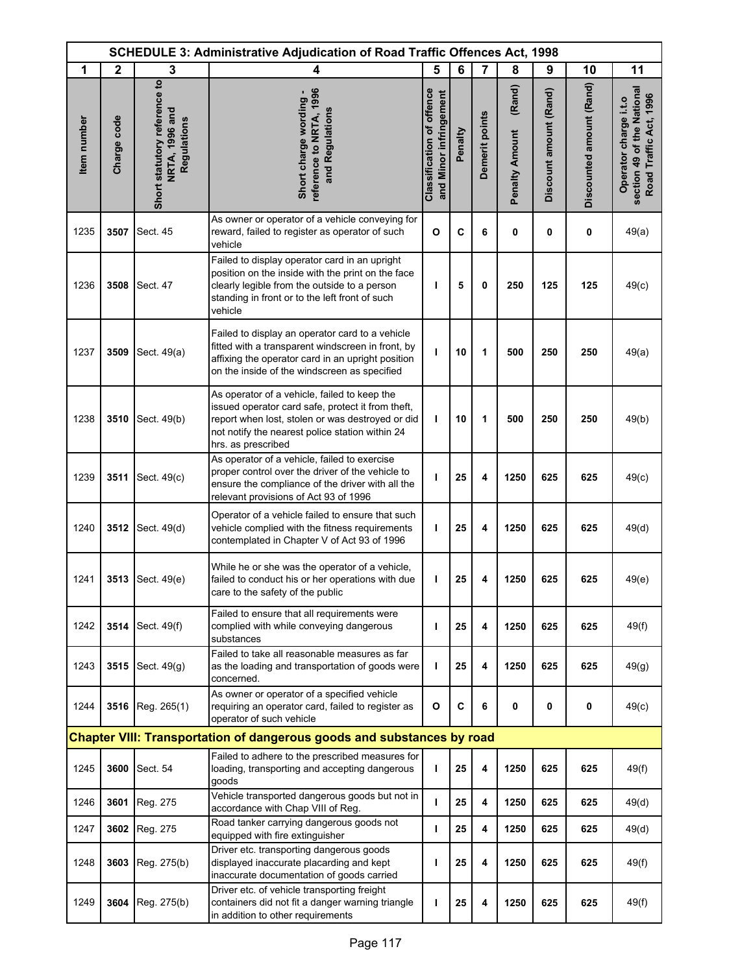|             | <b>SCHEDULE 3: Administrative Adjudication of Road Traffic Offences Act, 1998</b> |                                                               |                                                                                                                                                                                                                                |                                                            |         |                |                                 |                        |                          |                                                                               |
|-------------|-----------------------------------------------------------------------------------|---------------------------------------------------------------|--------------------------------------------------------------------------------------------------------------------------------------------------------------------------------------------------------------------------------|------------------------------------------------------------|---------|----------------|---------------------------------|------------------------|--------------------------|-------------------------------------------------------------------------------|
| 1           | $\mathbf{2}$                                                                      | 3                                                             | 4                                                                                                                                                                                                                              | 5                                                          | 6       | $\overline{7}$ | 8                               | 9                      | 10                       | 11                                                                            |
| Item number | Charge code                                                                       | Short statutory reference to<br>NRTA, 1996 and<br>Regulations | reference to NRTA, 1996<br>Short charge wording -<br>and Regulations                                                                                                                                                           | <b>Classification of offence</b><br>and Minor infringement | Penalty | Demerit points | (Rand)<br><b>Penalty Amount</b> | Discount amount (Rand) | Discounted amount (Rand) | section 49 of the National<br>Road Traffic Act, 1996<br>Operator charge i.t.o |
| 1235        | 3507                                                                              | Sect. 45                                                      | As owner or operator of a vehicle conveying for<br>reward, failed to register as operator of such<br>vehicle                                                                                                                   | $\mathbf{o}$                                               | C       | 6              | 0                               | 0                      | 0                        | 49(a)                                                                         |
| 1236        | 3508                                                                              | Sect. 47                                                      | Failed to display operator card in an upright<br>position on the inside with the print on the face<br>clearly legible from the outside to a person<br>standing in front or to the left front of such<br>vehicle                | т                                                          | 5       | 0              | 250                             | 125                    | 125                      | 49(c)                                                                         |
| 1237        | 3509                                                                              | Sect. 49(a)                                                   | Failed to display an operator card to a vehicle<br>fitted with a transparent windscreen in front, by<br>affixing the operator card in an upright position<br>on the inside of the windscreen as specified                      | т                                                          | 10      | 1              | 500                             | 250                    | 250                      | 49(a)                                                                         |
| 1238        | 3510                                                                              | Sect. 49(b)                                                   | As operator of a vehicle, failed to keep the<br>issued operator card safe, protect it from theft,<br>report when lost, stolen or was destroyed or did<br>not notify the nearest police station within 24<br>hrs. as prescribed | т                                                          | 10      | 1              | 500                             | 250                    | 250                      | 49(b)                                                                         |
| 1239        | 3511                                                                              | Sect. 49(c)                                                   | As operator of a vehicle, failed to exercise<br>proper control over the driver of the vehicle to<br>ensure the compliance of the driver with all the<br>relevant provisions of Act 93 of 1996                                  | I                                                          | 25      | 4              | 1250                            | 625                    | 625                      | 49(c)                                                                         |
| 1240        | 3512                                                                              | Sect. 49(d)                                                   | Operator of a vehicle failed to ensure that such<br>vehicle complied with the fitness requirements<br>contemplated in Chapter V of Act 93 of 1996                                                                              | ı                                                          | 25      | 4              | 1250                            | 625                    | 625                      | 49(d)                                                                         |
| 1241        | 3513                                                                              | Sect. 49(e)                                                   | While he or she was the operator of a vehicle,<br>failed to conduct his or her operations with due<br>care to the safety of the public                                                                                         | т                                                          | 25      | 4              | 1250                            | 625                    | 625                      | 49(e)                                                                         |
| 1242        | 3514                                                                              | Sect. 49(f)                                                   | Failed to ensure that all requirements were<br>complied with while conveying dangerous<br>substances                                                                                                                           | ı                                                          | 25      | 4              | 1250                            | 625                    | 625                      | 49(f)                                                                         |
| 1243        | 3515                                                                              | Sect. 49(g)                                                   | Failed to take all reasonable measures as far<br>as the loading and transportation of goods were<br>concerned.                                                                                                                 | т                                                          | 25      | 4              | 1250                            | 625                    | 625                      | 49(g)                                                                         |
| 1244        | 3516                                                                              | Reg. 265(1)                                                   | As owner or operator of a specified vehicle<br>requiring an operator card, failed to register as<br>operator of such vehicle                                                                                                   | O                                                          | C       | 6              | 0                               | 0                      | 0                        | 49(c)                                                                         |
|             |                                                                                   |                                                               | <b>Chapter VIII: Transportation of dangerous goods and substances by road</b>                                                                                                                                                  |                                                            |         |                |                                 |                        |                          |                                                                               |
| 1245        | 3600                                                                              | Sect. 54                                                      | Failed to adhere to the prescribed measures for<br>loading, transporting and accepting dangerous<br>goods                                                                                                                      | т                                                          | 25      | 4              | 1250                            | 625                    | 625                      | 49(f)                                                                         |
| 1246        | 3601                                                                              | Reg. 275                                                      | Vehicle transported dangerous goods but not in<br>accordance with Chap VIII of Reg.                                                                                                                                            | т                                                          | 25      | 4              | 1250                            | 625                    | 625                      | 49(d)                                                                         |
| 1247        | 3602                                                                              | Reg. 275                                                      | Road tanker carrying dangerous goods not<br>equipped with fire extinguisher                                                                                                                                                    | I                                                          | 25      | 4              | 1250                            | 625                    | 625                      | 49(d)                                                                         |
| 1248        | 3603                                                                              | Reg. 275(b)                                                   | Driver etc. transporting dangerous goods<br>displayed inaccurate placarding and kept<br>inaccurate documentation of goods carried                                                                                              | ı                                                          | 25      | 4              | 1250                            | 625                    | 625                      | 49(f)                                                                         |
| 1249        | 3604                                                                              | Reg. 275(b)                                                   | Driver etc. of vehicle transporting freight<br>containers did not fit a danger warning triangle<br>in addition to other requirements                                                                                           | ı                                                          | 25      | 4              | 1250                            | 625                    | 625                      | 49(f)                                                                         |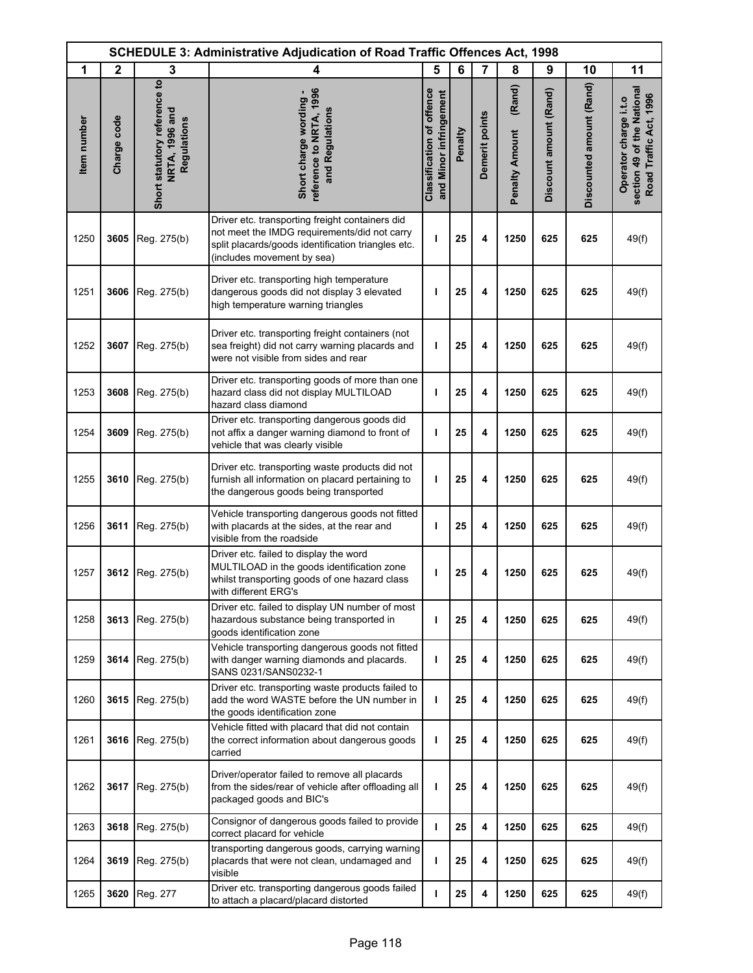|             | <b>SCHEDULE 3: Administrative Adjudication of Road Traffic Offences Act, 1998</b> |                                                               |                                                                                                                                                                                     |                                                            |         |                |                                 |                        |                          |                                                                               |
|-------------|-----------------------------------------------------------------------------------|---------------------------------------------------------------|-------------------------------------------------------------------------------------------------------------------------------------------------------------------------------------|------------------------------------------------------------|---------|----------------|---------------------------------|------------------------|--------------------------|-------------------------------------------------------------------------------|
| 1           | $\mathbf{2}$                                                                      | 3                                                             | 4                                                                                                                                                                                   | 5                                                          | 6       | 7              | 8                               | 9                      | 10                       | 11                                                                            |
| Item number | Charge code                                                                       | Short statutory reference to<br>NRTA, 1996 and<br>Regulations | reference to NRTA, 1996<br>Short charge wording -<br>and Regulations                                                                                                                | <b>Classification of offence</b><br>and Minor infringement | Penalty | Demerit points | (Rand)<br><b>Penalty Amount</b> | Discount amount (Rand) | Discounted amount (Rand) | section 49 of the National<br>Road Traffic Act, 1996<br>Operator charge i.t.o |
| 1250        | 3605                                                                              | Reg. 275(b)                                                   | Driver etc. transporting freight containers did<br>not meet the IMDG requirements/did not carry<br>split placards/goods identification triangles etc.<br>(includes movement by sea) | ı                                                          | 25      | 4              | 1250                            | 625                    | 625                      | 49(f)                                                                         |
| 1251        | 3606                                                                              | Reg. 275(b)                                                   | Driver etc. transporting high temperature<br>dangerous goods did not display 3 elevated<br>high temperature warning triangles                                                       | ı                                                          | 25      | 4              | 1250                            | 625                    | 625                      | 49(f)                                                                         |
| 1252        | 3607                                                                              | Reg. 275(b)                                                   | Driver etc. transporting freight containers (not<br>sea freight) did not carry warning placards and<br>were not visible from sides and rear                                         | ı                                                          | 25      | 4              | 1250                            | 625                    | 625                      | 49(f)                                                                         |
| 1253        | 3608                                                                              | Reg. 275(b)                                                   | Driver etc. transporting goods of more than one<br>hazard class did not display MULTILOAD<br>hazard class diamond                                                                   | ı                                                          | 25      | 4              | 1250                            | 625                    | 625                      | 49(f)                                                                         |
| 1254        | 3609                                                                              | Reg. 275(b)                                                   | Driver etc. transporting dangerous goods did<br>not affix a danger warning diamond to front of<br>vehicle that was clearly visible                                                  | т                                                          | 25      | 4              | 1250                            | 625                    | 625                      | 49(f)                                                                         |
| 1255        | 3610                                                                              | Reg. 275(b)                                                   | Driver etc. transporting waste products did not<br>furnish all information on placard pertaining to<br>the dangerous goods being transported                                        | т                                                          | 25      | 4              | 1250                            | 625                    | 625                      | 49(f)                                                                         |
| 1256        | 3611                                                                              | Reg. 275(b)                                                   | Vehicle transporting dangerous goods not fitted<br>with placards at the sides, at the rear and<br>visible from the roadside                                                         | ı                                                          | 25      | 4              | 1250                            | 625                    | 625                      | 49(f)                                                                         |
| 1257        | 3612                                                                              | Reg. 275(b)                                                   | Driver etc. failed to display the word<br>MULTILOAD in the goods identification zone<br>whilst transporting goods of one hazard class<br>with different ERG's                       | ı                                                          | 25      | 4              | 1250                            | 625                    | 625                      | 49(f)                                                                         |
| 1258        | 3613                                                                              | Reg. 275(b)                                                   | Driver etc. failed to display UN number of most<br>hazardous substance being transported in<br>goods identification zone                                                            | т                                                          | 25      | 4              | 1250                            | 625                    | 625                      | 49(f)                                                                         |
| 1259        | 3614                                                                              | Reg. 275(b)                                                   | Vehicle transporting dangerous goods not fitted<br>with danger warning diamonds and placards.                                                                                       | T                                                          | 25      | 4              | 1250                            | 625                    | 625                      | 49(f)                                                                         |
| 1260        | 3615                                                                              | Reg. 275(b)                                                   | Driver etc. transporting waste products failed to<br>add the word WASTE before the UN number in<br>the goods identification zone                                                    | ı                                                          | 25      | 4              | 1250                            | 625                    | 625                      | 49(f)                                                                         |
| 1261        | 3616                                                                              | Reg. 275(b)                                                   | Vehicle fitted with placard that did not contain<br>the correct information about dangerous goods<br>carried                                                                        | ı                                                          | 25      | 4              | 1250                            | 625                    | 625                      | 49(f)                                                                         |
| 1262        | 3617                                                                              | Reg. 275(b)                                                   | Driver/operator failed to remove all placards<br>from the sides/rear of vehicle after offloading all<br>packaged goods and BIC's                                                    | ı                                                          | 25      | 4              | 1250                            | 625                    | 625                      | 49(f)                                                                         |
| 1263        | 3618                                                                              | Reg. 275(b)                                                   | Consignor of dangerous goods failed to provide<br>correct placard for vehicle                                                                                                       | т                                                          | 25      | 4              | 1250                            | 625                    | 625                      | 49(f)                                                                         |
| 1264        | 3619                                                                              | Reg. 275(b)                                                   | transporting dangerous goods, carrying warning<br>placards that were not clean, undamaged and<br>visible                                                                            | T                                                          | 25      | 4              | 1250                            | 625                    | 625                      | 49(f)                                                                         |
| 1265        | 3620                                                                              | Reg. 277                                                      | Driver etc. transporting dangerous goods failed<br>to attach a placard/placard distorted                                                                                            | ı                                                          | 25      | 4              | 1250                            | 625                    | 625                      | 49(f)                                                                         |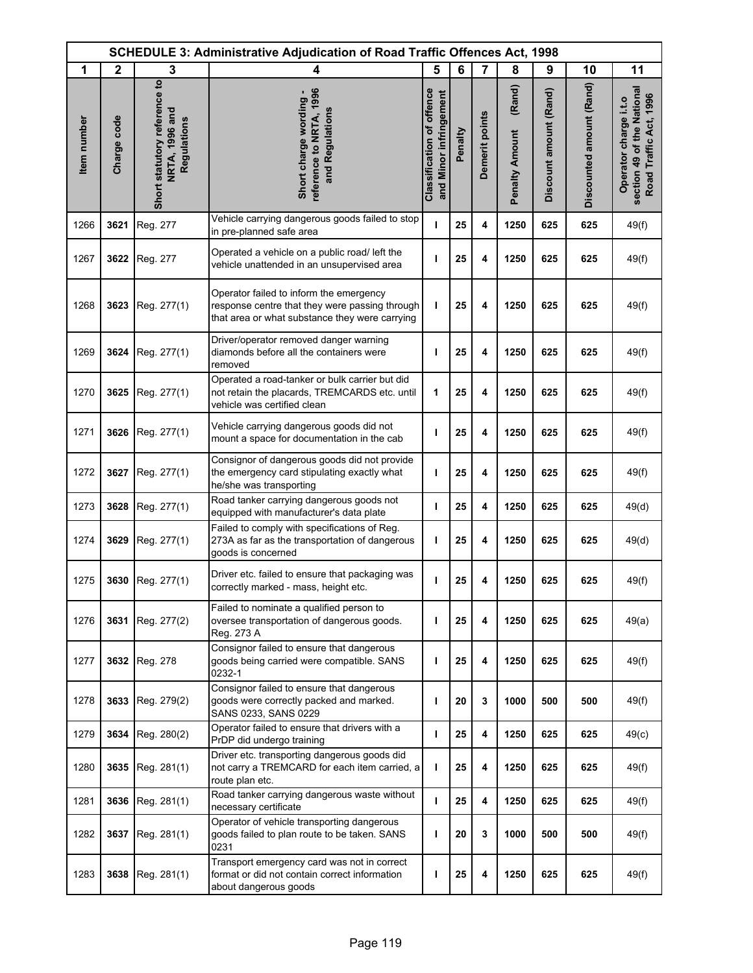|             | <b>SCHEDULE 3: Administrative Adjudication of Road Traffic Offences Act, 1998</b> |                                                               |                                                                                                                                             |                                                            |         |                |                                 |                        |                          |                                                                               |
|-------------|-----------------------------------------------------------------------------------|---------------------------------------------------------------|---------------------------------------------------------------------------------------------------------------------------------------------|------------------------------------------------------------|---------|----------------|---------------------------------|------------------------|--------------------------|-------------------------------------------------------------------------------|
| 1           | $\mathbf{2}$                                                                      | 3                                                             | 4                                                                                                                                           | 5                                                          | 6       | 7              | 8                               | 9                      | 10                       | 11                                                                            |
| Item number | Charge code                                                                       | Short statutory reference to<br>NRTA, 1996 and<br>Regulations | reference to NRTA, 1996<br>Short charge wording -<br>and Regulations                                                                        | <b>Classification of offence</b><br>and Minor infringement | Penalty | Demerit points | (Rand)<br><b>Penalty Amount</b> | Discount amount (Rand) | Discounted amount (Rand) | section 49 of the National<br>Road Traffic Act, 1996<br>Operator charge i.t.o |
| 1266        | 3621                                                                              | Reg. 277                                                      | Vehicle carrying dangerous goods failed to stop<br>in pre-planned safe area                                                                 | т                                                          | 25      | 4              | 1250                            | 625                    | 625                      | 49(f)                                                                         |
| 1267        | 3622                                                                              | Reg. 277                                                      | Operated a vehicle on a public road/ left the<br>vehicle unattended in an unsupervised area                                                 | ı                                                          | 25      | 4              | 1250                            | 625                    | 625                      | 49(f)                                                                         |
| 1268        | 3623                                                                              | Reg. 277(1)                                                   | Operator failed to inform the emergency<br>response centre that they were passing through<br>that area or what substance they were carrying | т                                                          | 25      | 4              | 1250                            | 625                    | 625                      | 49(f)                                                                         |
| 1269        | 3624                                                                              | Reg. 277(1)                                                   | Driver/operator removed danger warning<br>diamonds before all the containers were<br>removed                                                | ı                                                          | 25      | 4              | 1250                            | 625                    | 625                      | 49(f)                                                                         |
| 1270        | 3625                                                                              | Reg. 277(1)                                                   | Operated a road-tanker or bulk carrier but did<br>not retain the placards, TREMCARDS etc. until<br>vehicle was certified clean              | 1                                                          | 25      | 4              | 1250                            | 625                    | 625                      | 49(f)                                                                         |
| 1271        | 3626                                                                              | Reg. 277(1)                                                   | Vehicle carrying dangerous goods did not<br>mount a space for documentation in the cab                                                      | T                                                          | 25      | 4              | 1250                            | 625                    | 625                      | 49(f)                                                                         |
| 1272        | 3627                                                                              | Reg. 277(1)                                                   | Consignor of dangerous goods did not provide<br>the emergency card stipulating exactly what<br>he/she was transporting                      | т                                                          | 25      | 4              | 1250                            | 625                    | 625                      | 49(f)                                                                         |
| 1273        | 3628                                                                              | Reg. 277(1)                                                   | Road tanker carrying dangerous goods not<br>equipped with manufacturer's data plate                                                         | J.                                                         | 25      | 4              | 1250                            | 625                    | 625                      | 49(d)                                                                         |
| 1274        | 3629                                                                              | Reg. 277(1)                                                   | Failed to comply with specifications of Reg.<br>273A as far as the transportation of dangerous<br>goods is concerned                        | ı                                                          | 25      | 4              | 1250                            | 625                    | 625                      | 49(d)                                                                         |
| 1275        | 3630                                                                              | Reg. 277(1)                                                   | Driver etc. failed to ensure that packaging was<br>correctly marked - mass, height etc.                                                     | т                                                          | 25      | 4              | 1250                            | 625                    | 625                      | 49(f)                                                                         |
| 1276        | 3631                                                                              | Reg. 277(2)                                                   | Failed to nominate a qualified person to<br>oversee transportation of dangerous goods.<br>Reg. 273 A                                        | ı                                                          | 25      | 4              | 1250                            | 625                    | 625                      | 49(a)                                                                         |
| 1277        | 3632                                                                              | Reg. 278                                                      | Consignor failed to ensure that dangerous<br>goods being carried were compatible. SANS<br>0232-1                                            | ı                                                          | 25      | 4              | 1250                            | 625                    | 625                      | 49(f)                                                                         |
| 1278        | 3633                                                                              | Reg. 279(2)                                                   | Consignor failed to ensure that dangerous<br>goods were correctly packed and marked.<br>SANS 0233, SANS 0229                                | ı                                                          | 20      | 3              | 1000                            | 500                    | 500                      | 49(f)                                                                         |
| 1279        | 3634                                                                              | Reg. 280(2)                                                   | Operator failed to ensure that drivers with a<br>PrDP did undergo training                                                                  | J.                                                         | 25      | 4              | 1250                            | 625                    | 625                      | 49(c)                                                                         |
| 1280        | 3635                                                                              | Reg. 281(1)                                                   | Driver etc. transporting dangerous goods did<br>not carry a TREMCARD for each item carried, a<br>route plan etc.                            | т                                                          | 25      | 4              | 1250                            | 625                    | 625                      | 49(f)                                                                         |
| 1281        | 3636                                                                              | Reg. 281(1)                                                   | Road tanker carrying dangerous waste without<br>necessary certificate                                                                       | I.                                                         | 25      | 4              | 1250                            | 625                    | 625                      | 49(f)                                                                         |
| 1282        | 3637                                                                              | Reg. 281(1)                                                   | Operator of vehicle transporting dangerous<br>goods failed to plan route to be taken. SANS<br>0231                                          | ı                                                          | 20      | 3              | 1000                            | 500                    | 500                      | 49(f)                                                                         |
| 1283        | 3638                                                                              | Reg. 281(1)                                                   | Transport emergency card was not in correct<br>format or did not contain correct information<br>about dangerous goods                       | ı                                                          | 25      | 4              | 1250                            | 625                    | 625                      | 49(f)                                                                         |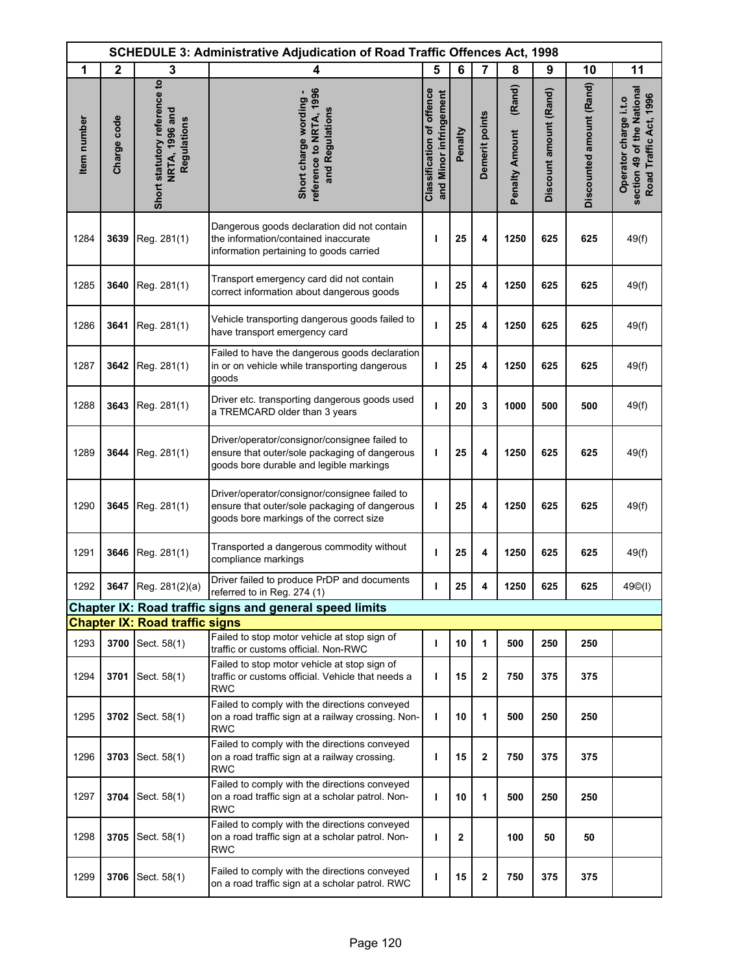| <b>SCHEDULE 3: Administrative Adjudication of Road Traffic Offences Act, 1998</b> |              |                                                               |                                                                                                                                           |                                                            |              |                         |                                 |                        |                          |                                                                               |
|-----------------------------------------------------------------------------------|--------------|---------------------------------------------------------------|-------------------------------------------------------------------------------------------------------------------------------------------|------------------------------------------------------------|--------------|-------------------------|---------------------------------|------------------------|--------------------------|-------------------------------------------------------------------------------|
| 1                                                                                 | $\mathbf{2}$ | 3                                                             | 4                                                                                                                                         | 5                                                          | 6            | $\overline{7}$          | 8                               | 9                      | 10                       | 11                                                                            |
| Item number                                                                       | Charge code  | Short statutory reference to<br>NRTA, 1996 and<br>Regulations | reference to NRTA, 1996<br>Short charge wording -<br>and Regulations                                                                      | <b>Classification of offence</b><br>and Minor infringement | Penalty      | Demerit points          | (Rand)<br><b>Penalty Amount</b> | Discount amount (Rand) | Discounted amount (Rand) | section 49 of the National<br>Road Traffic Act, 1996<br>Operator charge i.t.o |
| 1284                                                                              | 3639         | Reg. 281(1)                                                   | Dangerous goods declaration did not contain<br>the information/contained inaccurate<br>information pertaining to goods carried            | ı                                                          | 25           | 4                       | 1250                            | 625                    | 625                      | 49(f)                                                                         |
| 1285                                                                              | 3640         | Reg. 281(1)                                                   | Transport emergency card did not contain<br>correct information about dangerous goods                                                     | т                                                          | 25           | 4                       | 1250                            | 625                    | 625                      | 49(f)                                                                         |
| 1286                                                                              | 3641         | Reg. 281(1)                                                   | Vehicle transporting dangerous goods failed to<br>have transport emergency card                                                           | ı                                                          | 25           | 4                       | 1250                            | 625                    | 625                      | 49(f)                                                                         |
| 1287                                                                              | 3642         | Reg. 281(1)                                                   | Failed to have the dangerous goods declaration<br>in or on vehicle while transporting dangerous<br>goods                                  | ı                                                          | 25           | 4                       | 1250                            | 625                    | 625                      | 49(f)                                                                         |
| 1288                                                                              | 3643         | Reg. 281(1)                                                   | Driver etc. transporting dangerous goods used<br>a TREMCARD older than 3 years                                                            | I                                                          | 20           | 3                       | 1000                            | 500                    | 500                      | 49(f)                                                                         |
| 1289                                                                              | 3644         | Reg. 281(1)                                                   | Driver/operator/consignor/consignee failed to<br>ensure that outer/sole packaging of dangerous<br>goods bore durable and legible markings | ı                                                          | 25           | 4                       | 1250                            | 625                    | 625                      | 49(f)                                                                         |
| 1290                                                                              | 3645         | Reg. 281(1)                                                   | Driver/operator/consignor/consignee failed to<br>ensure that outer/sole packaging of dangerous<br>goods bore markings of the correct size | ı                                                          | 25           | 4                       | 1250                            | 625                    | 625                      | 49(f)                                                                         |
| 1291                                                                              | 3646         | Reg. 281(1)                                                   | Transported a dangerous commodity without<br>compliance markings                                                                          | ı                                                          | 25           | 4                       | 1250                            | 625                    | 625                      | 49(f)                                                                         |
| 1292                                                                              | 3647         | Reg. 281(2)(a)                                                | Driver failed to produce PrDP and documents<br>referred to in Reg. 274 (1)                                                                | ı                                                          | 25           | 4                       | 1250                            | 625                    | 625                      | 49©(I)                                                                        |
|                                                                                   |              |                                                               | <b>Chapter IX: Road traffic signs and general speed limits</b>                                                                            |                                                            |              |                         |                                 |                        |                          |                                                                               |
|                                                                                   |              | <b>Chapter IX: Road traffic signs</b>                         |                                                                                                                                           |                                                            |              |                         |                                 |                        |                          |                                                                               |
| 1293                                                                              | 3700         | Sect. 58(1)                                                   | Failed to stop motor vehicle at stop sign of<br>traffic or customs official. Non-RWC                                                      | T                                                          | 10           | 1                       | 500                             | 250                    | 250                      |                                                                               |
| 1294                                                                              | 3701         | Sect. 58(1)                                                   | Failed to stop motor vehicle at stop sign of<br>traffic or customs official. Vehicle that needs a<br><b>RWC</b>                           | т                                                          | 15           | $\mathbf 2$             | 750                             | 375                    | 375                      |                                                                               |
| 1295                                                                              | 3702         | Sect. 58(1)                                                   | Failed to comply with the directions conveyed<br>on a road traffic sign at a railway crossing. Non-<br><b>RWC</b>                         | т                                                          | 10           | 1                       | 500                             | 250                    | 250                      |                                                                               |
| 1296                                                                              | 3703         | Sect. 58(1)                                                   | Failed to comply with the directions conveyed<br>on a road traffic sign at a railway crossing.<br><b>RWC</b>                              | ı                                                          | 15           | 2                       | 750                             | 375                    | 375                      |                                                                               |
| 1297                                                                              | 3704         | Sect. 58(1)                                                   | Failed to comply with the directions conveyed<br>on a road traffic sign at a scholar patrol. Non-<br><b>RWC</b>                           | ı                                                          | 10           | 1                       | 500                             | 250                    | 250                      |                                                                               |
| 1298                                                                              | 3705         | Sect. 58(1)                                                   | Failed to comply with the directions conveyed<br>on a road traffic sign at a scholar patrol. Non-<br><b>RWC</b>                           | т                                                          | $\mathbf{2}$ |                         | 100                             | 50                     | 50                       |                                                                               |
| 1299                                                                              | 3706         | Sect. 58(1)                                                   | Failed to comply with the directions conveyed<br>on a road traffic sign at a scholar patrol. RWC                                          | ı                                                          | 15           | $\overline{\mathbf{2}}$ | 750                             | 375                    | 375                      |                                                                               |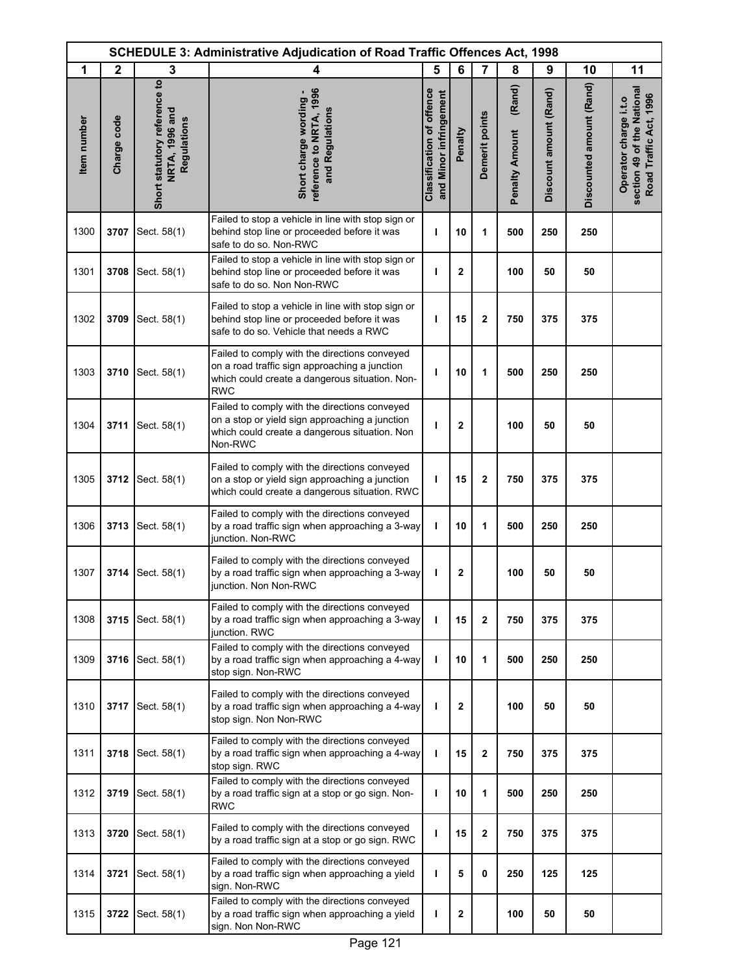|             | <b>SCHEDULE 3: Administrative Adjudication of Road Traffic Offences Act, 1998</b> |                                                               |                                                                                                                                                                |                                                     |             |                |                                 |                        |                          |                                                                               |  |
|-------------|-----------------------------------------------------------------------------------|---------------------------------------------------------------|----------------------------------------------------------------------------------------------------------------------------------------------------------------|-----------------------------------------------------|-------------|----------------|---------------------------------|------------------------|--------------------------|-------------------------------------------------------------------------------|--|
| 1           | $\mathbf{2}$                                                                      | 3                                                             | 4                                                                                                                                                              | 5                                                   | 6           | 7              | 8                               | 9                      | 10                       | 11                                                                            |  |
| Item number | Charge code                                                                       | Short statutory reference to<br>NRTA, 1996 and<br>Regulations | reference to NRTA, 1996<br>Short charge wording -<br>and Regulations                                                                                           | Classification of offence<br>and Minor infringement | Penalty     | Demerit points | (Rand)<br><b>Penalty Amount</b> | Discount amount (Rand) | Discounted amount (Rand) | section 49 of the National<br>Road Traffic Act, 1996<br>Operator charge i.t.o |  |
| 1300        | 3707                                                                              | Sect. 58(1)                                                   | Failed to stop a vehicle in line with stop sign or<br>behind stop line or proceeded before it was<br>safe to do so. Non-RWC                                    | ı                                                   | 10          | 1              | 500                             | 250                    | 250                      |                                                                               |  |
| 1301        | 3708                                                                              | Sect. 58(1)                                                   | Failed to stop a vehicle in line with stop sign or<br>behind stop line or proceeded before it was<br>safe to do so. Non Non-RWC                                | ı                                                   | $\mathbf 2$ |                | 100                             | 50                     | 50                       |                                                                               |  |
| 1302        | 3709                                                                              | Sect. 58(1)                                                   | Failed to stop a vehicle in line with stop sign or<br>behind stop line or proceeded before it was<br>safe to do so. Vehicle that needs a RWC                   | т                                                   | 15          | $\mathbf 2$    | 750                             | 375                    | 375                      |                                                                               |  |
| 1303        | 3710                                                                              | Sect. 58(1)                                                   | Failed to comply with the directions conveyed<br>on a road traffic sign approaching a junction<br>which could create a dangerous situation. Non-<br><b>RWC</b> | т                                                   | 10          | 1              | 500                             | 250                    | 250                      |                                                                               |  |
| 1304        | 3711                                                                              | Sect. 58(1)                                                   | Failed to comply with the directions conveyed<br>on a stop or yield sign approaching a junction<br>which could create a dangerous situation. Non<br>Non-RWC    | т                                                   | 2           |                | 100                             | 50                     | 50                       |                                                                               |  |
| 1305        | 3712                                                                              | Sect. 58(1)                                                   | Failed to comply with the directions conveyed<br>on a stop or yield sign approaching a junction<br>which could create a dangerous situation. RWC               | т                                                   | 15          | $\mathbf 2$    | 750                             | 375                    | 375                      |                                                                               |  |
| 1306        | 3713                                                                              | Sect. 58(1)                                                   | Failed to comply with the directions conveyed<br>by a road traffic sign when approaching a 3-way<br>junction. Non-RWC                                          | I.                                                  | 10          | 1              | 500                             | 250                    | 250                      |                                                                               |  |
| 1307        | 3714                                                                              | Sect. 58(1)                                                   | Failed to comply with the directions conveyed<br>by a road traffic sign when approaching a 3-way<br>junction. Non Non-RWC                                      | т                                                   | 2           |                | 100                             | 50                     | 50                       |                                                                               |  |
| 1308        | 3715                                                                              | Sect. 58(1)                                                   | Failed to comply with the directions conveyed<br>by a road traffic sign when approaching a 3-way<br>junction. RWC                                              | т                                                   | 15          | $\mathbf{2}$   | 750                             | 375                    | 375                      |                                                                               |  |
| 1309        | 3716                                                                              | Sect. 58(1)                                                   | Failed to comply with the directions conveyed<br>by a road traffic sign when approaching a 4-way<br>stop sign. Non-RWC                                         | I.                                                  | 10          | 1              | 500                             | 250                    | 250                      |                                                                               |  |
| 1310        | 3717                                                                              | Sect. 58(1)                                                   | Failed to comply with the directions conveyed<br>by a road traffic sign when approaching a 4-way<br>stop sign. Non Non-RWC                                     | т                                                   | 2           |                | 100                             | 50                     | 50                       |                                                                               |  |
| 1311        | 3718                                                                              | Sect. 58(1)                                                   | Failed to comply with the directions conveyed<br>by a road traffic sign when approaching a 4-way<br>stop sign. RWC                                             | т                                                   | 15          | 2              | 750                             | 375                    | 375                      |                                                                               |  |
| 1312        | 3719                                                                              | Sect. 58(1)                                                   | Failed to comply with the directions conveyed<br>by a road traffic sign at a stop or go sign. Non-<br><b>RWC</b>                                               | т                                                   | 10          | 1              | 500                             | 250                    | 250                      |                                                                               |  |
| 1313        | 3720                                                                              | Sect. 58(1)                                                   | Failed to comply with the directions conveyed<br>by a road traffic sign at a stop or go sign. RWC                                                              | т                                                   | 15          | 2              | 750                             | 375                    | 375                      |                                                                               |  |
| 1314        | 3721                                                                              | Sect. 58(1)                                                   | Failed to comply with the directions conveyed<br>by a road traffic sign when approaching a yield<br>sign. Non-RWC                                              | т                                                   | 5           | 0              | 250                             | 125                    | 125                      |                                                                               |  |
| 1315        | 3722                                                                              | Sect. 58(1)                                                   | Failed to comply with the directions conveyed<br>by a road traffic sign when approaching a yield<br>sign. Non Non-RWC                                          | т                                                   | 2           |                | 100                             | 50                     | 50                       |                                                                               |  |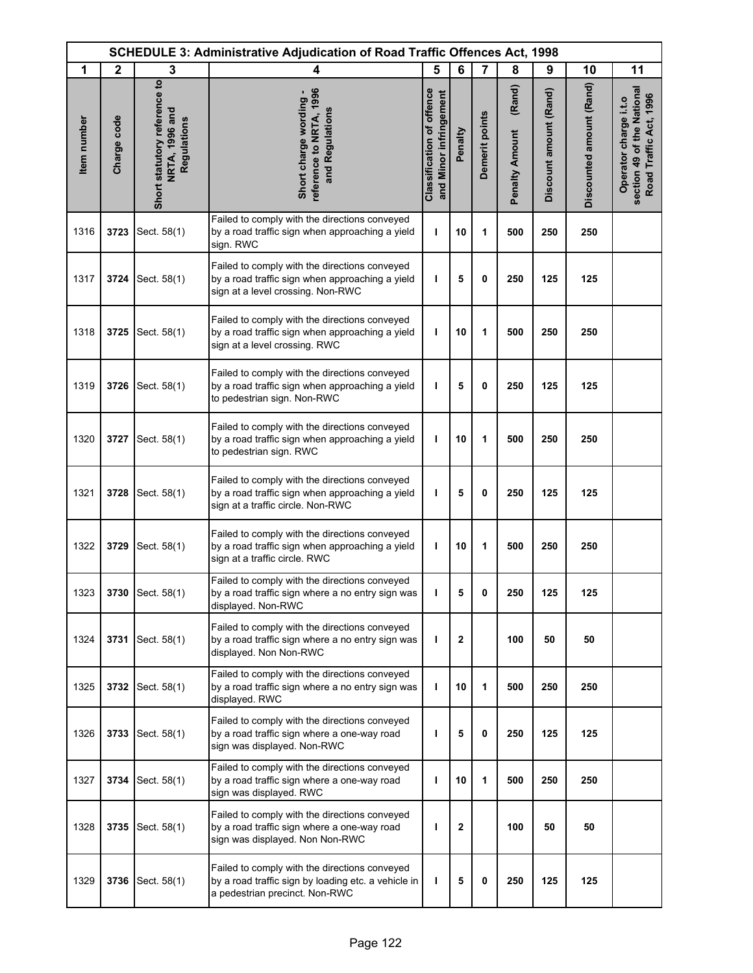| <b>SCHEDULE 3: Administrative Adjudication of Road Traffic Offences Act, 1998</b> |              |                                                               |                                                                                                                                        |                                                            |         |                |                                 |                        |                          |                                                                               |
|-----------------------------------------------------------------------------------|--------------|---------------------------------------------------------------|----------------------------------------------------------------------------------------------------------------------------------------|------------------------------------------------------------|---------|----------------|---------------------------------|------------------------|--------------------------|-------------------------------------------------------------------------------|
| 1                                                                                 | $\mathbf{2}$ | 3                                                             | 4                                                                                                                                      | 5                                                          | 6       | $\overline{7}$ | 8                               | 9                      | 10                       | 11                                                                            |
| Item number                                                                       | Charge code  | Short statutory reference to<br>NRTA, 1996 and<br>Regulations | reference to NRTA, 1996<br>Short charge wording -<br>and Regulations                                                                   | <b>Classification of offence</b><br>and Minor infringement | Penalty | Demerit points | (Rand)<br><b>Penalty Amount</b> | Discount amount (Rand) | Discounted amount (Rand) | section 49 of the National<br>Road Traffic Act, 1996<br>Operator charge i.t.o |
| 1316                                                                              | 3723         | Sect. 58(1)                                                   | Failed to comply with the directions conveyed<br>by a road traffic sign when approaching a yield<br>sign. RWC                          | T                                                          | 10      | 1              | 500                             | 250                    | 250                      |                                                                               |
| 1317                                                                              | 3724         | Sect. 58(1)                                                   | Failed to comply with the directions conveyed<br>by a road traffic sign when approaching a yield<br>sign at a level crossing. Non-RWC  | ı                                                          | 5       | 0              | 250                             | 125                    | 125                      |                                                                               |
| 1318                                                                              | 3725         | Sect. 58(1)                                                   | Failed to comply with the directions conveyed<br>by a road traffic sign when approaching a yield<br>sign at a level crossing. RWC      | ı                                                          | 10      | 1              | 500                             | 250                    | 250                      |                                                                               |
| 1319                                                                              | 3726         | Sect. 58(1)                                                   | Failed to comply with the directions conveyed<br>by a road traffic sign when approaching a yield<br>to pedestrian sign. Non-RWC        | ı                                                          | 5       | $\mathbf 0$    | 250                             | 125                    | 125                      |                                                                               |
| 1320                                                                              | 3727         | Sect. 58(1)                                                   | Failed to comply with the directions conveyed<br>by a road traffic sign when approaching a yield<br>to pedestrian sign. RWC            | ı                                                          | 10      | 1              | 500                             | 250                    | 250                      |                                                                               |
| 1321                                                                              | 3728         | Sect. 58(1)                                                   | Failed to comply with the directions conveyed<br>by a road traffic sign when approaching a yield<br>sign at a traffic circle. Non-RWC  | ı                                                          | 5       | 0              | 250                             | 125                    | 125                      |                                                                               |
| 1322                                                                              | 3729         | Sect. 58(1)                                                   | Failed to comply with the directions conveyed<br>by a road traffic sign when approaching a yield<br>sign at a traffic circle. RWC      | ı                                                          | 10      | 1              | 500                             | 250                    | 250                      |                                                                               |
| 1323                                                                              | 3730         | Sect. 58(1)                                                   | Failed to comply with the directions conveyed<br>by a road traffic sign where a no entry sign was<br>displayed. Non-RWC                |                                                            | 5       | <sup>0</sup>   | 250                             | 125                    | 125                      |                                                                               |
| 1324                                                                              | 3731         | Sect. 58(1)                                                   | Failed to comply with the directions conveyed<br>by a road traffic sign where a no entry sign was<br>displayed. Non Non-RWC            | т                                                          | 2       |                | 100                             | 50                     | 50                       |                                                                               |
| 1325                                                                              | 3732         | Sect. 58(1)                                                   | Failed to comply with the directions conveyed<br>by a road traffic sign where a no entry sign was<br>displayed. RWC                    | т                                                          | 10      | 1              | 500                             | 250                    | 250                      |                                                                               |
| 1326                                                                              | 3733         | Sect. 58(1)                                                   | Failed to comply with the directions conveyed<br>by a road traffic sign where a one-way road<br>sign was displayed. Non-RWC            | ı                                                          | 5       | 0              | 250                             | 125                    | 125                      |                                                                               |
| 1327                                                                              | 3734         | Sect. 58(1)                                                   | Failed to comply with the directions conveyed<br>by a road traffic sign where a one-way road<br>sign was displayed. RWC                | ı                                                          | 10      | 1              | 500                             | 250                    | 250                      |                                                                               |
| 1328                                                                              | 3735         | Sect. 58(1)                                                   | Failed to comply with the directions conveyed<br>by a road traffic sign where a one-way road<br>sign was displayed. Non Non-RWC        | ı                                                          | 2       |                | 100                             | 50                     | 50                       |                                                                               |
| 1329                                                                              | 3736         | Sect. 58(1)                                                   | Failed to comply with the directions conveyed<br>by a road traffic sign by loading etc. a vehicle in<br>a pedestrian precinct. Non-RWC | ı                                                          | 5       | 0              | 250                             | 125                    | 125                      |                                                                               |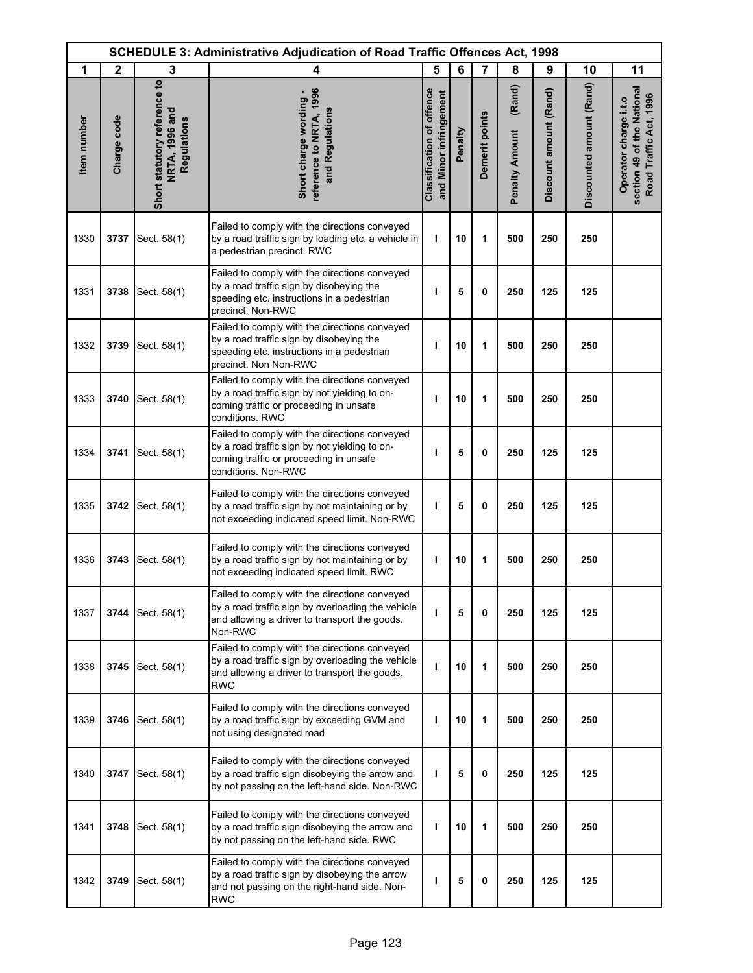| <b>SCHEDULE 3: Administrative Adjudication of Road Traffic Offences Act, 1998</b> |              |                                                               |                                                                                                                                                                   |                                                            |         |                |                                 |                        |                          |                                                                               |
|-----------------------------------------------------------------------------------|--------------|---------------------------------------------------------------|-------------------------------------------------------------------------------------------------------------------------------------------------------------------|------------------------------------------------------------|---------|----------------|---------------------------------|------------------------|--------------------------|-------------------------------------------------------------------------------|
| 1                                                                                 | $\mathbf{2}$ | 3                                                             | 4                                                                                                                                                                 | 5                                                          | 6       | $\overline{7}$ | 8                               | 9                      | 10                       | 11                                                                            |
| Item number                                                                       | Charge code  | Short statutory reference to<br>NRTA, 1996 and<br>Regulations | reference to NRTA, 1996<br>Short charge wording -<br>and Regulations                                                                                              | <b>Classification of offence</b><br>and Minor infringement | Penalty | Demerit points | (Rand)<br><b>Penalty Amount</b> | Discount amount (Rand) | Discounted amount (Rand) | section 49 of the National<br>Road Traffic Act, 1996<br>Operator charge i.t.o |
| 1330                                                                              | 3737         | Sect. 58(1)                                                   | Failed to comply with the directions conveyed<br>by a road traffic sign by loading etc. a vehicle in<br>a pedestrian precinct. RWC                                | ı                                                          | 10      | 1              | 500                             | 250                    | 250                      |                                                                               |
| 1331                                                                              | 3738         | Sect. 58(1)                                                   | Failed to comply with the directions conveyed<br>by a road traffic sign by disobeying the<br>speeding etc. instructions in a pedestrian<br>precinct. Non-RWC      | ı                                                          | 5       | 0              | 250                             | 125                    | 125                      |                                                                               |
| 1332                                                                              | 3739         | Sect. 58(1)                                                   | Failed to comply with the directions conveyed<br>by a road traffic sign by disobeying the<br>speeding etc. instructions in a pedestrian<br>precinct. Non Non-RWC  | ı                                                          | 10      | 1              | 500                             | 250                    | 250                      |                                                                               |
| 1333                                                                              | 3740         | Sect. 58(1)                                                   | Failed to comply with the directions conveyed<br>by a road traffic sign by not yielding to on-<br>coming traffic or proceeding in unsafe<br>conditions. RWC       | ı                                                          | 10      | 1              | 500                             | 250                    | 250                      |                                                                               |
| 1334                                                                              | 3741         | Sect. 58(1)                                                   | Failed to comply with the directions conveyed<br>by a road traffic sign by not yielding to on-<br>coming traffic or proceeding in unsafe<br>conditions. Non-RWC   | ı                                                          | 5       | 0              | 250                             | 125                    | 125                      |                                                                               |
| 1335                                                                              | 3742         | Sect. 58(1)                                                   | Failed to comply with the directions conveyed<br>by a road traffic sign by not maintaining or by<br>not exceeding indicated speed limit. Non-RWC                  | ı                                                          | 5       | $\mathbf 0$    | 250                             | 125                    | 125                      |                                                                               |
| 1336                                                                              | 3743         | Sect. 58(1)                                                   | Failed to comply with the directions conveyed<br>by a road traffic sign by not maintaining or by<br>not exceeding indicated speed limit. RWC                      | т                                                          | 10      | 1              | 500                             | 250                    | 250                      |                                                                               |
| 1337                                                                              | 3744         | Sect. 58(1)                                                   | Failed to comply with the directions conveyed<br>by a road traffic sign by overloading the vehicle<br>and allowing a driver to transport the goods.<br>Non-RWC    | т                                                          | 5       | 0              | 250                             | 125                    | 125                      |                                                                               |
| 1338                                                                              | 3745         | Sect. 58(1)                                                   | Failed to comply with the directions conveyed<br>by a road traffic sign by overloading the vehicle<br>and allowing a driver to transport the goods.<br><b>RWC</b> | T                                                          | 10      | 1              | 500                             | 250                    | 250                      |                                                                               |
| 1339                                                                              | 3746         | Sect. 58(1)                                                   | Failed to comply with the directions conveyed<br>by a road traffic sign by exceeding GVM and<br>not using designated road                                         | т                                                          | 10      | 1              | 500                             | 250                    | 250                      |                                                                               |
| 1340                                                                              | 3747         | Sect. 58(1)                                                   | Failed to comply with the directions conveyed<br>by a road traffic sign disobeying the arrow and<br>by not passing on the left-hand side. Non-RWC                 | т                                                          | 5       | 0              | 250                             | 125                    | 125                      |                                                                               |
| 1341                                                                              | 3748         | Sect. 58(1)                                                   | Failed to comply with the directions conveyed<br>by a road traffic sign disobeying the arrow and<br>by not passing on the left-hand side. RWC                     | T                                                          | 10      | 1              | 500                             | 250                    | 250                      |                                                                               |
| 1342                                                                              | 3749         | Sect. 58(1)                                                   | Failed to comply with the directions conveyed<br>by a road traffic sign by disobeying the arrow<br>and not passing on the right-hand side. Non-<br><b>RWC</b>     | ı                                                          | 5       | 0              | 250                             | 125                    | 125                      |                                                                               |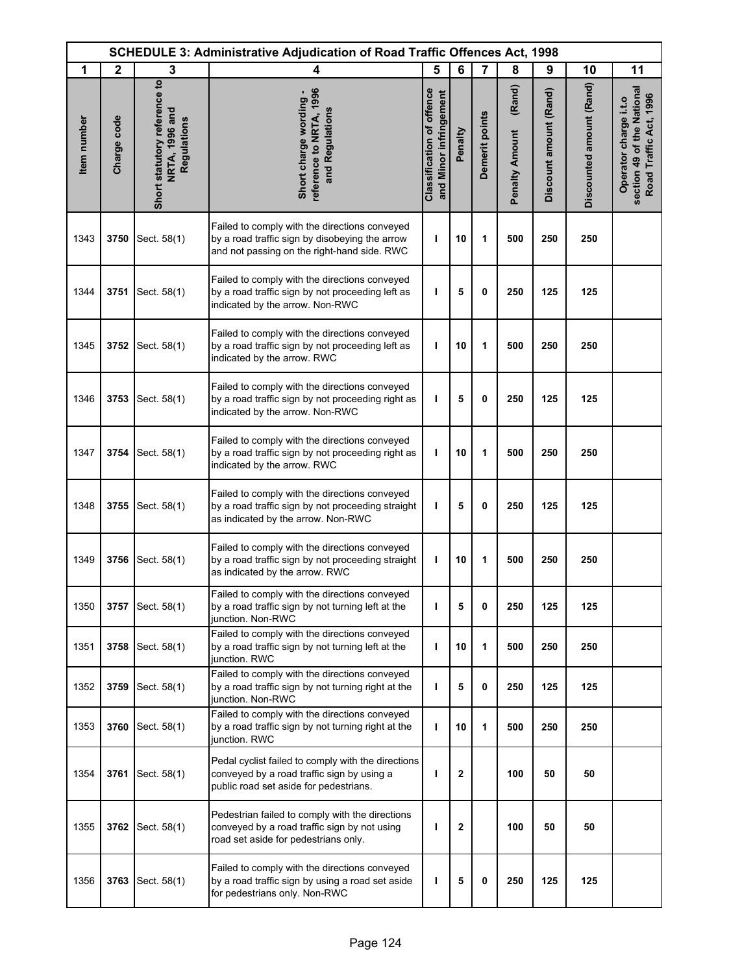|             | <b>SCHEDULE 3: Administrative Adjudication of Road Traffic Offences Act, 1998</b> |                                                               |                                                                                                                                                |                                                            |         |                |                                 |                        |                          |                                                                               |
|-------------|-----------------------------------------------------------------------------------|---------------------------------------------------------------|------------------------------------------------------------------------------------------------------------------------------------------------|------------------------------------------------------------|---------|----------------|---------------------------------|------------------------|--------------------------|-------------------------------------------------------------------------------|
| 1           | $\mathbf{2}$                                                                      | 3                                                             | 4                                                                                                                                              | 5                                                          | 6       | 7              | 8                               | 9                      | 10                       | 11                                                                            |
| Item number | Charge code                                                                       | Short statutory reference to<br>NRTA, 1996 and<br>Regulations | reference to NRTA, 1996<br>Short charge wording -<br>and Regulations                                                                           | <b>Classification of offence</b><br>and Minor infringement | Penalty | Demerit points | (Rand)<br><b>Penalty Amount</b> | Discount amount (Rand) | Discounted amount (Rand) | section 49 of the National<br>Road Traffic Act, 1996<br>Operator charge i.t.o |
| 1343        | 3750                                                                              | Sect. 58(1)                                                   | Failed to comply with the directions conveyed<br>by a road traffic sign by disobeying the arrow<br>and not passing on the right-hand side. RWC | ı                                                          | 10      | 1              | 500                             | 250                    | 250                      |                                                                               |
| 1344        | 3751                                                                              | Sect. 58(1)                                                   | Failed to comply with the directions conveyed<br>by a road traffic sign by not proceeding left as<br>indicated by the arrow. Non-RWC           | ı                                                          | 5       | 0              | 250                             | 125                    | 125                      |                                                                               |
| 1345        | 3752                                                                              | Sect. 58(1)                                                   | Failed to comply with the directions conveyed<br>by a road traffic sign by not proceeding left as<br>indicated by the arrow. RWC               | т                                                          | 10      | 1              | 500                             | 250                    | 250                      |                                                                               |
| 1346        | 3753                                                                              | Sect. 58(1)                                                   | Failed to comply with the directions conveyed<br>by a road traffic sign by not proceeding right as<br>indicated by the arrow. Non-RWC          | т                                                          | 5       | 0              | 250                             | 125                    | 125                      |                                                                               |
| 1347        | 3754                                                                              | Sect. 58(1)                                                   | Failed to comply with the directions conveyed<br>by a road traffic sign by not proceeding right as<br>indicated by the arrow. RWC              | ı                                                          | 10      | 1              | 500                             | 250                    | 250                      |                                                                               |
| 1348        | 3755                                                                              | Sect. 58(1)                                                   | Failed to comply with the directions conveyed<br>by a road traffic sign by not proceeding straight<br>as indicated by the arrow. Non-RWC       | т                                                          | 5       | $\mathbf 0$    | 250                             | 125                    | 125                      |                                                                               |
| 1349        | 3756                                                                              | Sect. 58(1)                                                   | Failed to comply with the directions conveyed<br>by a road traffic sign by not proceeding straight<br>as indicated by the arrow. RWC           | ı                                                          | 10      | 1              | 500                             | 250                    | 250                      |                                                                               |
| 1350        | 3757                                                                              | Sect. 58(1)                                                   | Failed to comply with the directions conveyed<br>by a road traffic sign by not turning left at the<br>iunction. Non-RWC                        | T                                                          | 5       | 0              | 250                             | 125                    | 125                      |                                                                               |
| 1351        | 3758                                                                              | Sect. 58(1)                                                   | Failed to comply with the directions conveyed<br>by a road traffic sign by not turning left at the<br>junction. RWC                            | ı                                                          | 10      | 1              | 500                             | 250                    | 250                      |                                                                               |
| 1352        | 3759                                                                              | Sect. 58(1)                                                   | Failed to comply with the directions conveyed<br>by a road traffic sign by not turning right at the<br>junction. Non-RWC                       | т                                                          | 5       | 0              | 250                             | 125                    | 125                      |                                                                               |
| 1353        | 3760                                                                              | Sect. 58(1)                                                   | Failed to comply with the directions conveyed<br>by a road traffic sign by not turning right at the<br>junction. RWC                           | T                                                          | 10      | 1              | 500                             | 250                    | 250                      |                                                                               |
| 1354        | 3761                                                                              | Sect. 58(1)                                                   | Pedal cyclist failed to comply with the directions<br>conveyed by a road traffic sign by using a<br>public road set aside for pedestrians.     | ı                                                          | 2       |                | 100                             | 50                     | 50                       |                                                                               |
| 1355        | 3762                                                                              | Sect. 58(1)                                                   | Pedestrian failed to comply with the directions<br>conveyed by a road traffic sign by not using<br>road set aside for pedestrians only.        | J.                                                         | 2       |                | 100                             | 50                     | 50                       |                                                                               |
| 1356        | 3763                                                                              | Sect. 58(1)                                                   | Failed to comply with the directions conveyed<br>by a road traffic sign by using a road set aside<br>for pedestrians only. Non-RWC             | ı                                                          | 5       | 0              | 250                             | 125                    | 125                      |                                                                               |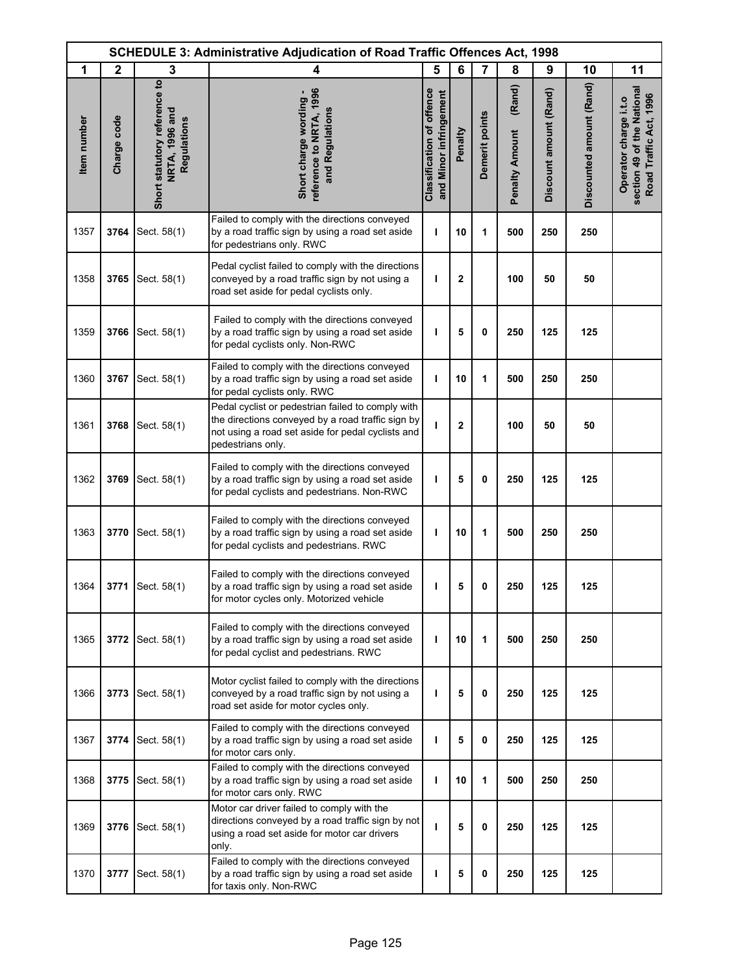| <b>SCHEDULE 3: Administrative Adjudication of Road Traffic Offences Act, 1998</b> |              |                                                               |                                                                                                                                                                                  |                                                            |              |                |                                 |                        |                          |                                                                               |
|-----------------------------------------------------------------------------------|--------------|---------------------------------------------------------------|----------------------------------------------------------------------------------------------------------------------------------------------------------------------------------|------------------------------------------------------------|--------------|----------------|---------------------------------|------------------------|--------------------------|-------------------------------------------------------------------------------|
| 1                                                                                 | $\mathbf{2}$ | 3                                                             | 4                                                                                                                                                                                | 5                                                          | 6            | 7              | 8                               | 9                      | 10                       | 11                                                                            |
| Item number                                                                       | Charge code  | Short statutory reference to<br>NRTA, 1996 and<br>Regulations | reference to NRTA, 1996<br>Short charge wording -<br>and Regulations                                                                                                             | <b>Classification of offence</b><br>and Minor infringement | Penalty      | Demerit points | (Rand)<br><b>Penalty Amount</b> | Discount amount (Rand) | Discounted amount (Rand) | section 49 of the National<br>Road Traffic Act, 1996<br>Operator charge i.t.o |
| 1357                                                                              | 3764         | Sect. 58(1)                                                   | Failed to comply with the directions conveyed<br>by a road traffic sign by using a road set aside<br>for pedestrians only. RWC                                                   | ı                                                          | 10           | 1              | 500                             | 250                    | 250                      |                                                                               |
| 1358                                                                              | 3765         | Sect. 58(1)                                                   | Pedal cyclist failed to comply with the directions<br>conveyed by a road traffic sign by not using a<br>road set aside for pedal cyclists only.                                  | ı                                                          | $\mathbf{2}$ |                | 100                             | 50                     | 50                       |                                                                               |
| 1359                                                                              | 3766         | Sect. 58(1)                                                   | Failed to comply with the directions conveyed<br>by a road traffic sign by using a road set aside<br>for pedal cyclists only. Non-RWC                                            | ı                                                          | 5            | 0              | 250                             | 125                    | 125                      |                                                                               |
| 1360                                                                              | 3767         | Sect. 58(1)                                                   | Failed to comply with the directions conveyed<br>by a road traffic sign by using a road set aside<br>for pedal cyclists only. RWC                                                | T                                                          | 10           | 1              | 500                             | 250                    | 250                      |                                                                               |
| 1361                                                                              | 3768         | Sect. 58(1)                                                   | Pedal cyclist or pedestrian failed to comply with<br>the directions conveyed by a road traffic sign by<br>not using a road set aside for pedal cyclists and<br>pedestrians only. | $\mathbf{I}$                                               | $\mathbf{2}$ |                | 100                             | 50                     | 50                       |                                                                               |
| 1362                                                                              | 3769         | Sect. 58(1)                                                   | Failed to comply with the directions conveyed<br>by a road traffic sign by using a road set aside<br>for pedal cyclists and pedestrians. Non-RWC                                 | ı                                                          | 5            | 0              | 250                             | 125                    | 125                      |                                                                               |
| 1363                                                                              | 3770         | Sect. 58(1)                                                   | Failed to comply with the directions conveyed<br>by a road traffic sign by using a road set aside<br>for pedal cyclists and pedestrians. RWC                                     | T                                                          | 10           | 1              | 500                             | 250                    | 250                      |                                                                               |
| 1364                                                                              | 3771         | Sect. 58(1)                                                   | Failed to comply with the directions conveyed<br>by a road traffic sign by using a road set aside<br>for motor cycles only. Motorized vehicle                                    | ı                                                          | 5            | 0              | 250                             | 125                    | 125                      |                                                                               |
| 1365                                                                              | 3772         | Sect. 58(1)                                                   | Failed to comply with the directions conveyed<br>by a road traffic sign by using a road set aside<br>for pedal cyclist and pedestrians. RWC                                      | ı                                                          | 10           | 1              | 500                             | 250                    | 250                      |                                                                               |
| 1366                                                                              | 3773         | Sect. 58(1)                                                   | Motor cyclist failed to comply with the directions<br>conveyed by a road traffic sign by not using a<br>road set aside for motor cycles only.                                    | т                                                          | 5            | 0              | 250                             | 125                    | 125                      |                                                                               |
| 1367                                                                              | 3774         | Sect. 58(1)                                                   | Failed to comply with the directions conveyed<br>by a road traffic sign by using a road set aside<br>for motor cars only.                                                        | ı                                                          | 5            | 0              | 250                             | 125                    | 125                      |                                                                               |
| 1368                                                                              | 3775         | Sect. 58(1)                                                   | Failed to comply with the directions conveyed<br>by a road traffic sign by using a road set aside<br>for motor cars only. RWC                                                    | т                                                          | 10           | 1              | 500                             | 250                    | 250                      |                                                                               |
| 1369                                                                              | 3776         | Sect. 58(1)                                                   | Motor car driver failed to comply with the<br>directions conveyed by a road traffic sign by not<br>using a road set aside for motor car drivers<br>only.                         | T                                                          | 5            | 0              | 250                             | 125                    | 125                      |                                                                               |
| 1370                                                                              | 3777         | Sect. 58(1)                                                   | Failed to comply with the directions conveyed<br>by a road traffic sign by using a road set aside<br>for taxis only. Non-RWC                                                     | ı                                                          | 5            | 0              | 250                             | 125                    | 125                      |                                                                               |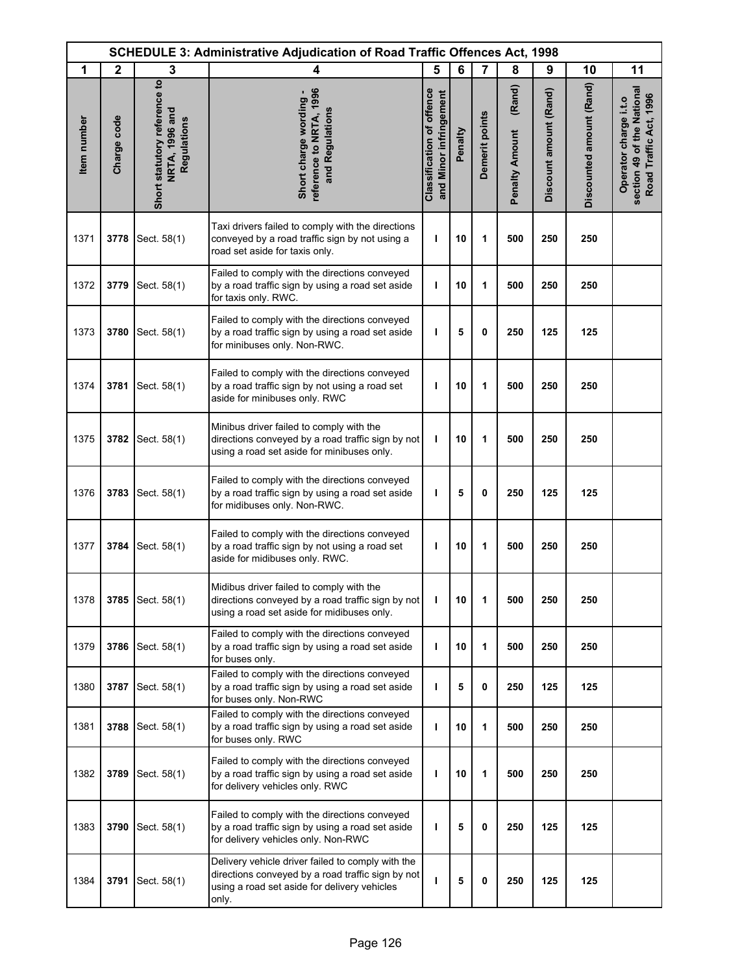| <b>SCHEDULE 3: Administrative Adjudication of Road Traffic Offences Act, 1998</b> |              |                                                               |                                                                                                                                                                 |                                                            |         |                |                                 |                        |                          |                                                                               |
|-----------------------------------------------------------------------------------|--------------|---------------------------------------------------------------|-----------------------------------------------------------------------------------------------------------------------------------------------------------------|------------------------------------------------------------|---------|----------------|---------------------------------|------------------------|--------------------------|-------------------------------------------------------------------------------|
| 1                                                                                 | $\mathbf{2}$ | 3                                                             | 4                                                                                                                                                               | 5                                                          | 6       | $\overline{7}$ | 8                               | 9                      | 10                       | 11                                                                            |
| Item number                                                                       | Charge code  | Short statutory reference to<br>NRTA, 1996 and<br>Regulations | reference to NRTA, 1996<br>Short charge wording -<br>and Regulations                                                                                            | <b>Classification of offence</b><br>and Minor infringement | Penalty | Demerit points | (Rand)<br><b>Penalty Amount</b> | Discount amount (Rand) | Discounted amount (Rand) | section 49 of the National<br>Road Traffic Act, 1996<br>Operator charge i.t.o |
| 1371                                                                              | 3778         | Sect. 58(1)                                                   | Taxi drivers failed to comply with the directions<br>conveyed by a road traffic sign by not using a<br>road set aside for taxis only.                           | T                                                          | 10      | 1              | 500                             | 250                    | 250                      |                                                                               |
| 1372                                                                              | 3779         | Sect. 58(1)                                                   | Failed to comply with the directions conveyed<br>by a road traffic sign by using a road set aside<br>for taxis only. RWC.                                       | T                                                          | 10      | 1              | 500                             | 250                    | 250                      |                                                                               |
| 1373                                                                              | 3780         | Sect. 58(1)                                                   | Failed to comply with the directions conveyed<br>by a road traffic sign by using a road set aside<br>for minibuses only. Non-RWC.                               | T                                                          | 5       | 0              | 250                             | 125                    | 125                      |                                                                               |
| 1374                                                                              | 3781         | Sect. 58(1)                                                   | Failed to comply with the directions conveyed<br>by a road traffic sign by not using a road set<br>aside for minibuses only. RWC                                | ı                                                          | 10      | 1              | 500                             | 250                    | 250                      |                                                                               |
| 1375                                                                              | 3782         | Sect. 58(1)                                                   | Minibus driver failed to comply with the<br>directions conveyed by a road traffic sign by not<br>using a road set aside for minibuses only.                     | ı                                                          | 10      | 1              | 500                             | 250                    | 250                      |                                                                               |
| 1376                                                                              | 3783         | Sect. 58(1)                                                   | Failed to comply with the directions conveyed<br>by a road traffic sign by using a road set aside<br>for midibuses only. Non-RWC.                               | ı                                                          | 5       | 0              | 250                             | 125                    | 125                      |                                                                               |
| 1377                                                                              | 3784         | Sect. 58(1)                                                   | Failed to comply with the directions conveyed<br>by a road traffic sign by not using a road set<br>aside for midibuses only. RWC.                               | ı                                                          | 10      | 1              | 500                             | 250                    | 250                      |                                                                               |
| 1378                                                                              |              | 3785 Sect. 58(1)                                              | Midibus driver failed to comply with the<br>directions conveyed by a road traffic sign by not<br>using a road set aside for midibuses only.                     | T                                                          | 10      | 1              | 500                             | 250                    | 250                      |                                                                               |
| 1379                                                                              | 3786         | Sect. 58(1)                                                   | Failed to comply with the directions conveyed<br>by a road traffic sign by using a road set aside<br>for buses only.                                            | т                                                          | 10      | 1              | 500                             | 250                    | 250                      |                                                                               |
| 1380                                                                              | 3787         | Sect. 58(1)                                                   | Failed to comply with the directions conveyed<br>by a road traffic sign by using a road set aside<br>for buses only. Non-RWC                                    | т                                                          | 5       | 0              | 250                             | 125                    | 125                      |                                                                               |
| 1381                                                                              | 3788         | Sect. 58(1)                                                   | Failed to comply with the directions conveyed<br>by a road traffic sign by using a road set aside<br>for buses only. RWC                                        | ı                                                          | 10      | 1              | 500                             | 250                    | 250                      |                                                                               |
| 1382                                                                              | 3789         | Sect. 58(1)                                                   | Failed to comply with the directions conveyed<br>by a road traffic sign by using a road set aside<br>for delivery vehicles only. RWC                            | ı                                                          | 10      | 1              | 500                             | 250                    | 250                      |                                                                               |
| 1383                                                                              | 3790         | Sect. 58(1)                                                   | Failed to comply with the directions conveyed<br>by a road traffic sign by using a road set aside<br>for delivery vehicles only. Non-RWC                        | ı                                                          | 5       | 0              | 250                             | 125                    | 125                      |                                                                               |
| 1384                                                                              | 3791         | Sect. 58(1)                                                   | Delivery vehicle driver failed to comply with the<br>directions conveyed by a road traffic sign by not<br>using a road set aside for delivery vehicles<br>only. | ı                                                          | 5       | 0              | 250                             | 125                    | 125                      |                                                                               |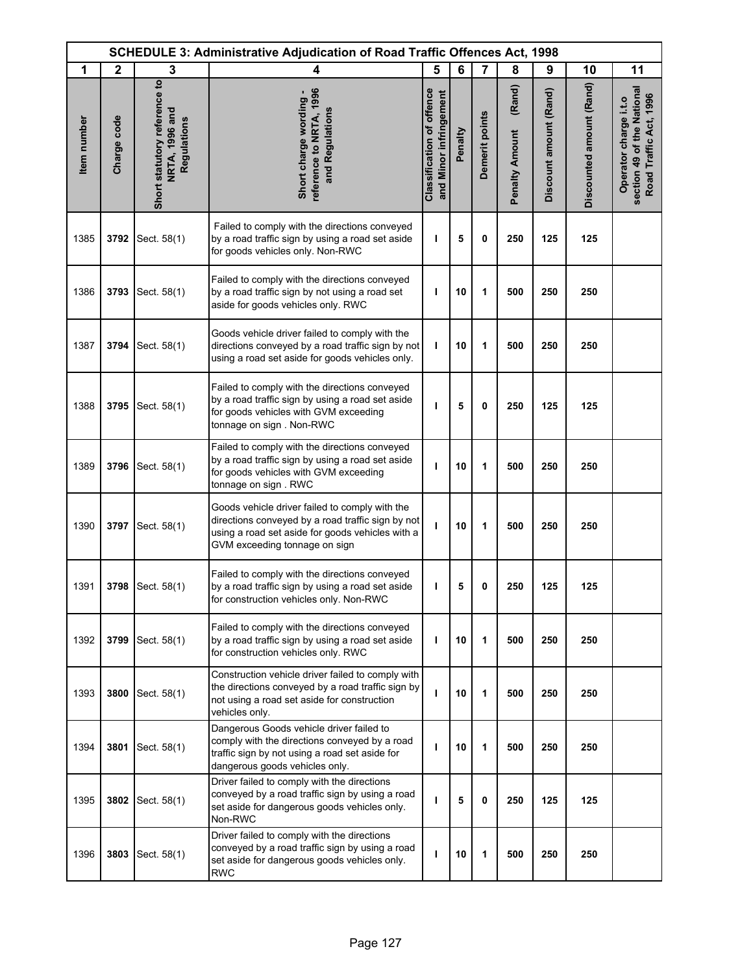| <b>SCHEDULE 3: Administrative Adjudication of Road Traffic Offences Act, 1998</b> |              |                                                               |                                                                                                                                                                                          |                                                            |         |                |                                 |                        |                          |                                                                               |
|-----------------------------------------------------------------------------------|--------------|---------------------------------------------------------------|------------------------------------------------------------------------------------------------------------------------------------------------------------------------------------------|------------------------------------------------------------|---------|----------------|---------------------------------|------------------------|--------------------------|-------------------------------------------------------------------------------|
| 1                                                                                 | $\mathbf{2}$ | 3                                                             | 4                                                                                                                                                                                        | 5                                                          | 6       | 7              | 8                               | 9                      | 10                       | 11                                                                            |
| Item number                                                                       | Charge code  | Short statutory reference to<br>NRTA, 1996 and<br>Regulations | reference to NRTA, 1996<br>Short charge wording -<br>and Regulations                                                                                                                     | <b>Classification of offence</b><br>and Minor infringement | Penalty | Demerit points | (Rand)<br><b>Penalty Amount</b> | Discount amount (Rand) | Discounted amount (Rand) | section 49 of the National<br>Road Traffic Act, 1996<br>Operator charge i.t.o |
| 1385                                                                              | 3792         | Sect. 58(1)                                                   | Failed to comply with the directions conveyed<br>by a road traffic sign by using a road set aside<br>for goods vehicles only. Non-RWC                                                    | J.                                                         | 5       | 0              | 250                             | 125                    | 125                      |                                                                               |
| 1386                                                                              | 3793         | Sect. 58(1)                                                   | Failed to comply with the directions conveyed<br>by a road traffic sign by not using a road set<br>aside for goods vehicles only. RWC                                                    | ı                                                          | 10      | 1              | 500                             | 250                    | 250                      |                                                                               |
| 1387                                                                              | 3794         | Sect. 58(1)                                                   | Goods vehicle driver failed to comply with the<br>directions conveyed by a road traffic sign by not<br>using a road set aside for goods vehicles only.                                   | ı                                                          | 10      | 1              | 500                             | 250                    | 250                      |                                                                               |
| 1388                                                                              | 3795         | Sect. 58(1)                                                   | Failed to comply with the directions conveyed<br>by a road traffic sign by using a road set aside<br>for goods vehicles with GVM exceeding<br>tonnage on sign . Non-RWC                  | т                                                          | 5       | 0              | 250                             | 125                    | 125                      |                                                                               |
| 1389                                                                              | 3796         | Sect. 58(1)                                                   | Failed to comply with the directions conveyed<br>by a road traffic sign by using a road set aside<br>for goods vehicles with GVM exceeding<br>tonnage on sign. RWC                       | ı                                                          | 10      | 1              | 500                             | 250                    | 250                      |                                                                               |
| 1390                                                                              | 3797         | Sect. 58(1)                                                   | Goods vehicle driver failed to comply with the<br>directions conveyed by a road traffic sign by not<br>using a road set aside for goods vehicles with a<br>GVM exceeding tonnage on sign | J.                                                         | 10      | 1              | 500                             | 250                    | 250                      |                                                                               |
| 1391                                                                              |              | 3798   Sect. 58(1)                                            | Failed to comply with the directions conveyed<br>by a road traffic sign by using a road set aside<br>for construction vehicles only. Non-RWC                                             | ı                                                          | 5       | 0              | 250                             | 125                    | 125                      |                                                                               |
| 1392                                                                              | 3799         | Sect. 58(1)                                                   | Failed to comply with the directions conveyed<br>by a road traffic sign by using a road set aside<br>for construction vehicles only. RWC                                                 | т                                                          | 10      | 1              | 500                             | 250                    | 250                      |                                                                               |
| 1393                                                                              | 3800         | Sect. 58(1)                                                   | Construction vehicle driver failed to comply with<br>the directions conveyed by a road traffic sign by<br>not using a road set aside for construction<br>vehicles only.                  | т                                                          | 10      | 1              | 500                             | 250                    | 250                      |                                                                               |
| 1394                                                                              | 3801         | Sect. 58(1)                                                   | Dangerous Goods vehicle driver failed to<br>comply with the directions conveyed by a road<br>traffic sign by not using a road set aside for<br>dangerous goods vehicles only.            | ı                                                          | 10      | 1              | 500                             | 250                    | 250                      |                                                                               |
| 1395                                                                              |              | 3802 Sect. 58(1)                                              | Driver failed to comply with the directions<br>conveyed by a road traffic sign by using a road<br>set aside for dangerous goods vehicles only.<br>Non-RWC                                | T                                                          | 5       | 0              | 250                             | 125                    | 125                      |                                                                               |
| 1396                                                                              | 3803         | Sect. 58(1)                                                   | Driver failed to comply with the directions<br>conveyed by a road traffic sign by using a road<br>set aside for dangerous goods vehicles only.<br><b>RWC</b>                             | т                                                          | 10      | 1              | 500                             | 250                    | 250                      |                                                                               |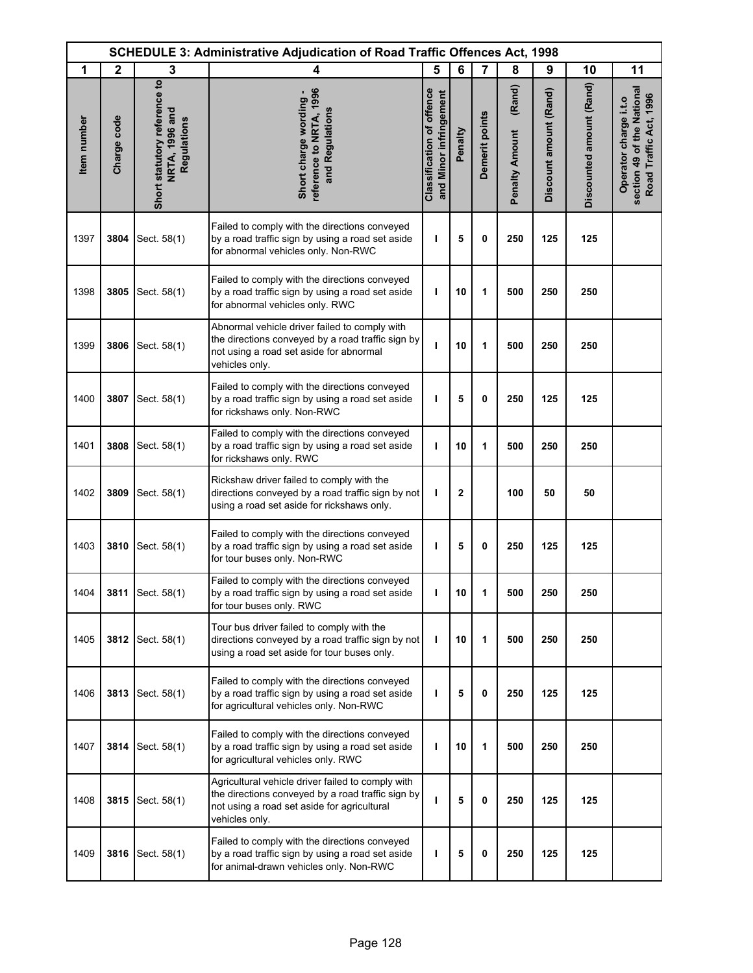|             | <b>SCHEDULE 3: Administrative Adjudication of Road Traffic Offences Act, 1998</b> |                                                               |                                                                                                                                                                         |                                                            |             |                |                                 |                        |                          |                                                                               |  |
|-------------|-----------------------------------------------------------------------------------|---------------------------------------------------------------|-------------------------------------------------------------------------------------------------------------------------------------------------------------------------|------------------------------------------------------------|-------------|----------------|---------------------------------|------------------------|--------------------------|-------------------------------------------------------------------------------|--|
| 1           | $\mathbf{2}$                                                                      | 3                                                             | 4                                                                                                                                                                       | 5                                                          | 6           | $\overline{7}$ | 8                               | 9                      | 10                       | 11                                                                            |  |
| Item number | Charge code                                                                       | Short statutory reference to<br>NRTA, 1996 and<br>Regulations | reference to NRTA, 1996<br>Short charge wording -<br>and Regulations                                                                                                    | <b>Classification of offence</b><br>and Minor infringement | Penalty     | Demerit points | (Rand)<br><b>Penalty Amount</b> | Discount amount (Rand) | Discounted amount (Rand) | section 49 of the National<br>Road Traffic Act, 1996<br>Operator charge i.t.o |  |
| 1397        | 3804                                                                              | Sect. 58(1)                                                   | Failed to comply with the directions conveyed<br>by a road traffic sign by using a road set aside<br>for abnormal vehicles only. Non-RWC                                | ı                                                          | 5           | 0              | 250                             | 125                    | 125                      |                                                                               |  |
| 1398        | 3805                                                                              | Sect. 58(1)                                                   | Failed to comply with the directions conveyed<br>by a road traffic sign by using a road set aside<br>for abnormal vehicles only. RWC                                    | ı                                                          | 10          | 1              | 500                             | 250                    | 250                      |                                                                               |  |
| 1399        | 3806                                                                              | Sect. 58(1)                                                   | Abnormal vehicle driver failed to comply with<br>the directions conveyed by a road traffic sign by<br>not using a road set aside for abnormal<br>vehicles only.         | ı                                                          | 10          | 1              | 500                             | 250                    | 250                      |                                                                               |  |
| 1400        | 3807                                                                              | Sect. 58(1)                                                   | Failed to comply with the directions conveyed<br>by a road traffic sign by using a road set aside<br>for rickshaws only. Non-RWC                                        | ı                                                          | 5           | $\mathbf 0$    | 250                             | 125                    | 125                      |                                                                               |  |
| 1401        | 3808                                                                              | Sect. 58(1)                                                   | Failed to comply with the directions conveyed<br>by a road traffic sign by using a road set aside<br>for rickshaws only. RWC                                            | T                                                          | 10          | 1              | 500                             | 250                    | 250                      |                                                                               |  |
| 1402        | 3809                                                                              | Sect. 58(1)                                                   | Rickshaw driver failed to comply with the<br>directions conveyed by a road traffic sign by not<br>using a road set aside for rickshaws only.                            | ı                                                          | $\mathbf 2$ |                | 100                             | 50                     | 50                       |                                                                               |  |
| 1403        | 3810                                                                              | Sect. 58(1)                                                   | Failed to comply with the directions conveyed<br>by a road traffic sign by using a road set aside<br>for tour buses only. Non-RWC                                       | ı                                                          | 5           | 0              | 250                             | 125                    | 125                      |                                                                               |  |
| 1404        | 3811                                                                              | Sect. 58(1)                                                   | Failed to comply with the directions conveyed<br>by a road traffic sign by using a road set aside<br>for tour buses only. RWC                                           |                                                            | 10          |                | 500                             | 250                    | 250                      |                                                                               |  |
| 1405        | 3812                                                                              | Sect. 58(1)                                                   | Tour bus driver failed to comply with the<br>directions conveyed by a road traffic sign by not<br>using a road set aside for tour buses only.                           | ı                                                          | 10          | 1              | 500                             | 250                    | 250                      |                                                                               |  |
| 1406        | 3813                                                                              | Sect. 58(1)                                                   | Failed to comply with the directions conveyed<br>by a road traffic sign by using a road set aside<br>for agricultural vehicles only. Non-RWC                            | т                                                          | 5           | 0              | 250                             | 125                    | 125                      |                                                                               |  |
| 1407        | 3814                                                                              | Sect. 58(1)                                                   | Failed to comply with the directions conveyed<br>by a road traffic sign by using a road set aside<br>for agricultural vehicles only. RWC                                | J.                                                         | 10          | 1              | 500                             | 250                    | 250                      |                                                                               |  |
| 1408        | 3815                                                                              | Sect. 58(1)                                                   | Agricultural vehicle driver failed to comply with<br>the directions conveyed by a road traffic sign by<br>not using a road set aside for agricultural<br>vehicles only. | ı                                                          | 5           | $\mathbf 0$    | 250                             | 125                    | 125                      |                                                                               |  |
| 1409        | 3816                                                                              | Sect. 58(1)                                                   | Failed to comply with the directions conveyed<br>by a road traffic sign by using a road set aside<br>for animal-drawn vehicles only. Non-RWC                            | т                                                          | 5           | 0              | 250                             | 125                    | 125                      |                                                                               |  |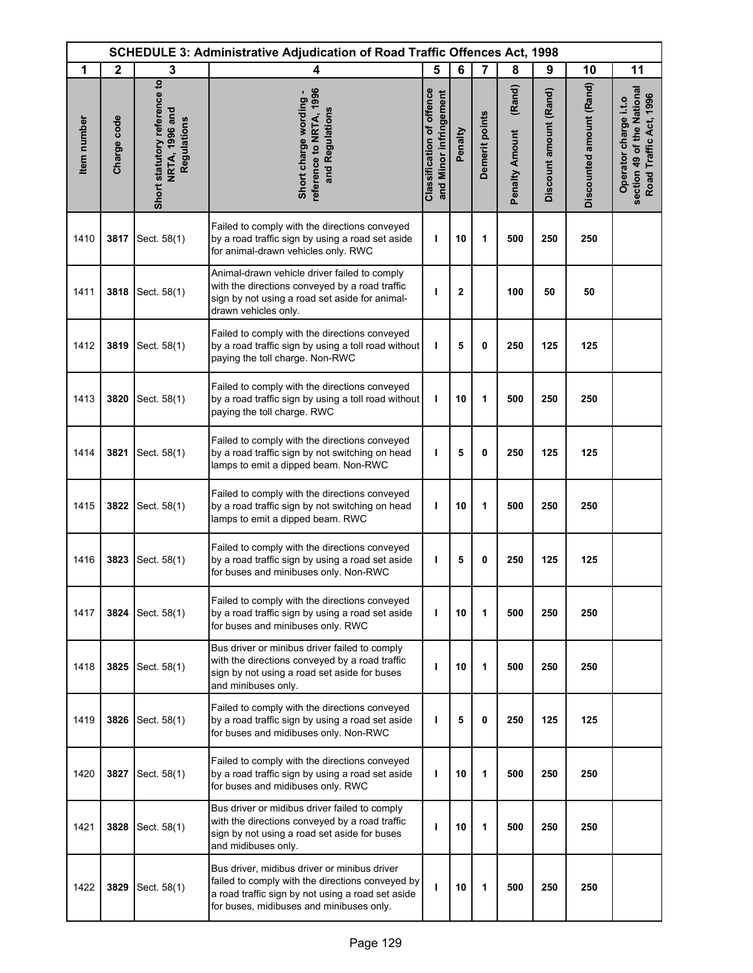|             | <b>SCHEDULE 3: Administrative Adjudication of Road Traffic Offences Act, 1998</b> |                                                               |                                                                                                                                                                                                   |                                                            |             |                |                                 |                        |                          |                                                                               |
|-------------|-----------------------------------------------------------------------------------|---------------------------------------------------------------|---------------------------------------------------------------------------------------------------------------------------------------------------------------------------------------------------|------------------------------------------------------------|-------------|----------------|---------------------------------|------------------------|--------------------------|-------------------------------------------------------------------------------|
| 1           | $\mathbf{2}$                                                                      | 3                                                             | 4                                                                                                                                                                                                 | 5                                                          | 6           | $\overline{7}$ | 8                               | 9                      | 10                       | 11                                                                            |
| Item number | Charge code                                                                       | Short statutory reference to<br>NRTA, 1996 and<br>Regulations | reference to NRTA, 1996<br>Short charge wording -<br>and Regulations                                                                                                                              | <b>Classification of offence</b><br>and Minor infringement | Penalty     | Demerit points | (Rand)<br><b>Penalty Amount</b> | Discount amount (Rand) | Discounted amount (Rand) | section 49 of the National<br>Road Traffic Act, 1996<br>Operator charge i.t.o |
| 1410        | 3817                                                                              | Sect. 58(1)                                                   | Failed to comply with the directions conveyed<br>by a road traffic sign by using a road set aside<br>for animal-drawn vehicles only. RWC                                                          | ı                                                          | 10          | 1              | 500                             | 250                    | 250                      |                                                                               |
| 1411        | 3818                                                                              | Sect. 58(1)                                                   | Animal-drawn vehicle driver failed to comply<br>with the directions conveyed by a road traffic<br>sign by not using a road set aside for animal-<br>drawn vehicles only.                          | ı                                                          | $\mathbf 2$ |                | 100                             | 50                     | 50                       |                                                                               |
| 1412        | 3819                                                                              | Sect. 58(1)                                                   | Failed to comply with the directions conveyed<br>by a road traffic sign by using a toll road without<br>paying the toll charge. Non-RWC                                                           | ı                                                          | 5           | 0              | 250                             | 125                    | 125                      |                                                                               |
| 1413        | 3820                                                                              | Sect. 58(1)                                                   | Failed to comply with the directions conveyed<br>by a road traffic sign by using a toll road without<br>paying the toll charge. RWC                                                               | ı                                                          | 10          | 1              | 500                             | 250                    | 250                      |                                                                               |
| 1414        | 3821                                                                              | Sect. 58(1)                                                   | Failed to comply with the directions conveyed<br>by a road traffic sign by not switching on head<br>lamps to emit a dipped beam. Non-RWC                                                          | ı                                                          | 5           | $\mathbf 0$    | 250                             | 125                    | 125                      |                                                                               |
| 1415        | 3822                                                                              | Sect. 58(1)                                                   | Failed to comply with the directions conveyed<br>by a road traffic sign by not switching on head<br>lamps to emit a dipped beam. RWC                                                              | т                                                          | 10          | 1              | 500                             | 250                    | 250                      |                                                                               |
| 1416        | 3823                                                                              | Sect. 58(1)                                                   | Failed to comply with the directions conveyed<br>by a road traffic sign by using a road set aside<br>for buses and minibuses only. Non-RWC                                                        | т                                                          | 5           | 0              | 250                             | 125                    | 125                      |                                                                               |
| 1417        | 3824                                                                              | Sect. 58(1)                                                   | Failed to comply with the directions conveyed<br>by a road traffic sign by using a road set aside<br>for buses and minibuses only. RWC                                                            | T                                                          | 10          | 1              | 500                             | 250                    | 250                      |                                                                               |
| 1418        | 3825                                                                              | Sect. 58(1)                                                   | Bus driver or minibus driver failed to comply<br>with the directions conveyed by a road traffic<br>sign by not using a road set aside for buses<br>and minibuses only.                            | т                                                          | 10          | 1              | 500                             | 250                    | 250                      |                                                                               |
| 1419        | 3826                                                                              | Sect. 58(1)                                                   | Failed to comply with the directions conveyed<br>by a road traffic sign by using a road set aside<br>for buses and midibuses only. Non-RWC                                                        | т                                                          | 5           | $\mathbf{0}$   | 250                             | 125                    | 125                      |                                                                               |
| 1420        | 3827                                                                              | Sect. 58(1)                                                   | Failed to comply with the directions conveyed<br>by a road traffic sign by using a road set aside<br>for buses and midibuses only. RWC                                                            | т                                                          | 10          | 1              | 500                             | 250                    | 250                      |                                                                               |
| 1421        | 3828                                                                              | Sect. 58(1)                                                   | Bus driver or midibus driver failed to comply<br>with the directions conveyed by a road traffic<br>sign by not using a road set aside for buses<br>and midibuses only.                            | ı                                                          | 10          | 1              | 500                             | 250                    | 250                      |                                                                               |
| 1422        | 3829                                                                              | Sect. 58(1)                                                   | Bus driver, midibus driver or minibus driver<br>failed to comply with the directions conveyed by<br>a road traffic sign by not using a road set aside<br>for buses, midibuses and minibuses only. | т                                                          | 10          | 1              | 500                             | 250                    | 250                      |                                                                               |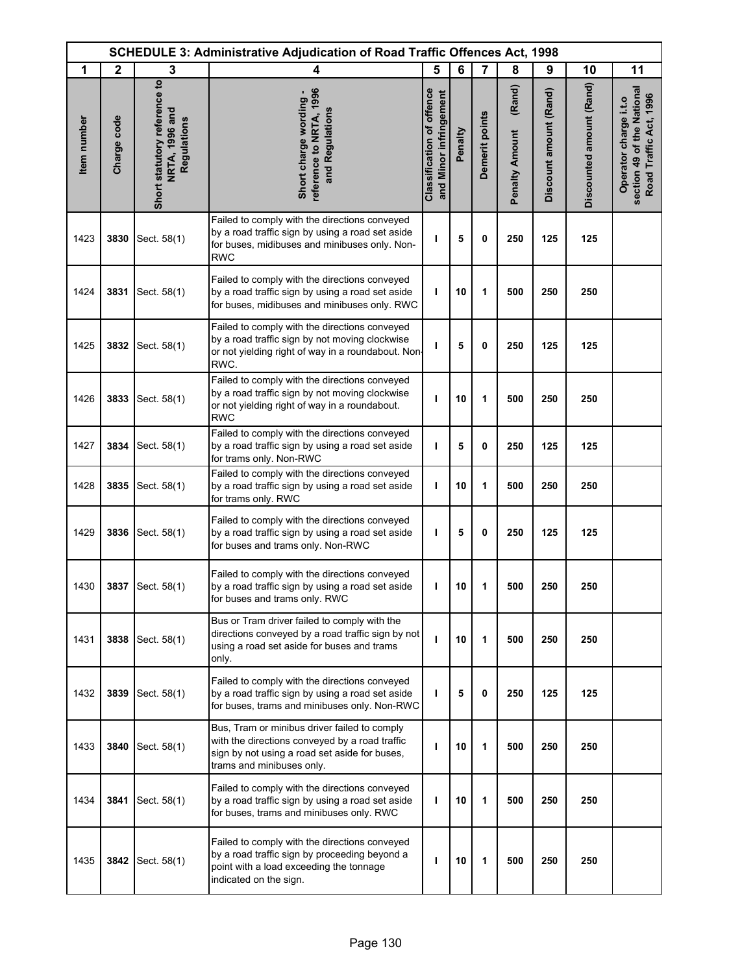|             | <b>SCHEDULE 3: Administrative Adjudication of Road Traffic Offences Act, 1998</b> |                                                               |                                                                                                                                                                              |                                                            |         |                |                                 |                        |                          |                                                                               |
|-------------|-----------------------------------------------------------------------------------|---------------------------------------------------------------|------------------------------------------------------------------------------------------------------------------------------------------------------------------------------|------------------------------------------------------------|---------|----------------|---------------------------------|------------------------|--------------------------|-------------------------------------------------------------------------------|
| 1           | $\mathbf{2}$                                                                      | 3                                                             | 4                                                                                                                                                                            | 5                                                          | 6       | 7              | 8                               | 9                      | 10                       | 11                                                                            |
| Item number | Charge code                                                                       | Short statutory reference to<br>NRTA, 1996 and<br>Regulations | reference to NRTA, 1996<br>Short charge wording -<br>and Regulations                                                                                                         | <b>Classification of offence</b><br>and Minor infringement | Penalty | Demerit points | (Rand)<br><b>Penalty Amount</b> | Discount amount (Rand) | Discounted amount (Rand) | section 49 of the National<br>Road Traffic Act, 1996<br>Operator charge i.t.o |
| 1423        | 3830                                                                              | Sect. 58(1)                                                   | Failed to comply with the directions conveyed<br>by a road traffic sign by using a road set aside<br>for buses, midibuses and minibuses only. Non-<br><b>RWC</b>             | ı                                                          | 5       | 0              | 250                             | 125                    | 125                      |                                                                               |
| 1424        | 3831                                                                              | Sect. 58(1)                                                   | Failed to comply with the directions conveyed<br>by a road traffic sign by using a road set aside<br>for buses, midibuses and minibuses only. RWC                            | ı                                                          | 10      | 1              | 500                             | 250                    | 250                      |                                                                               |
| 1425        | 3832                                                                              | Sect. 58(1)                                                   | Failed to comply with the directions conveyed<br>by a road traffic sign by not moving clockwise<br>or not yielding right of way in a roundabout. Non-<br>RWC.                | ı                                                          | 5       | 0              | 250                             | 125                    | 125                      |                                                                               |
| 1426        | 3833                                                                              | Sect. 58(1)                                                   | Failed to comply with the directions conveyed<br>by a road traffic sign by not moving clockwise<br>or not yielding right of way in a roundabout.<br><b>RWC</b>               | ı                                                          | 10      | 1              | 500                             | 250                    | 250                      |                                                                               |
| 1427        | 3834                                                                              | Sect. 58(1)                                                   | Failed to comply with the directions conveyed<br>by a road traffic sign by using a road set aside<br>for trams only. Non-RWC                                                 | T                                                          | 5       | 0              | 250                             | 125                    | 125                      |                                                                               |
| 1428        | 3835                                                                              | Sect. 58(1)                                                   | Failed to comply with the directions conveyed<br>by a road traffic sign by using a road set aside<br>for trams only. RWC                                                     | ı                                                          | 10      | 1              | 500                             | 250                    | 250                      |                                                                               |
| 1429        | 3836                                                                              | Sect. 58(1)                                                   | Failed to comply with the directions conveyed<br>by a road traffic sign by using a road set aside<br>for buses and trams only. Non-RWC                                       | T                                                          | 5       | 0              | 250                             | 125                    | 125                      |                                                                               |
| 1430        |                                                                                   | 3837 Sect. 58(1)                                              | Failed to comply with the directions conveyed<br>by a road traffic sign by using a road set aside<br>for buses and trams only. RWC                                           | ı                                                          | 10      | 1              | 500                             | 250                    | 250                      |                                                                               |
| 1431        | 3838                                                                              | Sect. 58(1)                                                   | Bus or Tram driver failed to comply with the<br>directions conveyed by a road traffic sign by not<br>using a road set aside for buses and trams<br>only.                     | т                                                          | 10      | 1              | 500                             | 250                    | 250                      |                                                                               |
| 1432        | 3839                                                                              | Sect. 58(1)                                                   | Failed to comply with the directions conveyed<br>by a road traffic sign by using a road set aside<br>for buses, trams and minibuses only. Non-RWC                            | т                                                          | 5       | 0              | 250                             | 125                    | 125                      |                                                                               |
| 1433        | 3840                                                                              | Sect. 58(1)                                                   | Bus, Tram or minibus driver failed to comply<br>with the directions conveyed by a road traffic<br>sign by not using a road set aside for buses,<br>trams and minibuses only. | ı                                                          | 10      | 1              | 500                             | 250                    | 250                      |                                                                               |
| 1434        | 3841                                                                              | Sect. 58(1)                                                   | Failed to comply with the directions conveyed<br>by a road traffic sign by using a road set aside<br>for buses, trams and minibuses only. RWC                                | т                                                          | 10      | 1              | 500                             | 250                    | 250                      |                                                                               |
| 1435        | 3842                                                                              | Sect. 58(1)                                                   | Failed to comply with the directions conveyed<br>by a road traffic sign by proceeding beyond a<br>point with a load exceeding the tonnage<br>indicated on the sign.          | т                                                          | 10      | 1              | 500                             | 250                    | 250                      |                                                                               |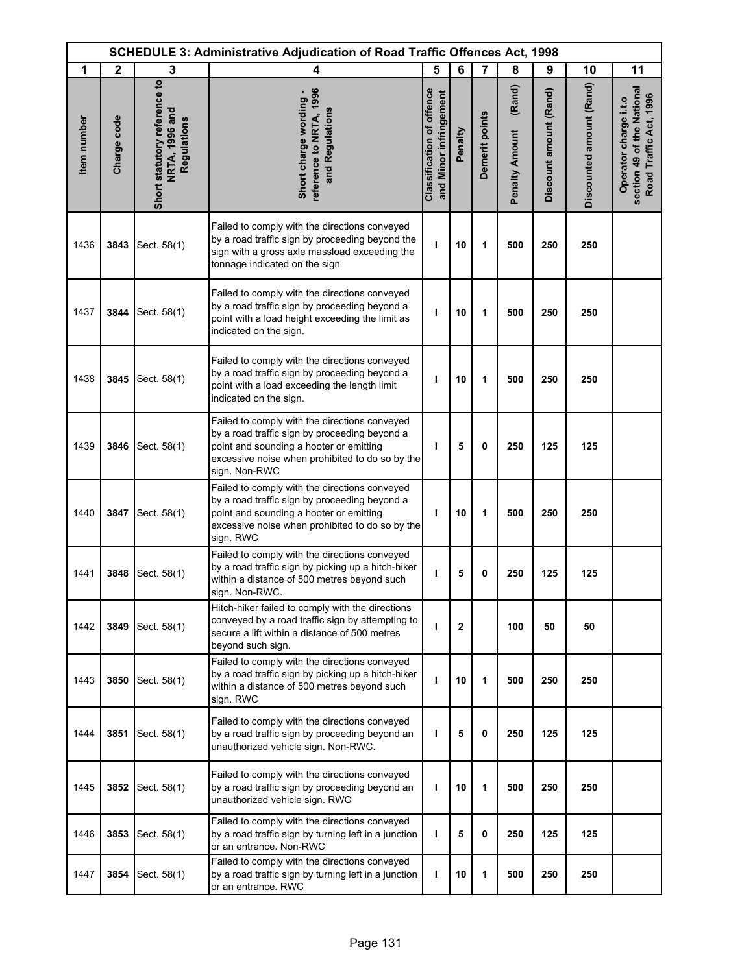|             | <b>SCHEDULE 3: Administrative Adjudication of Road Traffic Offences Act, 1998</b> |                                                               |                                                                                                                                                                                                               |                                                            |         |                |                                 |                        |                          |                                                                               |
|-------------|-----------------------------------------------------------------------------------|---------------------------------------------------------------|---------------------------------------------------------------------------------------------------------------------------------------------------------------------------------------------------------------|------------------------------------------------------------|---------|----------------|---------------------------------|------------------------|--------------------------|-------------------------------------------------------------------------------|
| 1           | $\mathbf{2}$                                                                      | 3                                                             | 4                                                                                                                                                                                                             | 5                                                          | 6       | 7              | 8                               | 9                      | 10                       | 11                                                                            |
| Item number | Charge code                                                                       | Short statutory reference to<br>NRTA, 1996 and<br>Regulations | reference to NRTA, 1996<br>Short charge wording -<br>and Regulations                                                                                                                                          | <b>Classification of offence</b><br>and Minor infringement | Penalty | Demerit points | (Rand)<br><b>Penalty Amount</b> | Discount amount (Rand) | Discounted amount (Rand) | section 49 of the National<br>Road Traffic Act, 1996<br>Operator charge i.t.o |
| 1436        | 3843                                                                              | Sect. 58(1)                                                   | Failed to comply with the directions conveyed<br>by a road traffic sign by proceeding beyond the<br>sign with a gross axle massload exceeding the<br>tonnage indicated on the sign                            | ı                                                          | 10      | 1              | 500                             | 250                    | 250                      |                                                                               |
| 1437        | 3844                                                                              | Sect. 58(1)                                                   | Failed to comply with the directions conveyed<br>by a road traffic sign by proceeding beyond a<br>point with a load height exceeding the limit as<br>indicated on the sign.                                   | т                                                          | 10      | 1              | 500                             | 250                    | 250                      |                                                                               |
| 1438        | 3845                                                                              | Sect. 58(1)                                                   | Failed to comply with the directions conveyed<br>by a road traffic sign by proceeding beyond a<br>point with a load exceeding the length limit<br>indicated on the sign.                                      | ı                                                          | 10      | 1              | 500                             | 250                    | 250                      |                                                                               |
| 1439        | 3846                                                                              | Sect. 58(1)                                                   | Failed to comply with the directions conveyed<br>by a road traffic sign by proceeding beyond a<br>point and sounding a hooter or emitting<br>excessive noise when prohibited to do so by the<br>sign. Non-RWC | ı                                                          | 5       | 0              | 250                             | 125                    | 125                      |                                                                               |
| 1440        | 3847                                                                              | Sect. 58(1)                                                   | Failed to comply with the directions conveyed<br>by a road traffic sign by proceeding beyond a<br>point and sounding a hooter or emitting<br>excessive noise when prohibited to do so by the<br>sign. RWC     | т                                                          | 10      | 1              | 500                             | 250                    | 250                      |                                                                               |
| 1441        | 3848                                                                              | Sect. 58(1)                                                   | Failed to comply with the directions conveyed<br>by a road traffic sign by picking up a hitch-hiker<br>within a distance of 500 metres beyond such<br>sign. Non-RWC.                                          | ı                                                          | 5       | 0              | 250                             | 125                    | 125                      |                                                                               |
| 1442        | 3849                                                                              | Sect. 58(1)                                                   | Hitch-hiker failed to comply with the directions<br>conveyed by a road traffic sign by attempting to<br>secure a lift within a distance of 500 metres<br>beyond such sign.                                    | т                                                          | 2       |                | 100                             | 50                     | 50                       |                                                                               |
| 1443        | 3850                                                                              | Sect. 58(1)                                                   | Failed to comply with the directions conveyed<br>by a road traffic sign by picking up a hitch-hiker<br>within a distance of 500 metres beyond such<br>sign. RWC                                               | ı                                                          | 10      | 1              | 500                             | 250                    | 250                      |                                                                               |
| 1444        | 3851                                                                              | Sect. 58(1)                                                   | Failed to comply with the directions conveyed<br>by a road traffic sign by proceeding beyond an<br>unauthorized vehicle sign. Non-RWC.                                                                        | ı                                                          | 5       | 0              | 250                             | 125                    | 125                      |                                                                               |
| 1445        | 3852                                                                              | Sect. 58(1)                                                   | Failed to comply with the directions conveyed<br>by a road traffic sign by proceeding beyond an<br>unauthorized vehicle sign. RWC                                                                             | ı                                                          | 10      | 1              | 500                             | 250                    | 250                      |                                                                               |
| 1446        | 3853                                                                              | Sect. 58(1)                                                   | Failed to comply with the directions conveyed<br>by a road traffic sign by turning left in a junction<br>or an entrance. Non-RWC                                                                              | т                                                          | 5       | 0              | 250                             | 125                    | 125                      |                                                                               |
| 1447        | 3854                                                                              | Sect. 58(1)                                                   | Failed to comply with the directions conveyed<br>by a road traffic sign by turning left in a junction<br>or an entrance. RWC                                                                                  | ı                                                          | 10      | 1              | 500                             | 250                    | 250                      |                                                                               |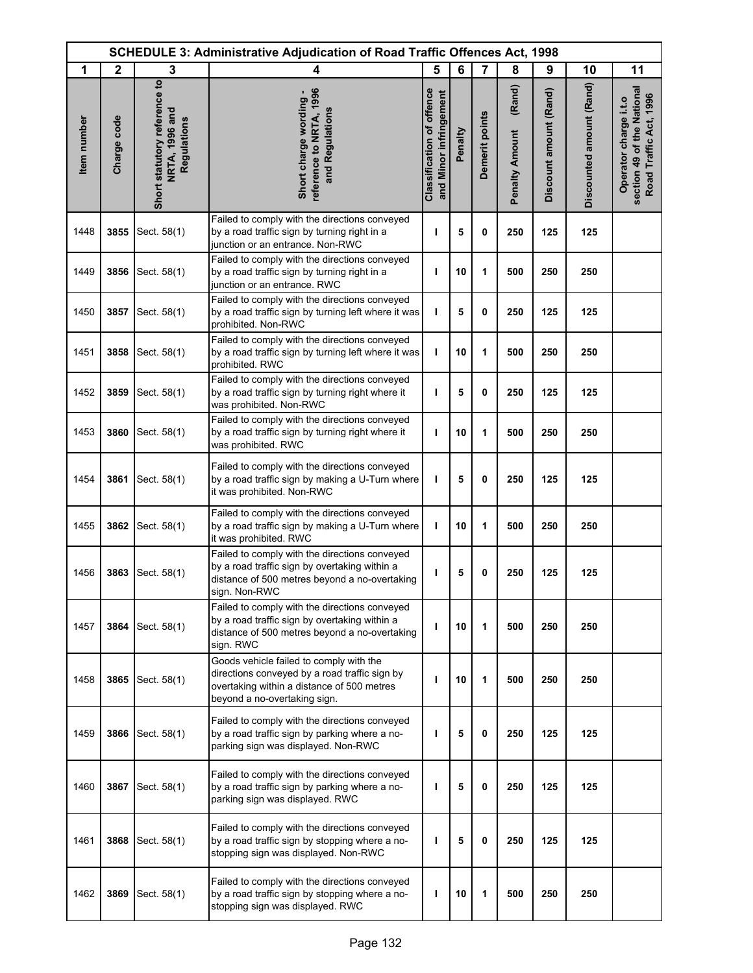|             | <b>SCHEDULE 3: Administrative Adjudication of Road Traffic Offences Act, 1998</b> |                                                               |                                                                                                                                                                        |                                                            |         |                |                                 |                        |                          |                                                                               |
|-------------|-----------------------------------------------------------------------------------|---------------------------------------------------------------|------------------------------------------------------------------------------------------------------------------------------------------------------------------------|------------------------------------------------------------|---------|----------------|---------------------------------|------------------------|--------------------------|-------------------------------------------------------------------------------|
| 1           | $\mathbf{2}$                                                                      | 3                                                             | 4                                                                                                                                                                      | 5                                                          | 6       | 7              | 8                               | 9                      | 10                       | 11                                                                            |
| Item number | Charge code                                                                       | Short statutory reference to<br>NRTA, 1996 and<br>Regulations | reference to NRTA, 1996<br>Short charge wording -<br>and Regulations                                                                                                   | <b>Classification of offence</b><br>and Minor infringement | Penalty | Demerit points | (Rand)<br><b>Penalty Amount</b> | Discount amount (Rand) | Discounted amount (Rand) | section 49 of the National<br>Road Traffic Act, 1996<br>Operator charge i.t.o |
| 1448        | 3855                                                                              | Sect. 58(1)                                                   | Failed to comply with the directions conveyed<br>by a road traffic sign by turning right in a<br>junction or an entrance. Non-RWC                                      | ı                                                          | 5       | 0              | 250                             | 125                    | 125                      |                                                                               |
| 1449        | 3856                                                                              | Sect. 58(1)                                                   | Failed to comply with the directions conveyed<br>by a road traffic sign by turning right in a<br>junction or an entrance. RWC                                          | т                                                          | 10      | 1              | 500                             | 250                    | 250                      |                                                                               |
| 1450        | 3857                                                                              | Sect. 58(1)                                                   | Failed to comply with the directions conveyed<br>by a road traffic sign by turning left where it was<br>prohibited. Non-RWC                                            | T                                                          | 5       | 0              | 250                             | 125                    | 125                      |                                                                               |
| 1451        | 3858                                                                              | Sect. 58(1)                                                   | Failed to comply with the directions conveyed<br>by a road traffic sign by turning left where it was<br>prohibited, RWC                                                | ı                                                          | 10      | 1              | 500                             | 250                    | 250                      |                                                                               |
| 1452        | 3859                                                                              | Sect. 58(1)                                                   | Failed to comply with the directions conveyed<br>by a road traffic sign by turning right where it<br>was prohibited. Non-RWC                                           | ı                                                          | 5       | 0              | 250                             | 125                    | 125                      |                                                                               |
| 1453        | 3860                                                                              | Sect. 58(1)                                                   | Failed to comply with the directions conveyed<br>by a road traffic sign by turning right where it<br>was prohibited. RWC                                               | T                                                          | 10      | 1              | 500                             | 250                    | 250                      |                                                                               |
| 1454        | 3861                                                                              | Sect. 58(1)                                                   | Failed to comply with the directions conveyed<br>by a road traffic sign by making a U-Turn where<br>it was prohibited. Non-RWC                                         | т                                                          | 5       | 0              | 250                             | 125                    | 125                      |                                                                               |
| 1455        | 3862                                                                              | Sect. 58(1)                                                   | Failed to comply with the directions conveyed<br>by a road traffic sign by making a U-Turn where<br>it was prohibited. RWC                                             | т                                                          | 10      | 1              | 500                             | 250                    | 250                      |                                                                               |
| 1456        | 3863                                                                              | Sect. 58(1)                                                   | Failed to comply with the directions conveyed<br>by a road traffic sign by overtaking within a<br>distance of 500 metres beyond a no-overtaking<br>sign. Non-RWC       | ı                                                          | 5       | 0              | 250                             | 125                    | 125                      |                                                                               |
| 1457        | 3864                                                                              | Sect. 58(1)                                                   | Failed to comply with the directions conveyed<br>by a road traffic sign by overtaking within a<br>distance of 500 metres beyond a no-overtaking<br>sign. RWC           | ı                                                          | 10      | 1              | 500                             | 250                    | 250                      |                                                                               |
| 1458        | 3865                                                                              | Sect. 58(1)                                                   | Goods vehicle failed to comply with the<br>directions conveyed by a road traffic sign by<br>overtaking within a distance of 500 metres<br>beyond a no-overtaking sign. | т                                                          | 10      | 1              | 500                             | 250                    | 250                      |                                                                               |
| 1459        | 3866                                                                              | Sect. 58(1)                                                   | Failed to comply with the directions conveyed<br>by a road traffic sign by parking where a no-<br>parking sign was displayed. Non-RWC                                  | ı                                                          | 5       | 0              | 250                             | 125                    | 125                      |                                                                               |
| 1460        | 3867                                                                              | Sect. 58(1)                                                   | Failed to comply with the directions conveyed<br>by a road traffic sign by parking where a no-<br>parking sign was displayed. RWC                                      | ı                                                          | 5       | 0              | 250                             | 125                    | 125                      |                                                                               |
| 1461        | 3868                                                                              | Sect. 58(1)                                                   | Failed to comply with the directions conveyed<br>by a road traffic sign by stopping where a no-<br>stopping sign was displayed. Non-RWC                                | ı                                                          | 5       | 0              | 250                             | 125                    | 125                      |                                                                               |
| 1462        | 3869                                                                              | Sect. 58(1)                                                   | Failed to comply with the directions conveyed<br>by a road traffic sign by stopping where a no-<br>stopping sign was displayed. RWC                                    | ı                                                          | 10      | 1              | 500                             | 250                    | 250                      |                                                                               |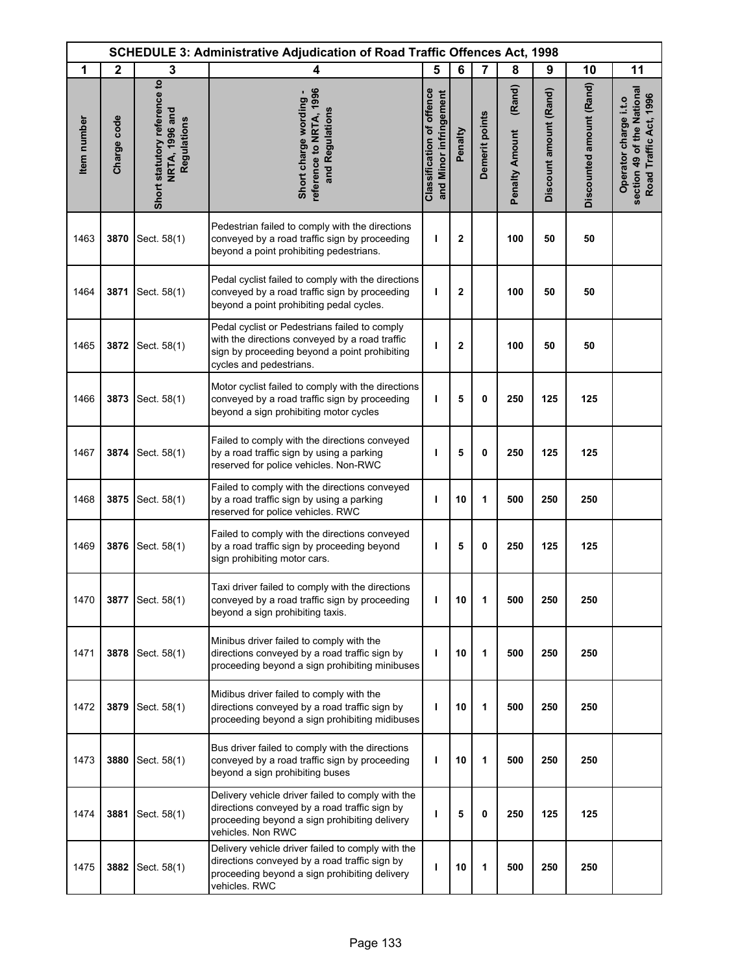| <b>SCHEDULE 3: Administrative Adjudication of Road Traffic Offences Act, 1998</b> |              |                                                               |                                                                                                                                                                             |                                                            |              |                |                                 |                        |                          |                                                                               |
|-----------------------------------------------------------------------------------|--------------|---------------------------------------------------------------|-----------------------------------------------------------------------------------------------------------------------------------------------------------------------------|------------------------------------------------------------|--------------|----------------|---------------------------------|------------------------|--------------------------|-------------------------------------------------------------------------------|
| 1                                                                                 | $\mathbf{2}$ | 3                                                             | 4                                                                                                                                                                           | 5                                                          | 6            | 7              | 8                               | 9                      | 10                       | 11                                                                            |
| Item number                                                                       | Charge code  | Short statutory reference to<br>NRTA, 1996 and<br>Regulations | reference to NRTA, 1996<br>Short charge wording -<br>and Regulations                                                                                                        | <b>Classification of offence</b><br>and Minor infringement | Penalty      | Demerit points | (Rand)<br><b>Penalty Amount</b> | Discount amount (Rand) | Discounted amount (Rand) | section 49 of the National<br>Road Traffic Act, 1996<br>Operator charge i.t.o |
| 1463                                                                              | 3870         | Sect. 58(1)                                                   | Pedestrian failed to comply with the directions<br>conveyed by a road traffic sign by proceeding<br>beyond a point prohibiting pedestrians.                                 | J.                                                         | $\mathbf{2}$ |                | 100                             | 50                     | 50                       |                                                                               |
| 1464                                                                              | 3871         | Sect. 58(1)                                                   | Pedal cyclist failed to comply with the directions<br>conveyed by a road traffic sign by proceeding<br>beyond a point prohibiting pedal cycles.                             | ı                                                          | $\mathbf 2$  |                | 100                             | 50                     | 50                       |                                                                               |
| 1465                                                                              | 3872         | Sect. 58(1)                                                   | Pedal cyclist or Pedestrians failed to comply<br>with the directions conveyed by a road traffic<br>sign by proceeding beyond a point prohibiting<br>cycles and pedestrians. | ı                                                          | $\mathbf{2}$ |                | 100                             | 50                     | 50                       |                                                                               |
| 1466                                                                              | 3873         | Sect. 58(1)                                                   | Motor cyclist failed to comply with the directions<br>conveyed by a road traffic sign by proceeding<br>beyond a sign prohibiting motor cycles                               | I                                                          | 5            | 0              | 250                             | 125                    | 125                      |                                                                               |
| 1467                                                                              | 3874         | Sect. 58(1)                                                   | Failed to comply with the directions conveyed<br>by a road traffic sign by using a parking<br>reserved for police vehicles. Non-RWC                                         | ı                                                          | 5            | 0              | 250                             | 125                    | 125                      |                                                                               |
| 1468                                                                              | 3875         | Sect. 58(1)                                                   | Failed to comply with the directions conveyed<br>by a road traffic sign by using a parking<br>reserved for police vehicles. RWC                                             | ı                                                          | 10           | 1              | 500                             | 250                    | 250                      |                                                                               |
| 1469                                                                              | 3876         | Sect. 58(1)                                                   | Failed to comply with the directions conveyed<br>by a road traffic sign by proceeding beyond<br>sign prohibiting motor cars.                                                | I                                                          | 5            | 0              | 250                             | 125                    | 125                      |                                                                               |
| 1470                                                                              | 3877         | Sect. 58(1)                                                   | Taxi driver failed to comply with the directions<br>conveyed by a road traffic sign by proceeding<br>beyond a sign prohibiting taxis.                                       | ı                                                          | 10           | 1              | 500                             | 250                    | 250                      |                                                                               |
| 1471                                                                              | 3878         | Sect. 58(1)                                                   | Minibus driver failed to comply with the<br>directions conveyed by a road traffic sign by<br>proceeding beyond a sign prohibiting minibuses                                 | J.                                                         | 10           | 1              | 500                             | 250                    | 250                      |                                                                               |
| 1472                                                                              | 3879         | Sect. 58(1)                                                   | Midibus driver failed to comply with the<br>directions conveyed by a road traffic sign by<br>proceeding beyond a sign prohibiting midibuses                                 | т                                                          | 10           | 1              | 500                             | 250                    | 250                      |                                                                               |
| 1473                                                                              | 3880         | Sect. 58(1)                                                   | Bus driver failed to comply with the directions<br>conveyed by a road traffic sign by proceeding<br>beyond a sign prohibiting buses                                         | т                                                          | 10           | 1              | 500                             | 250                    | 250                      |                                                                               |
| 1474                                                                              | 3881         | Sect. 58(1)                                                   | Delivery vehicle driver failed to comply with the<br>directions conveyed by a road traffic sign by<br>proceeding beyond a sign prohibiting delivery<br>vehicles. Non RWC    | ı                                                          | 5            | 0              | 250                             | 125                    | 125                      |                                                                               |
| 1475                                                                              | 3882         | Sect. 58(1)                                                   | Delivery vehicle driver failed to comply with the<br>directions conveyed by a road traffic sign by<br>proceeding beyond a sign prohibiting delivery<br>vehicles. RWC        | т                                                          | 10           | 1              | 500                             | 250                    | 250                      |                                                                               |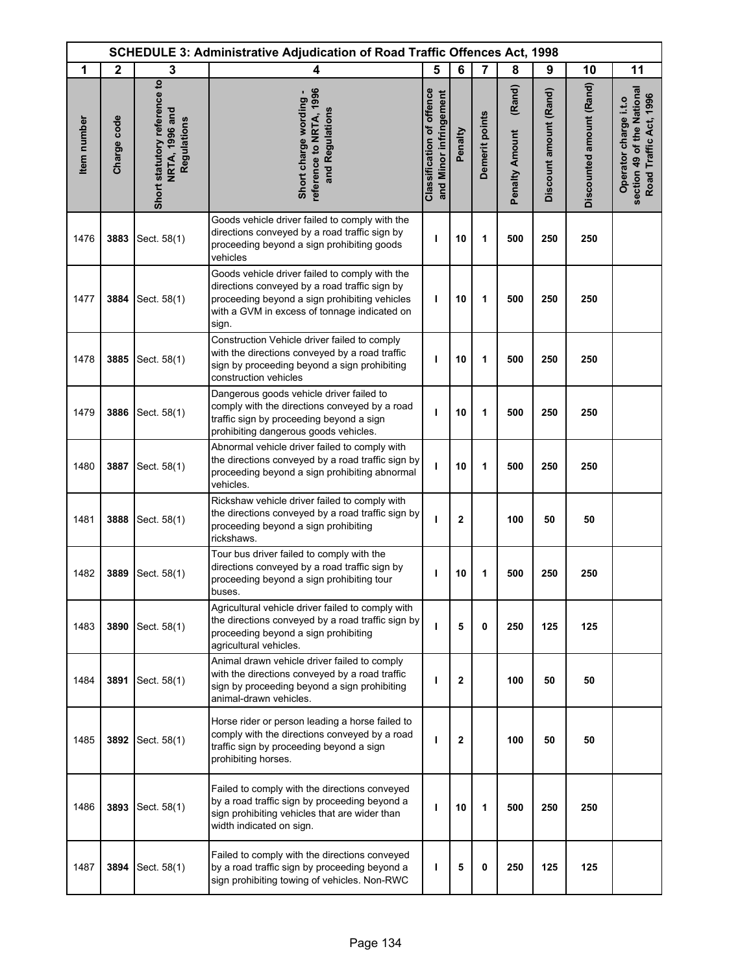|             | <b>SCHEDULE 3: Administrative Adjudication of Road Traffic Offences Act, 1998</b> |                                                               |                                                                                                                                                                                                           |                                                            |              |                |                                 |                        |                          |                                                                               |
|-------------|-----------------------------------------------------------------------------------|---------------------------------------------------------------|-----------------------------------------------------------------------------------------------------------------------------------------------------------------------------------------------------------|------------------------------------------------------------|--------------|----------------|---------------------------------|------------------------|--------------------------|-------------------------------------------------------------------------------|
| 1           | $\mathbf{2}$                                                                      | 3                                                             | 4                                                                                                                                                                                                         | 5                                                          | 6            | 7              | 8                               | 9                      | 10                       | 11                                                                            |
| Item number | Charge code                                                                       | Short statutory reference to<br>NRTA, 1996 and<br>Regulations | reference to NRTA, 1996<br>Short charge wording -<br>and Regulations                                                                                                                                      | <b>Classification of offence</b><br>and Minor infringement | Penalty      | Demerit points | (Rand)<br><b>Penalty Amount</b> | Discount amount (Rand) | Discounted amount (Rand) | section 49 of the National<br>Road Traffic Act, 1996<br>Operator charge i.t.o |
| 1476        | 3883                                                                              | Sect. 58(1)                                                   | Goods vehicle driver failed to comply with the<br>directions conveyed by a road traffic sign by<br>proceeding beyond a sign prohibiting goods<br>vehicles                                                 | т                                                          | 10           | 1              | 500                             | 250                    | 250                      |                                                                               |
| 1477        | 3884                                                                              | Sect. 58(1)                                                   | Goods vehicle driver failed to comply with the<br>directions conveyed by a road traffic sign by<br>proceeding beyond a sign prohibiting vehicles<br>with a GVM in excess of tonnage indicated on<br>sign. | ı                                                          | 10           | 1              | 500                             | 250                    | 250                      |                                                                               |
| 1478        | 3885                                                                              | Sect. 58(1)                                                   | Construction Vehicle driver failed to comply<br>with the directions conveyed by a road traffic<br>sign by proceeding beyond a sign prohibiting<br>construction vehicles                                   | ı                                                          | 10           | 1              | 500                             | 250                    | 250                      |                                                                               |
| 1479        | 3886                                                                              | Sect. 58(1)                                                   | Dangerous goods vehicle driver failed to<br>comply with the directions conveyed by a road<br>traffic sign by proceeding beyond a sign<br>prohibiting dangerous goods vehicles.                            | т                                                          | 10           | 1              | 500                             | 250                    | 250                      |                                                                               |
| 1480        | 3887                                                                              | Sect. 58(1)                                                   | Abnormal vehicle driver failed to comply with<br>the directions conveyed by a road traffic sign by<br>proceeding beyond a sign prohibiting abnormal<br>vehicles.                                          | J.                                                         | 10           | 1              | 500                             | 250                    | 250                      |                                                                               |
| 1481        | 3888                                                                              | Sect. 58(1)                                                   | Rickshaw vehicle driver failed to comply with<br>the directions conveyed by a road traffic sign by<br>proceeding beyond a sign prohibiting<br>rickshaws.                                                  | т                                                          | $\mathbf{2}$ |                | 100                             | 50                     | 50                       |                                                                               |
| 1482        | 3889                                                                              | Sect. 58(1)                                                   | Tour bus driver failed to comply with the<br>directions conveyed by a road traffic sign by<br>proceeding beyond a sign prohibiting tour<br>buses                                                          | ı                                                          | 10           | 1              | 500                             | 250                    | 250                      |                                                                               |
| 1483        | 3890                                                                              | Sect. 58(1)                                                   | Agricultural vehicle driver failed to comply with<br>the directions conveyed by a road traffic sign by<br>proceeding beyond a sign prohibiting<br>agricultural vehicles.                                  | т                                                          | 5            | 0              | 250                             | 125                    | 125                      |                                                                               |
| 1484        | 3891                                                                              | Sect. 58(1)                                                   | Animal drawn vehicle driver failed to comply<br>with the directions conveyed by a road traffic<br>sign by proceeding beyond a sign prohibiting<br>animal-drawn vehicles.                                  | т                                                          | $\mathbf{2}$ |                | 100                             | 50                     | 50                       |                                                                               |
| 1485        | 3892                                                                              | Sect. 58(1)                                                   | Horse rider or person leading a horse failed to<br>comply with the directions conveyed by a road<br>traffic sign by proceeding beyond a sign<br>prohibiting horses.                                       | т                                                          | $\mathbf{2}$ |                | 100                             | 50                     | 50                       |                                                                               |
| 1486        | 3893                                                                              | Sect. 58(1)                                                   | Failed to comply with the directions conveyed<br>by a road traffic sign by proceeding beyond a<br>sign prohibiting vehicles that are wider than<br>width indicated on sign.                               | т                                                          | 10           | 1              | 500                             | 250                    | 250                      |                                                                               |
| 1487        | 3894                                                                              | Sect. 58(1)                                                   | Failed to comply with the directions conveyed<br>by a road traffic sign by proceeding beyond a<br>sign prohibiting towing of vehicles. Non-RWC                                                            | п                                                          | 5            | 0              | 250                             | 125                    | 125                      |                                                                               |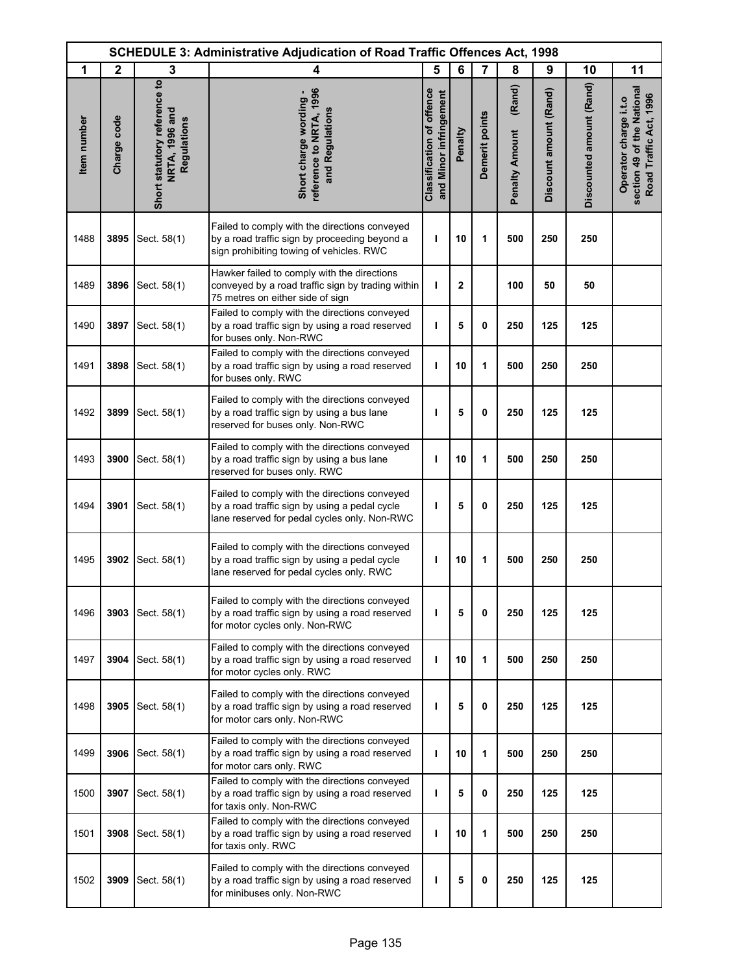|             | <b>SCHEDULE 3: Administrative Adjudication of Road Traffic Offences Act, 1998</b> |                                                               |                                                                                                                                                |                                                            |              |                |                                 |                        |                          |                                                                               |  |
|-------------|-----------------------------------------------------------------------------------|---------------------------------------------------------------|------------------------------------------------------------------------------------------------------------------------------------------------|------------------------------------------------------------|--------------|----------------|---------------------------------|------------------------|--------------------------|-------------------------------------------------------------------------------|--|
| 1           | $\mathbf{2}$                                                                      | 3                                                             | 4                                                                                                                                              | 5                                                          | 6            | 7              | 8                               | 9                      | 10                       | 11                                                                            |  |
| Item number | Charge code                                                                       | Short statutory reference to<br>NRTA, 1996 and<br>Regulations | reference to NRTA, 1996<br>Short charge wording -<br>and Regulations                                                                           | <b>Classification of offence</b><br>and Minor infringement | Penalty      | Demerit points | (Rand)<br><b>Penalty Amount</b> | Discount amount (Rand) | Discounted amount (Rand) | section 49 of the National<br>Road Traffic Act, 1996<br>Operator charge i.t.o |  |
| 1488        | 3895                                                                              | Sect. 58(1)                                                   | Failed to comply with the directions conveyed<br>by a road traffic sign by proceeding beyond a<br>sign prohibiting towing of vehicles. RWC     | ı                                                          | 10           | 1              | 500                             | 250                    | 250                      |                                                                               |  |
| 1489        | 3896                                                                              | Sect. 58(1)                                                   | Hawker failed to comply with the directions<br>conveyed by a road traffic sign by trading within<br>75 metres on either side of sign           | т                                                          | $\mathbf{2}$ |                | 100                             | 50                     | 50                       |                                                                               |  |
| 1490        | 3897                                                                              | Sect. 58(1)                                                   | Failed to comply with the directions conveyed<br>by a road traffic sign by using a road reserved<br>for buses only. Non-RWC                    | T                                                          | 5            | 0              | 250                             | 125                    | 125                      |                                                                               |  |
| 1491        | 3898                                                                              | Sect. 58(1)                                                   | Failed to comply with the directions conveyed<br>by a road traffic sign by using a road reserved<br>for buses only. RWC                        | ı                                                          | 10           | 1              | 500                             | 250                    | 250                      |                                                                               |  |
| 1492        | 3899                                                                              | Sect. 58(1)                                                   | Failed to comply with the directions conveyed<br>by a road traffic sign by using a bus lane<br>reserved for buses only. Non-RWC                | H                                                          | 5            | 0              | 250                             | 125                    | 125                      |                                                                               |  |
| 1493        | 3900                                                                              | Sect. 58(1)                                                   | Failed to comply with the directions conveyed<br>by a road traffic sign by using a bus lane<br>reserved for buses only. RWC                    | ı                                                          | 10           | 1              | 500                             | 250                    | 250                      |                                                                               |  |
| 1494        | 3901                                                                              | Sect. 58(1)                                                   | Failed to comply with the directions conveyed<br>by a road traffic sign by using a pedal cycle<br>lane reserved for pedal cycles only. Non-RWC | ı                                                          | 5            | $\mathbf 0$    | 250                             | 125                    | 125                      |                                                                               |  |
| 1495        | 3902                                                                              | Sect. 58(1)                                                   | Failed to comply with the directions conveyed<br>by a road traffic sign by using a pedal cycle<br>lane reserved for pedal cycles only. RWC     | т                                                          | 10           | 1              | 500                             | 250                    | 250                      |                                                                               |  |
| 1496        | 3903                                                                              | Sect. 58(1)                                                   | Failed to comply with the directions conveyed<br>by a road traffic sign by using a road reserved<br>for motor cycles only. Non-RWC             | т                                                          | 5            | 0              | 250                             | 125                    | 125                      |                                                                               |  |
| 1497        | 3904                                                                              | Sect. 58(1)                                                   | Failed to comply with the directions conveyed<br>by a road traffic sign by using a road reserved<br>for motor cycles only. RWC                 | T                                                          | 10           | 1              | 500                             | 250                    | 250                      |                                                                               |  |
| 1498        | 3905                                                                              | Sect. 58(1)                                                   | Failed to comply with the directions conveyed<br>by a road traffic sign by using a road reserved<br>for motor cars only. Non-RWC               | т                                                          | 5            | 0              | 250                             | 125                    | 125                      |                                                                               |  |
| 1499        | 3906                                                                              | Sect. 58(1)                                                   | Failed to comply with the directions conveyed<br>by a road traffic sign by using a road reserved<br>for motor cars only. RWC                   | J.                                                         | 10           | 1              | 500                             | 250                    | 250                      |                                                                               |  |
| 1500        | 3907                                                                              | Sect. 58(1)                                                   | Failed to comply with the directions conveyed<br>by a road traffic sign by using a road reserved<br>for taxis only. Non-RWC                    | т                                                          | 5            | 0              | 250                             | 125                    | 125                      |                                                                               |  |
| 1501        | 3908                                                                              | Sect. 58(1)                                                   | Failed to comply with the directions conveyed<br>by a road traffic sign by using a road reserved<br>for taxis only. RWC                        | J.                                                         | 10           | 1              | 500                             | 250                    | 250                      |                                                                               |  |
| 1502        | 3909                                                                              | Sect. 58(1)                                                   | Failed to comply with the directions conveyed<br>by a road traffic sign by using a road reserved<br>for minibuses only. Non-RWC                | ı                                                          | 5            | 0              | 250                             | 125                    | 125                      |                                                                               |  |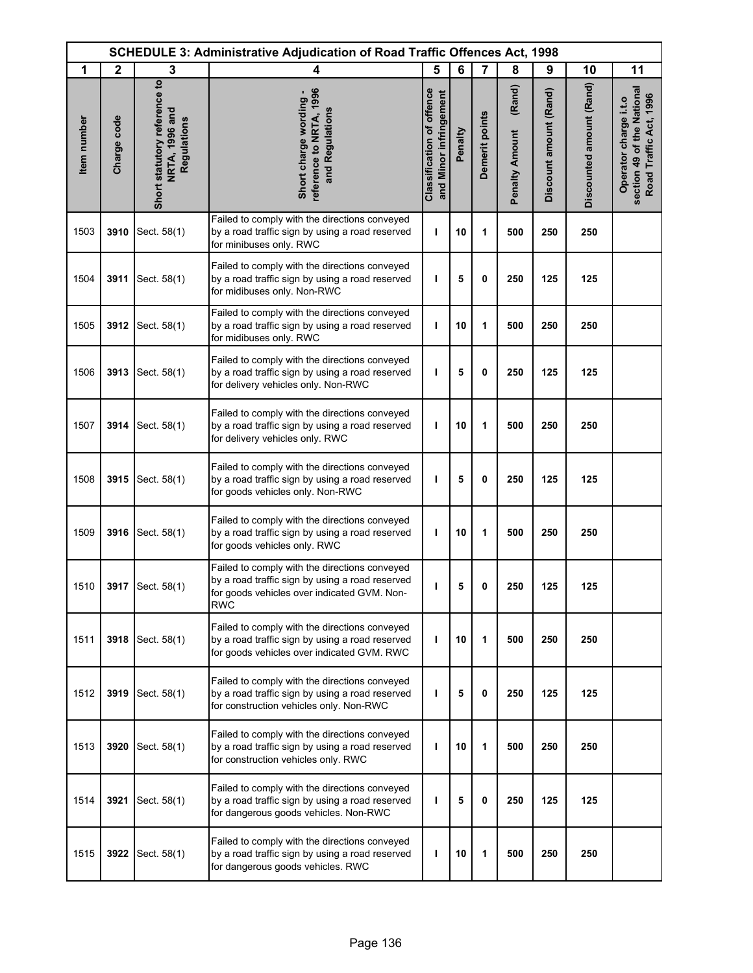| <b>SCHEDULE 3: Administrative Adjudication of Road Traffic Offences Act, 1998</b> |              |                                                               |                                                                                                                                                               |                                                            |         |                |                                 |                        |                          |                                                                               |
|-----------------------------------------------------------------------------------|--------------|---------------------------------------------------------------|---------------------------------------------------------------------------------------------------------------------------------------------------------------|------------------------------------------------------------|---------|----------------|---------------------------------|------------------------|--------------------------|-------------------------------------------------------------------------------|
| 1                                                                                 | $\mathbf{2}$ | 3                                                             | 4                                                                                                                                                             | 5                                                          | 6       | 7              | 8                               | 9                      | 10                       | 11                                                                            |
| Item number                                                                       | Charge code  | Short statutory reference to<br>NRTA, 1996 and<br>Regulations | reference to NRTA, 1996<br>Short charge wording -<br>and Regulations                                                                                          | <b>Classification of offence</b><br>and Minor infringement | Penalty | Demerit points | (Rand)<br><b>Penalty Amount</b> | Discount amount (Rand) | Discounted amount (Rand) | section 49 of the National<br>Road Traffic Act, 1996<br>Operator charge i.t.o |
| 1503                                                                              | 3910         | Sect. 58(1)                                                   | Failed to comply with the directions conveyed<br>by a road traffic sign by using a road reserved<br>for minibuses only. RWC                                   | ı                                                          | 10      | 1              | 500                             | 250                    | 250                      |                                                                               |
| 1504                                                                              | 3911         | Sect. 58(1)                                                   | Failed to comply with the directions conveyed<br>by a road traffic sign by using a road reserved<br>for midibuses only. Non-RWC                               | ı                                                          | 5       | 0              | 250                             | 125                    | 125                      |                                                                               |
| 1505                                                                              | 3912         | Sect. 58(1)                                                   | Failed to comply with the directions conveyed<br>by a road traffic sign by using a road reserved<br>for midibuses only. RWC                                   | т                                                          | 10      | 1              | 500                             | 250                    | 250                      |                                                                               |
| 1506                                                                              | 3913         | Sect. 58(1)                                                   | Failed to comply with the directions conveyed<br>by a road traffic sign by using a road reserved<br>for delivery vehicles only. Non-RWC                       | ı                                                          | 5       | 0              | 250                             | 125                    | 125                      |                                                                               |
| 1507                                                                              | 3914         | Sect. 58(1)                                                   | Failed to comply with the directions conveyed<br>by a road traffic sign by using a road reserved<br>for delivery vehicles only. RWC                           | T                                                          | 10      | 1              | 500                             | 250                    | 250                      |                                                                               |
| 1508                                                                              | 3915         | Sect. 58(1)                                                   | Failed to comply with the directions conveyed<br>by a road traffic sign by using a road reserved<br>for goods vehicles only. Non-RWC                          | ı                                                          | 5       | 0              | 250                             | 125                    | 125                      |                                                                               |
| 1509                                                                              | 3916         | Sect. 58(1)                                                   | Failed to comply with the directions conveyed<br>by a road traffic sign by using a road reserved<br>for goods vehicles only. RWC                              | T                                                          | 10      | 1              | 500                             | 250                    | 250                      |                                                                               |
| 1510                                                                              |              | 3917   Sect. 58(1)                                            | Failed to comply with the directions conveyed<br>by a road traffic sign by using a road reserved<br>for goods vehicles over indicated GVM. Non-<br><b>RWC</b> | ı                                                          | 5       | 0              | 250                             | 125                    | 125                      |                                                                               |
| 1511                                                                              | 3918         | Sect. 58(1)                                                   | Failed to comply with the directions conveyed<br>by a road traffic sign by using a road reserved<br>for goods vehicles over indicated GVM. RWC                | т                                                          | 10      | 1              | 500                             | 250                    | 250                      |                                                                               |
| 1512                                                                              | 3919         | Sect. 58(1)                                                   | Failed to comply with the directions conveyed<br>by a road traffic sign by using a road reserved<br>for construction vehicles only. Non-RWC                   | т                                                          | 5       | 0              | 250                             | 125                    | 125                      |                                                                               |
| 1513                                                                              | 3920         | Sect. 58(1)                                                   | Failed to comply with the directions conveyed<br>by a road traffic sign by using a road reserved<br>for construction vehicles only. RWC                       | ı                                                          | 10      | 1              | 500                             | 250                    | 250                      |                                                                               |
| 1514                                                                              | 3921         | Sect. 58(1)                                                   | Failed to comply with the directions conveyed<br>by a road traffic sign by using a road reserved<br>for dangerous goods vehicles. Non-RWC                     | ı                                                          | 5       | 0              | 250                             | 125                    | 125                      |                                                                               |
| 1515                                                                              | 3922         | Sect. 58(1)                                                   | Failed to comply with the directions conveyed<br>by a road traffic sign by using a road reserved<br>for dangerous goods vehicles. RWC                         | ı                                                          | 10      | 1              | 500                             | 250                    | 250                      |                                                                               |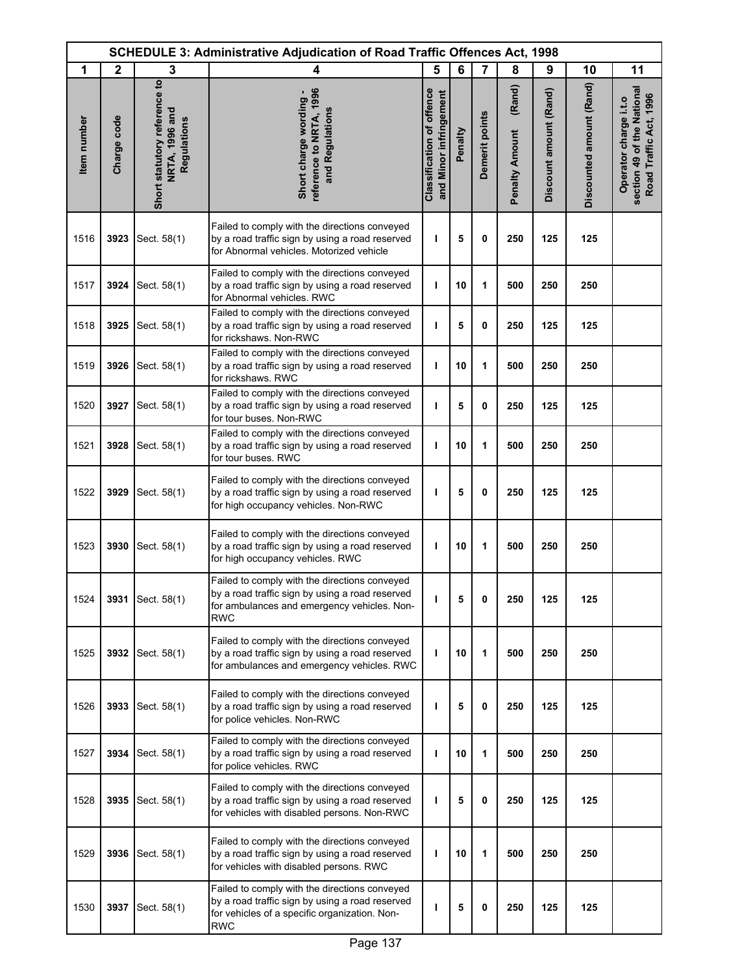|             | <b>SCHEDULE 3: Administrative Adjudication of Road Traffic Offences Act, 1998</b> |                                                               |                                                                                                                                                               |                                                     |         |                |                                 |                        |                          |                                                                               |
|-------------|-----------------------------------------------------------------------------------|---------------------------------------------------------------|---------------------------------------------------------------------------------------------------------------------------------------------------------------|-----------------------------------------------------|---------|----------------|---------------------------------|------------------------|--------------------------|-------------------------------------------------------------------------------|
| 1           | $\mathbf{2}$                                                                      | 3                                                             | 4                                                                                                                                                             | 5                                                   | 6       | $\overline{7}$ | 8                               | 9                      | 10                       | 11                                                                            |
| Item number | Charge code                                                                       | Short statutory reference to<br>NRTA, 1996 and<br>Regulations | reference to NRTA, 1996<br>Short charge wording -<br>and Regulations                                                                                          | Classification of offence<br>and Minor infringement | Penalty | Demerit points | (Rand)<br><b>Penalty Amount</b> | Discount amount (Rand) | Discounted amount (Rand) | section 49 of the National<br>Road Traffic Act, 1996<br>Operator charge i.t.o |
| 1516        | 3923                                                                              | Sect. 58(1)                                                   | Failed to comply with the directions conveyed<br>by a road traffic sign by using a road reserved<br>for Abnormal vehicles. Motorized vehicle                  | т                                                   | 5       | 0              | 250                             | 125                    | 125                      |                                                                               |
| 1517        | 3924                                                                              | Sect. 58(1)                                                   | Failed to comply with the directions conveyed<br>by a road traffic sign by using a road reserved<br>for Abnormal vehicles. RWC                                | T                                                   | 10      | 1              | 500                             | 250                    | 250                      |                                                                               |
| 1518        | 3925                                                                              | Sect. 58(1)                                                   | Failed to comply with the directions conveyed<br>by a road traffic sign by using a road reserved<br>for rickshaws. Non-RWC                                    | T                                                   | 5       | 0              | 250                             | 125                    | 125                      |                                                                               |
| 1519        | 3926                                                                              | Sect. 58(1)                                                   | Failed to comply with the directions conveyed<br>by a road traffic sign by using a road reserved<br>for rickshaws. RWC                                        | T                                                   | 10      | 1              | 500                             | 250                    | 250                      |                                                                               |
| 1520        | 3927                                                                              | Sect. 58(1)                                                   | Failed to comply with the directions conveyed<br>by a road traffic sign by using a road reserved<br>for tour buses. Non-RWC                                   | ı                                                   | 5       | 0              | 250                             | 125                    | 125                      |                                                                               |
| 1521        | 3928                                                                              | Sect. 58(1)                                                   | Failed to comply with the directions conveyed<br>by a road traffic sign by using a road reserved<br>for tour buses. RWC                                       | $\mathbf{I}$                                        | 10      | 1              | 500                             | 250                    | 250                      |                                                                               |
| 1522        | 3929                                                                              | Sect. 58(1)                                                   | Failed to comply with the directions conveyed<br>by a road traffic sign by using a road reserved<br>for high occupancy vehicles. Non-RWC                      | ı                                                   | 5       | 0              | 250                             | 125                    | 125                      |                                                                               |
| 1523        | 3930                                                                              | Sect. 58(1)                                                   | Failed to comply with the directions conveyed<br>by a road traffic sign by using a road reserved<br>for high occupancy vehicles. RWC                          | ı                                                   | 10      | 1              | 500                             | 250                    | 250                      |                                                                               |
| 1524        |                                                                                   | 3931 Sect. 58(1)                                              | Failed to comply with the directions conveyed<br>by a road traffic sign by using a road reserved<br>for ambulances and emergency vehicles. Non-<br><b>RWC</b> | п                                                   | 5       | 0              | 250                             | 125                    | 125                      |                                                                               |
| 1525        |                                                                                   | 3932 Sect. 58(1)                                              | Failed to comply with the directions conveyed<br>by a road traffic sign by using a road reserved<br>for ambulances and emergency vehicles. RWC                | ı                                                   | 10      | 1              | 500                             | 250                    | 250                      |                                                                               |
| 1526        | 3933                                                                              | Sect. 58(1)                                                   | Failed to comply with the directions conveyed<br>by a road traffic sign by using a road reserved<br>for police vehicles. Non-RWC                              | ı                                                   | 5       | 0              | 250                             | 125                    | 125                      |                                                                               |
| 1527        | 3934                                                                              | Sect. 58(1)                                                   | Failed to comply with the directions conveyed<br>by a road traffic sign by using a road reserved<br>for police vehicles. RWC                                  | т                                                   | 10      | 1              | 500                             | 250                    | 250                      |                                                                               |
| 1528        | 3935                                                                              | Sect. 58(1)                                                   | Failed to comply with the directions conveyed<br>by a road traffic sign by using a road reserved<br>for vehicles with disabled persons. Non-RWC               | ı                                                   | 5       | 0              | 250                             | 125                    | 125                      |                                                                               |
| 1529        | 3936                                                                              | Sect. 58(1)                                                   | Failed to comply with the directions conveyed<br>by a road traffic sign by using a road reserved<br>for vehicles with disabled persons. RWC                   | п                                                   | 10      | 1              | 500                             | 250                    | 250                      |                                                                               |
| 1530        | 3937                                                                              | Sect. 58(1)                                                   | Failed to comply with the directions conveyed<br>by a road traffic sign by using a road reserved<br>for vehicles of a specific organization. Non-<br>RWC      |                                                     | 5       | 0              | 250                             | 125                    | 125                      |                                                                               |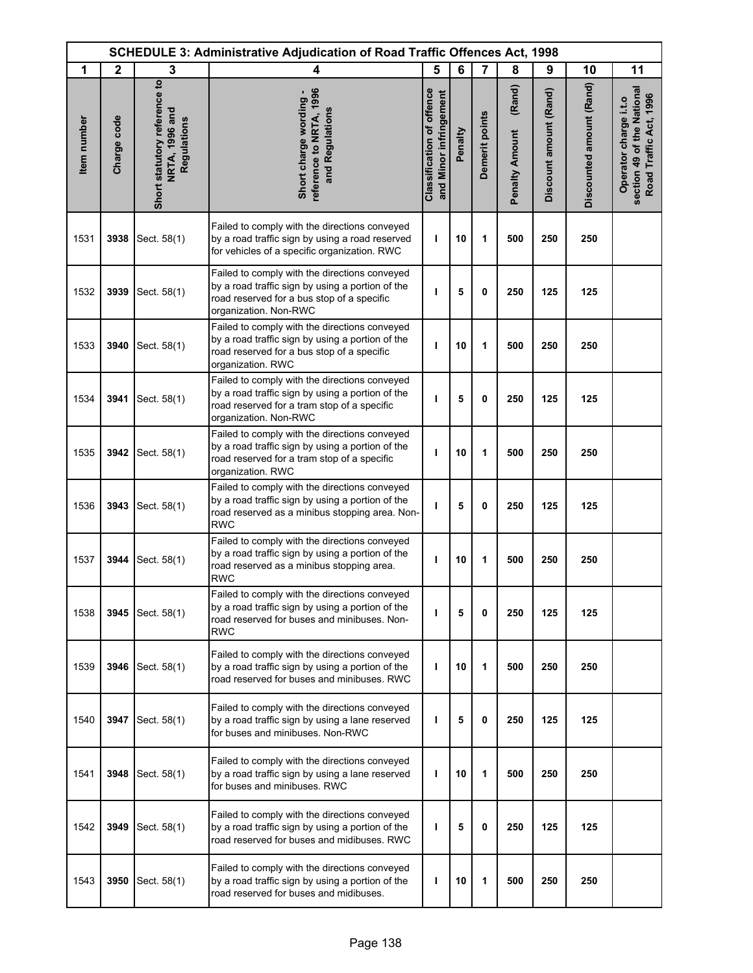| <b>SCHEDULE 3: Administrative Adjudication of Road Traffic Offences Act, 1998</b> |              |                                                               |                                                                                                                                                                           |                                                            |         |                |                                 |                        |                          |                                                                               |
|-----------------------------------------------------------------------------------|--------------|---------------------------------------------------------------|---------------------------------------------------------------------------------------------------------------------------------------------------------------------------|------------------------------------------------------------|---------|----------------|---------------------------------|------------------------|--------------------------|-------------------------------------------------------------------------------|
| 1                                                                                 | $\mathbf{2}$ | 3                                                             | 4                                                                                                                                                                         | 5                                                          | 6       | $\overline{7}$ | 8                               | 9                      | 10                       | 11                                                                            |
| Item number                                                                       | Charge code  | Short statutory reference to<br>NRTA, 1996 and<br>Regulations | reference to NRTA, 1996<br>Short charge wording -<br>and Regulations                                                                                                      | <b>Classification of offence</b><br>and Minor infringement | Penalty | Demerit points | (Rand)<br><b>Penalty Amount</b> | Discount amount (Rand) | Discounted amount (Rand) | section 49 of the National<br>Road Traffic Act, 1996<br>Operator charge i.t.o |
| 1531                                                                              | 3938         | Sect. 58(1)                                                   | Failed to comply with the directions conveyed<br>by a road traffic sign by using a road reserved<br>for vehicles of a specific organization. RWC                          | ı                                                          | 10      | 1              | 500                             | 250                    | 250                      |                                                                               |
| 1532                                                                              | 3939         | Sect. 58(1)                                                   | Failed to comply with the directions conveyed<br>by a road traffic sign by using a portion of the<br>road reserved for a bus stop of a specific<br>organization. Non-RWC  | ı                                                          | 5       | $\mathbf 0$    | 250                             | 125                    | 125                      |                                                                               |
| 1533                                                                              | 3940         | Sect. 58(1)                                                   | Failed to comply with the directions conveyed<br>by a road traffic sign by using a portion of the<br>road reserved for a bus stop of a specific<br>organization. RWC      | п                                                          | 10      | 1              | 500                             | 250                    | 250                      |                                                                               |
| 1534                                                                              | 3941         | Sect. 58(1)                                                   | Failed to comply with the directions conveyed<br>by a road traffic sign by using a portion of the<br>road reserved for a tram stop of a specific<br>organization. Non-RWC | ı                                                          | 5       | $\mathbf 0$    | 250                             | 125                    | 125                      |                                                                               |
| 1535                                                                              | 3942         | Sect. 58(1)                                                   | Failed to comply with the directions conveyed<br>by a road traffic sign by using a portion of the<br>road reserved for a tram stop of a specific<br>organization. RWC     | ı                                                          | 10      | 1              | 500                             | 250                    | 250                      |                                                                               |
| 1536                                                                              | 3943         | Sect. 58(1)                                                   | Failed to comply with the directions conveyed<br>by a road traffic sign by using a portion of the<br>road reserved as a minibus stopping area. Non-<br><b>RWC</b>         | ı                                                          | 5       | $\mathbf 0$    | 250                             | 125                    | 125                      |                                                                               |
| 1537                                                                              | 3944         | Sect. 58(1)                                                   | Failed to comply with the directions conveyed<br>by a road traffic sign by using a portion of the<br>road reserved as a minibus stopping area.<br><b>RWC</b>              | т                                                          | 10      | 1              | 500                             | 250                    | 250                      |                                                                               |
| 1538                                                                              | 3945         | Sect. 58(1)                                                   | Failed to comply with the directions conveyed<br>by a road traffic sign by using a portion of the<br>road reserved for buses and minibuses. Non-<br><b>RWC</b>            | т                                                          | 5       | 0              | 250                             | 125                    | 125                      |                                                                               |
| 1539                                                                              | 3946         | Sect. 58(1)                                                   | Failed to comply with the directions conveyed<br>by a road traffic sign by using a portion of the<br>road reserved for buses and minibuses. RWC                           | т                                                          | 10      | 1              | 500                             | 250                    | 250                      |                                                                               |
| 1540                                                                              | 3947         | Sect. 58(1)                                                   | Failed to comply with the directions conveyed<br>by a road traffic sign by using a lane reserved<br>for buses and minibuses. Non-RWC                                      | т                                                          | 5       | $\mathbf 0$    | 250                             | 125                    | 125                      |                                                                               |
| 1541                                                                              | 3948         | Sect. 58(1)                                                   | Failed to comply with the directions conveyed<br>by a road traffic sign by using a lane reserved<br>for buses and minibuses. RWC                                          | т                                                          | 10      | 1              | 500                             | 250                    | 250                      |                                                                               |
| 1542                                                                              | 3949         | Sect. 58(1)                                                   | Failed to comply with the directions conveyed<br>by a road traffic sign by using a portion of the<br>road reserved for buses and midibuses. RWC                           | т                                                          | 5       | 0              | 250                             | 125                    | 125                      |                                                                               |
| 1543                                                                              | 3950         | Sect. 58(1)                                                   | Failed to comply with the directions conveyed<br>by a road traffic sign by using a portion of the<br>road reserved for buses and midibuses.                               | ı                                                          | 10      | 1              | 500                             | 250                    | 250                      |                                                                               |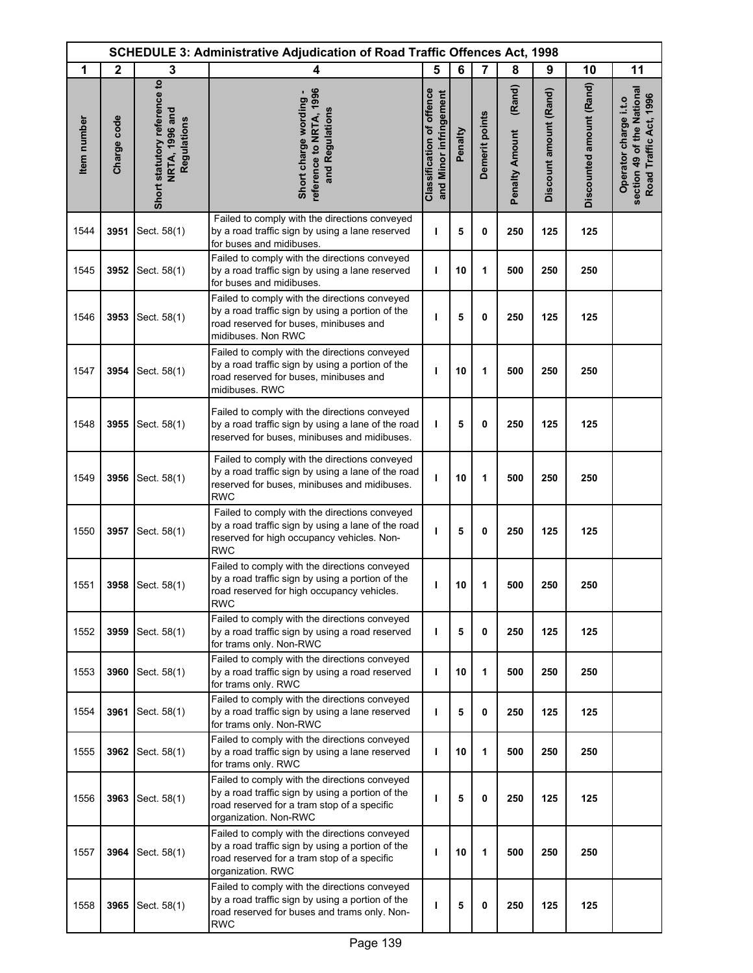| <b>SCHEDULE 3: Administrative Adjudication of Road Traffic Offences Act, 1998</b> |              |                                                               |                                                                                                                                                                           |                                                            |         |                |                                 |                        |                          |                                                                               |
|-----------------------------------------------------------------------------------|--------------|---------------------------------------------------------------|---------------------------------------------------------------------------------------------------------------------------------------------------------------------------|------------------------------------------------------------|---------|----------------|---------------------------------|------------------------|--------------------------|-------------------------------------------------------------------------------|
| 1                                                                                 | $\mathbf{2}$ | 3                                                             | 4                                                                                                                                                                         | 5                                                          | 6       | 7              | 8                               | 9                      | 10                       | 11                                                                            |
| Item number                                                                       | Charge code  | Short statutory reference to<br>NRTA, 1996 and<br>Regulations | reference to NRTA, 1996<br>Short charge wording -<br>and Regulations                                                                                                      | <b>Classification of offence</b><br>and Minor infringement | Penalty | Demerit points | (Rand)<br><b>Penalty Amount</b> | Discount amount (Rand) | Discounted amount (Rand) | section 49 of the National<br>Road Traffic Act, 1996<br>Operator charge i.t.o |
| 1544                                                                              | 3951         | Sect. 58(1)                                                   | Failed to comply with the directions conveyed<br>by a road traffic sign by using a lane reserved<br>for buses and midibuses.                                              | т                                                          | 5       | 0              | 250                             | 125                    | 125                      |                                                                               |
| 1545                                                                              | 3952         | Sect. 58(1)                                                   | Failed to comply with the directions conveyed<br>by a road traffic sign by using a lane reserved<br>for buses and midibuses.                                              | ı                                                          | 10      | 1              | 500                             | 250                    | 250                      |                                                                               |
| 1546                                                                              | 3953         | Sect. 58(1)                                                   | Failed to comply with the directions conveyed<br>by a road traffic sign by using a portion of the<br>road reserved for buses, minibuses and<br>midibuses. Non RWC         | ı                                                          | 5       | 0              | 250                             | 125                    | 125                      |                                                                               |
| 1547                                                                              | 3954         | Sect. 58(1)                                                   | Failed to comply with the directions conveyed<br>by a road traffic sign by using a portion of the<br>road reserved for buses, minibuses and<br>midibuses. RWC             | ı                                                          | 10      | 1              | 500                             | 250                    | 250                      |                                                                               |
| 1548                                                                              | 3955         | Sect. 58(1)                                                   | Failed to comply with the directions conveyed<br>by a road traffic sign by using a lane of the road<br>reserved for buses, minibuses and midibuses.                       | ı                                                          | 5       | $\mathbf 0$    | 250                             | 125                    | 125                      |                                                                               |
| 1549                                                                              | 3956         | Sect. 58(1)                                                   | Failed to comply with the directions conveyed<br>by a road traffic sign by using a lane of the road<br>reserved for buses, minibuses and midibuses.<br><b>RWC</b>         | ı                                                          | 10      | 1              | 500                             | 250                    | 250                      |                                                                               |
| 1550                                                                              | 3957         | Sect. 58(1)                                                   | Failed to comply with the directions conveyed<br>by a road traffic sign by using a lane of the road<br>reserved for high occupancy vehicles. Non-<br><b>RWC</b>           | т                                                          | 5       | 0              | 250                             | 125                    | 125                      |                                                                               |
| 1551                                                                              |              | 3958 Sect. 58(1)                                              | Failed to comply with the directions conveyed<br>by a road traffic sign by using a portion of the<br>road reserved for high occupancy vehicles.<br><b>RWC</b>             | ı                                                          | 10      | 1              | 500                             | 250                    | 250                      |                                                                               |
| 1552                                                                              | 3959         | Sect. 58(1)                                                   | Failed to comply with the directions conveyed<br>by a road traffic sign by using a road reserved<br>for trams only. Non-RWC                                               | т                                                          | 5       | $\mathbf{0}$   | 250                             | 125                    | 125                      |                                                                               |
| 1553                                                                              | 3960         | Sect. 58(1)                                                   | Failed to comply with the directions conveyed<br>by a road traffic sign by using a road reserved<br>for trams only. RWC                                                   | т                                                          | 10      | 1              | 500                             | 250                    | 250                      |                                                                               |
| 1554                                                                              | 3961         | Sect. 58(1)                                                   | Failed to comply with the directions conveyed<br>by a road traffic sign by using a lane reserved<br>for trams only. Non-RWC                                               | ı                                                          | 5       | 0              | 250                             | 125                    | 125                      |                                                                               |
| 1555                                                                              | 3962         | Sect. 58(1)                                                   | Failed to comply with the directions conveyed<br>by a road traffic sign by using a lane reserved<br>for trams only. RWC                                                   | T                                                          | 10      | 1              | 500                             | 250                    | 250                      |                                                                               |
| 1556                                                                              | 3963         | Sect. 58(1)                                                   | Failed to comply with the directions conveyed<br>by a road traffic sign by using a portion of the<br>road reserved for a tram stop of a specific<br>organization. Non-RWC | ı                                                          | 5       | 0              | 250                             | 125                    | 125                      |                                                                               |
| 1557                                                                              | 3964         | Sect. 58(1)                                                   | Failed to comply with the directions conveyed<br>by a road traffic sign by using a portion of the<br>road reserved for a tram stop of a specific<br>organization. RWC     | т                                                          | 10      | 1              | 500                             | 250                    | 250                      |                                                                               |
| 1558                                                                              | 3965         | Sect. 58(1)                                                   | Failed to comply with the directions conveyed<br>by a road traffic sign by using a portion of the<br>road reserved for buses and trams only. Non-<br><b>RWC</b>           | ı                                                          | 5       | 0              | 250                             | 125                    | 125                      |                                                                               |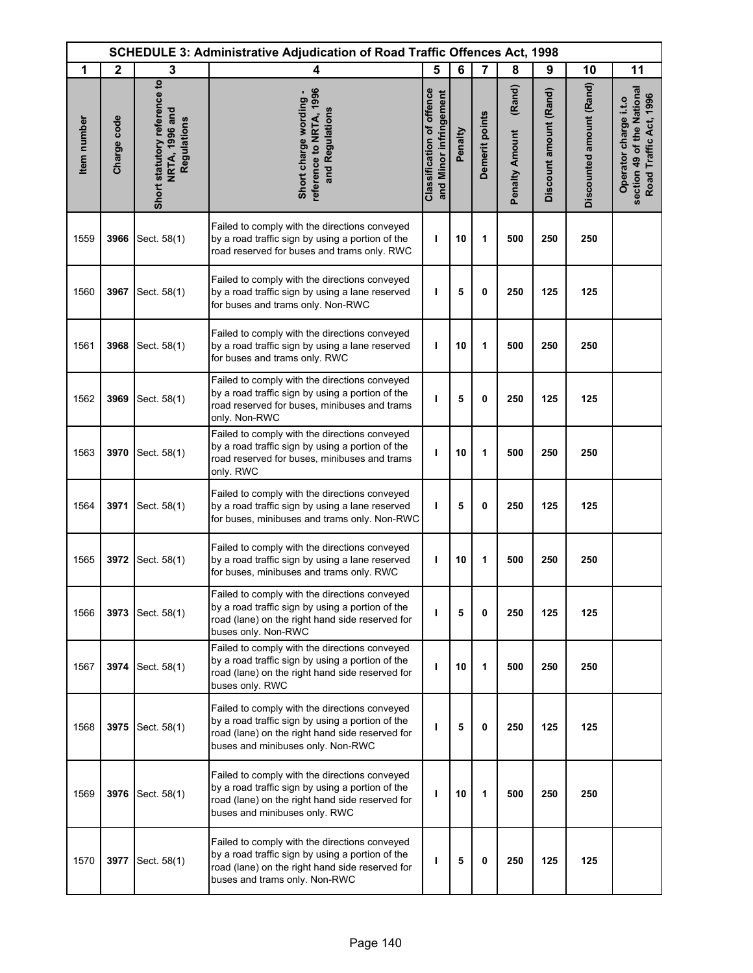| <b>SCHEDULE 3: Administrative Adjudication of Road Traffic Offences Act, 1998</b> |              |                                                               |                                                                                                                                                                                           |                                                            |         |                |                                 |                        |                          |                                                                               |
|-----------------------------------------------------------------------------------|--------------|---------------------------------------------------------------|-------------------------------------------------------------------------------------------------------------------------------------------------------------------------------------------|------------------------------------------------------------|---------|----------------|---------------------------------|------------------------|--------------------------|-------------------------------------------------------------------------------|
| 1                                                                                 | $\mathbf{2}$ | 3                                                             | 4                                                                                                                                                                                         | 5                                                          | 6       | $\overline{7}$ | 8                               | 9                      | 10                       | 11                                                                            |
| Item number                                                                       | Charge code  | Short statutory reference to<br>NRTA, 1996 and<br>Regulations | reference to NRTA, 1996<br>Short charge wording -<br>and Regulations                                                                                                                      | <b>Classification of offence</b><br>and Minor infringement | Penalty | Demerit points | (Rand)<br><b>Penalty Amount</b> | Discount amount (Rand) | Discounted amount (Rand) | section 49 of the National<br>Road Traffic Act, 1996<br>Operator charge i.t.o |
| 1559                                                                              | 3966         | Sect. 58(1)                                                   | Failed to comply with the directions conveyed<br>by a road traffic sign by using a portion of the<br>road reserved for buses and trams only. RWC                                          | ı                                                          | 10      | 1              | 500                             | 250                    | 250                      |                                                                               |
| 1560                                                                              | 3967         | Sect. 58(1)                                                   | Failed to comply with the directions conveyed<br>by a road traffic sign by using a lane reserved<br>for buses and trams only. Non-RWC                                                     | ı                                                          | 5       | $\mathbf 0$    | 250                             | 125                    | 125                      |                                                                               |
| 1561                                                                              | 3968         | Sect. 58(1)                                                   | Failed to comply with the directions conveyed<br>by a road traffic sign by using a lane reserved<br>for buses and trams only. RWC                                                         | ı                                                          | 10      | 1              | 500                             | 250                    | 250                      |                                                                               |
| 1562                                                                              | 3969         | Sect. 58(1)                                                   | Failed to comply with the directions conveyed<br>by a road traffic sign by using a portion of the<br>road reserved for buses, minibuses and trams<br>only. Non-RWC                        | ı                                                          | 5       | $\mathbf 0$    | 250                             | 125                    | 125                      |                                                                               |
| 1563                                                                              | 3970         | Sect. 58(1)                                                   | Failed to comply with the directions conveyed<br>by a road traffic sign by using a portion of the<br>road reserved for buses, minibuses and trams<br>only. RWC                            | ı                                                          | 10      | 1              | 500                             | 250                    | 250                      |                                                                               |
| 1564                                                                              | 3971         | Sect. 58(1)                                                   | Failed to comply with the directions conveyed<br>by a road traffic sign by using a lane reserved<br>for buses, minibuses and trams only. Non-RWC                                          | т                                                          | 5       | $\mathbf 0$    | 250                             | 125                    | 125                      |                                                                               |
| 1565                                                                              | 3972         | Sect. 58(1)                                                   | Failed to comply with the directions conveyed<br>by a road traffic sign by using a lane reserved<br>for buses, minibuses and trams only. RWC                                              | т                                                          | 10      | 1              | 500                             | 250                    | 250                      |                                                                               |
| 1566                                                                              | 3973         | Sect. 58(1)                                                   | Failed to comply with the directions conveyed<br>by a road traffic sign by using a portion of the<br>road (lane) on the right hand side reserved for<br>buses only. Non-RWC               | т                                                          | 5       | 0              | 250                             | 125                    | 125                      |                                                                               |
| 1567                                                                              | 3974         | Sect. 58(1)                                                   | Failed to comply with the directions conveyed<br>by a road traffic sign by using a portion of the<br>road (lane) on the right hand side reserved for<br>buses only. RWC                   | T                                                          | 10      | 1              | 500                             | 250                    | 250                      |                                                                               |
| 1568                                                                              | 3975         | Sect. 58(1)                                                   | Failed to comply with the directions conveyed<br>by a road traffic sign by using a portion of the<br>road (lane) on the right hand side reserved for<br>buses and minibuses only. Non-RWC | ı                                                          | 5       | 0              | 250                             | 125                    | 125                      |                                                                               |
| 1569                                                                              | 3976         | Sect. 58(1)                                                   | Failed to comply with the directions conveyed<br>by a road traffic sign by using a portion of the<br>road (lane) on the right hand side reserved for<br>buses and minibuses only. RWC     | т                                                          | 10      | 1              | 500                             | 250                    | 250                      |                                                                               |
| 1570                                                                              | 3977         | Sect. 58(1)                                                   | Failed to comply with the directions conveyed<br>by a road traffic sign by using a portion of the<br>road (lane) on the right hand side reserved for<br>buses and trams only. Non-RWC     | т                                                          | 5       | 0              | 250                             | 125                    | 125                      |                                                                               |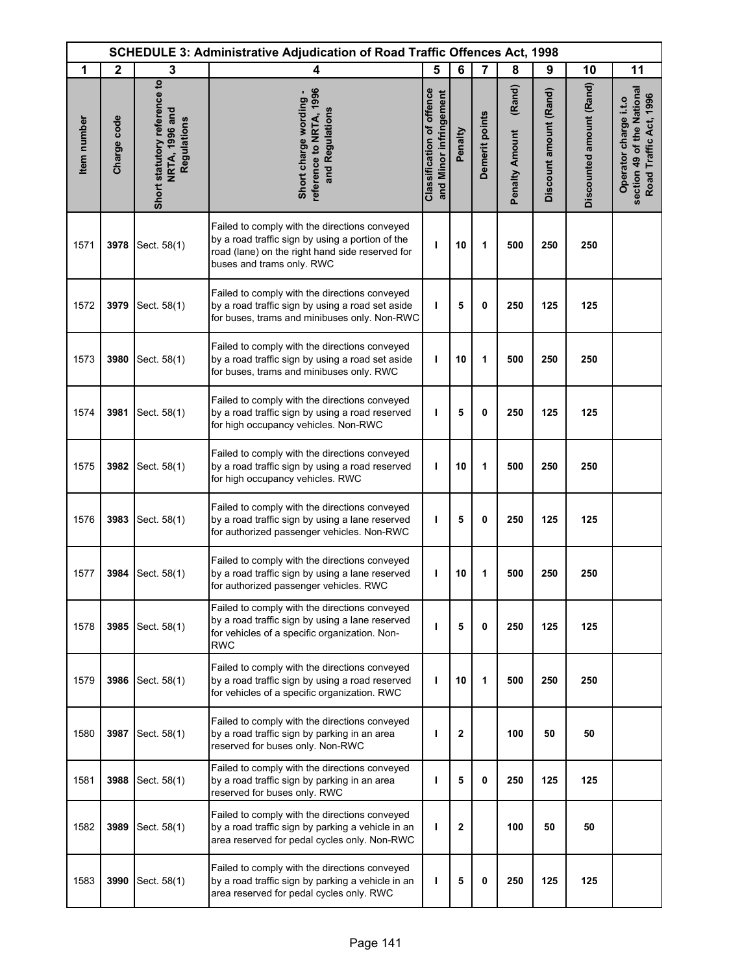| <b>SCHEDULE 3: Administrative Adjudication of Road Traffic Offences Act, 1998</b> |              |                                                               |                                                                                                                                                                                   |                                                            |              |                |                                 |                        |                          |                                                                               |
|-----------------------------------------------------------------------------------|--------------|---------------------------------------------------------------|-----------------------------------------------------------------------------------------------------------------------------------------------------------------------------------|------------------------------------------------------------|--------------|----------------|---------------------------------|------------------------|--------------------------|-------------------------------------------------------------------------------|
| 1                                                                                 | $\mathbf{2}$ | 3                                                             | 4                                                                                                                                                                                 | 5                                                          | 6            | $\overline{7}$ | 8                               | 9                      | 10                       | 11                                                                            |
| Item number                                                                       | Charge code  | Short statutory reference to<br>NRTA, 1996 and<br>Regulations | reference to NRTA, 1996<br>Short charge wording -<br>and Regulations                                                                                                              | <b>Classification of offence</b><br>and Minor infringement | Penalty      | Demerit points | (Rand)<br><b>Penalty Amount</b> | Discount amount (Rand) | Discounted amount (Rand) | section 49 of the National<br>Road Traffic Act, 1996<br>Operator charge i.t.o |
| 1571                                                                              | 3978         | Sect. 58(1)                                                   | Failed to comply with the directions conveyed<br>by a road traffic sign by using a portion of the<br>road (lane) on the right hand side reserved for<br>buses and trams only. RWC | ı                                                          | 10           | 1              | 500                             | 250                    | 250                      |                                                                               |
| 1572                                                                              | 3979         | Sect. 58(1)                                                   | Failed to comply with the directions conveyed<br>by a road traffic sign by using a road set aside<br>for buses, trams and minibuses only. Non-RWC                                 | т                                                          | 5            | 0              | 250                             | 125                    | 125                      |                                                                               |
| 1573                                                                              | 3980         | Sect. 58(1)                                                   | Failed to comply with the directions conveyed<br>by a road traffic sign by using a road set aside<br>for buses, trams and minibuses only. RWC                                     | ı                                                          | 10           | 1              | 500                             | 250                    | 250                      |                                                                               |
| 1574                                                                              | 3981         | Sect. 58(1)                                                   | Failed to comply with the directions conveyed<br>by a road traffic sign by using a road reserved<br>for high occupancy vehicles. Non-RWC                                          | т                                                          | 5            | 0              | 250                             | 125                    | 125                      |                                                                               |
| 1575                                                                              | 3982         | Sect. 58(1)                                                   | Failed to comply with the directions conveyed<br>by a road traffic sign by using a road reserved<br>for high occupancy vehicles. RWC                                              | т                                                          | 10           | 1              | 500                             | 250                    | 250                      |                                                                               |
| 1576                                                                              | 3983         | Sect. 58(1)                                                   | Failed to comply with the directions conveyed<br>by a road traffic sign by using a lane reserved<br>for authorized passenger vehicles. Non-RWC                                    | ı                                                          | 5            | 0              | 250                             | 125                    | 125                      |                                                                               |
| 1577                                                                              | 3984         | Sect. 58(1)                                                   | Failed to comply with the directions conveyed<br>by a road traffic sign by using a lane reserved<br>for authorized passenger vehicles. RWC                                        | ı                                                          | 10           | 1              | 500                             | 250                    | 250                      |                                                                               |
| 1578                                                                              | 3985         | Sect. 58(1)                                                   | Failed to comply with the directions conveyed<br>by a road traffic sign by using a lane reserved<br>for vehicles of a specific organization. Non-<br><b>RWC</b>                   | ı                                                          | 5            | $\mathbf{0}$   | 250                             | 125                    | 125                      |                                                                               |
| 1579                                                                              | 3986         | Sect. 58(1)                                                   | Failed to comply with the directions conveyed<br>by a road traffic sign by using a road reserved<br>for vehicles of a specific organization. RWC                                  | т                                                          | 10           | 1              | 500                             | 250                    | 250                      |                                                                               |
| 1580                                                                              | 3987         | Sect. 58(1)                                                   | Failed to comply with the directions conveyed<br>by a road traffic sign by parking in an area<br>reserved for buses only. Non-RWC                                                 | ı                                                          | $\mathbf{2}$ |                | 100                             | 50                     | 50                       |                                                                               |
| 1581                                                                              | 3988         | Sect. 58(1)                                                   | Failed to comply with the directions conveyed<br>by a road traffic sign by parking in an area<br>reserved for buses only. RWC                                                     | т                                                          | 5            | $\mathbf{0}$   | 250                             | 125                    | 125                      |                                                                               |
| 1582                                                                              | 3989         | Sect. 58(1)                                                   | Failed to comply with the directions conveyed<br>by a road traffic sign by parking a vehicle in an<br>area reserved for pedal cycles only. Non-RWC                                | т                                                          | $\mathbf{2}$ |                | 100                             | 50                     | 50                       |                                                                               |
| 1583                                                                              | 3990         | Sect. 58(1)                                                   | Failed to comply with the directions conveyed<br>by a road traffic sign by parking a vehicle in an<br>area reserved for pedal cycles only. RWC                                    | т                                                          | 5            | 0              | 250                             | 125                    | 125                      |                                                                               |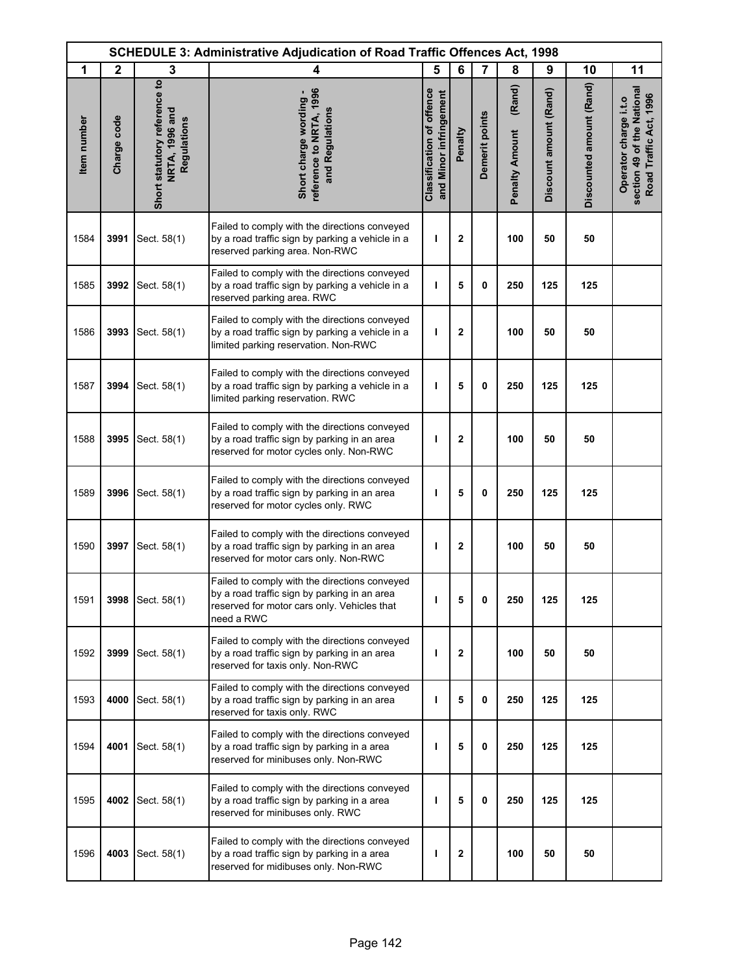| <b>SCHEDULE 3: Administrative Adjudication of Road Traffic Offences Act, 1998</b> |              |                                                               |                                                                                                                                                            |                                                            |              |                |                                 |                        |                          |                                                                               |
|-----------------------------------------------------------------------------------|--------------|---------------------------------------------------------------|------------------------------------------------------------------------------------------------------------------------------------------------------------|------------------------------------------------------------|--------------|----------------|---------------------------------|------------------------|--------------------------|-------------------------------------------------------------------------------|
| 1                                                                                 | $\mathbf{2}$ | 3                                                             | 4                                                                                                                                                          | 5                                                          | 6            | $\overline{7}$ | 8                               | 9                      | 10                       | 11                                                                            |
| Item number                                                                       | Charge code  | Short statutory reference to<br>NRTA, 1996 and<br>Regulations | reference to NRTA, 1996<br>Short charge wording -<br>and Regulations                                                                                       | <b>Classification of offence</b><br>and Minor infringement | Penalty      | Demerit points | (Rand)<br><b>Penalty Amount</b> | Discount amount (Rand) | Discounted amount (Rand) | section 49 of the National<br>Road Traffic Act, 1996<br>Operator charge i.t.o |
| 1584                                                                              | 3991         | Sect. 58(1)                                                   | Failed to comply with the directions conveyed<br>by a road traffic sign by parking a vehicle in a<br>reserved parking area. Non-RWC                        | ı                                                          | $\mathbf 2$  |                | 100                             | 50                     | 50                       |                                                                               |
| 1585                                                                              | 3992         | Sect. 58(1)                                                   | Failed to comply with the directions conveyed<br>by a road traffic sign by parking a vehicle in a<br>reserved parking area. RWC                            | т                                                          | 5            | 0              | 250                             | 125                    | 125                      |                                                                               |
| 1586                                                                              | 3993         | Sect. 58(1)                                                   | Failed to comply with the directions conveyed<br>by a road traffic sign by parking a vehicle in a<br>limited parking reservation. Non-RWC                  | т                                                          | $\mathbf 2$  |                | 100                             | 50                     | 50                       |                                                                               |
| 1587                                                                              | 3994         | Sect. 58(1)                                                   | Failed to comply with the directions conveyed<br>by a road traffic sign by parking a vehicle in a<br>limited parking reservation. RWC                      | ı                                                          | 5            | $\mathbf 0$    | 250                             | 125                    | 125                      |                                                                               |
| 1588                                                                              | 3995         | Sect. 58(1)                                                   | Failed to comply with the directions conveyed<br>by a road traffic sign by parking in an area<br>reserved for motor cycles only. Non-RWC                   | I                                                          | $\mathbf 2$  |                | 100                             | 50                     | 50                       |                                                                               |
| 1589                                                                              | 3996         | Sect. 58(1)                                                   | Failed to comply with the directions conveyed<br>by a road traffic sign by parking in an area<br>reserved for motor cycles only. RWC                       | ı                                                          | 5            | 0              | 250                             | 125                    | 125                      |                                                                               |
| 1590                                                                              | 3997         | Sect. 58(1)                                                   | Failed to comply with the directions conveyed<br>by a road traffic sign by parking in an area<br>reserved for motor cars only. Non-RWC                     | I                                                          | $\mathbf 2$  |                | 100                             | 50                     | 50                       |                                                                               |
| 1591                                                                              | 3998         | Sect. 58(1)                                                   | Failed to comply with the directions conveyed<br>by a road traffic sign by parking in an area<br>reserved for motor cars only. Vehicles that<br>need a RWC | п                                                          | 5            | 0              | 250                             | 125                    | 125                      |                                                                               |
| 1592                                                                              | 3999         | Sect. 58(1)                                                   | Failed to comply with the directions conveyed<br>by a road traffic sign by parking in an area<br>reserved for taxis only. Non-RWC                          | т                                                          | $\mathbf{2}$ |                | 100                             | 50                     | 50                       |                                                                               |
| 1593                                                                              | 4000         | Sect. 58(1)                                                   | Failed to comply with the directions conveyed<br>by a road traffic sign by parking in an area<br>reserved for taxis only. RWC                              | ı                                                          | 5            | 0              | 250                             | 125                    | 125                      |                                                                               |
| 1594                                                                              | 4001         | Sect. 58(1)                                                   | Failed to comply with the directions conveyed<br>by a road traffic sign by parking in a area<br>reserved for minibuses only. Non-RWC                       | ı                                                          | 5            | 0              | 250                             | 125                    | 125                      |                                                                               |
| 1595                                                                              |              | 4002 Sect. 58(1)                                              | Failed to comply with the directions conveyed<br>by a road traffic sign by parking in a area<br>reserved for minibuses only. RWC                           | т                                                          | 5            | 0              | 250                             | 125                    | 125                      |                                                                               |
| 1596                                                                              | 4003         | Sect. 58(1)                                                   | Failed to comply with the directions conveyed<br>by a road traffic sign by parking in a area<br>reserved for midibuses only. Non-RWC                       | п                                                          | 2            |                | 100                             | 50                     | 50                       |                                                                               |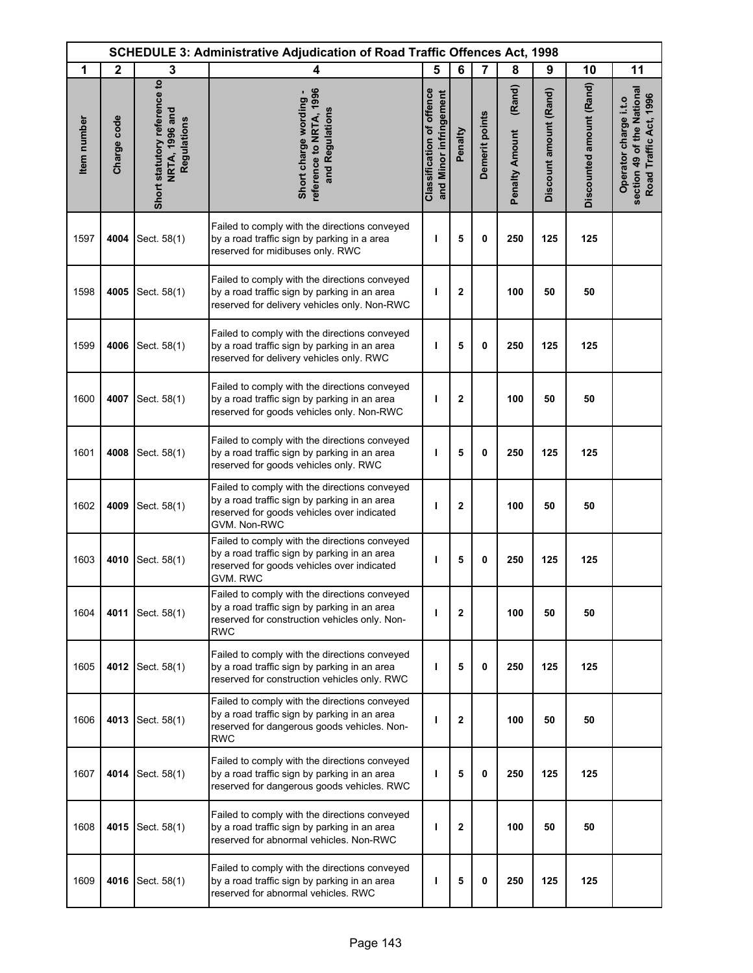| <b>SCHEDULE 3: Administrative Adjudication of Road Traffic Offences Act, 1998</b> |              |                                                               |                                                                                                                                                                |                                                            |              |                |                                 |                        |                          |                                                                               |
|-----------------------------------------------------------------------------------|--------------|---------------------------------------------------------------|----------------------------------------------------------------------------------------------------------------------------------------------------------------|------------------------------------------------------------|--------------|----------------|---------------------------------|------------------------|--------------------------|-------------------------------------------------------------------------------|
| 1                                                                                 | $\mathbf{2}$ | 3                                                             | 4                                                                                                                                                              | 5                                                          | 6            | 7              | 8                               | 9                      | 10                       | 11                                                                            |
| Item number                                                                       | Charge code  | Short statutory reference to<br>NRTA, 1996 and<br>Regulations | reference to NRTA, 1996<br>Short charge wording -<br>and Regulations                                                                                           | <b>Classification of offence</b><br>and Minor infringement | Penalty      | Demerit points | (Rand)<br><b>Penalty Amount</b> | Discount amount (Rand) | Discounted amount (Rand) | section 49 of the National<br>Road Traffic Act, 1996<br>Operator charge i.t.o |
| 1597                                                                              | 4004         | Sect. 58(1)                                                   | Failed to comply with the directions conveyed<br>by a road traffic sign by parking in a area<br>reserved for midibuses only. RWC                               | т                                                          | 5            | 0              | 250                             | 125                    | 125                      |                                                                               |
| 1598                                                                              | 4005         | Sect. 58(1)                                                   | Failed to comply with the directions conveyed<br>by a road traffic sign by parking in an area<br>reserved for delivery vehicles only. Non-RWC                  | т                                                          | $\mathbf 2$  |                | 100                             | 50                     | 50                       |                                                                               |
| 1599                                                                              | 4006         | Sect. 58(1)                                                   | Failed to comply with the directions conveyed<br>by a road traffic sign by parking in an area<br>reserved for delivery vehicles only. RWC                      | H                                                          | 5            | 0              | 250                             | 125                    | 125                      |                                                                               |
| 1600                                                                              | 4007         | Sect. 58(1)                                                   | Failed to comply with the directions conveyed<br>by a road traffic sign by parking in an area<br>reserved for goods vehicles only. Non-RWC                     | ı                                                          | $\mathbf{2}$ |                | 100                             | 50                     | 50                       |                                                                               |
| 1601                                                                              | 4008         | Sect. 58(1)                                                   | Failed to comply with the directions conveyed<br>by a road traffic sign by parking in an area<br>reserved for goods vehicles only. RWC                         | ı                                                          | 5            | 0              | 250                             | 125                    | 125                      |                                                                               |
| 1602                                                                              | 4009         | Sect. 58(1)                                                   | Failed to comply with the directions conveyed<br>by a road traffic sign by parking in an area<br>reserved for goods vehicles over indicated<br>GVM. Non-RWC    | ı                                                          | $\mathbf 2$  |                | 100                             | 50                     | 50                       |                                                                               |
| 1603                                                                              | 4010         | Sect. 58(1)                                                   | Failed to comply with the directions conveyed<br>by a road traffic sign by parking in an area<br>reserved for goods vehicles over indicated<br><b>GVM. RWC</b> | ı                                                          | 5            | 0              | 250                             | 125                    | 125                      |                                                                               |
| 1604                                                                              | 4011         | Sect. 58(1)                                                   | Failed to comply with the directions conveyed<br>by a road traffic sign by parking in an area<br>reserved for construction vehicles only. Non-<br>RWC          | п                                                          | $\mathbf{2}$ |                | 100                             | 50                     | 50                       |                                                                               |
| 1605                                                                              | 4012         | Sect. 58(1)                                                   | Failed to comply with the directions conveyed<br>by a road traffic sign by parking in an area<br>reserved for construction vehicles only. RWC                  | т                                                          | 5            | 0              | 250                             | 125                    | 125                      |                                                                               |
| 1606                                                                              | 4013         | Sect. 58(1)                                                   | Failed to comply with the directions conveyed<br>by a road traffic sign by parking in an area<br>reserved for dangerous goods vehicles. Non-<br>RWC            | I                                                          | $\mathbf{2}$ |                | 100                             | 50                     | 50                       |                                                                               |
| 1607                                                                              | 4014         | Sect. 58(1)                                                   | Failed to comply with the directions conveyed<br>by a road traffic sign by parking in an area<br>reserved for dangerous goods vehicles. RWC                    | ı                                                          | 5            | 0              | 250                             | 125                    | 125                      |                                                                               |
| 1608                                                                              | 4015         | Sect. 58(1)                                                   | Failed to comply with the directions conveyed<br>by a road traffic sign by parking in an area<br>reserved for abnormal vehicles. Non-RWC                       | I                                                          | 2            |                | 100                             | 50                     | 50                       |                                                                               |
| 1609                                                                              | 4016         | Sect. 58(1)                                                   | Failed to comply with the directions conveyed<br>by a road traffic sign by parking in an area<br>reserved for abnormal vehicles. RWC                           | ı                                                          | 5            | 0              | 250                             | 125                    | 125                      |                                                                               |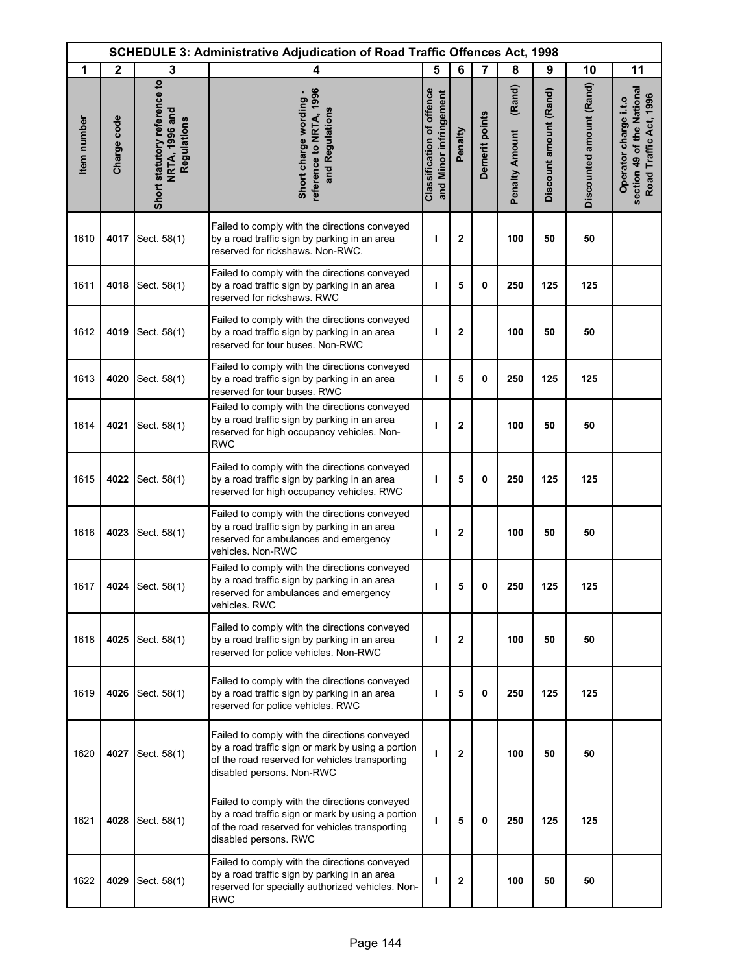|             | <b>SCHEDULE 3: Administrative Adjudication of Road Traffic Offences Act, 1998</b> |                                                                      |                                                                                                                                                                                   |                                                            |         |                |                                 |                        |                          |                                                                               |
|-------------|-----------------------------------------------------------------------------------|----------------------------------------------------------------------|-----------------------------------------------------------------------------------------------------------------------------------------------------------------------------------|------------------------------------------------------------|---------|----------------|---------------------------------|------------------------|--------------------------|-------------------------------------------------------------------------------|
| 1           | $\mathbf{2}$                                                                      | 3                                                                    | 4                                                                                                                                                                                 | 5                                                          | 6       | 7              | 8                               | 9                      | 10                       | 11                                                                            |
| Item number | Charge code                                                                       | Short statutory reference to<br><b>NRTA, 1996 and</b><br>Regulations | reference to NRTA, 1996<br>Short charge wording -<br>and Regulations                                                                                                              | <b>Classification of offence</b><br>and Minor infringement | Penalty | Demerit points | (Rand)<br><b>Penalty Amount</b> | Discount amount (Rand) | Discounted amount (Rand) | section 49 of the National<br>Road Traffic Act, 1996<br>Operator charge i.t.o |
| 1610        | 4017                                                                              | Sect. 58(1)                                                          | Failed to comply with the directions conveyed<br>by a road traffic sign by parking in an area<br>reserved for rickshaws. Non-RWC.                                                 | п                                                          | 2       |                | 100                             | 50                     | 50                       |                                                                               |
| 1611        | 4018                                                                              | Sect. 58(1)                                                          | Failed to comply with the directions conveyed<br>by a road traffic sign by parking in an area<br>reserved for rickshaws. RWC                                                      | т                                                          | 5       | 0              | 250                             | 125                    | 125                      |                                                                               |
| 1612        | 4019                                                                              | Sect. 58(1)                                                          | Failed to comply with the directions conveyed<br>by a road traffic sign by parking in an area<br>reserved for tour buses. Non-RWC                                                 | ı                                                          | 2       |                | 100                             | 50                     | 50                       |                                                                               |
| 1613        | 4020                                                                              | Sect. 58(1)                                                          | Failed to comply with the directions conveyed<br>by a road traffic sign by parking in an area<br>reserved for tour buses. RWC                                                     | т                                                          | 5       | 0              | 250                             | 125                    | 125                      |                                                                               |
| 1614        | 4021                                                                              | Sect. 58(1)                                                          | Failed to comply with the directions conveyed<br>by a road traffic sign by parking in an area<br>reserved for high occupancy vehicles. Non-<br><b>RWC</b>                         | т                                                          | 2       |                | 100                             | 50                     | 50                       |                                                                               |
| 1615        | 4022                                                                              | Sect. 58(1)                                                          | Failed to comply with the directions conveyed<br>by a road traffic sign by parking in an area<br>reserved for high occupancy vehicles. RWC                                        | ı                                                          | 5       | 0              | 250                             | 125                    | 125                      |                                                                               |
| 1616        | 4023                                                                              | Sect. 58(1)                                                          | Failed to comply with the directions conveyed<br>by a road traffic sign by parking in an area<br>reserved for ambulances and emergency<br>vehicles. Non-RWC                       | т                                                          | 2       |                | 100                             | 50                     | 50                       |                                                                               |
| 1617        |                                                                                   | 4024 Sect. 58(1)                                                     | Failed to comply with the directions conveyed<br>by a road traffic sign by parking in an area<br>reserved for ambulances and emergency<br>vehicles. RWC                           | ı                                                          | 5       | 0              | 250                             | 125                    | 125                      |                                                                               |
| 1618        | 4025                                                                              | Sect. 58(1)                                                          | Failed to comply with the directions conveyed<br>by a road traffic sign by parking in an area<br>reserved for police vehicles. Non-RWC                                            | п                                                          | 2       |                | 100                             | 50                     | 50                       |                                                                               |
| 1619        | 4026                                                                              | Sect. 58(1)                                                          | Failed to comply with the directions conveyed<br>by a road traffic sign by parking in an area<br>reserved for police vehicles. RWC                                                | т                                                          | 5       | 0              | 250                             | 125                    | 125                      |                                                                               |
| 1620        | 4027                                                                              | Sect. 58(1)                                                          | Failed to comply with the directions conveyed<br>by a road traffic sign or mark by using a portion<br>of the road reserved for vehicles transporting<br>disabled persons. Non-RWC | ı                                                          | 2       |                | 100                             | 50                     | 50                       |                                                                               |
| 1621        | 4028                                                                              | Sect. 58(1)                                                          | Failed to comply with the directions conveyed<br>by a road traffic sign or mark by using a portion<br>of the road reserved for vehicles transporting<br>disabled persons. RWC     | ı                                                          | 5       | 0              | 250                             | 125                    | 125                      |                                                                               |
| 1622        | 4029                                                                              | Sect. 58(1)                                                          | Failed to comply with the directions conveyed<br>by a road traffic sign by parking in an area<br>reserved for specially authorized vehicles. Non-<br><b>RWC</b>                   | ı                                                          | 2       |                | 100                             | 50                     | 50                       |                                                                               |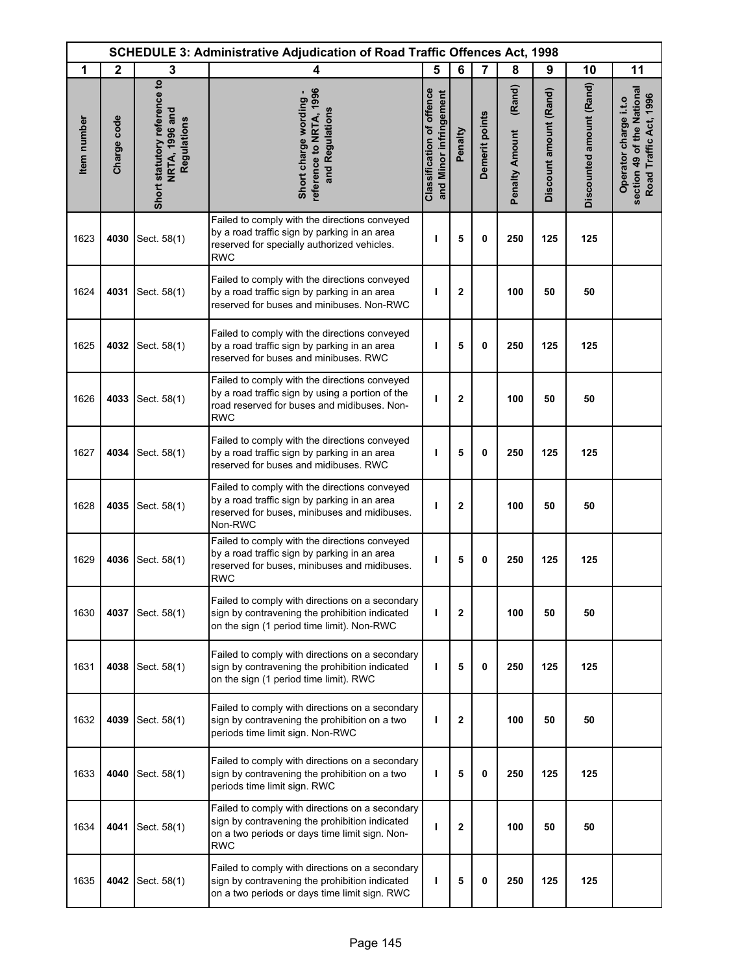| <b>SCHEDULE 3: Administrative Adjudication of Road Traffic Offences Act, 1998</b> |              |                                                               |                                                                                                                                                                   |                                                            |              |                |                                 |                        |                          |                                                                               |
|-----------------------------------------------------------------------------------|--------------|---------------------------------------------------------------|-------------------------------------------------------------------------------------------------------------------------------------------------------------------|------------------------------------------------------------|--------------|----------------|---------------------------------|------------------------|--------------------------|-------------------------------------------------------------------------------|
| 1                                                                                 | $\mathbf{2}$ | 3                                                             | 4                                                                                                                                                                 | 5                                                          | 6            | 7              | 8                               | 9                      | 10                       | 11                                                                            |
| Item number                                                                       | Charge code  | Short statutory reference to<br>NRTA, 1996 and<br>Regulations | reference to NRTA, 1996<br>Short charge wording -<br>and Regulations                                                                                              | <b>Classification of offence</b><br>and Minor infringement | Penalty      | Demerit points | (Rand)<br><b>Penalty Amount</b> | Discount amount (Rand) | Discounted amount (Rand) | section 49 of the National<br>Road Traffic Act, 1996<br>Operator charge i.t.o |
| 1623                                                                              | 4030         | Sect. 58(1)                                                   | Failed to comply with the directions conveyed<br>by a road traffic sign by parking in an area<br>reserved for specially authorized vehicles.<br><b>RWC</b>        | т                                                          | 5            | 0              | 250                             | 125                    | 125                      |                                                                               |
| 1624                                                                              | 4031         | Sect. 58(1)                                                   | Failed to comply with the directions conveyed<br>by a road traffic sign by parking in an area<br>reserved for buses and minibuses. Non-RWC                        | т                                                          | $\mathbf{2}$ |                | 100                             | 50                     | 50                       |                                                                               |
| 1625                                                                              | 4032         | Sect. 58(1)                                                   | Failed to comply with the directions conveyed<br>by a road traffic sign by parking in an area<br>reserved for buses and minibuses. RWC                            | п                                                          | 5            | 0              | 250                             | 125                    | 125                      |                                                                               |
| 1626                                                                              | 4033         | Sect. 58(1)                                                   | Failed to comply with the directions conveyed<br>by a road traffic sign by using a portion of the<br>road reserved for buses and midibuses. Non-<br><b>RWC</b>    | ı                                                          | $\mathbf{2}$ |                | 100                             | 50                     | 50                       |                                                                               |
| 1627                                                                              | 4034         | Sect. 58(1)                                                   | Failed to comply with the directions conveyed<br>by a road traffic sign by parking in an area<br>reserved for buses and midibuses. RWC                            | ı                                                          | 5            | 0              | 250                             | 125                    | 125                      |                                                                               |
| 1628                                                                              | 4035         | Sect. 58(1)                                                   | Failed to comply with the directions conveyed<br>by a road traffic sign by parking in an area<br>reserved for buses, minibuses and midibuses.<br>Non-RWC          | ı                                                          | $\mathbf{2}$ |                | 100                             | 50                     | 50                       |                                                                               |
| 1629                                                                              | 4036         | Sect. 58(1)                                                   | Failed to comply with the directions conveyed<br>by a road traffic sign by parking in an area<br>reserved for buses, minibuses and midibuses.<br><b>RWC</b>       | ı                                                          | 5            | 0              | 250                             | 125                    | 125                      |                                                                               |
| 1630                                                                              | 4037         | Sect. 58(1)                                                   | Failed to comply with directions on a secondary<br>sign by contravening the prohibition indicated<br>on the sign (1 period time limit). Non-RWC                   | т                                                          | $\mathbf{2}$ |                | 100                             | 50                     | 50                       |                                                                               |
| 1631                                                                              | 4038         | Sect. 58(1)                                                   | Failed to comply with directions on a secondary<br>sign by contravening the prohibition indicated<br>on the sign (1 period time limit). RWC                       | т                                                          | 5            | 0              | 250                             | 125                    | 125                      |                                                                               |
| 1632                                                                              | 4039         | Sect. 58(1)                                                   | Failed to comply with directions on a secondary<br>sign by contravening the prohibition on a two<br>periods time limit sign. Non-RWC                              | т                                                          | 2            |                | 100                             | 50                     | 50                       |                                                                               |
| 1633                                                                              | 4040         | Sect. 58(1)                                                   | Failed to comply with directions on a secondary<br>sign by contravening the prohibition on a two<br>periods time limit sign. RWC                                  | ı                                                          | 5            | 0              | 250                             | 125                    | 125                      |                                                                               |
| 1634                                                                              | 4041         | Sect. 58(1)                                                   | Failed to comply with directions on a secondary<br>sign by contravening the prohibition indicated<br>on a two periods or days time limit sign. Non-<br><b>RWC</b> | т                                                          | 2            |                | 100                             | 50                     | 50                       |                                                                               |
| 1635                                                                              | 4042         | Sect. 58(1)                                                   | Failed to comply with directions on a secondary<br>sign by contravening the prohibition indicated<br>on a two periods or days time limit sign. RWC                | ı                                                          | 5            | 0              | 250                             | 125                    | 125                      |                                                                               |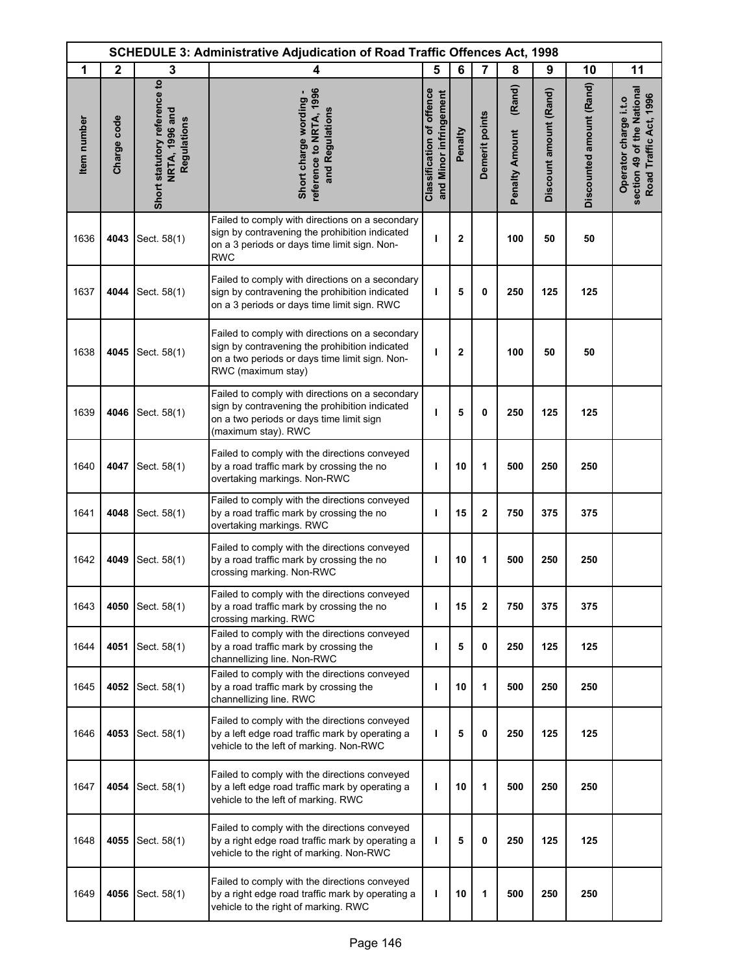| <b>SCHEDULE 3: Administrative Adjudication of Road Traffic Offences Act, 1998</b> |              |                                                               |                                                                                                                                                                           |                                                            |              |                |                                 |                        |                          |                                                                               |
|-----------------------------------------------------------------------------------|--------------|---------------------------------------------------------------|---------------------------------------------------------------------------------------------------------------------------------------------------------------------------|------------------------------------------------------------|--------------|----------------|---------------------------------|------------------------|--------------------------|-------------------------------------------------------------------------------|
| 1                                                                                 | $\mathbf{2}$ | 3                                                             | 4                                                                                                                                                                         | 5                                                          | 6            | 7              | 8                               | 9                      | 10                       | 11                                                                            |
| Item number                                                                       | Charge code  | Short statutory reference to<br>NRTA, 1996 and<br>Regulations | reference to NRTA, 1996<br>Short charge wording -<br>and Regulations                                                                                                      | <b>Classification of offence</b><br>and Minor infringement | Penalty      | Demerit points | (Rand)<br><b>Penalty Amount</b> | Discount amount (Rand) | Discounted amount (Rand) | section 49 of the National<br>Road Traffic Act, 1996<br>Operator charge i.t.o |
| 1636                                                                              | 4043         | Sect. 58(1)                                                   | Failed to comply with directions on a secondary<br>sign by contravening the prohibition indicated<br>on a 3 periods or days time limit sign. Non-<br><b>RWC</b>           | п                                                          | $\mathbf{2}$ |                | 100                             | 50                     | 50                       |                                                                               |
| 1637                                                                              | 4044         | Sect. 58(1)                                                   | Failed to comply with directions on a secondary<br>sign by contravening the prohibition indicated<br>on a 3 periods or days time limit sign. RWC                          | т                                                          | 5            | 0              | 250                             | 125                    | 125                      |                                                                               |
| 1638                                                                              | 4045         | Sect. 58(1)                                                   | Failed to comply with directions on a secondary<br>sign by contravening the prohibition indicated<br>on a two periods or days time limit sign. Non-<br>RWC (maximum stay) | т                                                          | $\mathbf{2}$ |                | 100                             | 50                     | 50                       |                                                                               |
| 1639                                                                              | 4046         | Sect. 58(1)                                                   | Failed to comply with directions on a secondary<br>sign by contravening the prohibition indicated<br>on a two periods or days time limit sign<br>(maximum stay). RWC      | п                                                          | 5            | 0              | 250                             | 125                    | 125                      |                                                                               |
| 1640                                                                              | 4047         | Sect. 58(1)                                                   | Failed to comply with the directions conveyed<br>by a road traffic mark by crossing the no<br>overtaking markings. Non-RWC                                                | ı                                                          | 10           | 1              | 500                             | 250                    | 250                      |                                                                               |
| 1641                                                                              | 4048         | Sect. 58(1)                                                   | Failed to comply with the directions conveyed<br>by a road traffic mark by crossing the no<br>overtaking markings. RWC                                                    | т                                                          | 15           | $\mathbf 2$    | 750                             | 375                    | 375                      |                                                                               |
| 1642                                                                              | 4049         | Sect. 58(1)                                                   | Failed to comply with the directions conveyed<br>by a road traffic mark by crossing the no<br>crossing marking. Non-RWC                                                   | п                                                          | 10           | 1              | 500                             | 250                    | 250                      |                                                                               |
| 1643                                                                              | 4050         | Sect. 58(1)                                                   | Failed to comply with the directions conveyed<br>by a road traffic mark by crossing the no<br>crossing marking. RWC                                                       | ı                                                          | 15           | $\mathbf{2}$   | 750                             | 375                    | 375                      |                                                                               |
| 1644                                                                              | 4051         | Sect. 58(1)                                                   | Failed to comply with the directions conveyed<br>by a road traffic mark by crossing the<br>channellizing line. Non-RWC                                                    | т                                                          | 5            | 0              | 250                             | 125                    | 125                      |                                                                               |
| 1645                                                                              | 4052         | Sect. 58(1)                                                   | Failed to comply with the directions conveyed<br>by a road traffic mark by crossing the<br>channellizing line. RWC                                                        | ı                                                          | 10           | 1              | 500                             | 250                    | 250                      |                                                                               |
| 1646                                                                              | 4053         | Sect. 58(1)                                                   | Failed to comply with the directions conveyed<br>by a left edge road traffic mark by operating a<br>vehicle to the left of marking. Non-RWC                               | ı                                                          | 5            | 0              | 250                             | 125                    | 125                      |                                                                               |
| 1647                                                                              | 4054         | Sect. 58(1)                                                   | Failed to comply with the directions conveyed<br>by a left edge road traffic mark by operating a<br>vehicle to the left of marking. RWC                                   | т                                                          | 10           | 1              | 500                             | 250                    | 250                      |                                                                               |
| 1648                                                                              | 4055         | Sect. 58(1)                                                   | Failed to comply with the directions conveyed<br>by a right edge road traffic mark by operating a<br>vehicle to the right of marking. Non-RWC                             | т                                                          | 5            | 0              | 250                             | 125                    | 125                      |                                                                               |
| 1649                                                                              | 4056         | Sect. 58(1)                                                   | Failed to comply with the directions conveyed<br>by a right edge road traffic mark by operating a<br>vehicle to the right of marking. RWC                                 | ı                                                          | 10           | 1              | 500                             | 250                    | 250                      |                                                                               |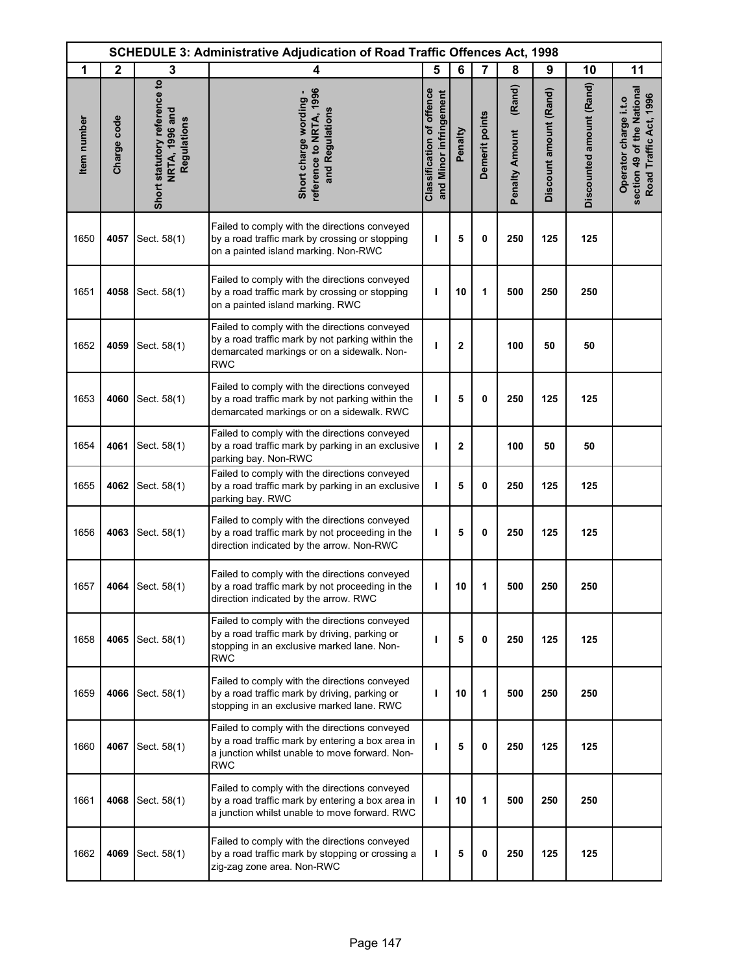| <b>SCHEDULE 3: Administrative Adjudication of Road Traffic Offences Act, 1998</b> |              |                                                               |                                                                                                                                                                   |                                                            |              |                |                                 |                        |                          |                                                                               |
|-----------------------------------------------------------------------------------|--------------|---------------------------------------------------------------|-------------------------------------------------------------------------------------------------------------------------------------------------------------------|------------------------------------------------------------|--------------|----------------|---------------------------------|------------------------|--------------------------|-------------------------------------------------------------------------------|
| 1                                                                                 | $\mathbf{2}$ | 3                                                             | 4                                                                                                                                                                 | 5                                                          | 6            | 7              | 8                               | 9                      | 10                       | 11                                                                            |
| Item number                                                                       | Charge code  | Short statutory reference to<br>NRTA, 1996 and<br>Regulations | reference to NRTA, 1996<br>Short charge wording -<br>and Regulations                                                                                              | <b>Classification of offence</b><br>and Minor infringement | Penalty      | Demerit points | (Rand)<br><b>Penalty Amount</b> | Discount amount (Rand) | Discounted amount (Rand) | section 49 of the National<br>Road Traffic Act, 1996<br>Operator charge i.t.o |
| 1650                                                                              | 4057         | Sect. 58(1)                                                   | Failed to comply with the directions conveyed<br>by a road traffic mark by crossing or stopping<br>on a painted island marking. Non-RWC                           | ı                                                          | 5            | 0              | 250                             | 125                    | 125                      |                                                                               |
| 1651                                                                              | 4058         | Sect. 58(1)                                                   | Failed to comply with the directions conveyed<br>by a road traffic mark by crossing or stopping<br>on a painted island marking. RWC                               | ı                                                          | 10           | 1              | 500                             | 250                    | 250                      |                                                                               |
| 1652                                                                              | 4059         | Sect. 58(1)                                                   | Failed to comply with the directions conveyed<br>by a road traffic mark by not parking within the<br>demarcated markings or on a sidewalk. Non-<br><b>RWC</b>     | ı                                                          | $\mathbf 2$  |                | 100                             | 50                     | 50                       |                                                                               |
| 1653                                                                              | 4060         | Sect. 58(1)                                                   | Failed to comply with the directions conveyed<br>by a road traffic mark by not parking within the<br>demarcated markings or on a sidewalk. RWC                    | ı                                                          | 5            | 0              | 250                             | 125                    | 125                      |                                                                               |
| 1654                                                                              | 4061         | Sect. 58(1)                                                   | Failed to comply with the directions conveyed<br>by a road traffic mark by parking in an exclusive<br>parking bay. Non-RWC                                        | T                                                          | $\mathbf{2}$ |                | 100                             | 50                     | 50                       |                                                                               |
| 1655                                                                              | 4062         | Sect. 58(1)                                                   | Failed to comply with the directions conveyed<br>by a road traffic mark by parking in an exclusive<br>parking bay. RWC                                            | ı                                                          | 5            | 0              | 250                             | 125                    | 125                      |                                                                               |
| 1656                                                                              | 4063         | Sect. 58(1)                                                   | Failed to comply with the directions conveyed<br>by a road traffic mark by not proceeding in the<br>direction indicated by the arrow. Non-RWC                     | т                                                          | 5            | 0              | 250                             | 125                    | 125                      |                                                                               |
| 1657                                                                              |              | 4064 Sect. 58(1)                                              | Failed to comply with the directions conveyed<br>by a road traffic mark by not proceeding in the<br>direction indicated by the arrow. RWC                         | I                                                          | 10           | 1              | 500                             | 250                    | 250                      |                                                                               |
| 1658                                                                              | 4065         | Sect. 58(1)                                                   | Failed to comply with the directions conveyed<br>by a road traffic mark by driving, parking or<br>stopping in an exclusive marked lane. Non-<br><b>RWC</b>        | ı                                                          | 5            | 0              | 250                             | 125                    | 125                      |                                                                               |
| 1659                                                                              | 4066         | Sect. 58(1)                                                   | Failed to comply with the directions conveyed<br>by a road traffic mark by driving, parking or<br>stopping in an exclusive marked lane. RWC                       | ı                                                          | 10           | 1              | 500                             | 250                    | 250                      |                                                                               |
| 1660                                                                              | 4067         | Sect. 58(1)                                                   | Failed to comply with the directions conveyed<br>by a road traffic mark by entering a box area in<br>a junction whilst unable to move forward. Non-<br><b>RWC</b> | ı                                                          | 5            | 0              | 250                             | 125                    | 125                      |                                                                               |
| 1661                                                                              | 4068         | Sect. 58(1)                                                   | Failed to comply with the directions conveyed<br>by a road traffic mark by entering a box area in<br>a junction whilst unable to move forward. RWC                | ı                                                          | 10           | 1              | 500                             | 250                    | 250                      |                                                                               |
| 1662                                                                              | 4069         | Sect. 58(1)                                                   | Failed to comply with the directions conveyed<br>by a road traffic mark by stopping or crossing a<br>zig-zag zone area. Non-RWC                                   | т                                                          | 5            | 0              | 250                             | 125                    | 125                      |                                                                               |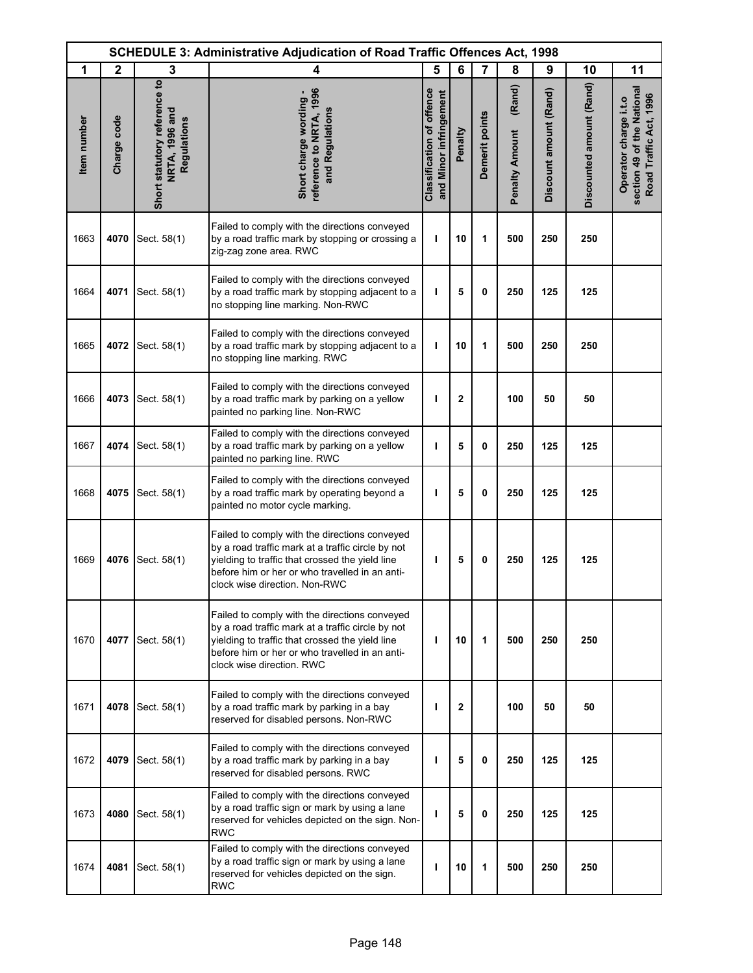| <b>SCHEDULE 3: Administrative Adjudication of Road Traffic Offences Act, 1998</b> |              |                                                               |                                                                                                                                                                                                                                          |                                                            |              |                |                                 |                        |                          |                                                                               |
|-----------------------------------------------------------------------------------|--------------|---------------------------------------------------------------|------------------------------------------------------------------------------------------------------------------------------------------------------------------------------------------------------------------------------------------|------------------------------------------------------------|--------------|----------------|---------------------------------|------------------------|--------------------------|-------------------------------------------------------------------------------|
| 1                                                                                 | $\mathbf{2}$ | 3                                                             | 4                                                                                                                                                                                                                                        | 5                                                          | 6            | 7              | 8                               | 9                      | 10                       | 11                                                                            |
| Item number                                                                       | Charge code  | Short statutory reference to<br>NRTA, 1996 and<br>Regulations | reference to NRTA, 1996<br>Short charge wording -<br>and Regulations                                                                                                                                                                     | <b>Classification of offence</b><br>and Minor infringement | Penalty      | Demerit points | (Rand)<br><b>Penalty Amount</b> | Discount amount (Rand) | Discounted amount (Rand) | section 49 of the National<br>Road Traffic Act, 1996<br>Operator charge i.t.o |
| 1663                                                                              | 4070         | Sect. 58(1)                                                   | Failed to comply with the directions conveyed<br>by a road traffic mark by stopping or crossing a<br>zig-zag zone area. RWC                                                                                                              | т                                                          | 10           | 1              | 500                             | 250                    | 250                      |                                                                               |
| 1664                                                                              | 4071         | Sect. 58(1)                                                   | Failed to comply with the directions conveyed<br>by a road traffic mark by stopping adjacent to a<br>no stopping line marking. Non-RWC                                                                                                   | т                                                          | 5            | 0              | 250                             | 125                    | 125                      |                                                                               |
| 1665                                                                              | 4072         | Sect. 58(1)                                                   | Failed to comply with the directions conveyed<br>by a road traffic mark by stopping adjacent to a<br>no stopping line marking. RWC                                                                                                       | т                                                          | 10           | 1              | 500                             | 250                    | 250                      |                                                                               |
| 1666                                                                              | 4073         | Sect. 58(1)                                                   | Failed to comply with the directions conveyed<br>by a road traffic mark by parking on a yellow<br>painted no parking line. Non-RWC                                                                                                       | ı                                                          | $\mathbf{2}$ |                | 100                             | 50                     | 50                       |                                                                               |
| 1667                                                                              | 4074         | Sect. 58(1)                                                   | Failed to comply with the directions conveyed<br>by a road traffic mark by parking on a yellow<br>painted no parking line. RWC                                                                                                           | ı                                                          | 5            | 0              | 250                             | 125                    | 125                      |                                                                               |
| 1668                                                                              | 4075         | Sect. 58(1)                                                   | Failed to comply with the directions conveyed<br>by a road traffic mark by operating beyond a<br>painted no motor cycle marking.                                                                                                         | ı                                                          | 5            | $\mathbf{0}$   | 250                             | 125                    | 125                      |                                                                               |
| 1669                                                                              | 4076         | Sect. 58(1)                                                   | Failed to comply with the directions conveyed<br>by a road traffic mark at a traffic circle by not<br>yielding to traffic that crossed the yield line<br>before him or her or who travelled in an anti-<br>clock wise direction. Non-RWC | ı                                                          | 5            | 0              | 250                             | 125                    | 125                      |                                                                               |
| 1670                                                                              | 4077         | Sect. 58(1)                                                   | Failed to comply with the directions conveyed<br>by a road traffic mark at a traffic circle by not<br>yielding to traffic that crossed the yield line<br>before him or her or who travelled in an anti-<br>clock wise direction. RWC     | т                                                          | 10           | 1              | 500                             | 250                    | 250                      |                                                                               |
| 1671                                                                              | 4078         | Sect. 58(1)                                                   | Failed to comply with the directions conveyed<br>by a road traffic mark by parking in a bay<br>reserved for disabled persons. Non-RWC                                                                                                    | ı                                                          | $\mathbf{2}$ |                | 100                             | 50                     | 50                       |                                                                               |
| 1672                                                                              | 4079         | Sect. 58(1)                                                   | Failed to comply with the directions conveyed<br>by a road traffic mark by parking in a bay<br>reserved for disabled persons. RWC                                                                                                        | п                                                          | 5            | $\mathbf{0}$   | 250                             | 125                    | 125                      |                                                                               |
| 1673                                                                              | 4080         | Sect. 58(1)                                                   | Failed to comply with the directions conveyed<br>by a road traffic sign or mark by using a lane<br>reserved for vehicles depicted on the sign. Non-<br>RWC                                                                               | т                                                          | 5            | 0              | 250                             | 125                    | 125                      |                                                                               |
| 1674                                                                              | 4081         | Sect. 58(1)                                                   | Failed to comply with the directions conveyed<br>by a road traffic sign or mark by using a lane<br>reserved for vehicles depicted on the sign.<br><b>RWC</b>                                                                             | т                                                          | 10           | 1              | 500                             | 250                    | 250                      |                                                                               |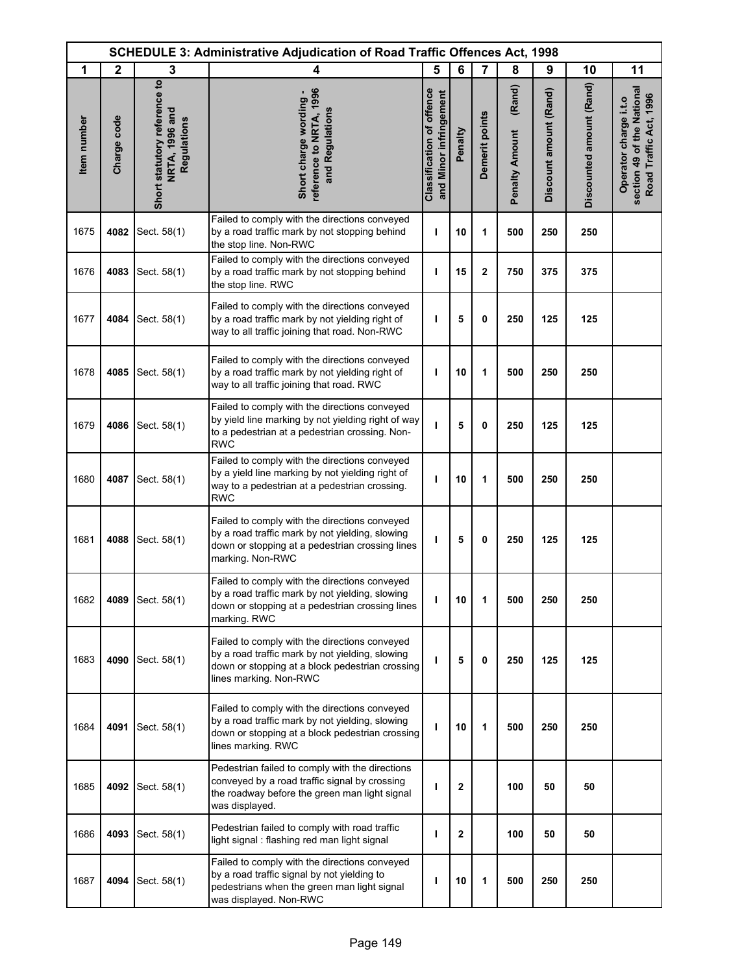| <b>SCHEDULE 3: Administrative Adjudication of Road Traffic Offences Act, 1998</b> |              |                                                               |                                                                                                                                                                               |                                                            |              |                |                                 |                        |                          |                                                                               |
|-----------------------------------------------------------------------------------|--------------|---------------------------------------------------------------|-------------------------------------------------------------------------------------------------------------------------------------------------------------------------------|------------------------------------------------------------|--------------|----------------|---------------------------------|------------------------|--------------------------|-------------------------------------------------------------------------------|
| 1                                                                                 | $\mathbf{2}$ | 3                                                             | 4                                                                                                                                                                             | 5                                                          | 6            | $\overline{7}$ | 8                               | 9                      | 10                       | 11                                                                            |
| Item number                                                                       | Charge code  | Short statutory reference to<br>NRTA, 1996 and<br>Regulations | reference to NRTA, 1996<br>Short charge wording -<br>and Regulations                                                                                                          | <b>Classification of offence</b><br>and Minor infringement | Penalty      | Demerit points | (Rand)<br><b>Penalty Amount</b> | Discount amount (Rand) | Discounted amount (Rand) | section 49 of the National<br>Road Traffic Act, 1996<br>Operator charge i.t.o |
| 1675                                                                              | 4082         | Sect. 58(1)                                                   | Failed to comply with the directions conveyed<br>by a road traffic mark by not stopping behind<br>the stop line. Non-RWC                                                      | ı                                                          | 10           | 1              | 500                             | 250                    | 250                      |                                                                               |
| 1676                                                                              | 4083         | Sect. 58(1)                                                   | Failed to comply with the directions conveyed<br>by a road traffic mark by not stopping behind<br>the stop line. RWC                                                          | ı                                                          | 15           | 2              | 750                             | 375                    | 375                      |                                                                               |
| 1677                                                                              | 4084         | Sect. 58(1)                                                   | Failed to comply with the directions conveyed<br>by a road traffic mark by not yielding right of<br>way to all traffic joining that road. Non-RWC                             | ı                                                          | 5            | 0              | 250                             | 125                    | 125                      |                                                                               |
| 1678                                                                              | 4085         | Sect. 58(1)                                                   | Failed to comply with the directions conveyed<br>by a road traffic mark by not yielding right of<br>way to all traffic joining that road. RWC                                 | ı                                                          | 10           | 1              | 500                             | 250                    | 250                      |                                                                               |
| 1679                                                                              | 4086         | Sect. 58(1)                                                   | Failed to comply with the directions conveyed<br>by yield line marking by not yielding right of way<br>to a pedestrian at a pedestrian crossing. Non-<br><b>RWC</b>           | т                                                          | 5            | 0              | 250                             | 125                    | 125                      |                                                                               |
| 1680                                                                              | 4087         | Sect. 58(1)                                                   | Failed to comply with the directions conveyed<br>by a yield line marking by not yielding right of<br>way to a pedestrian at a pedestrian crossing.<br><b>RWC</b>              | т                                                          | 10           | 1              | 500                             | 250                    | 250                      |                                                                               |
| 1681                                                                              | 4088         | Sect. 58(1)                                                   | Failed to comply with the directions conveyed<br>by a road traffic mark by not yielding, slowing<br>down or stopping at a pedestrian crossing lines<br>marking. Non-RWC       | ı                                                          | 5            | 0              | 250                             | 125                    | 125                      |                                                                               |
| 1682                                                                              | 4089         | Sect. 58(1)                                                   | Failed to comply with the directions conveyed<br>by a road traffic mark by not yielding, slowing<br>down or stopping at a pedestrian crossing lines<br>marking. RWC           | ı                                                          | 10           | 1              | 500                             | 250                    | 250                      |                                                                               |
| 1683                                                                              | 4090         | Sect. 58(1)                                                   | Failed to comply with the directions conveyed<br>by a road traffic mark by not yielding, slowing<br>down or stopping at a block pedestrian crossing<br>lines marking. Non-RWC | ı                                                          | 5            | 0              | 250                             | 125                    | 125                      |                                                                               |
| 1684                                                                              | 4091         | Sect. 58(1)                                                   | Failed to comply with the directions conveyed<br>by a road traffic mark by not yielding, slowing<br>down or stopping at a block pedestrian crossing<br>lines marking. RWC     | ı                                                          | 10           | 1              | 500                             | 250                    | 250                      |                                                                               |
| 1685                                                                              | 4092         | Sect. 58(1)                                                   | Pedestrian failed to comply with the directions<br>conveyed by a road traffic signal by crossing<br>the roadway before the green man light signal<br>was displayed.           | т                                                          | 2            |                | 100                             | 50                     | 50                       |                                                                               |
| 1686                                                                              | 4093         | Sect. 58(1)                                                   | Pedestrian failed to comply with road traffic<br>light signal: flashing red man light signal                                                                                  | ı                                                          | $\mathbf{2}$ |                | 100                             | 50                     | 50                       |                                                                               |
| 1687                                                                              | 4094         | Sect. 58(1)                                                   | Failed to comply with the directions conveyed<br>by a road traffic signal by not yielding to<br>pedestrians when the green man light signal<br>was displayed. Non-RWC         | ı                                                          | 10           | 1              | 500                             | 250                    | 250                      |                                                                               |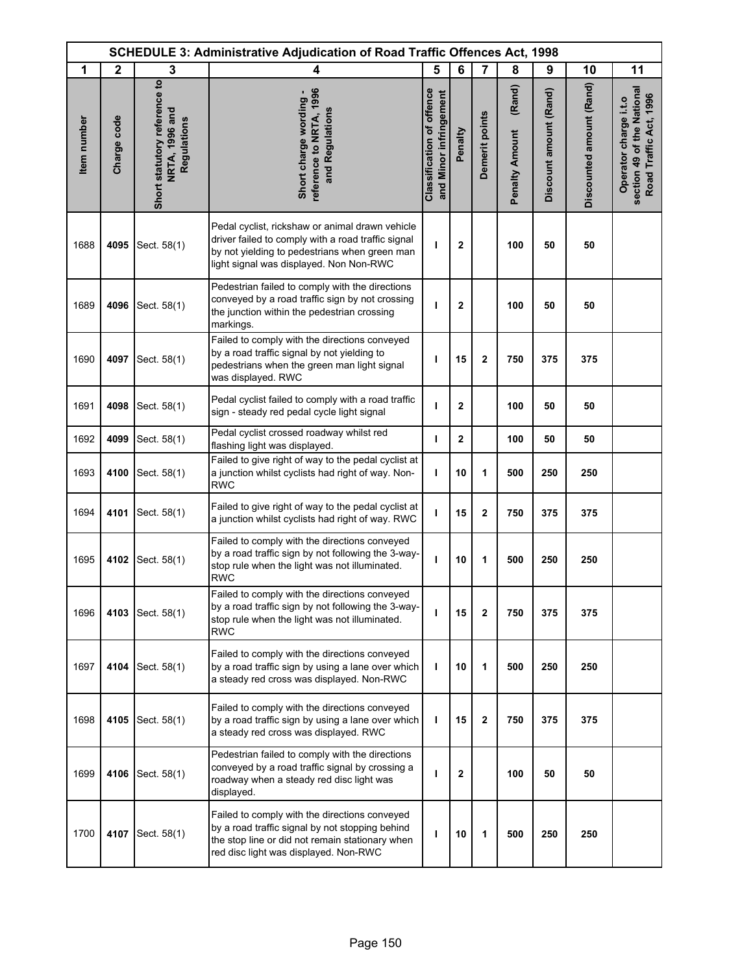| <b>SCHEDULE 3: Administrative Adjudication of Road Traffic Offences Act, 1998</b> |                  |                                                               |                                                                                                                                                                                                   |                                                            |                |                |                                 |                        |                          |                                                                               |
|-----------------------------------------------------------------------------------|------------------|---------------------------------------------------------------|---------------------------------------------------------------------------------------------------------------------------------------------------------------------------------------------------|------------------------------------------------------------|----------------|----------------|---------------------------------|------------------------|--------------------------|-------------------------------------------------------------------------------|
| 1                                                                                 | $\boldsymbol{2}$ | 3                                                             | 4                                                                                                                                                                                                 | 5                                                          | 6              | $\overline{7}$ | 8                               | 9                      | 10                       | 11                                                                            |
| Item number                                                                       | Charge code      | Short statutory reference to<br>NRTA, 1996 and<br>Regulations | reference to NRTA, 1996<br>Short charge wording -<br>and Regulations                                                                                                                              | <b>Classification of offence</b><br>and Minor infringement | Penalty        | Demerit points | (Rand)<br><b>Penalty Amount</b> | Discount amount (Rand) | Discounted amount (Rand) | section 49 of the National<br>Road Traffic Act, 1996<br>Operator charge i.t.o |
| 1688                                                                              | 4095             | Sect. 58(1)                                                   | Pedal cyclist, rickshaw or animal drawn vehicle<br>driver failed to comply with a road traffic signal<br>by not yielding to pedestrians when green man<br>light signal was displayed. Non Non-RWC | п                                                          | $\mathbf{2}$   |                | 100                             | 50                     | 50                       |                                                                               |
| 1689                                                                              | 4096             | Sect. 58(1)                                                   | Pedestrian failed to comply with the directions<br>conveyed by a road traffic sign by not crossing<br>the junction within the pedestrian crossing<br>markings.                                    | т                                                          | $\mathbf{2}$   |                | 100                             | 50                     | 50                       |                                                                               |
| 1690                                                                              | 4097             | Sect. 58(1)                                                   | Failed to comply with the directions conveyed<br>by a road traffic signal by not yielding to<br>pedestrians when the green man light signal<br>was displayed. RWC                                 | т                                                          | 15             | $\overline{2}$ | 750                             | 375                    | 375                      |                                                                               |
| 1691                                                                              | 4098             | Sect. 58(1)                                                   | Pedal cyclist failed to comply with a road traffic<br>sign - steady red pedal cycle light signal                                                                                                  | ı                                                          | $\mathbf{2}$   |                | 100                             | 50                     | 50                       |                                                                               |
| 1692                                                                              | 4099             | Sect. 58(1)                                                   | Pedal cyclist crossed roadway whilst red<br>flashing light was displayed.                                                                                                                         | T                                                          | $\overline{2}$ |                | 100                             | 50                     | 50                       |                                                                               |
| 1693                                                                              | 4100             | Sect. 58(1)                                                   | Failed to give right of way to the pedal cyclist at<br>a junction whilst cyclists had right of way. Non-<br><b>RWC</b>                                                                            | т                                                          | 10             | 1              | 500                             | 250                    | 250                      |                                                                               |
| 1694                                                                              | 4101             | Sect. 58(1)                                                   | Failed to give right of way to the pedal cyclist at<br>a junction whilst cyclists had right of way. RWC                                                                                           | I.                                                         | 15             | $\mathbf 2$    | 750                             | 375                    | 375                      |                                                                               |
| 1695                                                                              | 4102             | Sect. 58(1)                                                   | Failed to comply with the directions conveyed<br>by a road traffic sign by not following the 3-way-<br>stop rule when the light was not illuminated.<br><b>RWC</b>                                | ı                                                          | 10             | 1              | 500                             | 250                    | 250                      |                                                                               |
| 1696                                                                              | 4103             | Sect. 58(1)                                                   | Failed to comply with the directions conveyed<br>by a road traffic sign by not following the 3-way-<br>stop rule when the light was not illuminated.<br><b>RWC</b>                                | п                                                          | 15             | $\mathbf{2}$   | 750                             | 375                    | 375                      |                                                                               |
| 1697                                                                              | 4104             | Sect. 58(1)                                                   | Failed to comply with the directions conveyed<br>by a road traffic sign by using a lane over which<br>a steady red cross was displayed. Non-RWC                                                   | T                                                          | 10             | 1              | 500                             | 250                    | 250                      |                                                                               |
| 1698                                                                              | 4105             | Sect. 58(1)                                                   | Failed to comply with the directions conveyed<br>by a road traffic sign by using a lane over which<br>a steady red cross was displayed. RWC                                                       | т                                                          | 15             | 2              | 750                             | 375                    | 375                      |                                                                               |
| 1699                                                                              | 4106             | Sect. 58(1)                                                   | Pedestrian failed to comply with the directions<br>conveyed by a road traffic signal by crossing a<br>roadway when a steady red disc light was<br>displayed.                                      | ı                                                          | $\mathbf{2}$   |                | 100                             | 50                     | 50                       |                                                                               |
| 1700                                                                              | 4107             | Sect. 58(1)                                                   | Failed to comply with the directions conveyed<br>by a road traffic signal by not stopping behind<br>the stop line or did not remain stationary when<br>red disc light was displayed. Non-RWC      | ı                                                          | 10             | 1              | 500                             | 250                    | 250                      |                                                                               |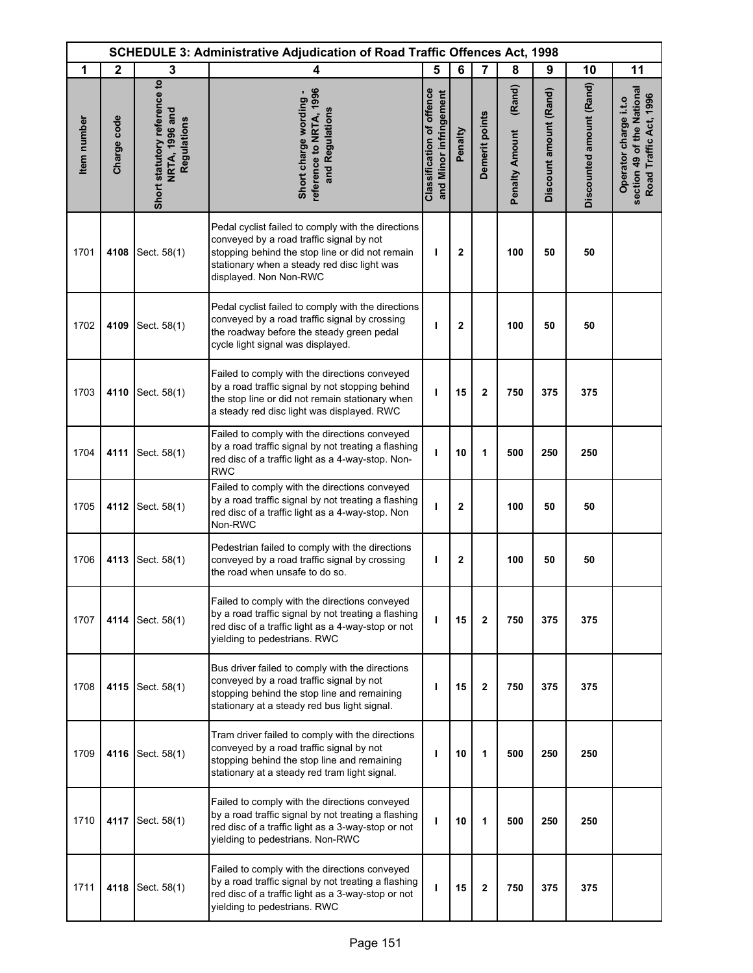| <b>SCHEDULE 3: Administrative Adjudication of Road Traffic Offences Act, 1998</b> |              |                                                               |                                                                                                                                                                                                                            |                                                            |                |                |                                 |                        |                          |                                                                               |
|-----------------------------------------------------------------------------------|--------------|---------------------------------------------------------------|----------------------------------------------------------------------------------------------------------------------------------------------------------------------------------------------------------------------------|------------------------------------------------------------|----------------|----------------|---------------------------------|------------------------|--------------------------|-------------------------------------------------------------------------------|
| 1                                                                                 | $\mathbf{2}$ | 3                                                             | 4                                                                                                                                                                                                                          | 5                                                          | 6              | $\overline{7}$ | 8                               | 9                      | 10                       | 11                                                                            |
| Item number                                                                       | Charge code  | Short statutory reference to<br>NRTA, 1996 and<br>Regulations | reference to NRTA, 1996<br>Short charge wording -<br>and Regulations                                                                                                                                                       | <b>Classification of offence</b><br>and Minor infringement | Penalty        | Demerit points | (Rand)<br><b>Penalty Amount</b> | Discount amount (Rand) | Discounted amount (Rand) | section 49 of the National<br>Road Traffic Act, 1996<br>Operator charge i.t.o |
| 1701                                                                              | 4108         | Sect. 58(1)                                                   | Pedal cyclist failed to comply with the directions<br>conveyed by a road traffic signal by not<br>stopping behind the stop line or did not remain<br>stationary when a steady red disc light was<br>displayed. Non Non-RWC | I.                                                         | $\overline{2}$ |                | 100                             | 50                     | 50                       |                                                                               |
| 1702                                                                              | 4109         | Sect. 58(1)                                                   | Pedal cyclist failed to comply with the directions<br>conveyed by a road traffic signal by crossing<br>the roadway before the steady green pedal<br>cycle light signal was displayed.                                      | т                                                          | $\overline{2}$ |                | 100                             | 50                     | 50                       |                                                                               |
| 1703                                                                              | 4110         | Sect. 58(1)                                                   | Failed to comply with the directions conveyed<br>by a road traffic signal by not stopping behind<br>the stop line or did not remain stationary when<br>a steady red disc light was displayed. RWC                          | ı                                                          | 15             | $\mathbf{2}$   | 750                             | 375                    | 375                      |                                                                               |
| 1704                                                                              | 4111         | Sect. 58(1)                                                   | Failed to comply with the directions conveyed<br>by a road traffic signal by not treating a flashing<br>red disc of a traffic light as a 4-way-stop. Non-<br><b>RWC</b>                                                    | т                                                          | 10             | 1              | 500                             | 250                    | 250                      |                                                                               |
| 1705                                                                              | 4112         | Sect. 58(1)                                                   | Failed to comply with the directions conveyed<br>by a road traffic signal by not treating a flashing<br>red disc of a traffic light as a 4-way-stop. Non<br>Non-RWC                                                        | ı                                                          | $\mathbf{2}$   |                | 100                             | 50                     | 50                       |                                                                               |
| 1706                                                                              | 4113         | Sect. 58(1)                                                   | Pedestrian failed to comply with the directions<br>conveyed by a road traffic signal by crossing<br>the road when unsafe to do so.                                                                                         | т                                                          | $\mathbf{2}$   |                | 100                             | 50                     | 50                       |                                                                               |
| 1707                                                                              | 4114         | Sect. 58(1)                                                   | Failed to comply with the directions conveyed<br>by a road traffic signal by not treating a flashing<br>red disc of a traffic light as a 4-way-stop or not<br>yielding to pedestrians. RWC                                 | I.                                                         | 15             | $\mathbf 2$    | 750                             | 375                    | 375                      |                                                                               |
| 1708                                                                              | 4115         | Sect. 58(1)                                                   | Bus driver failed to comply with the directions<br>conveyed by a road traffic signal by not<br>stopping behind the stop line and remaining<br>stationary at a steady red bus light signal.                                 | п                                                          | 15             | $\mathbf{2}$   | 750                             | 375                    | 375                      |                                                                               |
| 1709                                                                              | 4116         | Sect. 58(1)                                                   | Tram driver failed to comply with the directions<br>conveyed by a road traffic signal by not<br>stopping behind the stop line and remaining<br>stationary at a steady red tram light signal.                               | т                                                          | 10             | 1              | 500                             | 250                    | 250                      |                                                                               |
| 1710                                                                              | 4117         | Sect. 58(1)                                                   | Failed to comply with the directions conveyed<br>by a road traffic signal by not treating a flashing<br>red disc of a traffic light as a 3-way-stop or not<br>yielding to pedestrians. Non-RWC                             | ı                                                          | 10             | 1              | 500                             | 250                    | 250                      |                                                                               |
| 1711                                                                              | 4118         | Sect. 58(1)                                                   | Failed to comply with the directions conveyed<br>by a road traffic signal by not treating a flashing<br>red disc of a traffic light as a 3-way-stop or not<br>yielding to pedestrians. RWC                                 | T                                                          | 15             | 2              | 750                             | 375                    | 375                      |                                                                               |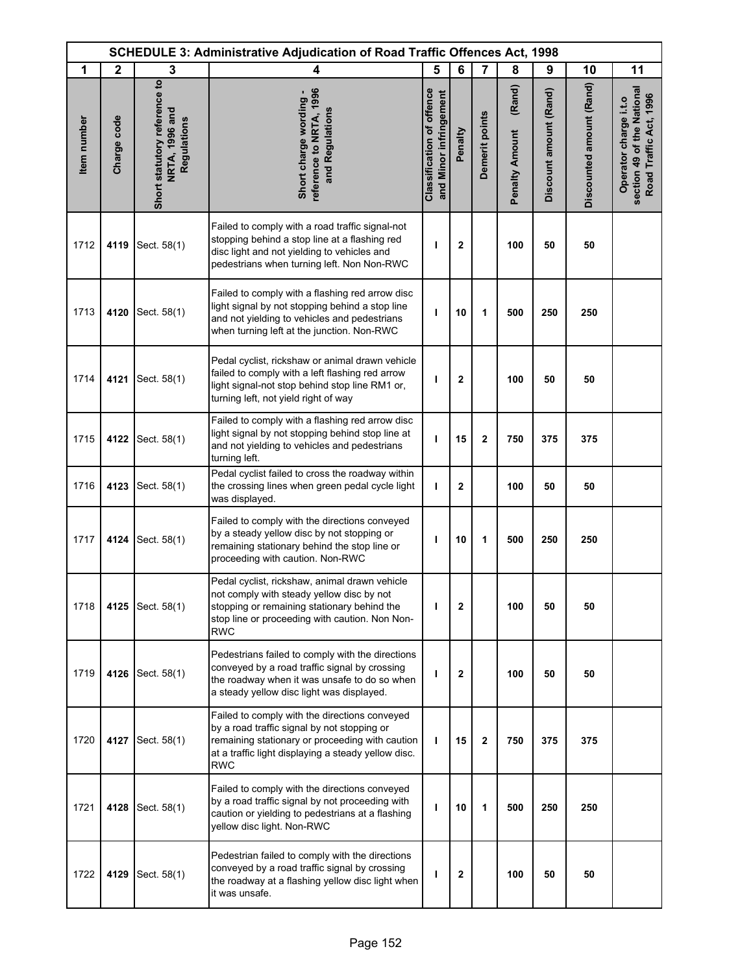| <b>SCHEDULE 3: Administrative Adjudication of Road Traffic Offences Act, 1998</b> |                  |                                                               |                                                                                                                                                                                                                      |                                                            |              |                         |                                 |                        |                          |                                                                               |
|-----------------------------------------------------------------------------------|------------------|---------------------------------------------------------------|----------------------------------------------------------------------------------------------------------------------------------------------------------------------------------------------------------------------|------------------------------------------------------------|--------------|-------------------------|---------------------------------|------------------------|--------------------------|-------------------------------------------------------------------------------|
| 1                                                                                 | $\boldsymbol{2}$ | 3                                                             | 4                                                                                                                                                                                                                    | 5                                                          | 6            | $\overline{7}$          | 8                               | 9                      | 10                       | 11                                                                            |
| Item number                                                                       | Charge code      | Short statutory reference to<br>NRTA, 1996 and<br>Regulations | reference to NRTA, 1996<br>Short charge wording -<br>and Regulations                                                                                                                                                 | <b>Classification of offence</b><br>and Minor infringement | Penalty      | Demerit points          | (Rand)<br><b>Penalty Amount</b> | Discount amount (Rand) | Discounted amount (Rand) | section 49 of the National<br>Road Traffic Act, 1996<br>Operator charge i.t.o |
| 1712                                                                              | 4119             | Sect. 58(1)                                                   | Failed to comply with a road traffic signal-not<br>stopping behind a stop line at a flashing red<br>disc light and not yielding to vehicles and<br>pedestrians when turning left. Non Non-RWC                        | ı                                                          | $\mathbf{2}$ |                         | 100                             | 50                     | 50                       |                                                                               |
| 1713                                                                              | 4120             | Sect. 58(1)                                                   | Failed to comply with a flashing red arrow disc<br>light signal by not stopping behind a stop line<br>and not yielding to vehicles and pedestrians<br>when turning left at the junction. Non-RWC                     | ı                                                          | 10           | 1                       | 500                             | 250                    | 250                      |                                                                               |
| 1714                                                                              | 4121             | Sect. 58(1)                                                   | Pedal cyclist, rickshaw or animal drawn vehicle<br>failed to comply with a left flashing red arrow<br>light signal-not stop behind stop line RM1 or,<br>turning left, not yield right of way                         | ı                                                          | $\mathbf 2$  |                         | 100                             | 50                     | 50                       |                                                                               |
| 1715                                                                              | 4122             | Sect. 58(1)                                                   | Failed to comply with a flashing red arrow disc<br>light signal by not stopping behind stop line at<br>and not yielding to vehicles and pedestrians<br>turning left.                                                 | ı                                                          | 15           | $\overline{\mathbf{c}}$ | 750                             | 375                    | 375                      |                                                                               |
| 1716                                                                              | 4123             | Sect. 58(1)                                                   | Pedal cyclist failed to cross the roadway within<br>the crossing lines when green pedal cycle light<br>was displayed.                                                                                                | T                                                          | $\mathbf{2}$ |                         | 100                             | 50                     | 50                       |                                                                               |
| 1717                                                                              | 4124             | Sect. 58(1)                                                   | Failed to comply with the directions conveyed<br>by a steady yellow disc by not stopping or<br>remaining stationary behind the stop line or<br>proceeding with caution. Non-RWC                                      | ı                                                          | 10           | 1                       | 500                             | 250                    | 250                      |                                                                               |
| 1718                                                                              | 4125             | Sect. 58(1)                                                   | Pedal cyclist, rickshaw, animal drawn vehicle<br>not comply with steady yellow disc by not<br>stopping or remaining stationary behind the<br>stop line or proceeding with caution. Non Non-<br><b>RWC</b>            | T                                                          | $\mathbf{2}$ |                         | 100                             | 50                     | 50                       |                                                                               |
| 1719                                                                              | 4126             | Sect. 58(1)                                                   | Pedestrians failed to comply with the directions<br>conveyed by a road traffic signal by crossing<br>the roadway when it was unsafe to do so when<br>a steady yellow disc light was displayed.                       | ı                                                          | 2            |                         | 100                             | 50                     | 50                       |                                                                               |
| 1720                                                                              | 4127             | Sect. 58(1)                                                   | Failed to comply with the directions conveyed<br>by a road traffic signal by not stopping or<br>remaining stationary or proceeding with caution<br>at a traffic light displaying a steady yellow disc.<br><b>RWC</b> | T                                                          | 15           | $\mathbf 2$             | 750                             | 375                    | 375                      |                                                                               |
| 1721                                                                              | 4128             | Sect. 58(1)                                                   | Failed to comply with the directions conveyed<br>by a road traffic signal by not proceeding with<br>caution or yielding to pedestrians at a flashing<br>yellow disc light. Non-RWC                                   | т                                                          | 10           | 1                       | 500                             | 250                    | 250                      |                                                                               |
| 1722                                                                              | 4129             | Sect. 58(1)                                                   | Pedestrian failed to comply with the directions<br>conveyed by a road traffic signal by crossing<br>the roadway at a flashing yellow disc light when<br>it was unsafe.                                               | I.                                                         | $\mathbf{2}$ |                         | 100                             | 50                     | 50                       |                                                                               |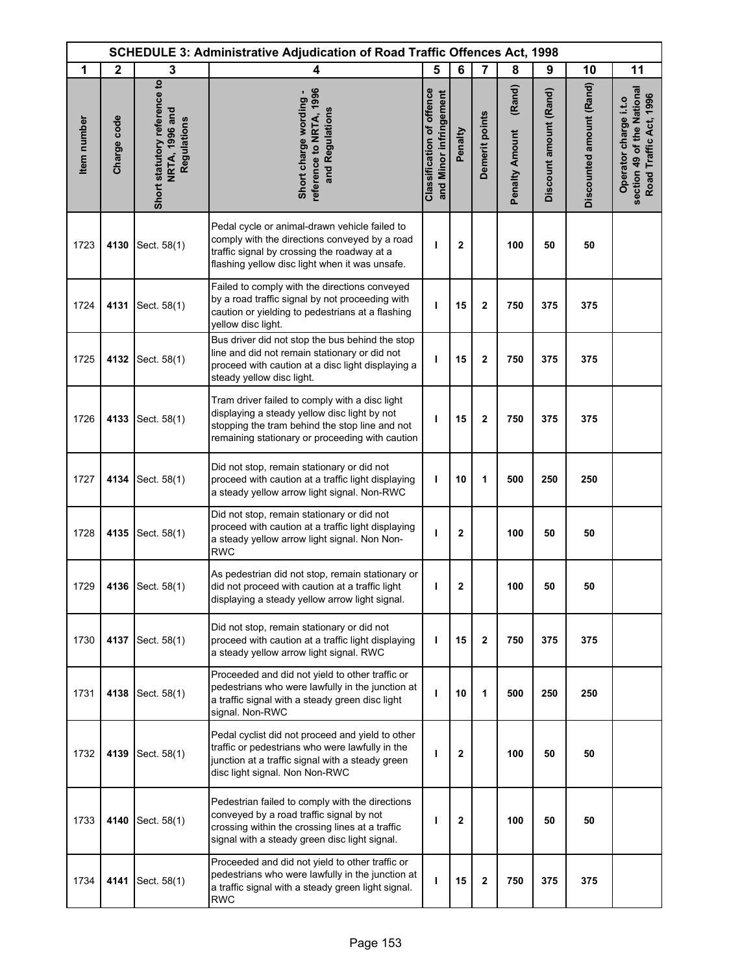| <b>SCHEDULE 3: Administrative Adjudication of Road Traffic Offences Act, 1998</b> |              |                                                                      |                                                                                                                                                                                                     |                                                            |              |                         |                                 |                        |                          |                                                                               |
|-----------------------------------------------------------------------------------|--------------|----------------------------------------------------------------------|-----------------------------------------------------------------------------------------------------------------------------------------------------------------------------------------------------|------------------------------------------------------------|--------------|-------------------------|---------------------------------|------------------------|--------------------------|-------------------------------------------------------------------------------|
| 1                                                                                 | $\mathbf{2}$ | 3                                                                    | 4                                                                                                                                                                                                   | 5                                                          | 6            | $\overline{7}$          | 8                               | 9                      | 10                       | 11                                                                            |
| Item number                                                                       | Charge code  | Short statutory reference to<br>NRTA, 1996 and<br><b>Regulations</b> | reference to NRTA, 1996<br>Short charge wording -<br>and Regulations                                                                                                                                | <b>Classification of offence</b><br>and Minor infringement | Penalty      | Demerit points          | (Rand)<br><b>Penalty Amount</b> | Discount amount (Rand) | Discounted amount (Rand) | section 49 of the National<br>Road Traffic Act, 1996<br>Operator charge i.t.o |
| 1723                                                                              | 4130         | Sect. 58(1)                                                          | Pedal cycle or animal-drawn vehicle failed to<br>comply with the directions conveyed by a road<br>traffic signal by crossing the roadway at a<br>flashing yellow disc light when it was unsafe.     | ı                                                          | $\mathbf{2}$ |                         | 100                             | 50                     | 50                       |                                                                               |
| 1724                                                                              | 4131         | Sect. 58(1)                                                          | Failed to comply with the directions conveyed<br>by a road traffic signal by not proceeding with<br>caution or yielding to pedestrians at a flashing<br>yellow disc light.                          | ı                                                          | 15           | $\overline{\mathbf{c}}$ | 750                             | 375                    | 375                      |                                                                               |
| 1725                                                                              | 4132         | Sect. 58(1)                                                          | Bus driver did not stop the bus behind the stop<br>line and did not remain stationary or did not<br>proceed with caution at a disc light displaying a<br>steady yellow disc light.                  | J.                                                         | 15           | $\mathbf{2}$            | 750                             | 375                    | 375                      |                                                                               |
| 1726                                                                              | 4133         | Sect. 58(1)                                                          | Tram driver failed to comply with a disc light<br>displaying a steady yellow disc light by not<br>stopping the tram behind the stop line and not<br>remaining stationary or proceeding with caution | ı                                                          | 15           | $\mathbf{2}$            | 750                             | 375                    | 375                      |                                                                               |
| 1727                                                                              | 4134         | Sect. 58(1)                                                          | Did not stop, remain stationary or did not<br>proceed with caution at a traffic light displaying<br>a steady yellow arrow light signal. Non-RWC                                                     | ı                                                          | 10           | 1                       | 500                             | 250                    | 250                      |                                                                               |
| 1728                                                                              | 4135         | Sect. 58(1)                                                          | Did not stop, remain stationary or did not<br>proceed with caution at a traffic light displaying<br>a steady yellow arrow light signal. Non Non-<br><b>RWC</b>                                      | ı                                                          | $\mathbf{2}$ |                         | 100                             | 50                     | 50                       |                                                                               |
| 1729                                                                              |              | 4136 Sect. 58(1)                                                     | As pedestrian did not stop, remain stationary or<br>did not proceed with caution at a traffic light<br>displaying a steady yellow arrow light signal.                                               | ı                                                          | $\mathbf{2}$ |                         | 100                             | 50                     | 50                       |                                                                               |
| 1730                                                                              | 4137         | Sect. 58(1)                                                          | Did not stop, remain stationary or did not<br>proceed with caution at a traffic light displaying<br>a steady yellow arrow light signal. RWC                                                         | т                                                          | 15           | $\mathbf{2}$            | 750                             | 375                    | 375                      |                                                                               |
| 1731                                                                              | 4138         | Sect. 58(1)                                                          | Proceeded and did not yield to other traffic or<br>pedestrians who were lawfully in the junction at<br>a traffic signal with a steady green disc light<br>signal. Non-RWC                           | т                                                          | 10           | 1                       | 500                             | 250                    | 250                      |                                                                               |
| 1732                                                                              | 4139         | Sect. 58(1)                                                          | Pedal cyclist did not proceed and yield to other<br>traffic or pedestrians who were lawfully in the<br>junction at a traffic signal with a steady green<br>disc light signal. Non Non-RWC           | ı                                                          | $\mathbf{2}$ |                         | 100                             | 50                     | 50                       |                                                                               |
| 1733                                                                              | 4140         | Sect. 58(1)                                                          | Pedestrian failed to comply with the directions<br>conveyed by a road traffic signal by not<br>crossing within the crossing lines at a traffic<br>signal with a steady green disc light signal.     | т                                                          | $\mathbf{2}$ |                         | 100                             | 50                     | 50                       |                                                                               |
| 1734                                                                              | 4141         | Sect. 58(1)                                                          | Proceeded and did not yield to other traffic or<br>pedestrians who were lawfully in the junction at<br>a traffic signal with a steady green light signal.<br><b>RWC</b>                             | т                                                          | 15           | $\overline{\mathbf{c}}$ | 750                             | 375                    | 375                      |                                                                               |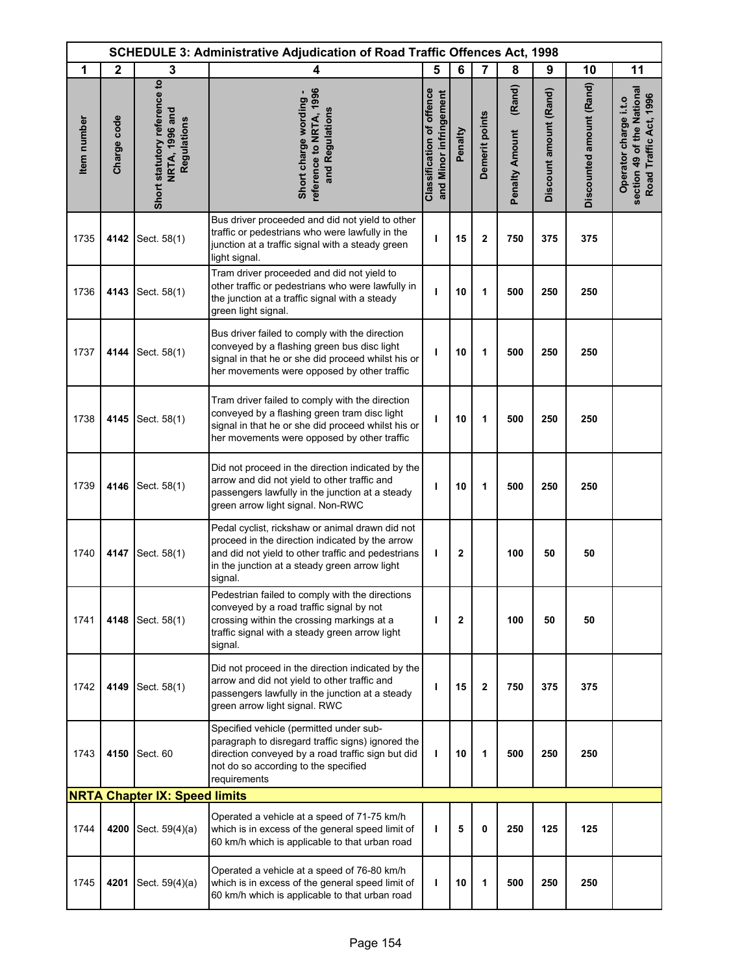| <b>SCHEDULE 3: Administrative Adjudication of Road Traffic Offences Act, 1998</b> |              |                                                               |                                                                                                                                                                                                                      |                                                            |              |                |                                 |                        |                          |                                                                               |
|-----------------------------------------------------------------------------------|--------------|---------------------------------------------------------------|----------------------------------------------------------------------------------------------------------------------------------------------------------------------------------------------------------------------|------------------------------------------------------------|--------------|----------------|---------------------------------|------------------------|--------------------------|-------------------------------------------------------------------------------|
| 1                                                                                 | $\mathbf{2}$ | 3                                                             | 4                                                                                                                                                                                                                    | 5                                                          | 6            | $\overline{7}$ | 8                               | 9                      | 10                       | 11                                                                            |
| Item number                                                                       | Charge code  | Short statutory reference to<br>NRTA, 1996 and<br>Regulations | reference to NRTA, 1996<br>Short charge wording -<br>and Regulations                                                                                                                                                 | <b>Classification of offence</b><br>and Minor infringement | Penalty      | Demerit points | (Rand)<br><b>Penalty Amount</b> | Discount amount (Rand) | Discounted amount (Rand) | section 49 of the National<br>Road Traffic Act, 1996<br>Operator charge i.t.o |
| 1735                                                                              | 4142         | Sect. 58(1)                                                   | Bus driver proceeded and did not yield to other<br>traffic or pedestrians who were lawfully in the<br>junction at a traffic signal with a steady green<br>light signal.                                              | ı                                                          | 15           | $\mathbf{2}$   | 750                             | 375                    | 375                      |                                                                               |
| 1736                                                                              | 4143         | Sect. 58(1)                                                   | Tram driver proceeded and did not yield to<br>other traffic or pedestrians who were lawfully in<br>the junction at a traffic signal with a steady<br>green light signal.                                             | ı                                                          | 10           | 1              | 500                             | 250                    | 250                      |                                                                               |
| 1737                                                                              | 4144         | Sect. 58(1)                                                   | Bus driver failed to comply with the direction<br>conveyed by a flashing green bus disc light<br>signal in that he or she did proceed whilst his or<br>her movements were opposed by other traffic                   | ı                                                          | 10           | 1              | 500                             | 250                    | 250                      |                                                                               |
| 1738                                                                              | 4145         | Sect. 58(1)                                                   | Tram driver failed to comply with the direction<br>conveyed by a flashing green tram disc light<br>signal in that he or she did proceed whilst his or<br>her movements were opposed by other traffic                 | ı                                                          | 10           | 1              | 500                             | 250                    | 250                      |                                                                               |
| 1739                                                                              | 4146         | Sect. 58(1)                                                   | Did not proceed in the direction indicated by the<br>arrow and did not yield to other traffic and<br>passengers lawfully in the junction at a steady<br>green arrow light signal. Non-RWC                            | ı                                                          | 10           | 1              | 500                             | 250                    | 250                      |                                                                               |
| 1740                                                                              | 4147         | Sect. 58(1)                                                   | Pedal cyclist, rickshaw or animal drawn did not<br>proceed in the direction indicated by the arrow<br>and did not yield to other traffic and pedestrians<br>in the junction at a steady green arrow light<br>signal. | т                                                          | $\mathbf{2}$ |                | 100                             | 50                     | 50                       |                                                                               |
| 1741                                                                              | 4148         | Sect. 58(1)                                                   | Pedestrian failed to comply with the directions<br>conveyed by a road traffic signal by not<br>crossing within the crossing markings at a<br>traffic signal with a steady green arrow light<br>signal.               | т                                                          | $\mathbf{2}$ |                | 100                             | 50                     | 50                       |                                                                               |
| 1742                                                                              | 4149         | Sect. 58(1)                                                   | Did not proceed in the direction indicated by the<br>arrow and did not yield to other traffic and<br>passengers lawfully in the junction at a steady<br>green arrow light signal. RWC                                | ı                                                          | 15           | $\overline{2}$ | 750                             | 375                    | 375                      |                                                                               |
| 1743                                                                              | 4150         | Sect. 60                                                      | Specified vehicle (permitted under sub-<br>paragraph to disregard traffic signs) ignored the<br>direction conveyed by a road traffic sign but did<br>not do so according to the specified<br>requirements            | T                                                          | 10           | 1              | 500                             | 250                    | 250                      |                                                                               |
|                                                                                   |              | <b>NRTA Chapter IX: Speed limits</b>                          |                                                                                                                                                                                                                      |                                                            |              |                |                                 |                        |                          |                                                                               |
| 1744                                                                              | 4200         | Sect. 59(4)(a)                                                | Operated a vehicle at a speed of 71-75 km/h<br>which is in excess of the general speed limit of<br>60 km/h which is applicable to that urban road                                                                    | т                                                          | 5            | 0              | 250                             | 125                    | 125                      |                                                                               |
| 1745                                                                              | 4201         | Sect. 59(4)(a)                                                | Operated a vehicle at a speed of 76-80 km/h<br>which is in excess of the general speed limit of<br>60 km/h which is applicable to that urban road                                                                    | т                                                          | 10           | 1              | 500                             | 250                    | 250                      |                                                                               |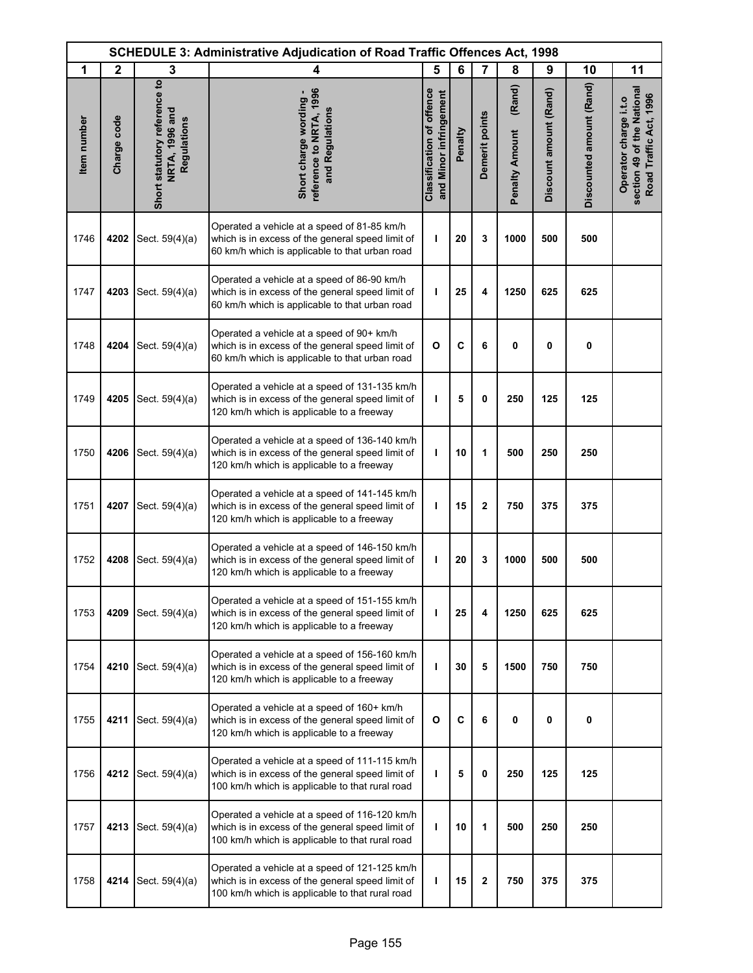|             |              |                                                               | <b>SCHEDULE 3: Administrative Adjudication of Road Traffic Offences Act, 1998</b>                                                                    |                                                            |         |                |                                 |                        |                          |                                                                               |
|-------------|--------------|---------------------------------------------------------------|------------------------------------------------------------------------------------------------------------------------------------------------------|------------------------------------------------------------|---------|----------------|---------------------------------|------------------------|--------------------------|-------------------------------------------------------------------------------|
| 1           | $\mathbf{2}$ | 3                                                             | 4                                                                                                                                                    | 5                                                          | 6       | $\overline{7}$ | 8                               | 9                      | 10                       | 11                                                                            |
| Item number | Charge code  | Short statutory reference to<br>NRTA, 1996 and<br>Regulations | reference to NRTA, 1996<br>Short charge wording -<br>and Regulations                                                                                 | <b>Classification of offence</b><br>and Minor infringement | Penalty | Demerit points | (Rand)<br><b>Penalty Amount</b> | Discount amount (Rand) | Discounted amount (Rand) | section 49 of the National<br>Road Traffic Act, 1996<br>Operator charge i.t.o |
| 1746        | 4202         | Sect. 59(4)(a)                                                | Operated a vehicle at a speed of 81-85 km/h<br>which is in excess of the general speed limit of<br>60 km/h which is applicable to that urban road    | T                                                          | 20      | 3              | 1000                            | 500                    | 500                      |                                                                               |
| 1747        | 4203         | Sect. 59(4)(a)                                                | Operated a vehicle at a speed of 86-90 km/h<br>which is in excess of the general speed limit of<br>60 km/h which is applicable to that urban road    | ı                                                          | 25      | 4              | 1250                            | 625                    | 625                      |                                                                               |
| 1748        | 4204         | Sect. 59(4)(a)                                                | Operated a vehicle at a speed of 90+ km/h<br>which is in excess of the general speed limit of<br>60 km/h which is applicable to that urban road      | O                                                          | C       | 6              | 0                               | 0                      | 0                        |                                                                               |
| 1749        | 4205         | Sect. 59(4)(a)                                                | Operated a vehicle at a speed of 131-135 km/h<br>which is in excess of the general speed limit of<br>120 km/h which is applicable to a freeway       | J.                                                         | 5       | $\mathbf 0$    | 250                             | 125                    | 125                      |                                                                               |
| 1750        | 4206         | Sect. 59(4)(a)                                                | Operated a vehicle at a speed of 136-140 km/h<br>which is in excess of the general speed limit of<br>120 km/h which is applicable to a freeway       | T                                                          | 10      | 1              | 500                             | 250                    | 250                      |                                                                               |
| 1751        | 4207         | Sect. 59(4)(a)                                                | Operated a vehicle at a speed of 141-145 km/h<br>which is in excess of the general speed limit of<br>120 km/h which is applicable to a freeway       | т                                                          | 15      | $\mathbf 2$    | 750                             | 375                    | 375                      |                                                                               |
| 1752        | 4208         | Sect. 59(4)(a)                                                | Operated a vehicle at a speed of 146-150 km/h<br>which is in excess of the general speed limit of<br>120 km/h which is applicable to a freeway       | T                                                          | 20      | 3              | 1000                            | 500                    | 500                      |                                                                               |
| 1753        | 4209         | Sect. 59(4)(a)                                                | Operated a vehicle at a speed of 151-155 km/h<br>which is in excess of the general speed limit of<br>120 km/h which is applicable to a freeway       | T                                                          | 25      | 4              | 1250                            | 625                    | 625                      |                                                                               |
| 1754        | 4210         | Sect. 59(4)(a)                                                | Operated a vehicle at a speed of 156-160 km/h<br>which is in excess of the general speed limit of<br>120 km/h which is applicable to a freeway       | T                                                          | 30      | 5              | 1500                            | 750                    | 750                      |                                                                               |
| 1755        | 4211         | Sect. 59(4)(a)                                                | Operated a vehicle at a speed of 160+ km/h<br>which is in excess of the general speed limit of<br>120 km/h which is applicable to a freeway          | O                                                          | C       | 6              | 0                               | 0                      | $\mathbf 0$              |                                                                               |
| 1756        | 4212         | Sect. 59(4)(a)                                                | Operated a vehicle at a speed of 111-115 km/h<br>which is in excess of the general speed limit of<br>100 km/h which is applicable to that rural road | ı                                                          | 5       | 0              | 250                             | 125                    | 125                      |                                                                               |
| 1757        | 4213         | Sect. 59(4)(a)                                                | Operated a vehicle at a speed of 116-120 km/h<br>which is in excess of the general speed limit of<br>100 km/h which is applicable to that rural road | T                                                          | 10      | 1              | 500                             | 250                    | 250                      |                                                                               |
| 1758        | 4214         | Sect. $59(4)(a)$                                              | Operated a vehicle at a speed of 121-125 km/h<br>which is in excess of the general speed limit of<br>100 km/h which is applicable to that rural road | ı                                                          | 15      | $\mathbf 2$    | 750                             | 375                    | 375                      |                                                                               |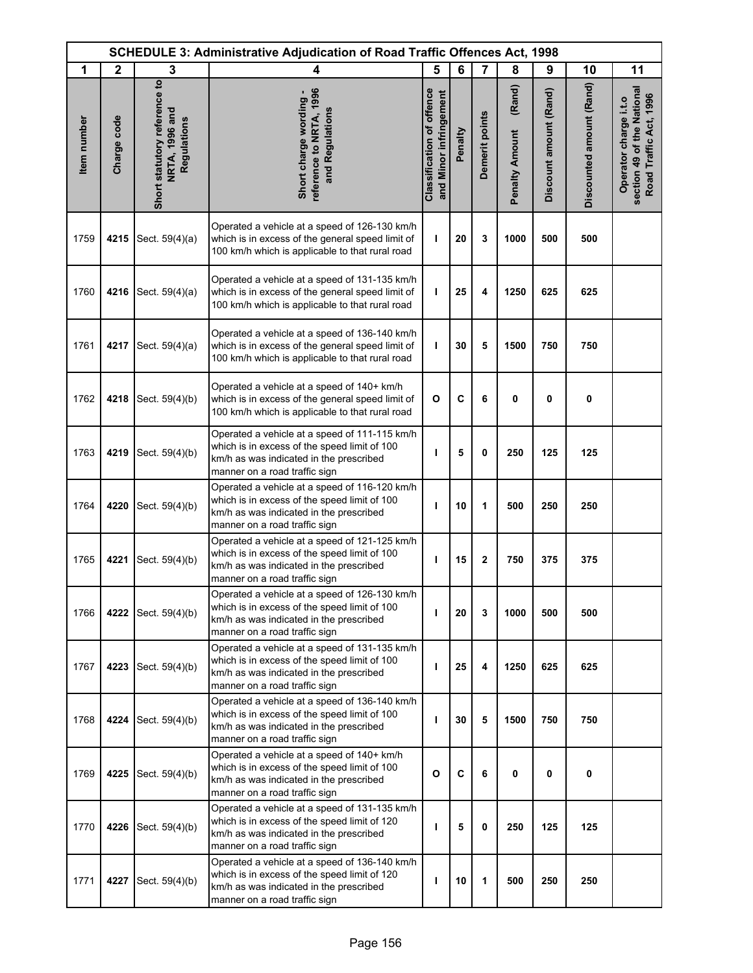|             |              | <b>SCHEDULE 3: Administrative Adjudication of Road Traffic Offences Act, 1998</b> |                                                                                                                                                                           |                                                            |         |                |                                 |                        |                          |                                                                               |
|-------------|--------------|-----------------------------------------------------------------------------------|---------------------------------------------------------------------------------------------------------------------------------------------------------------------------|------------------------------------------------------------|---------|----------------|---------------------------------|------------------------|--------------------------|-------------------------------------------------------------------------------|
| 1           | $\mathbf{2}$ | 3                                                                                 | 4                                                                                                                                                                         | 5                                                          | 6       | $\overline{7}$ | 8                               | 9                      | 10                       | 11                                                                            |
| Item number | Charge code  | Short statutory reference to<br>NRTA, 1996 and<br>Regulations                     | reference to NRTA, 1996<br>Short charge wording -<br>and Regulations                                                                                                      | <b>Classification of offence</b><br>and Minor infringement | Penalty | Demerit points | (Rand)<br><b>Penalty Amount</b> | Discount amount (Rand) | Discounted amount (Rand) | section 49 of the National<br>Road Traffic Act, 1996<br>Operator charge i.t.o |
| 1759        | 4215         | Sect. 59(4)(a)                                                                    | Operated a vehicle at a speed of 126-130 km/h<br>which is in excess of the general speed limit of<br>100 km/h which is applicable to that rural road                      | T                                                          | 20      | 3              | 1000                            | 500                    | 500                      |                                                                               |
| 1760        | 4216         | Sect. 59(4)(a)                                                                    | Operated a vehicle at a speed of 131-135 km/h<br>which is in excess of the general speed limit of<br>100 km/h which is applicable to that rural road                      | ı                                                          | 25      | 4              | 1250                            | 625                    | 625                      |                                                                               |
| 1761        | 4217         | Sect. 59(4)(a)                                                                    | Operated a vehicle at a speed of 136-140 km/h<br>which is in excess of the general speed limit of<br>100 km/h which is applicable to that rural road                      | ı                                                          | 30      | 5              | 1500                            | 750                    | 750                      |                                                                               |
| 1762        | 4218         | Sect. 59(4)(b)                                                                    | Operated a vehicle at a speed of 140+ km/h<br>which is in excess of the general speed limit of<br>100 km/h which is applicable to that rural road                         | $\mathbf{o}$                                               | C       | 6              | 0                               | 0                      | 0                        |                                                                               |
| 1763        | 4219         | Sect. 59(4)(b)                                                                    | Operated a vehicle at a speed of 111-115 km/h<br>which is in excess of the speed limit of 100<br>km/h as was indicated in the prescribed<br>manner on a road traffic sign | ı                                                          | 5       | $\mathbf 0$    | 250                             | 125                    | 125                      |                                                                               |
| 1764        | 4220         | Sect. 59(4)(b)                                                                    | Operated a vehicle at a speed of 116-120 km/h<br>which is in excess of the speed limit of 100<br>km/h as was indicated in the prescribed<br>manner on a road traffic sign | T                                                          | 10      | 1              | 500                             | 250                    | 250                      |                                                                               |
| 1765        | 4221         | Sect. 59(4)(b)                                                                    | Operated a vehicle at a speed of 121-125 km/h<br>which is in excess of the speed limit of 100<br>km/h as was indicated in the prescribed<br>manner on a road traffic sign | т                                                          | 15      | $\mathbf{2}$   | 750                             | 375                    | 375                      |                                                                               |
| 1766        | 4222         | Sect. 59(4)(b)                                                                    | Operated a vehicle at a speed of 126-130 km/h<br>which is in excess of the speed limit of 100<br>km/h as was indicated in the prescribed<br>manner on a road traffic sign | T                                                          | 20      | 3              | 1000                            | 500                    | 500                      |                                                                               |
| 1767        | 4223         | Sect. 59(4)(b)                                                                    | Operated a vehicle at a speed of 131-135 km/h<br>which is in excess of the speed limit of 100<br>km/h as was indicated in the prescribed<br>manner on a road traffic sign | T                                                          | 25      | 4              | 1250                            | 625                    | 625                      |                                                                               |
| 1768        | 4224         | Sect. 59(4)(b)                                                                    | Operated a vehicle at a speed of 136-140 km/h<br>which is in excess of the speed limit of 100<br>km/h as was indicated in the prescribed<br>manner on a road traffic sign | т                                                          | 30      | 5              | 1500                            | 750                    | 750                      |                                                                               |
| 1769        | 4225         | Sect. 59(4)(b)                                                                    | Operated a vehicle at a speed of 140+ km/h<br>which is in excess of the speed limit of 100<br>km/h as was indicated in the prescribed<br>manner on a road traffic sign    | O                                                          | C       | 6              | 0                               | 0                      | 0                        |                                                                               |
| 1770        | 4226         | Sect. 59(4)(b)                                                                    | Operated a vehicle at a speed of 131-135 km/h<br>which is in excess of the speed limit of 120<br>km/h as was indicated in the prescribed<br>manner on a road traffic sign | $\mathbf{I}$                                               | 5       | 0              | 250                             | 125                    | 125                      |                                                                               |
| 1771        | 4227         | Sect. 59(4)(b)                                                                    | Operated a vehicle at a speed of 136-140 km/h<br>which is in excess of the speed limit of 120<br>km/h as was indicated in the prescribed<br>manner on a road traffic sign | ı                                                          | 10      | 1              | 500                             | 250                    | 250                      |                                                                               |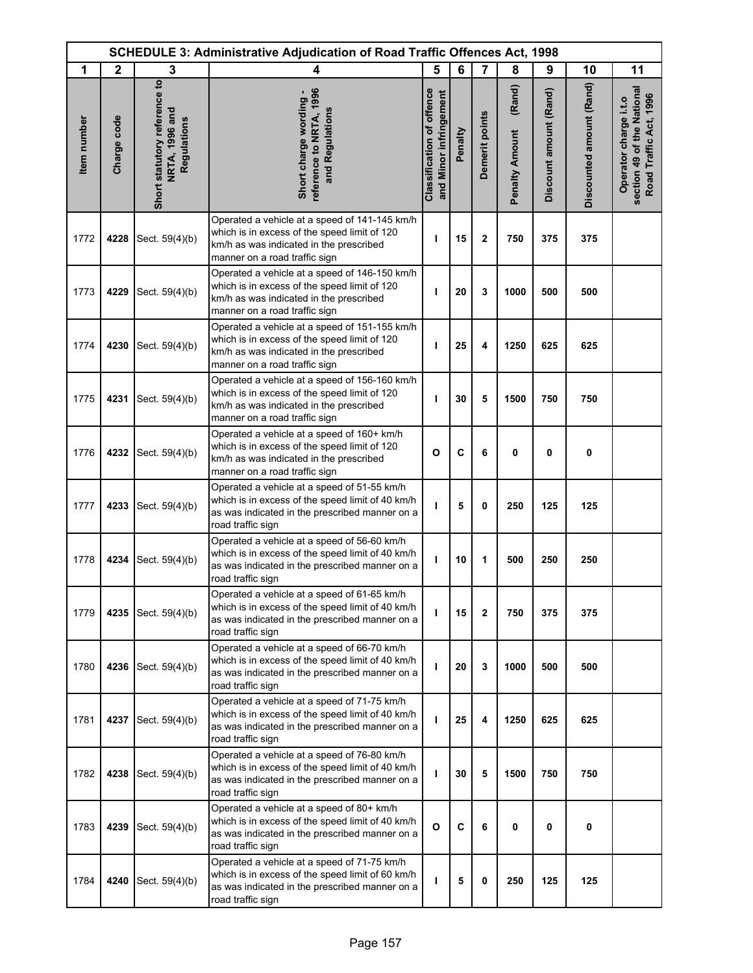| <b>SCHEDULE 3: Administrative Adjudication of Road Traffic Offences Act, 1998</b> |              |                                                               |                                                                                                                                                                           |                                                            |         |                |                                 |                        |                          |                                                                               |
|-----------------------------------------------------------------------------------|--------------|---------------------------------------------------------------|---------------------------------------------------------------------------------------------------------------------------------------------------------------------------|------------------------------------------------------------|---------|----------------|---------------------------------|------------------------|--------------------------|-------------------------------------------------------------------------------|
| 1                                                                                 | $\mathbf{2}$ | 3                                                             | 4                                                                                                                                                                         | 5                                                          | 6       | 7              | 8                               | 9                      | 10                       | 11                                                                            |
| Item number                                                                       | Charge code  | Short statutory reference to<br>NRTA, 1996 and<br>Regulations | reference to NRTA, 1996<br>Short charge wording -<br>and Regulations                                                                                                      | <b>Classification of offence</b><br>and Minor infringement | Penalty | Demerit points | (Rand)<br><b>Penalty Amount</b> | Discount amount (Rand) | Discounted amount (Rand) | section 49 of the National<br>Road Traffic Act, 1996<br>Operator charge i.t.o |
| 1772                                                                              | 4228         | Sect. 59(4)(b)                                                | Operated a vehicle at a speed of 141-145 km/h<br>which is in excess of the speed limit of 120<br>km/h as was indicated in the prescribed<br>manner on a road traffic sign | T                                                          | 15      | $\mathbf 2$    | 750                             | 375                    | 375                      |                                                                               |
| 1773                                                                              | 4229         | Sect. 59(4)(b)                                                | Operated a vehicle at a speed of 146-150 km/h<br>which is in excess of the speed limit of 120<br>km/h as was indicated in the prescribed<br>manner on a road traffic sign | т                                                          | 20      | 3              | 1000                            | 500                    | 500                      |                                                                               |
| 1774                                                                              | 4230         | Sect. 59(4)(b)                                                | Operated a vehicle at a speed of 151-155 km/h<br>which is in excess of the speed limit of 120<br>km/h as was indicated in the prescribed<br>manner on a road traffic sign | T                                                          | 25      | 4              | 1250                            | 625                    | 625                      |                                                                               |
| 1775                                                                              | 4231         | Sect. 59(4)(b)                                                | Operated a vehicle at a speed of 156-160 km/h<br>which is in excess of the speed limit of 120<br>km/h as was indicated in the prescribed<br>manner on a road traffic sign | T                                                          | 30      | 5              | 1500                            | 750                    | 750                      |                                                                               |
| 1776                                                                              | 4232         | Sect. 59(4)(b)                                                | Operated a vehicle at a speed of 160+ km/h<br>which is in excess of the speed limit of 120<br>km/h as was indicated in the prescribed<br>manner on a road traffic sign    | $\mathbf{o}$                                               | C       | 6              | 0                               | $\mathbf 0$            | $\mathbf 0$              |                                                                               |
| 1777                                                                              | 4233         | Sect. 59(4)(b)                                                | Operated a vehicle at a speed of 51-55 km/h<br>which is in excess of the speed limit of 40 km/h<br>as was indicated in the prescribed manner on a<br>road traffic sign    | т                                                          | 5       | 0              | 250                             | 125                    | 125                      |                                                                               |
| 1778                                                                              | 4234         | Sect. 59(4)(b)                                                | Operated a vehicle at a speed of 56-60 km/h<br>which is in excess of the speed limit of 40 km/h<br>as was indicated in the prescribed manner on a<br>road traffic sign    | T                                                          | 10      | 1              | 500                             | 250                    | 250                      |                                                                               |
| 1779                                                                              | 4235         | Sect. 59(4)(b)                                                | Operated a vehicle at a speed of 61-65 km/h<br>which is in excess of the speed limit of 40 km/h<br>as was indicated in the prescribed manner on a<br>road traffic sign    | т                                                          | 15      | $\mathbf{2}$   | 750                             | 375                    | 375                      |                                                                               |
| 1780                                                                              | 4236         | Sect. 59(4)(b)                                                | Operated a vehicle at a speed of 66-70 km/h<br>which is in excess of the speed limit of 40 km/h<br>as was indicated in the prescribed manner on a<br>road traffic sign    | т                                                          | 20      | 3              | 1000                            | 500                    | 500                      |                                                                               |
| 1781                                                                              | 4237         | Sect. 59(4)(b)                                                | Operated a vehicle at a speed of 71-75 km/h<br>which is in excess of the speed limit of 40 km/h<br>as was indicated in the prescribed manner on a<br>road traffic sign    | T                                                          | 25      | 4              | 1250                            | 625                    | 625                      |                                                                               |
| 1782                                                                              | 4238         | Sect. 59(4)(b)                                                | Operated a vehicle at a speed of 76-80 km/h<br>which is in excess of the speed limit of 40 km/h<br>as was indicated in the prescribed manner on a<br>road traffic sign    | т                                                          | 30      | 5              | 1500                            | 750                    | 750                      |                                                                               |
| 1783                                                                              | 4239         | Sect. 59(4)(b)                                                | Operated a vehicle at a speed of 80+ km/h<br>which is in excess of the speed limit of 40 km/h<br>as was indicated in the prescribed manner on a<br>road traffic sign      | $\mathbf{o}$                                               | C       | 6              | 0                               | 0                      | 0                        |                                                                               |
| 1784                                                                              | 4240         | Sect. 59(4)(b)                                                | Operated a vehicle at a speed of 71-75 km/h<br>which is in excess of the speed limit of 60 km/h<br>as was indicated in the prescribed manner on a<br>road traffic sign    | т                                                          | 5       | 0              | 250                             | 125                    | 125                      |                                                                               |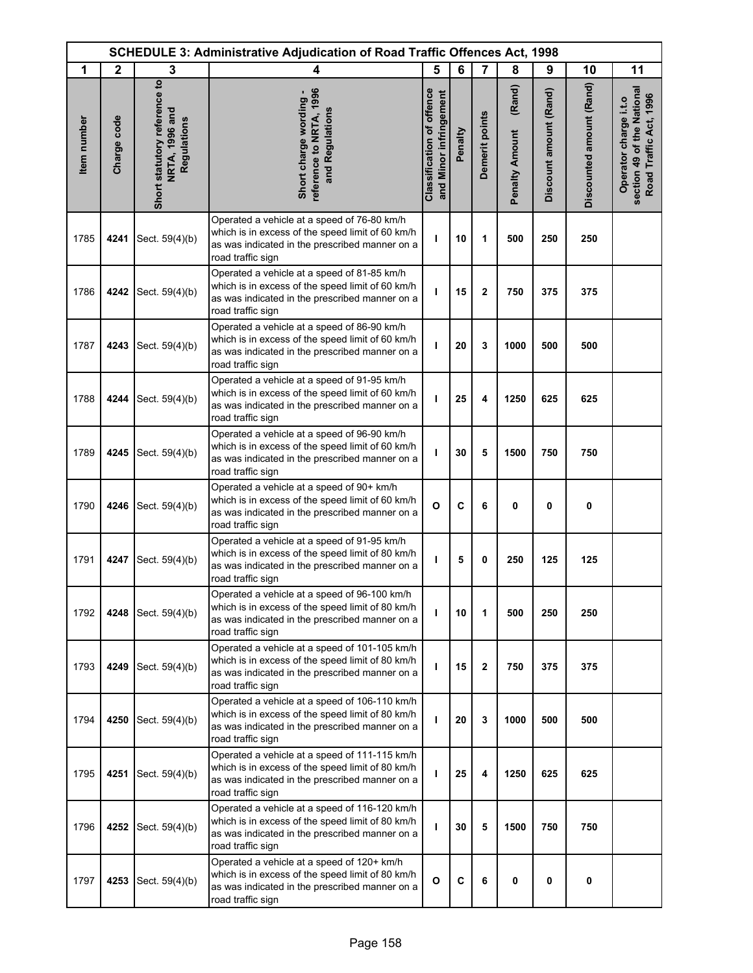|             | <b>SCHEDULE 3: Administrative Adjudication of Road Traffic Offences Act, 1998</b> |                                                               |                                                                                                                                                                          |                                                            |         |                |                                 |                        |                          |                                                                               |
|-------------|-----------------------------------------------------------------------------------|---------------------------------------------------------------|--------------------------------------------------------------------------------------------------------------------------------------------------------------------------|------------------------------------------------------------|---------|----------------|---------------------------------|------------------------|--------------------------|-------------------------------------------------------------------------------|
| 1           | $\mathbf{2}$                                                                      | 3                                                             | 4                                                                                                                                                                        | 5                                                          | 6       | $\overline{7}$ | 8                               | 9                      | 10                       | 11                                                                            |
| Item number | Charge code                                                                       | Short statutory reference to<br>NRTA, 1996 and<br>Regulations | reference to NRTA, 1996<br>Short charge wording -<br>and Regulations                                                                                                     | <b>Classification of offence</b><br>and Minor infringement | Penalty | Demerit points | (Rand)<br><b>Penalty Amount</b> | Discount amount (Rand) | Discounted amount (Rand) | section 49 of the National<br>Road Traffic Act, 1996<br>Operator charge i.t.o |
| 1785        | 4241                                                                              | Sect. 59(4)(b)                                                | Operated a vehicle at a speed of 76-80 km/h<br>which is in excess of the speed limit of 60 km/h<br>as was indicated in the prescribed manner on a<br>road traffic sign   | ı                                                          | 10      | 1              | 500                             | 250                    | 250                      |                                                                               |
| 1786        | 4242                                                                              | Sect. 59(4)(b)                                                | Operated a vehicle at a speed of 81-85 km/h<br>which is in excess of the speed limit of 60 km/h<br>as was indicated in the prescribed manner on a<br>road traffic sign   | ı                                                          | 15      | $\mathbf{2}$   | 750                             | 375                    | 375                      |                                                                               |
| 1787        | 4243                                                                              | Sect. 59(4)(b)                                                | Operated a vehicle at a speed of 86-90 km/h<br>which is in excess of the speed limit of 60 km/h<br>as was indicated in the prescribed manner on a<br>road traffic sign   | ı                                                          | 20      | 3              | 1000                            | 500                    | 500                      |                                                                               |
| 1788        | 4244                                                                              | Sect. 59(4)(b)                                                | Operated a vehicle at a speed of 91-95 km/h<br>which is in excess of the speed limit of 60 km/h<br>as was indicated in the prescribed manner on a<br>road traffic sign   | т                                                          | 25      | 4              | 1250                            | 625                    | 625                      |                                                                               |
| 1789        | 4245                                                                              | Sect. 59(4)(b)                                                | Operated a vehicle at a speed of 96-90 km/h<br>which is in excess of the speed limit of 60 km/h<br>as was indicated in the prescribed manner on a<br>road traffic sign   | ı                                                          | 30      | 5              | 1500                            | 750                    | 750                      |                                                                               |
| 1790        | 4246                                                                              | Sect. 59(4)(b)                                                | Operated a vehicle at a speed of 90+ km/h<br>which is in excess of the speed limit of 60 km/h<br>as was indicated in the prescribed manner on a<br>road traffic sign     | $\mathbf{o}$                                               | C       | 6              | 0                               | 0                      | 0                        |                                                                               |
| 1791        | 4247                                                                              | Sect. 59(4)(b)                                                | Operated a vehicle at a speed of 91-95 km/h<br>which is in excess of the speed limit of 80 km/h<br>as was indicated in the prescribed manner on a<br>road traffic sign   | т                                                          | 5       | 0              | 250                             | 125                    | 125                      |                                                                               |
| 1792        | 4248                                                                              | Sect. 59(4)(b)                                                | Operated a vehicle at a speed of 96-100 km/h<br>which is in excess of the speed limit of 80 km/h<br>as was indicated in the prescribed manner on a<br>road traffic sign  | T                                                          | 10      | 1              | 500                             | 250                    | 250                      |                                                                               |
| 1793        | 4249                                                                              | Sect. 59(4)(b)                                                | Operated a vehicle at a speed of 101-105 km/h<br>which is in excess of the speed limit of 80 km/h<br>as was indicated in the prescribed manner on a<br>road traffic sign | T                                                          | 15      | 2              | 750                             | 375                    | 375                      |                                                                               |
| 1794        | 4250                                                                              | Sect. 59(4)(b)                                                | Operated a vehicle at a speed of 106-110 km/h<br>which is in excess of the speed limit of 80 km/h<br>as was indicated in the prescribed manner on a<br>road traffic sign | т                                                          | 20      | 3              | 1000                            | 500                    | 500                      |                                                                               |
| 1795        | 4251                                                                              | Sect. 59(4)(b)                                                | Operated a vehicle at a speed of 111-115 km/h<br>which is in excess of the speed limit of 80 km/h<br>as was indicated in the prescribed manner on a<br>road traffic sign | ı                                                          | 25      | 4              | 1250                            | 625                    | 625                      |                                                                               |
| 1796        | 4252                                                                              | Sect. 59(4)(b)                                                | Operated a vehicle at a speed of 116-120 km/h<br>which is in excess of the speed limit of 80 km/h<br>as was indicated in the prescribed manner on a<br>road traffic sign | ı                                                          | 30      | 5              | 1500                            | 750                    | 750                      |                                                                               |
| 1797        | 4253                                                                              | Sect. 59(4)(b)                                                | Operated a vehicle at a speed of 120+ km/h<br>which is in excess of the speed limit of 80 km/h<br>as was indicated in the prescribed manner on a<br>road traffic sign    | $\mathbf{o}$                                               | C       | 6              | 0                               | 0                      | 0                        |                                                                               |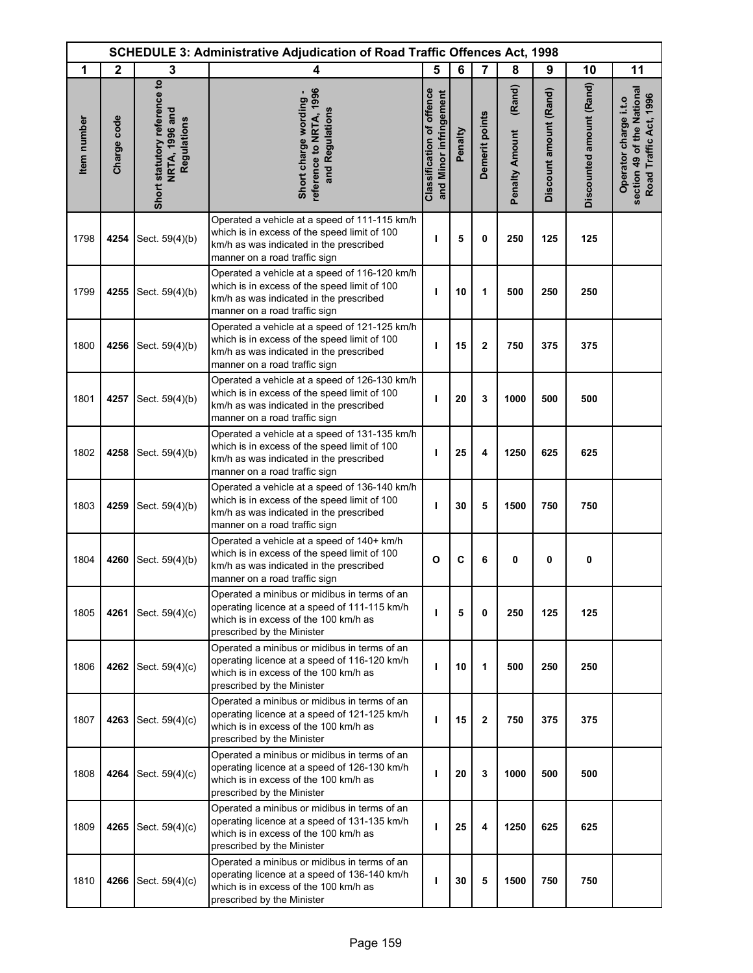| <b>SCHEDULE 3: Administrative Adjudication of Road Traffic Offences Act, 1998</b> |              |                                                               |                                                                                                                                                                           |                                                     |         |                |                                 |                        |                          |                                                                               |
|-----------------------------------------------------------------------------------|--------------|---------------------------------------------------------------|---------------------------------------------------------------------------------------------------------------------------------------------------------------------------|-----------------------------------------------------|---------|----------------|---------------------------------|------------------------|--------------------------|-------------------------------------------------------------------------------|
| 1                                                                                 | $\mathbf{2}$ | 3                                                             | 4                                                                                                                                                                         | 5                                                   | 6       | $\overline{7}$ | 8                               | 9                      | 10                       | 11                                                                            |
| Item number                                                                       | Charge code  | Short statutory reference to<br>NRTA, 1996 and<br>Regulations | reference to NRTA, 1996<br>Short charge wording -<br>and Regulations                                                                                                      | Classification of offence<br>and Minor infringement | Penalty | Demerit points | (Rand)<br><b>Penalty Amount</b> | Discount amount (Rand) | Discounted amount (Rand) | section 49 of the National<br>Road Traffic Act, 1996<br>Operator charge i.t.o |
| 1798                                                                              | 4254         | Sect. 59(4)(b)                                                | Operated a vehicle at a speed of 111-115 km/h<br>which is in excess of the speed limit of 100<br>km/h as was indicated in the prescribed<br>manner on a road traffic sign | т                                                   | 5       | 0              | 250                             | 125                    | 125                      |                                                                               |
| 1799                                                                              | 4255         | Sect. 59(4)(b)                                                | Operated a vehicle at a speed of 116-120 km/h<br>which is in excess of the speed limit of 100<br>km/h as was indicated in the prescribed<br>manner on a road traffic sign | т                                                   | 10      | 1              | 500                             | 250                    | 250                      |                                                                               |
| 1800                                                                              | 4256         | Sect. 59(4)(b)                                                | Operated a vehicle at a speed of 121-125 km/h<br>which is in excess of the speed limit of 100<br>km/h as was indicated in the prescribed<br>manner on a road traffic sign | T                                                   | 15      | $\mathbf 2$    | 750                             | 375                    | 375                      |                                                                               |
| 1801                                                                              | 4257         | Sect. 59(4)(b)                                                | Operated a vehicle at a speed of 126-130 km/h<br>which is in excess of the speed limit of 100<br>km/h as was indicated in the prescribed<br>manner on a road traffic sign | T                                                   | 20      | 3              | 1000                            | 500                    | 500                      |                                                                               |
| 1802                                                                              | 4258         | Sect. 59(4)(b)                                                | Operated a vehicle at a speed of 131-135 km/h<br>which is in excess of the speed limit of 100<br>km/h as was indicated in the prescribed<br>manner on a road traffic sign | T                                                   | 25      | 4              | 1250                            | 625                    | 625                      |                                                                               |
| 1803                                                                              | 4259         | Sect. 59(4)(b)                                                | Operated a vehicle at a speed of 136-140 km/h<br>which is in excess of the speed limit of 100<br>km/h as was indicated in the prescribed<br>manner on a road traffic sign | т                                                   | 30      | 5              | 1500                            | 750                    | 750                      |                                                                               |
| 1804                                                                              | 4260         | Sect. 59(4)(b)                                                | Operated a vehicle at a speed of 140+ km/h<br>which is in excess of the speed limit of 100<br>km/h as was indicated in the prescribed<br>manner on a road traffic sign    | O                                                   | C       | 6              | 0                               | 0                      | 0                        |                                                                               |
| 1805                                                                              | 4261         | Sect. 59(4)(c)                                                | Operated a minibus or midibus in terms of an<br>operating licence at a speed of 111-115 km/h<br>which is in excess of the 100 km/h as<br>prescribed by the Minister       | ı                                                   | 5       | 0              | 250                             | 125                    | 125                      |                                                                               |
| 1806                                                                              | 4262         | Sect. 59(4)(c)                                                | Operated a minibus or midibus in terms of an<br>operating licence at a speed of 116-120 km/h<br>which is in excess of the 100 km/h as<br>prescribed by the Minister       | т                                                   | 10      | 1              | 500                             | 250                    | 250                      |                                                                               |
| 1807                                                                              | 4263         | Sect. 59(4)(c)                                                | Operated a minibus or midibus in terms of an<br>operating licence at a speed of 121-125 km/h<br>which is in excess of the 100 km/h as<br>prescribed by the Minister       | ı                                                   | 15      | $\mathbf{2}$   | 750                             | 375                    | 375                      |                                                                               |
| 1808                                                                              | 4264         | Sect. 59(4)(c)                                                | Operated a minibus or midibus in terms of an<br>operating licence at a speed of 126-130 km/h<br>which is in excess of the 100 km/h as<br>prescribed by the Minister       | т                                                   | 20      | 3              | 1000                            | 500                    | 500                      |                                                                               |
| 1809                                                                              | 4265         | Sect. 59(4)(c)                                                | Operated a minibus or midibus in terms of an<br>operating licence at a speed of 131-135 km/h<br>which is in excess of the 100 km/h as<br>prescribed by the Minister       | ı                                                   | 25      | 4              | 1250                            | 625                    | 625                      |                                                                               |
| 1810                                                                              | 4266         | Sect. 59(4)(c)                                                | Operated a minibus or midibus in terms of an<br>operating licence at a speed of 136-140 km/h<br>which is in excess of the 100 km/h as<br>prescribed by the Minister       | т                                                   | 30      | 5              | 1500                            | 750                    | 750                      |                                                                               |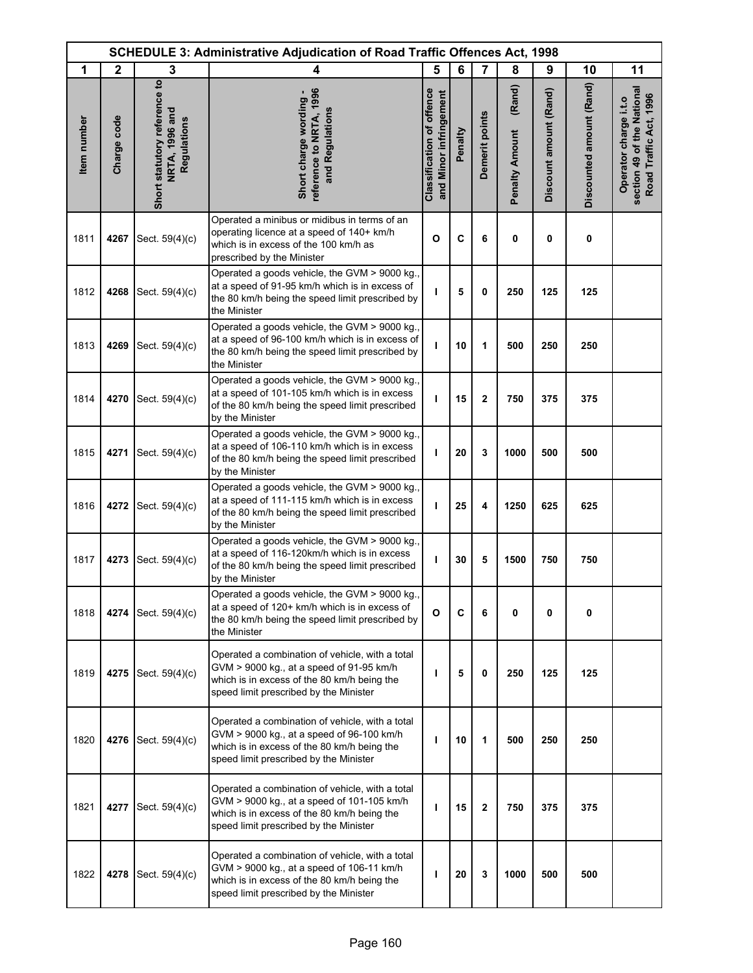|             |              |                                                               | <b>SCHEDULE 3: Administrative Adjudication of Road Traffic Offences Act, 1998</b>                                                                                                      |                                                            |         |                |                                 |                        |                          |                                                                               |
|-------------|--------------|---------------------------------------------------------------|----------------------------------------------------------------------------------------------------------------------------------------------------------------------------------------|------------------------------------------------------------|---------|----------------|---------------------------------|------------------------|--------------------------|-------------------------------------------------------------------------------|
| 1           | $\mathbf{2}$ | 3                                                             | 4                                                                                                                                                                                      | 5                                                          | 6       | $\overline{7}$ | 8                               | 9                      | 10                       | 11                                                                            |
| Item number | Charge code  | Short statutory reference to<br>NRTA, 1996 and<br>Regulations | reference to NRTA, 1996<br>Short charge wording -<br>and Regulations                                                                                                                   | <b>Classification of offence</b><br>and Minor infringement | Penalty | Demerit points | (Rand)<br><b>Penalty Amount</b> | Discount amount (Rand) | Discounted amount (Rand) | section 49 of the National<br>Road Traffic Act, 1996<br>Operator charge i.t.o |
| 1811        | 4267         | Sect. 59(4)(c)                                                | Operated a minibus or midibus in terms of an<br>operating licence at a speed of 140+ km/h<br>which is in excess of the 100 km/h as<br>prescribed by the Minister                       | $\mathbf{o}$                                               | C       | 6              | 0                               | 0                      | 0                        |                                                                               |
| 1812        | 4268         | Sect. 59(4)(c)                                                | Operated a goods vehicle, the GVM > 9000 kg.,<br>at a speed of 91-95 km/h which is in excess of<br>the 80 km/h being the speed limit prescribed by<br>the Minister                     | т                                                          | 5       | 0              | 250                             | 125                    | 125                      |                                                                               |
| 1813        | 4269         | Sect. 59(4)(c)                                                | Operated a goods vehicle, the GVM > 9000 kg.,<br>at a speed of 96-100 km/h which is in excess of<br>the 80 km/h being the speed limit prescribed by<br>the Minister                    | ı                                                          | 10      | 1              | 500                             | 250                    | 250                      |                                                                               |
| 1814        | 4270         | Sect. 59(4)(c)                                                | Operated a goods vehicle, the GVM > 9000 kg.,<br>at a speed of 101-105 km/h which is in excess<br>of the 80 km/h being the speed limit prescribed<br>by the Minister                   | т                                                          | 15      | $\mathbf{2}$   | 750                             | 375                    | 375                      |                                                                               |
| 1815        | 4271         | Sect. 59(4)(c)                                                | Operated a goods vehicle, the GVM > 9000 kg.,<br>at a speed of 106-110 km/h which is in excess<br>of the 80 km/h being the speed limit prescribed<br>by the Minister                   | т                                                          | 20      | 3              | 1000                            | 500                    | 500                      |                                                                               |
| 1816        | 4272         | Sect. 59(4)(c)                                                | Operated a goods vehicle, the GVM > 9000 kg.,<br>at a speed of 111-115 km/h which is in excess<br>of the 80 km/h being the speed limit prescribed<br>by the Minister                   | ı                                                          | 25      | 4              | 1250                            | 625                    | 625                      |                                                                               |
| 1817        | 4273         | Sect. 59(4)(c)                                                | Operated a goods vehicle, the GVM > 9000 kg.,<br>at a speed of 116-120km/h which is in excess<br>of the 80 km/h being the speed limit prescribed<br>by the Minister                    | T                                                          | 30      | 5              | 1500                            | 750                    | 750                      |                                                                               |
| 1818        | 4274         | Sect. 59(4)(c)                                                | Operated a goods vehicle, the GVM > 9000 kg.,<br>at a speed of 120+ km/h which is in excess of<br>the 80 km/h being the speed limit prescribed by<br>the Minister                      | O                                                          | C       | 6              | 0                               | 0                      | 0                        |                                                                               |
| 1819        | 4275         | Sect. 59(4)(c)                                                | Operated a combination of vehicle, with a total<br>GVM > 9000 kg., at a speed of 91-95 km/h<br>which is in excess of the 80 km/h being the<br>speed limit prescribed by the Minister   | ı                                                          | 5       | 0              | 250                             | 125                    | 125                      |                                                                               |
| 1820        | 4276         | Sect. 59(4)(c)                                                | Operated a combination of vehicle, with a total<br>GVM > 9000 kg., at a speed of 96-100 km/h<br>which is in excess of the 80 km/h being the<br>speed limit prescribed by the Minister  | ı                                                          | 10      | 1              | 500                             | 250                    | 250                      |                                                                               |
| 1821        | 4277         | Sect. 59(4)(c)                                                | Operated a combination of vehicle, with a total<br>GVM > 9000 kg., at a speed of 101-105 km/h<br>which is in excess of the 80 km/h being the<br>speed limit prescribed by the Minister | т                                                          | 15      | $\mathbf{2}$   | 750                             | 375                    | 375                      |                                                                               |
| 1822        | 4278         | Sect. 59(4)(c)                                                | Operated a combination of vehicle, with a total<br>GVM > 9000 kg., at a speed of 106-11 km/h<br>which is in excess of the 80 km/h being the<br>speed limit prescribed by the Minister  | ı                                                          | 20      | 3              | 1000                            | 500                    | 500                      |                                                                               |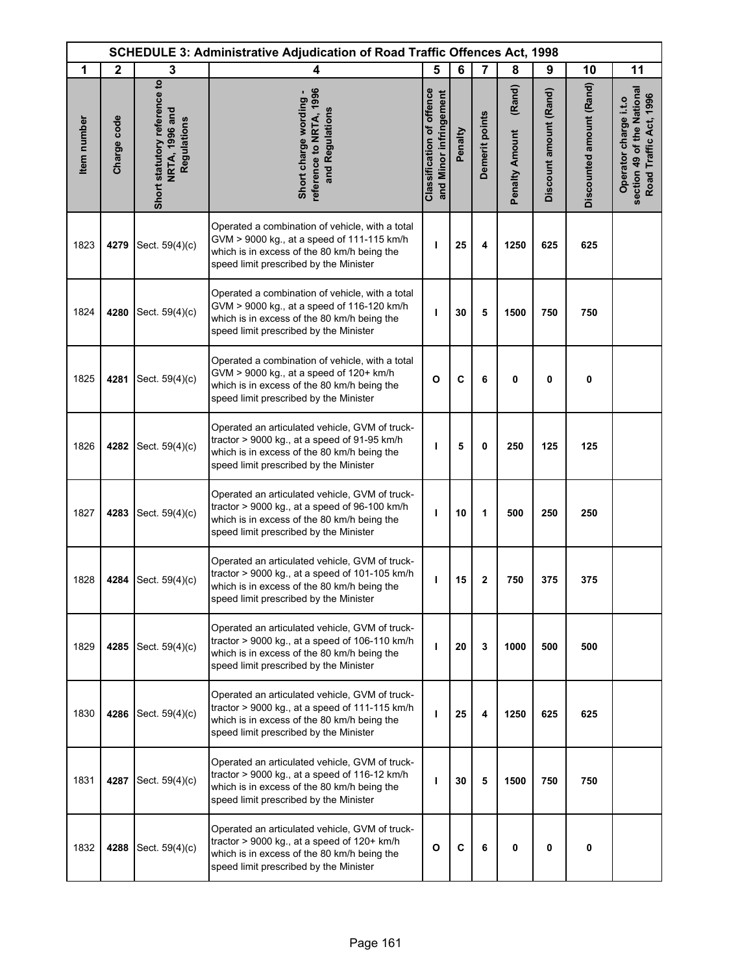| <b>SCHEDULE 3: Administrative Adjudication of Road Traffic Offences Act, 1998</b> |              |                                                               |                                                                                                                                                                                             |                                                            |         |                |                                 |                        |                          |                                                                               |
|-----------------------------------------------------------------------------------|--------------|---------------------------------------------------------------|---------------------------------------------------------------------------------------------------------------------------------------------------------------------------------------------|------------------------------------------------------------|---------|----------------|---------------------------------|------------------------|--------------------------|-------------------------------------------------------------------------------|
| 1                                                                                 | $\mathbf{2}$ | 3                                                             | 4                                                                                                                                                                                           | 5                                                          | 6       | $\overline{7}$ | 8                               | 9                      | 10                       | 11                                                                            |
| Item number                                                                       | Charge code  | Short statutory reference to<br>NRTA, 1996 and<br>Regulations | reference to NRTA, 1996<br>Short charge wording -<br>and Regulations                                                                                                                        | <b>Classification of offence</b><br>and Minor infringement | Penalty | Demerit points | (Rand)<br><b>Penalty Amount</b> | Discount amount (Rand) | Discounted amount (Rand) | section 49 of the National<br>Road Traffic Act, 1996<br>Operator charge i.t.o |
| 1823                                                                              | 4279         | Sect. 59(4)(c)                                                | Operated a combination of vehicle, with a total<br>GVM > 9000 kg., at a speed of 111-115 km/h<br>which is in excess of the 80 km/h being the<br>speed limit prescribed by the Minister      | ı                                                          | 25      | 4              | 1250                            | 625                    | 625                      |                                                                               |
| 1824                                                                              | 4280         | Sect. 59(4)(c)                                                | Operated a combination of vehicle, with a total<br>GVM > 9000 kg., at a speed of 116-120 km/h<br>which is in excess of the 80 km/h being the<br>speed limit prescribed by the Minister      | т                                                          | 30      | 5              | 1500                            | 750                    | 750                      |                                                                               |
| 1825                                                                              | 4281         | Sect. 59(4)(c)                                                | Operated a combination of vehicle, with a total<br>GVM > 9000 kg., at a speed of 120+ km/h<br>which is in excess of the 80 km/h being the<br>speed limit prescribed by the Minister         | $\mathbf{o}$                                               | C       | 6              | 0                               | 0                      | 0                        |                                                                               |
| 1826                                                                              | 4282         | Sect. 59(4)(c)                                                | Operated an articulated vehicle, GVM of truck-<br>tractor > 9000 kg., at a speed of 91-95 km/h<br>which is in excess of the 80 km/h being the<br>speed limit prescribed by the Minister     | т                                                          | 5       | 0              | 250                             | 125                    | 125                      |                                                                               |
| 1827                                                                              | 4283         | Sect. 59(4)(c)                                                | Operated an articulated vehicle, GVM of truck-<br>tractor > 9000 kg., at a speed of 96-100 km/h<br>which is in excess of the 80 km/h being the<br>speed limit prescribed by the Minister    | т                                                          | 10      | 1              | 500                             | 250                    | 250                      |                                                                               |
| 1828                                                                              | 4284         | Sect. 59(4)(c)                                                | Operated an articulated vehicle, GVM of truck-<br>tractor > 9000 kg., at a speed of 101-105 km/h<br>which is in excess of the 80 km/h being the<br>speed limit prescribed by the Minister   | ı                                                          | 15      | 2              | 750                             | 375                    | 375                      |                                                                               |
| 1829                                                                              | 4285         | Sect. 59(4)(c)                                                | Operated an articulated vehicle, GVM of truck-<br>tractor $> 9000$ kg., at a speed of 106-110 km/h<br>which is in excess of the 80 km/h being the<br>speed limit prescribed by the Minister | т                                                          | 20      | 3              | 1000                            | 500                    | 500                      |                                                                               |
| 1830                                                                              | 4286         | Sect. 59(4)(c)                                                | Operated an articulated vehicle, GVM of truck-<br>tractor $> 9000$ kg., at a speed of 111-115 km/h<br>which is in excess of the 80 km/h being the<br>speed limit prescribed by the Minister | т                                                          | 25      | 4              | 1250                            | 625                    | 625                      |                                                                               |
| 1831                                                                              | 4287         | Sect. 59(4)(c)                                                | Operated an articulated vehicle, GVM of truck-<br>tractor > 9000 kg., at a speed of 116-12 km/h<br>which is in excess of the 80 km/h being the<br>speed limit prescribed by the Minister    | ı                                                          | 30      | 5              | 1500                            | 750                    | 750                      |                                                                               |
| 1832                                                                              | 4288         | Sect. 59(4)(c)                                                | Operated an articulated vehicle, GVM of truck-<br>tractor $> 9000$ kg., at a speed of 120+ km/h<br>which is in excess of the 80 km/h being the<br>speed limit prescribed by the Minister    | $\mathbf{o}$                                               | C       | 6              | 0                               | 0                      | 0                        |                                                                               |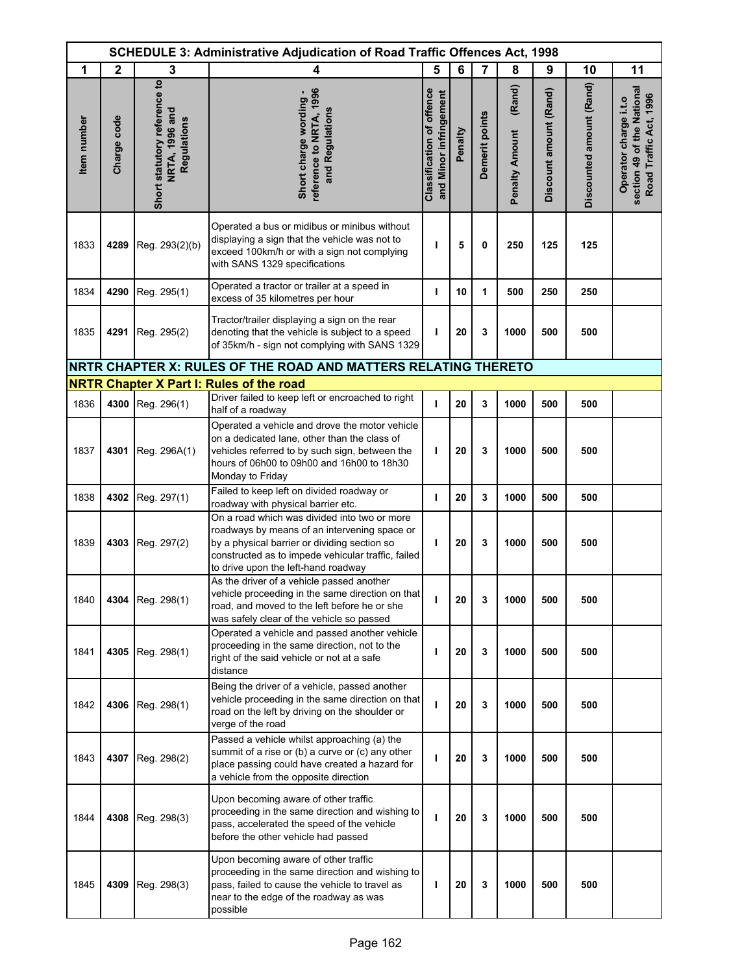| <b>SCHEDULE 3: Administrative Adjudication of Road Traffic Offences Act, 1998</b> |              |                                                               |                                                                                                                                                                                                                                           |                                                            |         |                |                                 |                        |                          |                                                                               |
|-----------------------------------------------------------------------------------|--------------|---------------------------------------------------------------|-------------------------------------------------------------------------------------------------------------------------------------------------------------------------------------------------------------------------------------------|------------------------------------------------------------|---------|----------------|---------------------------------|------------------------|--------------------------|-------------------------------------------------------------------------------|
| 1                                                                                 | $\mathbf{2}$ | 3                                                             | 4                                                                                                                                                                                                                                         | 5                                                          | 6       | $\overline{7}$ | 8                               | 9                      | 10                       | 11                                                                            |
| Item number                                                                       | Charge code  | Short statutory reference to<br>NRTA, 1996 and<br>Regulations | reference to NRTA, 1996<br>Short charge wording -<br>and Regulations                                                                                                                                                                      | <b>Classification of offence</b><br>and Minor infringement | Penalty | Demerit points | (Rand)<br><b>Penalty Amount</b> | Discount amount (Rand) | Discounted amount (Rand) | section 49 of the National<br>Road Traffic Act, 1996<br>Operator charge i.t.o |
| 1833                                                                              | 4289         | Reg. 293(2)(b)                                                | Operated a bus or midibus or minibus without<br>displaying a sign that the vehicle was not to<br>exceed 100km/h or with a sign not complying<br>with SANS 1329 specifications                                                             | ı                                                          | 5       | 0              | 250                             | 125                    | 125                      |                                                                               |
| 1834                                                                              | 4290         | Reg. 295(1)                                                   | Operated a tractor or trailer at a speed in<br>excess of 35 kilometres per hour                                                                                                                                                           | T                                                          | 10      | 1              | 500                             | 250                    | 250                      |                                                                               |
| 1835                                                                              | 4291         | Reg. 295(2)                                                   | Tractor/trailer displaying a sign on the rear<br>denoting that the vehicle is subject to a speed<br>of 35km/h - sign not complying with SANS 1329                                                                                         | T                                                          | 20      | 3              | 1000                            | 500                    | 500                      |                                                                               |
|                                                                                   |              |                                                               | NRTR CHAPTER X: RULES OF THE ROAD AND MATTERS RELATING THERETO                                                                                                                                                                            |                                                            |         |                |                                 |                        |                          |                                                                               |
|                                                                                   |              |                                                               | <b>NRTR Chapter X Part I: Rules of the road</b>                                                                                                                                                                                           |                                                            |         |                |                                 |                        |                          |                                                                               |
| 1836                                                                              |              | 4300 Reg. 296(1)                                              | Driver failed to keep left or encroached to right<br>half of a roadway                                                                                                                                                                    | т                                                          | 20      | 3              | 1000                            | 500                    | 500                      |                                                                               |
| 1837                                                                              | 4301         | Reg. 296A(1)                                                  | Operated a vehicle and drove the motor vehicle<br>on a dedicated lane, other than the class of<br>vehicles referred to by such sign, between the<br>hours of 06h00 to 09h00 and 16h00 to 18h30<br>Monday to Friday                        | т                                                          | 20      | 3              | 1000                            | 500                    | 500                      |                                                                               |
| 1838                                                                              |              | 4302 Reg. 297(1)                                              | Failed to keep left on divided roadway or<br>roadway with physical barrier etc.                                                                                                                                                           | т                                                          | 20      | 3              | 1000                            | 500                    | 500                      |                                                                               |
| 1839                                                                              |              | 4303 Reg. 297(2)                                              | On a road which was divided into two or more<br>roadways by means of an intervening space or<br>by a physical barrier or dividing section so<br>constructed as to impede vehicular traffic, failed<br>to drive upon the left-hand roadway | т                                                          | 20      | 3              | 1000                            | 500                    | 500                      |                                                                               |
| 1840                                                                              |              | 4304 Reg. 298(1)                                              | As the driver of a vehicle passed another<br>vehicle proceeding in the same direction on that<br>road, and moved to the left before he or she<br>was safely clear of the vehicle so passed                                                | ı                                                          | 20      | 3              | 1000                            | 500                    | 500                      |                                                                               |
| 1841                                                                              |              | 4305   Reg. 298(1)                                            | Operated a vehicle and passed another vehicle<br>proceeding in the same direction, not to the<br>right of the said vehicle or not at a safe<br>distance                                                                                   | т                                                          | 20      | 3              | 1000                            | 500                    | 500                      |                                                                               |
| 1842                                                                              |              | 4306 Reg. 298(1)                                              | Being the driver of a vehicle, passed another<br>vehicle proceeding in the same direction on that<br>road on the left by driving on the shoulder or<br>verge of the road                                                                  | ı                                                          | 20      | 3              | 1000                            | 500                    | 500                      |                                                                               |
| 1843                                                                              | 4307         | Reg. 298(2)                                                   | Passed a vehicle whilst approaching (a) the<br>summit of a rise or (b) a curve or (c) any other<br>place passing could have created a hazard for<br>a vehicle from the opposite direction                                                 | ı                                                          | 20      | 3              | 1000                            | 500                    | 500                      |                                                                               |
| 1844                                                                              | 4308         | Reg. 298(3)                                                   | Upon becoming aware of other traffic<br>proceeding in the same direction and wishing to<br>pass, accelerated the speed of the vehicle<br>before the other vehicle had passed                                                              | т                                                          | 20      | 3              | 1000                            | 500                    | 500                      |                                                                               |
| 1845                                                                              | 4309         | Reg. 298(3)                                                   | Upon becoming aware of other traffic<br>proceeding in the same direction and wishing to<br>pass, failed to cause the vehicle to travel as<br>near to the edge of the roadway as was<br>possible                                           | ı                                                          | 20      | 3              | 1000                            | 500                    | 500                      |                                                                               |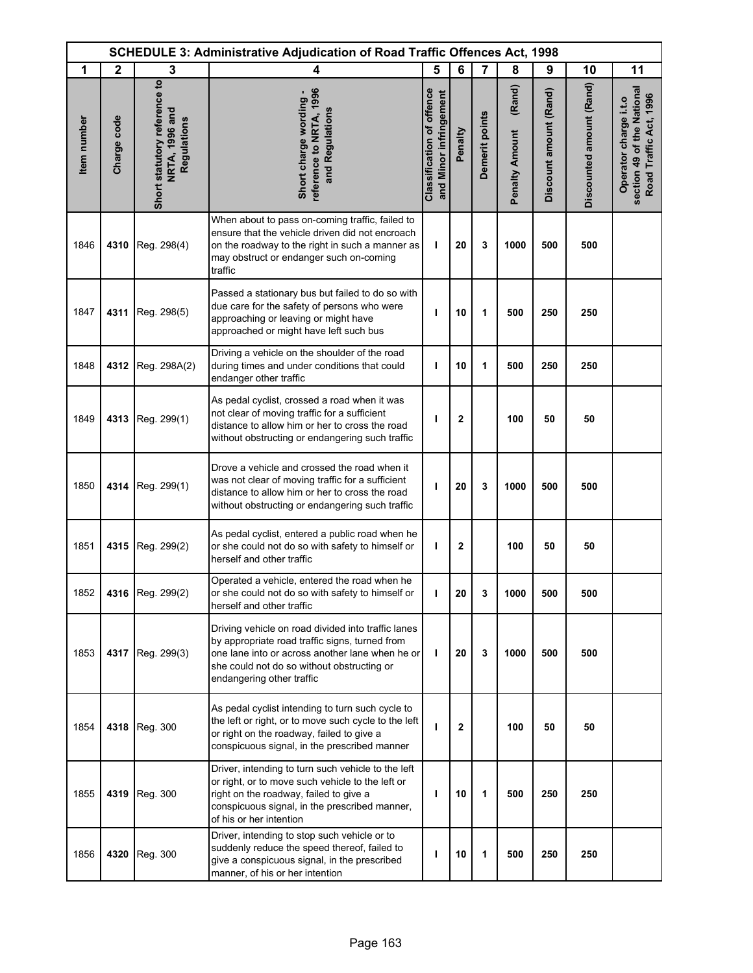| <b>SCHEDULE 3: Administrative Adjudication of Road Traffic Offences Act, 1998</b> |              |                                                               |                                                                                                                                                                                                                                    |                                                            |              |                |                                 |                        |                          |                                                                               |
|-----------------------------------------------------------------------------------|--------------|---------------------------------------------------------------|------------------------------------------------------------------------------------------------------------------------------------------------------------------------------------------------------------------------------------|------------------------------------------------------------|--------------|----------------|---------------------------------|------------------------|--------------------------|-------------------------------------------------------------------------------|
| 1                                                                                 | $\mathbf{2}$ | 3                                                             | 4                                                                                                                                                                                                                                  | 5                                                          | 6            | $\overline{7}$ | 8                               | 9                      | 10                       | 11                                                                            |
| Item number                                                                       | Charge code  | Short statutory reference to<br>NRTA, 1996 and<br>Regulations | reference to NRTA, 1996<br>Short charge wording -<br>and Regulations                                                                                                                                                               | <b>Classification of offence</b><br>and Minor infringement | Penalty      | Demerit points | (Rand)<br><b>Penalty Amount</b> | Discount amount (Rand) | Discounted amount (Rand) | section 49 of the National<br>Road Traffic Act, 1996<br>Operator charge i.t.o |
| 1846                                                                              | 4310         | Reg. 298(4)                                                   | When about to pass on-coming traffic, failed to<br>ensure that the vehicle driven did not encroach<br>on the roadway to the right in such a manner as<br>may obstruct or endanger such on-coming<br>traffic                        | т                                                          | 20           | 3              | 1000                            | 500                    | 500                      |                                                                               |
| 1847                                                                              | 4311         | Reg. 298(5)                                                   | Passed a stationary bus but failed to do so with<br>due care for the safety of persons who were<br>approaching or leaving or might have<br>approached or might have left such bus                                                  | T                                                          | 10           | 1              | 500                             | 250                    | 250                      |                                                                               |
| 1848                                                                              | 4312         | Reg. 298A(2)                                                  | Driving a vehicle on the shoulder of the road<br>during times and under conditions that could<br>endanger other traffic                                                                                                            | ı                                                          | 10           | 1              | 500                             | 250                    | 250                      |                                                                               |
| 1849                                                                              | 4313         | Reg. 299(1)                                                   | As pedal cyclist, crossed a road when it was<br>not clear of moving traffic for a sufficient<br>distance to allow him or her to cross the road<br>without obstructing or endangering such traffic                                  | ı                                                          | $\mathbf{2}$ |                | 100                             | 50                     | 50                       |                                                                               |
| 1850                                                                              | 4314         | Reg. 299(1)                                                   | Drove a vehicle and crossed the road when it<br>was not clear of moving traffic for a sufficient<br>distance to allow him or her to cross the road<br>without obstructing or endangering such traffic                              | ı                                                          | 20           | 3              | 1000                            | 500                    | 500                      |                                                                               |
| 1851                                                                              | 4315         | Reg. 299(2)                                                   | As pedal cyclist, entered a public road when he<br>or she could not do so with safety to himself or<br>herself and other traffic                                                                                                   | J.                                                         | $\mathbf 2$  |                | 100                             | 50                     | 50                       |                                                                               |
| 1852                                                                              |              | 4316 Reg. 299(2)                                              | Operated a vehicle, entered the road when he<br>or she could not do so with safety to himself or<br>herself and other traffic                                                                                                      |                                                            | 20           | 3              | 1000                            | 500                    | 500                      |                                                                               |
| 1853                                                                              |              | 4317 Reg. 299(3)                                              | Driving vehicle on road divided into traffic lanes<br>by appropriate road traffic signs, turned from<br>one lane into or across another lane when he or<br>she could not do so without obstructing or<br>endangering other traffic | T                                                          | 20           | 3              | 1000                            | 500                    | 500                      |                                                                               |
| 1854                                                                              |              | 4318 Reg. 300                                                 | As pedal cyclist intending to turn such cycle to<br>the left or right, or to move such cycle to the left<br>or right on the roadway, failed to give a<br>conspicuous signal, in the prescribed manner                              | т                                                          | $\mathbf{2}$ |                | 100                             | 50                     | 50                       |                                                                               |
| 1855                                                                              | 4319         | Reg. 300                                                      | Driver, intending to turn such vehicle to the left<br>or right, or to move such vehicle to the left or<br>right on the roadway, failed to give a<br>conspicuous signal, in the prescribed manner,<br>of his or her intention       | T                                                          | 10           | 1              | 500                             | 250                    | 250                      |                                                                               |
| 1856                                                                              | 4320         | Reg. 300                                                      | Driver, intending to stop such vehicle or to<br>suddenly reduce the speed thereof, failed to<br>give a conspicuous signal, in the prescribed<br>manner, of his or her intention                                                    | ı                                                          | 10           | 1              | 500                             | 250                    | 250                      |                                                                               |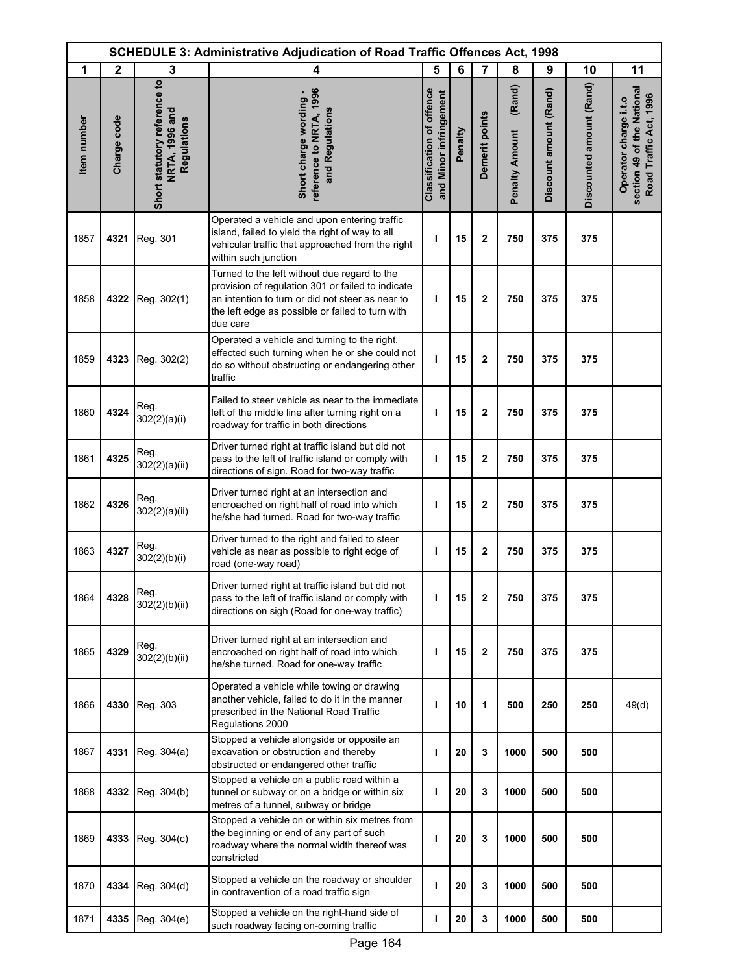| <b>SCHEDULE 3: Administrative Adjudication of Road Traffic Offences Act, 1998</b> |             |                                                               |                                                                                                                                                                                                                       |                                                            |         |                         |                                 |                        |                          |                                                                               |
|-----------------------------------------------------------------------------------|-------------|---------------------------------------------------------------|-----------------------------------------------------------------------------------------------------------------------------------------------------------------------------------------------------------------------|------------------------------------------------------------|---------|-------------------------|---------------------------------|------------------------|--------------------------|-------------------------------------------------------------------------------|
| 1                                                                                 | $\mathbf 2$ | 3                                                             | 4                                                                                                                                                                                                                     | 5                                                          | 6       | $\overline{7}$          | 8                               | 9                      | 10                       | 11                                                                            |
| <b>Item</b> number                                                                | Charge code | Short statutory reference to<br>NRTA, 1996 and<br>Regulations | reference to NRTA, 1996<br>Short charge wording -<br>and Regulations                                                                                                                                                  | <b>Classification of offence</b><br>and Minor infringement | Penalty | Demerit points          | (Rand)<br><b>Penalty Amount</b> | Discount amount (Rand) | Discounted amount (Rand) | section 49 of the National<br>Road Traffic Act, 1996<br>Operator charge i.t.o |
| 1857                                                                              | 4321        | Reg. 301                                                      | Operated a vehicle and upon entering traffic<br>island, failed to yield the right of way to all<br>vehicular traffic that approached from the right<br>within such junction                                           | ı                                                          | 15      | $\mathbf 2$             | 750                             | 375                    | 375                      |                                                                               |
| 1858                                                                              | 4322        | Reg. 302(1)                                                   | Turned to the left without due regard to the<br>provision of regulation 301 or failed to indicate<br>an intention to turn or did not steer as near to<br>the left edge as possible or failed to turn with<br>due care | т                                                          | 15      | $\mathbf 2$             | 750                             | 375                    | 375                      |                                                                               |
| 1859                                                                              | 4323        | Reg. 302(2)                                                   | Operated a vehicle and turning to the right,<br>effected such turning when he or she could not<br>do so without obstructing or endangering other<br>traffic                                                           | ı                                                          | 15      | $\overline{2}$          | 750                             | 375                    | 375                      |                                                                               |
| 1860                                                                              | 4324        | Reg.<br>302(2)(a)(i)                                          | Failed to steer vehicle as near to the immediate<br>left of the middle line after turning right on a<br>roadway for traffic in both directions                                                                        | т                                                          | 15      | 2                       | 750                             | 375                    | 375                      |                                                                               |
| 1861                                                                              | 4325        | Reg.<br>302(2)(a)(ii)                                         | Driver turned right at traffic island but did not<br>pass to the left of traffic island or comply with<br>directions of sign. Road for two-way traffic                                                                | ı                                                          | 15      | 2                       | 750                             | 375                    | 375                      |                                                                               |
| 1862                                                                              | 4326        | Reg.<br>302(2)(a)(ii)                                         | Driver turned right at an intersection and<br>encroached on right half of road into which<br>he/she had turned. Road for two-way traffic                                                                              | ı                                                          | 15      | $\mathbf{2}$            | 750                             | 375                    | 375                      |                                                                               |
| 1863                                                                              | 4327        | Reg.<br>302(2)(b)(i)                                          | Driver turned to the right and failed to steer<br>vehicle as near as possible to right edge of<br>road (one-way road)                                                                                                 | ı                                                          | 15      | $\overline{\mathbf{2}}$ | 750                             | 375                    | 375                      |                                                                               |
| 1864                                                                              | 4328        | Reg.<br>302(2)(b)(ii)                                         | Driver turned right at traffic island but did not<br>pass to the left of traffic island or comply with<br>directions on sigh (Road for one-way traffic)                                                               | ı                                                          | 15      | $\mathbf 2$             | 750                             | 375                    | 375                      |                                                                               |
| 1865                                                                              | 4329        | Reg.<br>302(2)(b)(ii)                                         | Driver turned right at an intersection and<br>encroached on right half of road into which<br>he/she turned. Road for one-way traffic                                                                                  | т                                                          | 15      | $\mathbf 2$             | 750                             | 375                    | 375                      |                                                                               |
| 1866                                                                              | 4330        | Reg. 303                                                      | Operated a vehicle while towing or drawing<br>another vehicle, failed to do it in the manner<br>prescribed in the National Road Traffic<br>Regulations 2000                                                           | ı                                                          | 10      | 1                       | 500                             | 250                    | 250                      | 49(d)                                                                         |
| 1867                                                                              | 4331        | Reg. 304(a)                                                   | Stopped a vehicle alongside or opposite an<br>excavation or obstruction and thereby<br>obstructed or endangered other traffic                                                                                         | ı                                                          | 20      | 3                       | 1000                            | 500                    | 500                      |                                                                               |
| 1868                                                                              | 4332        | Reg. 304(b)                                                   | Stopped a vehicle on a public road within a<br>tunnel or subway or on a bridge or within six<br>metres of a tunnel, subway or bridge                                                                                  | т                                                          | 20      | 3                       | 1000                            | 500                    | 500                      |                                                                               |
| 1869                                                                              | 4333        | Reg. 304(c)                                                   | Stopped a vehicle on or within six metres from<br>the beginning or end of any part of such<br>roadway where the normal width thereof was<br>constricted                                                               | ı                                                          | 20      | 3                       | 1000                            | 500                    | 500                      |                                                                               |
| 1870                                                                              | 4334        | Reg. 304(d)                                                   | Stopped a vehicle on the roadway or shoulder<br>in contravention of a road traffic sign                                                                                                                               | ı                                                          | 20      | 3                       | 1000                            | 500                    | 500                      |                                                                               |
| 1871                                                                              | 4335        | Reg. 304(e)                                                   | Stopped a vehicle on the right-hand side of<br>such roadway facing on-coming traffic                                                                                                                                  | I                                                          | 20      | 3                       | 1000                            | 500                    | 500                      |                                                                               |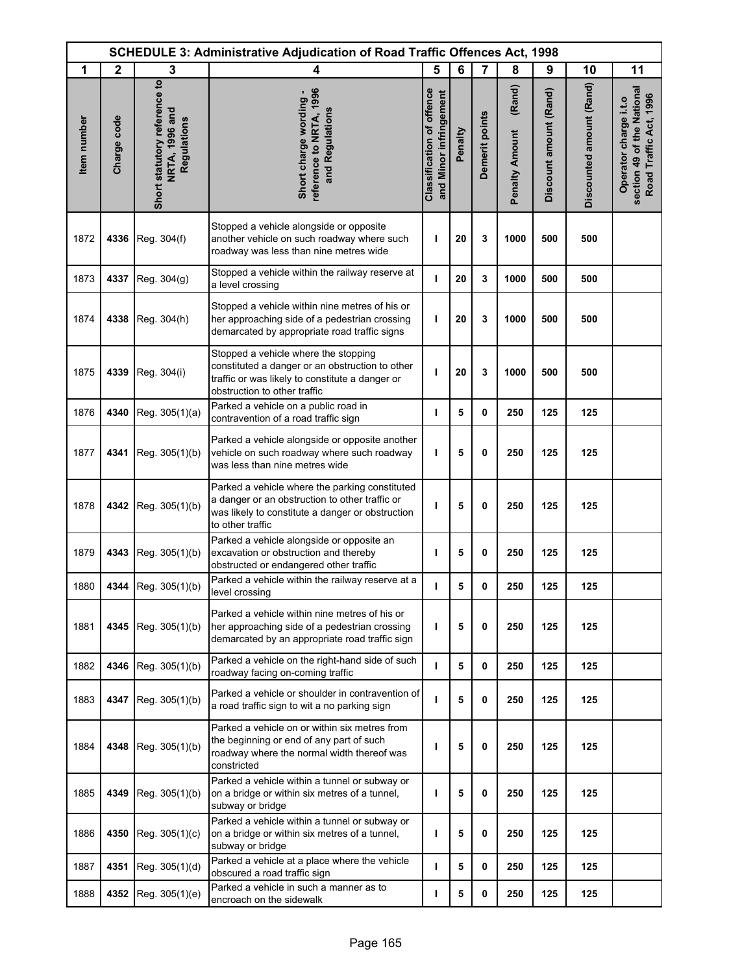|             | <b>SCHEDULE 3: Administrative Adjudication of Road Traffic Offences Act, 1998</b> |                                                                      |                                                                                                                                                                            |                                                            |         |                |                                 |                        |                          |                                                                               |
|-------------|-----------------------------------------------------------------------------------|----------------------------------------------------------------------|----------------------------------------------------------------------------------------------------------------------------------------------------------------------------|------------------------------------------------------------|---------|----------------|---------------------------------|------------------------|--------------------------|-------------------------------------------------------------------------------|
| 1           | $\mathbf{2}$                                                                      | 3                                                                    | 4                                                                                                                                                                          | 5                                                          | 6       | 7              | 8                               | 9                      | 10                       | 11                                                                            |
| Item number | Charge code                                                                       | Short statutory reference to<br><b>NRTA, 1996 and</b><br>Regulations | reference to NRTA, 1996<br>Short charge wording -<br>and Regulations                                                                                                       | <b>Classification of offence</b><br>and Minor infringement | Penalty | Demerit points | (Rand)<br><b>Penalty Amount</b> | Discount amount (Rand) | Discounted amount (Rand) | section 49 of the National<br>Road Traffic Act, 1996<br>Operator charge i.t.o |
| 1872        | 4336                                                                              | Reg. 304(f)                                                          | Stopped a vehicle alongside or opposite<br>another vehicle on such roadway where such<br>roadway was less than nine metres wide                                            | ı                                                          | 20      | 3              | 1000                            | 500                    | 500                      |                                                                               |
| 1873        | 4337                                                                              | Reg. 304(g)                                                          | Stopped a vehicle within the railway reserve at<br>a level crossing                                                                                                        | J.                                                         | 20      | 3              | 1000                            | 500                    | 500                      |                                                                               |
| 1874        | 4338                                                                              | Reg. 304(h)                                                          | Stopped a vehicle within nine metres of his or<br>her approaching side of a pedestrian crossing<br>demarcated by appropriate road traffic signs                            | т                                                          | 20      | 3              | 1000                            | 500                    | 500                      |                                                                               |
| 1875        | 4339                                                                              | Reg. 304(i)                                                          | Stopped a vehicle where the stopping<br>constituted a danger or an obstruction to other<br>traffic or was likely to constitute a danger or<br>obstruction to other traffic | т                                                          | 20      | 3              | 1000                            | 500                    | 500                      |                                                                               |
| 1876        | 4340                                                                              | Reg. 305(1)(a)                                                       | Parked a vehicle on a public road in<br>contravention of a road traffic sign                                                                                               | т                                                          | 5       | 0              | 250                             | 125                    | 125                      |                                                                               |
| 1877        | 4341                                                                              | Reg. 305(1)(b)                                                       | Parked a vehicle alongside or opposite another<br>vehicle on such roadway where such roadway<br>was less than nine metres wide                                             | ı                                                          | 5       | 0              | 250                             | 125                    | 125                      |                                                                               |
| 1878        | 4342                                                                              | Reg. 305(1)(b)                                                       | Parked a vehicle where the parking constituted<br>a danger or an obstruction to other traffic or<br>was likely to constitute a danger or obstruction<br>to other traffic   | T                                                          | 5       | 0              | 250                             | 125                    | 125                      |                                                                               |
| 1879        | 4343                                                                              | Reg. 305(1)(b)                                                       | Parked a vehicle alongside or opposite an<br>excavation or obstruction and thereby<br>obstructed or endangered other traffic                                               | ı                                                          | 5       | 0              | 250                             | 125                    | 125                      |                                                                               |
| 1880        | 4344                                                                              | Reg. 305(1)(b)                                                       | Parked a vehicle within the railway reserve at a<br>level crossing                                                                                                         | I                                                          | 5       | 0              | 250                             | 125                    | 125                      |                                                                               |
| 1881        | 4345                                                                              | Reg. 305(1)(b)                                                       | Parked a vehicle within nine metres of his or<br>her approaching side of a pedestrian crossing<br>demarcated by an appropriate road traffic sign                           | т                                                          | 5       | 0              | 250                             | 125                    | 125                      |                                                                               |
| 1882        | 4346                                                                              | Reg. 305(1)(b)                                                       | Parked a vehicle on the right-hand side of such<br>roadway facing on-coming traffic                                                                                        | $\mathbf{I}$                                               | 5       | 0              | 250                             | 125                    | 125                      |                                                                               |
| 1883        | 4347                                                                              | Reg. 305(1)(b)                                                       | Parked a vehicle or shoulder in contravention of<br>a road traffic sign to wit a no parking sign                                                                           | т                                                          | 5       | 0              | 250                             | 125                    | 125                      |                                                                               |
| 1884        | 4348                                                                              | Reg. 305(1)(b)                                                       | Parked a vehicle on or within six metres from<br>the beginning or end of any part of such<br>roadway where the normal width thereof was<br>constricted                     | п                                                          | 5       | 0              | 250                             | 125                    | 125                      |                                                                               |
| 1885        | 4349                                                                              | Reg. 305(1)(b)                                                       | Parked a vehicle within a tunnel or subway or<br>on a bridge or within six metres of a tunnel,<br>subway or bridge                                                         | ı                                                          | 5       | 0              | 250                             | 125                    | 125                      |                                                                               |
| 1886        | 4350                                                                              | Reg. 305(1)(c)                                                       | Parked a vehicle within a tunnel or subway or<br>on a bridge or within six metres of a tunnel,<br>subway or bridge                                                         | ı                                                          | 5       | 0              | 250                             | 125                    | 125                      |                                                                               |
| 1887        | 4351                                                                              | Reg. 305(1)(d)                                                       | Parked a vehicle at a place where the vehicle<br>obscured a road traffic sign                                                                                              | $\mathbf{I}$                                               | 5       | 0              | 250                             | 125                    | 125                      |                                                                               |
| 1888        | 4352                                                                              | Reg. 305(1)(e)                                                       | Parked a vehicle in such a manner as to<br>encroach on the sidewalk                                                                                                        | т                                                          | 5       | 0              | 250                             | 125                    | 125                      |                                                                               |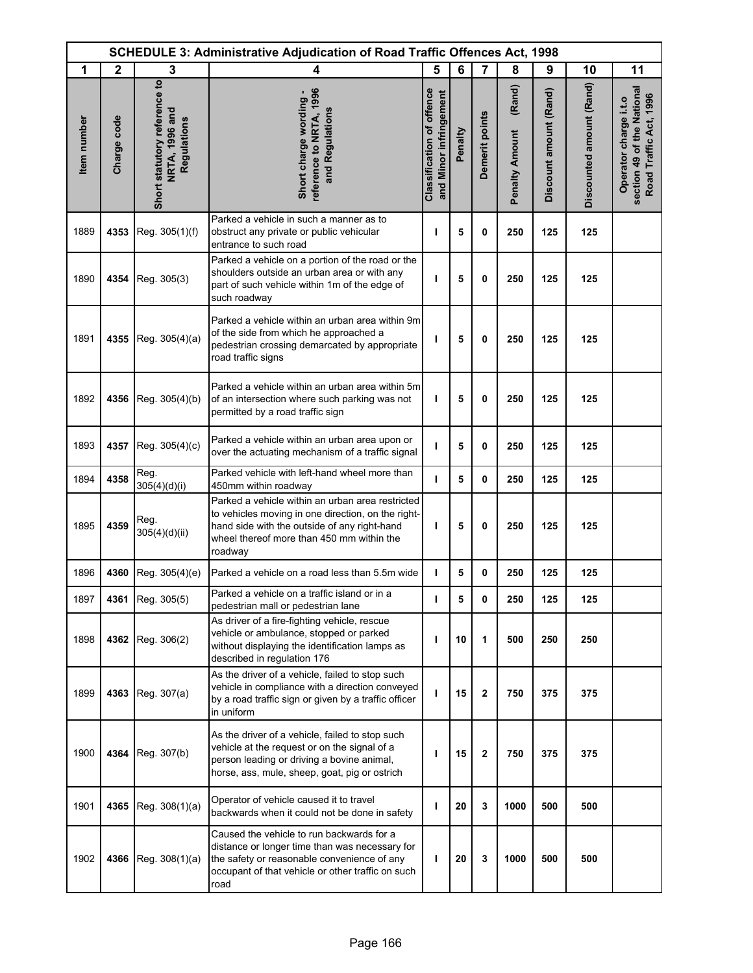| <b>SCHEDULE 3: Administrative Adjudication of Road Traffic Offences Act, 1998</b> |              |                                                                      |                                                                                                                                                                                                                |                                                            |         |                |                                 |                        |                          |                                                                               |
|-----------------------------------------------------------------------------------|--------------|----------------------------------------------------------------------|----------------------------------------------------------------------------------------------------------------------------------------------------------------------------------------------------------------|------------------------------------------------------------|---------|----------------|---------------------------------|------------------------|--------------------------|-------------------------------------------------------------------------------|
| 1                                                                                 | $\mathbf{2}$ | 3                                                                    | 4                                                                                                                                                                                                              | 5                                                          | 6       | 7              | 8                               | 9                      | 10                       | 11                                                                            |
| <b>Item</b> number                                                                | Charge code  | Short statutory reference to<br><b>NRTA, 1996 and</b><br>Regulations | reference to NRTA, 1996<br>Short charge wording -<br>and Regulations                                                                                                                                           | <b>Classification of offence</b><br>and Minor infringement | Penalty | Demerit points | (Rand)<br><b>Penalty Amount</b> | Discount amount (Rand) | Discounted amount (Rand) | section 49 of the National<br>Road Traffic Act, 1996<br>Operator charge i.t.o |
| 1889                                                                              | 4353         | Reg. 305(1)(f)                                                       | Parked a vehicle in such a manner as to<br>obstruct any private or public vehicular<br>entrance to such road                                                                                                   | ı                                                          | 5       | 0              | 250                             | 125                    | 125                      |                                                                               |
| 1890                                                                              | 4354         | Reg. 305(3)                                                          | Parked a vehicle on a portion of the road or the<br>shoulders outside an urban area or with any<br>part of such vehicle within 1m of the edge of<br>such roadway                                               | т                                                          | 5       | 0              | 250                             | 125                    | 125                      |                                                                               |
| 1891                                                                              | 4355         | Reg. 305(4)(a)                                                       | Parked a vehicle within an urban area within 9m<br>of the side from which he approached a<br>pedestrian crossing demarcated by appropriate<br>road traffic signs                                               | т                                                          | 5       | 0              | 250                             | 125                    | 125                      |                                                                               |
| 1892                                                                              | 4356         | Reg. 305(4)(b)                                                       | Parked a vehicle within an urban area within 5m<br>of an intersection where such parking was not<br>permitted by a road traffic sign                                                                           | т                                                          | 5       | 0              | 250                             | 125                    | 125                      |                                                                               |
| 1893                                                                              | 4357         | Reg. 305(4)(c)                                                       | Parked a vehicle within an urban area upon or<br>over the actuating mechanism of a traffic signal                                                                                                              | т                                                          | 5       | 0              | 250                             | 125                    | 125                      |                                                                               |
| 1894                                                                              | 4358         | Reg.<br>305(4)(d)(i)                                                 | Parked vehicle with left-hand wheel more than<br>450mm within roadway                                                                                                                                          | ı                                                          | 5       | 0              | 250                             | 125                    | 125                      |                                                                               |
| 1895                                                                              | 4359         | Reg.<br>305(4)(d)(ii)                                                | Parked a vehicle within an urban area restricted<br>to vehicles moving in one direction, on the right-<br>hand side with the outside of any right-hand<br>wheel thereof more than 450 mm within the<br>roadway | т                                                          | 5       | 0              | 250                             | 125                    | 125                      |                                                                               |
| 1896                                                                              | 4360         | Reg. 305(4)(e)                                                       | Parked a vehicle on a road less than 5.5m wide                                                                                                                                                                 | т                                                          | 5       | 0              | 250                             | 125                    | 125                      |                                                                               |
| 1897                                                                              |              | 4361 Reg. 305(5)                                                     | Parked a vehicle on a traffic island or in a<br>pedestrian mall or pedestrian lane                                                                                                                             | т                                                          | 5       | 0              | 250                             | 125                    | 125                      |                                                                               |
| 1898                                                                              |              | 4362 Reg. 306(2)                                                     | As driver of a fire-fighting vehicle, rescue<br>vehicle or ambulance, stopped or parked<br>without displaying the identification lamps as<br>described in regulation 176                                       | т                                                          | 10      | 1              | 500                             | 250                    | 250                      |                                                                               |
| 1899                                                                              | 4363         | Reg. 307(a)                                                          | As the driver of a vehicle, failed to stop such<br>vehicle in compliance with a direction conveyed<br>by a road traffic sign or given by a traffic officer<br>in uniform                                       | ı                                                          | 15      | $\mathbf 2$    | 750                             | 375                    | 375                      |                                                                               |
| 1900                                                                              | 4364         | Reg. 307(b)                                                          | As the driver of a vehicle, failed to stop such<br>vehicle at the request or on the signal of a<br>person leading or driving a bovine animal,<br>horse, ass, mule, sheep, goat, pig or ostrich                 | т                                                          | 15      | $\mathbf 2$    | 750                             | 375                    | 375                      |                                                                               |
| 1901                                                                              | 4365         | Reg. 308(1)(a)                                                       | Operator of vehicle caused it to travel<br>backwards when it could not be done in safety                                                                                                                       | ı                                                          | 20      | 3              | 1000                            | 500                    | 500                      |                                                                               |
| 1902                                                                              |              | 4366 Reg. $308(1)(a)$                                                | Caused the vehicle to run backwards for a<br>distance or longer time than was necessary for<br>the safety or reasonable convenience of any<br>occupant of that vehicle or other traffic on such<br>road        | т                                                          | 20      | 3              | 1000                            | 500                    | 500                      |                                                                               |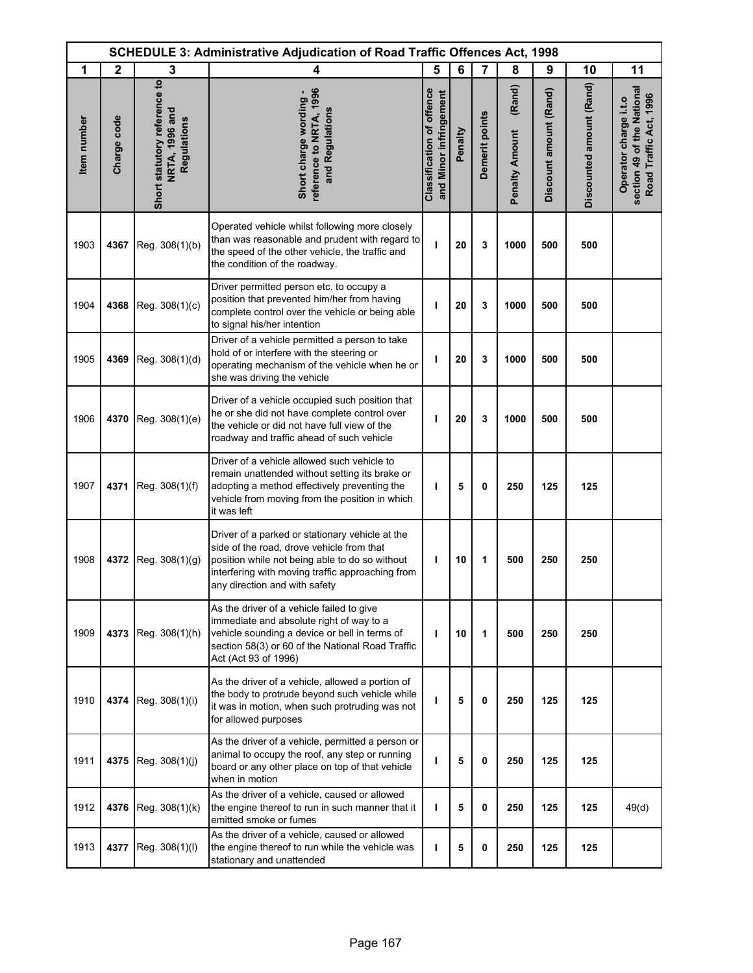| <b>SCHEDULE 3: Administrative Adjudication of Road Traffic Offences Act, 1998</b> |              |                                                               |                                                                                                                                                                                                                                     |                                                            |         |                |                                 |                        |                          |                                                                               |
|-----------------------------------------------------------------------------------|--------------|---------------------------------------------------------------|-------------------------------------------------------------------------------------------------------------------------------------------------------------------------------------------------------------------------------------|------------------------------------------------------------|---------|----------------|---------------------------------|------------------------|--------------------------|-------------------------------------------------------------------------------|
| 1                                                                                 | $\mathbf{2}$ | 3                                                             | 4                                                                                                                                                                                                                                   | 5                                                          | 6       | $\overline{7}$ | 8                               | 9                      | 10                       | 11                                                                            |
| Item number                                                                       | Charge code  | Short statutory reference to<br>NRTA, 1996 and<br>Regulations | reference to NRTA, 1996<br>Short charge wording -<br>and Regulations                                                                                                                                                                | <b>Classification of offence</b><br>and Minor infringement | Penalty | Demerit points | (Rand)<br><b>Penalty Amount</b> | Discount amount (Rand) | Discounted amount (Rand) | section 49 of the National<br>Road Traffic Act, 1996<br>Operator charge i.t.o |
| 1903                                                                              | 4367         | Reg. 308(1)(b)                                                | Operated vehicle whilst following more closely<br>than was reasonable and prudent with regard to<br>the speed of the other vehicle, the traffic and<br>the condition of the roadway.                                                | ı                                                          | 20      | 3              | 1000                            | 500                    | 500                      |                                                                               |
| 1904                                                                              | 4368         | Reg. 308(1)(c)                                                | Driver permitted person etc. to occupy a<br>position that prevented him/her from having<br>complete control over the vehicle or being able<br>to signal his/her intention                                                           | ı                                                          | 20      | 3              | 1000                            | 500                    | 500                      |                                                                               |
| 1905                                                                              | 4369         | Reg. 308(1)(d)                                                | Driver of a vehicle permitted a person to take<br>hold of or interfere with the steering or<br>operating mechanism of the vehicle when he or<br>she was driving the vehicle                                                         | т                                                          | 20      | 3              | 1000                            | 500                    | 500                      |                                                                               |
| 1906                                                                              | 4370         | Reg. 308(1)(e)                                                | Driver of a vehicle occupied such position that<br>he or she did not have complete control over<br>the vehicle or did not have full view of the<br>roadway and traffic ahead of such vehicle                                        | ı                                                          | 20      | 3              | 1000                            | 500                    | 500                      |                                                                               |
| 1907                                                                              | 4371         | Reg. 308(1)(f)                                                | Driver of a vehicle allowed such vehicle to<br>remain unattended without setting its brake or<br>adopting a method effectively preventing the<br>vehicle from moving from the position in which<br>it was left                      | ı                                                          | 5       | 0              | 250                             | 125                    | 125                      |                                                                               |
| 1908                                                                              | 4372         | Reg. 308(1)(g)                                                | Driver of a parked or stationary vehicle at the<br>side of the road, drove vehicle from that<br>position while not being able to do so without<br>interfering with moving traffic approaching from<br>any direction and with safety | T                                                          | 10      | 1              | 500                             | 250                    | 250                      |                                                                               |
| 1909                                                                              | 4373         | Reg. 308(1)(h)                                                | As the driver of a vehicle failed to give<br>immediate and absolute right of way to a<br>vehicle sounding a device or bell in terms of<br>section 58(3) or 60 of the National Road Traffic<br>Act (Act 93 of 1996)                  | ı                                                          | 10      | 1              | 500                             | 250                    | 250                      |                                                                               |
| 1910                                                                              | 4374         | Reg. 308(1)(i)                                                | As the driver of a vehicle, allowed a portion of<br>the body to protrude beyond such vehicle while<br>it was in motion, when such protruding was not<br>for allowed purposes                                                        | т                                                          | 5       | 0              | 250                             | 125                    | 125                      |                                                                               |
| 1911                                                                              | 4375         | Reg. 308(1)(j)                                                | As the driver of a vehicle, permitted a person or<br>animal to occupy the roof, any step or running<br>board or any other place on top of that vehicle<br>when in motion                                                            | T                                                          | 5       | 0              | 250                             | 125                    | 125                      |                                                                               |
| 1912                                                                              | 4376         | Reg. 308(1)(k)                                                | As the driver of a vehicle, caused or allowed<br>the engine thereof to run in such manner that it<br>emitted smoke or fumes                                                                                                         | T                                                          | 5       | $\mathbf{0}$   | 250                             | 125                    | 125                      | 49(d)                                                                         |
| 1913                                                                              | 4377         | Reg. 308(1)(l)                                                | As the driver of a vehicle, caused or allowed<br>the engine thereof to run while the vehicle was<br>stationary and unattended                                                                                                       | т                                                          | 5       | 0              | 250                             | 125                    | 125                      |                                                                               |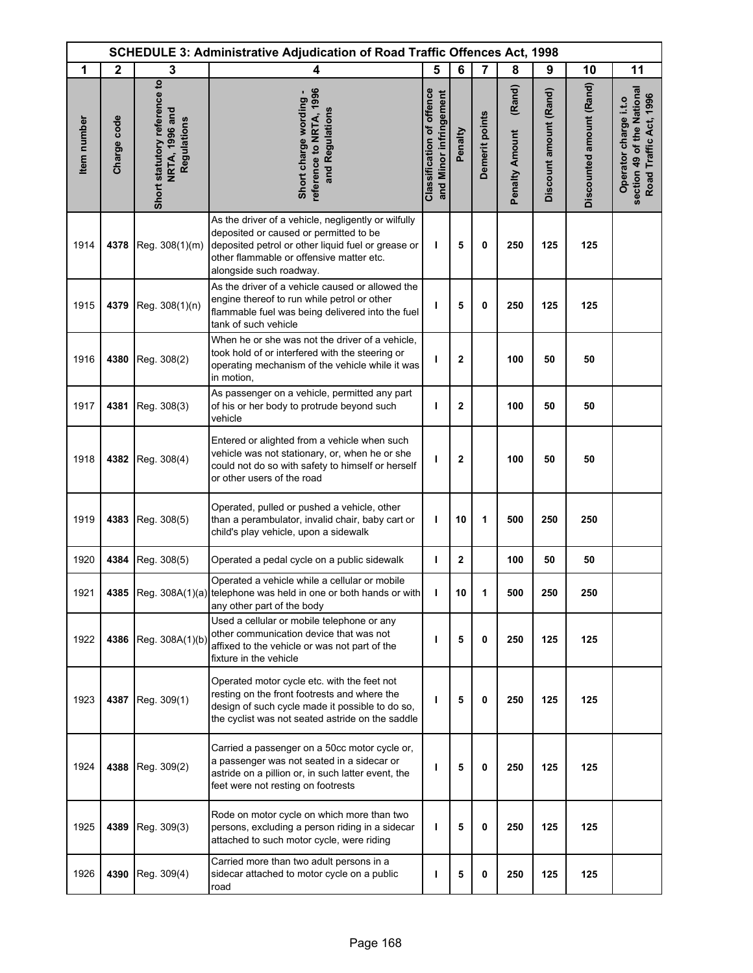|             |              |                                                               | <b>SCHEDULE 3: Administrative Adjudication of Road Traffic Offences Act, 1998</b>                                                                                                                                          |                                                            |                |                |                                 |                        |                          |                                                                               |
|-------------|--------------|---------------------------------------------------------------|----------------------------------------------------------------------------------------------------------------------------------------------------------------------------------------------------------------------------|------------------------------------------------------------|----------------|----------------|---------------------------------|------------------------|--------------------------|-------------------------------------------------------------------------------|
| 1           | $\mathbf{2}$ | 3                                                             | 4                                                                                                                                                                                                                          | 5                                                          | 6              | 7              | 8                               | 9                      | 10                       | 11                                                                            |
| Item number | Charge code  | Short statutory reference to<br>NRTA, 1996 and<br>Regulations | reference to NRTA, 1996<br>Short charge wording -<br>and Regulations                                                                                                                                                       | <b>Classification of offence</b><br>and Minor infringement | Penalty        | Demerit points | (Rand)<br><b>Penalty Amount</b> | Discount amount (Rand) | Discounted amount (Rand) | section 49 of the National<br>Road Traffic Act, 1996<br>Operator charge i.t.o |
| 1914        | 4378         | Reg. 308(1)(m)                                                | As the driver of a vehicle, negligently or wilfully<br>deposited or caused or permitted to be<br>deposited petrol or other liquid fuel or grease or<br>other flammable or offensive matter etc.<br>alongside such roadway. | т                                                          | 5              | 0              | 250                             | 125                    | 125                      |                                                                               |
| 1915        | 4379         | Reg. 308(1)(n)                                                | As the driver of a vehicle caused or allowed the<br>engine thereof to run while petrol or other<br>flammable fuel was being delivered into the fuel<br>tank of such vehicle                                                | т                                                          | 5              | 0              | 250                             | 125                    | 125                      |                                                                               |
| 1916        | 4380         | Reg. 308(2)                                                   | When he or she was not the driver of a vehicle,<br>took hold of or interfered with the steering or<br>operating mechanism of the vehicle while it was<br>in motion,                                                        | т                                                          | $\overline{2}$ |                | 100                             | 50                     | 50                       |                                                                               |
| 1917        | 4381         | Reg. 308(3)                                                   | As passenger on a vehicle, permitted any part<br>of his or her body to protrude beyond such<br>vehicle                                                                                                                     | ı                                                          | $\mathbf 2$    |                | 100                             | 50                     | 50                       |                                                                               |
| 1918        | 4382         | Reg. 308(4)                                                   | Entered or alighted from a vehicle when such<br>vehicle was not stationary, or, when he or she<br>could not do so with safety to himself or herself<br>or other users of the road                                          | ı                                                          | $\mathbf{2}$   |                | 100                             | 50                     | 50                       |                                                                               |
| 1919        | 4383         | Reg. 308(5)                                                   | Operated, pulled or pushed a vehicle, other<br>than a perambulator, invalid chair, baby cart or<br>child's play vehicle, upon a sidewalk                                                                                   | T                                                          | 10             | 1              | 500                             | 250                    | 250                      |                                                                               |
| 1920        | 4384         | Reg. 308(5)                                                   | Operated a pedal cycle on a public sidewalk                                                                                                                                                                                | T                                                          | $\mathbf{2}$   |                | 100                             | 50                     | 50                       |                                                                               |
| 1921        |              |                                                               | Operated a vehicle while a cellular or mobile<br>4385 Reg. 308A(1)(a) telephone was held in one or both hands or with<br>any other part of the body                                                                        | ı                                                          | 10             | 1              | 500                             | 250                    | 250                      |                                                                               |
| 1922        |              | 4386 Reg. 308A(1)(b)                                          | Used a cellular or mobile telephone or any<br>other communication device that was not<br>affixed to the vehicle or was not part of the<br>fixture in the vehicle                                                           | п                                                          | 5              | 0              | 250                             | 125                    | 125                      |                                                                               |
| 1923        | 4387         | Reg. 309(1)                                                   | Operated motor cycle etc. with the feet not<br>resting on the front footrests and where the<br>design of such cycle made it possible to do so,<br>the cyclist was not seated astride on the saddle                         | ı                                                          | 5              | 0              | 250                             | 125                    | 125                      |                                                                               |
| 1924        | 4388         | Reg. 309(2)                                                   | Carried a passenger on a 50cc motor cycle or,<br>a passenger was not seated in a sidecar or<br>astride on a pillion or, in such latter event, the<br>feet were not resting on footrests                                    | ı                                                          | 5              | 0              | 250                             | 125                    | 125                      |                                                                               |
| 1925        | 4389         | Reg. 309(3)                                                   | Rode on motor cycle on which more than two<br>persons, excluding a person riding in a sidecar<br>attached to such motor cycle, were riding                                                                                 | ı                                                          | 5              | 0              | 250                             | 125                    | 125                      |                                                                               |
| 1926        | 4390         | Reg. 309(4)                                                   | Carried more than two adult persons in a<br>sidecar attached to motor cycle on a public<br>road                                                                                                                            | ı                                                          | 5              | 0              | 250                             | 125                    | 125                      |                                                                               |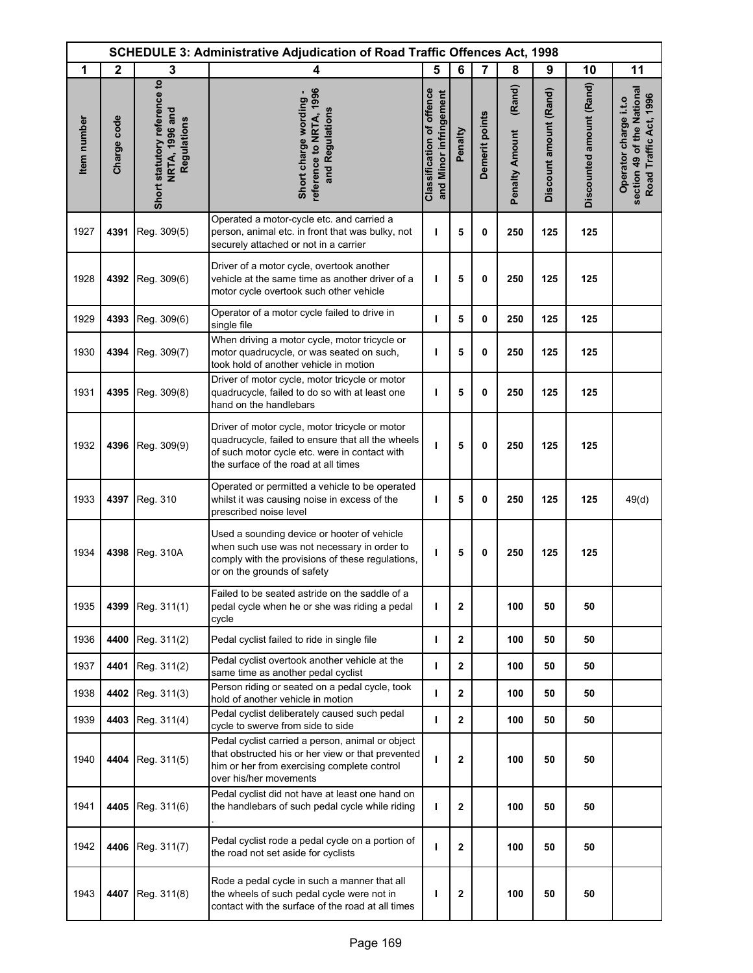|             | <b>SCHEDULE 3: Administrative Adjudication of Road Traffic Offences Act, 1998</b> |                                                               |                                                                                                                                                                                              |                                                            |                |                |                                 |                        |                          |                                                                               |
|-------------|-----------------------------------------------------------------------------------|---------------------------------------------------------------|----------------------------------------------------------------------------------------------------------------------------------------------------------------------------------------------|------------------------------------------------------------|----------------|----------------|---------------------------------|------------------------|--------------------------|-------------------------------------------------------------------------------|
| 1           | $\mathbf{2}$                                                                      | 3                                                             | 4                                                                                                                                                                                            | 5                                                          | 6              | $\overline{7}$ | 8                               | 9                      | 10                       | 11                                                                            |
| Item number | Charge code                                                                       | Short statutory reference to<br>NRTA, 1996 and<br>Regulations | reference to NRTA, 1996<br>Short charge wording -<br>and Regulations                                                                                                                         | <b>Classification of offence</b><br>and Minor infringement | Penalty        | Demerit points | (Rand)<br><b>Penalty Amount</b> | Discount amount (Rand) | Discounted amount (Rand) | section 49 of the National<br>Road Traffic Act, 1996<br>Operator charge i.t.o |
| 1927        | 4391                                                                              | Reg. 309(5)                                                   | Operated a motor-cycle etc. and carried a<br>person, animal etc. in front that was bulky, not<br>securely attached or not in a carrier                                                       | $\mathbf{I}$                                               | 5              | 0              | 250                             | 125                    | 125                      |                                                                               |
| 1928        | 4392                                                                              | Reg. 309(6)                                                   | Driver of a motor cycle, overtook another<br>vehicle at the same time as another driver of a<br>motor cycle overtook such other vehicle                                                      | т                                                          | 5              | 0              | 250                             | 125                    | 125                      |                                                                               |
| 1929        | 4393                                                                              | Reg. 309(6)                                                   | Operator of a motor cycle failed to drive in<br>single file                                                                                                                                  | T                                                          | 5              | 0              | 250                             | 125                    | 125                      |                                                                               |
| 1930        | 4394                                                                              | Reg. 309(7)                                                   | When driving a motor cycle, motor tricycle or<br>motor quadrucycle, or was seated on such,<br>took hold of another vehicle in motion                                                         | ı                                                          | 5              | 0              | 250                             | 125                    | 125                      |                                                                               |
| 1931        | 4395                                                                              | Reg. 309(8)                                                   | Driver of motor cycle, motor tricycle or motor<br>quadrucycle, failed to do so with at least one<br>hand on the handlebars                                                                   | ı                                                          | 5              | 0              | 250                             | 125                    | 125                      |                                                                               |
| 1932        | 4396                                                                              | Reg. 309(9)                                                   | Driver of motor cycle, motor tricycle or motor<br>quadrucycle, failed to ensure that all the wheels<br>of such motor cycle etc. were in contact with<br>the surface of the road at all times | ı                                                          | 5              | 0              | 250                             | 125                    | 125                      |                                                                               |
| 1933        | 4397                                                                              | Reg. 310                                                      | Operated or permitted a vehicle to be operated<br>whilst it was causing noise in excess of the<br>prescribed noise level                                                                     | ı                                                          | 5              | 0              | 250                             | 125                    | 125                      | 49(d)                                                                         |
| 1934        | 4398                                                                              | Reg. 310A                                                     | Used a sounding device or hooter of vehicle<br>when such use was not necessary in order to<br>comply with the provisions of these regulations,<br>or on the grounds of safety                | ı                                                          | 5              | 0              | 250                             | 125                    | 125                      |                                                                               |
| 1935        | 4399                                                                              | Reg. 311(1)                                                   | Failed to be seated astride on the saddle of a<br>pedal cycle when he or she was riding a pedal<br>cycle                                                                                     | T                                                          | $\mathbf{2}$   |                | 100                             | 50                     | 50                       |                                                                               |
| 1936        | 4400                                                                              | Reg. 311(2)                                                   | Pedal cyclist failed to ride in single file                                                                                                                                                  | T                                                          | $\mathbf{2}$   |                | 100                             | 50                     | 50                       |                                                                               |
| 1937        | 4401                                                                              | Reg. 311(2)                                                   | Pedal cyclist overtook another vehicle at the<br>same time as another pedal cyclist                                                                                                          | J.                                                         | $\mathbf{2}$   |                | 100                             | 50                     | 50                       |                                                                               |
| 1938        | 4402                                                                              | Reg. 311(3)                                                   | Person riding or seated on a pedal cycle, took<br>hold of another vehicle in motion                                                                                                          | ı                                                          | $\mathbf{2}$   |                | 100                             | 50                     | 50                       |                                                                               |
| 1939        | 4403                                                                              | Reg. 311(4)                                                   | Pedal cyclist deliberately caused such pedal<br>cycle to swerve from side to side                                                                                                            | $\mathbf{I}$                                               | $\overline{2}$ |                | 100                             | 50                     | 50                       |                                                                               |
| 1940        | 4404                                                                              | Reg. 311(5)                                                   | Pedal cyclist carried a person, animal or object<br>that obstructed his or her view or that prevented<br>him or her from exercising complete control<br>over his/her movements               | ı                                                          | $\mathbf 2$    |                | 100                             | 50                     | 50                       |                                                                               |
| 1941        | 4405                                                                              | Reg. 311(6)                                                   | Pedal cyclist did not have at least one hand on<br>the handlebars of such pedal cycle while riding                                                                                           | T                                                          | $\mathbf{2}$   |                | 100                             | 50                     | 50                       |                                                                               |
| 1942        | 4406                                                                              | Reg. 311(7)                                                   | Pedal cyclist rode a pedal cycle on a portion of<br>the road not set aside for cyclists                                                                                                      | ı                                                          | $\mathbf{2}$   |                | 100                             | 50                     | 50                       |                                                                               |
| 1943        | 4407                                                                              | Reg. 311(8)                                                   | Rode a pedal cycle in such a manner that all<br>the wheels of such pedal cycle were not in<br>contact with the surface of the road at all times                                              | I                                                          | $\mathbf 2$    |                | 100                             | 50                     | 50                       |                                                                               |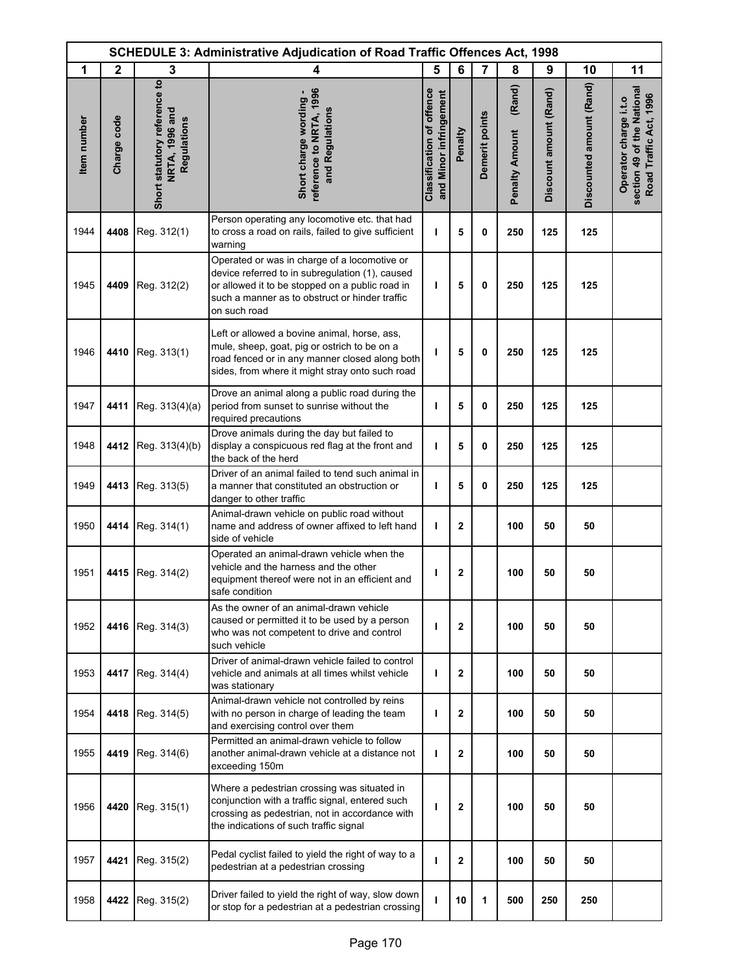| <b>SCHEDULE 3: Administrative Adjudication of Road Traffic Offences Act, 1998</b> |              |                                                               |                                                                                                                                                                                                                      |                                                            |              |                |                                 |                        |                          |                                                                               |
|-----------------------------------------------------------------------------------|--------------|---------------------------------------------------------------|----------------------------------------------------------------------------------------------------------------------------------------------------------------------------------------------------------------------|------------------------------------------------------------|--------------|----------------|---------------------------------|------------------------|--------------------------|-------------------------------------------------------------------------------|
| 1                                                                                 | $\mathbf{2}$ | 3                                                             | 4                                                                                                                                                                                                                    | 5                                                          | 6            | $\overline{7}$ | 8                               | 9                      | 10                       | 11                                                                            |
| Item number                                                                       | Charge code  | Short statutory reference to<br>NRTA, 1996 and<br>Regulations | reference to NRTA, 1996<br>Short charge wording -<br>and Regulations                                                                                                                                                 | <b>Classification of offence</b><br>and Minor infringement | Penalty      | Demerit points | (Rand)<br><b>Penalty Amount</b> | Discount amount (Rand) | Discounted amount (Rand) | section 49 of the National<br>Road Traffic Act, 1996<br>Operator charge i.t.o |
| 1944                                                                              | 4408         | Reg. 312(1)                                                   | Person operating any locomotive etc. that had<br>to cross a road on rails, failed to give sufficient<br>warning                                                                                                      | T                                                          | 5            | 0              | 250                             | 125                    | 125                      |                                                                               |
| 1945                                                                              | 4409         | Reg. 312(2)                                                   | Operated or was in charge of a locomotive or<br>device referred to in subregulation (1), caused<br>or allowed it to be stopped on a public road in<br>such a manner as to obstruct or hinder traffic<br>on such road | T                                                          | 5            | 0              | 250                             | 125                    | 125                      |                                                                               |
| 1946                                                                              | 4410         | Reg. 313(1)                                                   | Left or allowed a bovine animal, horse, ass,<br>mule, sheep, goat, pig or ostrich to be on a<br>road fenced or in any manner closed along both<br>sides, from where it might stray onto such road                    | ı                                                          | 5            | 0              | 250                             | 125                    | 125                      |                                                                               |
| 1947                                                                              | 4411         | Reg. 313(4)(a)                                                | Drove an animal along a public road during the<br>period from sunset to sunrise without the<br>required precautions                                                                                                  | T                                                          | 5            | $\mathbf 0$    | 250                             | 125                    | 125                      |                                                                               |
| 1948                                                                              | 4412         | Reg. 313(4)(b)                                                | Drove animals during the day but failed to<br>display a conspicuous red flag at the front and<br>the back of the herd                                                                                                | T                                                          | 5            | 0              | 250                             | 125                    | 125                      |                                                                               |
| 1949                                                                              | 4413         | Reg. 313(5)                                                   | Driver of an animal failed to tend such animal in<br>a manner that constituted an obstruction or<br>danger to other traffic                                                                                          | T                                                          | 5            | 0              | 250                             | 125                    | 125                      |                                                                               |
| 1950                                                                              | 4414         | Reg. 314(1)                                                   | Animal-drawn vehicle on public road without<br>name and address of owner affixed to left hand<br>side of vehicle                                                                                                     | T                                                          | $\mathbf{2}$ |                | 100                             | 50                     | 50                       |                                                                               |
| 1951                                                                              | 4415         | Reg. 314(2)                                                   | Operated an animal-drawn vehicle when the<br>vehicle and the harness and the other<br>equipment thereof were not in an efficient and<br>safe condition                                                               | ı                                                          | $\mathbf{2}$ |                | 100                             | 50                     | 50                       |                                                                               |
| 1952                                                                              | 4416         | Reg. 314(3)                                                   | As the owner of an animal-drawn vehicle<br>caused or permitted it to be used by a person<br>who was not competent to drive and control<br>such vehicle                                                               | ı                                                          | $\mathbf{2}$ |                | 100                             | 50                     | 50                       |                                                                               |
| 1953                                                                              | 4417         | Reg. 314(4)                                                   | Driver of animal-drawn vehicle failed to control<br>vehicle and animals at all times whilst vehicle<br>was stationary                                                                                                | ı                                                          | $\mathbf{2}$ |                | 100                             | 50                     | 50                       |                                                                               |
| 1954                                                                              | 4418         | Reg. 314(5)                                                   | Animal-drawn vehicle not controlled by reins<br>with no person in charge of leading the team<br>and exercising control over them                                                                                     | т                                                          | $\mathbf{2}$ |                | 100                             | 50                     | 50                       |                                                                               |
| 1955                                                                              | 4419         | Reg. 314(6)                                                   | Permitted an animal-drawn vehicle to follow<br>another animal-drawn vehicle at a distance not<br>exceeding 150m                                                                                                      | т                                                          | $\mathbf{2}$ |                | 100                             | 50                     | 50                       |                                                                               |
| 1956                                                                              | 4420         | Reg. 315(1)                                                   | Where a pedestrian crossing was situated in<br>conjunction with a traffic signal, entered such<br>crossing as pedestrian, not in accordance with<br>the indications of such traffic signal                           | т                                                          | $\mathbf{2}$ |                | 100                             | 50                     | 50                       |                                                                               |
| 1957                                                                              | 4421         | Reg. 315(2)                                                   | Pedal cyclist failed to yield the right of way to a<br>pedestrian at a pedestrian crossing                                                                                                                           | т                                                          | $\mathbf{2}$ |                | 100                             | 50                     | 50                       |                                                                               |
| 1958                                                                              | 4422         | Reg. 315(2)                                                   | Driver failed to yield the right of way, slow down<br>or stop for a pedestrian at a pedestrian crossing                                                                                                              | ı                                                          | 10           | 1              | 500                             | 250                    | 250                      |                                                                               |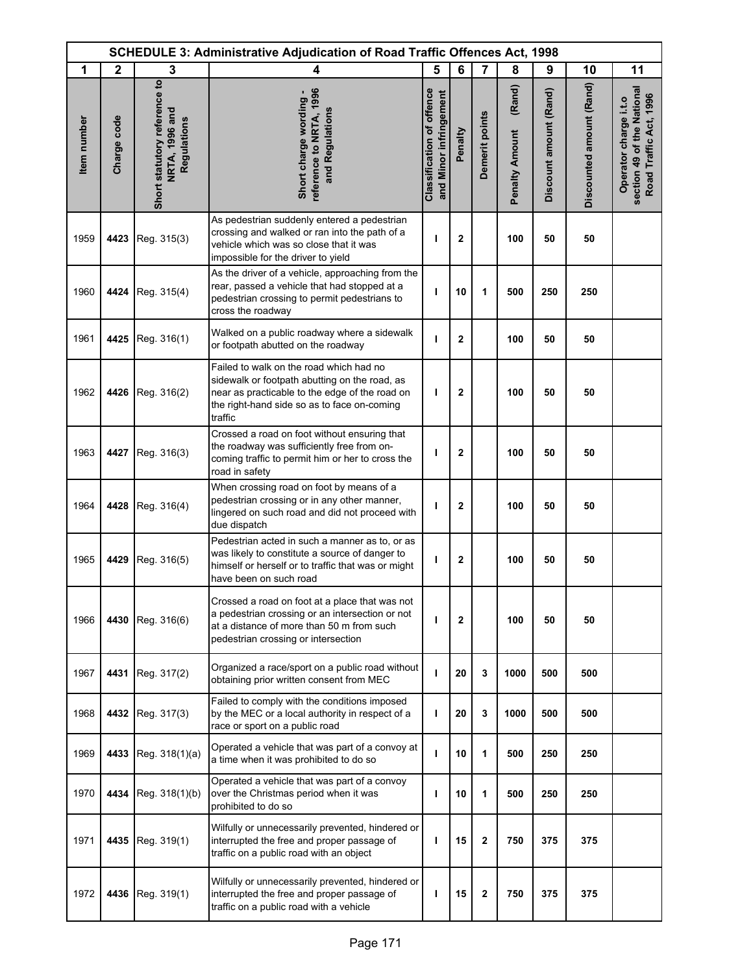|             | <b>SCHEDULE 3: Administrative Adjudication of Road Traffic Offences Act, 1998</b> |                                                                      |                                                                                                                                                                                                      |                                                            |                |                         |                                 |                        |                          |                                                                               |
|-------------|-----------------------------------------------------------------------------------|----------------------------------------------------------------------|------------------------------------------------------------------------------------------------------------------------------------------------------------------------------------------------------|------------------------------------------------------------|----------------|-------------------------|---------------------------------|------------------------|--------------------------|-------------------------------------------------------------------------------|
| 1           | $\mathbf{2}$                                                                      | 3                                                                    | 4                                                                                                                                                                                                    | 5                                                          | 6              | 7                       | 8                               | 9                      | 10                       | 11                                                                            |
| Item number | Charge code                                                                       | Short statutory reference to<br><b>NRTA, 1996 and</b><br>Regulations | reference to NRTA, 1996<br>Short charge wording -<br>and Regulations                                                                                                                                 | <b>Classification of offence</b><br>and Minor infringement | Penalty        | Demerit points          | (Rand)<br><b>Penalty Amount</b> | Discount amount (Rand) | Discounted amount (Rand) | section 49 of the National<br>Road Traffic Act, 1996<br>Operator charge i.t.o |
| 1959        | 4423                                                                              | Reg. 315(3)                                                          | As pedestrian suddenly entered a pedestrian<br>crossing and walked or ran into the path of a<br>vehicle which was so close that it was<br>impossible for the driver to yield                         | ı                                                          | $\mathbf{2}$   |                         | 100                             | 50                     | 50                       |                                                                               |
| 1960        | 4424                                                                              | Reg. 315(4)                                                          | As the driver of a vehicle, approaching from the<br>rear, passed a vehicle that had stopped at a<br>pedestrian crossing to permit pedestrians to<br>cross the roadway                                | т                                                          | 10             | 1                       | 500                             | 250                    | 250                      |                                                                               |
| 1961        | 4425                                                                              | Reg. 316(1)                                                          | Walked on a public roadway where a sidewalk<br>or footpath abutted on the roadway                                                                                                                    | т                                                          | $\overline{2}$ |                         | 100                             | 50                     | 50                       |                                                                               |
| 1962        | 4426                                                                              | Reg. 316(2)                                                          | Failed to walk on the road which had no<br>sidewalk or footpath abutting on the road, as<br>near as practicable to the edge of the road on<br>the right-hand side so as to face on-coming<br>traffic | т                                                          | $\overline{2}$ |                         | 100                             | 50                     | 50                       |                                                                               |
| 1963        | 4427                                                                              | Reg. 316(3)                                                          | Crossed a road on foot without ensuring that<br>the roadway was sufficiently free from on-<br>coming traffic to permit him or her to cross the<br>road in safety                                     | п                                                          | 2              |                         | 100                             | 50                     | 50                       |                                                                               |
| 1964        | 4428                                                                              | Reg. 316(4)                                                          | When crossing road on foot by means of a<br>pedestrian crossing or in any other manner,<br>lingered on such road and did not proceed with<br>due dispatch                                            | ı                                                          | $\mathbf{2}$   |                         | 100                             | 50                     | 50                       |                                                                               |
| 1965        | 4429                                                                              | Reg. 316(5)                                                          | Pedestrian acted in such a manner as to, or as<br>was likely to constitute a source of danger to<br>himself or herself or to traffic that was or might<br>have been on such road                     | ı                                                          | 2              |                         | 100                             | 50                     | 50                       |                                                                               |
| 1966        | 4430                                                                              | Reg. 316(6)                                                          | Crossed a road on foot at a place that was not<br>a pedestrian crossing or an intersection or not<br>at a distance of more than 50 m from such<br>pedestrian crossing or intersection                | т                                                          | $\overline{2}$ |                         | 100                             | 50                     | 50                       |                                                                               |
| 1967        | 4431                                                                              | Reg. 317(2)                                                          | Organized a race/sport on a public road without<br>obtaining prior written consent from MEC                                                                                                          | т                                                          | 20             | 3                       | 1000                            | 500                    | 500                      |                                                                               |
| 1968        | 4432                                                                              | Reg. 317(3)                                                          | Failed to comply with the conditions imposed<br>by the MEC or a local authority in respect of a<br>race or sport on a public road                                                                    | т                                                          | 20             | 3                       | 1000                            | 500                    | 500                      |                                                                               |
| 1969        | 4433                                                                              | Reg. 318(1)(a)                                                       | Operated a vehicle that was part of a convoy at<br>a time when it was prohibited to do so                                                                                                            | ı                                                          | 10             | 1                       | 500                             | 250                    | 250                      |                                                                               |
| 1970        | 4434                                                                              | Reg. 318(1)(b)                                                       | Operated a vehicle that was part of a convoy<br>over the Christmas period when it was<br>prohibited to do so                                                                                         | т                                                          | 10             | 1                       | 500                             | 250                    | 250                      |                                                                               |
| 1971        | 4435                                                                              | Reg. 319(1)                                                          | Wilfully or unnecessarily prevented, hindered or<br>interrupted the free and proper passage of<br>traffic on a public road with an object                                                            | т                                                          | 15             | $\mathbf{2}$            | 750                             | 375                    | 375                      |                                                                               |
| 1972        | 4436                                                                              | Reg. 319(1)                                                          | Wilfully or unnecessarily prevented, hindered or<br>interrupted the free and proper passage of<br>traffic on a public road with a vehicle                                                            | т                                                          | 15             | $\overline{\mathbf{c}}$ | 750                             | 375                    | 375                      |                                                                               |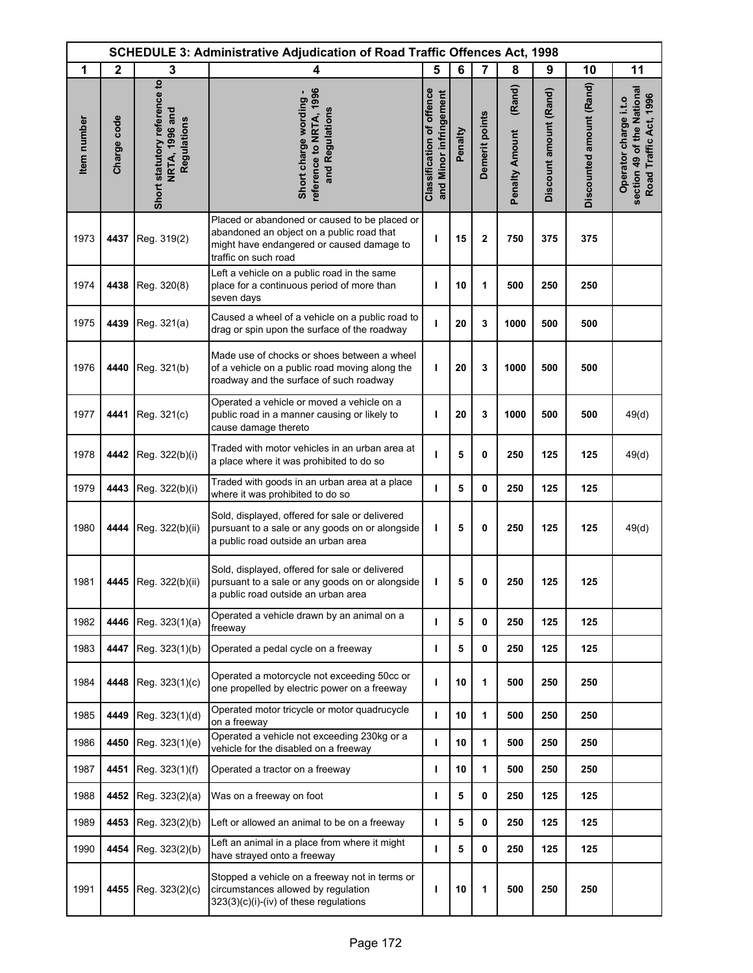|             |              |                                                               | <b>SCHEDULE 3: Administrative Adjudication of Road Traffic Offences Act, 1998</b>                                                                               |                                                            |         |                |                                 |                        |                          |                                                                               |
|-------------|--------------|---------------------------------------------------------------|-----------------------------------------------------------------------------------------------------------------------------------------------------------------|------------------------------------------------------------|---------|----------------|---------------------------------|------------------------|--------------------------|-------------------------------------------------------------------------------|
| 1           | $\mathbf{2}$ | 3                                                             | 4                                                                                                                                                               | 5                                                          | 6       | $\overline{7}$ | 8                               | 9                      | 10                       | 11                                                                            |
| Item number | Charge code  | Short statutory reference to<br>NRTA, 1996 and<br>Regulations | reference to NRTA, 1996<br>Short charge wording -<br>and Regulations                                                                                            | <b>Classification of offence</b><br>and Minor infringement | Penalty | Demerit points | (Rand)<br><b>Penalty Amount</b> | Discount amount (Rand) | Discounted amount (Rand) | section 49 of the National<br>Road Traffic Act, 1996<br>Operator charge i.t.o |
| 1973        | 4437         | Reg. 319(2)                                                   | Placed or abandoned or caused to be placed or<br>abandoned an object on a public road that<br>might have endangered or caused damage to<br>traffic on such road | ı                                                          | 15      | $\mathbf{2}$   | 750                             | 375                    | 375                      |                                                                               |
| 1974        | 4438         | Reg. 320(8)                                                   | Left a vehicle on a public road in the same<br>place for a continuous period of more than<br>seven days                                                         | т                                                          | 10      | 1              | 500                             | 250                    | 250                      |                                                                               |
| 1975        | 4439         | Reg. 321(a)                                                   | Caused a wheel of a vehicle on a public road to<br>drag or spin upon the surface of the roadway                                                                 | J.                                                         | 20      | 3              | 1000                            | 500                    | 500                      |                                                                               |
| 1976        | 4440         | Reg. 321(b)                                                   | Made use of chocks or shoes between a wheel<br>of a vehicle on a public road moving along the<br>roadway and the surface of such roadway                        | ı                                                          | 20      | 3              | 1000                            | 500                    | 500                      |                                                                               |
| 1977        | 4441         | Reg. 321(c)                                                   | Operated a vehicle or moved a vehicle on a<br>public road in a manner causing or likely to<br>cause damage thereto                                              | ı                                                          | 20      | 3              | 1000                            | 500                    | 500                      | 49(d)                                                                         |
| 1978        | 4442         | Reg. 322(b)(i)                                                | Traded with motor vehicles in an urban area at<br>a place where it was prohibited to do so                                                                      | т                                                          | 5       | 0              | 250                             | 125                    | 125                      | 49(d)                                                                         |
| 1979        | 4443         | Reg. 322(b)(i)                                                | Traded with goods in an urban area at a place<br>where it was prohibited to do so                                                                               | т                                                          | 5       | 0              | 250                             | 125                    | 125                      |                                                                               |
| 1980        | 4444         | Reg. 322(b)(ii)                                               | Sold, displayed, offered for sale or delivered<br>pursuant to a sale or any goods on or alongside<br>a public road outside an urban area                        | ı                                                          | 5       | 0              | 250                             | 125                    | 125                      | 49(d)                                                                         |
| 1981        | 4445         | Reg. 322(b)(ii)                                               | Sold, displayed, offered for sale or delivered<br>pursuant to a sale or any goods on or alongside<br>a public road outside an urban area                        | ı                                                          | 5       | 0              | 250                             | 125                    | 125                      |                                                                               |
| 1982        | 4446         | Reg. 323(1)(a)                                                | Operated a vehicle drawn by an animal on a<br>freeway                                                                                                           | T                                                          | 5       | 0              | 250                             | 125                    | 125                      |                                                                               |
| 1983        | 4447         | Reg. 323(1)(b)                                                | Operated a pedal cycle on a freeway                                                                                                                             | T                                                          | 5       | 0              | 250                             | 125                    | 125                      |                                                                               |
| 1984        | 4448         | Reg. 323(1)(c)                                                | Operated a motorcycle not exceeding 50cc or<br>one propelled by electric power on a freeway                                                                     | т                                                          | 10      | 1              | 500                             | 250                    | 250                      |                                                                               |
| 1985        | 4449         | Reg. 323(1)(d)                                                | Operated motor tricycle or motor quadrucycle<br>on a freeway                                                                                                    | т                                                          | 10      | 1              | 500                             | 250                    | 250                      |                                                                               |
| 1986        | 4450         | Reg. 323(1)(e)                                                | Operated a vehicle not exceeding 230kg or a<br>vehicle for the disabled on a freeway                                                                            | $\mathbf{I}$                                               | 10      | 1              | 500                             | 250                    | 250                      |                                                                               |
| 1987        | 4451         | Reg. 323(1)(f)                                                | Operated a tractor on a freeway                                                                                                                                 | ı                                                          | 10      | 1              | 500                             | 250                    | 250                      |                                                                               |
| 1988        | 4452         | Reg. 323(2)(a)                                                | Was on a freeway on foot                                                                                                                                        | T                                                          | 5       | 0              | 250                             | 125                    | 125                      |                                                                               |
| 1989        | 4453         | Reg. 323(2)(b)                                                | Left or allowed an animal to be on a freeway                                                                                                                    | J.                                                         | 5       | 0              | 250                             | 125                    | 125                      |                                                                               |
| 1990        | 4454         | Reg. 323(2)(b)                                                | Left an animal in a place from where it might<br>have strayed onto a freeway                                                                                    | $\mathbf{I}$                                               | 5       | 0              | 250                             | 125                    | 125                      |                                                                               |
| 1991        | 4455         | Reg. 323(2)(c)                                                | Stopped a vehicle on a freeway not in terms or<br>circumstances allowed by regulation<br>323(3)(c)(i)-(iv) of these regulations                                 | т                                                          | 10      | 1              | 500                             | 250                    | 250                      |                                                                               |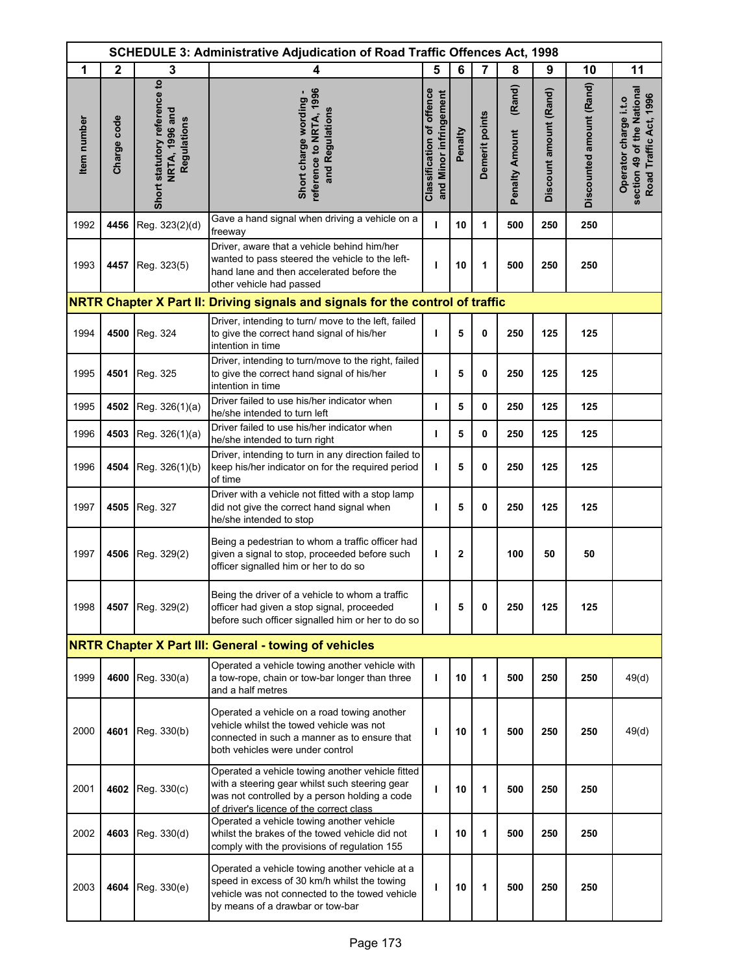|                    |              |                                                               | <b>SCHEDULE 3: Administrative Adjudication of Road Traffic Offences Act, 1998</b>                                                                                                               |                                                            |              |                |                                 |                        |                          |                                                                               |
|--------------------|--------------|---------------------------------------------------------------|-------------------------------------------------------------------------------------------------------------------------------------------------------------------------------------------------|------------------------------------------------------------|--------------|----------------|---------------------------------|------------------------|--------------------------|-------------------------------------------------------------------------------|
| 1                  | $\mathbf{2}$ | 3                                                             | 4                                                                                                                                                                                               | 5                                                          | 6            | 7              | 8                               | 9                      | 10                       | 11                                                                            |
| <b>Item</b> number | Charge code  | Short statutory reference to<br>NRTA, 1996 and<br>Regulations | reference to NRTA, 1996<br>Short charge wording -<br>and Regulations                                                                                                                            | <b>Classification of offence</b><br>and Minor infringement | Penalty      | Demerit points | (Rand)<br><b>Penalty Amount</b> | Discount amount (Rand) | Discounted amount (Rand) | section 49 of the National<br>Road Traffic Act, 1996<br>Operator charge i.t.o |
| 1992               | 4456         | Reg. 323(2)(d)                                                | Gave a hand signal when driving a vehicle on a<br>freeway                                                                                                                                       | т                                                          | 10           | 1              | 500                             | 250                    | 250                      |                                                                               |
| 1993               | 4457         | Reg. 323(5)                                                   | Driver, aware that a vehicle behind him/her<br>wanted to pass steered the vehicle to the left-<br>hand lane and then accelerated before the<br>other vehicle had passed                         | т                                                          | 10           | 1              | 500                             | 250                    | 250                      |                                                                               |
|                    |              |                                                               | NRTR Chapter X Part II: Driving signals and signals for the control of traffic                                                                                                                  |                                                            |              |                |                                 |                        |                          |                                                                               |
| 1994               | 4500         | Reg. 324                                                      | Driver, intending to turn/ move to the left, failed<br>to give the correct hand signal of his/her<br>intention in time                                                                          | т                                                          | 5            | 0              | 250                             | 125                    | 125                      |                                                                               |
| 1995               | 4501         | Reg. 325                                                      | Driver, intending to turn/move to the right, failed<br>to give the correct hand signal of his/her<br>intention in time                                                                          | т                                                          | 5            | 0              | 250                             | 125                    | 125                      |                                                                               |
| 1995               | 4502         | Reg. 326(1)(a)                                                | Driver failed to use his/her indicator when<br>he/she intended to turn left                                                                                                                     | т                                                          | 5            | 0              | 250                             | 125                    | 125                      |                                                                               |
| 1996               | 4503         | Reg. 326(1)(a)                                                | Driver failed to use his/her indicator when<br>he/she intended to turn right                                                                                                                    | т                                                          | 5            | 0              | 250                             | 125                    | 125                      |                                                                               |
| 1996               | 4504         | Reg. 326(1)(b)                                                | Driver, intending to turn in any direction failed to<br>keep his/her indicator on for the required period<br>of time                                                                            | т                                                          | 5            | 0              | 250                             | 125                    | 125                      |                                                                               |
| 1997               | 4505         | Reg. 327                                                      | Driver with a vehicle not fitted with a stop lamp<br>did not give the correct hand signal when<br>he/she intended to stop                                                                       | т                                                          | 5            | 0              | 250                             | 125                    | 125                      |                                                                               |
| 1997               | 4506         | Reg. 329(2)                                                   | Being a pedestrian to whom a traffic officer had<br>given a signal to stop, proceeded before such<br>officer signalled him or her to do so                                                      | т                                                          | $\mathbf{2}$ |                | 100                             | 50                     | 50                       |                                                                               |
| 1998               | 4507         | Reg. 329(2)                                                   | Being the driver of a vehicle to whom a traffic<br>officer had given a stop signal, proceeded<br>before such officer signalled him or her to do so                                              | т                                                          | 5            | 0              | 250                             | 125                    | 125                      |                                                                               |
|                    |              |                                                               | <b>NRTR Chapter X Part III: General - towing of vehicles</b>                                                                                                                                    |                                                            |              |                |                                 |                        |                          |                                                                               |
| 1999               | 4600         | Reg. 330(a)                                                   | Operated a vehicle towing another vehicle with<br>a tow-rope, chain or tow-bar longer than three<br>and a half metres                                                                           | т                                                          | 10           | 1              | 500                             | 250                    | 250                      | 49(d)                                                                         |
| 2000               | 4601         | Reg. 330(b)                                                   | Operated a vehicle on a road towing another<br>vehicle whilst the towed vehicle was not<br>connected in such a manner as to ensure that<br>both vehicles were under control                     | п                                                          | 10           | 1              | 500                             | 250                    | 250                      | 49(d)                                                                         |
| 2001               | 4602         | Reg. 330(c)                                                   | Operated a vehicle towing another vehicle fitted<br>with a steering gear whilst such steering gear<br>was not controlled by a person holding a code<br>of driver's licence of the correct class | ı                                                          | 10           | 1              | 500                             | 250                    | 250                      |                                                                               |
| 2002               | 4603         | Reg. 330(d)                                                   | Operated a vehicle towing another vehicle<br>whilst the brakes of the towed vehicle did not<br>comply with the provisions of regulation 155                                                     | ı                                                          | 10           | 1              | 500                             | 250                    | 250                      |                                                                               |
| 2003               |              | 4604 Reg. 330(e)                                              | Operated a vehicle towing another vehicle at a<br>speed in excess of 30 km/h whilst the towing<br>vehicle was not connected to the towed vehicle<br>by means of a drawbar or tow-bar            | т                                                          | 10           | 1              | 500                             | 250                    | 250                      |                                                                               |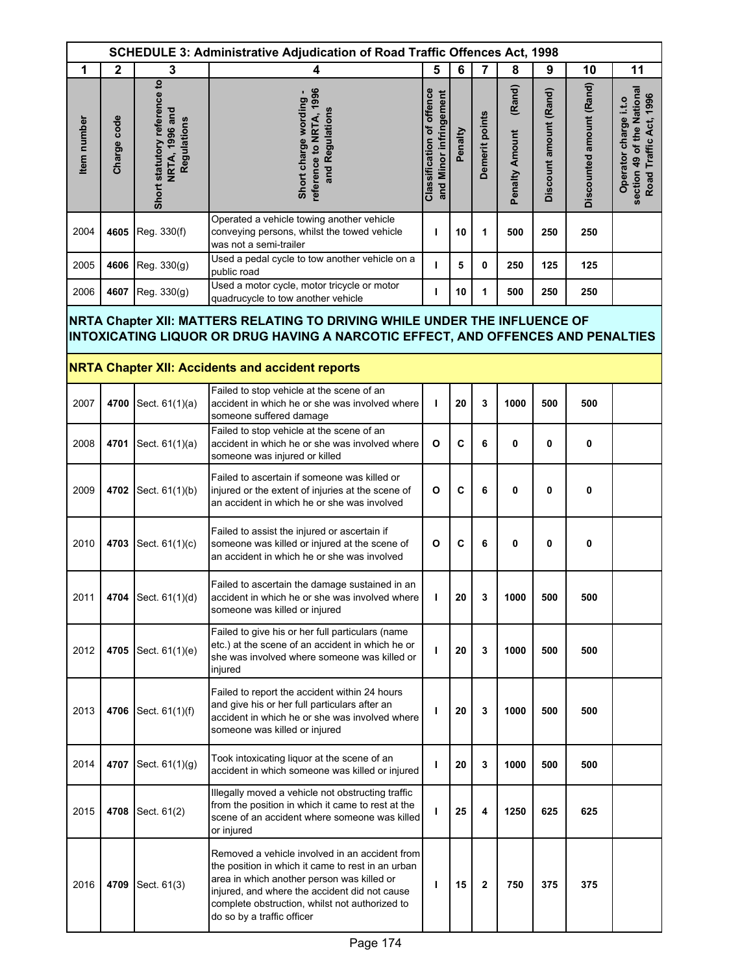| <b>SCHEDULE 3: Administrative Adjudication of Road Traffic Offences Act, 1998</b> |              |                                                               |                                                                                                                                                                                                                                                                                    |                                                     |             |                |                                 |                        |                          |                                                                               |
|-----------------------------------------------------------------------------------|--------------|---------------------------------------------------------------|------------------------------------------------------------------------------------------------------------------------------------------------------------------------------------------------------------------------------------------------------------------------------------|-----------------------------------------------------|-------------|----------------|---------------------------------|------------------------|--------------------------|-------------------------------------------------------------------------------|
| 1                                                                                 | $\mathbf{2}$ | 3                                                             | 4                                                                                                                                                                                                                                                                                  | 5                                                   | 6           | $\overline{7}$ | 8                               | 9                      | 10                       | 11                                                                            |
| Item number                                                                       | Charge code  | Short statutory reference to<br>NRTA, 1996 and<br>Regulations | reference to NRTA, 1996<br>Short charge wording -<br>and Regulations                                                                                                                                                                                                               | Classification of offence<br>and Minor infringement | Penalty     | Demerit points | (Rand)<br><b>Penalty Amount</b> | Discount amount (Rand) | Discounted amount (Rand) | section 49 of the National<br>Road Traffic Act, 1996<br>Operator charge i.t.o |
| 2004                                                                              | 4605         | Reg. 330(f)                                                   | Operated a vehicle towing another vehicle<br>conveying persons, whilst the towed vehicle<br>was not a semi-trailer                                                                                                                                                                 | т                                                   | 10          | 1              | 500                             | 250                    | 250                      |                                                                               |
| 2005                                                                              | 4606         | Reg. 330(g)                                                   | Used a pedal cycle to tow another vehicle on a<br>public road                                                                                                                                                                                                                      | ı                                                   | 5           | 0              | 250                             | 125                    | 125                      |                                                                               |
| 2006                                                                              | 4607         | Reg. 330(g)                                                   | Used a motor cycle, motor tricycle or motor<br>quadrucycle to tow another vehicle                                                                                                                                                                                                  | L                                                   | 10          | $\mathbf{1}$   | 500                             | 250                    | 250                      |                                                                               |
|                                                                                   |              |                                                               | NRTA Chapter XII: MATTERS RELATING TO DRIVING WHILE UNDER THE INFLUENCE OF<br>INTOXICATING LIQUOR OR DRUG HAVING A NARCOTIC EFFECT, AND OFFENCES AND PENALTIES<br><b>NRTA Chapter XII: Accidents and accident reports</b>                                                          |                                                     |             |                |                                 |                        |                          |                                                                               |
| 2007                                                                              | 4700         | Sect. 61(1)(a)                                                | Failed to stop vehicle at the scene of an<br>accident in which he or she was involved where<br>someone suffered damage                                                                                                                                                             | ı                                                   | 20          | 3              | 1000                            | 500                    | 500                      |                                                                               |
| 2008                                                                              | 4701         | Sect. 61(1)(a)                                                | Failed to stop vehicle at the scene of an<br>accident in which he or she was involved where<br>someone was injured or killed                                                                                                                                                       | O                                                   | $\mathbf c$ | 6              | 0                               | 0                      | 0                        |                                                                               |
| 2009                                                                              | 4702         | Sect. 61(1)(b)                                                | Failed to ascertain if someone was killed or<br>injured or the extent of injuries at the scene of<br>an accident in which he or she was involved                                                                                                                                   | O                                                   | C           | 6              | 0                               | 0                      | 0                        |                                                                               |
| 2010                                                                              | 4703         | Sect. 61(1)(c)                                                | Failed to assist the injured or ascertain if<br>someone was killed or injured at the scene of<br>an accident in which he or she was involved                                                                                                                                       | O                                                   | C           | 6              | 0                               | 0                      | 0                        |                                                                               |
| 2011                                                                              |              | 4704 Sect. 61(1)(d)                                           | Failed to ascertain the damage sustained in an<br>accident in which he or she was involved where<br>someone was killed or injured                                                                                                                                                  | т                                                   | 20          | 3              | 1000                            | 500                    | 500                      |                                                                               |
| 2012                                                                              | 4705         | Sect. 61(1)(e)                                                | Failed to give his or her full particulars (name<br>etc.) at the scene of an accident in which he or<br>she was involved where someone was killed or<br>injured                                                                                                                    | ı                                                   | 20          | 3              | 1000                            | 500                    | 500                      |                                                                               |
| 2013                                                                              | 4706         | Sect. 61(1)(f)                                                | Failed to report the accident within 24 hours<br>and give his or her full particulars after an<br>accident in which he or she was involved where<br>someone was killed or injured                                                                                                  | ı                                                   | 20          | 3              | 1000                            | 500                    | 500                      |                                                                               |
| 2014                                                                              | 4707         | Sect. 61(1)(g)                                                | Took intoxicating liquor at the scene of an<br>accident in which someone was killed or injured                                                                                                                                                                                     | ı                                                   | 20          | 3              | 1000                            | 500                    | 500                      |                                                                               |
| 2015                                                                              | 4708         | Sect. 61(2)                                                   | Illegally moved a vehicle not obstructing traffic<br>from the position in which it came to rest at the<br>scene of an accident where someone was killed<br>or injured                                                                                                              | ı                                                   | 25          | 4              | 1250                            | 625                    | 625                      |                                                                               |
| 2016                                                                              | 4709         | Sect. 61(3)                                                   | Removed a vehicle involved in an accident from<br>the position in which it came to rest in an urban<br>area in which another person was killed or<br>injured, and where the accident did not cause<br>complete obstruction, whilst not authorized to<br>do so by a traffic officer | ı                                                   | 15          | $\mathbf{2}$   | 750                             | 375                    | 375                      |                                                                               |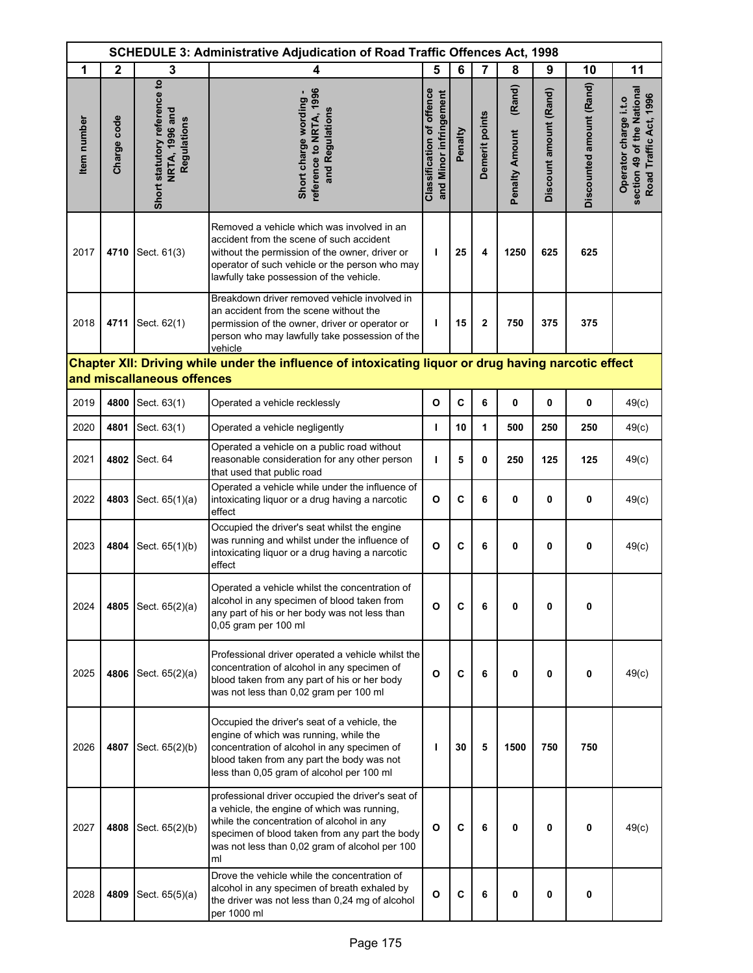| SCHEDULE 3: Administrative Adjudication of Road Traffic Offences Act, 1998 |              |                                                               |                                                                                                                                                                                                                                                         |                                                            |              |                |                                 |                        |                          |                                                                               |
|----------------------------------------------------------------------------|--------------|---------------------------------------------------------------|---------------------------------------------------------------------------------------------------------------------------------------------------------------------------------------------------------------------------------------------------------|------------------------------------------------------------|--------------|----------------|---------------------------------|------------------------|--------------------------|-------------------------------------------------------------------------------|
| 1                                                                          | $\mathbf{2}$ | 3                                                             | 4                                                                                                                                                                                                                                                       | 5                                                          | 6            | 7              | 8                               | 9                      | 10                       | 11                                                                            |
| <b>Item</b> number                                                         | Charge code  | Short statutory reference to<br>NRTA, 1996 and<br>Regulations | reference to NRTA, 1996<br>Short charge wording -<br>and Regulations                                                                                                                                                                                    | <b>Classification of offence</b><br>and Minor infringement | Penalty      | Demerit points | (Rand)<br><b>Penalty Amount</b> | Discount amount (Rand) | Discounted amount (Rand) | section 49 of the National<br>Road Traffic Act, 1996<br>Operator charge i.t.o |
| 2017                                                                       | 4710         | Sect. 61(3)                                                   | Removed a vehicle which was involved in an<br>accident from the scene of such accident<br>without the permission of the owner, driver or<br>operator of such vehicle or the person who may<br>lawfully take possession of the vehicle.                  | ı                                                          | 25           | 4              | 1250                            | 625                    | 625                      |                                                                               |
| 2018                                                                       | 4711         | Sect. 62(1)                                                   | Breakdown driver removed vehicle involved in<br>an accident from the scene without the<br>permission of the owner, driver or operator or<br>person who may lawfully take possession of the<br>vehicle                                                   | т                                                          | 15           | $\overline{2}$ | 750                             | 375                    | 375                      |                                                                               |
|                                                                            |              |                                                               | Chapter XII: Driving while under the influence of intoxicating liquor or drug having narcotic effect                                                                                                                                                    |                                                            |              |                |                                 |                        |                          |                                                                               |
|                                                                            |              | and miscallaneous offences                                    |                                                                                                                                                                                                                                                         |                                                            |              |                |                                 |                        |                          |                                                                               |
| 2019                                                                       | 4800         | Sect. 63(1)                                                   | Operated a vehicle recklessly                                                                                                                                                                                                                           | O                                                          | $\mathbf{C}$ | 6              | 0                               | 0                      | 0                        | 49(c)                                                                         |
| 2020                                                                       | 4801         | Sect. 63(1)                                                   | Operated a vehicle negligently                                                                                                                                                                                                                          | т                                                          | 10           | 1              | 500                             | 250                    | 250                      | 49(c)                                                                         |
| 2021                                                                       | 4802         | Sect. 64                                                      | Operated a vehicle on a public road without<br>reasonable consideration for any other person<br>that used that public road                                                                                                                              | т                                                          | 5            | 0              | 250                             | 125                    | 125                      | 49(c)                                                                         |
| 2022                                                                       | 4803         | Sect. 65(1)(a)                                                | Operated a vehicle while under the influence of<br>intoxicating liquor or a drug having a narcotic<br>effect                                                                                                                                            | $\mathbf{o}$                                               | C            | 6              | 0                               | 0                      | 0                        | 49(c)                                                                         |
| 2023                                                                       | 4804         | Sect. 65(1)(b)                                                | Occupied the driver's seat whilst the engine<br>was running and whilst under the influence of<br>intoxicating liquor or a drug having a narcotic<br>effect                                                                                              | O                                                          | C            | 6              | 0                               | 0                      | 0                        | 49(c)                                                                         |
| 2024                                                                       | 4805         | Sect. 65(2)(a)                                                | Operated a vehicle whilst the concentration of<br>alcohol in any specimen of blood taken from<br>any part of his or her body was not less than<br>0,05 gram per 100 ml                                                                                  | O                                                          | C            | 6              | 0                               | 0                      | 0                        |                                                                               |
| 2025                                                                       | 4806         | Sect. 65(2)(a)                                                | Professional driver operated a vehicle whilst the<br>concentration of alcohol in any specimen of<br>blood taken from any part of his or her body<br>was not less than 0,02 gram per 100 ml                                                              | $\mathbf{o}$                                               | C            | 6              | 0                               | 0                      | 0                        | 49(c)                                                                         |
| 2026                                                                       | 4807         | Sect. 65(2)(b)                                                | Occupied the driver's seat of a vehicle, the<br>engine of which was running, while the<br>concentration of alcohol in any specimen of<br>blood taken from any part the body was not<br>less than 0,05 gram of alcohol per 100 ml                        | п                                                          | 30           | 5              | 1500                            | 750                    | 750                      |                                                                               |
| 2027                                                                       | 4808         | Sect. 65(2)(b)                                                | professional driver occupied the driver's seat of<br>a vehicle, the engine of which was running,<br>while the concentration of alcohol in any<br>specimen of blood taken from any part the body<br>was not less than 0,02 gram of alcohol per 100<br>ml | $\mathbf{o}$                                               | C            | 6              | 0                               | 0                      | 0                        | 49(c)                                                                         |
| 2028                                                                       | 4809         | Sect. 65(5)(a)                                                | Drove the vehicle while the concentration of<br>alcohol in any specimen of breath exhaled by<br>the driver was not less than 0,24 mg of alcohol<br>per 1000 ml                                                                                          | O                                                          | C            | 6              | 0                               | 0                      | 0                        |                                                                               |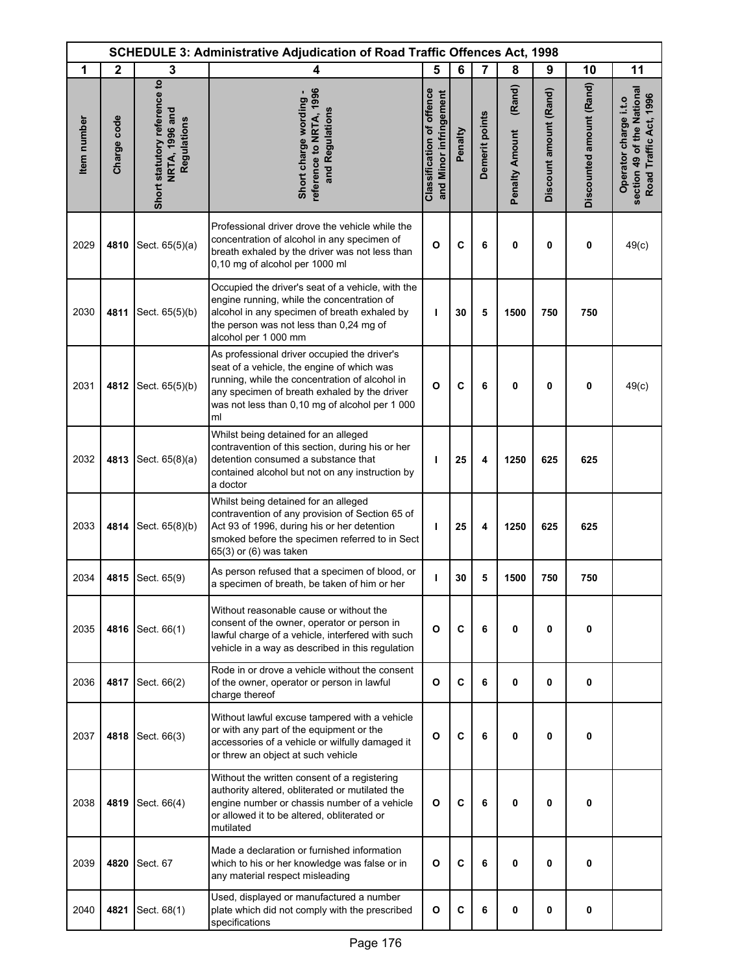| <b>SCHEDULE 3: Administrative Adjudication of Road Traffic Offences Act, 1998</b> |              |                                                               |                                                                                                                                                                                                                                                      |                                                            |         |                |                                 |                        |                          |                                                                               |
|-----------------------------------------------------------------------------------|--------------|---------------------------------------------------------------|------------------------------------------------------------------------------------------------------------------------------------------------------------------------------------------------------------------------------------------------------|------------------------------------------------------------|---------|----------------|---------------------------------|------------------------|--------------------------|-------------------------------------------------------------------------------|
| 1                                                                                 | $\mathbf{2}$ | 3                                                             | 4                                                                                                                                                                                                                                                    | 5                                                          | 6       | $\overline{7}$ | 8                               | 9                      | 10                       | 11                                                                            |
| <b>Item</b> number                                                                | Charge code  | Short statutory reference to<br>NRTA, 1996 and<br>Regulations | reference to NRTA, 1996<br>Short charge wording -<br>and Regulations                                                                                                                                                                                 | <b>Classification of offence</b><br>and Minor infringement | Penalty | Demerit points | (Rand)<br><b>Penalty Amount</b> | Discount amount (Rand) | Discounted amount (Rand) | section 49 of the National<br>Road Traffic Act, 1996<br>Operator charge i.t.o |
| 2029                                                                              | 4810         | Sect. 65(5)(a)                                                | Professional driver drove the vehicle while the<br>concentration of alcohol in any specimen of<br>breath exhaled by the driver was not less than<br>0,10 mg of alcohol per 1000 ml                                                                   | $\circ$                                                    | C       | 6              | 0                               | 0                      | 0                        | 49(c)                                                                         |
| 2030                                                                              | 4811         | Sect. 65(5)(b)                                                | Occupied the driver's seat of a vehicle, with the<br>engine running, while the concentration of<br>alcohol in any specimen of breath exhaled by<br>the person was not less than 0,24 mg of<br>alcohol per 1 000 mm                                   | т                                                          | 30      | 5              | 1500                            | 750                    | 750                      |                                                                               |
| 2031                                                                              | 4812         | Sect. 65(5)(b)                                                | As professional driver occupied the driver's<br>seat of a vehicle, the engine of which was<br>running, while the concentration of alcohol in<br>any specimen of breath exhaled by the driver<br>was not less than 0,10 mg of alcohol per 1 000<br>ml | $\mathbf{o}$                                               | C       | 6              | 0                               | 0                      | $\bf{0}$                 | 49(c)                                                                         |
| 2032                                                                              | 4813         | Sect. 65(8)(a)                                                | Whilst being detained for an alleged<br>contravention of this section, during his or her<br>detention consumed a substance that<br>contained alcohol but not on any instruction by<br>a doctor                                                       | т                                                          | 25      | 4              | 1250                            | 625                    | 625                      |                                                                               |
| 2033                                                                              | 4814         | Sect. 65(8)(b)                                                | Whilst being detained for an alleged<br>contravention of any provision of Section 65 of<br>Act 93 of 1996, during his or her detention<br>smoked before the specimen referred to in Sect<br>65(3) or (6) was taken                                   | т                                                          | 25      | 4              | 1250                            | 625                    | 625                      |                                                                               |
| 2034                                                                              | 4815         | Sect. 65(9)                                                   | As person refused that a specimen of blood, or<br>a specimen of breath, be taken of him or her                                                                                                                                                       | т                                                          | 30      | 5              | 1500                            | 750                    | 750                      |                                                                               |
| 2035                                                                              | 4816         | Sect. 66(1)                                                   | Without reasonable cause or without the<br>consent of the owner, operator or person in<br>lawful charge of a vehicle, interfered with such<br>vehicle in a way as described in this regulation                                                       | O                                                          | C       | 6              | 0                               | 0                      | 0                        |                                                                               |
| 2036                                                                              | 4817         | Sect. 66(2)                                                   | Rode in or drove a vehicle without the consent<br>of the owner, operator or person in lawful<br>charge thereof                                                                                                                                       | O                                                          | C       | 6              | 0                               | 0                      | $\mathbf{0}$             |                                                                               |
| 2037                                                                              | 4818         | Sect. 66(3)                                                   | Without lawful excuse tampered with a vehicle<br>or with any part of the equipment or the<br>accessories of a vehicle or wilfully damaged it<br>or threw an object at such vehicle                                                                   | O                                                          | C       | 6              | 0                               | 0                      | 0                        |                                                                               |
| 2038                                                                              | 4819         | Sect. 66(4)                                                   | Without the written consent of a registering<br>authority altered, obliterated or mutilated the<br>engine number or chassis number of a vehicle<br>or allowed it to be altered, obliterated or<br>mutilated                                          | O                                                          | C       | 6              | 0                               | 0                      | 0                        |                                                                               |
| 2039                                                                              | 4820         | Sect. 67                                                      | Made a declaration or furnished information<br>which to his or her knowledge was false or in<br>any material respect misleading                                                                                                                      | O                                                          | C       | 6              | 0                               | 0                      | 0                        |                                                                               |
| 2040                                                                              | 4821         | Sect. 68(1)                                                   | Used, displayed or manufactured a number<br>plate which did not comply with the prescribed<br>specifications                                                                                                                                         | O                                                          | C       | 6              | 0                               | 0                      | 0                        |                                                                               |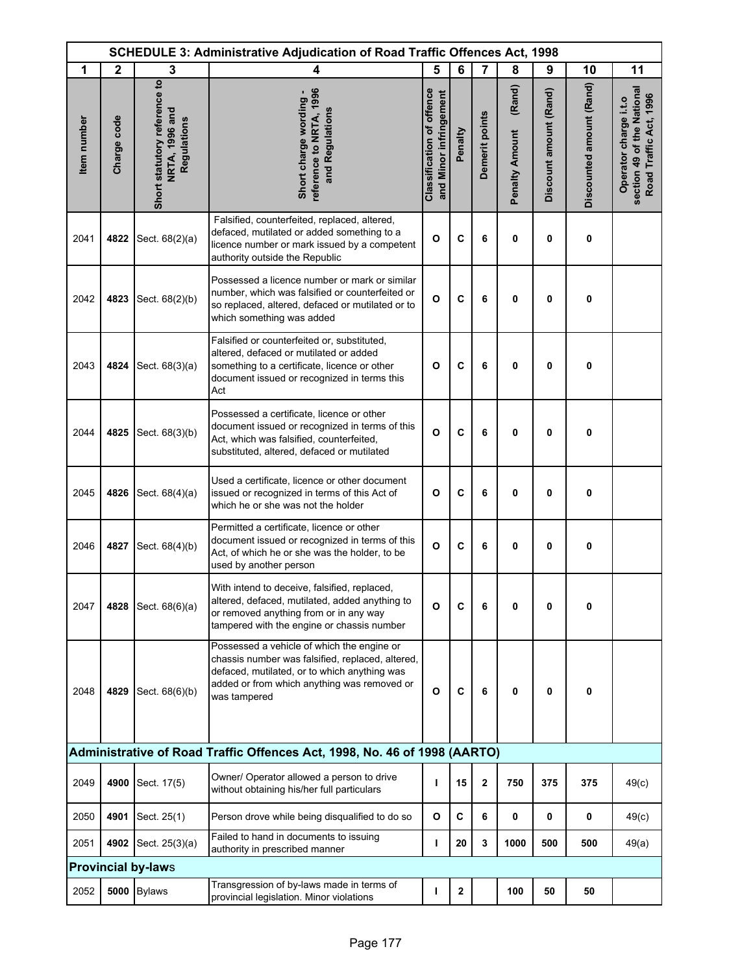|             | SCHEDULE 3: Administrative Adjudication of Road Traffic Offences Act, 1998 |                                                               |                                                                                                                                                                                                               |                                                            |              |                |                                 |                        |                          |                                                                               |
|-------------|----------------------------------------------------------------------------|---------------------------------------------------------------|---------------------------------------------------------------------------------------------------------------------------------------------------------------------------------------------------------------|------------------------------------------------------------|--------------|----------------|---------------------------------|------------------------|--------------------------|-------------------------------------------------------------------------------|
| 1           | $\mathbf{2}$                                                               | 3                                                             | 4                                                                                                                                                                                                             | 5                                                          | 6            | 7              | 8                               | 9                      | 10                       | 11                                                                            |
| Item number | Charge code                                                                | Short statutory reference to<br>NRTA, 1996 and<br>Regulations | reference to NRTA, 1996<br>Short charge wording -<br>and Regulations                                                                                                                                          | <b>Classification of offence</b><br>and Minor infringement | Penalty      | Demerit points | (Rand)<br><b>Penalty Amount</b> | Discount amount (Rand) | Discounted amount (Rand) | section 49 of the National<br>Road Traffic Act, 1996<br>Operator charge i.t.o |
| 2041        | 4822                                                                       | Sect. 68(2)(a)                                                | Falsified, counterfeited, replaced, altered,<br>defaced, mutilated or added something to a<br>licence number or mark issued by a competent<br>authority outside the Republic                                  | $\mathbf{o}$                                               | C            | 6              | 0                               | 0                      | 0                        |                                                                               |
| 2042        | 4823                                                                       | Sect. 68(2)(b)                                                | Possessed a licence number or mark or similar<br>number, which was falsified or counterfeited or<br>so replaced, altered, defaced or mutilated or to<br>which something was added                             | $\mathbf{o}$                                               | C            | 6              | 0                               | 0                      | 0                        |                                                                               |
| 2043        | 4824                                                                       | Sect. 68(3)(a)                                                | Falsified or counterfeited or, substituted,<br>altered, defaced or mutilated or added<br>something to a certificate, licence or other<br>document issued or recognized in terms this<br>Act                   | O                                                          | C            | 6              | 0                               | 0                      | 0                        |                                                                               |
| 2044        | 4825                                                                       | Sect. 68(3)(b)                                                | Possessed a certificate, licence or other<br>document issued or recognized in terms of this<br>Act, which was falsified, counterfeited,<br>substituted, altered, defaced or mutilated                         | $\mathbf{o}$                                               | C            | 6              | 0                               | 0                      | 0                        |                                                                               |
| 2045        | 4826                                                                       | Sect. 68(4)(a)                                                | Used a certificate, licence or other document<br>issued or recognized in terms of this Act of<br>which he or she was not the holder                                                                           | O                                                          | C            | 6              | 0                               | 0                      | 0                        |                                                                               |
| 2046        | 4827                                                                       | Sect. 68(4)(b)                                                | Permitted a certificate, licence or other<br>document issued or recognized in terms of this<br>Act, of which he or she was the holder, to be<br>used by another person                                        | $\mathbf{o}$                                               | C            | 6              | 0                               | 0                      | 0                        |                                                                               |
| 2047        | 4828                                                                       | Sect. 68(6)(a)                                                | With intend to deceive, falsified, replaced,<br>altered, defaced, mutilated, added anything to<br>or removed anything from or in any way<br>tampered with the engine or chassis number                        | O                                                          | C            | 6              | 0                               | 0                      | 0                        |                                                                               |
| 2048        | 4829                                                                       | Sect. 68(6)(b)                                                | Possessed a vehicle of which the engine or<br>chassis number was falsified, replaced, altered,<br>defaced, mutilated, or to which anything was<br>added or from which anything was removed or<br>was tampered | O                                                          | C            | 6              | 0                               | 0                      | 0                        |                                                                               |
|             |                                                                            |                                                               | Administrative of Road Traffic Offences Act, 1998, No. 46 of 1998 (AARTO)                                                                                                                                     |                                                            |              |                |                                 |                        |                          |                                                                               |
| 2049        | 4900                                                                       | Sect. 17(5)                                                   | Owner/ Operator allowed a person to drive<br>without obtaining his/her full particulars                                                                                                                       | T                                                          | 15           | $\mathbf 2$    | 750                             | 375                    | 375                      | 49(c)                                                                         |
| 2050        | 4901                                                                       | Sect. 25(1)                                                   | Person drove while being disqualified to do so                                                                                                                                                                | O                                                          | C            | 6              | 0                               | $\mathbf 0$            | 0                        | 49(c)                                                                         |
| 2051        | 4902                                                                       | Sect. 25(3)(a)                                                | Failed to hand in documents to issuing<br>authority in prescribed manner                                                                                                                                      | т                                                          | 20           | 3              | 1000                            | 500                    | 500                      | 49(a)                                                                         |
|             |                                                                            | <b>Provincial by-laws</b>                                     |                                                                                                                                                                                                               |                                                            |              |                |                                 |                        |                          |                                                                               |
| 2052        | 5000                                                                       | <b>Bylaws</b>                                                 | Transgression of by-laws made in terms of<br>provincial legislation. Minor violations                                                                                                                         | т                                                          | $\mathbf{2}$ |                | 100                             | 50                     | 50                       |                                                                               |